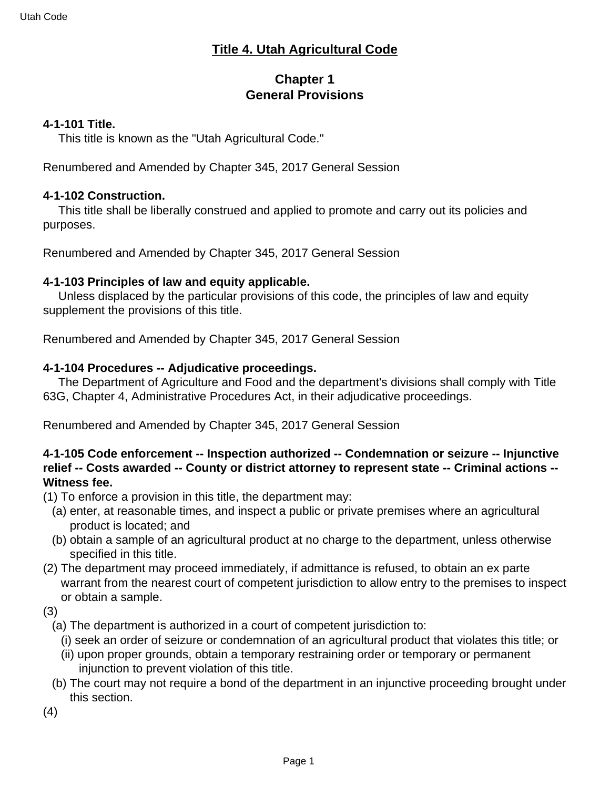## **Title 4. Utah Agricultural Code**

# **Chapter 1 General Provisions**

#### **4-1-101 Title.**

This title is known as the "Utah Agricultural Code."

Renumbered and Amended by Chapter 345, 2017 General Session

#### **4-1-102 Construction.**

 This title shall be liberally construed and applied to promote and carry out its policies and purposes.

Renumbered and Amended by Chapter 345, 2017 General Session

### **4-1-103 Principles of law and equity applicable.**

 Unless displaced by the particular provisions of this code, the principles of law and equity supplement the provisions of this title.

Renumbered and Amended by Chapter 345, 2017 General Session

### **4-1-104 Procedures -- Adjudicative proceedings.**

 The Department of Agriculture and Food and the department's divisions shall comply with Title 63G, Chapter 4, Administrative Procedures Act, in their adjudicative proceedings.

Renumbered and Amended by Chapter 345, 2017 General Session

### **4-1-105 Code enforcement -- Inspection authorized -- Condemnation or seizure -- Injunctive relief -- Costs awarded -- County or district attorney to represent state -- Criminal actions -- Witness fee.**

- (1) To enforce a provision in this title, the department may:
	- (a) enter, at reasonable times, and inspect a public or private premises where an agricultural product is located; and
	- (b) obtain a sample of an agricultural product at no charge to the department, unless otherwise specified in this title.
- (2) The department may proceed immediately, if admittance is refused, to obtain an ex parte warrant from the nearest court of competent jurisdiction to allow entry to the premises to inspect or obtain a sample.

(3)

- (a) The department is authorized in a court of competent jurisdiction to:
	- (i) seek an order of seizure or condemnation of an agricultural product that violates this title; or
	- (ii) upon proper grounds, obtain a temporary restraining order or temporary or permanent injunction to prevent violation of this title.
- (b) The court may not require a bond of the department in an injunctive proceeding brought under this section.
- (4)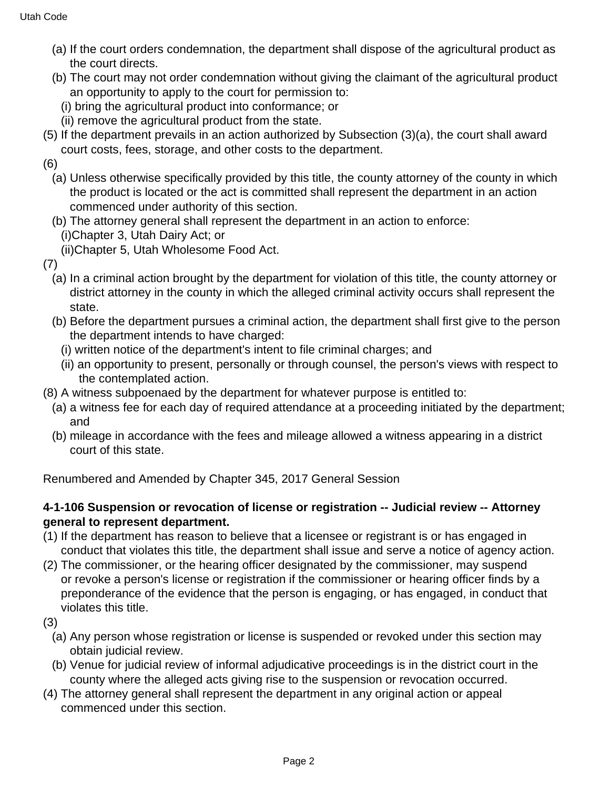- (a) If the court orders condemnation, the department shall dispose of the agricultural product as the court directs.
- (b) The court may not order condemnation without giving the claimant of the agricultural product an opportunity to apply to the court for permission to:
	- (i) bring the agricultural product into conformance; or
	- (ii) remove the agricultural product from the state.
- (5) If the department prevails in an action authorized by Subsection (3)(a), the court shall award court costs, fees, storage, and other costs to the department.

(6)

- (a) Unless otherwise specifically provided by this title, the county attorney of the county in which the product is located or the act is committed shall represent the department in an action commenced under authority of this section.
- (b) The attorney general shall represent the department in an action to enforce: (i)Chapter 3, Utah Dairy Act; or
	- (ii)Chapter 5, Utah Wholesome Food Act.
- (7)
	- (a) In a criminal action brought by the department for violation of this title, the county attorney or district attorney in the county in which the alleged criminal activity occurs shall represent the state.
	- (b) Before the department pursues a criminal action, the department shall first give to the person the department intends to have charged:
		- (i) written notice of the department's intent to file criminal charges; and
		- (ii) an opportunity to present, personally or through counsel, the person's views with respect to the contemplated action.
- (8) A witness subpoenaed by the department for whatever purpose is entitled to:
	- (a) a witness fee for each day of required attendance at a proceeding initiated by the department; and
	- (b) mileage in accordance with the fees and mileage allowed a witness appearing in a district court of this state.

Renumbered and Amended by Chapter 345, 2017 General Session

## **4-1-106 Suspension or revocation of license or registration -- Judicial review -- Attorney general to represent department.**

- (1) If the department has reason to believe that a licensee or registrant is or has engaged in conduct that violates this title, the department shall issue and serve a notice of agency action.
- (2) The commissioner, or the hearing officer designated by the commissioner, may suspend or revoke a person's license or registration if the commissioner or hearing officer finds by a preponderance of the evidence that the person is engaging, or has engaged, in conduct that violates this title.
- (3)
	- (a) Any person whose registration or license is suspended or revoked under this section may obtain judicial review.
	- (b) Venue for judicial review of informal adjudicative proceedings is in the district court in the county where the alleged acts giving rise to the suspension or revocation occurred.
- (4) The attorney general shall represent the department in any original action or appeal commenced under this section.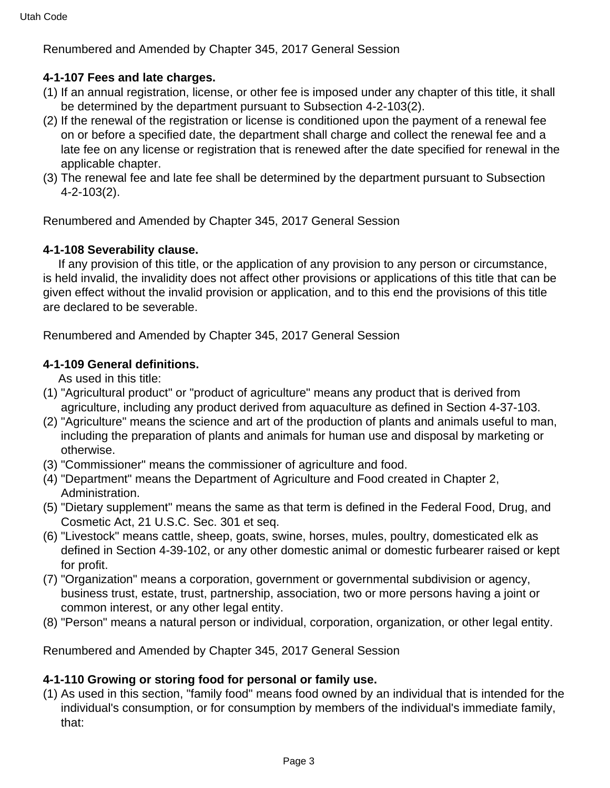Renumbered and Amended by Chapter 345, 2017 General Session

### **4-1-107 Fees and late charges.**

- (1) If an annual registration, license, or other fee is imposed under any chapter of this title, it shall be determined by the department pursuant to Subsection 4-2-103(2).
- (2) If the renewal of the registration or license is conditioned upon the payment of a renewal fee on or before a specified date, the department shall charge and collect the renewal fee and a late fee on any license or registration that is renewed after the date specified for renewal in the applicable chapter.
- (3) The renewal fee and late fee shall be determined by the department pursuant to Subsection 4-2-103(2).

Renumbered and Amended by Chapter 345, 2017 General Session

### **4-1-108 Severability clause.**

 If any provision of this title, or the application of any provision to any person or circumstance, is held invalid, the invalidity does not affect other provisions or applications of this title that can be given effect without the invalid provision or application, and to this end the provisions of this title are declared to be severable.

Renumbered and Amended by Chapter 345, 2017 General Session

### **4-1-109 General definitions.**

As used in this title:

- (1) "Agricultural product" or "product of agriculture" means any product that is derived from agriculture, including any product derived from aquaculture as defined in Section 4-37-103.
- (2) "Agriculture" means the science and art of the production of plants and animals useful to man, including the preparation of plants and animals for human use and disposal by marketing or otherwise.
- (3) "Commissioner" means the commissioner of agriculture and food.
- (4) "Department" means the Department of Agriculture and Food created in Chapter 2, Administration.
- (5) "Dietary supplement" means the same as that term is defined in the Federal Food, Drug, and Cosmetic Act, 21 U.S.C. Sec. 301 et seq.
- (6) "Livestock" means cattle, sheep, goats, swine, horses, mules, poultry, domesticated elk as defined in Section 4-39-102, or any other domestic animal or domestic furbearer raised or kept for profit.
- (7) "Organization" means a corporation, government or governmental subdivision or agency, business trust, estate, trust, partnership, association, two or more persons having a joint or common interest, or any other legal entity.
- (8) "Person" means a natural person or individual, corporation, organization, or other legal entity.

Renumbered and Amended by Chapter 345, 2017 General Session

### **4-1-110 Growing or storing food for personal or family use.**

(1) As used in this section, "family food" means food owned by an individual that is intended for the individual's consumption, or for consumption by members of the individual's immediate family, that: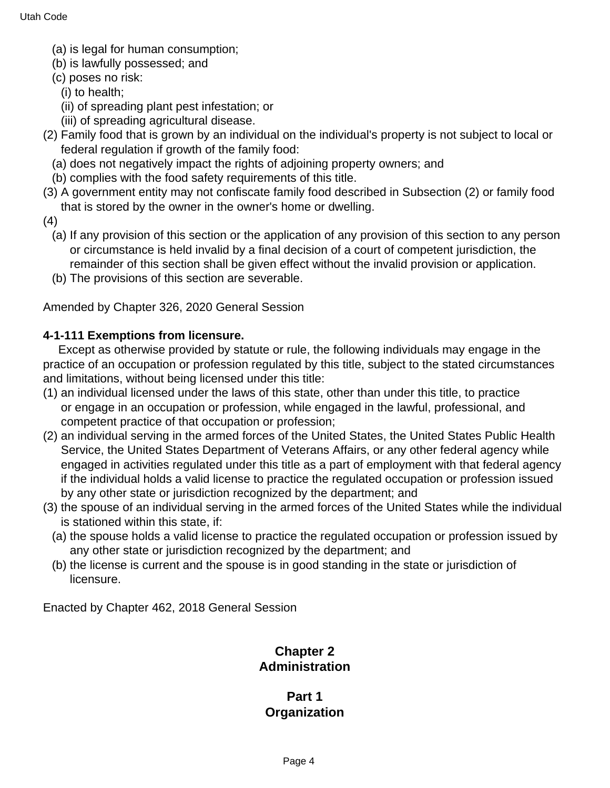- (a) is legal for human consumption;
- (b) is lawfully possessed; and
- (c) poses no risk:
	- (i) to health;
	- (ii) of spreading plant pest infestation; or
	- (iii) of spreading agricultural disease.
- (2) Family food that is grown by an individual on the individual's property is not subject to local or federal regulation if growth of the family food:
	- (a) does not negatively impact the rights of adjoining property owners; and
	- (b) complies with the food safety requirements of this title.
- (3) A government entity may not confiscate family food described in Subsection (2) or family food that is stored by the owner in the owner's home or dwelling.
- (4)
	- (a) If any provision of this section or the application of any provision of this section to any person or circumstance is held invalid by a final decision of a court of competent jurisdiction, the remainder of this section shall be given effect without the invalid provision or application.
	- (b) The provisions of this section are severable.

Amended by Chapter 326, 2020 General Session

### **4-1-111 Exemptions from licensure.**

 Except as otherwise provided by statute or rule, the following individuals may engage in the practice of an occupation or profession regulated by this title, subject to the stated circumstances and limitations, without being licensed under this title:

- (1) an individual licensed under the laws of this state, other than under this title, to practice or engage in an occupation or profession, while engaged in the lawful, professional, and competent practice of that occupation or profession;
- (2) an individual serving in the armed forces of the United States, the United States Public Health Service, the United States Department of Veterans Affairs, or any other federal agency while engaged in activities regulated under this title as a part of employment with that federal agency if the individual holds a valid license to practice the regulated occupation or profession issued by any other state or jurisdiction recognized by the department; and
- (3) the spouse of an individual serving in the armed forces of the United States while the individual is stationed within this state, if:
	- (a) the spouse holds a valid license to practice the regulated occupation or profession issued by any other state or jurisdiction recognized by the department; and
	- (b) the license is current and the spouse is in good standing in the state or jurisdiction of licensure.

Enacted by Chapter 462, 2018 General Session

## **Chapter 2 Administration**

### **Part 1 Organization**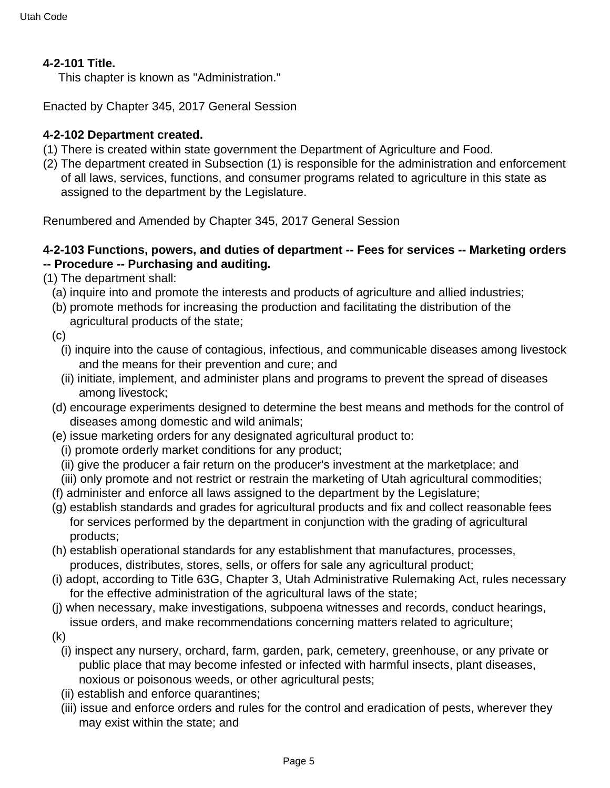## **4-2-101 Title.**

This chapter is known as "Administration."

Enacted by Chapter 345, 2017 General Session

### **4-2-102 Department created.**

- (1) There is created within state government the Department of Agriculture and Food.
- (2) The department created in Subsection (1) is responsible for the administration and enforcement of all laws, services, functions, and consumer programs related to agriculture in this state as assigned to the department by the Legislature.

Renumbered and Amended by Chapter 345, 2017 General Session

### **4-2-103 Functions, powers, and duties of department -- Fees for services -- Marketing orders -- Procedure -- Purchasing and auditing.**

- (1) The department shall:
	- (a) inquire into and promote the interests and products of agriculture and allied industries;
	- (b) promote methods for increasing the production and facilitating the distribution of the agricultural products of the state;
	- $(c)$ 
		- (i) inquire into the cause of contagious, infectious, and communicable diseases among livestock and the means for their prevention and cure; and
		- (ii) initiate, implement, and administer plans and programs to prevent the spread of diseases among livestock;
	- (d) encourage experiments designed to determine the best means and methods for the control of diseases among domestic and wild animals;
	- (e) issue marketing orders for any designated agricultural product to:
		- (i) promote orderly market conditions for any product;
		- (ii) give the producer a fair return on the producer's investment at the marketplace; and
	- (iii) only promote and not restrict or restrain the marketing of Utah agricultural commodities;
	- (f) administer and enforce all laws assigned to the department by the Legislature;
	- (g) establish standards and grades for agricultural products and fix and collect reasonable fees for services performed by the department in conjunction with the grading of agricultural products;
	- (h) establish operational standards for any establishment that manufactures, processes, produces, distributes, stores, sells, or offers for sale any agricultural product;
	- (i) adopt, according to Title 63G, Chapter 3, Utah Administrative Rulemaking Act, rules necessary for the effective administration of the agricultural laws of the state;
	- (j) when necessary, make investigations, subpoena witnesses and records, conduct hearings, issue orders, and make recommendations concerning matters related to agriculture;
	- (k)
		- (i) inspect any nursery, orchard, farm, garden, park, cemetery, greenhouse, or any private or public place that may become infested or infected with harmful insects, plant diseases, noxious or poisonous weeds, or other agricultural pests;
		- (ii) establish and enforce quarantines;
		- (iii) issue and enforce orders and rules for the control and eradication of pests, wherever they may exist within the state; and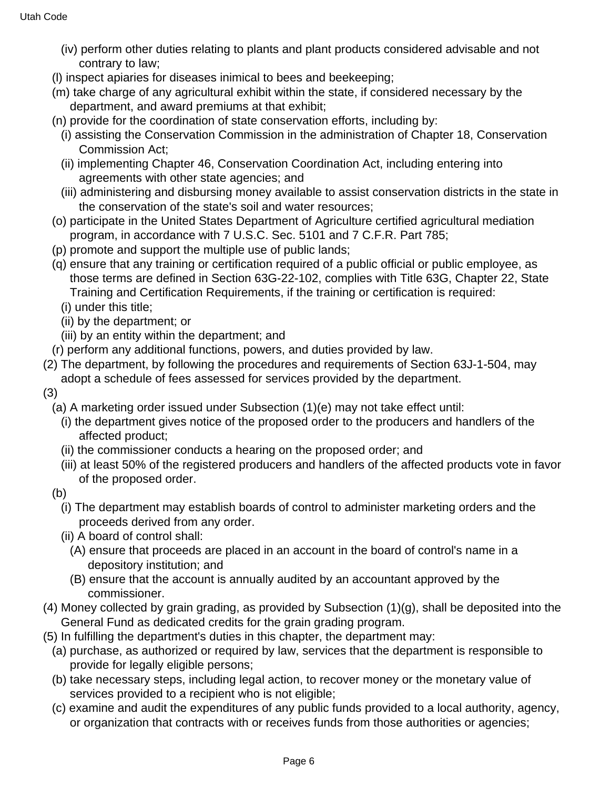- (iv) perform other duties relating to plants and plant products considered advisable and not contrary to law;
- (l) inspect apiaries for diseases inimical to bees and beekeeping;
- (m) take charge of any agricultural exhibit within the state, if considered necessary by the department, and award premiums at that exhibit;
- (n) provide for the coordination of state conservation efforts, including by:
	- (i) assisting the Conservation Commission in the administration of Chapter 18, Conservation Commission Act;
	- (ii) implementing Chapter 46, Conservation Coordination Act, including entering into agreements with other state agencies; and
	- (iii) administering and disbursing money available to assist conservation districts in the state in the conservation of the state's soil and water resources;
- (o) participate in the United States Department of Agriculture certified agricultural mediation program, in accordance with 7 U.S.C. Sec. 5101 and 7 C.F.R. Part 785;
- (p) promote and support the multiple use of public lands;
- (q) ensure that any training or certification required of a public official or public employee, as those terms are defined in Section 63G-22-102, complies with Title 63G, Chapter 22, State Training and Certification Requirements, if the training or certification is required:
	- (i) under this title;
	- (ii) by the department; or
	- (iii) by an entity within the department; and
- (r) perform any additional functions, powers, and duties provided by law.
- (2) The department, by following the procedures and requirements of Section 63J-1-504, may adopt a schedule of fees assessed for services provided by the department.
- (3)
	- (a) A marketing order issued under Subsection (1)(e) may not take effect until:
		- (i) the department gives notice of the proposed order to the producers and handlers of the affected product;
		- (ii) the commissioner conducts a hearing on the proposed order; and
		- (iii) at least 50% of the registered producers and handlers of the affected products vote in favor of the proposed order.
	- (b)
		- (i) The department may establish boards of control to administer marketing orders and the proceeds derived from any order.
		- (ii) A board of control shall:
			- (A) ensure that proceeds are placed in an account in the board of control's name in a depository institution; and
			- (B) ensure that the account is annually audited by an accountant approved by the commissioner.
- (4) Money collected by grain grading, as provided by Subsection (1)(g), shall be deposited into the General Fund as dedicated credits for the grain grading program.
- (5) In fulfilling the department's duties in this chapter, the department may:
- (a) purchase, as authorized or required by law, services that the department is responsible to provide for legally eligible persons;
- (b) take necessary steps, including legal action, to recover money or the monetary value of services provided to a recipient who is not eligible;
- (c) examine and audit the expenditures of any public funds provided to a local authority, agency, or organization that contracts with or receives funds from those authorities or agencies;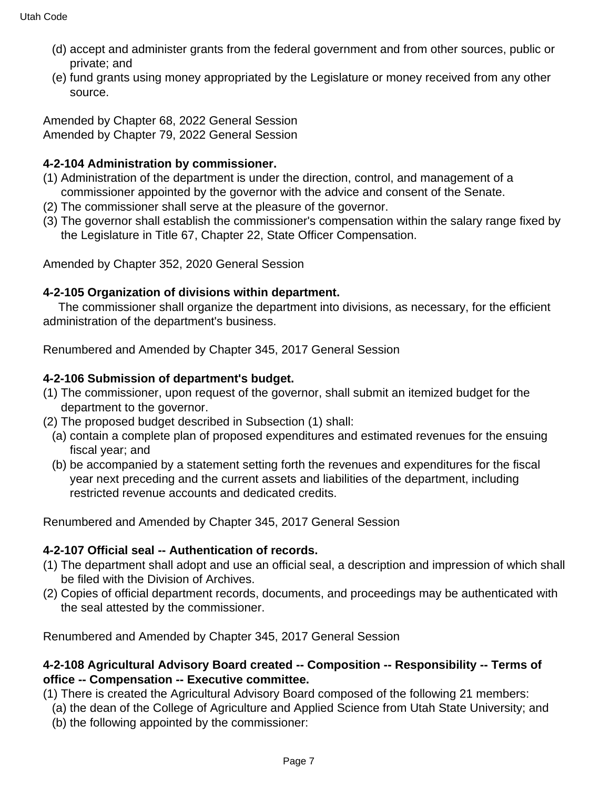- (d) accept and administer grants from the federal government and from other sources, public or private; and
- (e) fund grants using money appropriated by the Legislature or money received from any other source.

Amended by Chapter 68, 2022 General Session Amended by Chapter 79, 2022 General Session

# **4-2-104 Administration by commissioner.**

- (1) Administration of the department is under the direction, control, and management of a commissioner appointed by the governor with the advice and consent of the Senate.
- (2) The commissioner shall serve at the pleasure of the governor.
- (3) The governor shall establish the commissioner's compensation within the salary range fixed by the Legislature in Title 67, Chapter 22, State Officer Compensation.

Amended by Chapter 352, 2020 General Session

# **4-2-105 Organization of divisions within department.**

 The commissioner shall organize the department into divisions, as necessary, for the efficient administration of the department's business.

Renumbered and Amended by Chapter 345, 2017 General Session

# **4-2-106 Submission of department's budget.**

- (1) The commissioner, upon request of the governor, shall submit an itemized budget for the department to the governor.
- (2) The proposed budget described in Subsection (1) shall:
	- (a) contain a complete plan of proposed expenditures and estimated revenues for the ensuing fiscal year; and
	- (b) be accompanied by a statement setting forth the revenues and expenditures for the fiscal year next preceding and the current assets and liabilities of the department, including restricted revenue accounts and dedicated credits.

Renumbered and Amended by Chapter 345, 2017 General Session

# **4-2-107 Official seal -- Authentication of records.**

- (1) The department shall adopt and use an official seal, a description and impression of which shall be filed with the Division of Archives.
- (2) Copies of official department records, documents, and proceedings may be authenticated with the seal attested by the commissioner.

Renumbered and Amended by Chapter 345, 2017 General Session

## **4-2-108 Agricultural Advisory Board created -- Composition -- Responsibility -- Terms of office -- Compensation -- Executive committee.**

- (1) There is created the Agricultural Advisory Board composed of the following 21 members:
- (a) the dean of the College of Agriculture and Applied Science from Utah State University; and
- (b) the following appointed by the commissioner: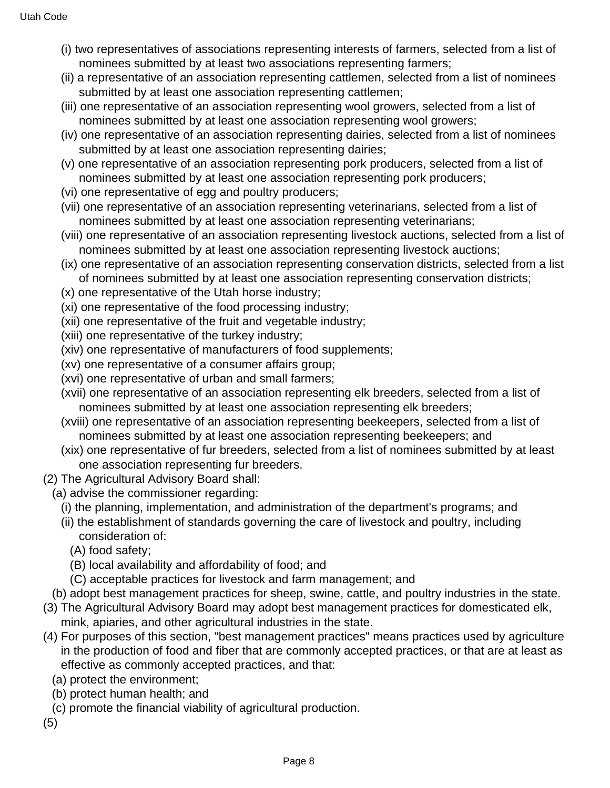- (i) two representatives of associations representing interests of farmers, selected from a list of nominees submitted by at least two associations representing farmers;
- (ii) a representative of an association representing cattlemen, selected from a list of nominees submitted by at least one association representing cattlemen;
- (iii) one representative of an association representing wool growers, selected from a list of nominees submitted by at least one association representing wool growers;
- (iv) one representative of an association representing dairies, selected from a list of nominees submitted by at least one association representing dairies;
- (v) one representative of an association representing pork producers, selected from a list of nominees submitted by at least one association representing pork producers;
- (vi) one representative of egg and poultry producers;
- (vii) one representative of an association representing veterinarians, selected from a list of nominees submitted by at least one association representing veterinarians;
- (viii) one representative of an association representing livestock auctions, selected from a list of nominees submitted by at least one association representing livestock auctions;
- (ix) one representative of an association representing conservation districts, selected from a list of nominees submitted by at least one association representing conservation districts;
- (x) one representative of the Utah horse industry;
- (xi) one representative of the food processing industry;
- (xii) one representative of the fruit and vegetable industry;
- (xiii) one representative of the turkey industry;
- (xiv) one representative of manufacturers of food supplements;
- (xv) one representative of a consumer affairs group;
- (xvi) one representative of urban and small farmers;
- (xvii) one representative of an association representing elk breeders, selected from a list of nominees submitted by at least one association representing elk breeders;
- (xviii) one representative of an association representing beekeepers, selected from a list of nominees submitted by at least one association representing beekeepers; and
- (xix) one representative of fur breeders, selected from a list of nominees submitted by at least one association representing fur breeders.
- (2) The Agricultural Advisory Board shall:
	- (a) advise the commissioner regarding:
		- (i) the planning, implementation, and administration of the department's programs; and
		- (ii) the establishment of standards governing the care of livestock and poultry, including consideration of:
			- (A) food safety;
			- (B) local availability and affordability of food; and
			- (C) acceptable practices for livestock and farm management; and
- (b) adopt best management practices for sheep, swine, cattle, and poultry industries in the state.
- (3) The Agricultural Advisory Board may adopt best management practices for domesticated elk, mink, apiaries, and other agricultural industries in the state.
- (4) For purposes of this section, "best management practices" means practices used by agriculture in the production of food and fiber that are commonly accepted practices, or that are at least as effective as commonly accepted practices, and that:
	- (a) protect the environment;
	- (b) protect human health; and
	- (c) promote the financial viability of agricultural production.
- (5)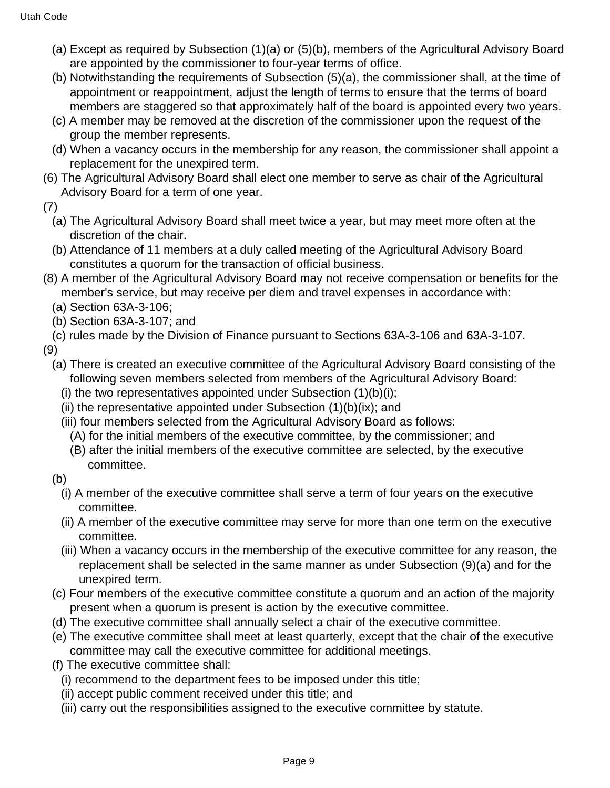- (a) Except as required by Subsection (1)(a) or (5)(b), members of the Agricultural Advisory Board are appointed by the commissioner to four-year terms of office.
- (b) Notwithstanding the requirements of Subsection (5)(a), the commissioner shall, at the time of appointment or reappointment, adjust the length of terms to ensure that the terms of board members are staggered so that approximately half of the board is appointed every two years.
- (c) A member may be removed at the discretion of the commissioner upon the request of the group the member represents.
- (d) When a vacancy occurs in the membership for any reason, the commissioner shall appoint a replacement for the unexpired term.
- (6) The Agricultural Advisory Board shall elect one member to serve as chair of the Agricultural Advisory Board for a term of one year.
- (7)
	- (a) The Agricultural Advisory Board shall meet twice a year, but may meet more often at the discretion of the chair.
	- (b) Attendance of 11 members at a duly called meeting of the Agricultural Advisory Board constitutes a quorum for the transaction of official business.
- (8) A member of the Agricultural Advisory Board may not receive compensation or benefits for the member's service, but may receive per diem and travel expenses in accordance with:
	- (a) Section 63A-3-106;
	- (b) Section 63A-3-107; and
	- (c) rules made by the Division of Finance pursuant to Sections 63A-3-106 and 63A-3-107.

(9)

- (a) There is created an executive committee of the Agricultural Advisory Board consisting of the following seven members selected from members of the Agricultural Advisory Board:
	- (i) the two representatives appointed under Subsection  $(1)(b)(i)$ ;
	- (ii) the representative appointed under Subsection  $(1)(b)(ix)$ ; and
	- (iii) four members selected from the Agricultural Advisory Board as follows:
		- (A) for the initial members of the executive committee, by the commissioner; and
		- (B) after the initial members of the executive committee are selected, by the executive committee.
- (b)
	- (i) A member of the executive committee shall serve a term of four years on the executive committee.
	- (ii) A member of the executive committee may serve for more than one term on the executive committee.
	- (iii) When a vacancy occurs in the membership of the executive committee for any reason, the replacement shall be selected in the same manner as under Subsection (9)(a) and for the unexpired term.
- (c) Four members of the executive committee constitute a quorum and an action of the majority present when a quorum is present is action by the executive committee.
- (d) The executive committee shall annually select a chair of the executive committee.
- (e) The executive committee shall meet at least quarterly, except that the chair of the executive committee may call the executive committee for additional meetings.
- (f) The executive committee shall:
	- (i) recommend to the department fees to be imposed under this title;
	- (ii) accept public comment received under this title; and
	- (iii) carry out the responsibilities assigned to the executive committee by statute.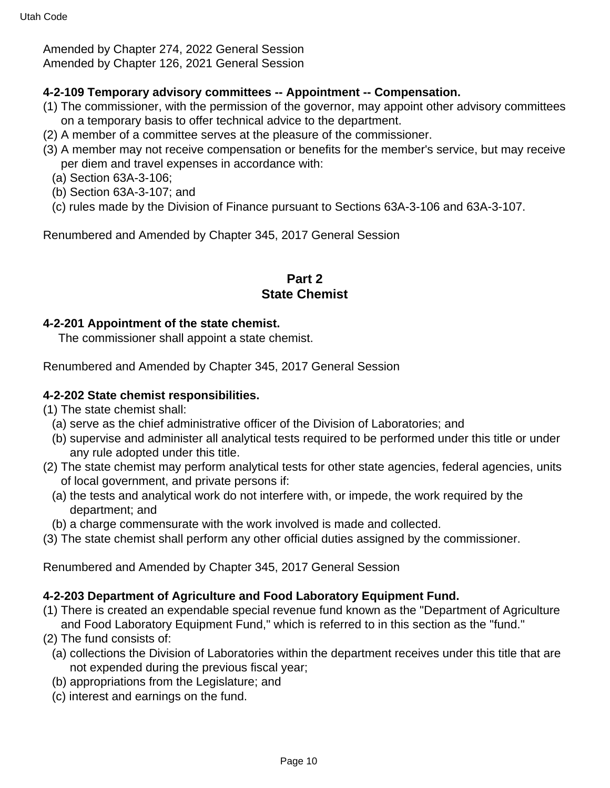Amended by Chapter 274, 2022 General Session Amended by Chapter 126, 2021 General Session

#### **4-2-109 Temporary advisory committees -- Appointment -- Compensation.**

- (1) The commissioner, with the permission of the governor, may appoint other advisory committees on a temporary basis to offer technical advice to the department.
- (2) A member of a committee serves at the pleasure of the commissioner.
- (3) A member may not receive compensation or benefits for the member's service, but may receive per diem and travel expenses in accordance with:
	- (a) Section 63A-3-106;
	- (b) Section 63A-3-107; and
	- (c) rules made by the Division of Finance pursuant to Sections 63A-3-106 and 63A-3-107.

Renumbered and Amended by Chapter 345, 2017 General Session

### **Part 2 State Chemist**

#### **4-2-201 Appointment of the state chemist.**

The commissioner shall appoint a state chemist.

Renumbered and Amended by Chapter 345, 2017 General Session

#### **4-2-202 State chemist responsibilities.**

- (1) The state chemist shall:
	- (a) serve as the chief administrative officer of the Division of Laboratories; and
	- (b) supervise and administer all analytical tests required to be performed under this title or under any rule adopted under this title.
- (2) The state chemist may perform analytical tests for other state agencies, federal agencies, units of local government, and private persons if:
	- (a) the tests and analytical work do not interfere with, or impede, the work required by the department; and
- (b) a charge commensurate with the work involved is made and collected.
- (3) The state chemist shall perform any other official duties assigned by the commissioner.

Renumbered and Amended by Chapter 345, 2017 General Session

### **4-2-203 Department of Agriculture and Food Laboratory Equipment Fund.**

- (1) There is created an expendable special revenue fund known as the "Department of Agriculture and Food Laboratory Equipment Fund," which is referred to in this section as the "fund."
- (2) The fund consists of:
	- (a) collections the Division of Laboratories within the department receives under this title that are not expended during the previous fiscal year;
	- (b) appropriations from the Legislature; and
	- (c) interest and earnings on the fund.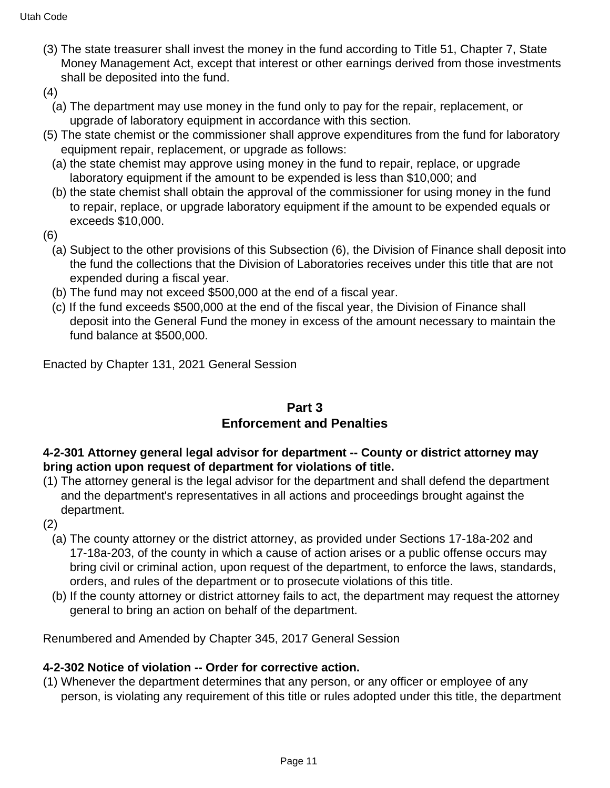- (3) The state treasurer shall invest the money in the fund according to Title 51, Chapter 7, State Money Management Act, except that interest or other earnings derived from those investments shall be deposited into the fund.
- (4)
	- (a) The department may use money in the fund only to pay for the repair, replacement, or upgrade of laboratory equipment in accordance with this section.
- (5) The state chemist or the commissioner shall approve expenditures from the fund for laboratory equipment repair, replacement, or upgrade as follows:
	- (a) the state chemist may approve using money in the fund to repair, replace, or upgrade laboratory equipment if the amount to be expended is less than \$10,000; and
	- (b) the state chemist shall obtain the approval of the commissioner for using money in the fund to repair, replace, or upgrade laboratory equipment if the amount to be expended equals or exceeds \$10,000.
- (6)
	- (a) Subject to the other provisions of this Subsection (6), the Division of Finance shall deposit into the fund the collections that the Division of Laboratories receives under this title that are not expended during a fiscal year.
	- (b) The fund may not exceed \$500,000 at the end of a fiscal year.
	- (c) If the fund exceeds \$500,000 at the end of the fiscal year, the Division of Finance shall deposit into the General Fund the money in excess of the amount necessary to maintain the fund balance at \$500,000.

Enacted by Chapter 131, 2021 General Session

## **Part 3 Enforcement and Penalties**

## **4-2-301 Attorney general legal advisor for department -- County or district attorney may bring action upon request of department for violations of title.**

- (1) The attorney general is the legal advisor for the department and shall defend the department and the department's representatives in all actions and proceedings brought against the department.
- (2)
	- (a) The county attorney or the district attorney, as provided under Sections 17-18a-202 and 17-18a-203, of the county in which a cause of action arises or a public offense occurs may bring civil or criminal action, upon request of the department, to enforce the laws, standards, orders, and rules of the department or to prosecute violations of this title.
	- (b) If the county attorney or district attorney fails to act, the department may request the attorney general to bring an action on behalf of the department.

Renumbered and Amended by Chapter 345, 2017 General Session

## **4-2-302 Notice of violation -- Order for corrective action.**

(1) Whenever the department determines that any person, or any officer or employee of any person, is violating any requirement of this title or rules adopted under this title, the department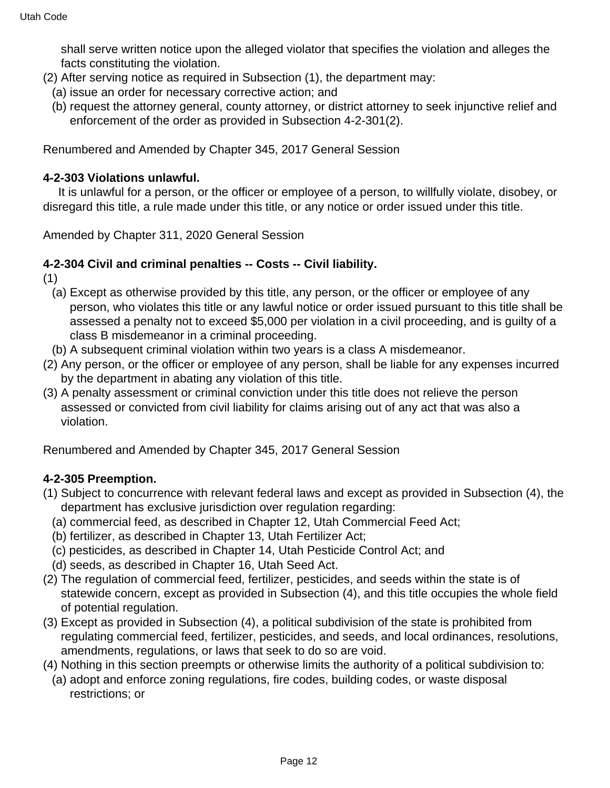shall serve written notice upon the alleged violator that specifies the violation and alleges the facts constituting the violation.

- (2) After serving notice as required in Subsection (1), the department may:
	- (a) issue an order for necessary corrective action; and
	- (b) request the attorney general, county attorney, or district attorney to seek injunctive relief and enforcement of the order as provided in Subsection 4-2-301(2).

Renumbered and Amended by Chapter 345, 2017 General Session

#### **4-2-303 Violations unlawful.**

 It is unlawful for a person, or the officer or employee of a person, to willfully violate, disobey, or disregard this title, a rule made under this title, or any notice or order issued under this title.

Amended by Chapter 311, 2020 General Session

#### **4-2-304 Civil and criminal penalties -- Costs -- Civil liability.**

(1)

- (a) Except as otherwise provided by this title, any person, or the officer or employee of any person, who violates this title or any lawful notice or order issued pursuant to this title shall be assessed a penalty not to exceed \$5,000 per violation in a civil proceeding, and is guilty of a class B misdemeanor in a criminal proceeding.
- (b) A subsequent criminal violation within two years is a class A misdemeanor.
- (2) Any person, or the officer or employee of any person, shall be liable for any expenses incurred by the department in abating any violation of this title.
- (3) A penalty assessment or criminal conviction under this title does not relieve the person assessed or convicted from civil liability for claims arising out of any act that was also a violation.

Renumbered and Amended by Chapter 345, 2017 General Session

### **4-2-305 Preemption.**

- (1) Subject to concurrence with relevant federal laws and except as provided in Subsection (4), the department has exclusive jurisdiction over regulation regarding:
	- (a) commercial feed, as described in Chapter 12, Utah Commercial Feed Act;
	- (b) fertilizer, as described in Chapter 13, Utah Fertilizer Act;
	- (c) pesticides, as described in Chapter 14, Utah Pesticide Control Act; and
	- (d) seeds, as described in Chapter 16, Utah Seed Act.
- (2) The regulation of commercial feed, fertilizer, pesticides, and seeds within the state is of statewide concern, except as provided in Subsection (4), and this title occupies the whole field of potential regulation.
- (3) Except as provided in Subsection (4), a political subdivision of the state is prohibited from regulating commercial feed, fertilizer, pesticides, and seeds, and local ordinances, resolutions, amendments, regulations, or laws that seek to do so are void.
- (4) Nothing in this section preempts or otherwise limits the authority of a political subdivision to:
- (a) adopt and enforce zoning regulations, fire codes, building codes, or waste disposal restrictions; or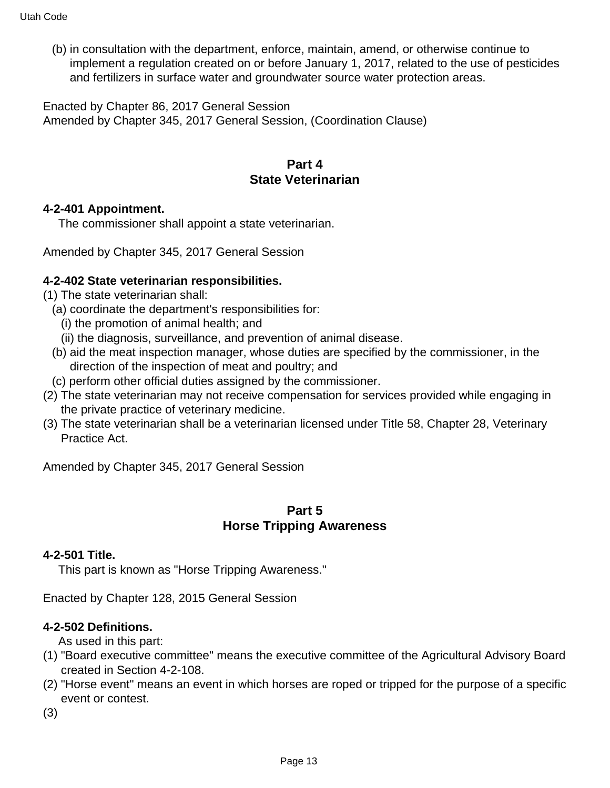(b) in consultation with the department, enforce, maintain, amend, or otherwise continue to implement a regulation created on or before January 1, 2017, related to the use of pesticides and fertilizers in surface water and groundwater source water protection areas.

Enacted by Chapter 86, 2017 General Session Amended by Chapter 345, 2017 General Session, (Coordination Clause)

## **Part 4 State Veterinarian**

#### **4-2-401 Appointment.**

The commissioner shall appoint a state veterinarian.

Amended by Chapter 345, 2017 General Session

### **4-2-402 State veterinarian responsibilities.**

- (1) The state veterinarian shall:
	- (a) coordinate the department's responsibilities for:
		- (i) the promotion of animal health; and
		- (ii) the diagnosis, surveillance, and prevention of animal disease.
	- (b) aid the meat inspection manager, whose duties are specified by the commissioner, in the direction of the inspection of meat and poultry; and
	- (c) perform other official duties assigned by the commissioner.
- (2) The state veterinarian may not receive compensation for services provided while engaging in the private practice of veterinary medicine.
- (3) The state veterinarian shall be a veterinarian licensed under Title 58, Chapter 28, Veterinary Practice Act.

Amended by Chapter 345, 2017 General Session

## **Part 5 Horse Tripping Awareness**

#### **4-2-501 Title.**

This part is known as "Horse Tripping Awareness."

Enacted by Chapter 128, 2015 General Session

#### **4-2-502 Definitions.**

As used in this part:

- (1) "Board executive committee" means the executive committee of the Agricultural Advisory Board created in Section 4-2-108.
- (2) "Horse event" means an event in which horses are roped or tripped for the purpose of a specific event or contest.

(3)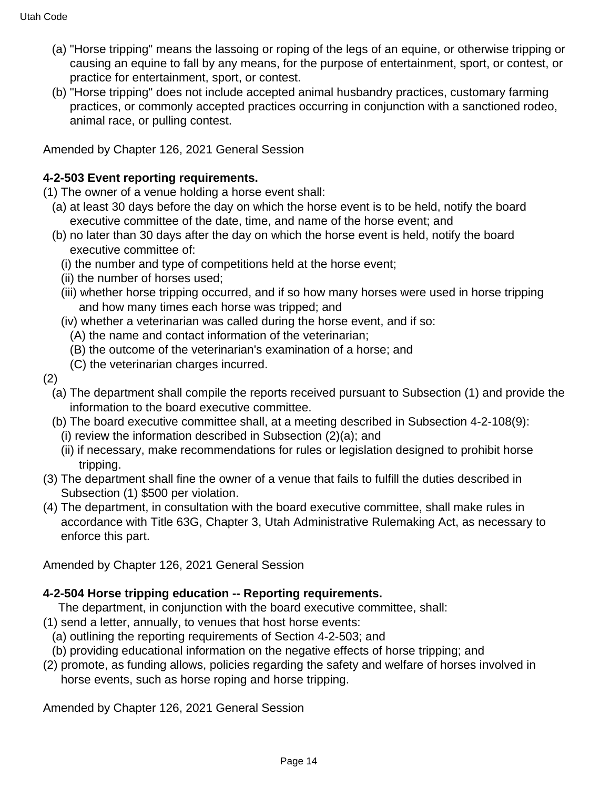- (a) "Horse tripping" means the lassoing or roping of the legs of an equine, or otherwise tripping or causing an equine to fall by any means, for the purpose of entertainment, sport, or contest, or practice for entertainment, sport, or contest.
- (b) "Horse tripping" does not include accepted animal husbandry practices, customary farming practices, or commonly accepted practices occurring in conjunction with a sanctioned rodeo, animal race, or pulling contest.

Amended by Chapter 126, 2021 General Session

### **4-2-503 Event reporting requirements.**

- (1) The owner of a venue holding a horse event shall:
	- (a) at least 30 days before the day on which the horse event is to be held, notify the board executive committee of the date, time, and name of the horse event; and
	- (b) no later than 30 days after the day on which the horse event is held, notify the board executive committee of:
		- (i) the number and type of competitions held at the horse event;
		- (ii) the number of horses used;
		- (iii) whether horse tripping occurred, and if so how many horses were used in horse tripping and how many times each horse was tripped; and
		- (iv) whether a veterinarian was called during the horse event, and if so:
			- (A) the name and contact information of the veterinarian;
			- (B) the outcome of the veterinarian's examination of a horse; and
			- (C) the veterinarian charges incurred.
- (2)
	- (a) The department shall compile the reports received pursuant to Subsection (1) and provide the information to the board executive committee.
	- (b) The board executive committee shall, at a meeting described in Subsection 4-2-108(9):
		- (i) review the information described in Subsection (2)(a); and
		- (ii) if necessary, make recommendations for rules or legislation designed to prohibit horse tripping.
- (3) The department shall fine the owner of a venue that fails to fulfill the duties described in Subsection (1) \$500 per violation.
- (4) The department, in consultation with the board executive committee, shall make rules in accordance with Title 63G, Chapter 3, Utah Administrative Rulemaking Act, as necessary to enforce this part.

Amended by Chapter 126, 2021 General Session

### **4-2-504 Horse tripping education -- Reporting requirements.**

- The department, in conjunction with the board executive committee, shall:
- (1) send a letter, annually, to venues that host horse events:
	- (a) outlining the reporting requirements of Section 4-2-503; and
	- (b) providing educational information on the negative effects of horse tripping; and
- (2) promote, as funding allows, policies regarding the safety and welfare of horses involved in horse events, such as horse roping and horse tripping.

Amended by Chapter 126, 2021 General Session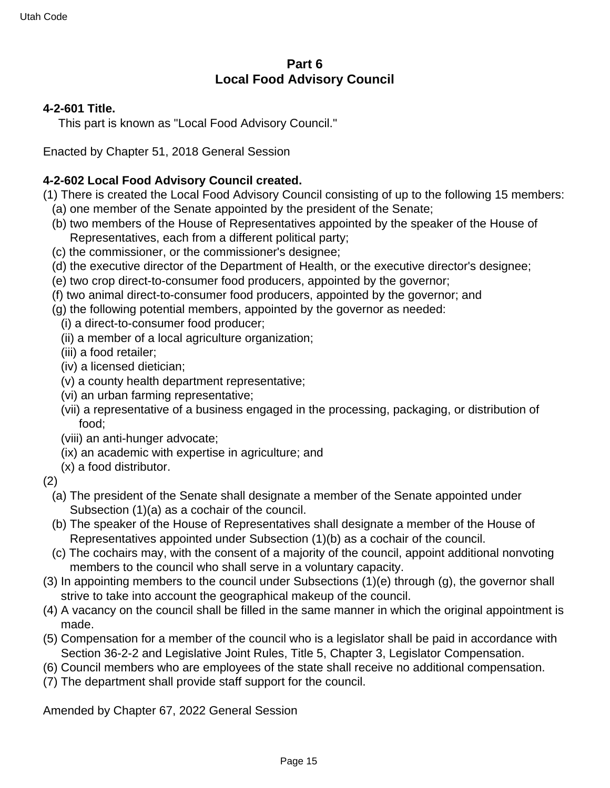## **Part 6 Local Food Advisory Council**

### **4-2-601 Title.**

This part is known as "Local Food Advisory Council."

Enacted by Chapter 51, 2018 General Session

### **4-2-602 Local Food Advisory Council created.**

(1) There is created the Local Food Advisory Council consisting of up to the following 15 members: (a) one member of the Senate appointed by the president of the Senate;

- (b) two members of the House of Representatives appointed by the speaker of the House of Representatives, each from a different political party;
- (c) the commissioner, or the commissioner's designee;
- (d) the executive director of the Department of Health, or the executive director's designee;
- (e) two crop direct-to-consumer food producers, appointed by the governor;
- (f) two animal direct-to-consumer food producers, appointed by the governor; and
- (g) the following potential members, appointed by the governor as needed:
	- (i) a direct-to-consumer food producer;
	- (ii) a member of a local agriculture organization;
	- (iii) a food retailer;
	- (iv) a licensed dietician;
	- (v) a county health department representative;
	- (vi) an urban farming representative;
	- (vii) a representative of a business engaged in the processing, packaging, or distribution of food;
	- (viii) an anti-hunger advocate;
	- (ix) an academic with expertise in agriculture; and
	- (x) a food distributor.
- (2)
	- (a) The president of the Senate shall designate a member of the Senate appointed under Subsection (1)(a) as a cochair of the council.
	- (b) The speaker of the House of Representatives shall designate a member of the House of Representatives appointed under Subsection (1)(b) as a cochair of the council.
	- (c) The cochairs may, with the consent of a majority of the council, appoint additional nonvoting members to the council who shall serve in a voluntary capacity.
- (3) In appointing members to the council under Subsections (1)(e) through (g), the governor shall strive to take into account the geographical makeup of the council.
- (4) A vacancy on the council shall be filled in the same manner in which the original appointment is made.
- (5) Compensation for a member of the council who is a legislator shall be paid in accordance with Section 36-2-2 and Legislative Joint Rules, Title 5, Chapter 3, Legislator Compensation.
- (6) Council members who are employees of the state shall receive no additional compensation.
- (7) The department shall provide staff support for the council.

Amended by Chapter 67, 2022 General Session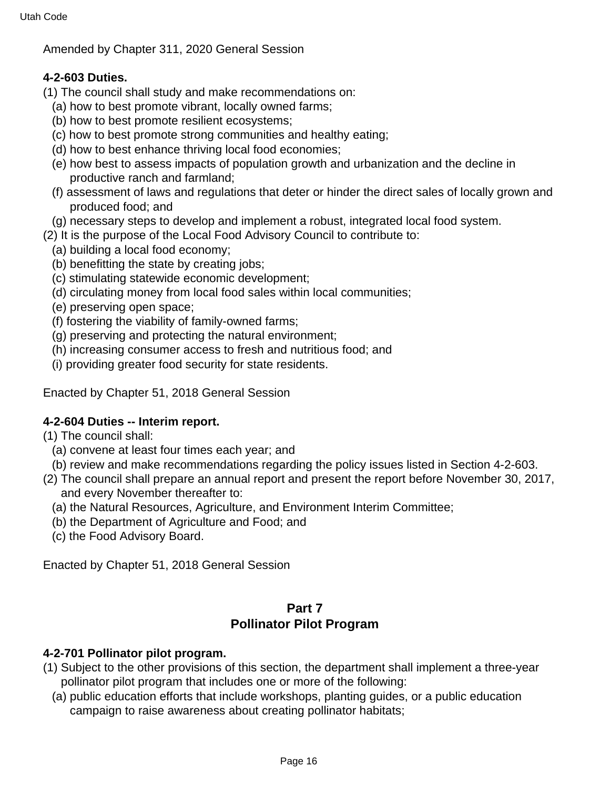Amended by Chapter 311, 2020 General Session

## **4-2-603 Duties.**

- (1) The council shall study and make recommendations on:
	- (a) how to best promote vibrant, locally owned farms;
	- (b) how to best promote resilient ecosystems;
	- (c) how to best promote strong communities and healthy eating;
	- (d) how to best enhance thriving local food economies;
	- (e) how best to assess impacts of population growth and urbanization and the decline in productive ranch and farmland;
	- (f) assessment of laws and regulations that deter or hinder the direct sales of locally grown and produced food; and
	- (g) necessary steps to develop and implement a robust, integrated local food system.
- (2) It is the purpose of the Local Food Advisory Council to contribute to:
	- (a) building a local food economy;
	- (b) benefitting the state by creating jobs;
	- (c) stimulating statewide economic development;
	- (d) circulating money from local food sales within local communities;
	- (e) preserving open space;
	- (f) fostering the viability of family-owned farms;
	- (g) preserving and protecting the natural environment;
	- (h) increasing consumer access to fresh and nutritious food; and
	- (i) providing greater food security for state residents.

Enacted by Chapter 51, 2018 General Session

### **4-2-604 Duties -- Interim report.**

- (1) The council shall:
	- (a) convene at least four times each year; and
	- (b) review and make recommendations regarding the policy issues listed in Section 4-2-603.
- (2) The council shall prepare an annual report and present the report before November 30, 2017, and every November thereafter to:
	- (a) the Natural Resources, Agriculture, and Environment Interim Committee;
	- (b) the Department of Agriculture and Food; and
	- (c) the Food Advisory Board.

Enacted by Chapter 51, 2018 General Session

## **Part 7 Pollinator Pilot Program**

### **4-2-701 Pollinator pilot program.**

- (1) Subject to the other provisions of this section, the department shall implement a three-year pollinator pilot program that includes one or more of the following:
	- (a) public education efforts that include workshops, planting guides, or a public education campaign to raise awareness about creating pollinator habitats;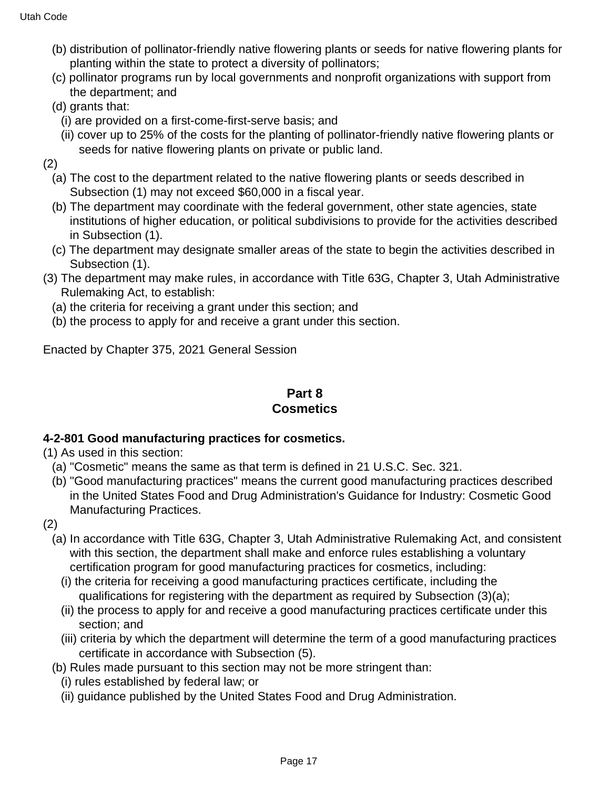- (b) distribution of pollinator-friendly native flowering plants or seeds for native flowering plants for planting within the state to protect a diversity of pollinators;
- (c) pollinator programs run by local governments and nonprofit organizations with support from the department; and
- (d) grants that:
	- (i) are provided on a first-come-first-serve basis; and
- (ii) cover up to 25% of the costs for the planting of pollinator-friendly native flowering plants or seeds for native flowering plants on private or public land.
- (2)
	- (a) The cost to the department related to the native flowering plants or seeds described in Subsection (1) may not exceed \$60,000 in a fiscal year.
	- (b) The department may coordinate with the federal government, other state agencies, state institutions of higher education, or political subdivisions to provide for the activities described in Subsection (1).
	- (c) The department may designate smaller areas of the state to begin the activities described in Subsection (1).
- (3) The department may make rules, in accordance with Title 63G, Chapter 3, Utah Administrative Rulemaking Act, to establish:
	- (a) the criteria for receiving a grant under this section; and
	- (b) the process to apply for and receive a grant under this section.

Enacted by Chapter 375, 2021 General Session

## **Part 8 Cosmetics**

### **4-2-801 Good manufacturing practices for cosmetics.**

- (1) As used in this section:
	- (a) "Cosmetic" means the same as that term is defined in 21 U.S.C. Sec. 321.
	- (b) "Good manufacturing practices" means the current good manufacturing practices described in the United States Food and Drug Administration's Guidance for Industry: Cosmetic Good Manufacturing Practices.
- (2)
	- (a) In accordance with Title 63G, Chapter 3, Utah Administrative Rulemaking Act, and consistent with this section, the department shall make and enforce rules establishing a voluntary certification program for good manufacturing practices for cosmetics, including:
		- (i) the criteria for receiving a good manufacturing practices certificate, including the qualifications for registering with the department as required by Subsection (3)(a);
		- (ii) the process to apply for and receive a good manufacturing practices certificate under this section; and
		- (iii) criteria by which the department will determine the term of a good manufacturing practices certificate in accordance with Subsection (5).
	- (b) Rules made pursuant to this section may not be more stringent than:
		- (i) rules established by federal law; or
		- (ii) guidance published by the United States Food and Drug Administration.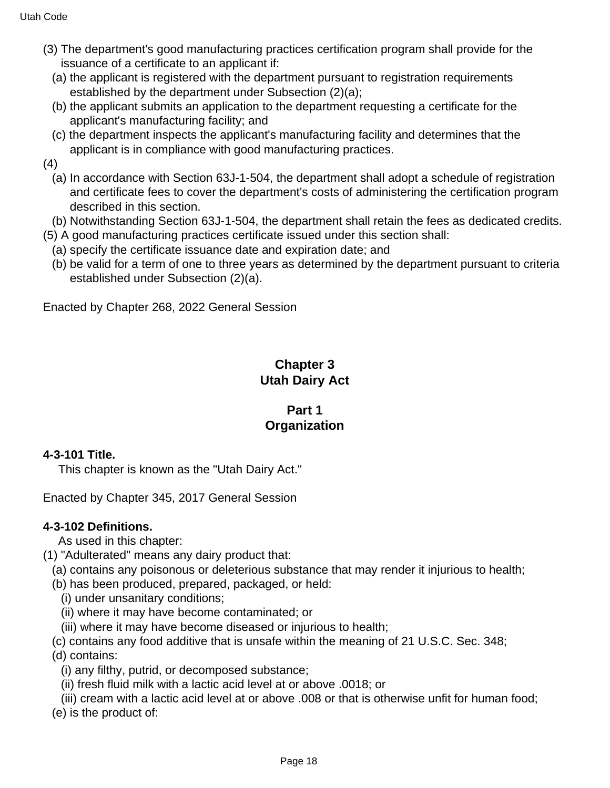- (3) The department's good manufacturing practices certification program shall provide for the issuance of a certificate to an applicant if:
	- (a) the applicant is registered with the department pursuant to registration requirements established by the department under Subsection (2)(a);
	- (b) the applicant submits an application to the department requesting a certificate for the applicant's manufacturing facility; and
	- (c) the department inspects the applicant's manufacturing facility and determines that the applicant is in compliance with good manufacturing practices.
- (4)
	- (a) In accordance with Section 63J-1-504, the department shall adopt a schedule of registration and certificate fees to cover the department's costs of administering the certification program described in this section.
	- (b) Notwithstanding Section 63J-1-504, the department shall retain the fees as dedicated credits.
- (5) A good manufacturing practices certificate issued under this section shall:
- (a) specify the certificate issuance date and expiration date; and
- (b) be valid for a term of one to three years as determined by the department pursuant to criteria established under Subsection (2)(a).

Enacted by Chapter 268, 2022 General Session

# **Chapter 3 Utah Dairy Act**

## **Part 1 Organization**

### **4-3-101 Title.**

This chapter is known as the "Utah Dairy Act."

Enacted by Chapter 345, 2017 General Session

### **4-3-102 Definitions.**

As used in this chapter:

- (1) "Adulterated" means any dairy product that:
- (a) contains any poisonous or deleterious substance that may render it injurious to health;
- (b) has been produced, prepared, packaged, or held:
	- (i) under unsanitary conditions;
	- (ii) where it may have become contaminated; or
	- (iii) where it may have become diseased or injurious to health;
- (c) contains any food additive that is unsafe within the meaning of 21 U.S.C. Sec. 348;
- (d) contains:
	- (i) any filthy, putrid, or decomposed substance;
	- (ii) fresh fluid milk with a lactic acid level at or above .0018; or
	- (iii) cream with a lactic acid level at or above .008 or that is otherwise unfit for human food;
- (e) is the product of: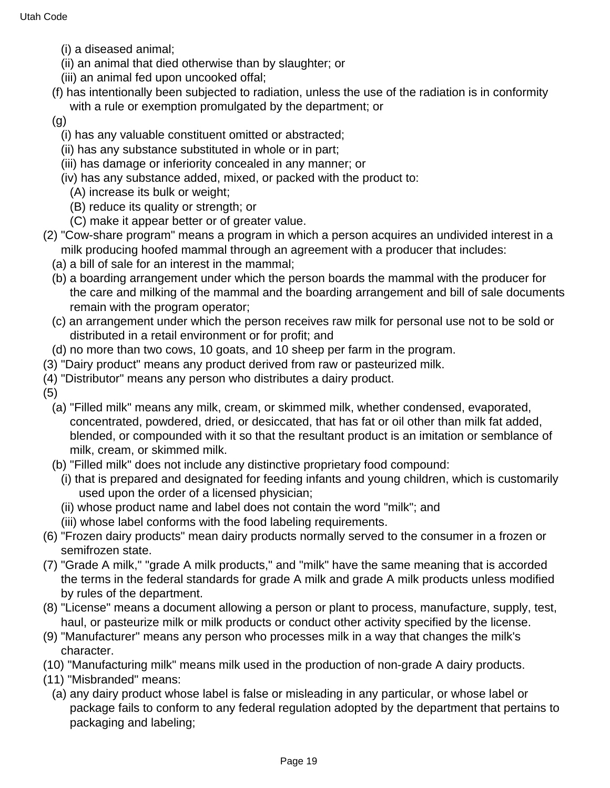- (i) a diseased animal;
- (ii) an animal that died otherwise than by slaughter; or
- (iii) an animal fed upon uncooked offal;
- (f) has intentionally been subjected to radiation, unless the use of the radiation is in conformity with a rule or exemption promulgated by the department; or
- (g)
	- (i) has any valuable constituent omitted or abstracted;
	- (ii) has any substance substituted in whole or in part;
	- (iii) has damage or inferiority concealed in any manner; or
	- (iv) has any substance added, mixed, or packed with the product to:
	- (A) increase its bulk or weight;
	- (B) reduce its quality or strength; or
	- (C) make it appear better or of greater value.
- (2) "Cow-share program" means a program in which a person acquires an undivided interest in a milk producing hoofed mammal through an agreement with a producer that includes:
	- (a) a bill of sale for an interest in the mammal;
	- (b) a boarding arrangement under which the person boards the mammal with the producer for the care and milking of the mammal and the boarding arrangement and bill of sale documents remain with the program operator;
	- (c) an arrangement under which the person receives raw milk for personal use not to be sold or distributed in a retail environment or for profit; and
- (d) no more than two cows, 10 goats, and 10 sheep per farm in the program.
- (3) "Dairy product" means any product derived from raw or pasteurized milk.
- (4) "Distributor" means any person who distributes a dairy product.
- (5)
	- (a) "Filled milk" means any milk, cream, or skimmed milk, whether condensed, evaporated, concentrated, powdered, dried, or desiccated, that has fat or oil other than milk fat added, blended, or compounded with it so that the resultant product is an imitation or semblance of milk, cream, or skimmed milk.
	- (b) "Filled milk" does not include any distinctive proprietary food compound:
	- (i) that is prepared and designated for feeding infants and young children, which is customarily used upon the order of a licensed physician;
	- (ii) whose product name and label does not contain the word "milk"; and
	- (iii) whose label conforms with the food labeling requirements.
- (6) "Frozen dairy products" mean dairy products normally served to the consumer in a frozen or semifrozen state.
- (7) "Grade A milk," "grade A milk products," and "milk" have the same meaning that is accorded the terms in the federal standards for grade A milk and grade A milk products unless modified by rules of the department.
- (8) "License" means a document allowing a person or plant to process, manufacture, supply, test, haul, or pasteurize milk or milk products or conduct other activity specified by the license.
- (9) "Manufacturer" means any person who processes milk in a way that changes the milk's character.
- (10) "Manufacturing milk" means milk used in the production of non-grade A dairy products.
- (11) "Misbranded" means:
	- (a) any dairy product whose label is false or misleading in any particular, or whose label or package fails to conform to any federal regulation adopted by the department that pertains to packaging and labeling;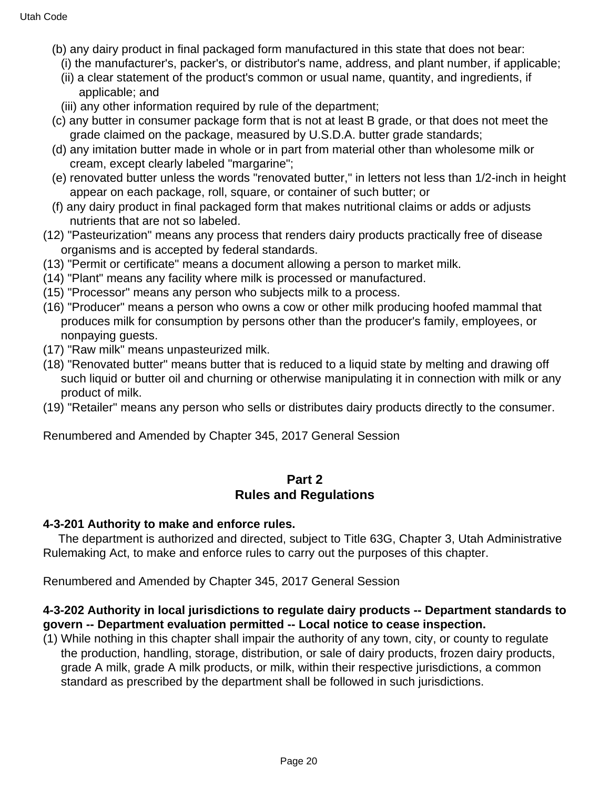- (b) any dairy product in final packaged form manufactured in this state that does not bear:
	- (i) the manufacturer's, packer's, or distributor's name, address, and plant number, if applicable;
	- (ii) a clear statement of the product's common or usual name, quantity, and ingredients, if applicable; and
	- (iii) any other information required by rule of the department;
- (c) any butter in consumer package form that is not at least B grade, or that does not meet the grade claimed on the package, measured by U.S.D.A. butter grade standards;
- (d) any imitation butter made in whole or in part from material other than wholesome milk or cream, except clearly labeled "margarine";
- (e) renovated butter unless the words "renovated butter," in letters not less than 1/2-inch in height appear on each package, roll, square, or container of such butter; or
- (f) any dairy product in final packaged form that makes nutritional claims or adds or adjusts nutrients that are not so labeled.
- (12) "Pasteurization" means any process that renders dairy products practically free of disease organisms and is accepted by federal standards.
- (13) "Permit or certificate" means a document allowing a person to market milk.
- (14) "Plant" means any facility where milk is processed or manufactured.
- (15) "Processor" means any person who subjects milk to a process.
- (16) "Producer" means a person who owns a cow or other milk producing hoofed mammal that produces milk for consumption by persons other than the producer's family, employees, or nonpaying guests.
- (17) "Raw milk" means unpasteurized milk.
- (18) "Renovated butter" means butter that is reduced to a liquid state by melting and drawing off such liquid or butter oil and churning or otherwise manipulating it in connection with milk or any product of milk.
- (19) "Retailer" means any person who sells or distributes dairy products directly to the consumer.

Renumbered and Amended by Chapter 345, 2017 General Session

### **Part 2 Rules and Regulations**

#### **4-3-201 Authority to make and enforce rules.**

 The department is authorized and directed, subject to Title 63G, Chapter 3, Utah Administrative Rulemaking Act, to make and enforce rules to carry out the purposes of this chapter.

Renumbered and Amended by Chapter 345, 2017 General Session

### **4-3-202 Authority in local jurisdictions to regulate dairy products -- Department standards to govern -- Department evaluation permitted -- Local notice to cease inspection.**

(1) While nothing in this chapter shall impair the authority of any town, city, or county to regulate the production, handling, storage, distribution, or sale of dairy products, frozen dairy products, grade A milk, grade A milk products, or milk, within their respective jurisdictions, a common standard as prescribed by the department shall be followed in such jurisdictions.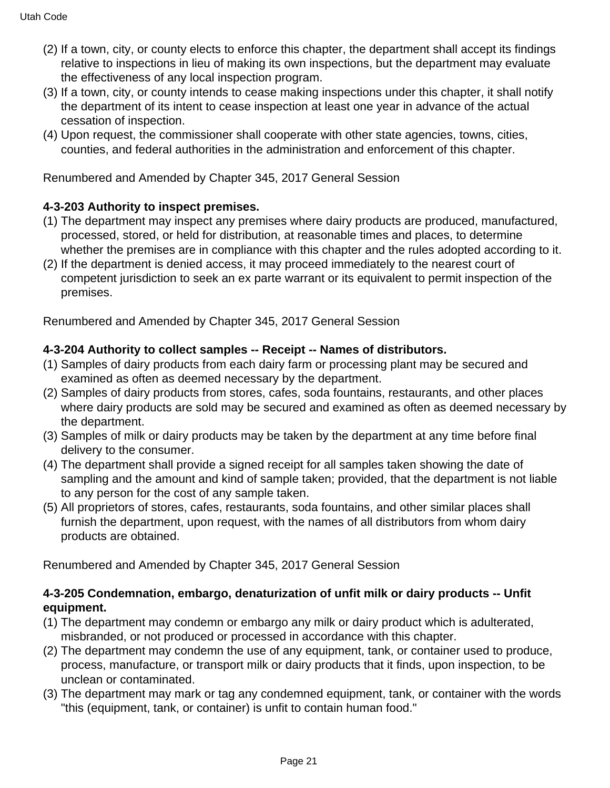- (2) If a town, city, or county elects to enforce this chapter, the department shall accept its findings relative to inspections in lieu of making its own inspections, but the department may evaluate the effectiveness of any local inspection program.
- (3) If a town, city, or county intends to cease making inspections under this chapter, it shall notify the department of its intent to cease inspection at least one year in advance of the actual cessation of inspection.
- (4) Upon request, the commissioner shall cooperate with other state agencies, towns, cities, counties, and federal authorities in the administration and enforcement of this chapter.

Renumbered and Amended by Chapter 345, 2017 General Session

# **4-3-203 Authority to inspect premises.**

- (1) The department may inspect any premises where dairy products are produced, manufactured, processed, stored, or held for distribution, at reasonable times and places, to determine whether the premises are in compliance with this chapter and the rules adopted according to it.
- (2) If the department is denied access, it may proceed immediately to the nearest court of competent jurisdiction to seek an ex parte warrant or its equivalent to permit inspection of the premises.

Renumbered and Amended by Chapter 345, 2017 General Session

### **4-3-204 Authority to collect samples -- Receipt -- Names of distributors.**

- (1) Samples of dairy products from each dairy farm or processing plant may be secured and examined as often as deemed necessary by the department.
- (2) Samples of dairy products from stores, cafes, soda fountains, restaurants, and other places where dairy products are sold may be secured and examined as often as deemed necessary by the department.
- (3) Samples of milk or dairy products may be taken by the department at any time before final delivery to the consumer.
- (4) The department shall provide a signed receipt for all samples taken showing the date of sampling and the amount and kind of sample taken; provided, that the department is not liable to any person for the cost of any sample taken.
- (5) All proprietors of stores, cafes, restaurants, soda fountains, and other similar places shall furnish the department, upon request, with the names of all distributors from whom dairy products are obtained.

Renumbered and Amended by Chapter 345, 2017 General Session

### **4-3-205 Condemnation, embargo, denaturization of unfit milk or dairy products -- Unfit equipment.**

- (1) The department may condemn or embargo any milk or dairy product which is adulterated, misbranded, or not produced or processed in accordance with this chapter.
- (2) The department may condemn the use of any equipment, tank, or container used to produce, process, manufacture, or transport milk or dairy products that it finds, upon inspection, to be unclean or contaminated.
- (3) The department may mark or tag any condemned equipment, tank, or container with the words "this (equipment, tank, or container) is unfit to contain human food."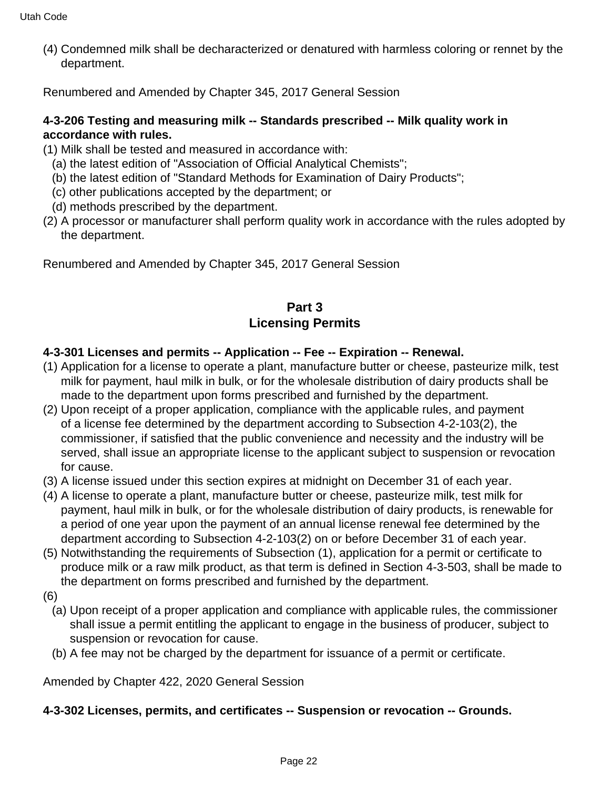(4) Condemned milk shall be decharacterized or denatured with harmless coloring or rennet by the department.

Renumbered and Amended by Chapter 345, 2017 General Session

## **4-3-206 Testing and measuring milk -- Standards prescribed -- Milk quality work in accordance with rules.**

- (1) Milk shall be tested and measured in accordance with:
	- (a) the latest edition of "Association of Official Analytical Chemists";
	- (b) the latest edition of "Standard Methods for Examination of Dairy Products";
	- (c) other publications accepted by the department; or
	- (d) methods prescribed by the department.
- (2) A processor or manufacturer shall perform quality work in accordance with the rules adopted by the department.

Renumbered and Amended by Chapter 345, 2017 General Session

## **Part 3 Licensing Permits**

## **4-3-301 Licenses and permits -- Application -- Fee -- Expiration -- Renewal.**

- (1) Application for a license to operate a plant, manufacture butter or cheese, pasteurize milk, test milk for payment, haul milk in bulk, or for the wholesale distribution of dairy products shall be made to the department upon forms prescribed and furnished by the department.
- (2) Upon receipt of a proper application, compliance with the applicable rules, and payment of a license fee determined by the department according to Subsection 4-2-103(2), the commissioner, if satisfied that the public convenience and necessity and the industry will be served, shall issue an appropriate license to the applicant subject to suspension or revocation for cause.
- (3) A license issued under this section expires at midnight on December 31 of each year.
- (4) A license to operate a plant, manufacture butter or cheese, pasteurize milk, test milk for payment, haul milk in bulk, or for the wholesale distribution of dairy products, is renewable for a period of one year upon the payment of an annual license renewal fee determined by the department according to Subsection 4-2-103(2) on or before December 31 of each year.
- (5) Notwithstanding the requirements of Subsection (1), application for a permit or certificate to produce milk or a raw milk product, as that term is defined in Section 4-3-503, shall be made to the department on forms prescribed and furnished by the department.
- (6)
	- (a) Upon receipt of a proper application and compliance with applicable rules, the commissioner shall issue a permit entitling the applicant to engage in the business of producer, subject to suspension or revocation for cause.
	- (b) A fee may not be charged by the department for issuance of a permit or certificate.

Amended by Chapter 422, 2020 General Session

### **4-3-302 Licenses, permits, and certificates -- Suspension or revocation -- Grounds.**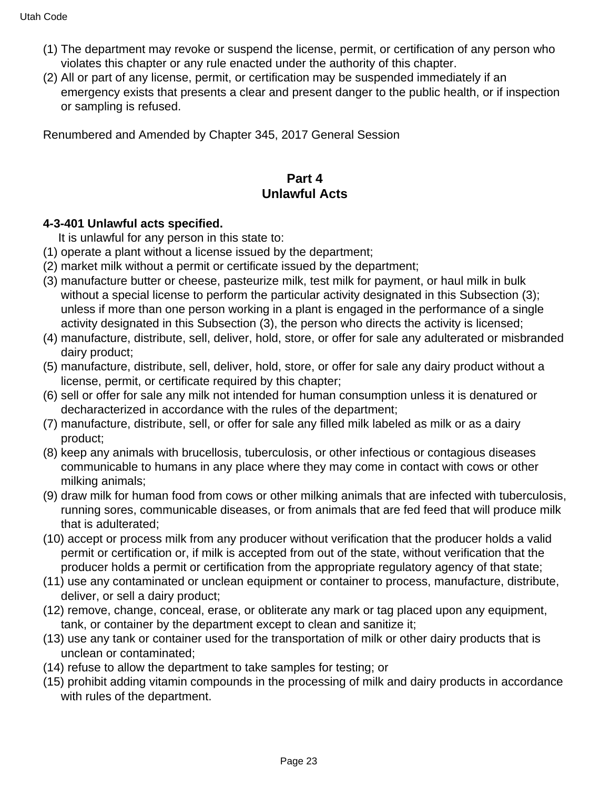- (1) The department may revoke or suspend the license, permit, or certification of any person who violates this chapter or any rule enacted under the authority of this chapter.
- (2) All or part of any license, permit, or certification may be suspended immediately if an emergency exists that presents a clear and present danger to the public health, or if inspection or sampling is refused.

Renumbered and Amended by Chapter 345, 2017 General Session

## **Part 4 Unlawful Acts**

### **4-3-401 Unlawful acts specified.**

It is unlawful for any person in this state to:

- (1) operate a plant without a license issued by the department;
- (2) market milk without a permit or certificate issued by the department;
- (3) manufacture butter or cheese, pasteurize milk, test milk for payment, or haul milk in bulk without a special license to perform the particular activity designated in this Subsection (3); unless if more than one person working in a plant is engaged in the performance of a single activity designated in this Subsection (3), the person who directs the activity is licensed;
- (4) manufacture, distribute, sell, deliver, hold, store, or offer for sale any adulterated or misbranded dairy product;
- (5) manufacture, distribute, sell, deliver, hold, store, or offer for sale any dairy product without a license, permit, or certificate required by this chapter;
- (6) sell or offer for sale any milk not intended for human consumption unless it is denatured or decharacterized in accordance with the rules of the department;
- (7) manufacture, distribute, sell, or offer for sale any filled milk labeled as milk or as a dairy product;
- (8) keep any animals with brucellosis, tuberculosis, or other infectious or contagious diseases communicable to humans in any place where they may come in contact with cows or other milking animals;
- (9) draw milk for human food from cows or other milking animals that are infected with tuberculosis, running sores, communicable diseases, or from animals that are fed feed that will produce milk that is adulterated;
- (10) accept or process milk from any producer without verification that the producer holds a valid permit or certification or, if milk is accepted from out of the state, without verification that the producer holds a permit or certification from the appropriate regulatory agency of that state;
- (11) use any contaminated or unclean equipment or container to process, manufacture, distribute, deliver, or sell a dairy product;
- (12) remove, change, conceal, erase, or obliterate any mark or tag placed upon any equipment, tank, or container by the department except to clean and sanitize it;
- (13) use any tank or container used for the transportation of milk or other dairy products that is unclean or contaminated;
- (14) refuse to allow the department to take samples for testing; or
- (15) prohibit adding vitamin compounds in the processing of milk and dairy products in accordance with rules of the department.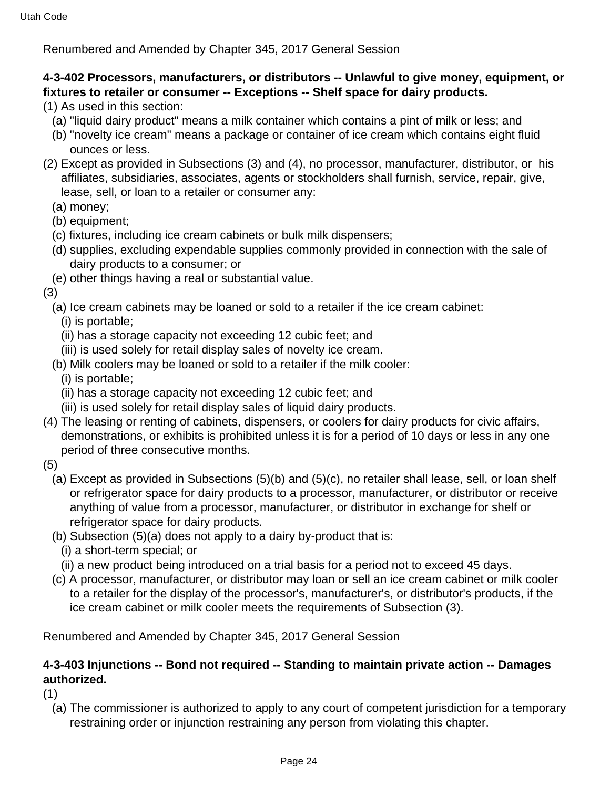Renumbered and Amended by Chapter 345, 2017 General Session

## **4-3-402 Processors, manufacturers, or distributors -- Unlawful to give money, equipment, or fixtures to retailer or consumer -- Exceptions -- Shelf space for dairy products.**

(1) As used in this section:

- (a) "liquid dairy product" means a milk container which contains a pint of milk or less; and
- (b) "novelty ice cream" means a package or container of ice cream which contains eight fluid ounces or less.
- (2) Except as provided in Subsections (3) and (4), no processor, manufacturer, distributor, or his affiliates, subsidiaries, associates, agents or stockholders shall furnish, service, repair, give, lease, sell, or loan to a retailer or consumer any:
	- (a) money;
	- (b) equipment;
	- (c) fixtures, including ice cream cabinets or bulk milk dispensers;
	- (d) supplies, excluding expendable supplies commonly provided in connection with the sale of dairy products to a consumer; or
- (e) other things having a real or substantial value.

(3)

(a) Ice cream cabinets may be loaned or sold to a retailer if the ice cream cabinet:

(i) is portable;

- (ii) has a storage capacity not exceeding 12 cubic feet; and
- (iii) is used solely for retail display sales of novelty ice cream.
- (b) Milk coolers may be loaned or sold to a retailer if the milk cooler:

(i) is portable;

- (ii) has a storage capacity not exceeding 12 cubic feet; and
- (iii) is used solely for retail display sales of liquid dairy products.
- (4) The leasing or renting of cabinets, dispensers, or coolers for dairy products for civic affairs, demonstrations, or exhibits is prohibited unless it is for a period of 10 days or less in any one period of three consecutive months.
- (5)
	- (a) Except as provided in Subsections (5)(b) and (5)(c), no retailer shall lease, sell, or loan shelf or refrigerator space for dairy products to a processor, manufacturer, or distributor or receive anything of value from a processor, manufacturer, or distributor in exchange for shelf or refrigerator space for dairy products.
	- (b) Subsection (5)(a) does not apply to a dairy by-product that is:
		- (i) a short-term special; or
		- (ii) a new product being introduced on a trial basis for a period not to exceed 45 days.
	- (c) A processor, manufacturer, or distributor may loan or sell an ice cream cabinet or milk cooler to a retailer for the display of the processor's, manufacturer's, or distributor's products, if the ice cream cabinet or milk cooler meets the requirements of Subsection (3).

Renumbered and Amended by Chapter 345, 2017 General Session

## **4-3-403 Injunctions -- Bond not required -- Standing to maintain private action -- Damages authorized.**

(1)

(a) The commissioner is authorized to apply to any court of competent jurisdiction for a temporary restraining order or injunction restraining any person from violating this chapter.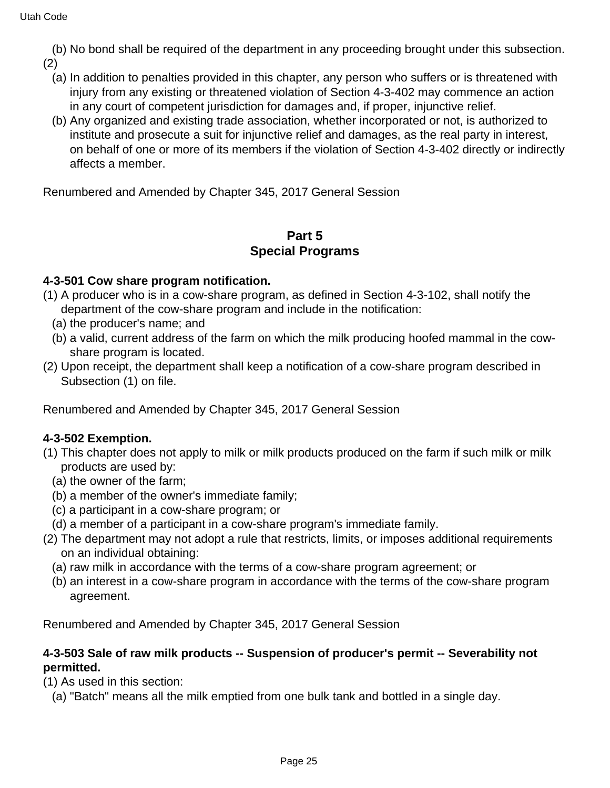(b) No bond shall be required of the department in any proceeding brought under this subsection. (2)

- (a) In addition to penalties provided in this chapter, any person who suffers or is threatened with injury from any existing or threatened violation of Section 4-3-402 may commence an action in any court of competent jurisdiction for damages and, if proper, injunctive relief.
- (b) Any organized and existing trade association, whether incorporated or not, is authorized to institute and prosecute a suit for injunctive relief and damages, as the real party in interest, on behalf of one or more of its members if the violation of Section 4-3-402 directly or indirectly affects a member.

Renumbered and Amended by Chapter 345, 2017 General Session

## **Part 5 Special Programs**

### **4-3-501 Cow share program notification.**

- (1) A producer who is in a cow-share program, as defined in Section 4-3-102, shall notify the department of the cow-share program and include in the notification:
	- (a) the producer's name; and
	- (b) a valid, current address of the farm on which the milk producing hoofed mammal in the cowshare program is located.
- (2) Upon receipt, the department shall keep a notification of a cow-share program described in Subsection (1) on file.

Renumbered and Amended by Chapter 345, 2017 General Session

### **4-3-502 Exemption.**

- (1) This chapter does not apply to milk or milk products produced on the farm if such milk or milk products are used by:
	- (a) the owner of the farm;
	- (b) a member of the owner's immediate family;
	- (c) a participant in a cow-share program; or
- (d) a member of a participant in a cow-share program's immediate family.
- (2) The department may not adopt a rule that restricts, limits, or imposes additional requirements on an individual obtaining:
	- (a) raw milk in accordance with the terms of a cow-share program agreement; or
	- (b) an interest in a cow-share program in accordance with the terms of the cow-share program agreement.

Renumbered and Amended by Chapter 345, 2017 General Session

#### **4-3-503 Sale of raw milk products -- Suspension of producer's permit -- Severability not permitted.**

(1) As used in this section:

(a) "Batch" means all the milk emptied from one bulk tank and bottled in a single day.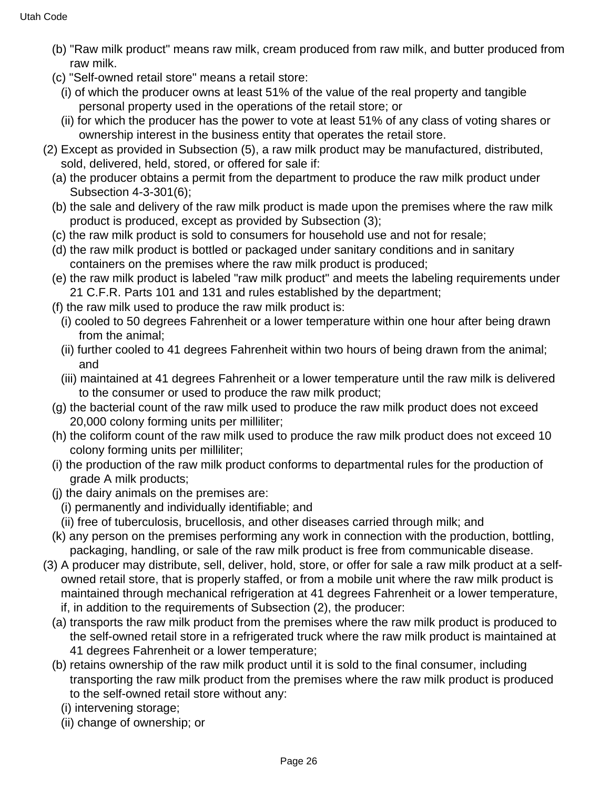- (b) "Raw milk product" means raw milk, cream produced from raw milk, and butter produced from raw milk.
- (c) "Self-owned retail store" means a retail store:
- (i) of which the producer owns at least 51% of the value of the real property and tangible personal property used in the operations of the retail store; or
- (ii) for which the producer has the power to vote at least 51% of any class of voting shares or ownership interest in the business entity that operates the retail store.
- (2) Except as provided in Subsection (5), a raw milk product may be manufactured, distributed, sold, delivered, held, stored, or offered for sale if:
	- (a) the producer obtains a permit from the department to produce the raw milk product under Subsection 4-3-301(6);
	- (b) the sale and delivery of the raw milk product is made upon the premises where the raw milk product is produced, except as provided by Subsection (3);
	- (c) the raw milk product is sold to consumers for household use and not for resale;
	- (d) the raw milk product is bottled or packaged under sanitary conditions and in sanitary containers on the premises where the raw milk product is produced;
	- (e) the raw milk product is labeled "raw milk product" and meets the labeling requirements under 21 C.F.R. Parts 101 and 131 and rules established by the department;
	- (f) the raw milk used to produce the raw milk product is:
		- (i) cooled to 50 degrees Fahrenheit or a lower temperature within one hour after being drawn from the animal;
		- (ii) further cooled to 41 degrees Fahrenheit within two hours of being drawn from the animal; and
		- (iii) maintained at 41 degrees Fahrenheit or a lower temperature until the raw milk is delivered to the consumer or used to produce the raw milk product;
	- (g) the bacterial count of the raw milk used to produce the raw milk product does not exceed 20,000 colony forming units per milliliter;
	- (h) the coliform count of the raw milk used to produce the raw milk product does not exceed 10 colony forming units per milliliter;
	- (i) the production of the raw milk product conforms to departmental rules for the production of grade A milk products;
	- (j) the dairy animals on the premises are:
		- (i) permanently and individually identifiable; and
		- (ii) free of tuberculosis, brucellosis, and other diseases carried through milk; and
	- (k) any person on the premises performing any work in connection with the production, bottling, packaging, handling, or sale of the raw milk product is free from communicable disease.
- (3) A producer may distribute, sell, deliver, hold, store, or offer for sale a raw milk product at a selfowned retail store, that is properly staffed, or from a mobile unit where the raw milk product is maintained through mechanical refrigeration at 41 degrees Fahrenheit or a lower temperature, if, in addition to the requirements of Subsection (2), the producer:
	- (a) transports the raw milk product from the premises where the raw milk product is produced to the self-owned retail store in a refrigerated truck where the raw milk product is maintained at 41 degrees Fahrenheit or a lower temperature;
	- (b) retains ownership of the raw milk product until it is sold to the final consumer, including transporting the raw milk product from the premises where the raw milk product is produced to the self-owned retail store without any:
		- (i) intervening storage;
		- (ii) change of ownership; or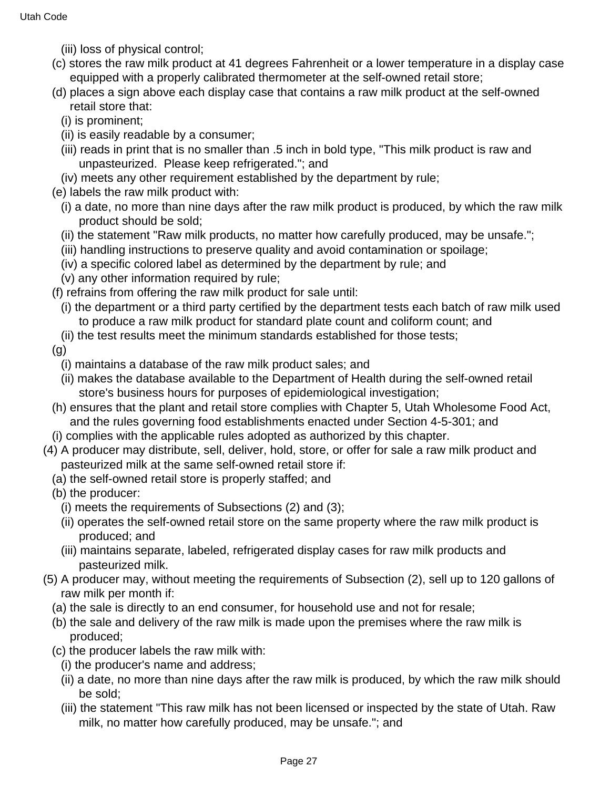- (iii) loss of physical control;
- (c) stores the raw milk product at 41 degrees Fahrenheit or a lower temperature in a display case equipped with a properly calibrated thermometer at the self-owned retail store;
- (d) places a sign above each display case that contains a raw milk product at the self-owned retail store that:
	- (i) is prominent;
	- (ii) is easily readable by a consumer;
	- (iii) reads in print that is no smaller than .5 inch in bold type, "This milk product is raw and unpasteurized. Please keep refrigerated."; and
	- (iv) meets any other requirement established by the department by rule;
- (e) labels the raw milk product with:
	- (i) a date, no more than nine days after the raw milk product is produced, by which the raw milk product should be sold;
	- (ii) the statement "Raw milk products, no matter how carefully produced, may be unsafe.";
	- (iii) handling instructions to preserve quality and avoid contamination or spoilage;
	- (iv) a specific colored label as determined by the department by rule; and
	- (v) any other information required by rule;
- (f) refrains from offering the raw milk product for sale until:
- (i) the department or a third party certified by the department tests each batch of raw milk used to produce a raw milk product for standard plate count and coliform count; and
- (ii) the test results meet the minimum standards established for those tests;
- (g)
	- (i) maintains a database of the raw milk product sales; and
	- (ii) makes the database available to the Department of Health during the self-owned retail store's business hours for purposes of epidemiological investigation;
- (h) ensures that the plant and retail store complies with Chapter 5, Utah Wholesome Food Act, and the rules governing food establishments enacted under Section 4-5-301; and
- (i) complies with the applicable rules adopted as authorized by this chapter.
- (4) A producer may distribute, sell, deliver, hold, store, or offer for sale a raw milk product and pasteurized milk at the same self-owned retail store if:
	- (a) the self-owned retail store is properly staffed; and
	- (b) the producer:
		- (i) meets the requirements of Subsections (2) and (3);
		- (ii) operates the self-owned retail store on the same property where the raw milk product is produced; and
		- (iii) maintains separate, labeled, refrigerated display cases for raw milk products and pasteurized milk.
- (5) A producer may, without meeting the requirements of Subsection (2), sell up to 120 gallons of raw milk per month if:
	- (a) the sale is directly to an end consumer, for household use and not for resale;
	- (b) the sale and delivery of the raw milk is made upon the premises where the raw milk is produced;
	- (c) the producer labels the raw milk with:
		- (i) the producer's name and address;
		- (ii) a date, no more than nine days after the raw milk is produced, by which the raw milk should be sold;
		- (iii) the statement "This raw milk has not been licensed or inspected by the state of Utah. Raw milk, no matter how carefully produced, may be unsafe."; and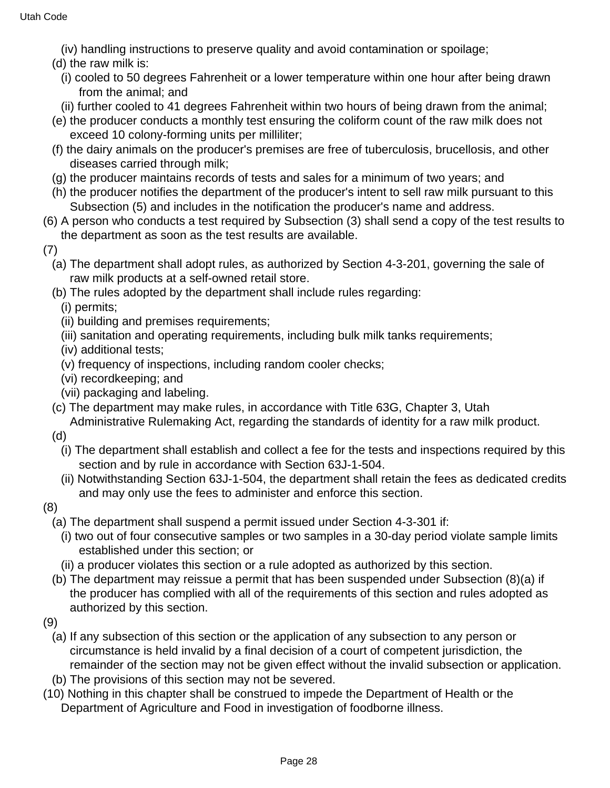(iv) handling instructions to preserve quality and avoid contamination or spoilage;

- (d) the raw milk is:
	- (i) cooled to 50 degrees Fahrenheit or a lower temperature within one hour after being drawn from the animal; and
- (ii) further cooled to 41 degrees Fahrenheit within two hours of being drawn from the animal;
- (e) the producer conducts a monthly test ensuring the coliform count of the raw milk does not exceed 10 colony-forming units per milliliter;
- (f) the dairy animals on the producer's premises are free of tuberculosis, brucellosis, and other diseases carried through milk;
- (g) the producer maintains records of tests and sales for a minimum of two years; and
- (h) the producer notifies the department of the producer's intent to sell raw milk pursuant to this Subsection (5) and includes in the notification the producer's name and address.
- (6) A person who conducts a test required by Subsection (3) shall send a copy of the test results to the department as soon as the test results are available.
- (7)
	- (a) The department shall adopt rules, as authorized by Section 4-3-201, governing the sale of raw milk products at a self-owned retail store.
	- (b) The rules adopted by the department shall include rules regarding:
		- (i) permits;
		- (ii) building and premises requirements;
		- (iii) sanitation and operating requirements, including bulk milk tanks requirements;
		- (iv) additional tests;
		- (v) frequency of inspections, including random cooler checks;
		- (vi) recordkeeping; and
		- (vii) packaging and labeling.
	- (c) The department may make rules, in accordance with Title 63G, Chapter 3, Utah Administrative Rulemaking Act, regarding the standards of identity for a raw milk product.
	- (d)
		- (i) The department shall establish and collect a fee for the tests and inspections required by this section and by rule in accordance with Section 63J-1-504.
		- (ii) Notwithstanding Section 63J-1-504, the department shall retain the fees as dedicated credits and may only use the fees to administer and enforce this section.
- (8)
	- (a) The department shall suspend a permit issued under Section 4-3-301 if:
	- (i) two out of four consecutive samples or two samples in a 30-day period violate sample limits established under this section; or
	- (ii) a producer violates this section or a rule adopted as authorized by this section.
	- (b) The department may reissue a permit that has been suspended under Subsection (8)(a) if the producer has complied with all of the requirements of this section and rules adopted as authorized by this section.
- (9)
	- (a) If any subsection of this section or the application of any subsection to any person or circumstance is held invalid by a final decision of a court of competent jurisdiction, the remainder of the section may not be given effect without the invalid subsection or application.
	- (b) The provisions of this section may not be severed.
- (10) Nothing in this chapter shall be construed to impede the Department of Health or the Department of Agriculture and Food in investigation of foodborne illness.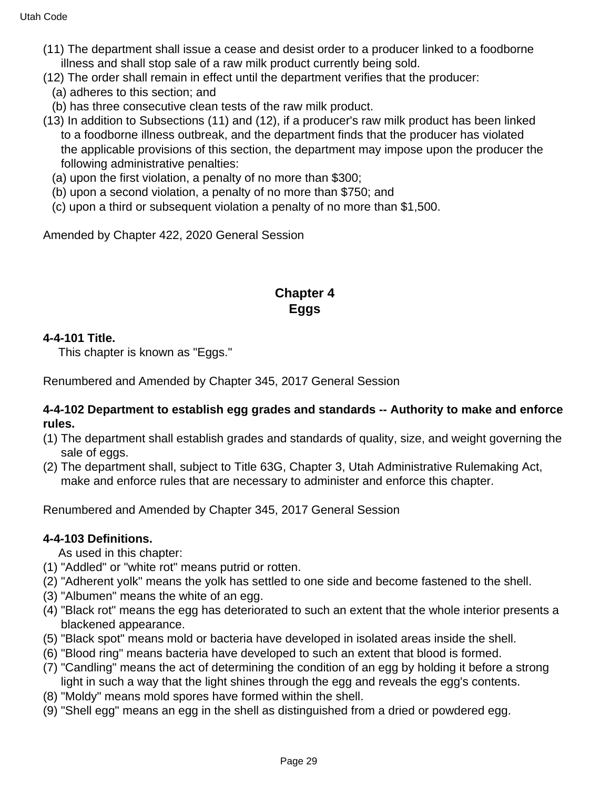- (11) The department shall issue a cease and desist order to a producer linked to a foodborne illness and shall stop sale of a raw milk product currently being sold.
- (12) The order shall remain in effect until the department verifies that the producer:
	- (a) adheres to this section; and
	- (b) has three consecutive clean tests of the raw milk product.
- (13) In addition to Subsections (11) and (12), if a producer's raw milk product has been linked to a foodborne illness outbreak, and the department finds that the producer has violated the applicable provisions of this section, the department may impose upon the producer the following administrative penalties:
	- (a) upon the first violation, a penalty of no more than \$300;
	- (b) upon a second violation, a penalty of no more than \$750; and
	- (c) upon a third or subsequent violation a penalty of no more than \$1,500.

Amended by Chapter 422, 2020 General Session

## **Chapter 4 Eggs**

### **4-4-101 Title.**

This chapter is known as "Eggs."

Renumbered and Amended by Chapter 345, 2017 General Session

#### **4-4-102 Department to establish egg grades and standards -- Authority to make and enforce rules.**

- (1) The department shall establish grades and standards of quality, size, and weight governing the sale of eggs.
- (2) The department shall, subject to Title 63G, Chapter 3, Utah Administrative Rulemaking Act, make and enforce rules that are necessary to administer and enforce this chapter.

Renumbered and Amended by Chapter 345, 2017 General Session

#### **4-4-103 Definitions.**

As used in this chapter:

- (1) "Addled" or "white rot" means putrid or rotten.
- (2) "Adherent yolk" means the yolk has settled to one side and become fastened to the shell.
- (3) "Albumen" means the white of an egg.
- (4) "Black rot" means the egg has deteriorated to such an extent that the whole interior presents a blackened appearance.
- (5) "Black spot" means mold or bacteria have developed in isolated areas inside the shell.
- (6) "Blood ring" means bacteria have developed to such an extent that blood is formed.
- (7) "Candling" means the act of determining the condition of an egg by holding it before a strong light in such a way that the light shines through the egg and reveals the egg's contents.
- (8) "Moldy" means mold spores have formed within the shell.
- (9) "Shell egg" means an egg in the shell as distinguished from a dried or powdered egg.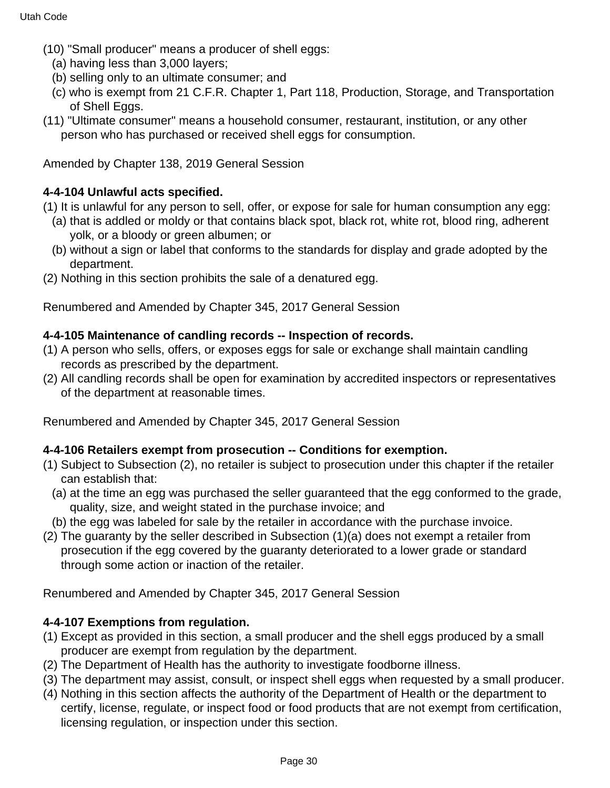- (10) "Small producer" means a producer of shell eggs:
	- (a) having less than 3,000 layers;
	- (b) selling only to an ultimate consumer; and
	- (c) who is exempt from 21 C.F.R. Chapter 1, Part 118, Production, Storage, and Transportation of Shell Eggs.
- (11) "Ultimate consumer" means a household consumer, restaurant, institution, or any other person who has purchased or received shell eggs for consumption.

Amended by Chapter 138, 2019 General Session

### **4-4-104 Unlawful acts specified.**

- (1) It is unlawful for any person to sell, offer, or expose for sale for human consumption any egg:
	- (a) that is addled or moldy or that contains black spot, black rot, white rot, blood ring, adherent yolk, or a bloody or green albumen; or
	- (b) without a sign or label that conforms to the standards for display and grade adopted by the department.
- (2) Nothing in this section prohibits the sale of a denatured egg.

Renumbered and Amended by Chapter 345, 2017 General Session

### **4-4-105 Maintenance of candling records -- Inspection of records.**

- (1) A person who sells, offers, or exposes eggs for sale or exchange shall maintain candling records as prescribed by the department.
- (2) All candling records shall be open for examination by accredited inspectors or representatives of the department at reasonable times.

Renumbered and Amended by Chapter 345, 2017 General Session

#### **4-4-106 Retailers exempt from prosecution -- Conditions for exemption.**

- (1) Subject to Subsection (2), no retailer is subject to prosecution under this chapter if the retailer can establish that:
	- (a) at the time an egg was purchased the seller guaranteed that the egg conformed to the grade, quality, size, and weight stated in the purchase invoice; and
- (b) the egg was labeled for sale by the retailer in accordance with the purchase invoice.
- (2) The guaranty by the seller described in Subsection (1)(a) does not exempt a retailer from prosecution if the egg covered by the guaranty deteriorated to a lower grade or standard through some action or inaction of the retailer.

Renumbered and Amended by Chapter 345, 2017 General Session

#### **4-4-107 Exemptions from regulation.**

- (1) Except as provided in this section, a small producer and the shell eggs produced by a small producer are exempt from regulation by the department.
- (2) The Department of Health has the authority to investigate foodborne illness.
- (3) The department may assist, consult, or inspect shell eggs when requested by a small producer.
- (4) Nothing in this section affects the authority of the Department of Health or the department to certify, license, regulate, or inspect food or food products that are not exempt from certification, licensing regulation, or inspection under this section.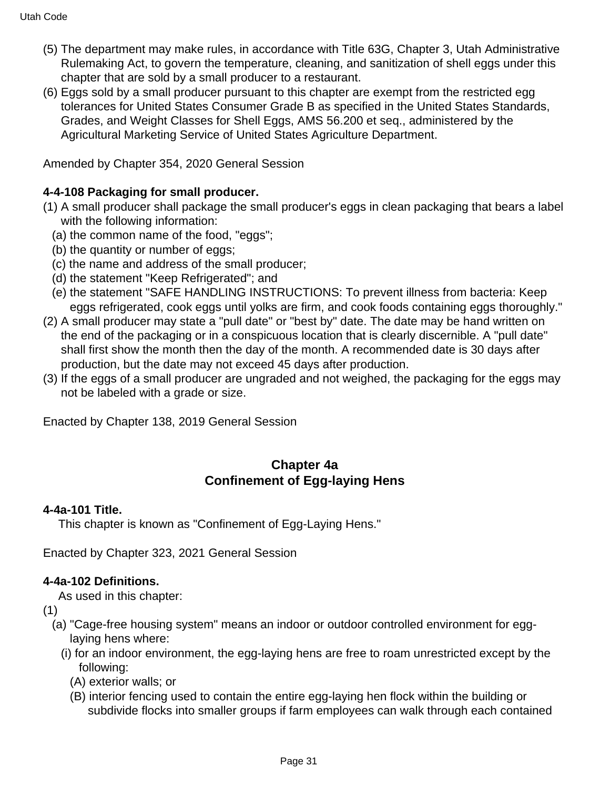- (5) The department may make rules, in accordance with Title 63G, Chapter 3, Utah Administrative Rulemaking Act, to govern the temperature, cleaning, and sanitization of shell eggs under this chapter that are sold by a small producer to a restaurant.
- (6) Eggs sold by a small producer pursuant to this chapter are exempt from the restricted egg tolerances for United States Consumer Grade B as specified in the United States Standards, Grades, and Weight Classes for Shell Eggs, AMS 56.200 et seq., administered by the Agricultural Marketing Service of United States Agriculture Department.

Amended by Chapter 354, 2020 General Session

# **4-4-108 Packaging for small producer.**

- (1) A small producer shall package the small producer's eggs in clean packaging that bears a label with the following information:
	- (a) the common name of the food, "eggs";
	- (b) the quantity or number of eggs;
	- (c) the name and address of the small producer;
	- (d) the statement "Keep Refrigerated"; and
	- (e) the statement "SAFE HANDLING INSTRUCTIONS: To prevent illness from bacteria: Keep eggs refrigerated, cook eggs until yolks are firm, and cook foods containing eggs thoroughly."
- (2) A small producer may state a "pull date" or "best by" date. The date may be hand written on the end of the packaging or in a conspicuous location that is clearly discernible. A "pull date" shall first show the month then the day of the month. A recommended date is 30 days after production, but the date may not exceed 45 days after production.
- (3) If the eggs of a small producer are ungraded and not weighed, the packaging for the eggs may not be labeled with a grade or size.

Enacted by Chapter 138, 2019 General Session

# **Chapter 4a Confinement of Egg-laying Hens**

## **4-4a-101 Title.**

This chapter is known as "Confinement of Egg-Laying Hens."

Enacted by Chapter 323, 2021 General Session

# **4-4a-102 Definitions.**

As used in this chapter:

- (1)
	- (a) "Cage-free housing system" means an indoor or outdoor controlled environment for egglaying hens where:
		- (i) for an indoor environment, the egg-laying hens are free to roam unrestricted except by the following:
			- (A) exterior walls; or
			- (B) interior fencing used to contain the entire egg-laying hen flock within the building or subdivide flocks into smaller groups if farm employees can walk through each contained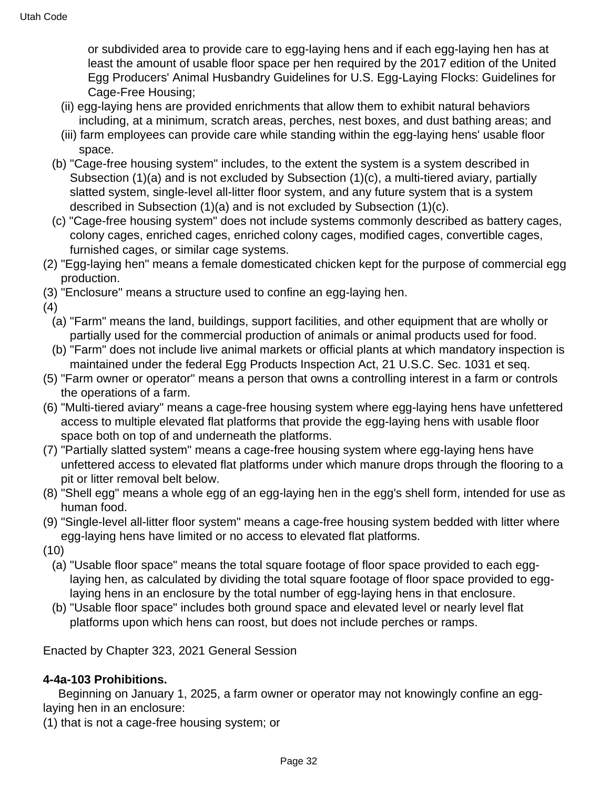or subdivided area to provide care to egg-laying hens and if each egg-laying hen has at least the amount of usable floor space per hen required by the 2017 edition of the United Egg Producers' Animal Husbandry Guidelines for U.S. Egg-Laying Flocks: Guidelines for Cage-Free Housing;

- (ii) egg-laying hens are provided enrichments that allow them to exhibit natural behaviors including, at a minimum, scratch areas, perches, nest boxes, and dust bathing areas; and
- (iii) farm employees can provide care while standing within the egg-laying hens' usable floor space.
- (b) "Cage-free housing system" includes, to the extent the system is a system described in Subsection (1)(a) and is not excluded by Subsection (1)(c), a multi-tiered aviary, partially slatted system, single-level all-litter floor system, and any future system that is a system described in Subsection (1)(a) and is not excluded by Subsection (1)(c).
- (c) "Cage-free housing system" does not include systems commonly described as battery cages, colony cages, enriched cages, enriched colony cages, modified cages, convertible cages, furnished cages, or similar cage systems.
- (2) "Egg-laying hen" means a female domesticated chicken kept for the purpose of commercial egg production.
- (3) "Enclosure" means a structure used to confine an egg-laying hen.
- (4)
	- (a) "Farm" means the land, buildings, support facilities, and other equipment that are wholly or partially used for the commercial production of animals or animal products used for food.
	- (b) "Farm" does not include live animal markets or official plants at which mandatory inspection is maintained under the federal Egg Products Inspection Act, 21 U.S.C. Sec. 1031 et seq.
- (5) "Farm owner or operator" means a person that owns a controlling interest in a farm or controls the operations of a farm.
- (6) "Multi-tiered aviary" means a cage-free housing system where egg-laying hens have unfettered access to multiple elevated flat platforms that provide the egg-laying hens with usable floor space both on top of and underneath the platforms.
- (7) "Partially slatted system" means a cage-free housing system where egg-laying hens have unfettered access to elevated flat platforms under which manure drops through the flooring to a pit or litter removal belt below.
- (8) "Shell egg" means a whole egg of an egg-laying hen in the egg's shell form, intended for use as human food.
- (9) "Single-level all-litter floor system" means a cage-free housing system bedded with litter where egg-laying hens have limited or no access to elevated flat platforms.
- (10)
	- (a) "Usable floor space" means the total square footage of floor space provided to each egglaying hen, as calculated by dividing the total square footage of floor space provided to egglaying hens in an enclosure by the total number of egg-laying hens in that enclosure.
	- (b) "Usable floor space" includes both ground space and elevated level or nearly level flat platforms upon which hens can roost, but does not include perches or ramps.

Enacted by Chapter 323, 2021 General Session

### **4-4a-103 Prohibitions.**

 Beginning on January 1, 2025, a farm owner or operator may not knowingly confine an egglaying hen in an enclosure:

(1) that is not a cage-free housing system; or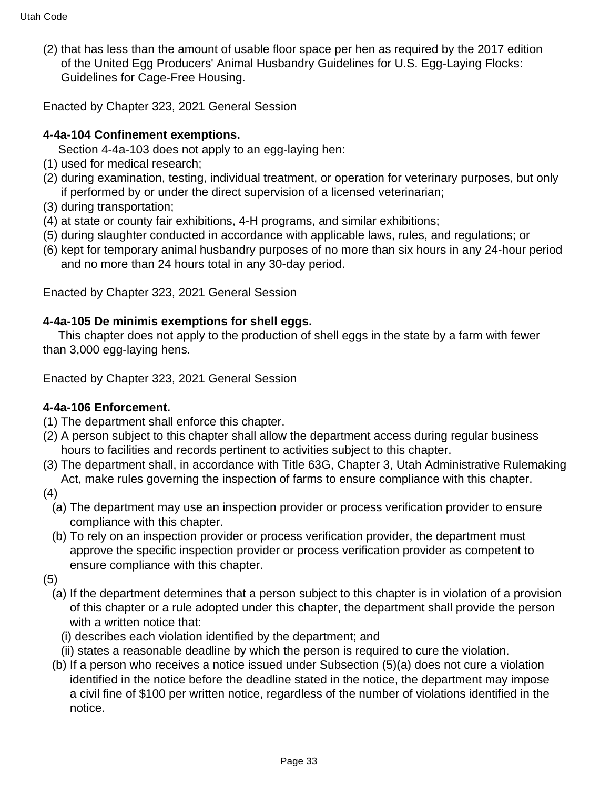(2) that has less than the amount of usable floor space per hen as required by the 2017 edition of the United Egg Producers' Animal Husbandry Guidelines for U.S. Egg-Laying Flocks: Guidelines for Cage-Free Housing.

Enacted by Chapter 323, 2021 General Session

## **4-4a-104 Confinement exemptions.**

Section 4-4a-103 does not apply to an egg-laying hen:

- (1) used for medical research;
- (2) during examination, testing, individual treatment, or operation for veterinary purposes, but only if performed by or under the direct supervision of a licensed veterinarian;
- (3) during transportation;
- (4) at state or county fair exhibitions, 4-H programs, and similar exhibitions;
- (5) during slaughter conducted in accordance with applicable laws, rules, and regulations; or
- (6) kept for temporary animal husbandry purposes of no more than six hours in any 24-hour period and no more than 24 hours total in any 30-day period.

Enacted by Chapter 323, 2021 General Session

## **4-4a-105 De minimis exemptions for shell eggs.**

 This chapter does not apply to the production of shell eggs in the state by a farm with fewer than 3,000 egg-laying hens.

Enacted by Chapter 323, 2021 General Session

# **4-4a-106 Enforcement.**

- (1) The department shall enforce this chapter.
- (2) A person subject to this chapter shall allow the department access during regular business hours to facilities and records pertinent to activities subject to this chapter.
- (3) The department shall, in accordance with Title 63G, Chapter 3, Utah Administrative Rulemaking Act, make rules governing the inspection of farms to ensure compliance with this chapter.
- (4)
	- (a) The department may use an inspection provider or process verification provider to ensure compliance with this chapter.
	- (b) To rely on an inspection provider or process verification provider, the department must approve the specific inspection provider or process verification provider as competent to ensure compliance with this chapter.
- (5)
	- (a) If the department determines that a person subject to this chapter is in violation of a provision of this chapter or a rule adopted under this chapter, the department shall provide the person with a written notice that:
		- (i) describes each violation identified by the department; and
		- (ii) states a reasonable deadline by which the person is required to cure the violation.
	- (b) If a person who receives a notice issued under Subsection (5)(a) does not cure a violation identified in the notice before the deadline stated in the notice, the department may impose a civil fine of \$100 per written notice, regardless of the number of violations identified in the notice.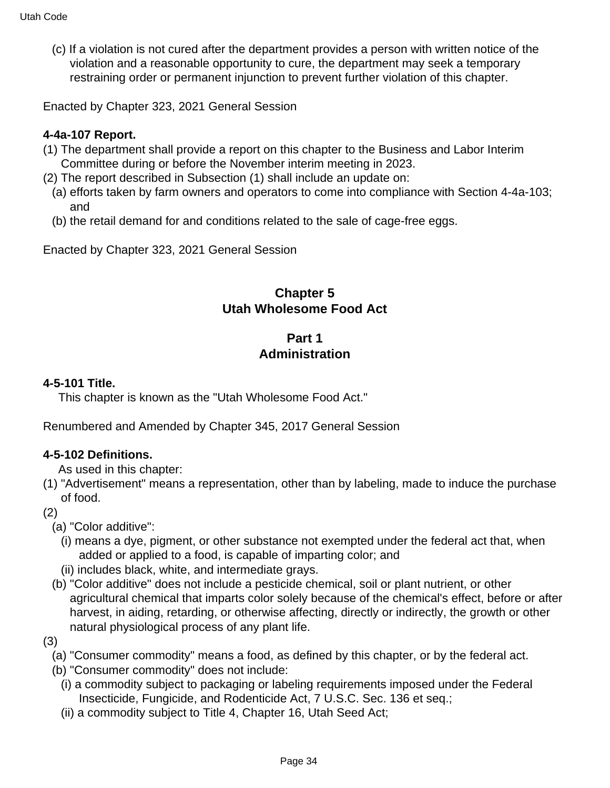(c) If a violation is not cured after the department provides a person with written notice of the violation and a reasonable opportunity to cure, the department may seek a temporary restraining order or permanent injunction to prevent further violation of this chapter.

Enacted by Chapter 323, 2021 General Session

### **4-4a-107 Report.**

- (1) The department shall provide a report on this chapter to the Business and Labor Interim Committee during or before the November interim meeting in 2023.
- (2) The report described in Subsection (1) shall include an update on:
- (a) efforts taken by farm owners and operators to come into compliance with Section 4-4a-103; and
- (b) the retail demand for and conditions related to the sale of cage-free eggs.

Enacted by Chapter 323, 2021 General Session

## **Chapter 5 Utah Wholesome Food Act**

## **Part 1 Administration**

### **4-5-101 Title.**

This chapter is known as the "Utah Wholesome Food Act."

Renumbered and Amended by Chapter 345, 2017 General Session

#### **4-5-102 Definitions.**

As used in this chapter:

- (1) "Advertisement" means a representation, other than by labeling, made to induce the purchase of food.
- (2)
	- (a) "Color additive":
		- (i) means a dye, pigment, or other substance not exempted under the federal act that, when added or applied to a food, is capable of imparting color; and
	- (ii) includes black, white, and intermediate grays.
	- (b) "Color additive" does not include a pesticide chemical, soil or plant nutrient, or other agricultural chemical that imparts color solely because of the chemical's effect, before or after harvest, in aiding, retarding, or otherwise affecting, directly or indirectly, the growth or other natural physiological process of any plant life.
- (3)
	- (a) "Consumer commodity" means a food, as defined by this chapter, or by the federal act.
	- (b) "Consumer commodity" does not include:
	- (i) a commodity subject to packaging or labeling requirements imposed under the Federal Insecticide, Fungicide, and Rodenticide Act, 7 U.S.C. Sec. 136 et seq.;
	- (ii) a commodity subject to Title 4, Chapter 16, Utah Seed Act;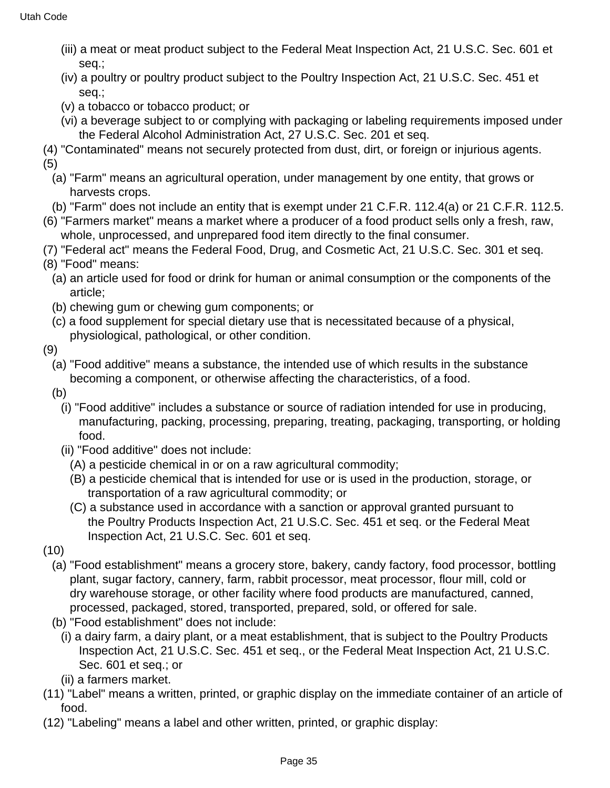- (iii) a meat or meat product subject to the Federal Meat Inspection Act, 21 U.S.C. Sec. 601 et seq.;
- (iv) a poultry or poultry product subject to the Poultry Inspection Act, 21 U.S.C. Sec. 451 et seq.;
- (v) a tobacco or tobacco product; or
- (vi) a beverage subject to or complying with packaging or labeling requirements imposed under the Federal Alcohol Administration Act, 27 U.S.C. Sec. 201 et seq.
- (4) "Contaminated" means not securely protected from dust, dirt, or foreign or injurious agents. (5)
	- (a) "Farm" means an agricultural operation, under management by one entity, that grows or harvests crops.
	- (b) "Farm" does not include an entity that is exempt under 21 C.F.R. 112.4(a) or 21 C.F.R. 112.5.
- (6) "Farmers market" means a market where a producer of a food product sells only a fresh, raw, whole, unprocessed, and unprepared food item directly to the final consumer.
- (7) "Federal act" means the Federal Food, Drug, and Cosmetic Act, 21 U.S.C. Sec. 301 et seq.
- (8) "Food" means:
	- (a) an article used for food or drink for human or animal consumption or the components of the article;
	- (b) chewing gum or chewing gum components; or
	- (c) a food supplement for special dietary use that is necessitated because of a physical, physiological, pathological, or other condition.
- (9)
	- (a) "Food additive" means a substance, the intended use of which results in the substance becoming a component, or otherwise affecting the characteristics, of a food.
	- (b)
		- (i) "Food additive" includes a substance or source of radiation intended for use in producing, manufacturing, packing, processing, preparing, treating, packaging, transporting, or holding food.
		- (ii) "Food additive" does not include:
			- (A) a pesticide chemical in or on a raw agricultural commodity;
			- (B) a pesticide chemical that is intended for use or is used in the production, storage, or transportation of a raw agricultural commodity; or
			- (C) a substance used in accordance with a sanction or approval granted pursuant to the Poultry Products Inspection Act, 21 U.S.C. Sec. 451 et seq. or the Federal Meat Inspection Act, 21 U.S.C. Sec. 601 et seq.
- (10)
	- (a) "Food establishment" means a grocery store, bakery, candy factory, food processor, bottling plant, sugar factory, cannery, farm, rabbit processor, meat processor, flour mill, cold or dry warehouse storage, or other facility where food products are manufactured, canned, processed, packaged, stored, transported, prepared, sold, or offered for sale.
	- (b) "Food establishment" does not include:
		- (i) a dairy farm, a dairy plant, or a meat establishment, that is subject to the Poultry Products Inspection Act, 21 U.S.C. Sec. 451 et seq., or the Federal Meat Inspection Act, 21 U.S.C. Sec. 601 et seq.; or
		- (ii) a farmers market.
- (11) "Label" means a written, printed, or graphic display on the immediate container of an article of food.
- (12) "Labeling" means a label and other written, printed, or graphic display: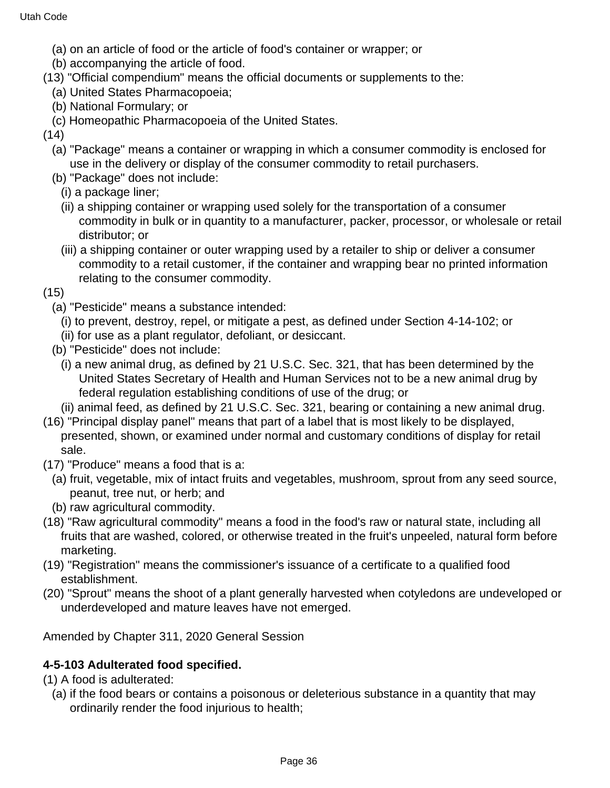- (a) on an article of food or the article of food's container or wrapper; or
- (b) accompanying the article of food.
- (13) "Official compendium" means the official documents or supplements to the:
	- (a) United States Pharmacopoeia;
	- (b) National Formulary; or
	- (c) Homeopathic Pharmacopoeia of the United States.
- (14)
	- (a) "Package" means a container or wrapping in which a consumer commodity is enclosed for use in the delivery or display of the consumer commodity to retail purchasers.
	- (b) "Package" does not include:
		- (i) a package liner;
		- (ii) a shipping container or wrapping used solely for the transportation of a consumer commodity in bulk or in quantity to a manufacturer, packer, processor, or wholesale or retail distributor; or
		- (iii) a shipping container or outer wrapping used by a retailer to ship or deliver a consumer commodity to a retail customer, if the container and wrapping bear no printed information relating to the consumer commodity.
- (15)
	- (a) "Pesticide" means a substance intended:
	- (i) to prevent, destroy, repel, or mitigate a pest, as defined under Section 4-14-102; or
	- (ii) for use as a plant regulator, defoliant, or desiccant.
	- (b) "Pesticide" does not include:
		- (i) a new animal drug, as defined by 21 U.S.C. Sec. 321, that has been determined by the United States Secretary of Health and Human Services not to be a new animal drug by federal regulation establishing conditions of use of the drug; or
	- (ii) animal feed, as defined by 21 U.S.C. Sec. 321, bearing or containing a new animal drug.
- (16) "Principal display panel" means that part of a label that is most likely to be displayed, presented, shown, or examined under normal and customary conditions of display for retail sale.
- (17) "Produce" means a food that is a:
	- (a) fruit, vegetable, mix of intact fruits and vegetables, mushroom, sprout from any seed source, peanut, tree nut, or herb; and
	- (b) raw agricultural commodity.
- (18) "Raw agricultural commodity" means a food in the food's raw or natural state, including all fruits that are washed, colored, or otherwise treated in the fruit's unpeeled, natural form before marketing.
- (19) "Registration" means the commissioner's issuance of a certificate to a qualified food establishment.
- (20) "Sprout" means the shoot of a plant generally harvested when cotyledons are undeveloped or underdeveloped and mature leaves have not emerged.

Amended by Chapter 311, 2020 General Session

## **4-5-103 Adulterated food specified.**

- (1) A food is adulterated:
	- (a) if the food bears or contains a poisonous or deleterious substance in a quantity that may ordinarily render the food injurious to health;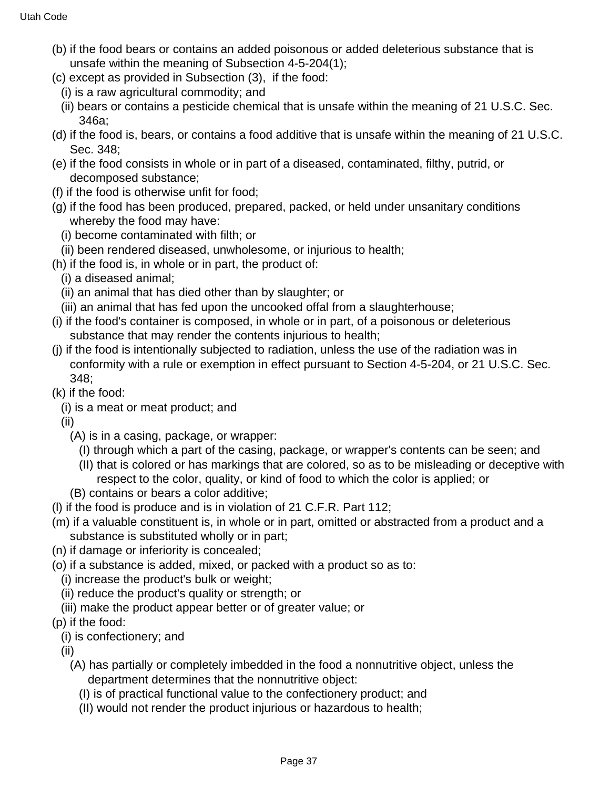- (b) if the food bears or contains an added poisonous or added deleterious substance that is unsafe within the meaning of Subsection 4-5-204(1);
- (c) except as provided in Subsection (3), if the food:
	- (i) is a raw agricultural commodity; and
	- (ii) bears or contains a pesticide chemical that is unsafe within the meaning of 21 U.S.C. Sec. 346a;
- (d) if the food is, bears, or contains a food additive that is unsafe within the meaning of 21 U.S.C. Sec. 348;
- (e) if the food consists in whole or in part of a diseased, contaminated, filthy, putrid, or decomposed substance;
- (f) if the food is otherwise unfit for food;
- (g) if the food has been produced, prepared, packed, or held under unsanitary conditions whereby the food may have:
	- (i) become contaminated with filth; or
	- (ii) been rendered diseased, unwholesome, or injurious to health;
- (h) if the food is, in whole or in part, the product of:
	- (i) a diseased animal;
	- (ii) an animal that has died other than by slaughter; or
	- (iii) an animal that has fed upon the uncooked offal from a slaughterhouse;
- (i) if the food's container is composed, in whole or in part, of a poisonous or deleterious substance that may render the contents injurious to health;
- (j) if the food is intentionally subjected to radiation, unless the use of the radiation was in conformity with a rule or exemption in effect pursuant to Section 4-5-204, or 21 U.S.C. Sec. 348;
- (k) if the food:
	- (i) is a meat or meat product; and
	- (ii)
		- (A) is in a casing, package, or wrapper:
			- (I) through which a part of the casing, package, or wrapper's contents can be seen; and
			- (II) that is colored or has markings that are colored, so as to be misleading or deceptive with respect to the color, quality, or kind of food to which the color is applied; or
		- (B) contains or bears a color additive;
- (l) if the food is produce and is in violation of 21 C.F.R. Part 112;
- (m) if a valuable constituent is, in whole or in part, omitted or abstracted from a product and a substance is substituted wholly or in part;
- (n) if damage or inferiority is concealed;
- (o) if a substance is added, mixed, or packed with a product so as to:
	- (i) increase the product's bulk or weight;
	- (ii) reduce the product's quality or strength; or
	- (iii) make the product appear better or of greater value; or
- (p) if the food:
- (i) is confectionery; and
- (ii)
	- (A) has partially or completely imbedded in the food a nonnutritive object, unless the department determines that the nonnutritive object:
		- (I) is of practical functional value to the confectionery product; and
		- (II) would not render the product injurious or hazardous to health;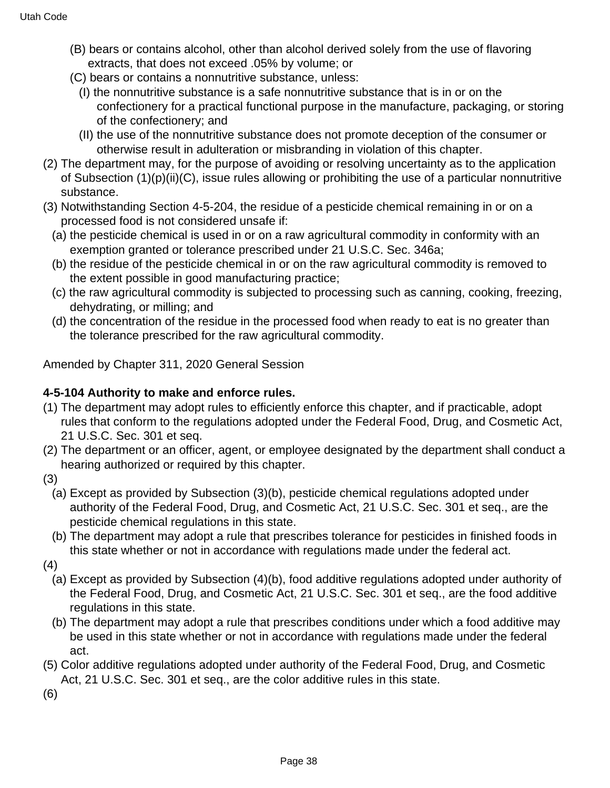- (B) bears or contains alcohol, other than alcohol derived solely from the use of flavoring extracts, that does not exceed .05% by volume; or
- (C) bears or contains a nonnutritive substance, unless:
	- (I) the nonnutritive substance is a safe nonnutritive substance that is in or on the confectionery for a practical functional purpose in the manufacture, packaging, or storing of the confectionery; and
	- (II) the use of the nonnutritive substance does not promote deception of the consumer or otherwise result in adulteration or misbranding in violation of this chapter.
- (2) The department may, for the purpose of avoiding or resolving uncertainty as to the application of Subsection (1)(p)(ii)(C), issue rules allowing or prohibiting the use of a particular nonnutritive substance.
- (3) Notwithstanding Section 4-5-204, the residue of a pesticide chemical remaining in or on a processed food is not considered unsafe if:
	- (a) the pesticide chemical is used in or on a raw agricultural commodity in conformity with an exemption granted or tolerance prescribed under 21 U.S.C. Sec. 346a;
	- (b) the residue of the pesticide chemical in or on the raw agricultural commodity is removed to the extent possible in good manufacturing practice;
	- (c) the raw agricultural commodity is subjected to processing such as canning, cooking, freezing, dehydrating, or milling; and
	- (d) the concentration of the residue in the processed food when ready to eat is no greater than the tolerance prescribed for the raw agricultural commodity.

Amended by Chapter 311, 2020 General Session

### **4-5-104 Authority to make and enforce rules.**

- (1) The department may adopt rules to efficiently enforce this chapter, and if practicable, adopt rules that conform to the regulations adopted under the Federal Food, Drug, and Cosmetic Act, 21 U.S.C. Sec. 301 et seq.
- (2) The department or an officer, agent, or employee designated by the department shall conduct a hearing authorized or required by this chapter.
- (3)
	- (a) Except as provided by Subsection (3)(b), pesticide chemical regulations adopted under authority of the Federal Food, Drug, and Cosmetic Act, 21 U.S.C. Sec. 301 et seq., are the pesticide chemical regulations in this state.
	- (b) The department may adopt a rule that prescribes tolerance for pesticides in finished foods in this state whether or not in accordance with regulations made under the federal act.
- (4)
	- (a) Except as provided by Subsection (4)(b), food additive regulations adopted under authority of the Federal Food, Drug, and Cosmetic Act, 21 U.S.C. Sec. 301 et seq., are the food additive regulations in this state.
	- (b) The department may adopt a rule that prescribes conditions under which a food additive may be used in this state whether or not in accordance with regulations made under the federal act.
- (5) Color additive regulations adopted under authority of the Federal Food, Drug, and Cosmetic Act, 21 U.S.C. Sec. 301 et seq., are the color additive rules in this state.

(6)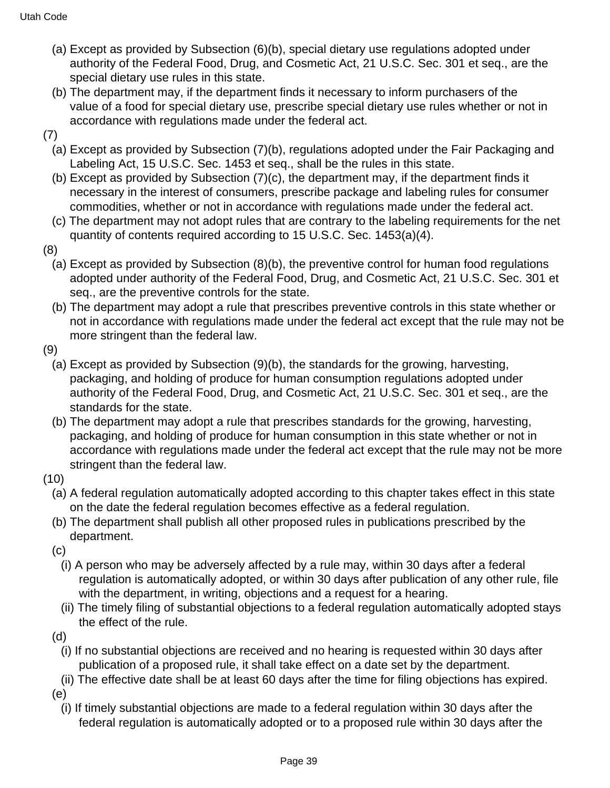- (a) Except as provided by Subsection (6)(b), special dietary use regulations adopted under authority of the Federal Food, Drug, and Cosmetic Act, 21 U.S.C. Sec. 301 et seq., are the special dietary use rules in this state.
- (b) The department may, if the department finds it necessary to inform purchasers of the value of a food for special dietary use, prescribe special dietary use rules whether or not in accordance with regulations made under the federal act.
- (7)
	- (a) Except as provided by Subsection (7)(b), regulations adopted under the Fair Packaging and Labeling Act, 15 U.S.C. Sec. 1453 et seq., shall be the rules in this state.
	- (b) Except as provided by Subsection (7)(c), the department may, if the department finds it necessary in the interest of consumers, prescribe package and labeling rules for consumer commodities, whether or not in accordance with regulations made under the federal act.
	- (c) The department may not adopt rules that are contrary to the labeling requirements for the net quantity of contents required according to 15 U.S.C. Sec. 1453(a)(4).
- (8)
	- (a) Except as provided by Subsection (8)(b), the preventive control for human food regulations adopted under authority of the Federal Food, Drug, and Cosmetic Act, 21 U.S.C. Sec. 301 et seq., are the preventive controls for the state.
	- (b) The department may adopt a rule that prescribes preventive controls in this state whether or not in accordance with regulations made under the federal act except that the rule may not be more stringent than the federal law.
- (9)
	- (a) Except as provided by Subsection (9)(b), the standards for the growing, harvesting, packaging, and holding of produce for human consumption regulations adopted under authority of the Federal Food, Drug, and Cosmetic Act, 21 U.S.C. Sec. 301 et seq., are the standards for the state.
	- (b) The department may adopt a rule that prescribes standards for the growing, harvesting, packaging, and holding of produce for human consumption in this state whether or not in accordance with regulations made under the federal act except that the rule may not be more stringent than the federal law.
- (10)
	- (a) A federal regulation automatically adopted according to this chapter takes effect in this state on the date the federal regulation becomes effective as a federal regulation.
	- (b) The department shall publish all other proposed rules in publications prescribed by the department.
	- (c)
		- (i) A person who may be adversely affected by a rule may, within 30 days after a federal regulation is automatically adopted, or within 30 days after publication of any other rule, file with the department, in writing, objections and a request for a hearing.
		- (ii) The timely filing of substantial objections to a federal regulation automatically adopted stays the effect of the rule.
	- (d)
		- (i) If no substantial objections are received and no hearing is requested within 30 days after publication of a proposed rule, it shall take effect on a date set by the department.
		- (ii) The effective date shall be at least 60 days after the time for filing objections has expired.
	- (e)
		- (i) If timely substantial objections are made to a federal regulation within 30 days after the federal regulation is automatically adopted or to a proposed rule within 30 days after the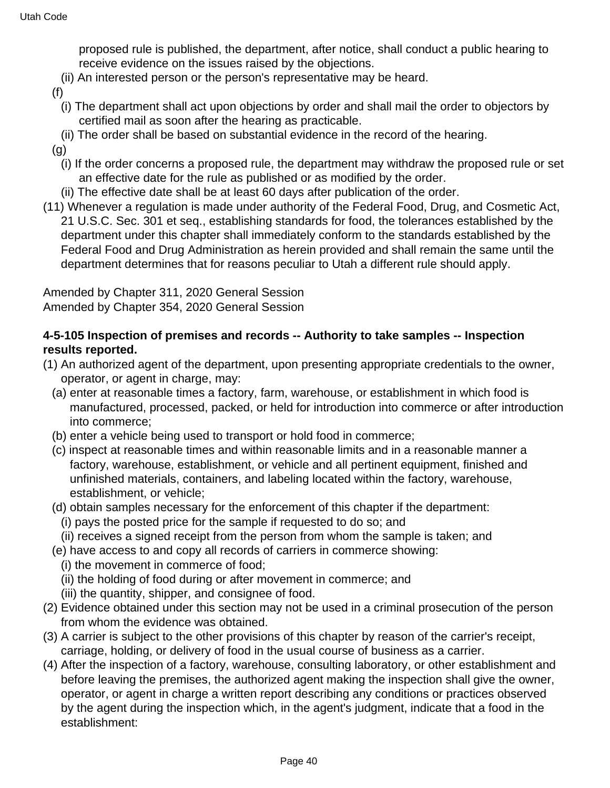proposed rule is published, the department, after notice, shall conduct a public hearing to receive evidence on the issues raised by the objections.

(ii) An interested person or the person's representative may be heard.

(f)

- (i) The department shall act upon objections by order and shall mail the order to objectors by certified mail as soon after the hearing as practicable.
- (ii) The order shall be based on substantial evidence in the record of the hearing.
- (g)
	- (i) If the order concerns a proposed rule, the department may withdraw the proposed rule or set an effective date for the rule as published or as modified by the order.
- (ii) The effective date shall be at least 60 days after publication of the order.
- (11) Whenever a regulation is made under authority of the Federal Food, Drug, and Cosmetic Act, 21 U.S.C. Sec. 301 et seq., establishing standards for food, the tolerances established by the department under this chapter shall immediately conform to the standards established by the Federal Food and Drug Administration as herein provided and shall remain the same until the department determines that for reasons peculiar to Utah a different rule should apply.

Amended by Chapter 311, 2020 General Session Amended by Chapter 354, 2020 General Session

### **4-5-105 Inspection of premises and records -- Authority to take samples -- Inspection results reported.**

- (1) An authorized agent of the department, upon presenting appropriate credentials to the owner, operator, or agent in charge, may:
	- (a) enter at reasonable times a factory, farm, warehouse, or establishment in which food is manufactured, processed, packed, or held for introduction into commerce or after introduction into commerce;
	- (b) enter a vehicle being used to transport or hold food in commerce;
	- (c) inspect at reasonable times and within reasonable limits and in a reasonable manner a factory, warehouse, establishment, or vehicle and all pertinent equipment, finished and unfinished materials, containers, and labeling located within the factory, warehouse, establishment, or vehicle;
	- (d) obtain samples necessary for the enforcement of this chapter if the department:
		- (i) pays the posted price for the sample if requested to do so; and
		- (ii) receives a signed receipt from the person from whom the sample is taken; and
	- (e) have access to and copy all records of carriers in commerce showing:
		- (i) the movement in commerce of food;
		- (ii) the holding of food during or after movement in commerce; and
		- (iii) the quantity, shipper, and consignee of food.
- (2) Evidence obtained under this section may not be used in a criminal prosecution of the person from whom the evidence was obtained.
- (3) A carrier is subject to the other provisions of this chapter by reason of the carrier's receipt, carriage, holding, or delivery of food in the usual course of business as a carrier.
- (4) After the inspection of a factory, warehouse, consulting laboratory, or other establishment and before leaving the premises, the authorized agent making the inspection shall give the owner, operator, or agent in charge a written report describing any conditions or practices observed by the agent during the inspection which, in the agent's judgment, indicate that a food in the establishment: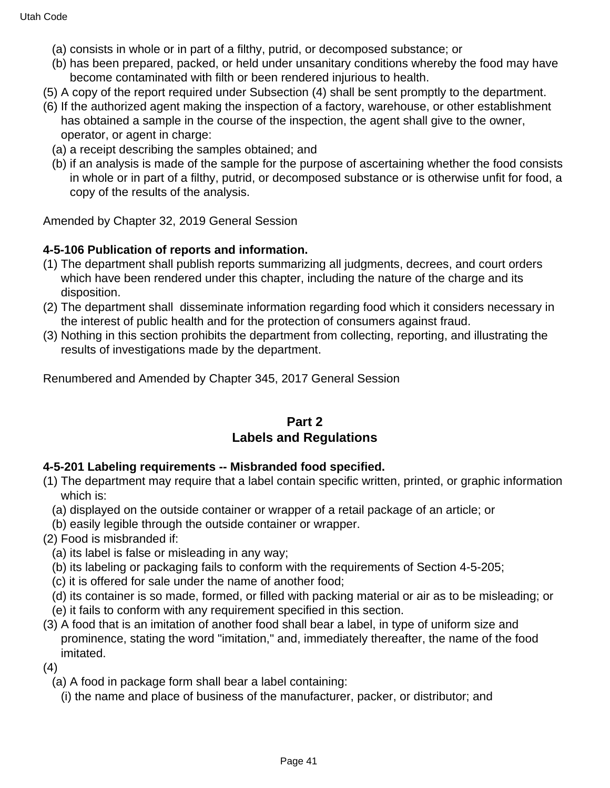- (a) consists in whole or in part of a filthy, putrid, or decomposed substance; or
- (b) has been prepared, packed, or held under unsanitary conditions whereby the food may have become contaminated with filth or been rendered injurious to health.
- (5) A copy of the report required under Subsection (4) shall be sent promptly to the department.
- (6) If the authorized agent making the inspection of a factory, warehouse, or other establishment has obtained a sample in the course of the inspection, the agent shall give to the owner, operator, or agent in charge:
	- (a) a receipt describing the samples obtained; and
	- (b) if an analysis is made of the sample for the purpose of ascertaining whether the food consists in whole or in part of a filthy, putrid, or decomposed substance or is otherwise unfit for food, a copy of the results of the analysis.

Amended by Chapter 32, 2019 General Session

#### **4-5-106 Publication of reports and information.**

- (1) The department shall publish reports summarizing all judgments, decrees, and court orders which have been rendered under this chapter, including the nature of the charge and its disposition.
- (2) The department shall disseminate information regarding food which it considers necessary in the interest of public health and for the protection of consumers against fraud.
- (3) Nothing in this section prohibits the department from collecting, reporting, and illustrating the results of investigations made by the department.

Renumbered and Amended by Chapter 345, 2017 General Session

### **Part 2 Labels and Regulations**

#### **4-5-201 Labeling requirements -- Misbranded food specified.**

- (1) The department may require that a label contain specific written, printed, or graphic information which is:
	- (a) displayed on the outside container or wrapper of a retail package of an article; or
- (b) easily legible through the outside container or wrapper.
- (2) Food is misbranded if:
	- (a) its label is false or misleading in any way;
	- (b) its labeling or packaging fails to conform with the requirements of Section 4-5-205;
	- (c) it is offered for sale under the name of another food;
	- (d) its container is so made, formed, or filled with packing material or air as to be misleading; or
	- (e) it fails to conform with any requirement specified in this section.
- (3) A food that is an imitation of another food shall bear a label, in type of uniform size and prominence, stating the word "imitation," and, immediately thereafter, the name of the food imitated.

(4)

(a) A food in package form shall bear a label containing:

(i) the name and place of business of the manufacturer, packer, or distributor; and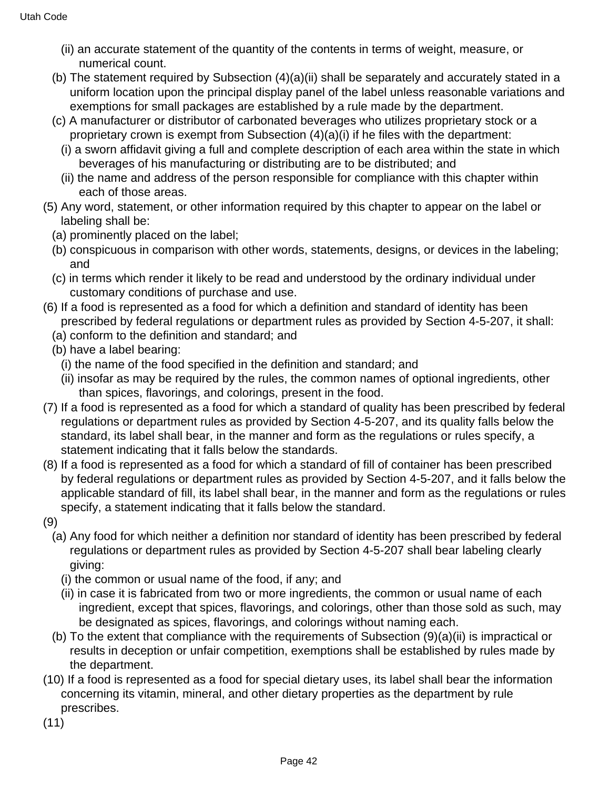- (ii) an accurate statement of the quantity of the contents in terms of weight, measure, or numerical count.
- (b) The statement required by Subsection (4)(a)(ii) shall be separately and accurately stated in a uniform location upon the principal display panel of the label unless reasonable variations and exemptions for small packages are established by a rule made by the department.
- (c) A manufacturer or distributor of carbonated beverages who utilizes proprietary stock or a proprietary crown is exempt from Subsection (4)(a)(i) if he files with the department:
	- (i) a sworn affidavit giving a full and complete description of each area within the state in which beverages of his manufacturing or distributing are to be distributed; and
	- (ii) the name and address of the person responsible for compliance with this chapter within each of those areas.
- (5) Any word, statement, or other information required by this chapter to appear on the label or labeling shall be:
	- (a) prominently placed on the label;
	- (b) conspicuous in comparison with other words, statements, designs, or devices in the labeling; and
	- (c) in terms which render it likely to be read and understood by the ordinary individual under customary conditions of purchase and use.
- (6) If a food is represented as a food for which a definition and standard of identity has been prescribed by federal regulations or department rules as provided by Section 4-5-207, it shall:
	- (a) conform to the definition and standard; and
	- (b) have a label bearing:
		- (i) the name of the food specified in the definition and standard; and
		- (ii) insofar as may be required by the rules, the common names of optional ingredients, other than spices, flavorings, and colorings, present in the food.
- (7) If a food is represented as a food for which a standard of quality has been prescribed by federal regulations or department rules as provided by Section 4-5-207, and its quality falls below the standard, its label shall bear, in the manner and form as the regulations or rules specify, a statement indicating that it falls below the standards.
- (8) If a food is represented as a food for which a standard of fill of container has been prescribed by federal regulations or department rules as provided by Section 4-5-207, and it falls below the applicable standard of fill, its label shall bear, in the manner and form as the regulations or rules specify, a statement indicating that it falls below the standard.
- (9)
	- (a) Any food for which neither a definition nor standard of identity has been prescribed by federal regulations or department rules as provided by Section 4-5-207 shall bear labeling clearly giving:
		- (i) the common or usual name of the food, if any; and
		- (ii) in case it is fabricated from two or more ingredients, the common or usual name of each ingredient, except that spices, flavorings, and colorings, other than those sold as such, may be designated as spices, flavorings, and colorings without naming each.
	- (b) To the extent that compliance with the requirements of Subsection (9)(a)(ii) is impractical or results in deception or unfair competition, exemptions shall be established by rules made by the department.
- (10) If a food is represented as a food for special dietary uses, its label shall bear the information concerning its vitamin, mineral, and other dietary properties as the department by rule prescribes.
- (11)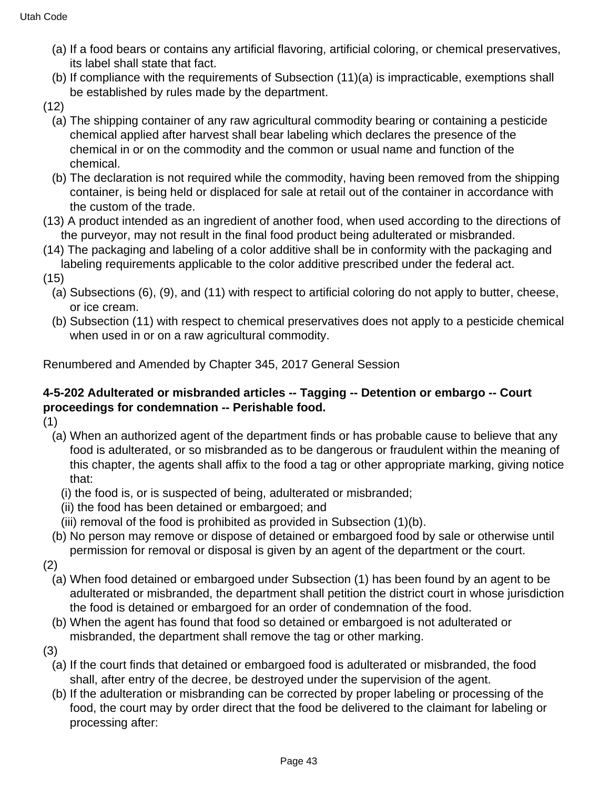- (a) If a food bears or contains any artificial flavoring, artificial coloring, or chemical preservatives, its label shall state that fact.
- (b) If compliance with the requirements of Subsection (11)(a) is impracticable, exemptions shall be established by rules made by the department.
- (12)
	- (a) The shipping container of any raw agricultural commodity bearing or containing a pesticide chemical applied after harvest shall bear labeling which declares the presence of the chemical in or on the commodity and the common or usual name and function of the chemical.
	- (b) The declaration is not required while the commodity, having been removed from the shipping container, is being held or displaced for sale at retail out of the container in accordance with the custom of the trade.
- (13) A product intended as an ingredient of another food, when used according to the directions of the purveyor, may not result in the final food product being adulterated or misbranded.
- (14) The packaging and labeling of a color additive shall be in conformity with the packaging and labeling requirements applicable to the color additive prescribed under the federal act.
- (15)
	- (a) Subsections (6), (9), and (11) with respect to artificial coloring do not apply to butter, cheese, or ice cream.
	- (b) Subsection (11) with respect to chemical preservatives does not apply to a pesticide chemical when used in or on a raw agricultural commodity.

### **4-5-202 Adulterated or misbranded articles -- Tagging -- Detention or embargo -- Court proceedings for condemnation -- Perishable food.**

(1)

- (a) When an authorized agent of the department finds or has probable cause to believe that any food is adulterated, or so misbranded as to be dangerous or fraudulent within the meaning of this chapter, the agents shall affix to the food a tag or other appropriate marking, giving notice that:
	- (i) the food is, or is suspected of being, adulterated or misbranded;
	- (ii) the food has been detained or embargoed; and
	- (iii) removal of the food is prohibited as provided in Subsection (1)(b).
- (b) No person may remove or dispose of detained or embargoed food by sale or otherwise until permission for removal or disposal is given by an agent of the department or the court.

(2)

- (a) When food detained or embargoed under Subsection (1) has been found by an agent to be adulterated or misbranded, the department shall petition the district court in whose jurisdiction the food is detained or embargoed for an order of condemnation of the food.
- (b) When the agent has found that food so detained or embargoed is not adulterated or misbranded, the department shall remove the tag or other marking.
- (3)
	- (a) If the court finds that detained or embargoed food is adulterated or misbranded, the food shall, after entry of the decree, be destroyed under the supervision of the agent.
	- (b) If the adulteration or misbranding can be corrected by proper labeling or processing of the food, the court may by order direct that the food be delivered to the claimant for labeling or processing after: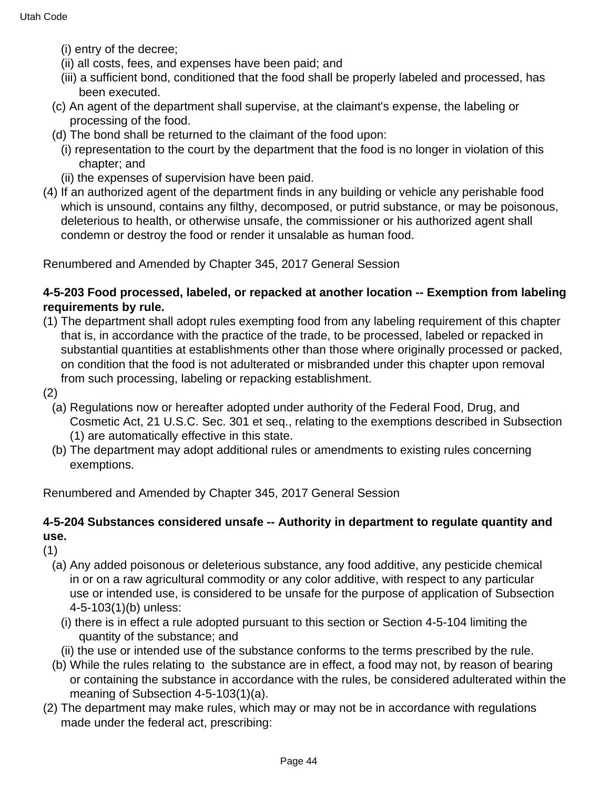- (i) entry of the decree;
- (ii) all costs, fees, and expenses have been paid; and
- (iii) a sufficient bond, conditioned that the food shall be properly labeled and processed, has been executed.
- (c) An agent of the department shall supervise, at the claimant's expense, the labeling or processing of the food.
- (d) The bond shall be returned to the claimant of the food upon:
	- (i) representation to the court by the department that the food is no longer in violation of this chapter; and
	- (ii) the expenses of supervision have been paid.
- (4) If an authorized agent of the department finds in any building or vehicle any perishable food which is unsound, contains any filthy, decomposed, or putrid substance, or may be poisonous, deleterious to health, or otherwise unsafe, the commissioner or his authorized agent shall condemn or destroy the food or render it unsalable as human food.

#### **4-5-203 Food processed, labeled, or repacked at another location -- Exemption from labeling requirements by rule.**

- (1) The department shall adopt rules exempting food from any labeling requirement of this chapter that is, in accordance with the practice of the trade, to be processed, labeled or repacked in substantial quantities at establishments other than those where originally processed or packed, on condition that the food is not adulterated or misbranded under this chapter upon removal from such processing, labeling or repacking establishment.
- (2)
	- (a) Regulations now or hereafter adopted under authority of the Federal Food, Drug, and Cosmetic Act, 21 U.S.C. Sec. 301 et seq., relating to the exemptions described in Subsection (1) are automatically effective in this state.
	- (b) The department may adopt additional rules or amendments to existing rules concerning exemptions.

Renumbered and Amended by Chapter 345, 2017 General Session

### **4-5-204 Substances considered unsafe -- Authority in department to regulate quantity and use.**

(1)

- (a) Any added poisonous or deleterious substance, any food additive, any pesticide chemical in or on a raw agricultural commodity or any color additive, with respect to any particular use or intended use, is considered to be unsafe for the purpose of application of Subsection 4-5-103(1)(b) unless:
	- (i) there is in effect a rule adopted pursuant to this section or Section 4-5-104 limiting the quantity of the substance; and
	- (ii) the use or intended use of the substance conforms to the terms prescribed by the rule.
- (b) While the rules relating to the substance are in effect, a food may not, by reason of bearing or containing the substance in accordance with the rules, be considered adulterated within the meaning of Subsection 4-5-103(1)(a).
- (2) The department may make rules, which may or may not be in accordance with regulations made under the federal act, prescribing: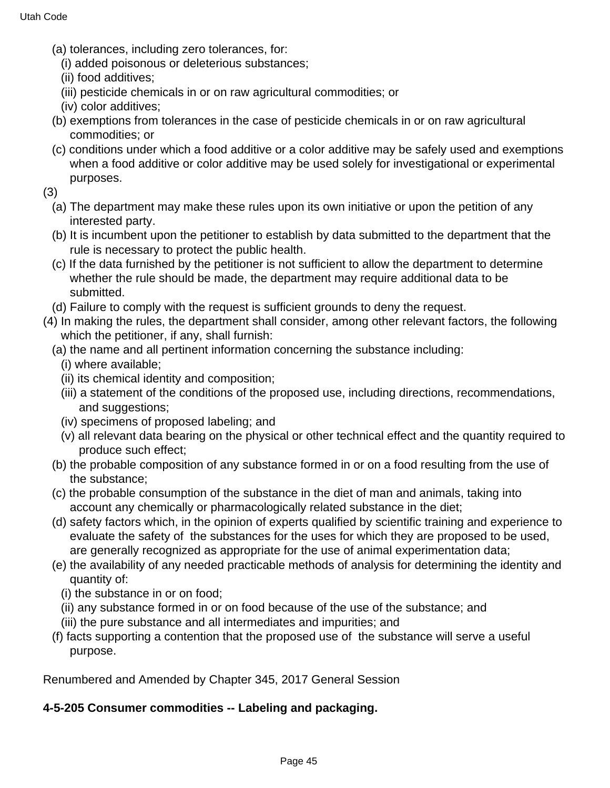- (a) tolerances, including zero tolerances, for:
	- (i) added poisonous or deleterious substances;
	- (ii) food additives;
	- (iii) pesticide chemicals in or on raw agricultural commodities; or
	- (iv) color additives;
- (b) exemptions from tolerances in the case of pesticide chemicals in or on raw agricultural commodities; or
- (c) conditions under which a food additive or a color additive may be safely used and exemptions when a food additive or color additive may be used solely for investigational or experimental purposes.
- (3)
	- (a) The department may make these rules upon its own initiative or upon the petition of any interested party.
	- (b) It is incumbent upon the petitioner to establish by data submitted to the department that the rule is necessary to protect the public health.
	- (c) If the data furnished by the petitioner is not sufficient to allow the department to determine whether the rule should be made, the department may require additional data to be submitted.
	- (d) Failure to comply with the request is sufficient grounds to deny the request.
- (4) In making the rules, the department shall consider, among other relevant factors, the following which the petitioner, if any, shall furnish:
	- (a) the name and all pertinent information concerning the substance including:
		- (i) where available;
		- (ii) its chemical identity and composition;
		- (iii) a statement of the conditions of the proposed use, including directions, recommendations, and suggestions;
		- (iv) specimens of proposed labeling; and
		- (v) all relevant data bearing on the physical or other technical effect and the quantity required to produce such effect;
	- (b) the probable composition of any substance formed in or on a food resulting from the use of the substance;
	- (c) the probable consumption of the substance in the diet of man and animals, taking into account any chemically or pharmacologically related substance in the diet;
	- (d) safety factors which, in the opinion of experts qualified by scientific training and experience to evaluate the safety of the substances for the uses for which they are proposed to be used, are generally recognized as appropriate for the use of animal experimentation data;
	- (e) the availability of any needed practicable methods of analysis for determining the identity and quantity of:
		- (i) the substance in or on food;
		- (ii) any substance formed in or on food because of the use of the substance; and
		- (iii) the pure substance and all intermediates and impurities; and
	- (f) facts supporting a contention that the proposed use of the substance will serve a useful purpose.

### **4-5-205 Consumer commodities -- Labeling and packaging.**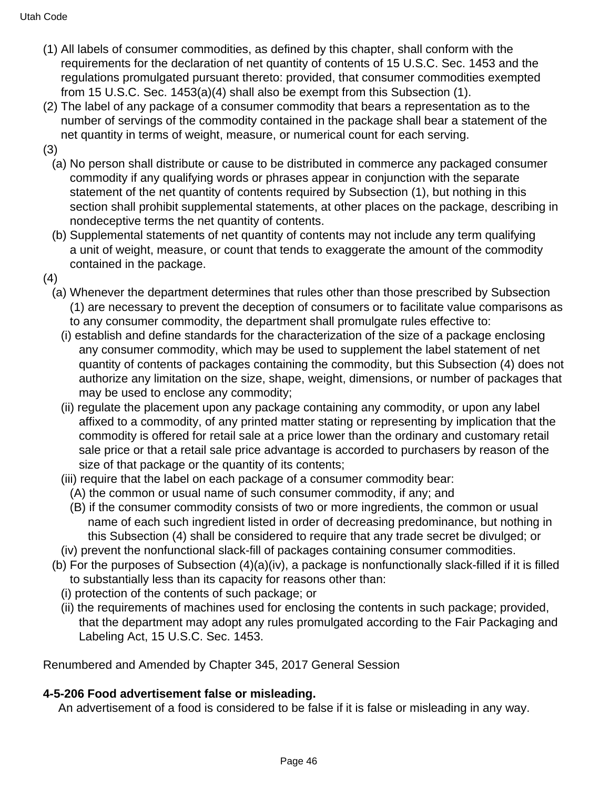- (1) All labels of consumer commodities, as defined by this chapter, shall conform with the requirements for the declaration of net quantity of contents of 15 U.S.C. Sec. 1453 and the regulations promulgated pursuant thereto: provided, that consumer commodities exempted from 15 U.S.C. Sec. 1453(a)(4) shall also be exempt from this Subsection (1).
- (2) The label of any package of a consumer commodity that bears a representation as to the number of servings of the commodity contained in the package shall bear a statement of the net quantity in terms of weight, measure, or numerical count for each serving.
- (3)
	- (a) No person shall distribute or cause to be distributed in commerce any packaged consumer commodity if any qualifying words or phrases appear in conjunction with the separate statement of the net quantity of contents required by Subsection (1), but nothing in this section shall prohibit supplemental statements, at other places on the package, describing in nondeceptive terms the net quantity of contents.
	- (b) Supplemental statements of net quantity of contents may not include any term qualifying a unit of weight, measure, or count that tends to exaggerate the amount of the commodity contained in the package.
- (4)
	- (a) Whenever the department determines that rules other than those prescribed by Subsection (1) are necessary to prevent the deception of consumers or to facilitate value comparisons as to any consumer commodity, the department shall promulgate rules effective to:
		- (i) establish and define standards for the characterization of the size of a package enclosing any consumer commodity, which may be used to supplement the label statement of net quantity of contents of packages containing the commodity, but this Subsection (4) does not authorize any limitation on the size, shape, weight, dimensions, or number of packages that may be used to enclose any commodity;
		- (ii) regulate the placement upon any package containing any commodity, or upon any label affixed to a commodity, of any printed matter stating or representing by implication that the commodity is offered for retail sale at a price lower than the ordinary and customary retail sale price or that a retail sale price advantage is accorded to purchasers by reason of the size of that package or the quantity of its contents;
		- (iii) require that the label on each package of a consumer commodity bear:
			- (A) the common or usual name of such consumer commodity, if any; and
			- (B) if the consumer commodity consists of two or more ingredients, the common or usual name of each such ingredient listed in order of decreasing predominance, but nothing in this Subsection (4) shall be considered to require that any trade secret be divulged; or
		- (iv) prevent the nonfunctional slack-fill of packages containing consumer commodities.
	- (b) For the purposes of Subsection (4)(a)(iv), a package is nonfunctionally slack-filled if it is filled to substantially less than its capacity for reasons other than:
		- (i) protection of the contents of such package; or
		- (ii) the requirements of machines used for enclosing the contents in such package; provided, that the department may adopt any rules promulgated according to the Fair Packaging and Labeling Act, 15 U.S.C. Sec. 1453.

### **4-5-206 Food advertisement false or misleading.**

An advertisement of a food is considered to be false if it is false or misleading in any way.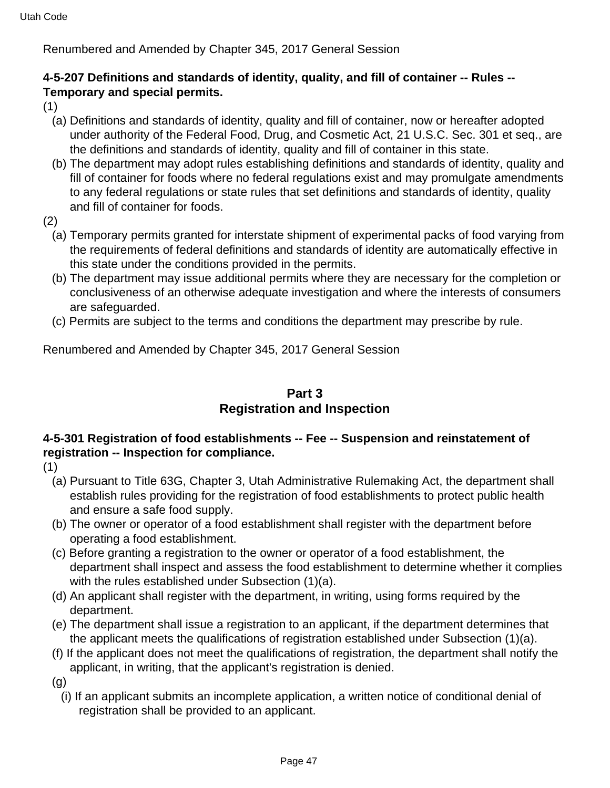### **4-5-207 Definitions and standards of identity, quality, and fill of container -- Rules -- Temporary and special permits.**

(1)

- (a) Definitions and standards of identity, quality and fill of container, now or hereafter adopted under authority of the Federal Food, Drug, and Cosmetic Act, 21 U.S.C. Sec. 301 et seq., are the definitions and standards of identity, quality and fill of container in this state.
- (b) The department may adopt rules establishing definitions and standards of identity, quality and fill of container for foods where no federal regulations exist and may promulgate amendments to any federal regulations or state rules that set definitions and standards of identity, quality and fill of container for foods.
- (2)
	- (a) Temporary permits granted for interstate shipment of experimental packs of food varying from the requirements of federal definitions and standards of identity are automatically effective in this state under the conditions provided in the permits.
	- (b) The department may issue additional permits where they are necessary for the completion or conclusiveness of an otherwise adequate investigation and where the interests of consumers are safeguarded.
	- (c) Permits are subject to the terms and conditions the department may prescribe by rule.

Renumbered and Amended by Chapter 345, 2017 General Session

# **Part 3 Registration and Inspection**

### **4-5-301 Registration of food establishments -- Fee -- Suspension and reinstatement of registration -- Inspection for compliance.**

- (1)
	- (a) Pursuant to Title 63G, Chapter 3, Utah Administrative Rulemaking Act, the department shall establish rules providing for the registration of food establishments to protect public health and ensure a safe food supply.
	- (b) The owner or operator of a food establishment shall register with the department before operating a food establishment.
	- (c) Before granting a registration to the owner or operator of a food establishment, the department shall inspect and assess the food establishment to determine whether it complies with the rules established under Subsection (1)(a).
	- (d) An applicant shall register with the department, in writing, using forms required by the department.
	- (e) The department shall issue a registration to an applicant, if the department determines that the applicant meets the qualifications of registration established under Subsection (1)(a).
	- (f) If the applicant does not meet the qualifications of registration, the department shall notify the applicant, in writing, that the applicant's registration is denied.

(g)

(i) If an applicant submits an incomplete application, a written notice of conditional denial of registration shall be provided to an applicant.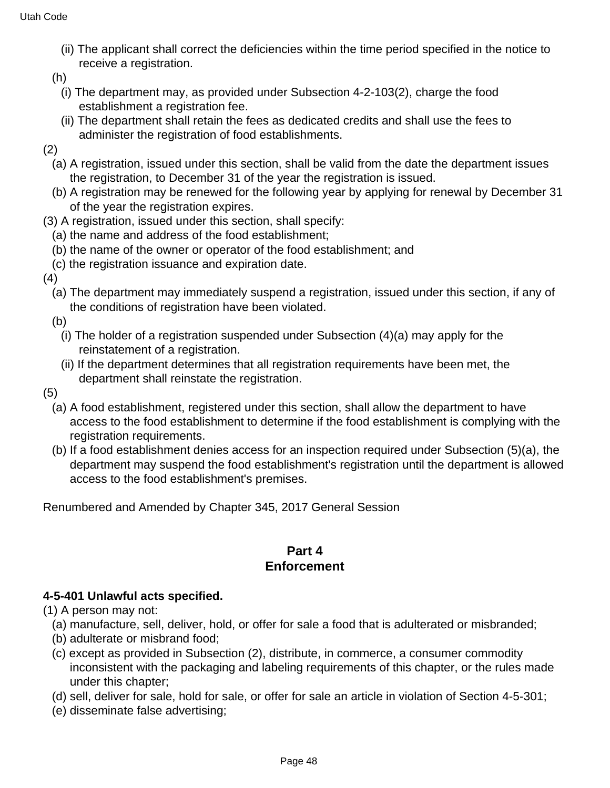- (ii) The applicant shall correct the deficiencies within the time period specified in the notice to receive a registration.
- (h)
	- (i) The department may, as provided under Subsection 4-2-103(2), charge the food establishment a registration fee.
	- (ii) The department shall retain the fees as dedicated credits and shall use the fees to administer the registration of food establishments.
- (2)
	- (a) A registration, issued under this section, shall be valid from the date the department issues the registration, to December 31 of the year the registration is issued.
	- (b) A registration may be renewed for the following year by applying for renewal by December 31 of the year the registration expires.
- (3) A registration, issued under this section, shall specify:
	- (a) the name and address of the food establishment;
	- (b) the name of the owner or operator of the food establishment; and
	- (c) the registration issuance and expiration date.
- (4)
	- (a) The department may immediately suspend a registration, issued under this section, if any of the conditions of registration have been violated.
	- (b)
		- (i) The holder of a registration suspended under Subsection (4)(a) may apply for the reinstatement of a registration.
		- (ii) If the department determines that all registration requirements have been met, the department shall reinstate the registration.
- (5)
	- (a) A food establishment, registered under this section, shall allow the department to have access to the food establishment to determine if the food establishment is complying with the registration requirements.
	- (b) If a food establishment denies access for an inspection required under Subsection (5)(a), the department may suspend the food establishment's registration until the department is allowed access to the food establishment's premises.

### **Part 4 Enforcement**

### **4-5-401 Unlawful acts specified.**

(1) A person may not:

- (a) manufacture, sell, deliver, hold, or offer for sale a food that is adulterated or misbranded;
- (b) adulterate or misbrand food;
- (c) except as provided in Subsection (2), distribute, in commerce, a consumer commodity inconsistent with the packaging and labeling requirements of this chapter, or the rules made under this chapter;
- (d) sell, deliver for sale, hold for sale, or offer for sale an article in violation of Section 4-5-301;
- (e) disseminate false advertising;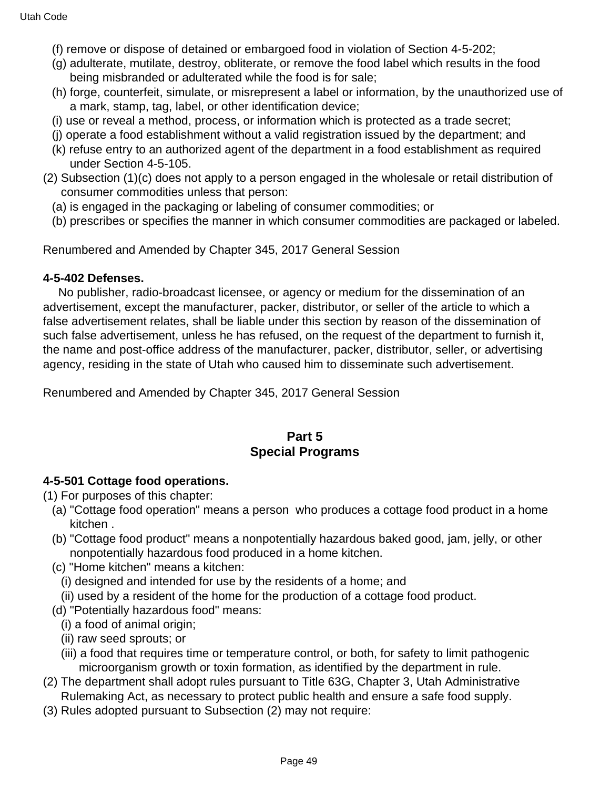- (f) remove or dispose of detained or embargoed food in violation of Section 4-5-202;
- (g) adulterate, mutilate, destroy, obliterate, or remove the food label which results in the food being misbranded or adulterated while the food is for sale;
- (h) forge, counterfeit, simulate, or misrepresent a label or information, by the unauthorized use of a mark, stamp, tag, label, or other identification device;
- (i) use or reveal a method, process, or information which is protected as a trade secret;
- (j) operate a food establishment without a valid registration issued by the department; and
- (k) refuse entry to an authorized agent of the department in a food establishment as required under Section 4-5-105.
- (2) Subsection (1)(c) does not apply to a person engaged in the wholesale or retail distribution of consumer commodities unless that person:
	- (a) is engaged in the packaging or labeling of consumer commodities; or
	- (b) prescribes or specifies the manner in which consumer commodities are packaged or labeled.

#### **4-5-402 Defenses.**

 No publisher, radio-broadcast licensee, or agency or medium for the dissemination of an advertisement, except the manufacturer, packer, distributor, or seller of the article to which a false advertisement relates, shall be liable under this section by reason of the dissemination of such false advertisement, unless he has refused, on the request of the department to furnish it, the name and post-office address of the manufacturer, packer, distributor, seller, or advertising agency, residing in the state of Utah who caused him to disseminate such advertisement.

Renumbered and Amended by Chapter 345, 2017 General Session

### **Part 5 Special Programs**

### **4-5-501 Cottage food operations.**

(1) For purposes of this chapter:

- (a) "Cottage food operation" means a person who produces a cottage food product in a home kitchen .
- (b) "Cottage food product" means a nonpotentially hazardous baked good, jam, jelly, or other nonpotentially hazardous food produced in a home kitchen.
- (c) "Home kitchen" means a kitchen:
	- (i) designed and intended for use by the residents of a home; and
	- (ii) used by a resident of the home for the production of a cottage food product.
- (d) "Potentially hazardous food" means:
	- (i) a food of animal origin;
	- (ii) raw seed sprouts; or
	- (iii) a food that requires time or temperature control, or both, for safety to limit pathogenic microorganism growth or toxin formation, as identified by the department in rule.
- (2) The department shall adopt rules pursuant to Title 63G, Chapter 3, Utah Administrative Rulemaking Act, as necessary to protect public health and ensure a safe food supply.
- (3) Rules adopted pursuant to Subsection (2) may not require: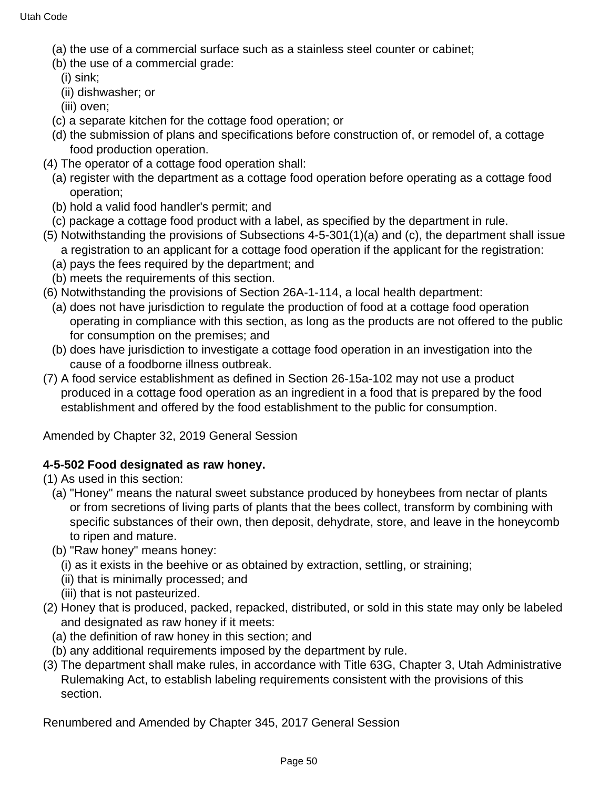- (a) the use of a commercial surface such as a stainless steel counter or cabinet;
- (b) the use of a commercial grade:
	- (i) sink;
	- (ii) dishwasher; or
	- (iii) oven;
- (c) a separate kitchen for the cottage food operation; or
- (d) the submission of plans and specifications before construction of, or remodel of, a cottage food production operation.
- (4) The operator of a cottage food operation shall:
	- (a) register with the department as a cottage food operation before operating as a cottage food operation;
	- (b) hold a valid food handler's permit; and
	- (c) package a cottage food product with a label, as specified by the department in rule.
- (5) Notwithstanding the provisions of Subsections 4-5-301(1)(a) and (c), the department shall issue a registration to an applicant for a cottage food operation if the applicant for the registration:
	- (a) pays the fees required by the department; and
	- (b) meets the requirements of this section.
- (6) Notwithstanding the provisions of Section 26A-1-114, a local health department:
	- (a) does not have jurisdiction to regulate the production of food at a cottage food operation operating in compliance with this section, as long as the products are not offered to the public for consumption on the premises; and
	- (b) does have jurisdiction to investigate a cottage food operation in an investigation into the cause of a foodborne illness outbreak.
- (7) A food service establishment as defined in Section 26-15a-102 may not use a product produced in a cottage food operation as an ingredient in a food that is prepared by the food establishment and offered by the food establishment to the public for consumption.

Amended by Chapter 32, 2019 General Session

### **4-5-502 Food designated as raw honey.**

(1) As used in this section:

- (a) "Honey" means the natural sweet substance produced by honeybees from nectar of plants or from secretions of living parts of plants that the bees collect, transform by combining with specific substances of their own, then deposit, dehydrate, store, and leave in the honeycomb to ripen and mature.
- (b) "Raw honey" means honey:
	- (i) as it exists in the beehive or as obtained by extraction, settling, or straining;
	- (ii) that is minimally processed; and
	- (iii) that is not pasteurized.
- (2) Honey that is produced, packed, repacked, distributed, or sold in this state may only be labeled and designated as raw honey if it meets:
	- (a) the definition of raw honey in this section; and
	- (b) any additional requirements imposed by the department by rule.
- (3) The department shall make rules, in accordance with Title 63G, Chapter 3, Utah Administrative Rulemaking Act, to establish labeling requirements consistent with the provisions of this section.

Renumbered and Amended by Chapter 345, 2017 General Session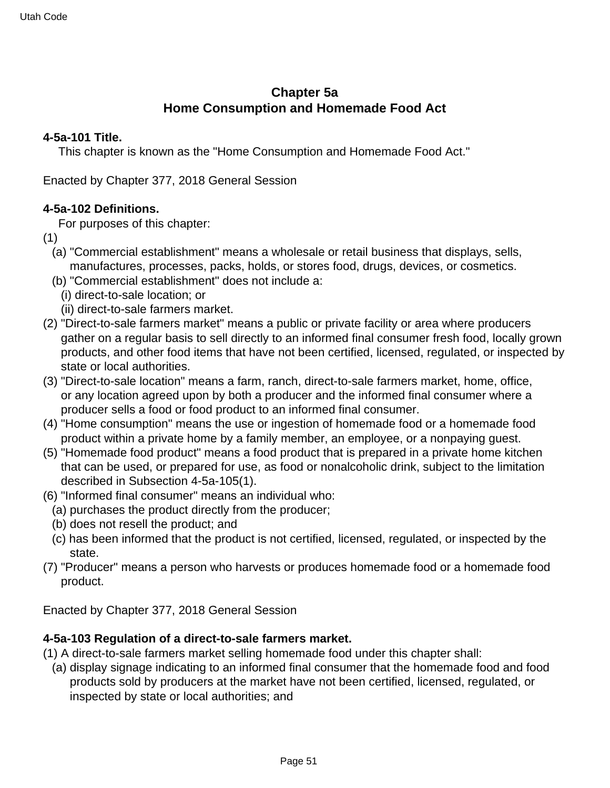# **Chapter 5a Home Consumption and Homemade Food Act**

#### **4-5a-101 Title.**

This chapter is known as the "Home Consumption and Homemade Food Act."

Enacted by Chapter 377, 2018 General Session

#### **4-5a-102 Definitions.**

For purposes of this chapter:

- (1)
	- (a) "Commercial establishment" means a wholesale or retail business that displays, sells, manufactures, processes, packs, holds, or stores food, drugs, devices, or cosmetics.
	- (b) "Commercial establishment" does not include a:
		- (i) direct-to-sale location; or
		- (ii) direct-to-sale farmers market.
- (2) "Direct-to-sale farmers market" means a public or private facility or area where producers gather on a regular basis to sell directly to an informed final consumer fresh food, locally grown products, and other food items that have not been certified, licensed, regulated, or inspected by state or local authorities.
- (3) "Direct-to-sale location" means a farm, ranch, direct-to-sale farmers market, home, office, or any location agreed upon by both a producer and the informed final consumer where a producer sells a food or food product to an informed final consumer.
- (4) "Home consumption" means the use or ingestion of homemade food or a homemade food product within a private home by a family member, an employee, or a nonpaying guest.
- (5) "Homemade food product" means a food product that is prepared in a private home kitchen that can be used, or prepared for use, as food or nonalcoholic drink, subject to the limitation described in Subsection 4-5a-105(1).
- (6) "Informed final consumer" means an individual who:
	- (a) purchases the product directly from the producer;
	- (b) does not resell the product; and
	- (c) has been informed that the product is not certified, licensed, regulated, or inspected by the state.
- (7) "Producer" means a person who harvests or produces homemade food or a homemade food product.

Enacted by Chapter 377, 2018 General Session

### **4-5a-103 Regulation of a direct-to-sale farmers market.**

- (1) A direct-to-sale farmers market selling homemade food under this chapter shall:
- (a) display signage indicating to an informed final consumer that the homemade food and food products sold by producers at the market have not been certified, licensed, regulated, or inspected by state or local authorities; and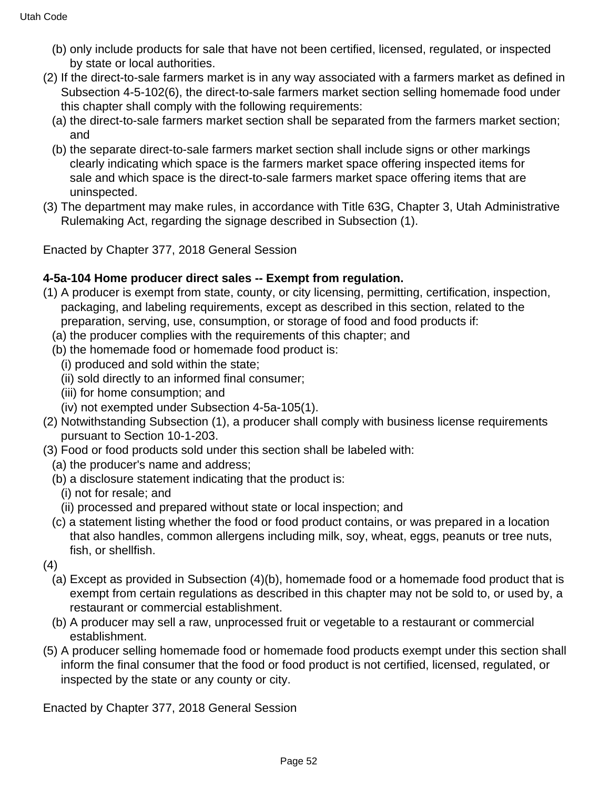- (b) only include products for sale that have not been certified, licensed, regulated, or inspected by state or local authorities.
- (2) If the direct-to-sale farmers market is in any way associated with a farmers market as defined in Subsection 4-5-102(6), the direct-to-sale farmers market section selling homemade food under this chapter shall comply with the following requirements:
	- (a) the direct-to-sale farmers market section shall be separated from the farmers market section; and
	- (b) the separate direct-to-sale farmers market section shall include signs or other markings clearly indicating which space is the farmers market space offering inspected items for sale and which space is the direct-to-sale farmers market space offering items that are uninspected.
- (3) The department may make rules, in accordance with Title 63G, Chapter 3, Utah Administrative Rulemaking Act, regarding the signage described in Subsection (1).

Enacted by Chapter 377, 2018 General Session

### **4-5a-104 Home producer direct sales -- Exempt from regulation.**

- (1) A producer is exempt from state, county, or city licensing, permitting, certification, inspection, packaging, and labeling requirements, except as described in this section, related to the preparation, serving, use, consumption, or storage of food and food products if:
	- (a) the producer complies with the requirements of this chapter; and
	- (b) the homemade food or homemade food product is:
		- (i) produced and sold within the state;
		- (ii) sold directly to an informed final consumer;
		- (iii) for home consumption; and
		- (iv) not exempted under Subsection 4-5a-105(1).
- (2) Notwithstanding Subsection (1), a producer shall comply with business license requirements pursuant to Section 10-1-203.
- (3) Food or food products sold under this section shall be labeled with:
	- (a) the producer's name and address;
	- (b) a disclosure statement indicating that the product is:
		- (i) not for resale; and
	- (ii) processed and prepared without state or local inspection; and
	- (c) a statement listing whether the food or food product contains, or was prepared in a location that also handles, common allergens including milk, soy, wheat, eggs, peanuts or tree nuts, fish, or shellfish.
- (4)
	- (a) Except as provided in Subsection (4)(b), homemade food or a homemade food product that is exempt from certain regulations as described in this chapter may not be sold to, or used by, a restaurant or commercial establishment.
	- (b) A producer may sell a raw, unprocessed fruit or vegetable to a restaurant or commercial establishment.
- (5) A producer selling homemade food or homemade food products exempt under this section shall inform the final consumer that the food or food product is not certified, licensed, regulated, or inspected by the state or any county or city.

Enacted by Chapter 377, 2018 General Session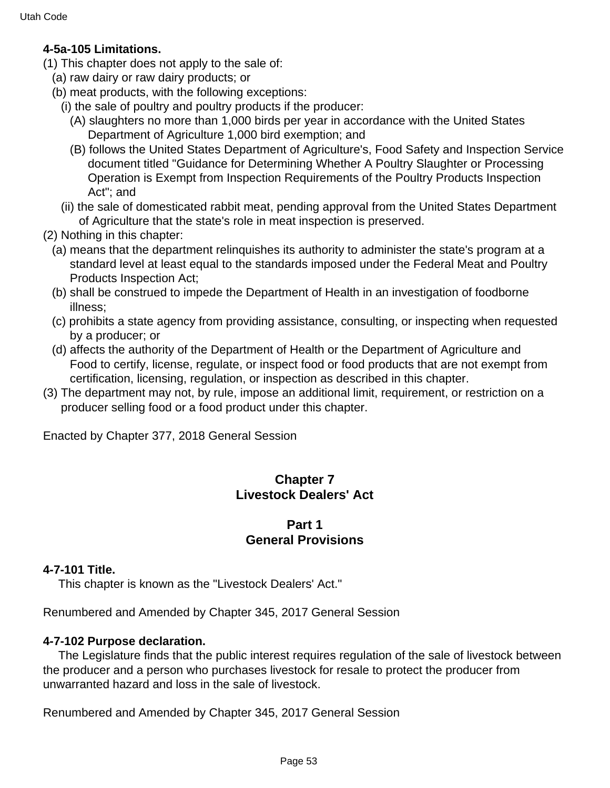#### **4-5a-105 Limitations.**

- (1) This chapter does not apply to the sale of:
	- (a) raw dairy or raw dairy products; or
	- (b) meat products, with the following exceptions:
		- (i) the sale of poultry and poultry products if the producer:
			- (A) slaughters no more than 1,000 birds per year in accordance with the United States Department of Agriculture 1,000 bird exemption; and
			- (B) follows the United States Department of Agriculture's, Food Safety and Inspection Service document titled "Guidance for Determining Whether A Poultry Slaughter or Processing Operation is Exempt from Inspection Requirements of the Poultry Products Inspection Act"; and
		- (ii) the sale of domesticated rabbit meat, pending approval from the United States Department of Agriculture that the state's role in meat inspection is preserved.
- (2) Nothing in this chapter:
	- (a) means that the department relinquishes its authority to administer the state's program at a standard level at least equal to the standards imposed under the Federal Meat and Poultry Products Inspection Act;
	- (b) shall be construed to impede the Department of Health in an investigation of foodborne illness;
	- (c) prohibits a state agency from providing assistance, consulting, or inspecting when requested by a producer; or
	- (d) affects the authority of the Department of Health or the Department of Agriculture and Food to certify, license, regulate, or inspect food or food products that are not exempt from certification, licensing, regulation, or inspection as described in this chapter.
- (3) The department may not, by rule, impose an additional limit, requirement, or restriction on a producer selling food or a food product under this chapter.

Enacted by Chapter 377, 2018 General Session

# **Chapter 7 Livestock Dealers' Act**

### **Part 1 General Provisions**

#### **4-7-101 Title.**

This chapter is known as the "Livestock Dealers' Act."

Renumbered and Amended by Chapter 345, 2017 General Session

#### **4-7-102 Purpose declaration.**

 The Legislature finds that the public interest requires regulation of the sale of livestock between the producer and a person who purchases livestock for resale to protect the producer from unwarranted hazard and loss in the sale of livestock.

Renumbered and Amended by Chapter 345, 2017 General Session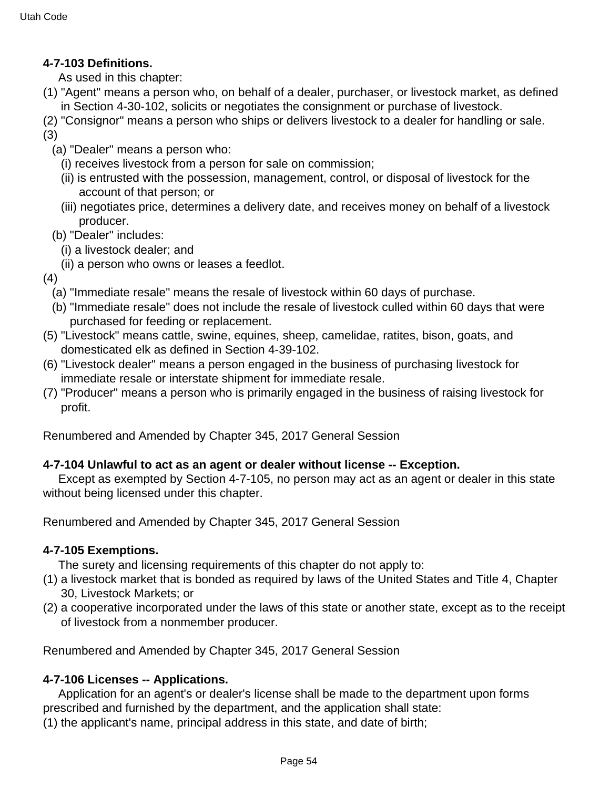### **4-7-103 Definitions.**

As used in this chapter:

- (1) "Agent" means a person who, on behalf of a dealer, purchaser, or livestock market, as defined in Section 4-30-102, solicits or negotiates the consignment or purchase of livestock.
- (2) "Consignor" means a person who ships or delivers livestock to a dealer for handling or sale.

(3)

- (a) "Dealer" means a person who:
	- (i) receives livestock from a person for sale on commission;
	- (ii) is entrusted with the possession, management, control, or disposal of livestock for the account of that person; or
	- (iii) negotiates price, determines a delivery date, and receives money on behalf of a livestock producer.
- (b) "Dealer" includes:
	- (i) a livestock dealer; and
	- (ii) a person who owns or leases a feedlot.

(4)

- (a) "Immediate resale" means the resale of livestock within 60 days of purchase.
- (b) "Immediate resale" does not include the resale of livestock culled within 60 days that were purchased for feeding or replacement.
- (5) "Livestock" means cattle, swine, equines, sheep, camelidae, ratites, bison, goats, and domesticated elk as defined in Section 4-39-102.
- (6) "Livestock dealer" means a person engaged in the business of purchasing livestock for immediate resale or interstate shipment for immediate resale.
- (7) "Producer" means a person who is primarily engaged in the business of raising livestock for profit.

Renumbered and Amended by Chapter 345, 2017 General Session

#### **4-7-104 Unlawful to act as an agent or dealer without license -- Exception.**

 Except as exempted by Section 4-7-105, no person may act as an agent or dealer in this state without being licensed under this chapter.

Renumbered and Amended by Chapter 345, 2017 General Session

#### **4-7-105 Exemptions.**

The surety and licensing requirements of this chapter do not apply to:

- (1) a livestock market that is bonded as required by laws of the United States and Title 4, Chapter 30, Livestock Markets; or
- (2) a cooperative incorporated under the laws of this state or another state, except as to the receipt of livestock from a nonmember producer.

Renumbered and Amended by Chapter 345, 2017 General Session

### **4-7-106 Licenses -- Applications.**

 Application for an agent's or dealer's license shall be made to the department upon forms prescribed and furnished by the department, and the application shall state:

(1) the applicant's name, principal address in this state, and date of birth;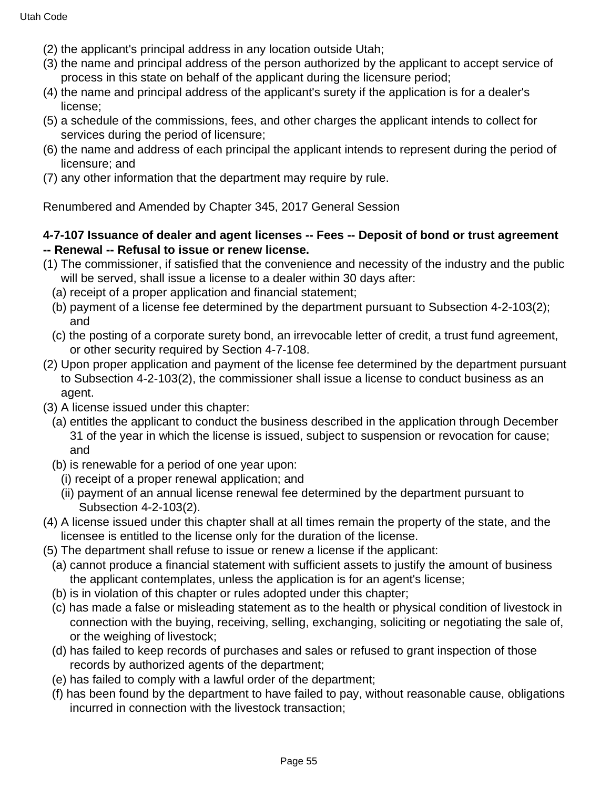- (2) the applicant's principal address in any location outside Utah;
- (3) the name and principal address of the person authorized by the applicant to accept service of process in this state on behalf of the applicant during the licensure period;
- (4) the name and principal address of the applicant's surety if the application is for a dealer's license;
- (5) a schedule of the commissions, fees, and other charges the applicant intends to collect for services during the period of licensure;
- (6) the name and address of each principal the applicant intends to represent during the period of licensure; and
- (7) any other information that the department may require by rule.

#### **4-7-107 Issuance of dealer and agent licenses -- Fees -- Deposit of bond or trust agreement -- Renewal -- Refusal to issue or renew license.**

- (1) The commissioner, if satisfied that the convenience and necessity of the industry and the public will be served, shall issue a license to a dealer within 30 days after:
	- (a) receipt of a proper application and financial statement;
	- (b) payment of a license fee determined by the department pursuant to Subsection 4-2-103(2); and
	- (c) the posting of a corporate surety bond, an irrevocable letter of credit, a trust fund agreement, or other security required by Section 4-7-108.
- (2) Upon proper application and payment of the license fee determined by the department pursuant to Subsection 4-2-103(2), the commissioner shall issue a license to conduct business as an agent.
- (3) A license issued under this chapter:
	- (a) entitles the applicant to conduct the business described in the application through December 31 of the year in which the license is issued, subject to suspension or revocation for cause; and
	- (b) is renewable for a period of one year upon:
		- (i) receipt of a proper renewal application; and
		- (ii) payment of an annual license renewal fee determined by the department pursuant to Subsection 4-2-103(2).
- (4) A license issued under this chapter shall at all times remain the property of the state, and the licensee is entitled to the license only for the duration of the license.
- (5) The department shall refuse to issue or renew a license if the applicant:
	- (a) cannot produce a financial statement with sufficient assets to justify the amount of business the applicant contemplates, unless the application is for an agent's license;
	- (b) is in violation of this chapter or rules adopted under this chapter;
	- (c) has made a false or misleading statement as to the health or physical condition of livestock in connection with the buying, receiving, selling, exchanging, soliciting or negotiating the sale of, or the weighing of livestock;
	- (d) has failed to keep records of purchases and sales or refused to grant inspection of those records by authorized agents of the department;
	- (e) has failed to comply with a lawful order of the department;
	- (f) has been found by the department to have failed to pay, without reasonable cause, obligations incurred in connection with the livestock transaction;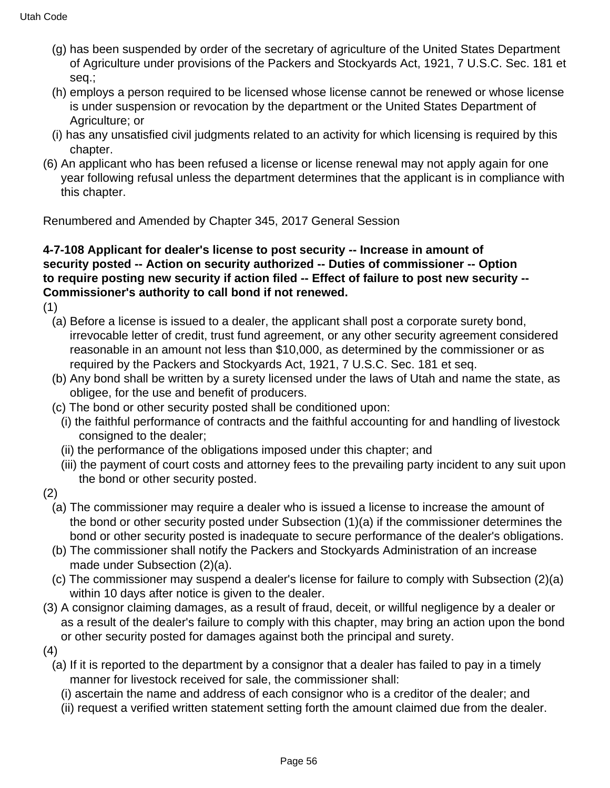- (g) has been suspended by order of the secretary of agriculture of the United States Department of Agriculture under provisions of the Packers and Stockyards Act, 1921, 7 U.S.C. Sec. 181 et seq.;
- (h) employs a person required to be licensed whose license cannot be renewed or whose license is under suspension or revocation by the department or the United States Department of Agriculture; or
- (i) has any unsatisfied civil judgments related to an activity for which licensing is required by this chapter.
- (6) An applicant who has been refused a license or license renewal may not apply again for one year following refusal unless the department determines that the applicant is in compliance with this chapter.

### **4-7-108 Applicant for dealer's license to post security -- Increase in amount of security posted -- Action on security authorized -- Duties of commissioner -- Option to require posting new security if action filed -- Effect of failure to post new security -- Commissioner's authority to call bond if not renewed.**

- (1)
	- (a) Before a license is issued to a dealer, the applicant shall post a corporate surety bond, irrevocable letter of credit, trust fund agreement, or any other security agreement considered reasonable in an amount not less than \$10,000, as determined by the commissioner or as required by the Packers and Stockyards Act, 1921, 7 U.S.C. Sec. 181 et seq.
	- (b) Any bond shall be written by a surety licensed under the laws of Utah and name the state, as obligee, for the use and benefit of producers.
	- (c) The bond or other security posted shall be conditioned upon:
		- (i) the faithful performance of contracts and the faithful accounting for and handling of livestock consigned to the dealer;
		- (ii) the performance of the obligations imposed under this chapter; and
		- (iii) the payment of court costs and attorney fees to the prevailing party incident to any suit upon the bond or other security posted.
- (2)
	- (a) The commissioner may require a dealer who is issued a license to increase the amount of the bond or other security posted under Subsection (1)(a) if the commissioner determines the bond or other security posted is inadequate to secure performance of the dealer's obligations.
	- (b) The commissioner shall notify the Packers and Stockyards Administration of an increase made under Subsection (2)(a).
	- (c) The commissioner may suspend a dealer's license for failure to comply with Subsection (2)(a) within 10 days after notice is given to the dealer.
- (3) A consignor claiming damages, as a result of fraud, deceit, or willful negligence by a dealer or as a result of the dealer's failure to comply with this chapter, may bring an action upon the bond or other security posted for damages against both the principal and surety.
- (4)
	- (a) If it is reported to the department by a consignor that a dealer has failed to pay in a timely manner for livestock received for sale, the commissioner shall:
		- (i) ascertain the name and address of each consignor who is a creditor of the dealer; and
		- (ii) request a verified written statement setting forth the amount claimed due from the dealer.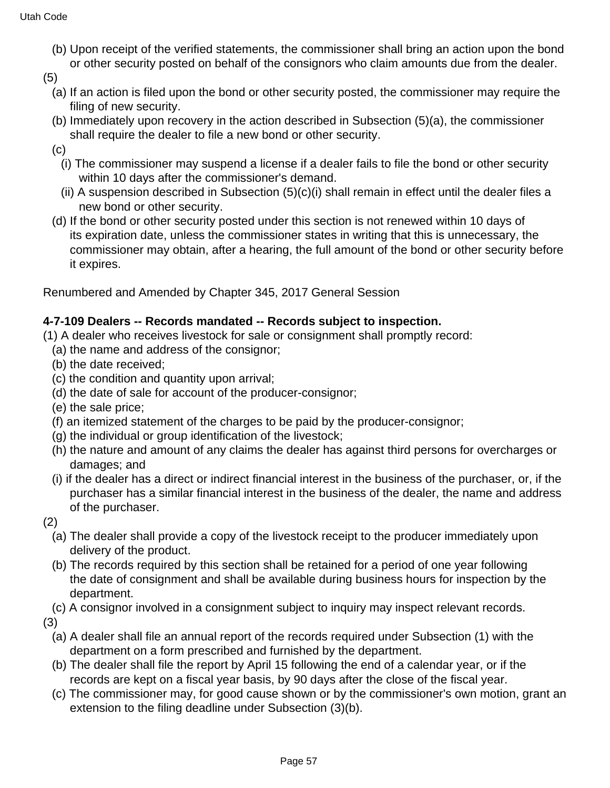(b) Upon receipt of the verified statements, the commissioner shall bring an action upon the bond or other security posted on behalf of the consignors who claim amounts due from the dealer.

(5)

- (a) If an action is filed upon the bond or other security posted, the commissioner may require the filing of new security.
- (b) Immediately upon recovery in the action described in Subsection (5)(a), the commissioner shall require the dealer to file a new bond or other security.
- (c)
	- (i) The commissioner may suspend a license if a dealer fails to file the bond or other security within 10 days after the commissioner's demand.
	- (ii) A suspension described in Subsection (5)(c)(i) shall remain in effect until the dealer files a new bond or other security.
- (d) If the bond or other security posted under this section is not renewed within 10 days of its expiration date, unless the commissioner states in writing that this is unnecessary, the commissioner may obtain, after a hearing, the full amount of the bond or other security before it expires.

Renumbered and Amended by Chapter 345, 2017 General Session

### **4-7-109 Dealers -- Records mandated -- Records subject to inspection.**

- (1) A dealer who receives livestock for sale or consignment shall promptly record:
	- (a) the name and address of the consignor;
	- (b) the date received;
	- (c) the condition and quantity upon arrival;
	- (d) the date of sale for account of the producer-consignor;
	- (e) the sale price;
	- (f) an itemized statement of the charges to be paid by the producer-consignor;
	- (g) the individual or group identification of the livestock;
	- (h) the nature and amount of any claims the dealer has against third persons for overcharges or damages; and
	- (i) if the dealer has a direct or indirect financial interest in the business of the purchaser, or, if the purchaser has a similar financial interest in the business of the dealer, the name and address of the purchaser.
- (2)
	- (a) The dealer shall provide a copy of the livestock receipt to the producer immediately upon delivery of the product.
	- (b) The records required by this section shall be retained for a period of one year following the date of consignment and shall be available during business hours for inspection by the department.
- (c) A consignor involved in a consignment subject to inquiry may inspect relevant records.

(3)

- (a) A dealer shall file an annual report of the records required under Subsection (1) with the department on a form prescribed and furnished by the department.
- (b) The dealer shall file the report by April 15 following the end of a calendar year, or if the records are kept on a fiscal year basis, by 90 days after the close of the fiscal year.
- (c) The commissioner may, for good cause shown or by the commissioner's own motion, grant an extension to the filing deadline under Subsection (3)(b).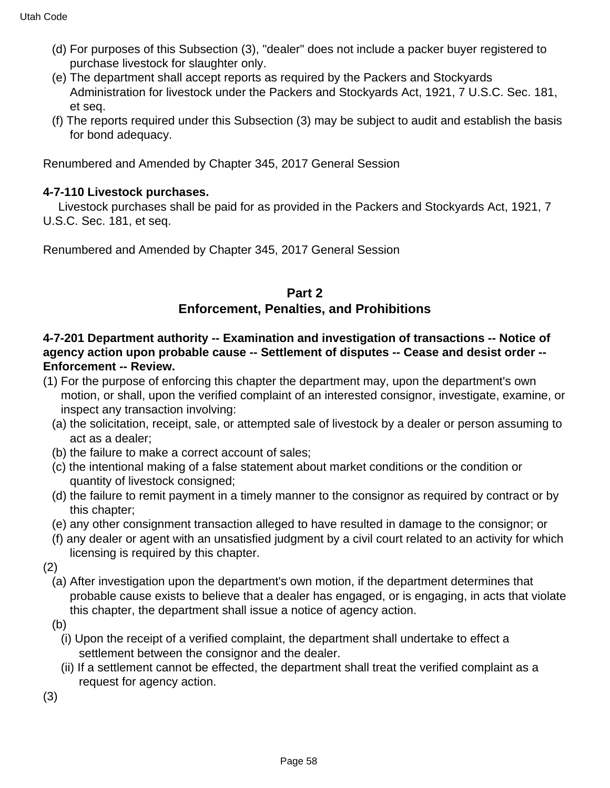- (d) For purposes of this Subsection (3), "dealer" does not include a packer buyer registered to purchase livestock for slaughter only.
- (e) The department shall accept reports as required by the Packers and Stockyards Administration for livestock under the Packers and Stockyards Act, 1921, 7 U.S.C. Sec. 181, et seq.
- (f) The reports required under this Subsection (3) may be subject to audit and establish the basis for bond adequacy.

#### **4-7-110 Livestock purchases.**

 Livestock purchases shall be paid for as provided in the Packers and Stockyards Act, 1921, 7 U.S.C. Sec. 181, et seq.

Renumbered and Amended by Chapter 345, 2017 General Session

### **Part 2**

### **Enforcement, Penalties, and Prohibitions**

#### **4-7-201 Department authority -- Examination and investigation of transactions -- Notice of agency action upon probable cause -- Settlement of disputes -- Cease and desist order -- Enforcement -- Review.**

- (1) For the purpose of enforcing this chapter the department may, upon the department's own motion, or shall, upon the verified complaint of an interested consignor, investigate, examine, or inspect any transaction involving:
	- (a) the solicitation, receipt, sale, or attempted sale of livestock by a dealer or person assuming to act as a dealer;
	- (b) the failure to make a correct account of sales;
	- (c) the intentional making of a false statement about market conditions or the condition or quantity of livestock consigned;
	- (d) the failure to remit payment in a timely manner to the consignor as required by contract or by this chapter;
	- (e) any other consignment transaction alleged to have resulted in damage to the consignor; or
	- (f) any dealer or agent with an unsatisfied judgment by a civil court related to an activity for which licensing is required by this chapter.
- (2)
	- (a) After investigation upon the department's own motion, if the department determines that probable cause exists to believe that a dealer has engaged, or is engaging, in acts that violate this chapter, the department shall issue a notice of agency action.
	- (b)
		- (i) Upon the receipt of a verified complaint, the department shall undertake to effect a settlement between the consignor and the dealer.
		- (ii) If a settlement cannot be effected, the department shall treat the verified complaint as a request for agency action.

(3)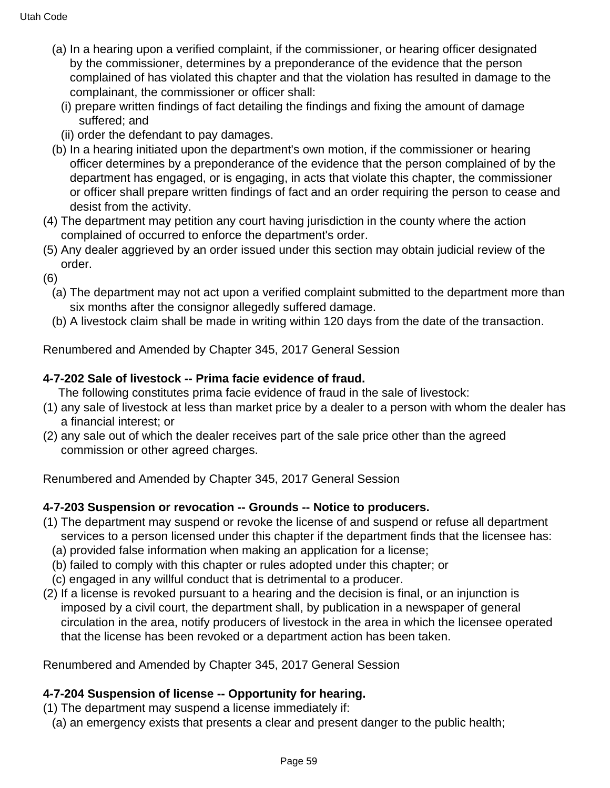- (a) In a hearing upon a verified complaint, if the commissioner, or hearing officer designated by the commissioner, determines by a preponderance of the evidence that the person complained of has violated this chapter and that the violation has resulted in damage to the complainant, the commissioner or officer shall:
	- (i) prepare written findings of fact detailing the findings and fixing the amount of damage suffered; and
	- (ii) order the defendant to pay damages.
- (b) In a hearing initiated upon the department's own motion, if the commissioner or hearing officer determines by a preponderance of the evidence that the person complained of by the department has engaged, or is engaging, in acts that violate this chapter, the commissioner or officer shall prepare written findings of fact and an order requiring the person to cease and desist from the activity.
- (4) The department may petition any court having jurisdiction in the county where the action complained of occurred to enforce the department's order.
- (5) Any dealer aggrieved by an order issued under this section may obtain judicial review of the order.
- (6)
	- (a) The department may not act upon a verified complaint submitted to the department more than six months after the consignor allegedly suffered damage.
	- (b) A livestock claim shall be made in writing within 120 days from the date of the transaction.

### **4-7-202 Sale of livestock -- Prima facie evidence of fraud.**

The following constitutes prima facie evidence of fraud in the sale of livestock:

- (1) any sale of livestock at less than market price by a dealer to a person with whom the dealer has a financial interest; or
- (2) any sale out of which the dealer receives part of the sale price other than the agreed commission or other agreed charges.

Renumbered and Amended by Chapter 345, 2017 General Session

### **4-7-203 Suspension or revocation -- Grounds -- Notice to producers.**

- (1) The department may suspend or revoke the license of and suspend or refuse all department services to a person licensed under this chapter if the department finds that the licensee has:
	- (a) provided false information when making an application for a license;
	- (b) failed to comply with this chapter or rules adopted under this chapter; or
	- (c) engaged in any willful conduct that is detrimental to a producer.
- (2) If a license is revoked pursuant to a hearing and the decision is final, or an injunction is imposed by a civil court, the department shall, by publication in a newspaper of general circulation in the area, notify producers of livestock in the area in which the licensee operated that the license has been revoked or a department action has been taken.

Renumbered and Amended by Chapter 345, 2017 General Session

### **4-7-204 Suspension of license -- Opportunity for hearing.**

- (1) The department may suspend a license immediately if:
	- (a) an emergency exists that presents a clear and present danger to the public health;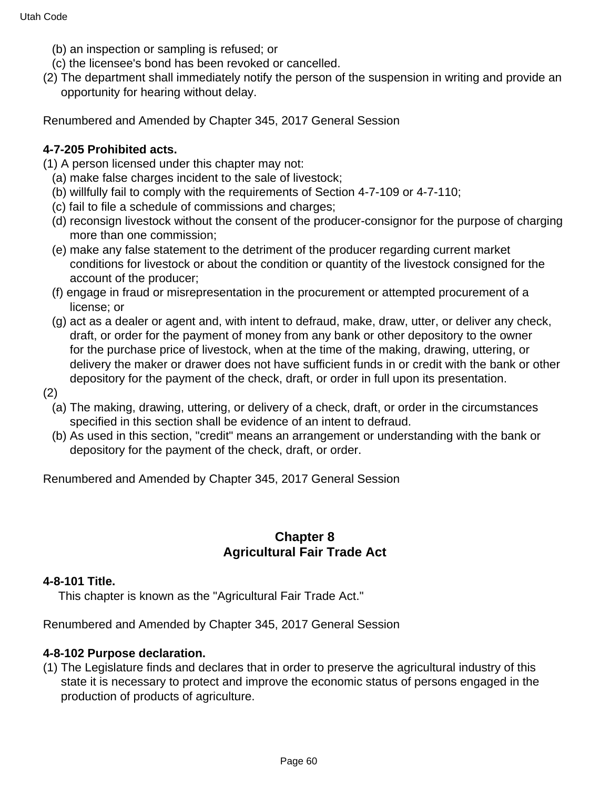- (b) an inspection or sampling is refused; or
- (c) the licensee's bond has been revoked or cancelled.
- (2) The department shall immediately notify the person of the suspension in writing and provide an opportunity for hearing without delay.

### **4-7-205 Prohibited acts.**

(1) A person licensed under this chapter may not:

- (a) make false charges incident to the sale of livestock;
- (b) willfully fail to comply with the requirements of Section 4-7-109 or 4-7-110;
- (c) fail to file a schedule of commissions and charges;
- (d) reconsign livestock without the consent of the producer-consignor for the purpose of charging more than one commission;
- (e) make any false statement to the detriment of the producer regarding current market conditions for livestock or about the condition or quantity of the livestock consigned for the account of the producer;
- (f) engage in fraud or misrepresentation in the procurement or attempted procurement of a license; or
- (g) act as a dealer or agent and, with intent to defraud, make, draw, utter, or deliver any check, draft, or order for the payment of money from any bank or other depository to the owner for the purchase price of livestock, when at the time of the making, drawing, uttering, or delivery the maker or drawer does not have sufficient funds in or credit with the bank or other depository for the payment of the check, draft, or order in full upon its presentation.
- (2)
	- (a) The making, drawing, uttering, or delivery of a check, draft, or order in the circumstances specified in this section shall be evidence of an intent to defraud.
	- (b) As used in this section, "credit" means an arrangement or understanding with the bank or depository for the payment of the check, draft, or order.

Renumbered and Amended by Chapter 345, 2017 General Session

### **Chapter 8 Agricultural Fair Trade Act**

#### **4-8-101 Title.**

This chapter is known as the "Agricultural Fair Trade Act."

Renumbered and Amended by Chapter 345, 2017 General Session

#### **4-8-102 Purpose declaration.**

(1) The Legislature finds and declares that in order to preserve the agricultural industry of this state it is necessary to protect and improve the economic status of persons engaged in the production of products of agriculture.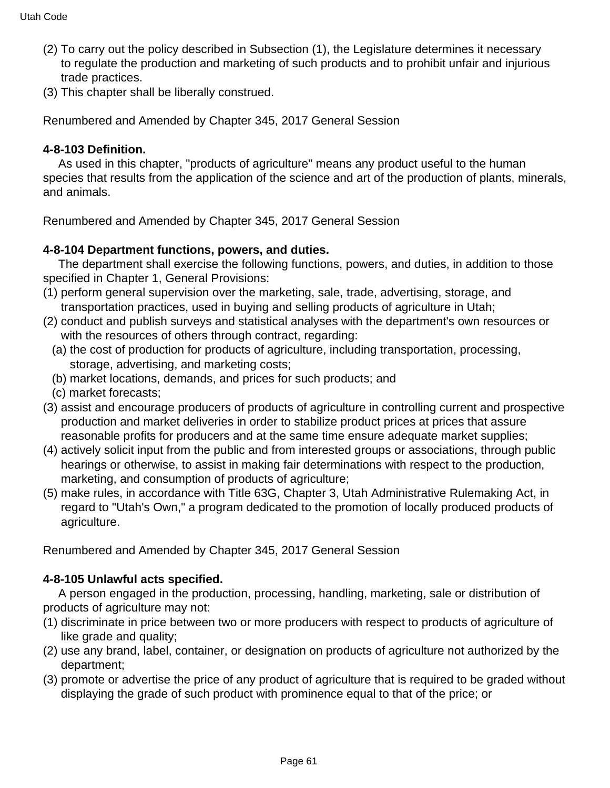- (2) To carry out the policy described in Subsection (1), the Legislature determines it necessary to regulate the production and marketing of such products and to prohibit unfair and injurious trade practices.
- (3) This chapter shall be liberally construed.

#### **4-8-103 Definition.**

 As used in this chapter, "products of agriculture" means any product useful to the human species that results from the application of the science and art of the production of plants, minerals, and animals.

Renumbered and Amended by Chapter 345, 2017 General Session

### **4-8-104 Department functions, powers, and duties.**

 The department shall exercise the following functions, powers, and duties, in addition to those specified in Chapter 1, General Provisions:

- (1) perform general supervision over the marketing, sale, trade, advertising, storage, and transportation practices, used in buying and selling products of agriculture in Utah;
- (2) conduct and publish surveys and statistical analyses with the department's own resources or with the resources of others through contract, regarding:
	- (a) the cost of production for products of agriculture, including transportation, processing, storage, advertising, and marketing costs;
	- (b) market locations, demands, and prices for such products; and
- (c) market forecasts;
- (3) assist and encourage producers of products of agriculture in controlling current and prospective production and market deliveries in order to stabilize product prices at prices that assure reasonable profits for producers and at the same time ensure adequate market supplies;
- (4) actively solicit input from the public and from interested groups or associations, through public hearings or otherwise, to assist in making fair determinations with respect to the production, marketing, and consumption of products of agriculture;
- (5) make rules, in accordance with Title 63G, Chapter 3, Utah Administrative Rulemaking Act, in regard to "Utah's Own," a program dedicated to the promotion of locally produced products of agriculture.

Renumbered and Amended by Chapter 345, 2017 General Session

### **4-8-105 Unlawful acts specified.**

 A person engaged in the production, processing, handling, marketing, sale or distribution of products of agriculture may not:

- (1) discriminate in price between two or more producers with respect to products of agriculture of like grade and quality;
- (2) use any brand, label, container, or designation on products of agriculture not authorized by the department;
- (3) promote or advertise the price of any product of agriculture that is required to be graded without displaying the grade of such product with prominence equal to that of the price; or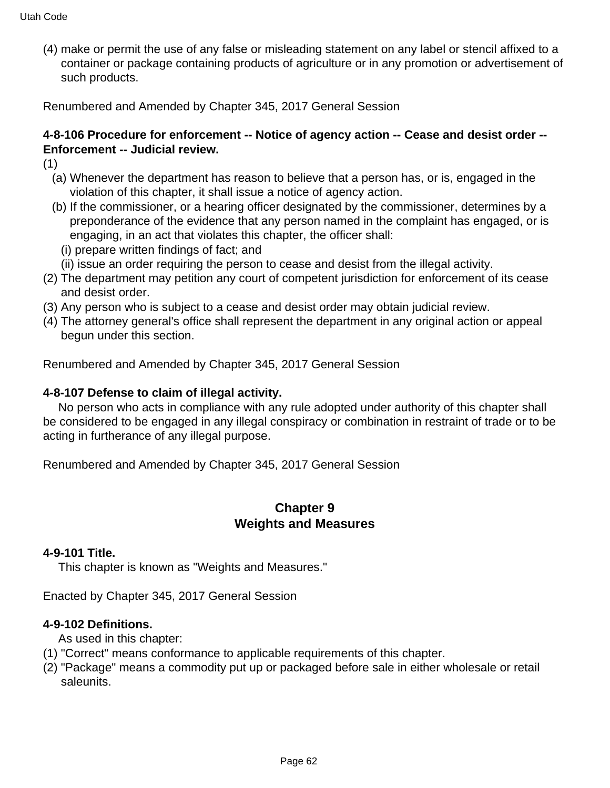(4) make or permit the use of any false or misleading statement on any label or stencil affixed to a container or package containing products of agriculture or in any promotion or advertisement of such products.

Renumbered and Amended by Chapter 345, 2017 General Session

# **4-8-106 Procedure for enforcement -- Notice of agency action -- Cease and desist order -- Enforcement -- Judicial review.**

- (1)
	- (a) Whenever the department has reason to believe that a person has, or is, engaged in the violation of this chapter, it shall issue a notice of agency action.
	- (b) If the commissioner, or a hearing officer designated by the commissioner, determines by a preponderance of the evidence that any person named in the complaint has engaged, or is engaging, in an act that violates this chapter, the officer shall:
		- (i) prepare written findings of fact; and
	- (ii) issue an order requiring the person to cease and desist from the illegal activity.
- (2) The department may petition any court of competent jurisdiction for enforcement of its cease and desist order.
- (3) Any person who is subject to a cease and desist order may obtain judicial review.
- (4) The attorney general's office shall represent the department in any original action or appeal begun under this section.

Renumbered and Amended by Chapter 345, 2017 General Session

#### **4-8-107 Defense to claim of illegal activity.**

 No person who acts in compliance with any rule adopted under authority of this chapter shall be considered to be engaged in any illegal conspiracy or combination in restraint of trade or to be acting in furtherance of any illegal purpose.

Renumbered and Amended by Chapter 345, 2017 General Session

### **Chapter 9 Weights and Measures**

#### **4-9-101 Title.**

This chapter is known as "Weights and Measures."

Enacted by Chapter 345, 2017 General Session

#### **4-9-102 Definitions.**

As used in this chapter:

- (1) "Correct" means conformance to applicable requirements of this chapter.
- (2) "Package" means a commodity put up or packaged before sale in either wholesale or retail saleunits.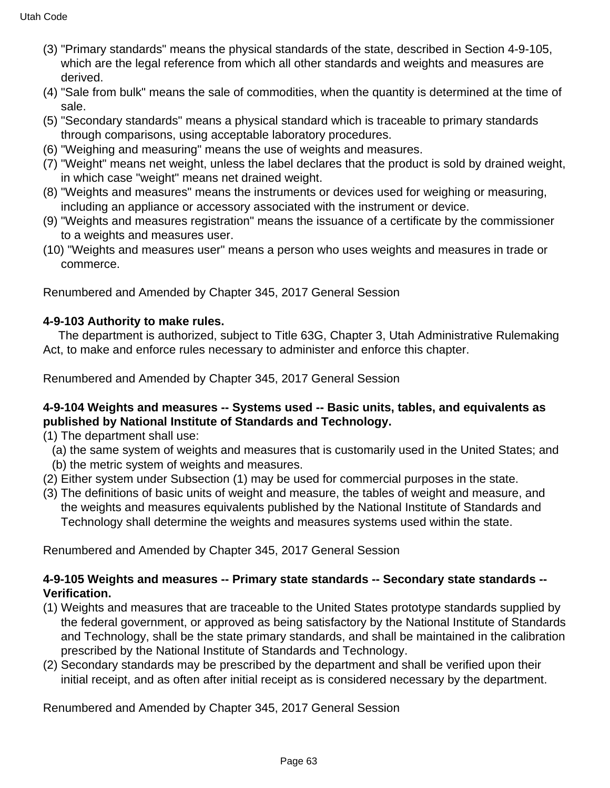- (3) "Primary standards" means the physical standards of the state, described in Section 4-9-105, which are the legal reference from which all other standards and weights and measures are derived.
- (4) "Sale from bulk" means the sale of commodities, when the quantity is determined at the time of sale.
- (5) "Secondary standards" means a physical standard which is traceable to primary standards through comparisons, using acceptable laboratory procedures.
- (6) "Weighing and measuring" means the use of weights and measures.
- (7) "Weight" means net weight, unless the label declares that the product is sold by drained weight, in which case "weight" means net drained weight.
- (8) "Weights and measures" means the instruments or devices used for weighing or measuring, including an appliance or accessory associated with the instrument or device.
- (9) "Weights and measures registration" means the issuance of a certificate by the commissioner to a weights and measures user.
- (10) "Weights and measures user" means a person who uses weights and measures in trade or commerce.

# **4-9-103 Authority to make rules.**

 The department is authorized, subject to Title 63G, Chapter 3, Utah Administrative Rulemaking Act, to make and enforce rules necessary to administer and enforce this chapter.

Renumbered and Amended by Chapter 345, 2017 General Session

### **4-9-104 Weights and measures -- Systems used -- Basic units, tables, and equivalents as published by National Institute of Standards and Technology.**

- (1) The department shall use:
	- (a) the same system of weights and measures that is customarily used in the United States; and (b) the metric system of weights and measures.
- (2) Either system under Subsection (1) may be used for commercial purposes in the state.
- (3) The definitions of basic units of weight and measure, the tables of weight and measure, and the weights and measures equivalents published by the National Institute of Standards and Technology shall determine the weights and measures systems used within the state.

Renumbered and Amended by Chapter 345, 2017 General Session

# **4-9-105 Weights and measures -- Primary state standards -- Secondary state standards -- Verification.**

- (1) Weights and measures that are traceable to the United States prototype standards supplied by the federal government, or approved as being satisfactory by the National Institute of Standards and Technology, shall be the state primary standards, and shall be maintained in the calibration prescribed by the National Institute of Standards and Technology.
- (2) Secondary standards may be prescribed by the department and shall be verified upon their initial receipt, and as often after initial receipt as is considered necessary by the department.

Renumbered and Amended by Chapter 345, 2017 General Session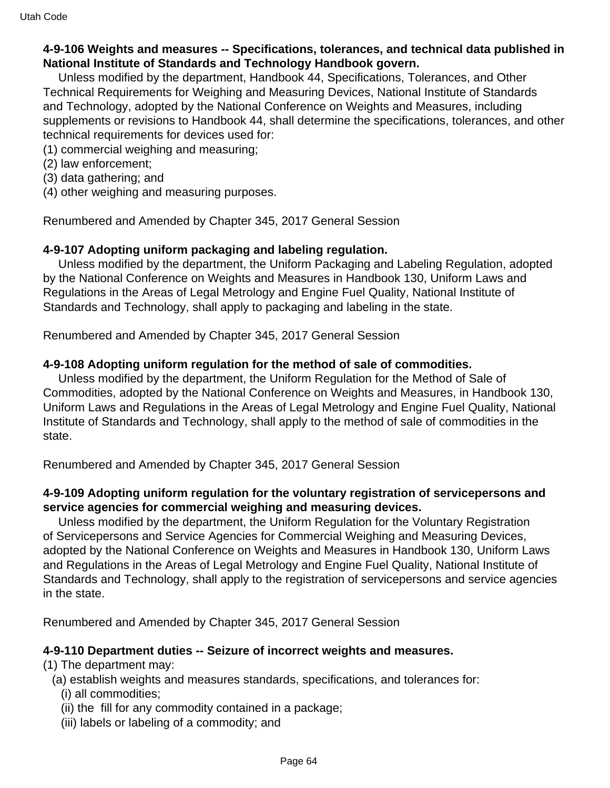#### **4-9-106 Weights and measures -- Specifications, tolerances, and technical data published in National Institute of Standards and Technology Handbook govern.**

 Unless modified by the department, Handbook 44, Specifications, Tolerances, and Other Technical Requirements for Weighing and Measuring Devices, National Institute of Standards and Technology, adopted by the National Conference on Weights and Measures, including supplements or revisions to Handbook 44, shall determine the specifications, tolerances, and other technical requirements for devices used for:

- (1) commercial weighing and measuring;
- (2) law enforcement;
- (3) data gathering; and
- (4) other weighing and measuring purposes.

Renumbered and Amended by Chapter 345, 2017 General Session

#### **4-9-107 Adopting uniform packaging and labeling regulation.**

 Unless modified by the department, the Uniform Packaging and Labeling Regulation, adopted by the National Conference on Weights and Measures in Handbook 130, Uniform Laws and Regulations in the Areas of Legal Metrology and Engine Fuel Quality, National Institute of Standards and Technology, shall apply to packaging and labeling in the state.

Renumbered and Amended by Chapter 345, 2017 General Session

#### **4-9-108 Adopting uniform regulation for the method of sale of commodities.**

 Unless modified by the department, the Uniform Regulation for the Method of Sale of Commodities, adopted by the National Conference on Weights and Measures, in Handbook 130, Uniform Laws and Regulations in the Areas of Legal Metrology and Engine Fuel Quality, National Institute of Standards and Technology, shall apply to the method of sale of commodities in the state.

Renumbered and Amended by Chapter 345, 2017 General Session

#### **4-9-109 Adopting uniform regulation for the voluntary registration of servicepersons and service agencies for commercial weighing and measuring devices.**

 Unless modified by the department, the Uniform Regulation for the Voluntary Registration of Servicepersons and Service Agencies for Commercial Weighing and Measuring Devices, adopted by the National Conference on Weights and Measures in Handbook 130, Uniform Laws and Regulations in the Areas of Legal Metrology and Engine Fuel Quality, National Institute of Standards and Technology, shall apply to the registration of servicepersons and service agencies in the state.

Renumbered and Amended by Chapter 345, 2017 General Session

#### **4-9-110 Department duties -- Seizure of incorrect weights and measures.**

- (1) The department may:
	- (a) establish weights and measures standards, specifications, and tolerances for:
		- (i) all commodities;
		- (ii) the fill for any commodity contained in a package;
		- (iii) labels or labeling of a commodity; and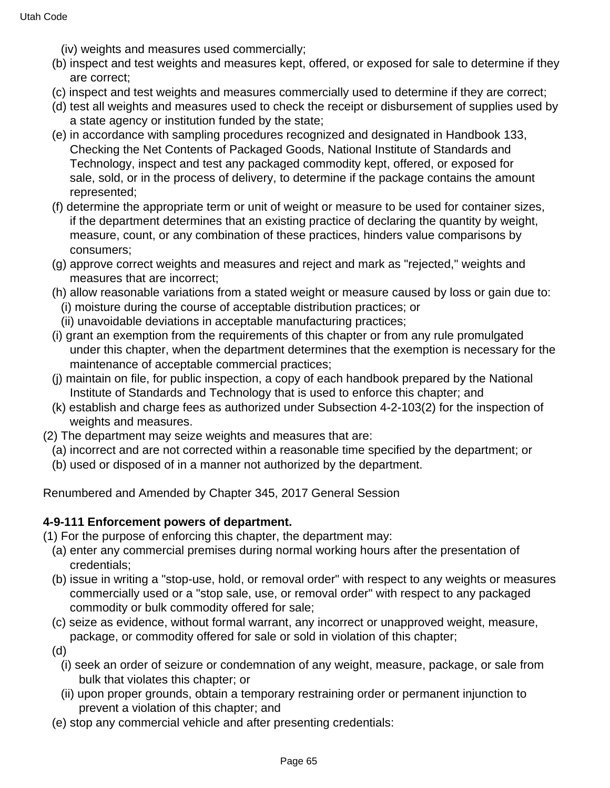- (iv) weights and measures used commercially;
- (b) inspect and test weights and measures kept, offered, or exposed for sale to determine if they are correct;
- (c) inspect and test weights and measures commercially used to determine if they are correct;
- (d) test all weights and measures used to check the receipt or disbursement of supplies used by a state agency or institution funded by the state;
- (e) in accordance with sampling procedures recognized and designated in Handbook 133, Checking the Net Contents of Packaged Goods, National Institute of Standards and Technology, inspect and test any packaged commodity kept, offered, or exposed for sale, sold, or in the process of delivery, to determine if the package contains the amount represented;
- (f) determine the appropriate term or unit of weight or measure to be used for container sizes, if the department determines that an existing practice of declaring the quantity by weight, measure, count, or any combination of these practices, hinders value comparisons by consumers;
- (g) approve correct weights and measures and reject and mark as "rejected," weights and measures that are incorrect;
- (h) allow reasonable variations from a stated weight or measure caused by loss or gain due to: (i) moisture during the course of acceptable distribution practices; or
- (ii) unavoidable deviations in acceptable manufacturing practices;
- (i) grant an exemption from the requirements of this chapter or from any rule promulgated under this chapter, when the department determines that the exemption is necessary for the maintenance of acceptable commercial practices;
- (j) maintain on file, for public inspection, a copy of each handbook prepared by the National Institute of Standards and Technology that is used to enforce this chapter; and
- (k) establish and charge fees as authorized under Subsection 4-2-103(2) for the inspection of weights and measures.
- (2) The department may seize weights and measures that are:
	- (a) incorrect and are not corrected within a reasonable time specified by the department; or
	- (b) used or disposed of in a manner not authorized by the department.

#### **4-9-111 Enforcement powers of department.**

(1) For the purpose of enforcing this chapter, the department may:

- (a) enter any commercial premises during normal working hours after the presentation of credentials;
- (b) issue in writing a "stop-use, hold, or removal order" with respect to any weights or measures commercially used or a "stop sale, use, or removal order" with respect to any packaged commodity or bulk commodity offered for sale;
- (c) seize as evidence, without formal warrant, any incorrect or unapproved weight, measure, package, or commodity offered for sale or sold in violation of this chapter;
- (d)
	- (i) seek an order of seizure or condemnation of any weight, measure, package, or sale from bulk that violates this chapter; or
	- (ii) upon proper grounds, obtain a temporary restraining order or permanent injunction to prevent a violation of this chapter; and
- (e) stop any commercial vehicle and after presenting credentials: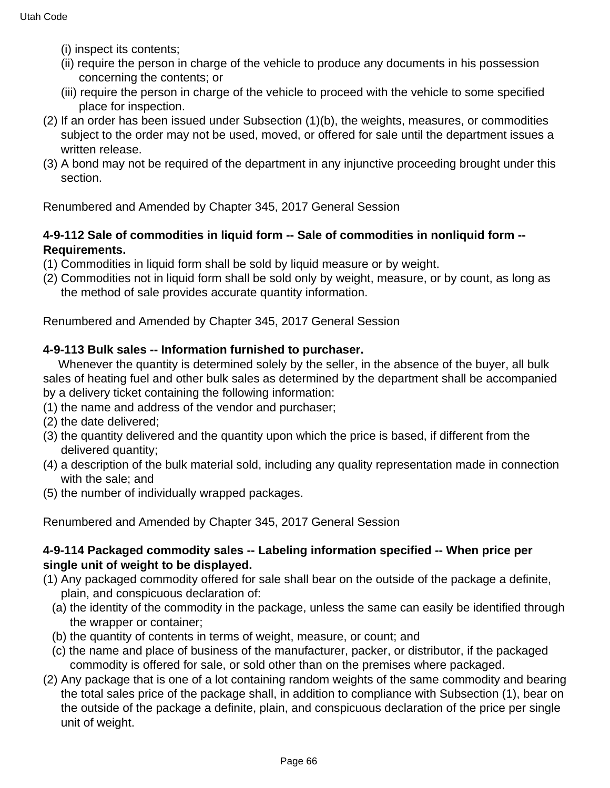- (i) inspect its contents;
- (ii) require the person in charge of the vehicle to produce any documents in his possession concerning the contents; or
- (iii) require the person in charge of the vehicle to proceed with the vehicle to some specified place for inspection.
- (2) If an order has been issued under Subsection (1)(b), the weights, measures, or commodities subject to the order may not be used, moved, or offered for sale until the department issues a written release.
- (3) A bond may not be required of the department in any injunctive proceeding brought under this section.

### **4-9-112 Sale of commodities in liquid form -- Sale of commodities in nonliquid form -- Requirements.**

- (1) Commodities in liquid form shall be sold by liquid measure or by weight.
- (2) Commodities not in liquid form shall be sold only by weight, measure, or by count, as long as the method of sale provides accurate quantity information.

Renumbered and Amended by Chapter 345, 2017 General Session

### **4-9-113 Bulk sales -- Information furnished to purchaser.**

 Whenever the quantity is determined solely by the seller, in the absence of the buyer, all bulk sales of heating fuel and other bulk sales as determined by the department shall be accompanied by a delivery ticket containing the following information:

- (1) the name and address of the vendor and purchaser;
- (2) the date delivered;
- (3) the quantity delivered and the quantity upon which the price is based, if different from the delivered quantity;
- (4) a description of the bulk material sold, including any quality representation made in connection with the sale; and
- (5) the number of individually wrapped packages.

Renumbered and Amended by Chapter 345, 2017 General Session

#### **4-9-114 Packaged commodity sales -- Labeling information specified -- When price per single unit of weight to be displayed.**

- (1) Any packaged commodity offered for sale shall bear on the outside of the package a definite, plain, and conspicuous declaration of:
	- (a) the identity of the commodity in the package, unless the same can easily be identified through the wrapper or container;
	- (b) the quantity of contents in terms of weight, measure, or count; and
	- (c) the name and place of business of the manufacturer, packer, or distributor, if the packaged commodity is offered for sale, or sold other than on the premises where packaged.
- (2) Any package that is one of a lot containing random weights of the same commodity and bearing the total sales price of the package shall, in addition to compliance with Subsection (1), bear on the outside of the package a definite, plain, and conspicuous declaration of the price per single unit of weight.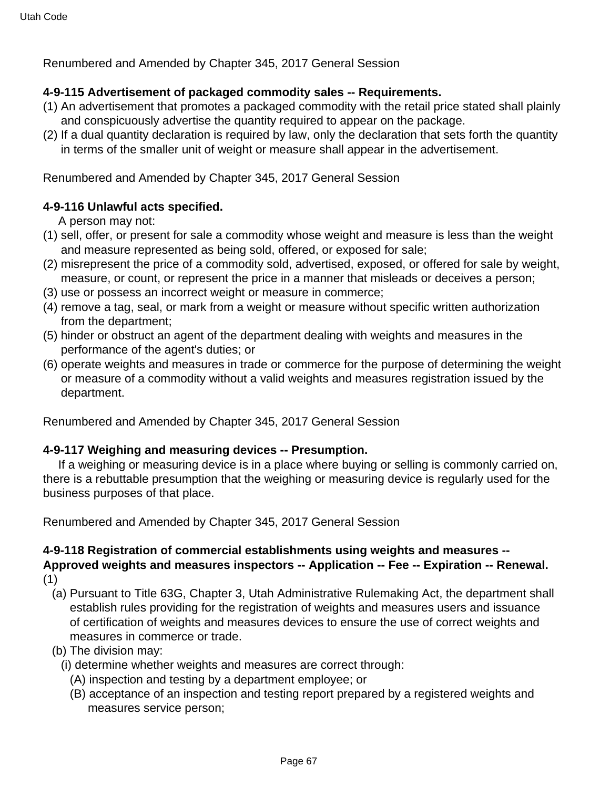#### **4-9-115 Advertisement of packaged commodity sales -- Requirements.**

- (1) An advertisement that promotes a packaged commodity with the retail price stated shall plainly and conspicuously advertise the quantity required to appear on the package.
- (2) If a dual quantity declaration is required by law, only the declaration that sets forth the quantity in terms of the smaller unit of weight or measure shall appear in the advertisement.

Renumbered and Amended by Chapter 345, 2017 General Session

#### **4-9-116 Unlawful acts specified.**

A person may not:

- (1) sell, offer, or present for sale a commodity whose weight and measure is less than the weight and measure represented as being sold, offered, or exposed for sale;
- (2) misrepresent the price of a commodity sold, advertised, exposed, or offered for sale by weight, measure, or count, or represent the price in a manner that misleads or deceives a person;
- (3) use or possess an incorrect weight or measure in commerce;
- (4) remove a tag, seal, or mark from a weight or measure without specific written authorization from the department;
- (5) hinder or obstruct an agent of the department dealing with weights and measures in the performance of the agent's duties; or
- (6) operate weights and measures in trade or commerce for the purpose of determining the weight or measure of a commodity without a valid weights and measures registration issued by the department.

Renumbered and Amended by Chapter 345, 2017 General Session

#### **4-9-117 Weighing and measuring devices -- Presumption.**

 If a weighing or measuring device is in a place where buying or selling is commonly carried on, there is a rebuttable presumption that the weighing or measuring device is regularly used for the business purposes of that place.

Renumbered and Amended by Chapter 345, 2017 General Session

# **4-9-118 Registration of commercial establishments using weights and measures -- Approved weights and measures inspectors -- Application -- Fee -- Expiration -- Renewal.**

(1)

- (a) Pursuant to Title 63G, Chapter 3, Utah Administrative Rulemaking Act, the department shall establish rules providing for the registration of weights and measures users and issuance of certification of weights and measures devices to ensure the use of correct weights and measures in commerce or trade.
- (b) The division may:
	- (i) determine whether weights and measures are correct through:
		- (A) inspection and testing by a department employee; or
		- (B) acceptance of an inspection and testing report prepared by a registered weights and measures service person;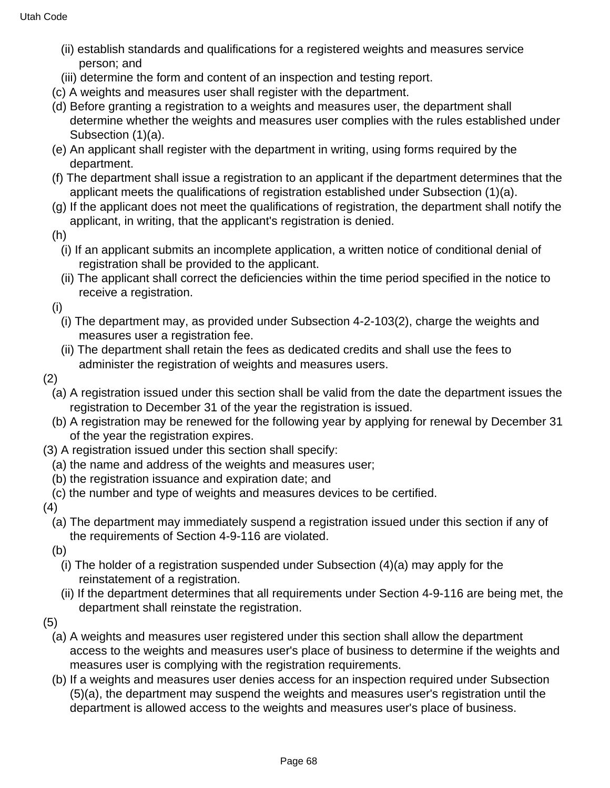- (ii) establish standards and qualifications for a registered weights and measures service person; and
- (iii) determine the form and content of an inspection and testing report.
- (c) A weights and measures user shall register with the department.
- (d) Before granting a registration to a weights and measures user, the department shall determine whether the weights and measures user complies with the rules established under Subsection (1)(a).
- (e) An applicant shall register with the department in writing, using forms required by the department.
- (f) The department shall issue a registration to an applicant if the department determines that the applicant meets the qualifications of registration established under Subsection (1)(a).
- (g) If the applicant does not meet the qualifications of registration, the department shall notify the applicant, in writing, that the applicant's registration is denied.
- (h)
	- (i) If an applicant submits an incomplete application, a written notice of conditional denial of registration shall be provided to the applicant.
	- (ii) The applicant shall correct the deficiencies within the time period specified in the notice to receive a registration.
- (i)
	- (i) The department may, as provided under Subsection 4-2-103(2), charge the weights and measures user a registration fee.
	- (ii) The department shall retain the fees as dedicated credits and shall use the fees to administer the registration of weights and measures users.
- (2)
	- (a) A registration issued under this section shall be valid from the date the department issues the registration to December 31 of the year the registration is issued.
	- (b) A registration may be renewed for the following year by applying for renewal by December 31 of the year the registration expires.
- (3) A registration issued under this section shall specify:
	- (a) the name and address of the weights and measures user;
	- (b) the registration issuance and expiration date; and
	- (c) the number and type of weights and measures devices to be certified.
- (4)
	- (a) The department may immediately suspend a registration issued under this section if any of the requirements of Section 4-9-116 are violated.
	- (b)
		- (i) The holder of a registration suspended under Subsection (4)(a) may apply for the reinstatement of a registration.
		- (ii) If the department determines that all requirements under Section 4-9-116 are being met, the department shall reinstate the registration.
- (5)
	- (a) A weights and measures user registered under this section shall allow the department access to the weights and measures user's place of business to determine if the weights and measures user is complying with the registration requirements.
	- (b) If a weights and measures user denies access for an inspection required under Subsection (5)(a), the department may suspend the weights and measures user's registration until the department is allowed access to the weights and measures user's place of business.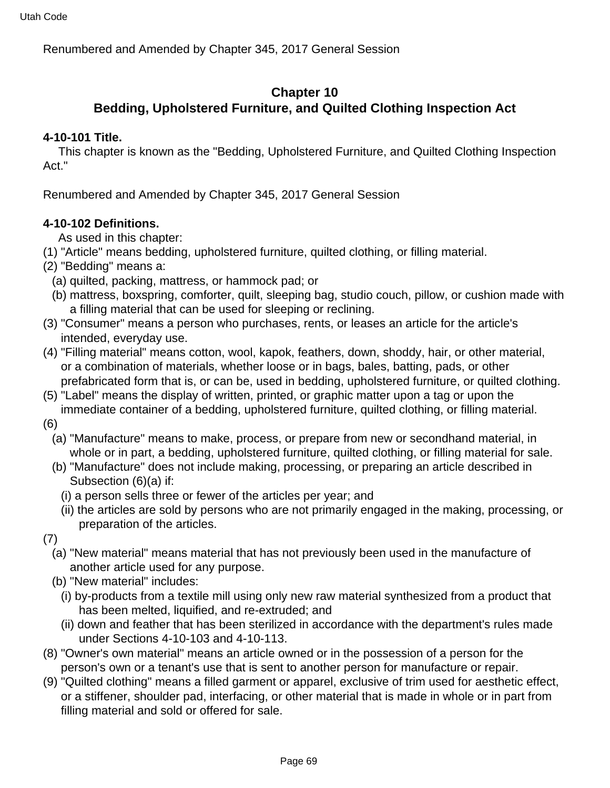## **Chapter 10**

# **Bedding, Upholstered Furniture, and Quilted Clothing Inspection Act**

### **4-10-101 Title.**

 This chapter is known as the "Bedding, Upholstered Furniture, and Quilted Clothing Inspection Act."

Renumbered and Amended by Chapter 345, 2017 General Session

### **4-10-102 Definitions.**

As used in this chapter:

- (1) "Article" means bedding, upholstered furniture, quilted clothing, or filling material.
- (2) "Bedding" means a:
	- (a) quilted, packing, mattress, or hammock pad; or
	- (b) mattress, boxspring, comforter, quilt, sleeping bag, studio couch, pillow, or cushion made with a filling material that can be used for sleeping or reclining.
- (3) "Consumer" means a person who purchases, rents, or leases an article for the article's intended, everyday use.
- (4) "Filling material" means cotton, wool, kapok, feathers, down, shoddy, hair, or other material, or a combination of materials, whether loose or in bags, bales, batting, pads, or other prefabricated form that is, or can be, used in bedding, upholstered furniture, or quilted clothing.
- (5) "Label" means the display of written, printed, or graphic matter upon a tag or upon the immediate container of a bedding, upholstered furniture, quilted clothing, or filling material.
- (6)
	- (a) "Manufacture" means to make, process, or prepare from new or secondhand material, in whole or in part, a bedding, upholstered furniture, quilted clothing, or filling material for sale.
	- (b) "Manufacture" does not include making, processing, or preparing an article described in Subsection (6)(a) if:
		- (i) a person sells three or fewer of the articles per year; and
		- (ii) the articles are sold by persons who are not primarily engaged in the making, processing, or preparation of the articles.
- (7)
	- (a) "New material" means material that has not previously been used in the manufacture of another article used for any purpose.
	- (b) "New material" includes:
		- (i) by-products from a textile mill using only new raw material synthesized from a product that has been melted, liquified, and re-extruded; and
		- (ii) down and feather that has been sterilized in accordance with the department's rules made under Sections 4-10-103 and 4-10-113.
- (8) "Owner's own material" means an article owned or in the possession of a person for the person's own or a tenant's use that is sent to another person for manufacture or repair.
- (9) "Quilted clothing" means a filled garment or apparel, exclusive of trim used for aesthetic effect, or a stiffener, shoulder pad, interfacing, or other material that is made in whole or in part from filling material and sold or offered for sale.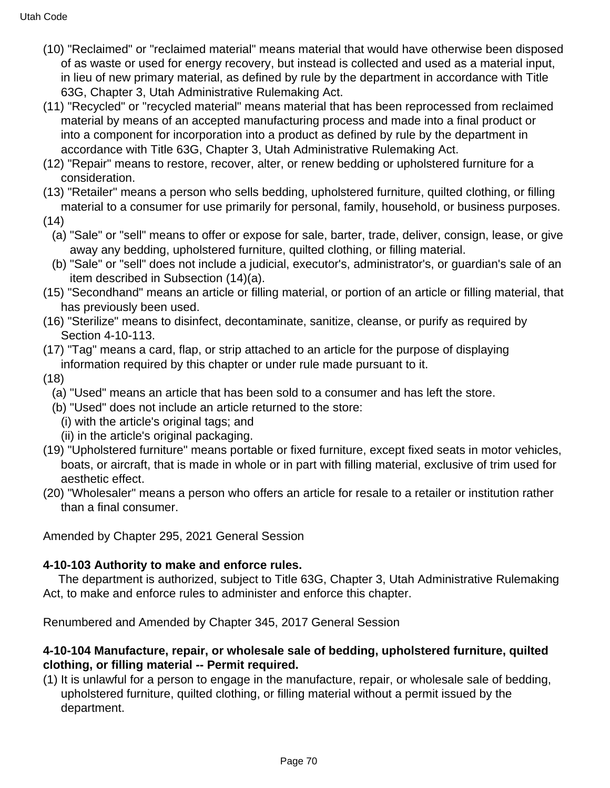- (10) "Reclaimed" or "reclaimed material" means material that would have otherwise been disposed of as waste or used for energy recovery, but instead is collected and used as a material input, in lieu of new primary material, as defined by rule by the department in accordance with Title 63G, Chapter 3, Utah Administrative Rulemaking Act.
- (11) "Recycled" or "recycled material" means material that has been reprocessed from reclaimed material by means of an accepted manufacturing process and made into a final product or into a component for incorporation into a product as defined by rule by the department in accordance with Title 63G, Chapter 3, Utah Administrative Rulemaking Act.
- (12) "Repair" means to restore, recover, alter, or renew bedding or upholstered furniture for a consideration.
- (13) "Retailer" means a person who sells bedding, upholstered furniture, quilted clothing, or filling material to a consumer for use primarily for personal, family, household, or business purposes.
- (14)
	- (a) "Sale" or "sell" means to offer or expose for sale, barter, trade, deliver, consign, lease, or give away any bedding, upholstered furniture, quilted clothing, or filling material.
	- (b) "Sale" or "sell" does not include a judicial, executor's, administrator's, or guardian's sale of an item described in Subsection (14)(a).
- (15) "Secondhand" means an article or filling material, or portion of an article or filling material, that has previously been used.
- (16) "Sterilize" means to disinfect, decontaminate, sanitize, cleanse, or purify as required by Section 4-10-113.
- (17) "Tag" means a card, flap, or strip attached to an article for the purpose of displaying information required by this chapter or under rule made pursuant to it.
- (18)
	- (a) "Used" means an article that has been sold to a consumer and has left the store.
	- (b) "Used" does not include an article returned to the store:
	- (i) with the article's original tags; and
	- (ii) in the article's original packaging.
- (19) "Upholstered furniture" means portable or fixed furniture, except fixed seats in motor vehicles, boats, or aircraft, that is made in whole or in part with filling material, exclusive of trim used for aesthetic effect.
- (20) "Wholesaler" means a person who offers an article for resale to a retailer or institution rather than a final consumer.

Amended by Chapter 295, 2021 General Session

### **4-10-103 Authority to make and enforce rules.**

 The department is authorized, subject to Title 63G, Chapter 3, Utah Administrative Rulemaking Act, to make and enforce rules to administer and enforce this chapter.

Renumbered and Amended by Chapter 345, 2017 General Session

#### **4-10-104 Manufacture, repair, or wholesale sale of bedding, upholstered furniture, quilted clothing, or filling material -- Permit required.**

(1) It is unlawful for a person to engage in the manufacture, repair, or wholesale sale of bedding, upholstered furniture, quilted clothing, or filling material without a permit issued by the department.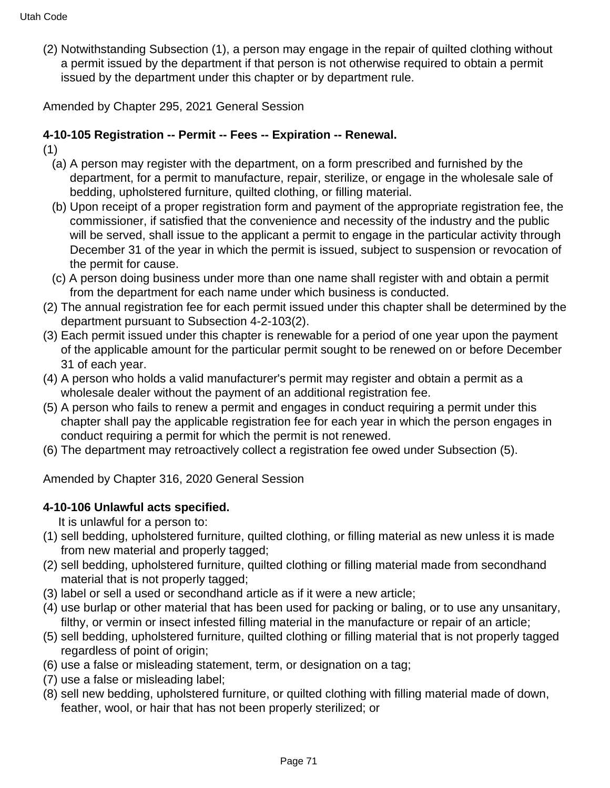(2) Notwithstanding Subsection (1), a person may engage in the repair of quilted clothing without a permit issued by the department if that person is not otherwise required to obtain a permit issued by the department under this chapter or by department rule.

Amended by Chapter 295, 2021 General Session

# **4-10-105 Registration -- Permit -- Fees -- Expiration -- Renewal.**

- (1)
	- (a) A person may register with the department, on a form prescribed and furnished by the department, for a permit to manufacture, repair, sterilize, or engage in the wholesale sale of bedding, upholstered furniture, quilted clothing, or filling material.
	- (b) Upon receipt of a proper registration form and payment of the appropriate registration fee, the commissioner, if satisfied that the convenience and necessity of the industry and the public will be served, shall issue to the applicant a permit to engage in the particular activity through December 31 of the year in which the permit is issued, subject to suspension or revocation of the permit for cause.
	- (c) A person doing business under more than one name shall register with and obtain a permit from the department for each name under which business is conducted.
- (2) The annual registration fee for each permit issued under this chapter shall be determined by the department pursuant to Subsection 4-2-103(2).
- (3) Each permit issued under this chapter is renewable for a period of one year upon the payment of the applicable amount for the particular permit sought to be renewed on or before December 31 of each year.
- (4) A person who holds a valid manufacturer's permit may register and obtain a permit as a wholesale dealer without the payment of an additional registration fee.
- (5) A person who fails to renew a permit and engages in conduct requiring a permit under this chapter shall pay the applicable registration fee for each year in which the person engages in conduct requiring a permit for which the permit is not renewed.
- (6) The department may retroactively collect a registration fee owed under Subsection (5).

Amended by Chapter 316, 2020 General Session

### **4-10-106 Unlawful acts specified.**

It is unlawful for a person to:

- (1) sell bedding, upholstered furniture, quilted clothing, or filling material as new unless it is made from new material and properly tagged;
- (2) sell bedding, upholstered furniture, quilted clothing or filling material made from secondhand material that is not properly tagged;
- (3) label or sell a used or secondhand article as if it were a new article;
- (4) use burlap or other material that has been used for packing or baling, or to use any unsanitary, filthy, or vermin or insect infested filling material in the manufacture or repair of an article;
- (5) sell bedding, upholstered furniture, quilted clothing or filling material that is not properly tagged regardless of point of origin;
- (6) use a false or misleading statement, term, or designation on a tag;
- (7) use a false or misleading label;
- (8) sell new bedding, upholstered furniture, or quilted clothing with filling material made of down, feather, wool, or hair that has not been properly sterilized; or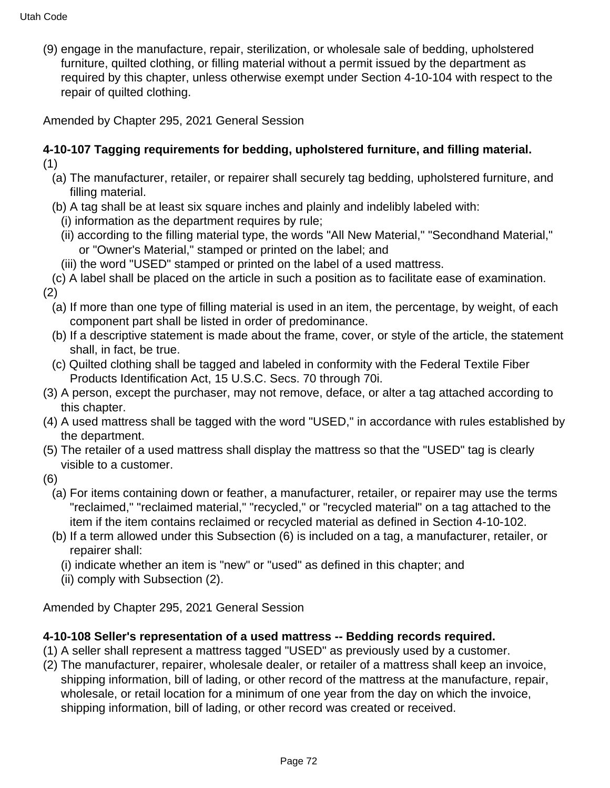(9) engage in the manufacture, repair, sterilization, or wholesale sale of bedding, upholstered furniture, quilted clothing, or filling material without a permit issued by the department as required by this chapter, unless otherwise exempt under Section 4-10-104 with respect to the repair of quilted clothing.

Amended by Chapter 295, 2021 General Session

#### **4-10-107 Tagging requirements for bedding, upholstered furniture, and filling material.** (1)

- (a) The manufacturer, retailer, or repairer shall securely tag bedding, upholstered furniture, and filling material.
- (b) A tag shall be at least six square inches and plainly and indelibly labeled with:
- (i) information as the department requires by rule;
- (ii) according to the filling material type, the words "All New Material," "Secondhand Material," or "Owner's Material," stamped or printed on the label; and
- (iii) the word "USED" stamped or printed on the label of a used mattress.
- (c) A label shall be placed on the article in such a position as to facilitate ease of examination. (2)
	- (a) If more than one type of filling material is used in an item, the percentage, by weight, of each component part shall be listed in order of predominance.
	- (b) If a descriptive statement is made about the frame, cover, or style of the article, the statement shall, in fact, be true.
	- (c) Quilted clothing shall be tagged and labeled in conformity with the Federal Textile Fiber Products Identification Act, 15 U.S.C. Secs. 70 through 70i.
- (3) A person, except the purchaser, may not remove, deface, or alter a tag attached according to this chapter.
- (4) A used mattress shall be tagged with the word "USED," in accordance with rules established by the department.
- (5) The retailer of a used mattress shall display the mattress so that the "USED" tag is clearly visible to a customer.
- (6)
	- (a) For items containing down or feather, a manufacturer, retailer, or repairer may use the terms "reclaimed," "reclaimed material," "recycled," or "recycled material" on a tag attached to the item if the item contains reclaimed or recycled material as defined in Section 4-10-102.
	- (b) If a term allowed under this Subsection (6) is included on a tag, a manufacturer, retailer, or repairer shall:
		- (i) indicate whether an item is "new" or "used" as defined in this chapter; and
		- (ii) comply with Subsection (2).

Amended by Chapter 295, 2021 General Session

# **4-10-108 Seller's representation of a used mattress -- Bedding records required.**

- (1) A seller shall represent a mattress tagged "USED" as previously used by a customer.
- (2) The manufacturer, repairer, wholesale dealer, or retailer of a mattress shall keep an invoice, shipping information, bill of lading, or other record of the mattress at the manufacture, repair, wholesale, or retail location for a minimum of one year from the day on which the invoice, shipping information, bill of lading, or other record was created or received.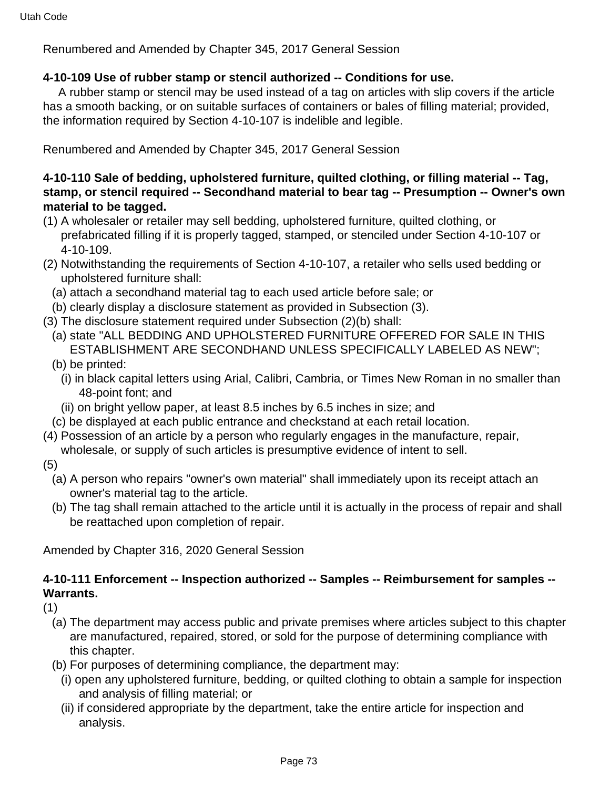### **4-10-109 Use of rubber stamp or stencil authorized -- Conditions for use.**

 A rubber stamp or stencil may be used instead of a tag on articles with slip covers if the article has a smooth backing, or on suitable surfaces of containers or bales of filling material; provided, the information required by Section 4-10-107 is indelible and legible.

Renumbered and Amended by Chapter 345, 2017 General Session

### **4-10-110 Sale of bedding, upholstered furniture, quilted clothing, or filling material -- Tag, stamp, or stencil required -- Secondhand material to bear tag -- Presumption -- Owner's own material to be tagged.**

- (1) A wholesaler or retailer may sell bedding, upholstered furniture, quilted clothing, or prefabricated filling if it is properly tagged, stamped, or stenciled under Section 4-10-107 or 4-10-109.
- (2) Notwithstanding the requirements of Section 4-10-107, a retailer who sells used bedding or upholstered furniture shall:
	- (a) attach a secondhand material tag to each used article before sale; or
	- (b) clearly display a disclosure statement as provided in Subsection (3).
- (3) The disclosure statement required under Subsection (2)(b) shall:
	- (a) state "ALL BEDDING AND UPHOLSTERED FURNITURE OFFERED FOR SALE IN THIS ESTABLISHMENT ARE SECONDHAND UNLESS SPECIFICALLY LABELED AS NEW";
	- (b) be printed:
		- (i) in black capital letters using Arial, Calibri, Cambria, or Times New Roman in no smaller than 48-point font; and
		- (ii) on bright yellow paper, at least 8.5 inches by 6.5 inches in size; and
	- (c) be displayed at each public entrance and checkstand at each retail location.
- (4) Possession of an article by a person who regularly engages in the manufacture, repair, wholesale, or supply of such articles is presumptive evidence of intent to sell.
- (5)
	- (a) A person who repairs "owner's own material" shall immediately upon its receipt attach an owner's material tag to the article.
	- (b) The tag shall remain attached to the article until it is actually in the process of repair and shall be reattached upon completion of repair.

Amended by Chapter 316, 2020 General Session

# **4-10-111 Enforcement -- Inspection authorized -- Samples -- Reimbursement for samples -- Warrants.**

(1)

- (a) The department may access public and private premises where articles subject to this chapter are manufactured, repaired, stored, or sold for the purpose of determining compliance with this chapter.
- (b) For purposes of determining compliance, the department may:
	- (i) open any upholstered furniture, bedding, or quilted clothing to obtain a sample for inspection and analysis of filling material; or
	- (ii) if considered appropriate by the department, take the entire article for inspection and analysis.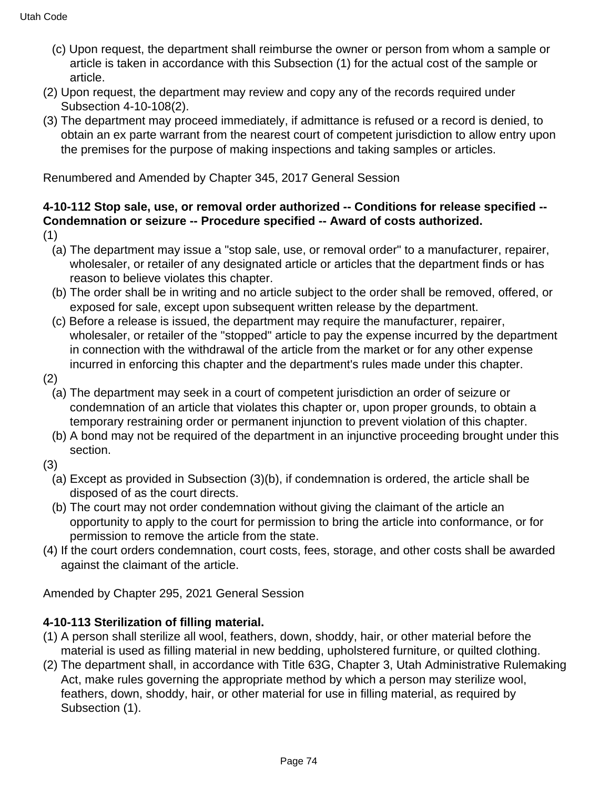- (c) Upon request, the department shall reimburse the owner or person from whom a sample or article is taken in accordance with this Subsection (1) for the actual cost of the sample or article.
- (2) Upon request, the department may review and copy any of the records required under Subsection 4-10-108(2).
- (3) The department may proceed immediately, if admittance is refused or a record is denied, to obtain an ex parte warrant from the nearest court of competent jurisdiction to allow entry upon the premises for the purpose of making inspections and taking samples or articles.

# **4-10-112 Stop sale, use, or removal order authorized -- Conditions for release specified -- Condemnation or seizure -- Procedure specified -- Award of costs authorized.**

- (1)
	- (a) The department may issue a "stop sale, use, or removal order" to a manufacturer, repairer, wholesaler, or retailer of any designated article or articles that the department finds or has reason to believe violates this chapter.
	- (b) The order shall be in writing and no article subject to the order shall be removed, offered, or exposed for sale, except upon subsequent written release by the department.
	- (c) Before a release is issued, the department may require the manufacturer, repairer, wholesaler, or retailer of the "stopped" article to pay the expense incurred by the department in connection with the withdrawal of the article from the market or for any other expense incurred in enforcing this chapter and the department's rules made under this chapter.
- (2)
	- (a) The department may seek in a court of competent jurisdiction an order of seizure or condemnation of an article that violates this chapter or, upon proper grounds, to obtain a temporary restraining order or permanent injunction to prevent violation of this chapter.
	- (b) A bond may not be required of the department in an injunctive proceeding brought under this section.
- (3)
	- (a) Except as provided in Subsection (3)(b), if condemnation is ordered, the article shall be disposed of as the court directs.
	- (b) The court may not order condemnation without giving the claimant of the article an opportunity to apply to the court for permission to bring the article into conformance, or for permission to remove the article from the state.
- (4) If the court orders condemnation, court costs, fees, storage, and other costs shall be awarded against the claimant of the article.

Amended by Chapter 295, 2021 General Session

### **4-10-113 Sterilization of filling material.**

- (1) A person shall sterilize all wool, feathers, down, shoddy, hair, or other material before the material is used as filling material in new bedding, upholstered furniture, or quilted clothing.
- (2) The department shall, in accordance with Title 63G, Chapter 3, Utah Administrative Rulemaking Act, make rules governing the appropriate method by which a person may sterilize wool, feathers, down, shoddy, hair, or other material for use in filling material, as required by Subsection (1).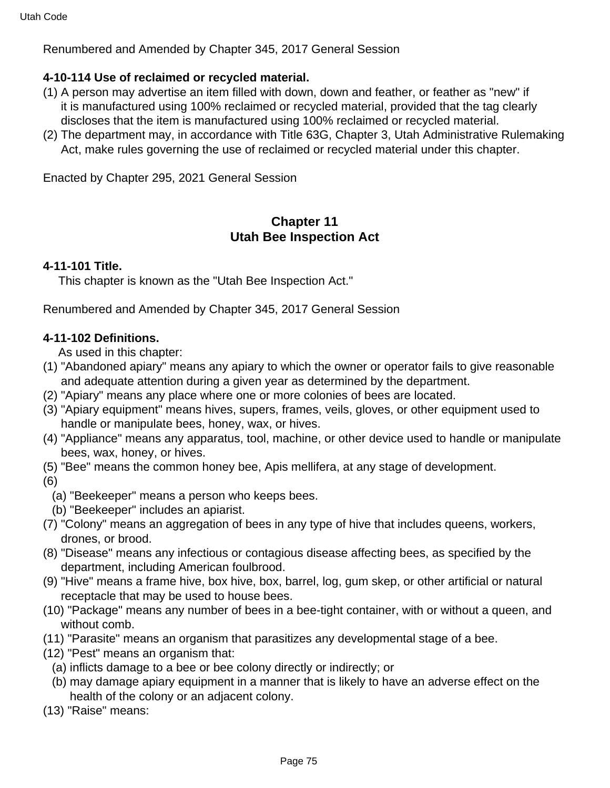# **4-10-114 Use of reclaimed or recycled material.**

- (1) A person may advertise an item filled with down, down and feather, or feather as "new" if it is manufactured using 100% reclaimed or recycled material, provided that the tag clearly discloses that the item is manufactured using 100% reclaimed or recycled material.
- (2) The department may, in accordance with Title 63G, Chapter 3, Utah Administrative Rulemaking Act, make rules governing the use of reclaimed or recycled material under this chapter.

Enacted by Chapter 295, 2021 General Session

# **Chapter 11 Utah Bee Inspection Act**

### **4-11-101 Title.**

This chapter is known as the "Utah Bee Inspection Act."

Renumbered and Amended by Chapter 345, 2017 General Session

### **4-11-102 Definitions.**

As used in this chapter:

- (1) "Abandoned apiary" means any apiary to which the owner or operator fails to give reasonable and adequate attention during a given year as determined by the department.
- (2) "Apiary" means any place where one or more colonies of bees are located.
- (3) "Apiary equipment" means hives, supers, frames, veils, gloves, or other equipment used to handle or manipulate bees, honey, wax, or hives.
- (4) "Appliance" means any apparatus, tool, machine, or other device used to handle or manipulate bees, wax, honey, or hives.
- (5) "Bee" means the common honey bee, Apis mellifera, at any stage of development.
- (6)
	- (a) "Beekeeper" means a person who keeps bees.
- (b) "Beekeeper" includes an apiarist.
- (7) "Colony" means an aggregation of bees in any type of hive that includes queens, workers, drones, or brood.
- (8) "Disease" means any infectious or contagious disease affecting bees, as specified by the department, including American foulbrood.
- (9) "Hive" means a frame hive, box hive, box, barrel, log, gum skep, or other artificial or natural receptacle that may be used to house bees.
- (10) "Package" means any number of bees in a bee-tight container, with or without a queen, and without comb.
- (11) "Parasite" means an organism that parasitizes any developmental stage of a bee.
- (12) "Pest" means an organism that:
	- (a) inflicts damage to a bee or bee colony directly or indirectly; or
	- (b) may damage apiary equipment in a manner that is likely to have an adverse effect on the health of the colony or an adjacent colony.
- (13) "Raise" means: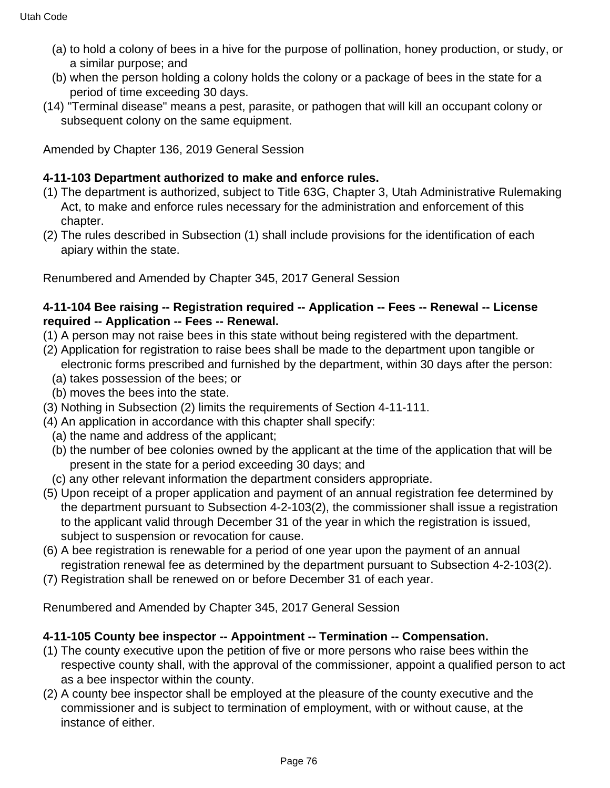- (a) to hold a colony of bees in a hive for the purpose of pollination, honey production, or study, or a similar purpose; and
- (b) when the person holding a colony holds the colony or a package of bees in the state for a period of time exceeding 30 days.
- (14) "Terminal disease" means a pest, parasite, or pathogen that will kill an occupant colony or subsequent colony on the same equipment.

# **4-11-103 Department authorized to make and enforce rules.**

- (1) The department is authorized, subject to Title 63G, Chapter 3, Utah Administrative Rulemaking Act, to make and enforce rules necessary for the administration and enforcement of this chapter.
- (2) The rules described in Subsection (1) shall include provisions for the identification of each apiary within the state.

Renumbered and Amended by Chapter 345, 2017 General Session

# **4-11-104 Bee raising -- Registration required -- Application -- Fees -- Renewal -- License required -- Application -- Fees -- Renewal.**

- (1) A person may not raise bees in this state without being registered with the department.
- (2) Application for registration to raise bees shall be made to the department upon tangible or electronic forms prescribed and furnished by the department, within 30 days after the person:
	- (a) takes possession of the bees; or
	- (b) moves the bees into the state.
- (3) Nothing in Subsection (2) limits the requirements of Section 4-11-111.
- (4) An application in accordance with this chapter shall specify:
	- (a) the name and address of the applicant;
	- (b) the number of bee colonies owned by the applicant at the time of the application that will be present in the state for a period exceeding 30 days; and
	- (c) any other relevant information the department considers appropriate.
- (5) Upon receipt of a proper application and payment of an annual registration fee determined by the department pursuant to Subsection 4-2-103(2), the commissioner shall issue a registration to the applicant valid through December 31 of the year in which the registration is issued, subject to suspension or revocation for cause.
- (6) A bee registration is renewable for a period of one year upon the payment of an annual registration renewal fee as determined by the department pursuant to Subsection 4-2-103(2).
- (7) Registration shall be renewed on or before December 31 of each year.

Renumbered and Amended by Chapter 345, 2017 General Session

### **4-11-105 County bee inspector -- Appointment -- Termination -- Compensation.**

- (1) The county executive upon the petition of five or more persons who raise bees within the respective county shall, with the approval of the commissioner, appoint a qualified person to act as a bee inspector within the county.
- (2) A county bee inspector shall be employed at the pleasure of the county executive and the commissioner and is subject to termination of employment, with or without cause, at the instance of either.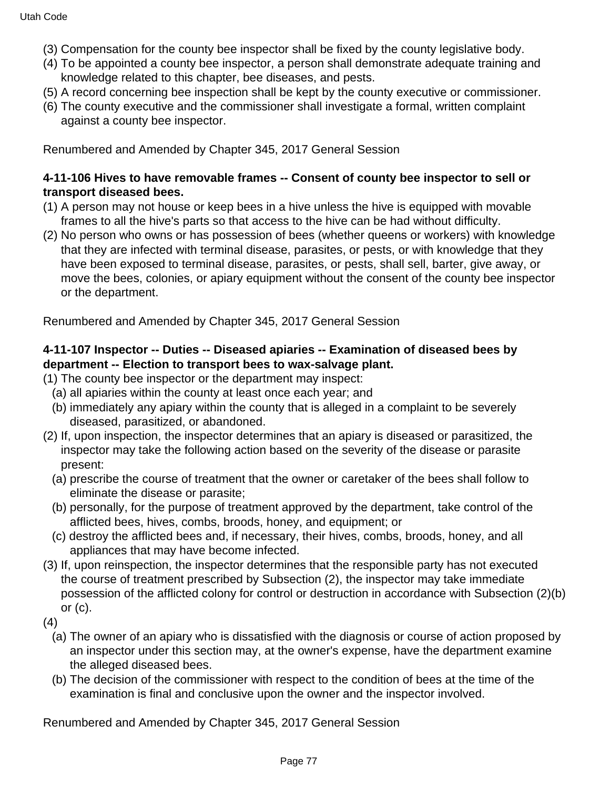- (3) Compensation for the county bee inspector shall be fixed by the county legislative body.
- (4) To be appointed a county bee inspector, a person shall demonstrate adequate training and knowledge related to this chapter, bee diseases, and pests.
- (5) A record concerning bee inspection shall be kept by the county executive or commissioner.
- (6) The county executive and the commissioner shall investigate a formal, written complaint against a county bee inspector.

#### **4-11-106 Hives to have removable frames -- Consent of county bee inspector to sell or transport diseased bees.**

- (1) A person may not house or keep bees in a hive unless the hive is equipped with movable frames to all the hive's parts so that access to the hive can be had without difficulty.
- (2) No person who owns or has possession of bees (whether queens or workers) with knowledge that they are infected with terminal disease, parasites, or pests, or with knowledge that they have been exposed to terminal disease, parasites, or pests, shall sell, barter, give away, or move the bees, colonies, or apiary equipment without the consent of the county bee inspector or the department.

Renumbered and Amended by Chapter 345, 2017 General Session

### **4-11-107 Inspector -- Duties -- Diseased apiaries -- Examination of diseased bees by department -- Election to transport bees to wax-salvage plant.**

- (1) The county bee inspector or the department may inspect:
	- (a) all apiaries within the county at least once each year; and
	- (b) immediately any apiary within the county that is alleged in a complaint to be severely diseased, parasitized, or abandoned.
- (2) If, upon inspection, the inspector determines that an apiary is diseased or parasitized, the inspector may take the following action based on the severity of the disease or parasite present:
	- (a) prescribe the course of treatment that the owner or caretaker of the bees shall follow to eliminate the disease or parasite;
	- (b) personally, for the purpose of treatment approved by the department, take control of the afflicted bees, hives, combs, broods, honey, and equipment; or
	- (c) destroy the afflicted bees and, if necessary, their hives, combs, broods, honey, and all appliances that may have become infected.
- (3) If, upon reinspection, the inspector determines that the responsible party has not executed the course of treatment prescribed by Subsection (2), the inspector may take immediate possession of the afflicted colony for control or destruction in accordance with Subsection (2)(b) or  $(c)$ .
- (4)
	- (a) The owner of an apiary who is dissatisfied with the diagnosis or course of action proposed by an inspector under this section may, at the owner's expense, have the department examine the alleged diseased bees.
	- (b) The decision of the commissioner with respect to the condition of bees at the time of the examination is final and conclusive upon the owner and the inspector involved.

Renumbered and Amended by Chapter 345, 2017 General Session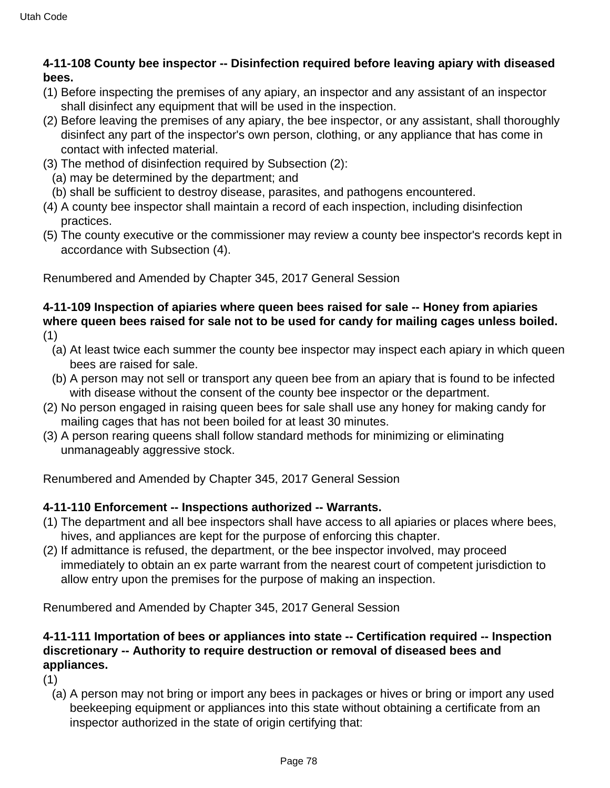# **4-11-108 County bee inspector -- Disinfection required before leaving apiary with diseased bees.**

- (1) Before inspecting the premises of any apiary, an inspector and any assistant of an inspector shall disinfect any equipment that will be used in the inspection.
- (2) Before leaving the premises of any apiary, the bee inspector, or any assistant, shall thoroughly disinfect any part of the inspector's own person, clothing, or any appliance that has come in contact with infected material.
- (3) The method of disinfection required by Subsection (2):
	- (a) may be determined by the department; and
- (b) shall be sufficient to destroy disease, parasites, and pathogens encountered.
- (4) A county bee inspector shall maintain a record of each inspection, including disinfection practices.
- (5) The county executive or the commissioner may review a county bee inspector's records kept in accordance with Subsection (4).

Renumbered and Amended by Chapter 345, 2017 General Session

#### **4-11-109 Inspection of apiaries where queen bees raised for sale -- Honey from apiaries where queen bees raised for sale not to be used for candy for mailing cages unless boiled.** (1)

- (a) At least twice each summer the county bee inspector may inspect each apiary in which queen bees are raised for sale.
- (b) A person may not sell or transport any queen bee from an apiary that is found to be infected with disease without the consent of the county bee inspector or the department.
- (2) No person engaged in raising queen bees for sale shall use any honey for making candy for mailing cages that has not been boiled for at least 30 minutes.
- (3) A person rearing queens shall follow standard methods for minimizing or eliminating unmanageably aggressive stock.

Renumbered and Amended by Chapter 345, 2017 General Session

# **4-11-110 Enforcement -- Inspections authorized -- Warrants.**

- (1) The department and all bee inspectors shall have access to all apiaries or places where bees, hives, and appliances are kept for the purpose of enforcing this chapter.
- (2) If admittance is refused, the department, or the bee inspector involved, may proceed immediately to obtain an ex parte warrant from the nearest court of competent jurisdiction to allow entry upon the premises for the purpose of making an inspection.

Renumbered and Amended by Chapter 345, 2017 General Session

# **4-11-111 Importation of bees or appliances into state -- Certification required -- Inspection discretionary -- Authority to require destruction or removal of diseased bees and appliances.**

(1)

(a) A person may not bring or import any bees in packages or hives or bring or import any used beekeeping equipment or appliances into this state without obtaining a certificate from an inspector authorized in the state of origin certifying that: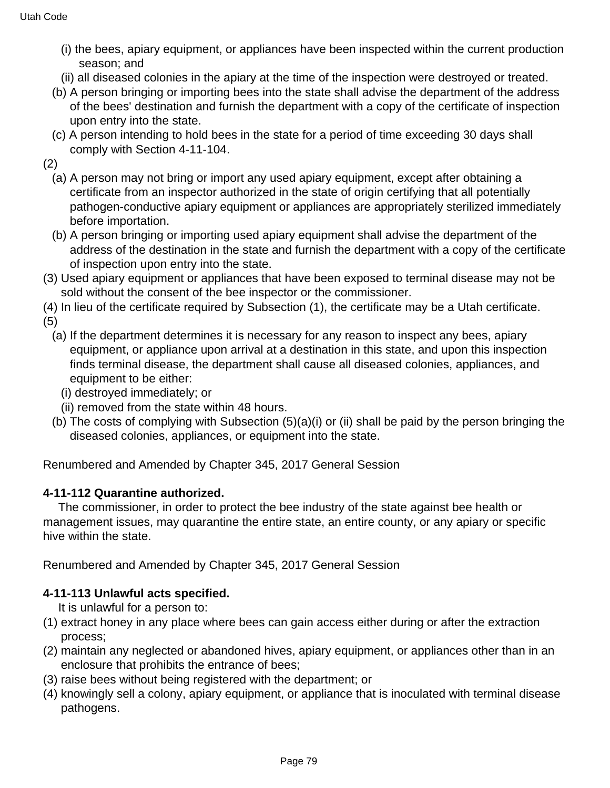- (i) the bees, apiary equipment, or appliances have been inspected within the current production season; and
- (ii) all diseased colonies in the apiary at the time of the inspection were destroyed or treated.
- (b) A person bringing or importing bees into the state shall advise the department of the address of the bees' destination and furnish the department with a copy of the certificate of inspection upon entry into the state.
- (c) A person intending to hold bees in the state for a period of time exceeding 30 days shall comply with Section 4-11-104.

(2)

- (a) A person may not bring or import any used apiary equipment, except after obtaining a certificate from an inspector authorized in the state of origin certifying that all potentially pathogen-conductive apiary equipment or appliances are appropriately sterilized immediately before importation.
- (b) A person bringing or importing used apiary equipment shall advise the department of the address of the destination in the state and furnish the department with a copy of the certificate of inspection upon entry into the state.
- (3) Used apiary equipment or appliances that have been exposed to terminal disease may not be sold without the consent of the bee inspector or the commissioner.
- (4) In lieu of the certificate required by Subsection (1), the certificate may be a Utah certificate.

(5)

- (a) If the department determines it is necessary for any reason to inspect any bees, apiary equipment, or appliance upon arrival at a destination in this state, and upon this inspection finds terminal disease, the department shall cause all diseased colonies, appliances, and equipment to be either:
	- (i) destroyed immediately; or
	- (ii) removed from the state within 48 hours.
- (b) The costs of complying with Subsection (5)(a)(i) or (ii) shall be paid by the person bringing the diseased colonies, appliances, or equipment into the state.

Renumbered and Amended by Chapter 345, 2017 General Session

### **4-11-112 Quarantine authorized.**

 The commissioner, in order to protect the bee industry of the state against bee health or management issues, may quarantine the entire state, an entire county, or any apiary or specific hive within the state.

Renumbered and Amended by Chapter 345, 2017 General Session

### **4-11-113 Unlawful acts specified.**

It is unlawful for a person to:

- (1) extract honey in any place where bees can gain access either during or after the extraction process;
- (2) maintain any neglected or abandoned hives, apiary equipment, or appliances other than in an enclosure that prohibits the entrance of bees;
- (3) raise bees without being registered with the department; or
- (4) knowingly sell a colony, apiary equipment, or appliance that is inoculated with terminal disease pathogens.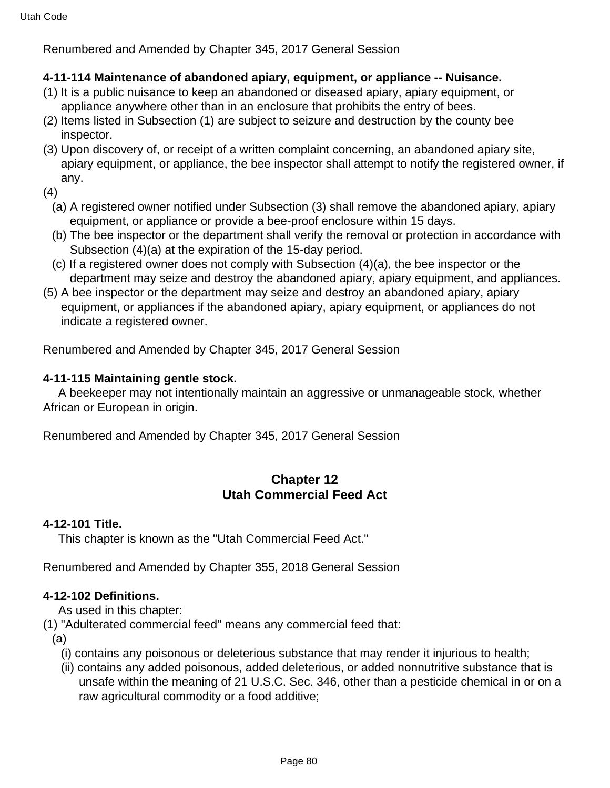# **4-11-114 Maintenance of abandoned apiary, equipment, or appliance -- Nuisance.**

- (1) It is a public nuisance to keep an abandoned or diseased apiary, apiary equipment, or appliance anywhere other than in an enclosure that prohibits the entry of bees.
- (2) Items listed in Subsection (1) are subject to seizure and destruction by the county bee inspector.
- (3) Upon discovery of, or receipt of a written complaint concerning, an abandoned apiary site, apiary equipment, or appliance, the bee inspector shall attempt to notify the registered owner, if any.
- (4)
	- (a) A registered owner notified under Subsection (3) shall remove the abandoned apiary, apiary equipment, or appliance or provide a bee-proof enclosure within 15 days.
	- (b) The bee inspector or the department shall verify the removal or protection in accordance with Subsection (4)(a) at the expiration of the 15-day period.
	- (c) If a registered owner does not comply with Subsection (4)(a), the bee inspector or the department may seize and destroy the abandoned apiary, apiary equipment, and appliances.
- (5) A bee inspector or the department may seize and destroy an abandoned apiary, apiary equipment, or appliances if the abandoned apiary, apiary equipment, or appliances do not indicate a registered owner.

Renumbered and Amended by Chapter 345, 2017 General Session

### **4-11-115 Maintaining gentle stock.**

 A beekeeper may not intentionally maintain an aggressive or unmanageable stock, whether African or European in origin.

Renumbered and Amended by Chapter 345, 2017 General Session

# **Chapter 12 Utah Commercial Feed Act**

### **4-12-101 Title.**

This chapter is known as the "Utah Commercial Feed Act."

Renumbered and Amended by Chapter 355, 2018 General Session

### **4-12-102 Definitions.**

As used in this chapter:

- (1) "Adulterated commercial feed" means any commercial feed that:
	- (a)
		- (i) contains any poisonous or deleterious substance that may render it injurious to health;
		- (ii) contains any added poisonous, added deleterious, or added nonnutritive substance that is unsafe within the meaning of 21 U.S.C. Sec. 346, other than a pesticide chemical in or on a raw agricultural commodity or a food additive;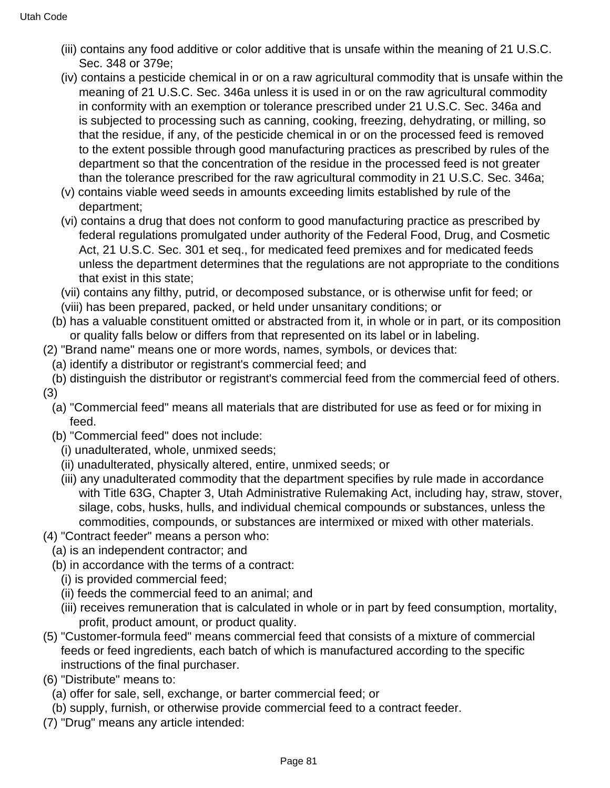- (iii) contains any food additive or color additive that is unsafe within the meaning of 21 U.S.C. Sec. 348 or 379e;
- (iv) contains a pesticide chemical in or on a raw agricultural commodity that is unsafe within the meaning of 21 U.S.C. Sec. 346a unless it is used in or on the raw agricultural commodity in conformity with an exemption or tolerance prescribed under 21 U.S.C. Sec. 346a and is subjected to processing such as canning, cooking, freezing, dehydrating, or milling, so that the residue, if any, of the pesticide chemical in or on the processed feed is removed to the extent possible through good manufacturing practices as prescribed by rules of the department so that the concentration of the residue in the processed feed is not greater than the tolerance prescribed for the raw agricultural commodity in 21 U.S.C. Sec. 346a;
- (v) contains viable weed seeds in amounts exceeding limits established by rule of the department;
- (vi) contains a drug that does not conform to good manufacturing practice as prescribed by federal regulations promulgated under authority of the Federal Food, Drug, and Cosmetic Act, 21 U.S.C. Sec. 301 et seq., for medicated feed premixes and for medicated feeds unless the department determines that the regulations are not appropriate to the conditions that exist in this state;
- (vii) contains any filthy, putrid, or decomposed substance, or is otherwise unfit for feed; or
- (viii) has been prepared, packed, or held under unsanitary conditions; or
- (b) has a valuable constituent omitted or abstracted from it, in whole or in part, or its composition or quality falls below or differs from that represented on its label or in labeling.
- (2) "Brand name" means one or more words, names, symbols, or devices that:
	- (a) identify a distributor or registrant's commercial feed; and
- (b) distinguish the distributor or registrant's commercial feed from the commercial feed of others. (3)
	- (a) "Commercial feed" means all materials that are distributed for use as feed or for mixing in feed.
	- (b) "Commercial feed" does not include:
		- (i) unadulterated, whole, unmixed seeds;
		- (ii) unadulterated, physically altered, entire, unmixed seeds; or
		- (iii) any unadulterated commodity that the department specifies by rule made in accordance with Title 63G, Chapter 3, Utah Administrative Rulemaking Act, including hay, straw, stover, silage, cobs, husks, hulls, and individual chemical compounds or substances, unless the commodities, compounds, or substances are intermixed or mixed with other materials.
- (4) "Contract feeder" means a person who:
	- (a) is an independent contractor; and
	- (b) in accordance with the terms of a contract:
		- (i) is provided commercial feed;
		- (ii) feeds the commercial feed to an animal; and
		- (iii) receives remuneration that is calculated in whole or in part by feed consumption, mortality, profit, product amount, or product quality.
- (5) "Customer-formula feed" means commercial feed that consists of a mixture of commercial feeds or feed ingredients, each batch of which is manufactured according to the specific instructions of the final purchaser.
- (6) "Distribute" means to:
	- (a) offer for sale, sell, exchange, or barter commercial feed; or
	- (b) supply, furnish, or otherwise provide commercial feed to a contract feeder.
- (7) "Drug" means any article intended: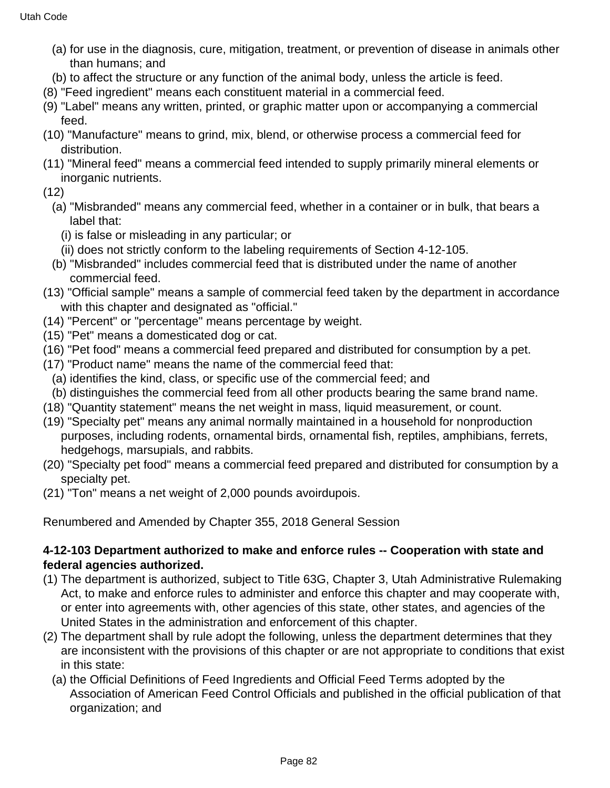- (a) for use in the diagnosis, cure, mitigation, treatment, or prevention of disease in animals other than humans; and
- (b) to affect the structure or any function of the animal body, unless the article is feed.
- (8) "Feed ingredient" means each constituent material in a commercial feed.
- (9) "Label" means any written, printed, or graphic matter upon or accompanying a commercial feed.
- (10) "Manufacture" means to grind, mix, blend, or otherwise process a commercial feed for distribution.
- (11) "Mineral feed" means a commercial feed intended to supply primarily mineral elements or inorganic nutrients.
- (12)
	- (a) "Misbranded" means any commercial feed, whether in a container or in bulk, that bears a label that:
		- (i) is false or misleading in any particular; or
		- (ii) does not strictly conform to the labeling requirements of Section 4-12-105.
	- (b) "Misbranded" includes commercial feed that is distributed under the name of another commercial feed.
- (13) "Official sample" means a sample of commercial feed taken by the department in accordance with this chapter and designated as "official."
- (14) "Percent" or "percentage" means percentage by weight.
- (15) "Pet" means a domesticated dog or cat.
- (16) "Pet food" means a commercial feed prepared and distributed for consumption by a pet.
- (17) "Product name" means the name of the commercial feed that:
	- (a) identifies the kind, class, or specific use of the commercial feed; and
- (b) distinguishes the commercial feed from all other products bearing the same brand name.
- (18) "Quantity statement" means the net weight in mass, liquid measurement, or count.
- (19) "Specialty pet" means any animal normally maintained in a household for nonproduction purposes, including rodents, ornamental birds, ornamental fish, reptiles, amphibians, ferrets, hedgehogs, marsupials, and rabbits.
- (20) "Specialty pet food" means a commercial feed prepared and distributed for consumption by a specialty pet.
- (21) "Ton" means a net weight of 2,000 pounds avoirdupois.

# **4-12-103 Department authorized to make and enforce rules -- Cooperation with state and federal agencies authorized.**

- (1) The department is authorized, subject to Title 63G, Chapter 3, Utah Administrative Rulemaking Act, to make and enforce rules to administer and enforce this chapter and may cooperate with, or enter into agreements with, other agencies of this state, other states, and agencies of the United States in the administration and enforcement of this chapter.
- (2) The department shall by rule adopt the following, unless the department determines that they are inconsistent with the provisions of this chapter or are not appropriate to conditions that exist in this state:
	- (a) the Official Definitions of Feed Ingredients and Official Feed Terms adopted by the Association of American Feed Control Officials and published in the official publication of that organization; and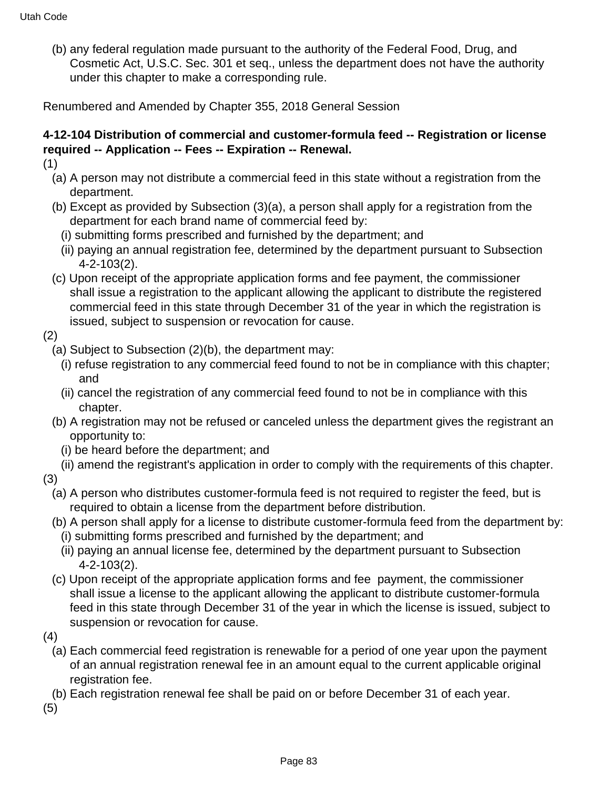(b) any federal regulation made pursuant to the authority of the Federal Food, Drug, and Cosmetic Act, U.S.C. Sec. 301 et seq., unless the department does not have the authority under this chapter to make a corresponding rule.

Renumbered and Amended by Chapter 355, 2018 General Session

# **4-12-104 Distribution of commercial and customer-formula feed -- Registration or license required -- Application -- Fees -- Expiration -- Renewal.**

- (1)
	- (a) A person may not distribute a commercial feed in this state without a registration from the department.
	- (b) Except as provided by Subsection (3)(a), a person shall apply for a registration from the department for each brand name of commercial feed by:
		- (i) submitting forms prescribed and furnished by the department; and
		- (ii) paying an annual registration fee, determined by the department pursuant to Subsection 4-2-103(2).
	- (c) Upon receipt of the appropriate application forms and fee payment, the commissioner shall issue a registration to the applicant allowing the applicant to distribute the registered commercial feed in this state through December 31 of the year in which the registration is issued, subject to suspension or revocation for cause.
- (2)
	- (a) Subject to Subsection (2)(b), the department may:
		- (i) refuse registration to any commercial feed found to not be in compliance with this chapter; and
		- (ii) cancel the registration of any commercial feed found to not be in compliance with this chapter.
	- (b) A registration may not be refused or canceled unless the department gives the registrant an opportunity to:
		- (i) be heard before the department; and
	- (ii) amend the registrant's application in order to comply with the requirements of this chapter.
- (3)
	- (a) A person who distributes customer-formula feed is not required to register the feed, but is required to obtain a license from the department before distribution.
	- (b) A person shall apply for a license to distribute customer-formula feed from the department by: (i) submitting forms prescribed and furnished by the department; and
		- (ii) paying an annual license fee, determined by the department pursuant to Subsection 4-2-103(2).
	- (c) Upon receipt of the appropriate application forms and fee payment, the commissioner shall issue a license to the applicant allowing the applicant to distribute customer-formula feed in this state through December 31 of the year in which the license is issued, subject to suspension or revocation for cause.
- (4)
	- (a) Each commercial feed registration is renewable for a period of one year upon the payment of an annual registration renewal fee in an amount equal to the current applicable original registration fee.
- (b) Each registration renewal fee shall be paid on or before December 31 of each year.

(5)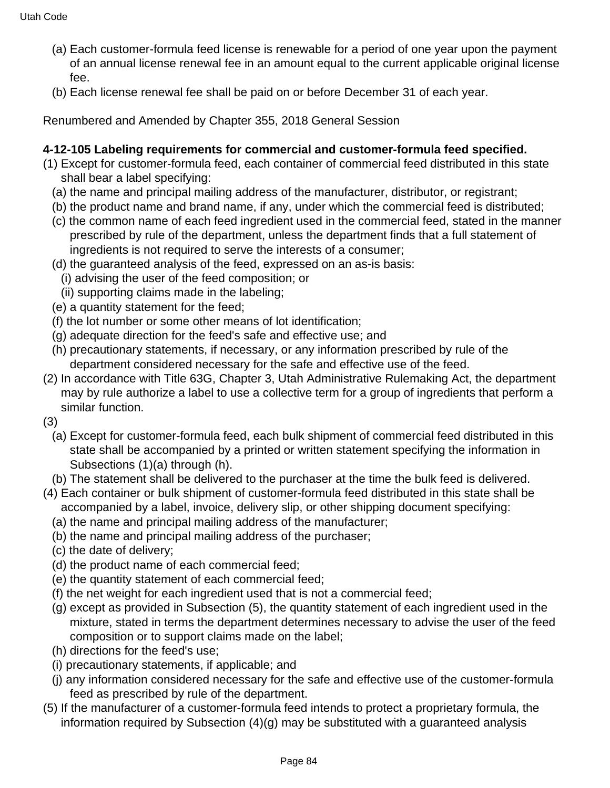- (a) Each customer-formula feed license is renewable for a period of one year upon the payment of an annual license renewal fee in an amount equal to the current applicable original license fee.
- (b) Each license renewal fee shall be paid on or before December 31 of each year.

# **4-12-105 Labeling requirements for commercial and customer-formula feed specified.**

- (1) Except for customer-formula feed, each container of commercial feed distributed in this state shall bear a label specifying:
	- (a) the name and principal mailing address of the manufacturer, distributor, or registrant;
	- (b) the product name and brand name, if any, under which the commercial feed is distributed;
	- (c) the common name of each feed ingredient used in the commercial feed, stated in the manner prescribed by rule of the department, unless the department finds that a full statement of ingredients is not required to serve the interests of a consumer;
	- (d) the guaranteed analysis of the feed, expressed on an as-is basis:
		- (i) advising the user of the feed composition; or
		- (ii) supporting claims made in the labeling;
	- (e) a quantity statement for the feed;
	- (f) the lot number or some other means of lot identification;
	- (g) adequate direction for the feed's safe and effective use; and
	- (h) precautionary statements, if necessary, or any information prescribed by rule of the department considered necessary for the safe and effective use of the feed.
- (2) In accordance with Title 63G, Chapter 3, Utah Administrative Rulemaking Act, the department may by rule authorize a label to use a collective term for a group of ingredients that perform a similar function.
- (3)
	- (a) Except for customer-formula feed, each bulk shipment of commercial feed distributed in this state shall be accompanied by a printed or written statement specifying the information in Subsections (1)(a) through (h).
	- (b) The statement shall be delivered to the purchaser at the time the bulk feed is delivered.
- (4) Each container or bulk shipment of customer-formula feed distributed in this state shall be accompanied by a label, invoice, delivery slip, or other shipping document specifying:
	- (a) the name and principal mailing address of the manufacturer;
	- (b) the name and principal mailing address of the purchaser;
	- (c) the date of delivery;
	- (d) the product name of each commercial feed;
	- (e) the quantity statement of each commercial feed;
	- (f) the net weight for each ingredient used that is not a commercial feed;
	- (g) except as provided in Subsection (5), the quantity statement of each ingredient used in the mixture, stated in terms the department determines necessary to advise the user of the feed composition or to support claims made on the label;
	- (h) directions for the feed's use;
	- (i) precautionary statements, if applicable; and
	- (j) any information considered necessary for the safe and effective use of the customer-formula feed as prescribed by rule of the department.
- (5) If the manufacturer of a customer-formula feed intends to protect a proprietary formula, the information required by Subsection (4)(g) may be substituted with a guaranteed analysis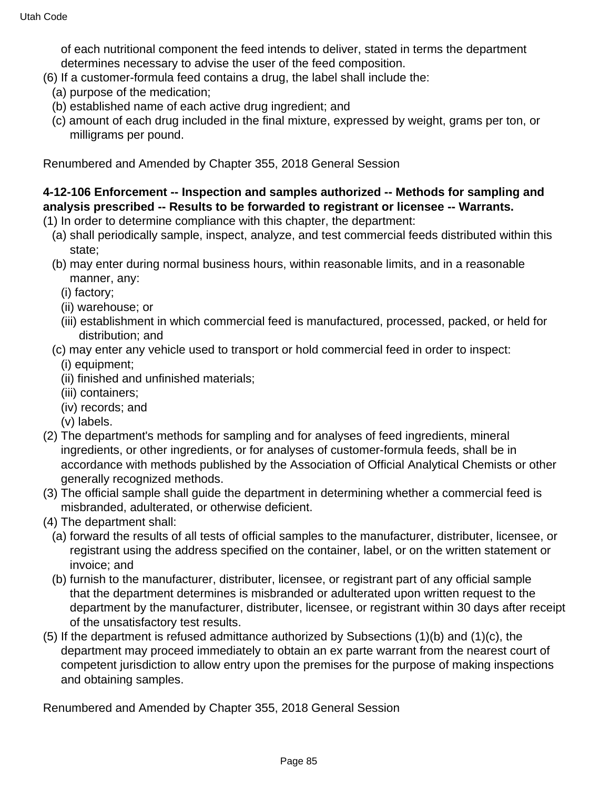of each nutritional component the feed intends to deliver, stated in terms the department determines necessary to advise the user of the feed composition.

- (6) If a customer-formula feed contains a drug, the label shall include the:
	- (a) purpose of the medication;
	- (b) established name of each active drug ingredient; and
	- (c) amount of each drug included in the final mixture, expressed by weight, grams per ton, or milligrams per pound.

Renumbered and Amended by Chapter 355, 2018 General Session

### **4-12-106 Enforcement -- Inspection and samples authorized -- Methods for sampling and analysis prescribed -- Results to be forwarded to registrant or licensee -- Warrants.**

- (1) In order to determine compliance with this chapter, the department:
	- (a) shall periodically sample, inspect, analyze, and test commercial feeds distributed within this state;
	- (b) may enter during normal business hours, within reasonable limits, and in a reasonable manner, any:
		- (i) factory;
		- (ii) warehouse; or
		- (iii) establishment in which commercial feed is manufactured, processed, packed, or held for distribution; and
	- (c) may enter any vehicle used to transport or hold commercial feed in order to inspect:
		- (i) equipment;
		- (ii) finished and unfinished materials;
		- (iii) containers;
		- (iv) records; and
		- (v) labels.
- (2) The department's methods for sampling and for analyses of feed ingredients, mineral ingredients, or other ingredients, or for analyses of customer-formula feeds, shall be in accordance with methods published by the Association of Official Analytical Chemists or other generally recognized methods.
- (3) The official sample shall guide the department in determining whether a commercial feed is misbranded, adulterated, or otherwise deficient.
- (4) The department shall:
	- (a) forward the results of all tests of official samples to the manufacturer, distributer, licensee, or registrant using the address specified on the container, label, or on the written statement or invoice; and
	- (b) furnish to the manufacturer, distributer, licensee, or registrant part of any official sample that the department determines is misbranded or adulterated upon written request to the department by the manufacturer, distributer, licensee, or registrant within 30 days after receipt of the unsatisfactory test results.
- (5) If the department is refused admittance authorized by Subsections (1)(b) and (1)(c), the department may proceed immediately to obtain an ex parte warrant from the nearest court of competent jurisdiction to allow entry upon the premises for the purpose of making inspections and obtaining samples.

Renumbered and Amended by Chapter 355, 2018 General Session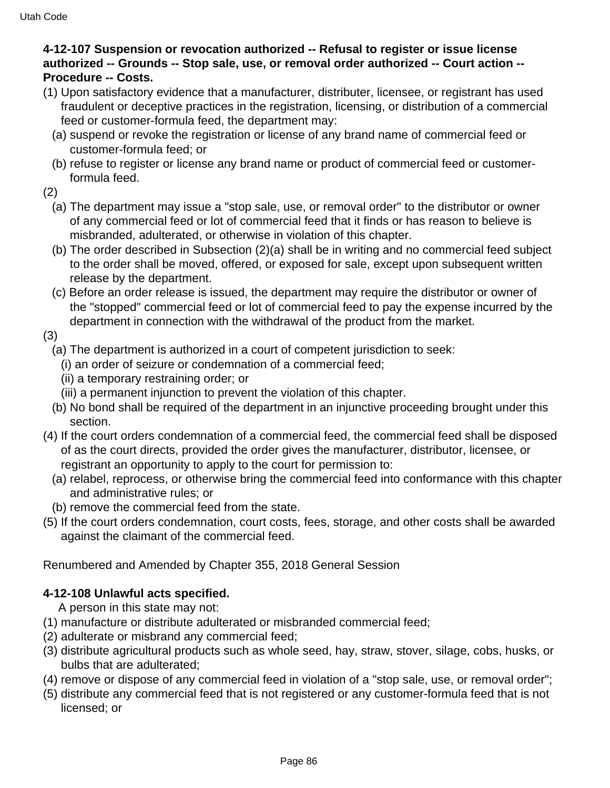# **4-12-107 Suspension or revocation authorized -- Refusal to register or issue license authorized -- Grounds -- Stop sale, use, or removal order authorized -- Court action -- Procedure -- Costs.**

- (1) Upon satisfactory evidence that a manufacturer, distributer, licensee, or registrant has used fraudulent or deceptive practices in the registration, licensing, or distribution of a commercial feed or customer-formula feed, the department may:
	- (a) suspend or revoke the registration or license of any brand name of commercial feed or customer-formula feed; or
	- (b) refuse to register or license any brand name or product of commercial feed or customerformula feed.
- (2)
	- (a) The department may issue a "stop sale, use, or removal order" to the distributor or owner of any commercial feed or lot of commercial feed that it finds or has reason to believe is misbranded, adulterated, or otherwise in violation of this chapter.
	- (b) The order described in Subsection (2)(a) shall be in writing and no commercial feed subject to the order shall be moved, offered, or exposed for sale, except upon subsequent written release by the department.
	- (c) Before an order release is issued, the department may require the distributor or owner of the "stopped" commercial feed or lot of commercial feed to pay the expense incurred by the department in connection with the withdrawal of the product from the market.

(3)

- (a) The department is authorized in a court of competent jurisdiction to seek:
	- (i) an order of seizure or condemnation of a commercial feed;
	- (ii) a temporary restraining order; or
	- (iii) a permanent injunction to prevent the violation of this chapter.
- (b) No bond shall be required of the department in an injunctive proceeding brought under this section.
- (4) If the court orders condemnation of a commercial feed, the commercial feed shall be disposed of as the court directs, provided the order gives the manufacturer, distributor, licensee, or registrant an opportunity to apply to the court for permission to:
	- (a) relabel, reprocess, or otherwise bring the commercial feed into conformance with this chapter and administrative rules; or
- (b) remove the commercial feed from the state.
- (5) If the court orders condemnation, court costs, fees, storage, and other costs shall be awarded against the claimant of the commercial feed.

Renumbered and Amended by Chapter 355, 2018 General Session

# **4-12-108 Unlawful acts specified.**

A person in this state may not:

- (1) manufacture or distribute adulterated or misbranded commercial feed;
- (2) adulterate or misbrand any commercial feed;
- (3) distribute agricultural products such as whole seed, hay, straw, stover, silage, cobs, husks, or bulbs that are adulterated;
- (4) remove or dispose of any commercial feed in violation of a "stop sale, use, or removal order";
- (5) distribute any commercial feed that is not registered or any customer-formula feed that is not licensed; or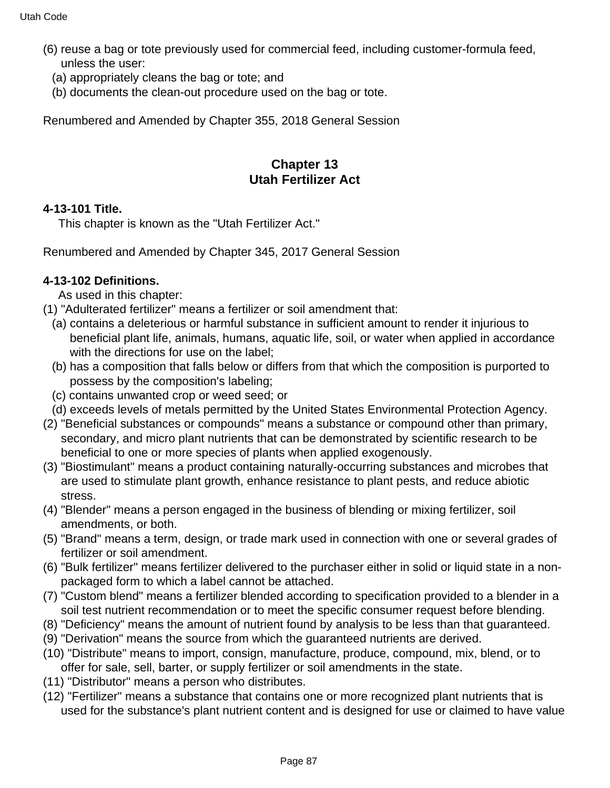- (6) reuse a bag or tote previously used for commercial feed, including customer-formula feed, unless the user:
	- (a) appropriately cleans the bag or tote; and
	- (b) documents the clean-out procedure used on the bag or tote.

# **Chapter 13 Utah Fertilizer Act**

#### **4-13-101 Title.**

This chapter is known as the "Utah Fertilizer Act."

Renumbered and Amended by Chapter 345, 2017 General Session

### **4-13-102 Definitions.**

As used in this chapter:

- (1) "Adulterated fertilizer" means a fertilizer or soil amendment that:
	- (a) contains a deleterious or harmful substance in sufficient amount to render it injurious to beneficial plant life, animals, humans, aquatic life, soil, or water when applied in accordance with the directions for use on the label;
	- (b) has a composition that falls below or differs from that which the composition is purported to possess by the composition's labeling;
	- (c) contains unwanted crop or weed seed; or
	- (d) exceeds levels of metals permitted by the United States Environmental Protection Agency.
- (2) "Beneficial substances or compounds" means a substance or compound other than primary, secondary, and micro plant nutrients that can be demonstrated by scientific research to be beneficial to one or more species of plants when applied exogenously.
- (3) "Biostimulant" means a product containing naturally-occurring substances and microbes that are used to stimulate plant growth, enhance resistance to plant pests, and reduce abiotic stress.
- (4) "Blender" means a person engaged in the business of blending or mixing fertilizer, soil amendments, or both.
- (5) "Brand" means a term, design, or trade mark used in connection with one or several grades of fertilizer or soil amendment.
- (6) "Bulk fertilizer" means fertilizer delivered to the purchaser either in solid or liquid state in a nonpackaged form to which a label cannot be attached.
- (7) "Custom blend" means a fertilizer blended according to specification provided to a blender in a soil test nutrient recommendation or to meet the specific consumer request before blending.
- (8) "Deficiency" means the amount of nutrient found by analysis to be less than that guaranteed.
- (9) "Derivation" means the source from which the guaranteed nutrients are derived.
- (10) "Distribute" means to import, consign, manufacture, produce, compound, mix, blend, or to offer for sale, sell, barter, or supply fertilizer or soil amendments in the state.
- (11) "Distributor" means a person who distributes.
- (12) "Fertilizer" means a substance that contains one or more recognized plant nutrients that is used for the substance's plant nutrient content and is designed for use or claimed to have value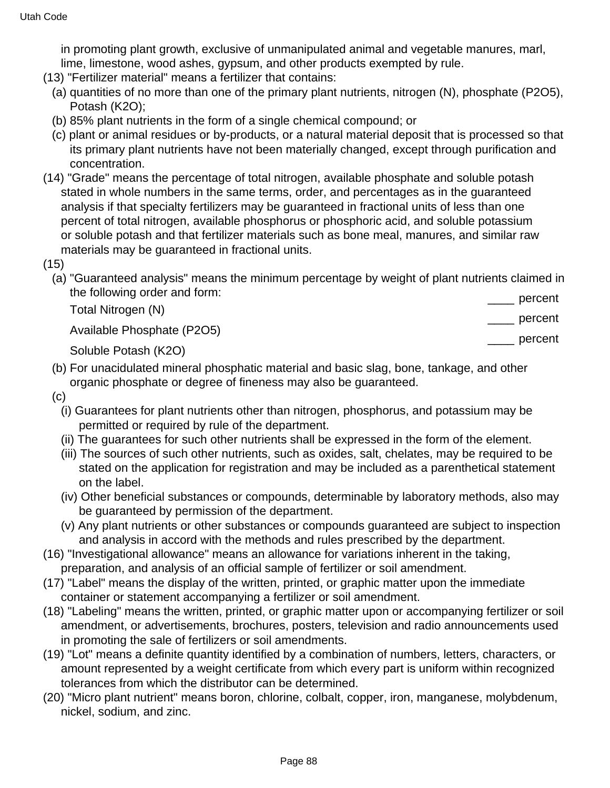in promoting plant growth, exclusive of unmanipulated animal and vegetable manures, marl, lime, limestone, wood ashes, gypsum, and other products exempted by rule.

- (13) "Fertilizer material" means a fertilizer that contains:
	- (a) quantities of no more than one of the primary plant nutrients, nitrogen (N), phosphate (P2O5), Potash (K2O);
	- (b) 85% plant nutrients in the form of a single chemical compound; or
	- (c) plant or animal residues or by-products, or a natural material deposit that is processed so that its primary plant nutrients have not been materially changed, except through purification and concentration.
- (14) "Grade" means the percentage of total nitrogen, available phosphate and soluble potash stated in whole numbers in the same terms, order, and percentages as in the guaranteed analysis if that specialty fertilizers may be guaranteed in fractional units of less than one percent of total nitrogen, available phosphorus or phosphoric acid, and soluble potassium or soluble potash and that fertilizer materials such as bone meal, manures, and similar raw materials may be guaranteed in fractional units.
- (15)
	- (a) "Guaranteed analysis" means the minimum percentage by weight of plant nutrients claimed in the following order and form: nercent

|                            | poroone<br>$\overline{\phantom{a}}$ |
|----------------------------|-------------------------------------|
| Total Nitrogen (N)         | percent                             |
| Available Phosphate (P2O5) |                                     |
|                            | percent                             |

Soluble Potash (K2O)

- (b) For unacidulated mineral phosphatic material and basic slag, bone, tankage, and other organic phosphate or degree of fineness may also be guaranteed.
- (c)
	- (i) Guarantees for plant nutrients other than nitrogen, phosphorus, and potassium may be permitted or required by rule of the department.
	- (ii) The guarantees for such other nutrients shall be expressed in the form of the element.
	- (iii) The sources of such other nutrients, such as oxides, salt, chelates, may be required to be stated on the application for registration and may be included as a parenthetical statement on the label.
	- (iv) Other beneficial substances or compounds, determinable by laboratory methods, also may be guaranteed by permission of the department.
	- (v) Any plant nutrients or other substances or compounds guaranteed are subject to inspection and analysis in accord with the methods and rules prescribed by the department.
- (16) "Investigational allowance" means an allowance for variations inherent in the taking, preparation, and analysis of an official sample of fertilizer or soil amendment.
- (17) "Label" means the display of the written, printed, or graphic matter upon the immediate container or statement accompanying a fertilizer or soil amendment.
- (18) "Labeling" means the written, printed, or graphic matter upon or accompanying fertilizer or soil amendment, or advertisements, brochures, posters, television and radio announcements used in promoting the sale of fertilizers or soil amendments.
- (19) "Lot" means a definite quantity identified by a combination of numbers, letters, characters, or amount represented by a weight certificate from which every part is uniform within recognized tolerances from which the distributor can be determined.
- (20) "Micro plant nutrient" means boron, chlorine, colbalt, copper, iron, manganese, molybdenum, nickel, sodium, and zinc.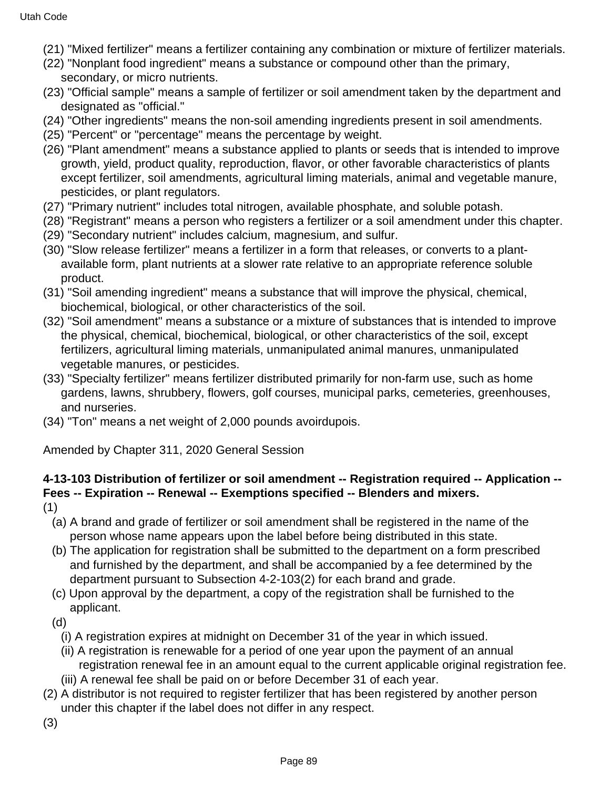- (21) "Mixed fertilizer" means a fertilizer containing any combination or mixture of fertilizer materials.
- (22) "Nonplant food ingredient" means a substance or compound other than the primary, secondary, or micro nutrients.
- (23) "Official sample" means a sample of fertilizer or soil amendment taken by the department and designated as "official."
- (24) "Other ingredients" means the non-soil amending ingredients present in soil amendments.
- (25) "Percent" or "percentage" means the percentage by weight.
- (26) "Plant amendment" means a substance applied to plants or seeds that is intended to improve growth, yield, product quality, reproduction, flavor, or other favorable characteristics of plants except fertilizer, soil amendments, agricultural liming materials, animal and vegetable manure, pesticides, or plant regulators.
- (27) "Primary nutrient" includes total nitrogen, available phosphate, and soluble potash.
- (28) "Registrant" means a person who registers a fertilizer or a soil amendment under this chapter.
- (29) "Secondary nutrient" includes calcium, magnesium, and sulfur.
- (30) "Slow release fertilizer" means a fertilizer in a form that releases, or converts to a plantavailable form, plant nutrients at a slower rate relative to an appropriate reference soluble product.
- (31) "Soil amending ingredient" means a substance that will improve the physical, chemical, biochemical, biological, or other characteristics of the soil.
- (32) "Soil amendment" means a substance or a mixture of substances that is intended to improve the physical, chemical, biochemical, biological, or other characteristics of the soil, except fertilizers, agricultural liming materials, unmanipulated animal manures, unmanipulated vegetable manures, or pesticides.
- (33) "Specialty fertilizer" means fertilizer distributed primarily for non-farm use, such as home gardens, lawns, shrubbery, flowers, golf courses, municipal parks, cemeteries, greenhouses, and nurseries.
- (34) "Ton" means a net weight of 2,000 pounds avoirdupois.

# **4-13-103 Distribution of fertilizer or soil amendment -- Registration required -- Application -- Fees -- Expiration -- Renewal -- Exemptions specified -- Blenders and mixers.**

- (1)
	- (a) A brand and grade of fertilizer or soil amendment shall be registered in the name of the person whose name appears upon the label before being distributed in this state.
	- (b) The application for registration shall be submitted to the department on a form prescribed and furnished by the department, and shall be accompanied by a fee determined by the department pursuant to Subsection 4-2-103(2) for each brand and grade.
	- (c) Upon approval by the department, a copy of the registration shall be furnished to the applicant.
	- (d)
		- (i) A registration expires at midnight on December 31 of the year in which issued.
		- (ii) A registration is renewable for a period of one year upon the payment of an annual registration renewal fee in an amount equal to the current applicable original registration fee.
		- (iii) A renewal fee shall be paid on or before December 31 of each year.
- (2) A distributor is not required to register fertilizer that has been registered by another person under this chapter if the label does not differ in any respect.
- (3)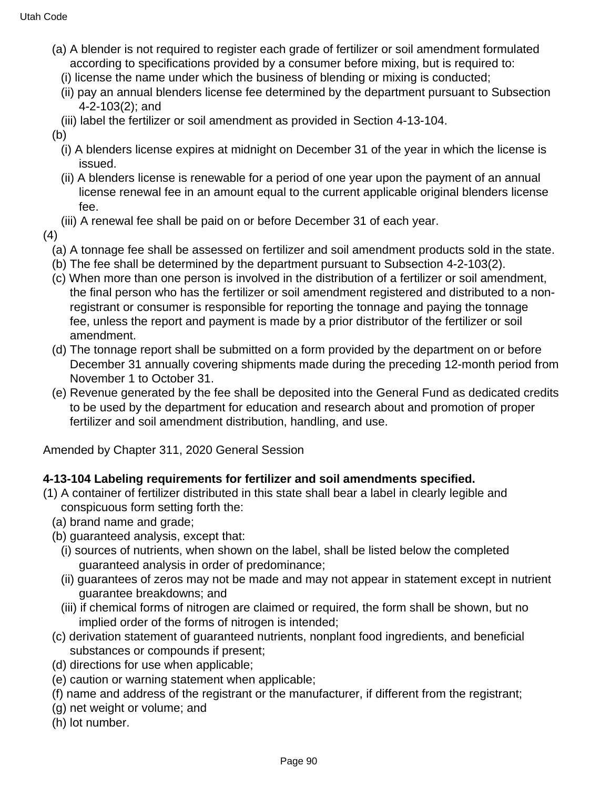- (a) A blender is not required to register each grade of fertilizer or soil amendment formulated according to specifications provided by a consumer before mixing, but is required to:
	- (i) license the name under which the business of blending or mixing is conducted;
	- (ii) pay an annual blenders license fee determined by the department pursuant to Subsection 4-2-103(2); and
	- (iii) label the fertilizer or soil amendment as provided in Section 4-13-104.
- (b)
	- (i) A blenders license expires at midnight on December 31 of the year in which the license is issued.
	- (ii) A blenders license is renewable for a period of one year upon the payment of an annual license renewal fee in an amount equal to the current applicable original blenders license fee.
	- (iii) A renewal fee shall be paid on or before December 31 of each year.
- (4)
	- (a) A tonnage fee shall be assessed on fertilizer and soil amendment products sold in the state.
	- (b) The fee shall be determined by the department pursuant to Subsection 4-2-103(2).
	- (c) When more than one person is involved in the distribution of a fertilizer or soil amendment, the final person who has the fertilizer or soil amendment registered and distributed to a nonregistrant or consumer is responsible for reporting the tonnage and paying the tonnage fee, unless the report and payment is made by a prior distributor of the fertilizer or soil amendment.
	- (d) The tonnage report shall be submitted on a form provided by the department on or before December 31 annually covering shipments made during the preceding 12-month period from November 1 to October 31.
	- (e) Revenue generated by the fee shall be deposited into the General Fund as dedicated credits to be used by the department for education and research about and promotion of proper fertilizer and soil amendment distribution, handling, and use.

### **4-13-104 Labeling requirements for fertilizer and soil amendments specified.**

- (1) A container of fertilizer distributed in this state shall bear a label in clearly legible and conspicuous form setting forth the:
	- (a) brand name and grade;
	- (b) guaranteed analysis, except that:
		- (i) sources of nutrients, when shown on the label, shall be listed below the completed guaranteed analysis in order of predominance;
		- (ii) guarantees of zeros may not be made and may not appear in statement except in nutrient guarantee breakdowns; and
		- (iii) if chemical forms of nitrogen are claimed or required, the form shall be shown, but no implied order of the forms of nitrogen is intended;
	- (c) derivation statement of guaranteed nutrients, nonplant food ingredients, and beneficial substances or compounds if present;
	- (d) directions for use when applicable;
	- (e) caution or warning statement when applicable;
	- (f) name and address of the registrant or the manufacturer, if different from the registrant;
	- (g) net weight or volume; and
	- (h) lot number.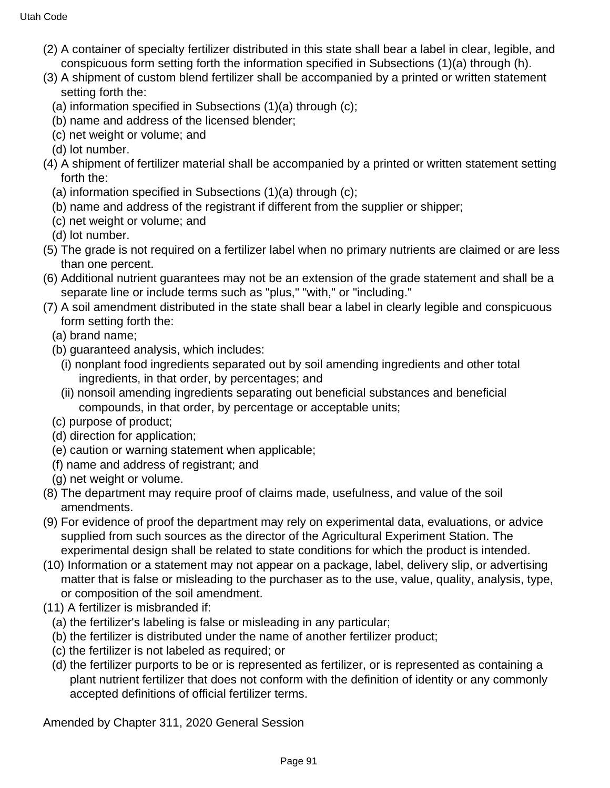- (2) A container of specialty fertilizer distributed in this state shall bear a label in clear, legible, and conspicuous form setting forth the information specified in Subsections (1)(a) through (h).
- (3) A shipment of custom blend fertilizer shall be accompanied by a printed or written statement setting forth the:
	- (a) information specified in Subsections (1)(a) through (c);
	- (b) name and address of the licensed blender;
	- (c) net weight or volume; and
	- (d) lot number.
- (4) A shipment of fertilizer material shall be accompanied by a printed or written statement setting forth the:
	- (a) information specified in Subsections (1)(a) through (c);
	- (b) name and address of the registrant if different from the supplier or shipper;
	- (c) net weight or volume; and
	- (d) lot number.
- (5) The grade is not required on a fertilizer label when no primary nutrients are claimed or are less than one percent.
- (6) Additional nutrient guarantees may not be an extension of the grade statement and shall be a separate line or include terms such as "plus," "with," or "including."
- (7) A soil amendment distributed in the state shall bear a label in clearly legible and conspicuous form setting forth the:
	- (a) brand name;
	- (b) guaranteed analysis, which includes:
		- (i) nonplant food ingredients separated out by soil amending ingredients and other total ingredients, in that order, by percentages; and
		- (ii) nonsoil amending ingredients separating out beneficial substances and beneficial compounds, in that order, by percentage or acceptable units;
	- (c) purpose of product;
	- (d) direction for application;
	- (e) caution or warning statement when applicable;
	- (f) name and address of registrant; and
	- (g) net weight or volume.
- (8) The department may require proof of claims made, usefulness, and value of the soil amendments.
- (9) For evidence of proof the department may rely on experimental data, evaluations, or advice supplied from such sources as the director of the Agricultural Experiment Station. The experimental design shall be related to state conditions for which the product is intended.
- (10) Information or a statement may not appear on a package, label, delivery slip, or advertising matter that is false or misleading to the purchaser as to the use, value, quality, analysis, type, or composition of the soil amendment.
- (11) A fertilizer is misbranded if:
	- (a) the fertilizer's labeling is false or misleading in any particular;
	- (b) the fertilizer is distributed under the name of another fertilizer product;
	- (c) the fertilizer is not labeled as required; or
	- (d) the fertilizer purports to be or is represented as fertilizer, or is represented as containing a plant nutrient fertilizer that does not conform with the definition of identity or any commonly accepted definitions of official fertilizer terms.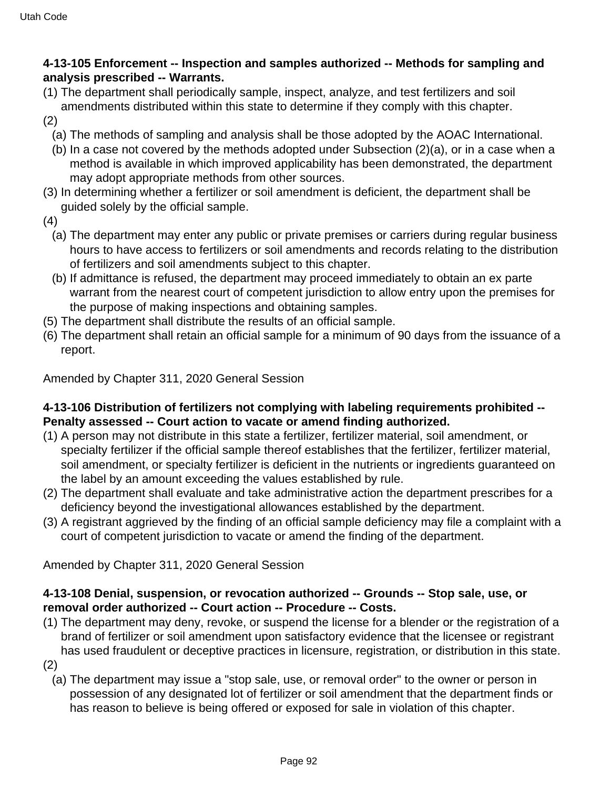### **4-13-105 Enforcement -- Inspection and samples authorized -- Methods for sampling and analysis prescribed -- Warrants.**

- (1) The department shall periodically sample, inspect, analyze, and test fertilizers and soil amendments distributed within this state to determine if they comply with this chapter.
- (2)
	- (a) The methods of sampling and analysis shall be those adopted by the AOAC International.
	- (b) In a case not covered by the methods adopted under Subsection (2)(a), or in a case when a method is available in which improved applicability has been demonstrated, the department may adopt appropriate methods from other sources.
- (3) In determining whether a fertilizer or soil amendment is deficient, the department shall be guided solely by the official sample.
- (4)
	- (a) The department may enter any public or private premises or carriers during regular business hours to have access to fertilizers or soil amendments and records relating to the distribution of fertilizers and soil amendments subject to this chapter.
	- (b) If admittance is refused, the department may proceed immediately to obtain an ex parte warrant from the nearest court of competent jurisdiction to allow entry upon the premises for the purpose of making inspections and obtaining samples.
- (5) The department shall distribute the results of an official sample.
- (6) The department shall retain an official sample for a minimum of 90 days from the issuance of a report.

Amended by Chapter 311, 2020 General Session

### **4-13-106 Distribution of fertilizers not complying with labeling requirements prohibited -- Penalty assessed -- Court action to vacate or amend finding authorized.**

- (1) A person may not distribute in this state a fertilizer, fertilizer material, soil amendment, or specialty fertilizer if the official sample thereof establishes that the fertilizer, fertilizer material, soil amendment, or specialty fertilizer is deficient in the nutrients or ingredients guaranteed on the label by an amount exceeding the values established by rule.
- (2) The department shall evaluate and take administrative action the department prescribes for a deficiency beyond the investigational allowances established by the department.
- (3) A registrant aggrieved by the finding of an official sample deficiency may file a complaint with a court of competent jurisdiction to vacate or amend the finding of the department.

Amended by Chapter 311, 2020 General Session

### **4-13-108 Denial, suspension, or revocation authorized -- Grounds -- Stop sale, use, or removal order authorized -- Court action -- Procedure -- Costs.**

(1) The department may deny, revoke, or suspend the license for a blender or the registration of a brand of fertilizer or soil amendment upon satisfactory evidence that the licensee or registrant has used fraudulent or deceptive practices in licensure, registration, or distribution in this state.

(2)

(a) The department may issue a "stop sale, use, or removal order" to the owner or person in possession of any designated lot of fertilizer or soil amendment that the department finds or has reason to believe is being offered or exposed for sale in violation of this chapter.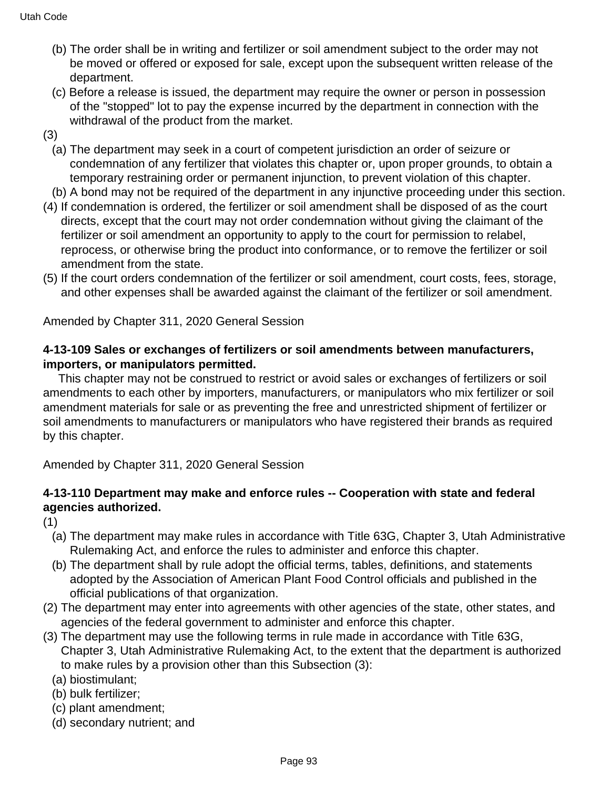- (b) The order shall be in writing and fertilizer or soil amendment subject to the order may not be moved or offered or exposed for sale, except upon the subsequent written release of the department.
- (c) Before a release is issued, the department may require the owner or person in possession of the "stopped" lot to pay the expense incurred by the department in connection with the withdrawal of the product from the market.
- (3)
	- (a) The department may seek in a court of competent jurisdiction an order of seizure or condemnation of any fertilizer that violates this chapter or, upon proper grounds, to obtain a temporary restraining order or permanent injunction, to prevent violation of this chapter.
- (b) A bond may not be required of the department in any injunctive proceeding under this section.
- (4) If condemnation is ordered, the fertilizer or soil amendment shall be disposed of as the court directs, except that the court may not order condemnation without giving the claimant of the fertilizer or soil amendment an opportunity to apply to the court for permission to relabel, reprocess, or otherwise bring the product into conformance, or to remove the fertilizer or soil amendment from the state.
- (5) If the court orders condemnation of the fertilizer or soil amendment, court costs, fees, storage, and other expenses shall be awarded against the claimant of the fertilizer or soil amendment.

# **4-13-109 Sales or exchanges of fertilizers or soil amendments between manufacturers, importers, or manipulators permitted.**

 This chapter may not be construed to restrict or avoid sales or exchanges of fertilizers or soil amendments to each other by importers, manufacturers, or manipulators who mix fertilizer or soil amendment materials for sale or as preventing the free and unrestricted shipment of fertilizer or soil amendments to manufacturers or manipulators who have registered their brands as required by this chapter.

Amended by Chapter 311, 2020 General Session

# **4-13-110 Department may make and enforce rules -- Cooperation with state and federal agencies authorized.**

(1)

- (a) The department may make rules in accordance with Title 63G, Chapter 3, Utah Administrative Rulemaking Act, and enforce the rules to administer and enforce this chapter.
- (b) The department shall by rule adopt the official terms, tables, definitions, and statements adopted by the Association of American Plant Food Control officials and published in the official publications of that organization.
- (2) The department may enter into agreements with other agencies of the state, other states, and agencies of the federal government to administer and enforce this chapter.
- (3) The department may use the following terms in rule made in accordance with Title 63G, Chapter 3, Utah Administrative Rulemaking Act, to the extent that the department is authorized to make rules by a provision other than this Subsection (3):
	- (a) biostimulant;
	- (b) bulk fertilizer;
	- (c) plant amendment;
	- (d) secondary nutrient; and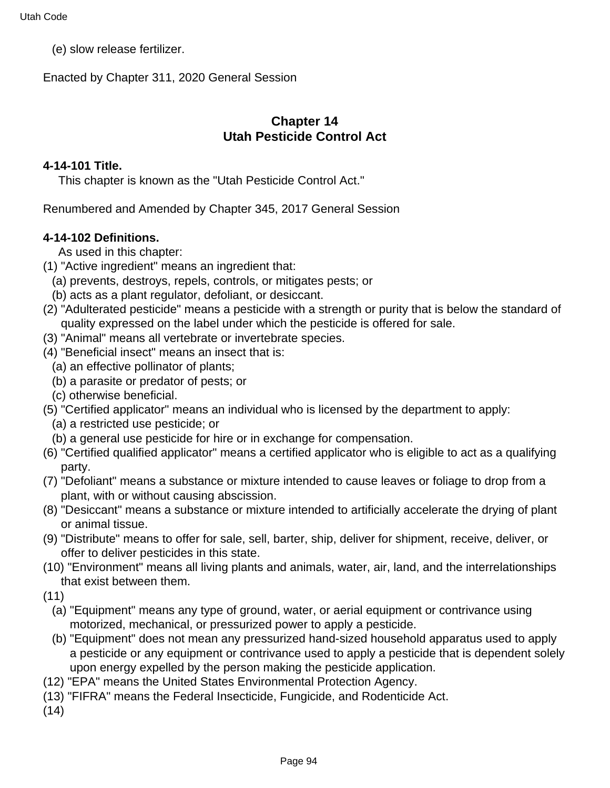(e) slow release fertilizer.

Enacted by Chapter 311, 2020 General Session

# **Chapter 14 Utah Pesticide Control Act**

#### **4-14-101 Title.**

This chapter is known as the "Utah Pesticide Control Act."

Renumbered and Amended by Chapter 345, 2017 General Session

### **4-14-102 Definitions.**

As used in this chapter:

- (1) "Active ingredient" means an ingredient that:
	- (a) prevents, destroys, repels, controls, or mitigates pests; or
	- (b) acts as a plant regulator, defoliant, or desiccant.
- (2) "Adulterated pesticide" means a pesticide with a strength or purity that is below the standard of quality expressed on the label under which the pesticide is offered for sale.
- (3) "Animal" means all vertebrate or invertebrate species.
- (4) "Beneficial insect" means an insect that is:
	- (a) an effective pollinator of plants;
	- (b) a parasite or predator of pests; or
	- (c) otherwise beneficial.
- (5) "Certified applicator" means an individual who is licensed by the department to apply:
	- (a) a restricted use pesticide; or
	- (b) a general use pesticide for hire or in exchange for compensation.
- (6) "Certified qualified applicator" means a certified applicator who is eligible to act as a qualifying party.
- (7) "Defoliant" means a substance or mixture intended to cause leaves or foliage to drop from a plant, with or without causing abscission.
- (8) "Desiccant" means a substance or mixture intended to artificially accelerate the drying of plant or animal tissue.
- (9) "Distribute" means to offer for sale, sell, barter, ship, deliver for shipment, receive, deliver, or offer to deliver pesticides in this state.
- (10) "Environment" means all living plants and animals, water, air, land, and the interrelationships that exist between them.
- (11)
	- (a) "Equipment" means any type of ground, water, or aerial equipment or contrivance using motorized, mechanical, or pressurized power to apply a pesticide.
	- (b) "Equipment" does not mean any pressurized hand-sized household apparatus used to apply a pesticide or any equipment or contrivance used to apply a pesticide that is dependent solely upon energy expelled by the person making the pesticide application.
- (12) "EPA" means the United States Environmental Protection Agency.
- (13) "FIFRA" means the Federal Insecticide, Fungicide, and Rodenticide Act.
- (14)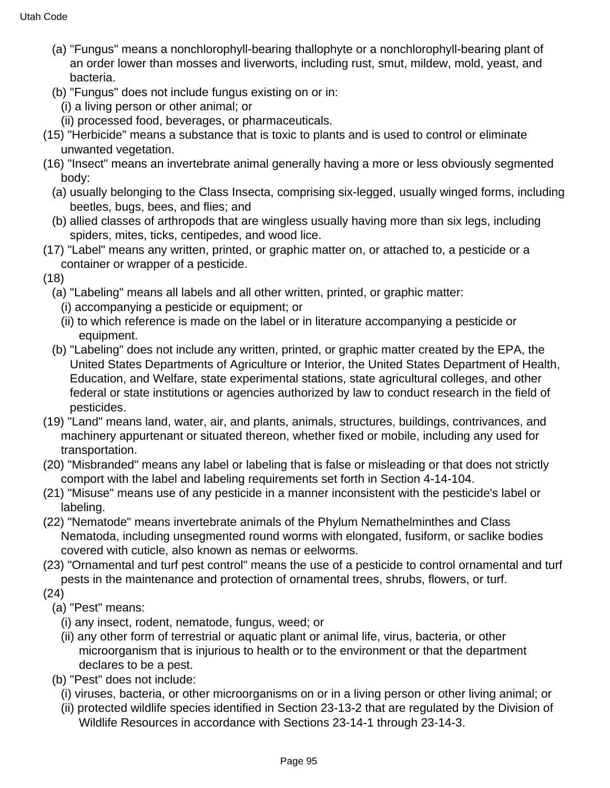- (a) "Fungus" means a nonchlorophyll-bearing thallophyte or a nonchlorophyll-bearing plant of an order lower than mosses and liverworts, including rust, smut, mildew, mold, yeast, and bacteria.
- (b) "Fungus" does not include fungus existing on or in:
	- (i) a living person or other animal; or
	- (ii) processed food, beverages, or pharmaceuticals.
- (15) "Herbicide" means a substance that is toxic to plants and is used to control or eliminate unwanted vegetation.
- (16) "Insect" means an invertebrate animal generally having a more or less obviously segmented body:
	- (a) usually belonging to the Class Insecta, comprising six-legged, usually winged forms, including beetles, bugs, bees, and flies; and
	- (b) allied classes of arthropods that are wingless usually having more than six legs, including spiders, mites, ticks, centipedes, and wood lice.
- (17) "Label" means any written, printed, or graphic matter on, or attached to, a pesticide or a container or wrapper of a pesticide.
- (18)
	- (a) "Labeling" means all labels and all other written, printed, or graphic matter:
		- (i) accompanying a pesticide or equipment; or
		- (ii) to which reference is made on the label or in literature accompanying a pesticide or equipment.
	- (b) "Labeling" does not include any written, printed, or graphic matter created by the EPA, the United States Departments of Agriculture or Interior, the United States Department of Health, Education, and Welfare, state experimental stations, state agricultural colleges, and other federal or state institutions or agencies authorized by law to conduct research in the field of pesticides.
- (19) "Land" means land, water, air, and plants, animals, structures, buildings, contrivances, and machinery appurtenant or situated thereon, whether fixed or mobile, including any used for transportation.
- (20) "Misbranded" means any label or labeling that is false or misleading or that does not strictly comport with the label and labeling requirements set forth in Section 4-14-104.
- (21) "Misuse" means use of any pesticide in a manner inconsistent with the pesticide's label or labeling.
- (22) "Nematode" means invertebrate animals of the Phylum Nemathelminthes and Class Nematoda, including unsegmented round worms with elongated, fusiform, or saclike bodies covered with cuticle, also known as nemas or eelworms.
- (23) "Ornamental and turf pest control" means the use of a pesticide to control ornamental and turf pests in the maintenance and protection of ornamental trees, shrubs, flowers, or turf.
- (24)
	- (a) "Pest" means:
		- (i) any insect, rodent, nematode, fungus, weed; or
		- (ii) any other form of terrestrial or aquatic plant or animal life, virus, bacteria, or other microorganism that is injurious to health or to the environment or that the department declares to be a pest.
	- (b) "Pest" does not include:
		- (i) viruses, bacteria, or other microorganisms on or in a living person or other living animal; or
		- (ii) protected wildlife species identified in Section 23-13-2 that are regulated by the Division of Wildlife Resources in accordance with Sections 23-14-1 through 23-14-3.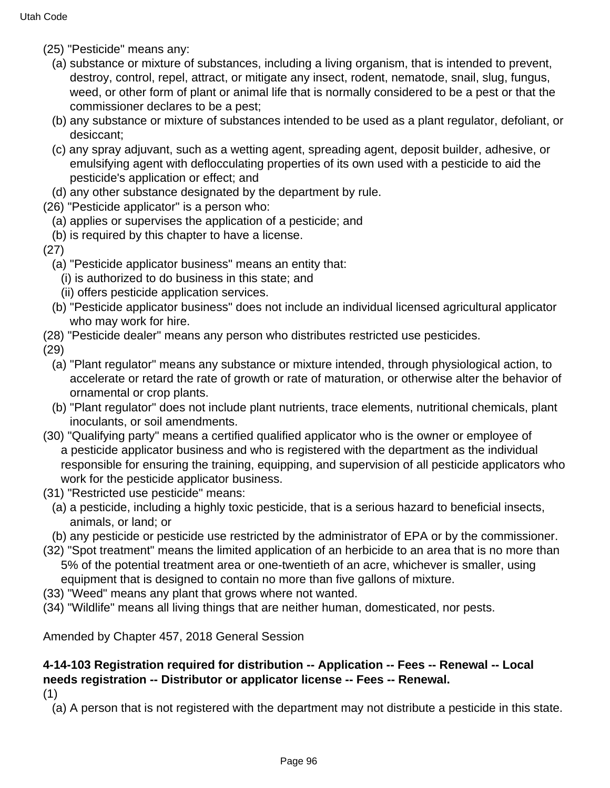- (25) "Pesticide" means any:
	- (a) substance or mixture of substances, including a living organism, that is intended to prevent, destroy, control, repel, attract, or mitigate any insect, rodent, nematode, snail, slug, fungus, weed, or other form of plant or animal life that is normally considered to be a pest or that the commissioner declares to be a pest;
	- (b) any substance or mixture of substances intended to be used as a plant regulator, defoliant, or desiccant;
	- (c) any spray adjuvant, such as a wetting agent, spreading agent, deposit builder, adhesive, or emulsifying agent with deflocculating properties of its own used with a pesticide to aid the pesticide's application or effect; and
	- (d) any other substance designated by the department by rule.
- (26) "Pesticide applicator" is a person who:
	- (a) applies or supervises the application of a pesticide; and
	- (b) is required by this chapter to have a license.
- (27)
	- (a) "Pesticide applicator business" means an entity that:
		- (i) is authorized to do business in this state; and
		- (ii) offers pesticide application services.
	- (b) "Pesticide applicator business" does not include an individual licensed agricultural applicator who may work for hire.
- (28) "Pesticide dealer" means any person who distributes restricted use pesticides.

(29)

- (a) "Plant regulator" means any substance or mixture intended, through physiological action, to accelerate or retard the rate of growth or rate of maturation, or otherwise alter the behavior of ornamental or crop plants.
- (b) "Plant regulator" does not include plant nutrients, trace elements, nutritional chemicals, plant inoculants, or soil amendments.
- (30) "Qualifying party" means a certified qualified applicator who is the owner or employee of a pesticide applicator business and who is registered with the department as the individual responsible for ensuring the training, equipping, and supervision of all pesticide applicators who work for the pesticide applicator business.
- (31) "Restricted use pesticide" means:
	- (a) a pesticide, including a highly toxic pesticide, that is a serious hazard to beneficial insects, animals, or land; or
	- (b) any pesticide or pesticide use restricted by the administrator of EPA or by the commissioner.
- (32) "Spot treatment" means the limited application of an herbicide to an area that is no more than 5% of the potential treatment area or one-twentieth of an acre, whichever is smaller, using equipment that is designed to contain no more than five gallons of mixture.
- (33) "Weed" means any plant that grows where not wanted.
- (34) "Wildlife" means all living things that are neither human, domesticated, nor pests.

Amended by Chapter 457, 2018 General Session

# **4-14-103 Registration required for distribution -- Application -- Fees -- Renewal -- Local needs registration -- Distributor or applicator license -- Fees -- Renewal.**

(1)

(a) A person that is not registered with the department may not distribute a pesticide in this state.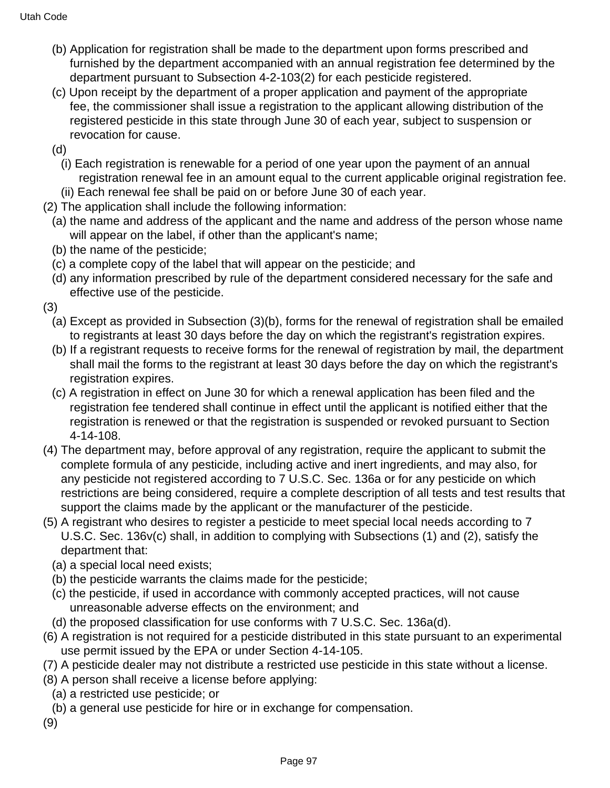- (b) Application for registration shall be made to the department upon forms prescribed and furnished by the department accompanied with an annual registration fee determined by the department pursuant to Subsection 4-2-103(2) for each pesticide registered.
- (c) Upon receipt by the department of a proper application and payment of the appropriate fee, the commissioner shall issue a registration to the applicant allowing distribution of the registered pesticide in this state through June 30 of each year, subject to suspension or revocation for cause.
- (d)
	- (i) Each registration is renewable for a period of one year upon the payment of an annual registration renewal fee in an amount equal to the current applicable original registration fee.
- (ii) Each renewal fee shall be paid on or before June 30 of each year.
- (2) The application shall include the following information:
	- (a) the name and address of the applicant and the name and address of the person whose name will appear on the label, if other than the applicant's name;
	- (b) the name of the pesticide;
	- (c) a complete copy of the label that will appear on the pesticide; and
	- (d) any information prescribed by rule of the department considered necessary for the safe and effective use of the pesticide.
- (3)
	- (a) Except as provided in Subsection (3)(b), forms for the renewal of registration shall be emailed to registrants at least 30 days before the day on which the registrant's registration expires.
	- (b) If a registrant requests to receive forms for the renewal of registration by mail, the department shall mail the forms to the registrant at least 30 days before the day on which the registrant's registration expires.
	- (c) A registration in effect on June 30 for which a renewal application has been filed and the registration fee tendered shall continue in effect until the applicant is notified either that the registration is renewed or that the registration is suspended or revoked pursuant to Section 4-14-108.
- (4) The department may, before approval of any registration, require the applicant to submit the complete formula of any pesticide, including active and inert ingredients, and may also, for any pesticide not registered according to 7 U.S.C. Sec. 136a or for any pesticide on which restrictions are being considered, require a complete description of all tests and test results that support the claims made by the applicant or the manufacturer of the pesticide.
- (5) A registrant who desires to register a pesticide to meet special local needs according to 7 U.S.C. Sec. 136v(c) shall, in addition to complying with Subsections (1) and (2), satisfy the department that:
	- (a) a special local need exists;
	- (b) the pesticide warrants the claims made for the pesticide;
	- (c) the pesticide, if used in accordance with commonly accepted practices, will not cause unreasonable adverse effects on the environment; and
- (d) the proposed classification for use conforms with 7 U.S.C. Sec. 136a(d).
- (6) A registration is not required for a pesticide distributed in this state pursuant to an experimental use permit issued by the EPA or under Section 4-14-105.
- (7) A pesticide dealer may not distribute a restricted use pesticide in this state without a license.
- (8) A person shall receive a license before applying:
	- (a) a restricted use pesticide; or
	- (b) a general use pesticide for hire or in exchange for compensation.
- (9)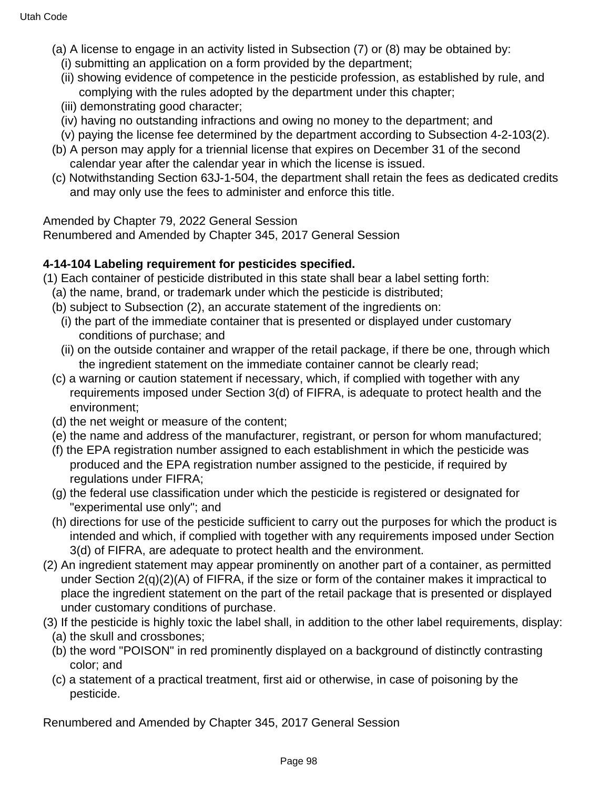- (a) A license to engage in an activity listed in Subsection (7) or (8) may be obtained by:
	- (i) submitting an application on a form provided by the department;
	- (ii) showing evidence of competence in the pesticide profession, as established by rule, and complying with the rules adopted by the department under this chapter;
	- (iii) demonstrating good character;
	- (iv) having no outstanding infractions and owing no money to the department; and
	- (v) paying the license fee determined by the department according to Subsection 4-2-103(2).
- (b) A person may apply for a triennial license that expires on December 31 of the second calendar year after the calendar year in which the license is issued.
- (c) Notwithstanding Section 63J-1-504, the department shall retain the fees as dedicated credits and may only use the fees to administer and enforce this title.

Renumbered and Amended by Chapter 345, 2017 General Session

### **4-14-104 Labeling requirement for pesticides specified.**

- (1) Each container of pesticide distributed in this state shall bear a label setting forth:
	- (a) the name, brand, or trademark under which the pesticide is distributed;
	- (b) subject to Subsection (2), an accurate statement of the ingredients on:
	- (i) the part of the immediate container that is presented or displayed under customary conditions of purchase; and
	- (ii) on the outside container and wrapper of the retail package, if there be one, through which the ingredient statement on the immediate container cannot be clearly read;
	- (c) a warning or caution statement if necessary, which, if complied with together with any requirements imposed under Section 3(d) of FIFRA, is adequate to protect health and the environment;
	- (d) the net weight or measure of the content;
	- (e) the name and address of the manufacturer, registrant, or person for whom manufactured;
	- (f) the EPA registration number assigned to each establishment in which the pesticide was produced and the EPA registration number assigned to the pesticide, if required by regulations under FIFRA;
	- (g) the federal use classification under which the pesticide is registered or designated for "experimental use only"; and
	- (h) directions for use of the pesticide sufficient to carry out the purposes for which the product is intended and which, if complied with together with any requirements imposed under Section 3(d) of FIFRA, are adequate to protect health and the environment.
- (2) An ingredient statement may appear prominently on another part of a container, as permitted under Section  $2(q)(2)(A)$  of FIFRA, if the size or form of the container makes it impractical to place the ingredient statement on the part of the retail package that is presented or displayed under customary conditions of purchase.
- (3) If the pesticide is highly toxic the label shall, in addition to the other label requirements, display: (a) the skull and crossbones;
	- (b) the word "POISON" in red prominently displayed on a background of distinctly contrasting color; and
	- (c) a statement of a practical treatment, first aid or otherwise, in case of poisoning by the pesticide.

Renumbered and Amended by Chapter 345, 2017 General Session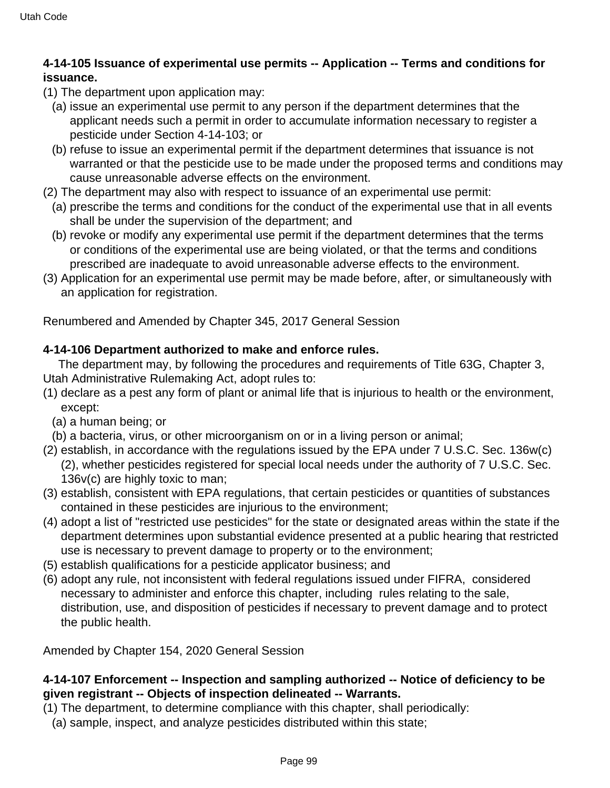# **4-14-105 Issuance of experimental use permits -- Application -- Terms and conditions for issuance.**

- (1) The department upon application may:
	- (a) issue an experimental use permit to any person if the department determines that the applicant needs such a permit in order to accumulate information necessary to register a pesticide under Section 4-14-103; or
	- (b) refuse to issue an experimental permit if the department determines that issuance is not warranted or that the pesticide use to be made under the proposed terms and conditions may cause unreasonable adverse effects on the environment.
- (2) The department may also with respect to issuance of an experimental use permit:
	- (a) prescribe the terms and conditions for the conduct of the experimental use that in all events shall be under the supervision of the department; and
	- (b) revoke or modify any experimental use permit if the department determines that the terms or conditions of the experimental use are being violated, or that the terms and conditions prescribed are inadequate to avoid unreasonable adverse effects to the environment.
- (3) Application for an experimental use permit may be made before, after, or simultaneously with an application for registration.

Renumbered and Amended by Chapter 345, 2017 General Session

# **4-14-106 Department authorized to make and enforce rules.**

 The department may, by following the procedures and requirements of Title 63G, Chapter 3, Utah Administrative Rulemaking Act, adopt rules to:

- (1) declare as a pest any form of plant or animal life that is injurious to health or the environment, except:
	- (a) a human being; or
	- (b) a bacteria, virus, or other microorganism on or in a living person or animal;
- (2) establish, in accordance with the regulations issued by the EPA under 7 U.S.C. Sec. 136w(c) (2), whether pesticides registered for special local needs under the authority of 7 U.S.C. Sec. 136v(c) are highly toxic to man;
- (3) establish, consistent with EPA regulations, that certain pesticides or quantities of substances contained in these pesticides are injurious to the environment;
- (4) adopt a list of "restricted use pesticides" for the state or designated areas within the state if the department determines upon substantial evidence presented at a public hearing that restricted use is necessary to prevent damage to property or to the environment;
- (5) establish qualifications for a pesticide applicator business; and
- (6) adopt any rule, not inconsistent with federal regulations issued under FIFRA, considered necessary to administer and enforce this chapter, including rules relating to the sale, distribution, use, and disposition of pesticides if necessary to prevent damage and to protect the public health.

Amended by Chapter 154, 2020 General Session

### **4-14-107 Enforcement -- Inspection and sampling authorized -- Notice of deficiency to be given registrant -- Objects of inspection delineated -- Warrants.**

- (1) The department, to determine compliance with this chapter, shall periodically:
	- (a) sample, inspect, and analyze pesticides distributed within this state;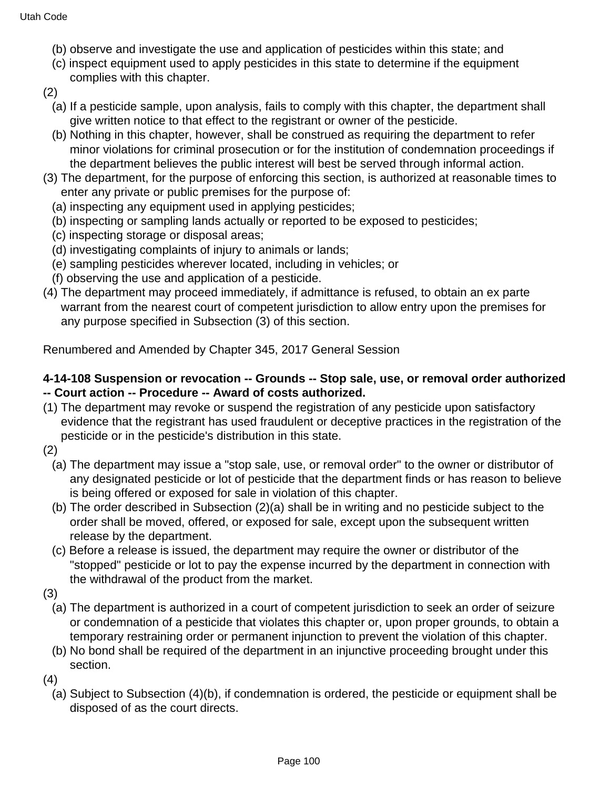- (b) observe and investigate the use and application of pesticides within this state; and
- (c) inspect equipment used to apply pesticides in this state to determine if the equipment complies with this chapter.
- (2)
	- (a) If a pesticide sample, upon analysis, fails to comply with this chapter, the department shall give written notice to that effect to the registrant or owner of the pesticide.
	- (b) Nothing in this chapter, however, shall be construed as requiring the department to refer minor violations for criminal prosecution or for the institution of condemnation proceedings if the department believes the public interest will best be served through informal action.
- (3) The department, for the purpose of enforcing this section, is authorized at reasonable times to enter any private or public premises for the purpose of:
	- (a) inspecting any equipment used in applying pesticides;
	- (b) inspecting or sampling lands actually or reported to be exposed to pesticides;
	- (c) inspecting storage or disposal areas;
	- (d) investigating complaints of injury to animals or lands;
	- (e) sampling pesticides wherever located, including in vehicles; or
	- (f) observing the use and application of a pesticide.
- (4) The department may proceed immediately, if admittance is refused, to obtain an ex parte warrant from the nearest court of competent jurisdiction to allow entry upon the premises for any purpose specified in Subsection (3) of this section.

#### **4-14-108 Suspension or revocation -- Grounds -- Stop sale, use, or removal order authorized -- Court action -- Procedure -- Award of costs authorized.**

- (1) The department may revoke or suspend the registration of any pesticide upon satisfactory evidence that the registrant has used fraudulent or deceptive practices in the registration of the pesticide or in the pesticide's distribution in this state.
- (2)
	- (a) The department may issue a "stop sale, use, or removal order" to the owner or distributor of any designated pesticide or lot of pesticide that the department finds or has reason to believe is being offered or exposed for sale in violation of this chapter.
	- (b) The order described in Subsection (2)(a) shall be in writing and no pesticide subject to the order shall be moved, offered, or exposed for sale, except upon the subsequent written release by the department.
	- (c) Before a release is issued, the department may require the owner or distributor of the "stopped" pesticide or lot to pay the expense incurred by the department in connection with the withdrawal of the product from the market.
- (3)
	- (a) The department is authorized in a court of competent jurisdiction to seek an order of seizure or condemnation of a pesticide that violates this chapter or, upon proper grounds, to obtain a temporary restraining order or permanent injunction to prevent the violation of this chapter.
	- (b) No bond shall be required of the department in an injunctive proceeding brought under this section.
- (4)
	- (a) Subject to Subsection (4)(b), if condemnation is ordered, the pesticide or equipment shall be disposed of as the court directs.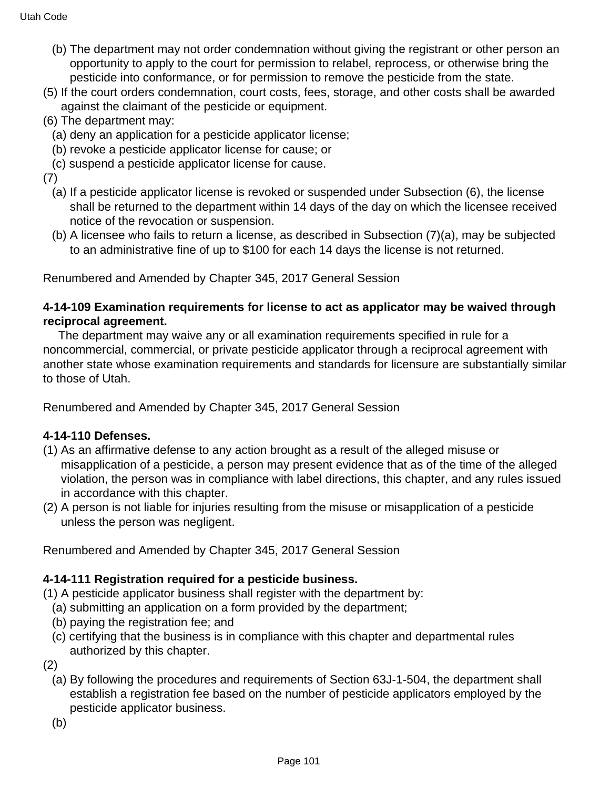- (b) The department may not order condemnation without giving the registrant or other person an opportunity to apply to the court for permission to relabel, reprocess, or otherwise bring the pesticide into conformance, or for permission to remove the pesticide from the state.
- (5) If the court orders condemnation, court costs, fees, storage, and other costs shall be awarded against the claimant of the pesticide or equipment.
- (6) The department may:
	- (a) deny an application for a pesticide applicator license;
	- (b) revoke a pesticide applicator license for cause; or
	- (c) suspend a pesticide applicator license for cause.
- (7)
	- (a) If a pesticide applicator license is revoked or suspended under Subsection (6), the license shall be returned to the department within 14 days of the day on which the licensee received notice of the revocation or suspension.
	- (b) A licensee who fails to return a license, as described in Subsection (7)(a), may be subjected to an administrative fine of up to \$100 for each 14 days the license is not returned.

### **4-14-109 Examination requirements for license to act as applicator may be waived through reciprocal agreement.**

 The department may waive any or all examination requirements specified in rule for a noncommercial, commercial, or private pesticide applicator through a reciprocal agreement with another state whose examination requirements and standards for licensure are substantially similar to those of Utah.

Renumbered and Amended by Chapter 345, 2017 General Session

# **4-14-110 Defenses.**

- (1) As an affirmative defense to any action brought as a result of the alleged misuse or misapplication of a pesticide, a person may present evidence that as of the time of the alleged violation, the person was in compliance with label directions, this chapter, and any rules issued in accordance with this chapter.
- (2) A person is not liable for injuries resulting from the misuse or misapplication of a pesticide unless the person was negligent.

Renumbered and Amended by Chapter 345, 2017 General Session

# **4-14-111 Registration required for a pesticide business.**

(1) A pesticide applicator business shall register with the department by:

- (a) submitting an application on a form provided by the department;
- (b) paying the registration fee; and
- (c) certifying that the business is in compliance with this chapter and departmental rules authorized by this chapter.
- (2)
	- (a) By following the procedures and requirements of Section 63J-1-504, the department shall establish a registration fee based on the number of pesticide applicators employed by the pesticide applicator business.
	- (b)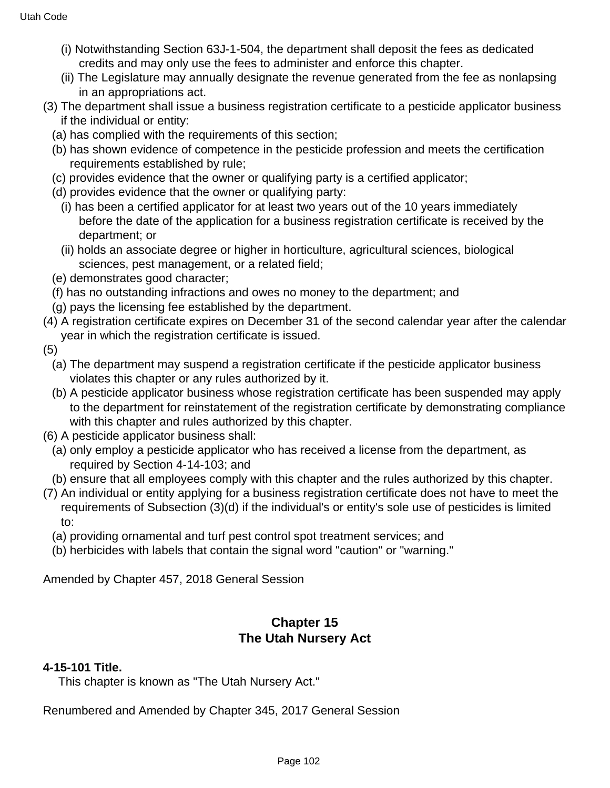- (i) Notwithstanding Section 63J-1-504, the department shall deposit the fees as dedicated credits and may only use the fees to administer and enforce this chapter.
- (ii) The Legislature may annually designate the revenue generated from the fee as nonlapsing in an appropriations act.
- (3) The department shall issue a business registration certificate to a pesticide applicator business if the individual or entity:
	- (a) has complied with the requirements of this section;
	- (b) has shown evidence of competence in the pesticide profession and meets the certification requirements established by rule;
	- (c) provides evidence that the owner or qualifying party is a certified applicator;
	- (d) provides evidence that the owner or qualifying party:
		- (i) has been a certified applicator for at least two years out of the 10 years immediately before the date of the application for a business registration certificate is received by the department; or
		- (ii) holds an associate degree or higher in horticulture, agricultural sciences, biological sciences, pest management, or a related field;
	- (e) demonstrates good character;
	- (f) has no outstanding infractions and owes no money to the department; and
	- (g) pays the licensing fee established by the department.
- (4) A registration certificate expires on December 31 of the second calendar year after the calendar year in which the registration certificate is issued.
- (5)
	- (a) The department may suspend a registration certificate if the pesticide applicator business violates this chapter or any rules authorized by it.
	- (b) A pesticide applicator business whose registration certificate has been suspended may apply to the department for reinstatement of the registration certificate by demonstrating compliance with this chapter and rules authorized by this chapter.
- (6) A pesticide applicator business shall:
	- (a) only employ a pesticide applicator who has received a license from the department, as required by Section 4-14-103; and
- (b) ensure that all employees comply with this chapter and the rules authorized by this chapter.
- (7) An individual or entity applying for a business registration certificate does not have to meet the requirements of Subsection (3)(d) if the individual's or entity's sole use of pesticides is limited to:
	- (a) providing ornamental and turf pest control spot treatment services; and
	- (b) herbicides with labels that contain the signal word "caution" or "warning."

Amended by Chapter 457, 2018 General Session

# **Chapter 15 The Utah Nursery Act**

#### **4-15-101 Title.**

This chapter is known as "The Utah Nursery Act."

Renumbered and Amended by Chapter 345, 2017 General Session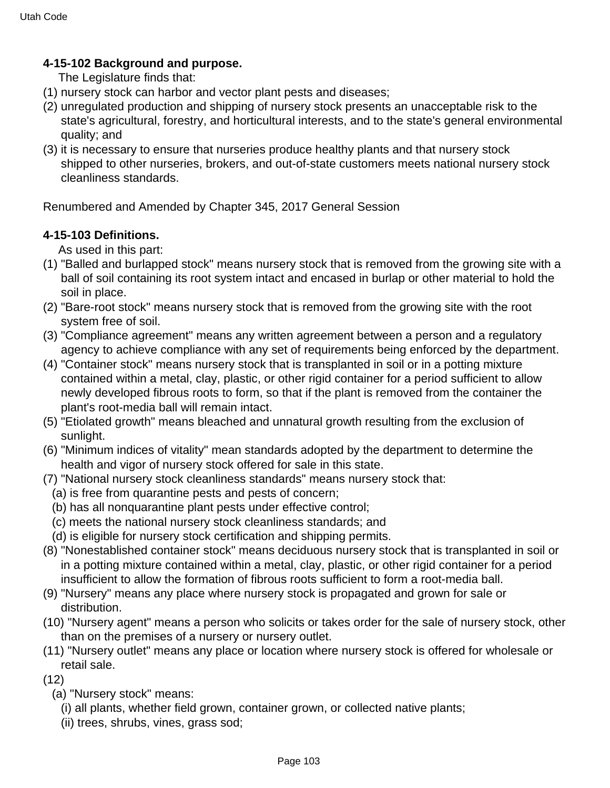# **4-15-102 Background and purpose.**

The Legislature finds that:

- (1) nursery stock can harbor and vector plant pests and diseases;
- (2) unregulated production and shipping of nursery stock presents an unacceptable risk to the state's agricultural, forestry, and horticultural interests, and to the state's general environmental quality; and
- (3) it is necessary to ensure that nurseries produce healthy plants and that nursery stock shipped to other nurseries, brokers, and out-of-state customers meets national nursery stock cleanliness standards.

Renumbered and Amended by Chapter 345, 2017 General Session

# **4-15-103 Definitions.**

As used in this part:

- (1) "Balled and burlapped stock" means nursery stock that is removed from the growing site with a ball of soil containing its root system intact and encased in burlap or other material to hold the soil in place.
- (2) "Bare-root stock" means nursery stock that is removed from the growing site with the root system free of soil.
- (3) "Compliance agreement" means any written agreement between a person and a regulatory agency to achieve compliance with any set of requirements being enforced by the department.
- (4) "Container stock" means nursery stock that is transplanted in soil or in a potting mixture contained within a metal, clay, plastic, or other rigid container for a period sufficient to allow newly developed fibrous roots to form, so that if the plant is removed from the container the plant's root-media ball will remain intact.
- (5) "Etiolated growth" means bleached and unnatural growth resulting from the exclusion of sunlight.
- (6) "Minimum indices of vitality" mean standards adopted by the department to determine the health and vigor of nursery stock offered for sale in this state.
- (7) "National nursery stock cleanliness standards" means nursery stock that:
	- (a) is free from quarantine pests and pests of concern;
	- (b) has all nonquarantine plant pests under effective control;
	- (c) meets the national nursery stock cleanliness standards; and
	- (d) is eligible for nursery stock certification and shipping permits.
- (8) "Nonestablished container stock" means deciduous nursery stock that is transplanted in soil or in a potting mixture contained within a metal, clay, plastic, or other rigid container for a period insufficient to allow the formation of fibrous roots sufficient to form a root-media ball.
- (9) "Nursery" means any place where nursery stock is propagated and grown for sale or distribution.
- (10) "Nursery agent" means a person who solicits or takes order for the sale of nursery stock, other than on the premises of a nursery or nursery outlet.
- (11) "Nursery outlet" means any place or location where nursery stock is offered for wholesale or retail sale.
- $(12)$ 
	- (a) "Nursery stock" means:
		- (i) all plants, whether field grown, container grown, or collected native plants;
		- (ii) trees, shrubs, vines, grass sod;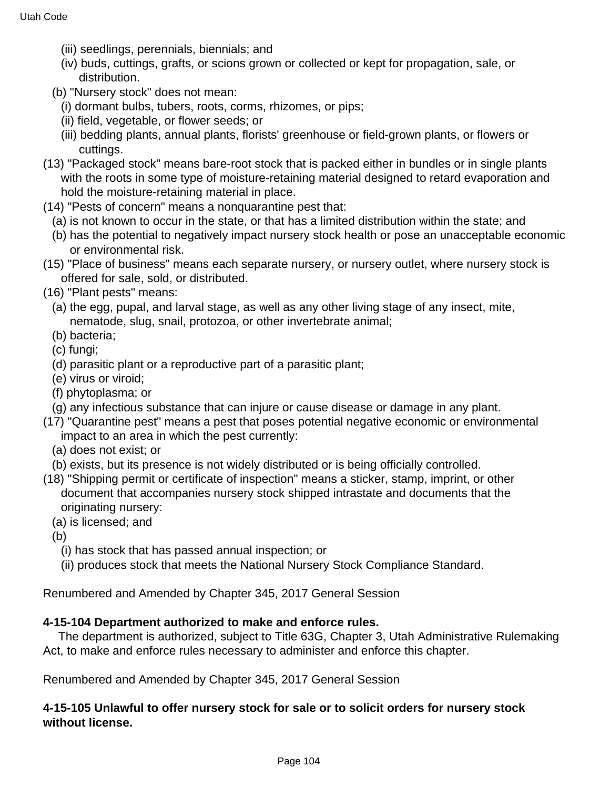- (iii) seedlings, perennials, biennials; and
- (iv) buds, cuttings, grafts, or scions grown or collected or kept for propagation, sale, or distribution.
- (b) "Nursery stock" does not mean:
	- (i) dormant bulbs, tubers, roots, corms, rhizomes, or pips;
	- (ii) field, vegetable, or flower seeds; or
	- (iii) bedding plants, annual plants, florists' greenhouse or field-grown plants, or flowers or cuttings.
- (13) "Packaged stock" means bare-root stock that is packed either in bundles or in single plants with the roots in some type of moisture-retaining material designed to retard evaporation and hold the moisture-retaining material in place.
- (14) "Pests of concern" means a nonquarantine pest that:
	- (a) is not known to occur in the state, or that has a limited distribution within the state; and
	- (b) has the potential to negatively impact nursery stock health or pose an unacceptable economic or environmental risk.
- (15) "Place of business" means each separate nursery, or nursery outlet, where nursery stock is offered for sale, sold, or distributed.
- (16) "Plant pests" means:
	- (a) the egg, pupal, and larval stage, as well as any other living stage of any insect, mite, nematode, slug, snail, protozoa, or other invertebrate animal;
	- (b) bacteria;
	- (c) fungi;
	- (d) parasitic plant or a reproductive part of a parasitic plant;
	- (e) virus or viroid;
	- (f) phytoplasma; or
	- (g) any infectious substance that can injure or cause disease or damage in any plant.
- (17) "Quarantine pest" means a pest that poses potential negative economic or environmental impact to an area in which the pest currently:
	- (a) does not exist; or
	- (b) exists, but its presence is not widely distributed or is being officially controlled.
- (18) "Shipping permit or certificate of inspection" means a sticker, stamp, imprint, or other document that accompanies nursery stock shipped intrastate and documents that the originating nursery:
	- (a) is licensed; and
	- (b)
		- (i) has stock that has passed annual inspection; or
		- (ii) produces stock that meets the National Nursery Stock Compliance Standard.

#### **4-15-104 Department authorized to make and enforce rules.**

 The department is authorized, subject to Title 63G, Chapter 3, Utah Administrative Rulemaking Act, to make and enforce rules necessary to administer and enforce this chapter.

Renumbered and Amended by Chapter 345, 2017 General Session

### **4-15-105 Unlawful to offer nursery stock for sale or to solicit orders for nursery stock without license.**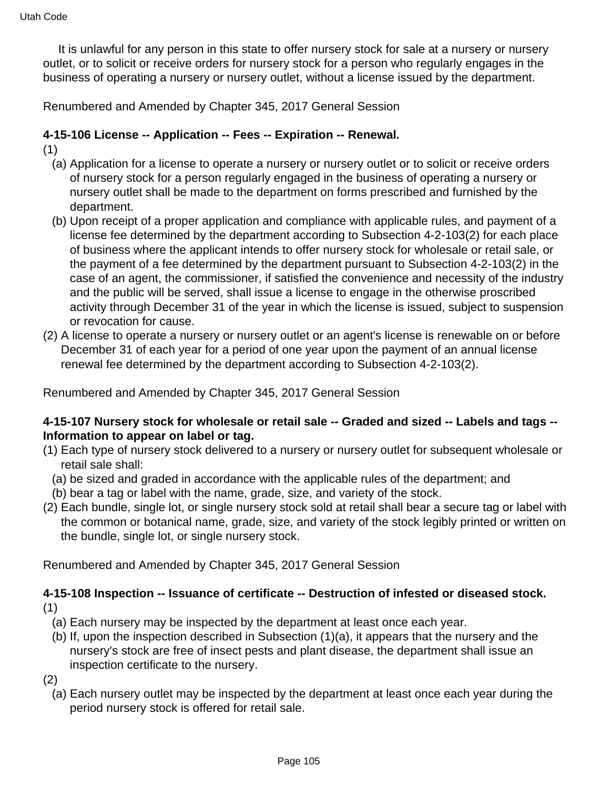It is unlawful for any person in this state to offer nursery stock for sale at a nursery or nursery outlet, or to solicit or receive orders for nursery stock for a person who regularly engages in the business of operating a nursery or nursery outlet, without a license issued by the department.

Renumbered and Amended by Chapter 345, 2017 General Session

### **4-15-106 License -- Application -- Fees -- Expiration -- Renewal.**

- (1)
	- (a) Application for a license to operate a nursery or nursery outlet or to solicit or receive orders of nursery stock for a person regularly engaged in the business of operating a nursery or nursery outlet shall be made to the department on forms prescribed and furnished by the department.
	- (b) Upon receipt of a proper application and compliance with applicable rules, and payment of a license fee determined by the department according to Subsection 4-2-103(2) for each place of business where the applicant intends to offer nursery stock for wholesale or retail sale, or the payment of a fee determined by the department pursuant to Subsection 4-2-103(2) in the case of an agent, the commissioner, if satisfied the convenience and necessity of the industry and the public will be served, shall issue a license to engage in the otherwise proscribed activity through December 31 of the year in which the license is issued, subject to suspension or revocation for cause.
- (2) A license to operate a nursery or nursery outlet or an agent's license is renewable on or before December 31 of each year for a period of one year upon the payment of an annual license renewal fee determined by the department according to Subsection 4-2-103(2).

Renumbered and Amended by Chapter 345, 2017 General Session

### **4-15-107 Nursery stock for wholesale or retail sale -- Graded and sized -- Labels and tags -- Information to appear on label or tag.**

- (1) Each type of nursery stock delivered to a nursery or nursery outlet for subsequent wholesale or retail sale shall:
	- (a) be sized and graded in accordance with the applicable rules of the department; and
- (b) bear a tag or label with the name, grade, size, and variety of the stock.
- (2) Each bundle, single lot, or single nursery stock sold at retail shall bear a secure tag or label with the common or botanical name, grade, size, and variety of the stock legibly printed or written on the bundle, single lot, or single nursery stock.

Renumbered and Amended by Chapter 345, 2017 General Session

### **4-15-108 Inspection -- Issuance of certificate -- Destruction of infested or diseased stock.** (1)

- (a) Each nursery may be inspected by the department at least once each year.
- (b) If, upon the inspection described in Subsection (1)(a), it appears that the nursery and the nursery's stock are free of insect pests and plant disease, the department shall issue an inspection certificate to the nursery.
- (2)
	- (a) Each nursery outlet may be inspected by the department at least once each year during the period nursery stock is offered for retail sale.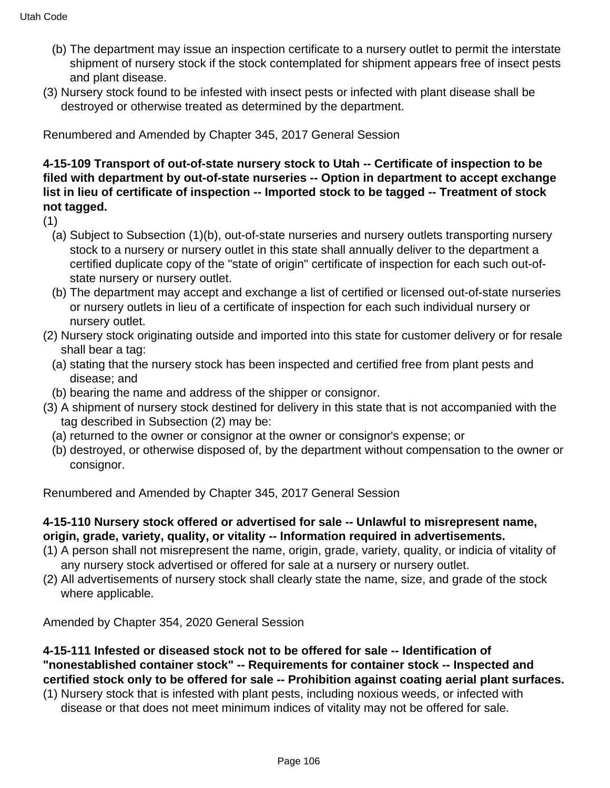- (b) The department may issue an inspection certificate to a nursery outlet to permit the interstate shipment of nursery stock if the stock contemplated for shipment appears free of insect pests and plant disease.
- (3) Nursery stock found to be infested with insect pests or infected with plant disease shall be destroyed or otherwise treated as determined by the department.

### **4-15-109 Transport of out-of-state nursery stock to Utah -- Certificate of inspection to be filed with department by out-of-state nurseries -- Option in department to accept exchange list in lieu of certificate of inspection -- Imported stock to be tagged -- Treatment of stock not tagged.**

(1)

- (a) Subject to Subsection (1)(b), out-of-state nurseries and nursery outlets transporting nursery stock to a nursery or nursery outlet in this state shall annually deliver to the department a certified duplicate copy of the "state of origin" certificate of inspection for each such out-ofstate nursery or nursery outlet.
- (b) The department may accept and exchange a list of certified or licensed out-of-state nurseries or nursery outlets in lieu of a certificate of inspection for each such individual nursery or nursery outlet.
- (2) Nursery stock originating outside and imported into this state for customer delivery or for resale shall bear a tag:
	- (a) stating that the nursery stock has been inspected and certified free from plant pests and disease; and
- (b) bearing the name and address of the shipper or consignor.
- (3) A shipment of nursery stock destined for delivery in this state that is not accompanied with the tag described in Subsection (2) may be:
	- (a) returned to the owner or consignor at the owner or consignor's expense; or
	- (b) destroyed, or otherwise disposed of, by the department without compensation to the owner or consignor.

Renumbered and Amended by Chapter 345, 2017 General Session

### **4-15-110 Nursery stock offered or advertised for sale -- Unlawful to misrepresent name, origin, grade, variety, quality, or vitality -- Information required in advertisements.**

- (1) A person shall not misrepresent the name, origin, grade, variety, quality, or indicia of vitality of any nursery stock advertised or offered for sale at a nursery or nursery outlet.
- (2) All advertisements of nursery stock shall clearly state the name, size, and grade of the stock where applicable.

Amended by Chapter 354, 2020 General Session

#### **4-15-111 Infested or diseased stock not to be offered for sale -- Identification of "nonestablished container stock" -- Requirements for container stock -- Inspected and certified stock only to be offered for sale -- Prohibition against coating aerial plant surfaces.**

(1) Nursery stock that is infested with plant pests, including noxious weeds, or infected with disease or that does not meet minimum indices of vitality may not be offered for sale.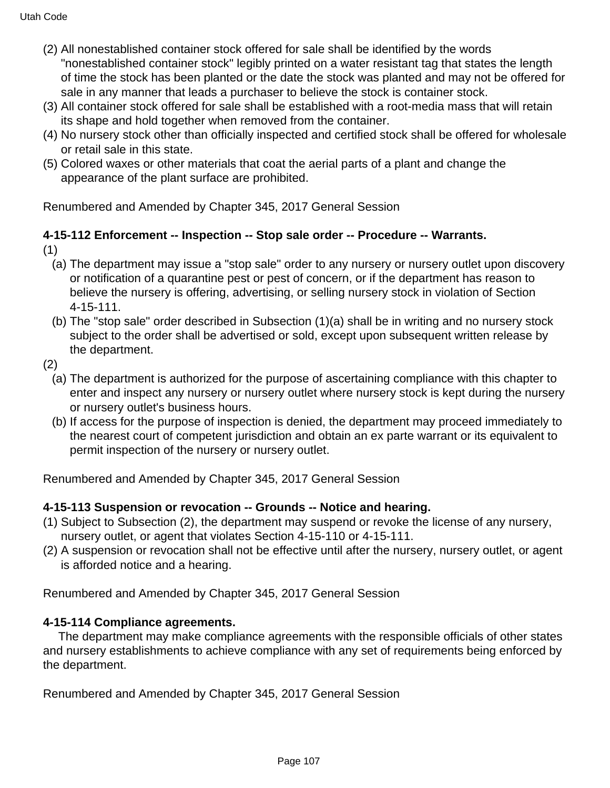- (2) All nonestablished container stock offered for sale shall be identified by the words "nonestablished container stock" legibly printed on a water resistant tag that states the length of time the stock has been planted or the date the stock was planted and may not be offered for sale in any manner that leads a purchaser to believe the stock is container stock.
- (3) All container stock offered for sale shall be established with a root-media mass that will retain its shape and hold together when removed from the container.
- (4) No nursery stock other than officially inspected and certified stock shall be offered for wholesale or retail sale in this state.
- (5) Colored waxes or other materials that coat the aerial parts of a plant and change the appearance of the plant surface are prohibited.

#### **4-15-112 Enforcement -- Inspection -- Stop sale order -- Procedure -- Warrants.** (1)

- (a) The department may issue a "stop sale" order to any nursery or nursery outlet upon discovery or notification of a quarantine pest or pest of concern, or if the department has reason to believe the nursery is offering, advertising, or selling nursery stock in violation of Section 4-15-111.
- (b) The "stop sale" order described in Subsection (1)(a) shall be in writing and no nursery stock subject to the order shall be advertised or sold, except upon subsequent written release by the department.
- (2)
	- (a) The department is authorized for the purpose of ascertaining compliance with this chapter to enter and inspect any nursery or nursery outlet where nursery stock is kept during the nursery or nursery outlet's business hours.
	- (b) If access for the purpose of inspection is denied, the department may proceed immediately to the nearest court of competent jurisdiction and obtain an ex parte warrant or its equivalent to permit inspection of the nursery or nursery outlet.

Renumbered and Amended by Chapter 345, 2017 General Session

# **4-15-113 Suspension or revocation -- Grounds -- Notice and hearing.**

- (1) Subject to Subsection (2), the department may suspend or revoke the license of any nursery, nursery outlet, or agent that violates Section 4-15-110 or 4-15-111.
- (2) A suspension or revocation shall not be effective until after the nursery, nursery outlet, or agent is afforded notice and a hearing.

Renumbered and Amended by Chapter 345, 2017 General Session

# **4-15-114 Compliance agreements.**

 The department may make compliance agreements with the responsible officials of other states and nursery establishments to achieve compliance with any set of requirements being enforced by the department.

Renumbered and Amended by Chapter 345, 2017 General Session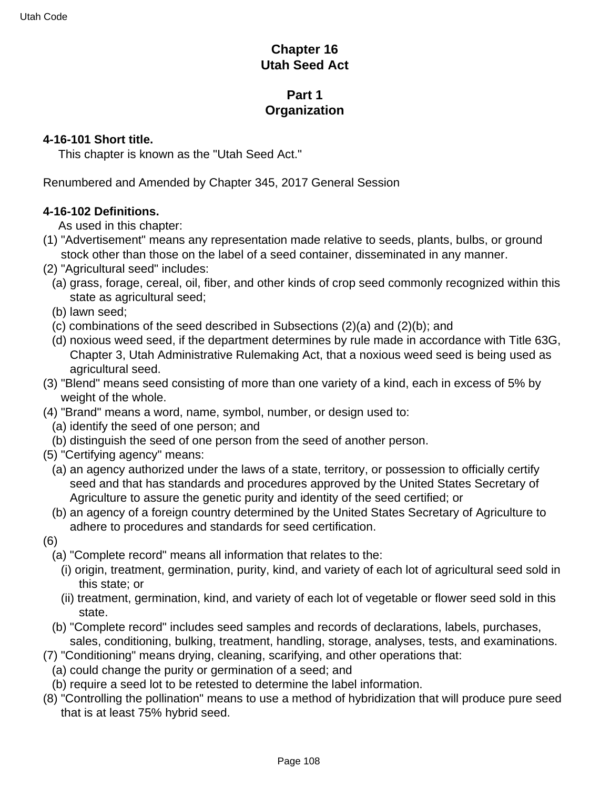# **Chapter 16 Utah Seed Act**

# **Part 1 Organization**

#### **4-16-101 Short title.**

This chapter is known as the "Utah Seed Act."

Renumbered and Amended by Chapter 345, 2017 General Session

### **4-16-102 Definitions.**

As used in this chapter:

- (1) "Advertisement" means any representation made relative to seeds, plants, bulbs, or ground stock other than those on the label of a seed container, disseminated in any manner.
- (2) "Agricultural seed" includes:
	- (a) grass, forage, cereal, oil, fiber, and other kinds of crop seed commonly recognized within this state as agricultural seed;
	- (b) lawn seed;
	- (c) combinations of the seed described in Subsections (2)(a) and (2)(b); and
	- (d) noxious weed seed, if the department determines by rule made in accordance with Title 63G, Chapter 3, Utah Administrative Rulemaking Act, that a noxious weed seed is being used as agricultural seed.
- (3) "Blend" means seed consisting of more than one variety of a kind, each in excess of 5% by weight of the whole.
- (4) "Brand" means a word, name, symbol, number, or design used to:
	- (a) identify the seed of one person; and
	- (b) distinguish the seed of one person from the seed of another person.
- (5) "Certifying agency" means:
	- (a) an agency authorized under the laws of a state, territory, or possession to officially certify seed and that has standards and procedures approved by the United States Secretary of Agriculture to assure the genetic purity and identity of the seed certified; or
	- (b) an agency of a foreign country determined by the United States Secretary of Agriculture to adhere to procedures and standards for seed certification.
- (6)
	- (a) "Complete record" means all information that relates to the:
		- (i) origin, treatment, germination, purity, kind, and variety of each lot of agricultural seed sold in this state; or
		- (ii) treatment, germination, kind, and variety of each lot of vegetable or flower seed sold in this state.
	- (b) "Complete record" includes seed samples and records of declarations, labels, purchases, sales, conditioning, bulking, treatment, handling, storage, analyses, tests, and examinations.
- (7) "Conditioning" means drying, cleaning, scarifying, and other operations that:
	- (a) could change the purity or germination of a seed; and
	- (b) require a seed lot to be retested to determine the label information.
- (8) "Controlling the pollination" means to use a method of hybridization that will produce pure seed that is at least 75% hybrid seed.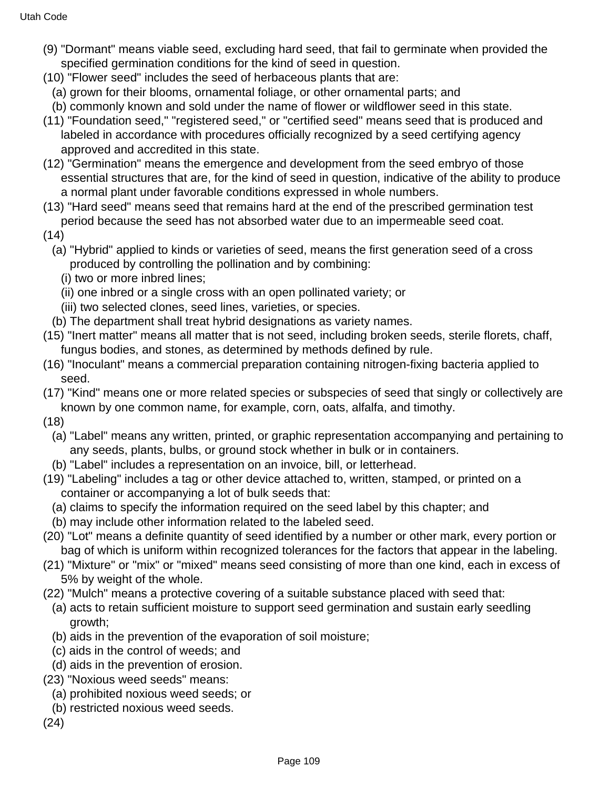- (9) "Dormant" means viable seed, excluding hard seed, that fail to germinate when provided the specified germination conditions for the kind of seed in question.
- (10) "Flower seed" includes the seed of herbaceous plants that are:
- (a) grown for their blooms, ornamental foliage, or other ornamental parts; and
- (b) commonly known and sold under the name of flower or wildflower seed in this state.
- (11) "Foundation seed," "registered seed," or "certified seed" means seed that is produced and labeled in accordance with procedures officially recognized by a seed certifying agency approved and accredited in this state.
- (12) "Germination" means the emergence and development from the seed embryo of those essential structures that are, for the kind of seed in question, indicative of the ability to produce a normal plant under favorable conditions expressed in whole numbers.
- (13) "Hard seed" means seed that remains hard at the end of the prescribed germination test period because the seed has not absorbed water due to an impermeable seed coat.
- (14)
	- (a) "Hybrid" applied to kinds or varieties of seed, means the first generation seed of a cross produced by controlling the pollination and by combining:
		- (i) two or more inbred lines;
		- (ii) one inbred or a single cross with an open pollinated variety; or
		- (iii) two selected clones, seed lines, varieties, or species.
	- (b) The department shall treat hybrid designations as variety names.
- (15) "Inert matter" means all matter that is not seed, including broken seeds, sterile florets, chaff, fungus bodies, and stones, as determined by methods defined by rule.
- (16) "Inoculant" means a commercial preparation containing nitrogen-fixing bacteria applied to seed.
- (17) "Kind" means one or more related species or subspecies of seed that singly or collectively are known by one common name, for example, corn, oats, alfalfa, and timothy.
- (18)
	- (a) "Label" means any written, printed, or graphic representation accompanying and pertaining to any seeds, plants, bulbs, or ground stock whether in bulk or in containers.
	- (b) "Label" includes a representation on an invoice, bill, or letterhead.
- (19) "Labeling" includes a tag or other device attached to, written, stamped, or printed on a container or accompanying a lot of bulk seeds that:
	- (a) claims to specify the information required on the seed label by this chapter; and
	- (b) may include other information related to the labeled seed.
- (20) "Lot" means a definite quantity of seed identified by a number or other mark, every portion or bag of which is uniform within recognized tolerances for the factors that appear in the labeling.
- (21) "Mixture" or "mix" or "mixed" means seed consisting of more than one kind, each in excess of 5% by weight of the whole.
- (22) "Mulch" means a protective covering of a suitable substance placed with seed that:
	- (a) acts to retain sufficient moisture to support seed germination and sustain early seedling growth;
	- (b) aids in the prevention of the evaporation of soil moisture;
	- (c) aids in the control of weeds; and
	- (d) aids in the prevention of erosion.
- (23) "Noxious weed seeds" means:
	- (a) prohibited noxious weed seeds; or
	- (b) restricted noxious weed seeds.
- (24)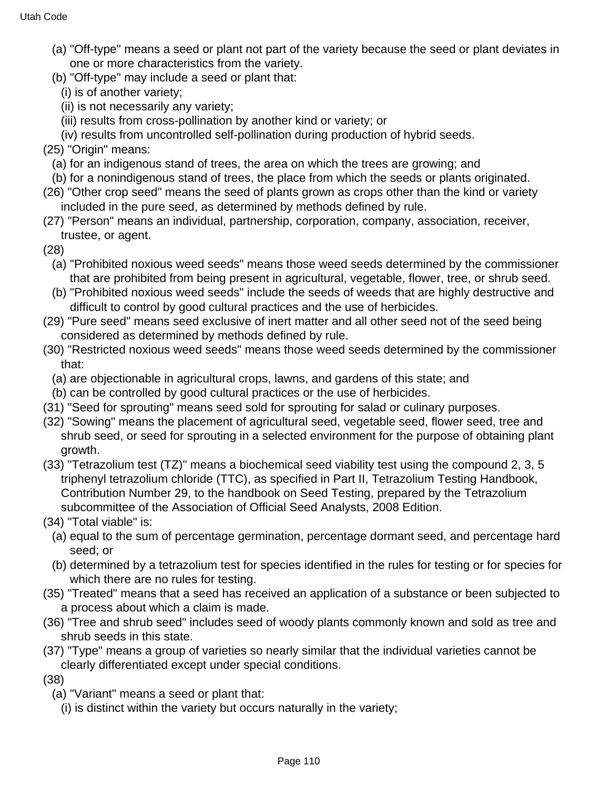- (a) "Off-type" means a seed or plant not part of the variety because the seed or plant deviates in one or more characteristics from the variety.
- (b) "Off-type" may include a seed or plant that:
- (i) is of another variety;
- (ii) is not necessarily any variety;
- (iii) results from cross-pollination by another kind or variety; or
- (iv) results from uncontrolled self-pollination during production of hybrid seeds.
- (25) "Origin" means:
	- (a) for an indigenous stand of trees, the area on which the trees are growing; and
	- (b) for a nonindigenous stand of trees, the place from which the seeds or plants originated.
- (26) "Other crop seed" means the seed of plants grown as crops other than the kind or variety included in the pure seed, as determined by methods defined by rule.
- (27) "Person" means an individual, partnership, corporation, company, association, receiver, trustee, or agent.
- (28)
	- (a) "Prohibited noxious weed seeds" means those weed seeds determined by the commissioner that are prohibited from being present in agricultural, vegetable, flower, tree, or shrub seed.
	- (b) "Prohibited noxious weed seeds" include the seeds of weeds that are highly destructive and difficult to control by good cultural practices and the use of herbicides.
- (29) "Pure seed" means seed exclusive of inert matter and all other seed not of the seed being considered as determined by methods defined by rule.
- (30) "Restricted noxious weed seeds" means those weed seeds determined by the commissioner that:
	- (a) are objectionable in agricultural crops, lawns, and gardens of this state; and
- (b) can be controlled by good cultural practices or the use of herbicides.
- (31) "Seed for sprouting" means seed sold for sprouting for salad or culinary purposes.
- (32) "Sowing" means the placement of agricultural seed, vegetable seed, flower seed, tree and shrub seed, or seed for sprouting in a selected environment for the purpose of obtaining plant growth.
- (33) "Tetrazolium test (TZ)" means a biochemical seed viability test using the compound 2, 3, 5 triphenyl tetrazolium chloride (TTC), as specified in Part II, Tetrazolium Testing Handbook, Contribution Number 29, to the handbook on Seed Testing, prepared by the Tetrazolium subcommittee of the Association of Official Seed Analysts, 2008 Edition.
- (34) "Total viable" is:
	- (a) equal to the sum of percentage germination, percentage dormant seed, and percentage hard seed; or
	- (b) determined by a tetrazolium test for species identified in the rules for testing or for species for which there are no rules for testing.
- (35) "Treated" means that a seed has received an application of a substance or been subjected to a process about which a claim is made.
- (36) "Tree and shrub seed" includes seed of woody plants commonly known and sold as tree and shrub seeds in this state.
- (37) "Type" means a group of varieties so nearly similar that the individual varieties cannot be clearly differentiated except under special conditions.
- (38)
	- (a) "Variant" means a seed or plant that:
		- (i) is distinct within the variety but occurs naturally in the variety;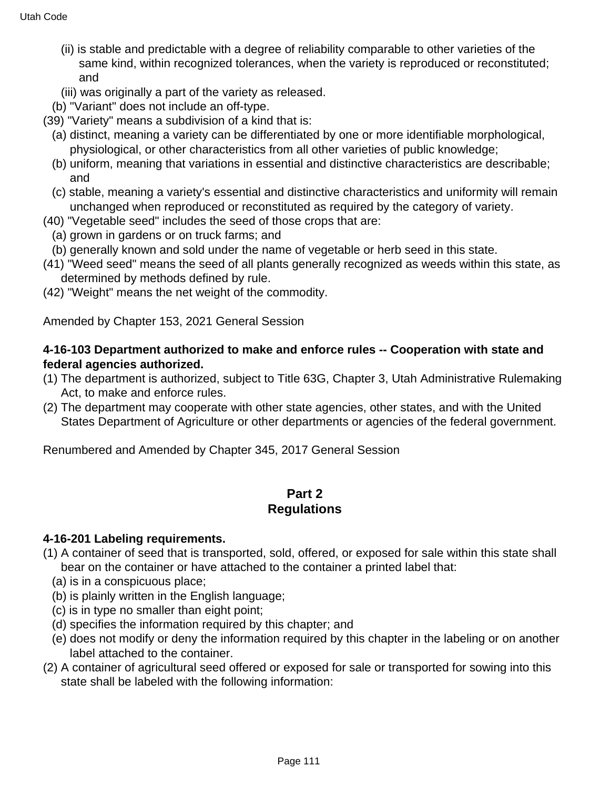- (ii) is stable and predictable with a degree of reliability comparable to other varieties of the same kind, within recognized tolerances, when the variety is reproduced or reconstituted; and
- (iii) was originally a part of the variety as released.
- (b) "Variant" does not include an off-type.
- (39) "Variety" means a subdivision of a kind that is:
	- (a) distinct, meaning a variety can be differentiated by one or more identifiable morphological, physiological, or other characteristics from all other varieties of public knowledge;
	- (b) uniform, meaning that variations in essential and distinctive characteristics are describable; and
	- (c) stable, meaning a variety's essential and distinctive characteristics and uniformity will remain unchanged when reproduced or reconstituted as required by the category of variety.
- (40) "Vegetable seed" includes the seed of those crops that are:
	- (a) grown in gardens or on truck farms; and
	- (b) generally known and sold under the name of vegetable or herb seed in this state.
- (41) "Weed seed" means the seed of all plants generally recognized as weeds within this state, as determined by methods defined by rule.
- (42) "Weight" means the net weight of the commodity.

Amended by Chapter 153, 2021 General Session

### **4-16-103 Department authorized to make and enforce rules -- Cooperation with state and federal agencies authorized.**

- (1) The department is authorized, subject to Title 63G, Chapter 3, Utah Administrative Rulemaking Act, to make and enforce rules.
- (2) The department may cooperate with other state agencies, other states, and with the United States Department of Agriculture or other departments or agencies of the federal government.

Renumbered and Amended by Chapter 345, 2017 General Session

### **Part 2 Regulations**

### **4-16-201 Labeling requirements.**

- (1) A container of seed that is transported, sold, offered, or exposed for sale within this state shall bear on the container or have attached to the container a printed label that:
	- (a) is in a conspicuous place;
	- (b) is plainly written in the English language;
	- (c) is in type no smaller than eight point;
	- (d) specifies the information required by this chapter; and
	- (e) does not modify or deny the information required by this chapter in the labeling or on another label attached to the container.
- (2) A container of agricultural seed offered or exposed for sale or transported for sowing into this state shall be labeled with the following information: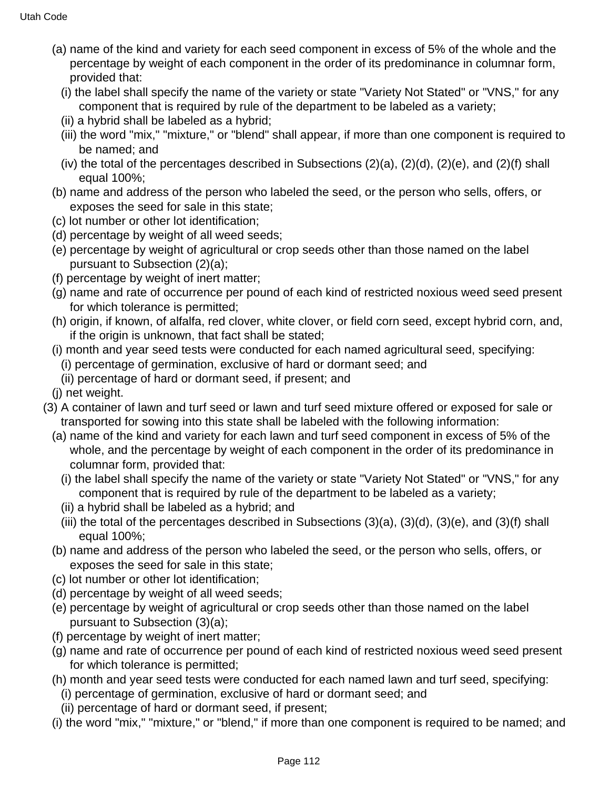- (a) name of the kind and variety for each seed component in excess of 5% of the whole and the percentage by weight of each component in the order of its predominance in columnar form, provided that:
	- (i) the label shall specify the name of the variety or state "Variety Not Stated" or "VNS," for any component that is required by rule of the department to be labeled as a variety;
	- (ii) a hybrid shall be labeled as a hybrid;
	- (iii) the word "mix," "mixture," or "blend" shall appear, if more than one component is required to be named; and
	- (iv) the total of the percentages described in Subsections (2)(a), (2)(d), (2)(e), and (2)(f) shall equal 100%;
- (b) name and address of the person who labeled the seed, or the person who sells, offers, or exposes the seed for sale in this state;
- (c) lot number or other lot identification;
- (d) percentage by weight of all weed seeds;
- (e) percentage by weight of agricultural or crop seeds other than those named on the label pursuant to Subsection (2)(a);
- (f) percentage by weight of inert matter;
- (g) name and rate of occurrence per pound of each kind of restricted noxious weed seed present for which tolerance is permitted;
- (h) origin, if known, of alfalfa, red clover, white clover, or field corn seed, except hybrid corn, and, if the origin is unknown, that fact shall be stated;
- (i) month and year seed tests were conducted for each named agricultural seed, specifying:
	- (i) percentage of germination, exclusive of hard or dormant seed; and
	- (ii) percentage of hard or dormant seed, if present; and
- (j) net weight.
- (3) A container of lawn and turf seed or lawn and turf seed mixture offered or exposed for sale or transported for sowing into this state shall be labeled with the following information:
	- (a) name of the kind and variety for each lawn and turf seed component in excess of 5% of the whole, and the percentage by weight of each component in the order of its predominance in columnar form, provided that:
		- (i) the label shall specify the name of the variety or state "Variety Not Stated" or "VNS," for any component that is required by rule of the department to be labeled as a variety;
		- (ii) a hybrid shall be labeled as a hybrid; and
		- (iii) the total of the percentages described in Subsections (3)(a), (3)(d), (3)(e), and (3)(f) shall equal 100%;
	- (b) name and address of the person who labeled the seed, or the person who sells, offers, or exposes the seed for sale in this state;
	- (c) lot number or other lot identification;
	- (d) percentage by weight of all weed seeds;
	- (e) percentage by weight of agricultural or crop seeds other than those named on the label pursuant to Subsection (3)(a);
	- (f) percentage by weight of inert matter;
	- (g) name and rate of occurrence per pound of each kind of restricted noxious weed seed present for which tolerance is permitted;
	- (h) month and year seed tests were conducted for each named lawn and turf seed, specifying:
		- (i) percentage of germination, exclusive of hard or dormant seed; and
		- (ii) percentage of hard or dormant seed, if present;
	- (i) the word "mix," "mixture," or "blend," if more than one component is required to be named; and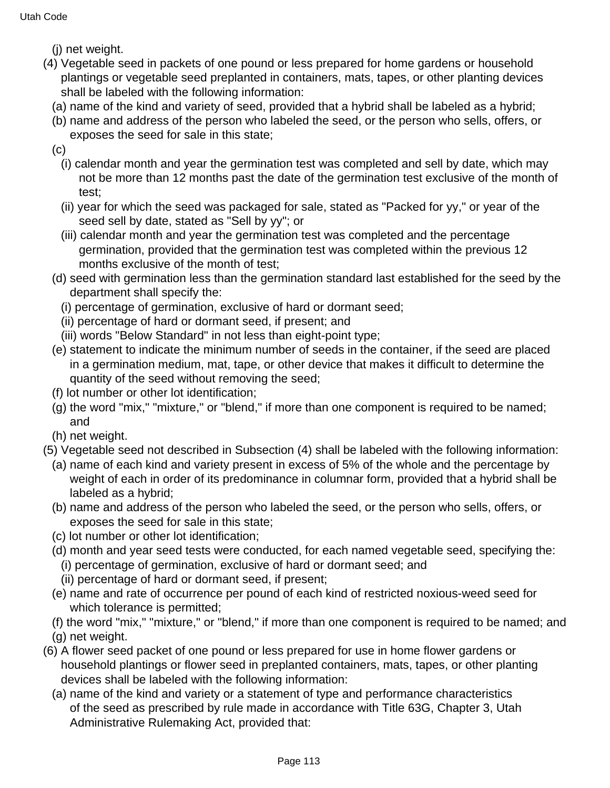- (j) net weight.
- (4) Vegetable seed in packets of one pound or less prepared for home gardens or household plantings or vegetable seed preplanted in containers, mats, tapes, or other planting devices shall be labeled with the following information:
	- (a) name of the kind and variety of seed, provided that a hybrid shall be labeled as a hybrid;
	- (b) name and address of the person who labeled the seed, or the person who sells, offers, or exposes the seed for sale in this state;
	- (c)
		- (i) calendar month and year the germination test was completed and sell by date, which may not be more than 12 months past the date of the germination test exclusive of the month of test;
		- (ii) year for which the seed was packaged for sale, stated as "Packed for yy," or year of the seed sell by date, stated as "Sell by yy"; or
		- (iii) calendar month and year the germination test was completed and the percentage germination, provided that the germination test was completed within the previous 12 months exclusive of the month of test;
	- (d) seed with germination less than the germination standard last established for the seed by the department shall specify the:
		- (i) percentage of germination, exclusive of hard or dormant seed;
		- (ii) percentage of hard or dormant seed, if present; and
		- (iii) words "Below Standard" in not less than eight-point type;
	- (e) statement to indicate the minimum number of seeds in the container, if the seed are placed in a germination medium, mat, tape, or other device that makes it difficult to determine the quantity of the seed without removing the seed;
	- (f) lot number or other lot identification;
	- (g) the word "mix," "mixture," or "blend," if more than one component is required to be named; and
	- (h) net weight.
- (5) Vegetable seed not described in Subsection (4) shall be labeled with the following information:
	- (a) name of each kind and variety present in excess of 5% of the whole and the percentage by weight of each in order of its predominance in columnar form, provided that a hybrid shall be labeled as a hybrid;
	- (b) name and address of the person who labeled the seed, or the person who sells, offers, or exposes the seed for sale in this state;
	- (c) lot number or other lot identification;
	- (d) month and year seed tests were conducted, for each named vegetable seed, specifying the: (i) percentage of germination, exclusive of hard or dormant seed; and
		- (ii) percentage of hard or dormant seed, if present;
	- (e) name and rate of occurrence per pound of each kind of restricted noxious-weed seed for which tolerance is permitted;
	- (f) the word "mix," "mixture," or "blend," if more than one component is required to be named; and
	- (g) net weight.
- (6) A flower seed packet of one pound or less prepared for use in home flower gardens or household plantings or flower seed in preplanted containers, mats, tapes, or other planting devices shall be labeled with the following information:
	- (a) name of the kind and variety or a statement of type and performance characteristics of the seed as prescribed by rule made in accordance with Title 63G, Chapter 3, Utah Administrative Rulemaking Act, provided that: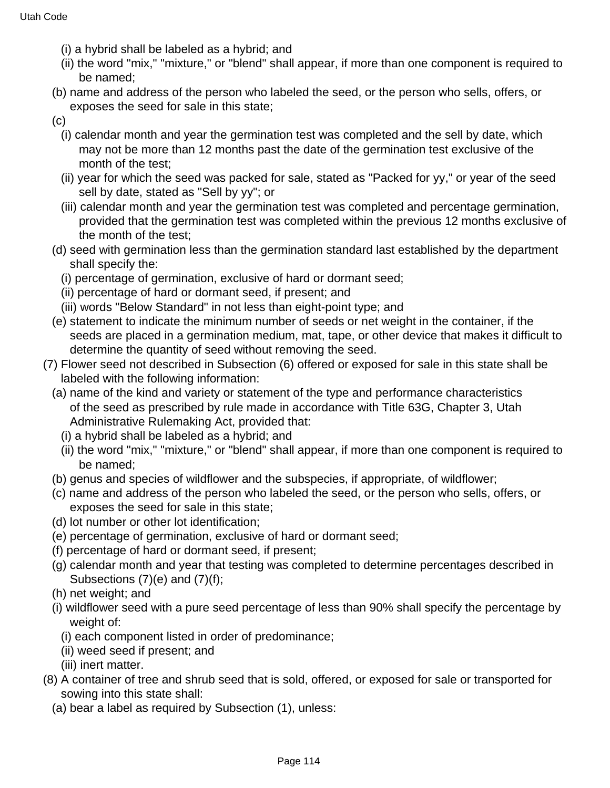- (i) a hybrid shall be labeled as a hybrid; and
- (ii) the word "mix," "mixture," or "blend" shall appear, if more than one component is required to be named;
- (b) name and address of the person who labeled the seed, or the person who sells, offers, or exposes the seed for sale in this state;
- (c)
	- (i) calendar month and year the germination test was completed and the sell by date, which may not be more than 12 months past the date of the germination test exclusive of the month of the test;
	- (ii) year for which the seed was packed for sale, stated as "Packed for yy," or year of the seed sell by date, stated as "Sell by yy"; or
	- (iii) calendar month and year the germination test was completed and percentage germination, provided that the germination test was completed within the previous 12 months exclusive of the month of the test;
- (d) seed with germination less than the germination standard last established by the department shall specify the:
	- (i) percentage of germination, exclusive of hard or dormant seed;
	- (ii) percentage of hard or dormant seed, if present; and
	- (iii) words "Below Standard" in not less than eight-point type; and
- (e) statement to indicate the minimum number of seeds or net weight in the container, if the seeds are placed in a germination medium, mat, tape, or other device that makes it difficult to determine the quantity of seed without removing the seed.
- (7) Flower seed not described in Subsection (6) offered or exposed for sale in this state shall be labeled with the following information:
	- (a) name of the kind and variety or statement of the type and performance characteristics of the seed as prescribed by rule made in accordance with Title 63G, Chapter 3, Utah Administrative Rulemaking Act, provided that:
		- (i) a hybrid shall be labeled as a hybrid; and
		- (ii) the word "mix," "mixture," or "blend" shall appear, if more than one component is required to be named;
	- (b) genus and species of wildflower and the subspecies, if appropriate, of wildflower;
	- (c) name and address of the person who labeled the seed, or the person who sells, offers, or exposes the seed for sale in this state;
	- (d) lot number or other lot identification;
	- (e) percentage of germination, exclusive of hard or dormant seed;
	- (f) percentage of hard or dormant seed, if present;
	- (g) calendar month and year that testing was completed to determine percentages described in Subsections (7)(e) and (7)(f);
	- (h) net weight; and
	- (i) wildflower seed with a pure seed percentage of less than 90% shall specify the percentage by weight of:
		- (i) each component listed in order of predominance;
		- (ii) weed seed if present; and
		- (iii) inert matter.
- (8) A container of tree and shrub seed that is sold, offered, or exposed for sale or transported for sowing into this state shall:
	- (a) bear a label as required by Subsection (1), unless: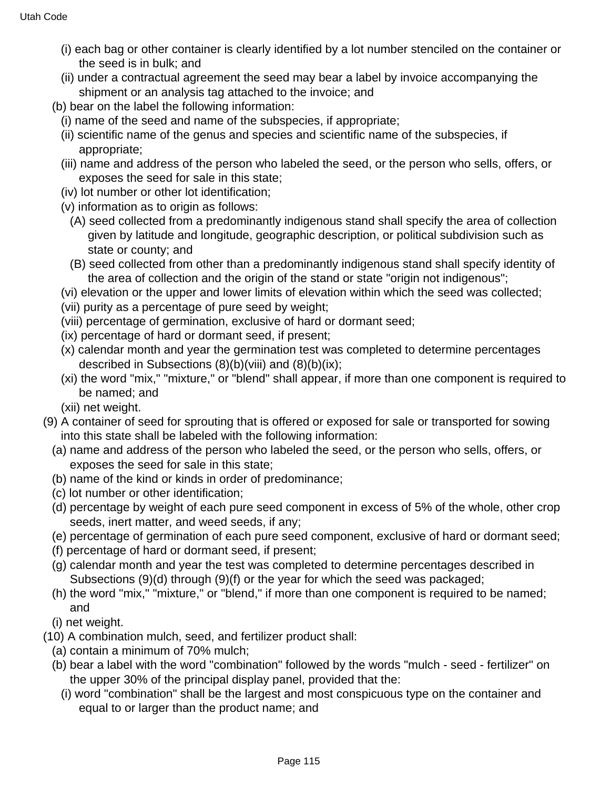- (i) each bag or other container is clearly identified by a lot number stenciled on the container or the seed is in bulk; and
- (ii) under a contractual agreement the seed may bear a label by invoice accompanying the shipment or an analysis tag attached to the invoice; and
- (b) bear on the label the following information:
	- (i) name of the seed and name of the subspecies, if appropriate;
	- (ii) scientific name of the genus and species and scientific name of the subspecies, if appropriate;
	- (iii) name and address of the person who labeled the seed, or the person who sells, offers, or exposes the seed for sale in this state;
	- (iv) lot number or other lot identification;
	- (v) information as to origin as follows:
		- (A) seed collected from a predominantly indigenous stand shall specify the area of collection given by latitude and longitude, geographic description, or political subdivision such as state or county; and
		- (B) seed collected from other than a predominantly indigenous stand shall specify identity of the area of collection and the origin of the stand or state "origin not indigenous";
	- (vi) elevation or the upper and lower limits of elevation within which the seed was collected;
	- (vii) purity as a percentage of pure seed by weight;
	- (viii) percentage of germination, exclusive of hard or dormant seed;
	- (ix) percentage of hard or dormant seed, if present;
	- (x) calendar month and year the germination test was completed to determine percentages described in Subsections  $(8)(b)(viii)$  and  $(8)(b)(ix)$ ;
	- (xi) the word "mix," "mixture," or "blend" shall appear, if more than one component is required to be named; and
	- (xii) net weight.
- (9) A container of seed for sprouting that is offered or exposed for sale or transported for sowing into this state shall be labeled with the following information:
	- (a) name and address of the person who labeled the seed, or the person who sells, offers, or exposes the seed for sale in this state;
	- (b) name of the kind or kinds in order of predominance;
	- (c) lot number or other identification;
	- (d) percentage by weight of each pure seed component in excess of 5% of the whole, other crop seeds, inert matter, and weed seeds, if any;
	- (e) percentage of germination of each pure seed component, exclusive of hard or dormant seed;
	- (f) percentage of hard or dormant seed, if present;
	- (g) calendar month and year the test was completed to determine percentages described in Subsections (9)(d) through (9)(f) or the year for which the seed was packaged;
	- (h) the word "mix," "mixture," or "blend," if more than one component is required to be named; and
	- (i) net weight.
- (10) A combination mulch, seed, and fertilizer product shall:
	- (a) contain a minimum of 70% mulch;
	- (b) bear a label with the word "combination" followed by the words "mulch seed fertilizer" on the upper 30% of the principal display panel, provided that the:
		- (i) word "combination" shall be the largest and most conspicuous type on the container and equal to or larger than the product name; and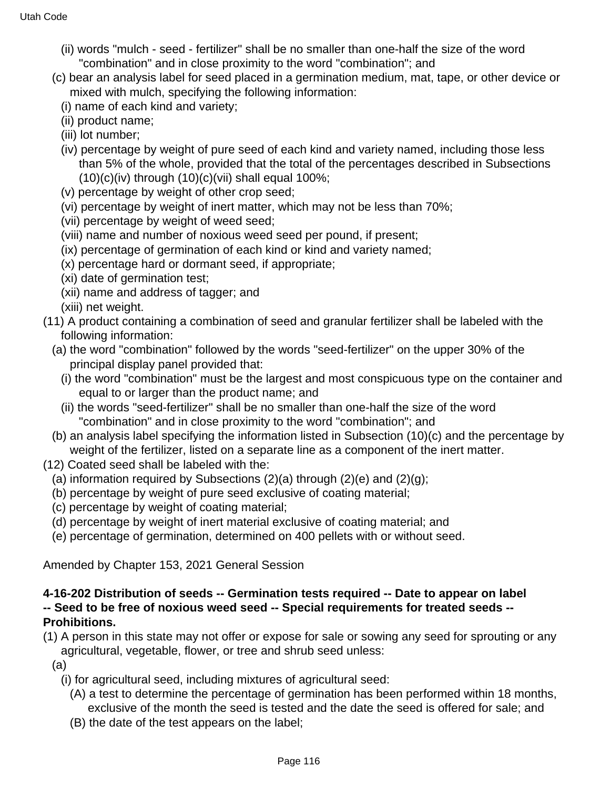- (ii) words "mulch seed fertilizer" shall be no smaller than one-half the size of the word "combination" and in close proximity to the word "combination"; and
- (c) bear an analysis label for seed placed in a germination medium, mat, tape, or other device or mixed with mulch, specifying the following information:
	- (i) name of each kind and variety;
	- (ii) product name;
	- (iii) lot number;
	- (iv) percentage by weight of pure seed of each kind and variety named, including those less than 5% of the whole, provided that the total of the percentages described in Subsections  $(10)(c)(iv)$  through  $(10)(c)(vii)$  shall equal 100%;
	- (v) percentage by weight of other crop seed;
	- (vi) percentage by weight of inert matter, which may not be less than 70%;
	- (vii) percentage by weight of weed seed;
	- (viii) name and number of noxious weed seed per pound, if present;
	- (ix) percentage of germination of each kind or kind and variety named;
	- (x) percentage hard or dormant seed, if appropriate;
	- (xi) date of germination test;
	- (xii) name and address of tagger; and
	- (xiii) net weight.
- (11) A product containing a combination of seed and granular fertilizer shall be labeled with the following information:
	- (a) the word "combination" followed by the words "seed-fertilizer" on the upper 30% of the principal display panel provided that:
		- (i) the word "combination" must be the largest and most conspicuous type on the container and equal to or larger than the product name; and
		- (ii) the words "seed-fertilizer" shall be no smaller than one-half the size of the word "combination" and in close proximity to the word "combination"; and
	- (b) an analysis label specifying the information listed in Subsection (10)(c) and the percentage by weight of the fertilizer, listed on a separate line as a component of the inert matter.
- (12) Coated seed shall be labeled with the:
	- (a) information required by Subsections  $(2)(a)$  through  $(2)(e)$  and  $(2)(g)$ ;
	- (b) percentage by weight of pure seed exclusive of coating material;
	- (c) percentage by weight of coating material;
	- (d) percentage by weight of inert material exclusive of coating material; and
	- (e) percentage of germination, determined on 400 pellets with or without seed.

Amended by Chapter 153, 2021 General Session

### **4-16-202 Distribution of seeds -- Germination tests required -- Date to appear on label -- Seed to be free of noxious weed seed -- Special requirements for treated seeds -- Prohibitions.**

- (1) A person in this state may not offer or expose for sale or sowing any seed for sprouting or any agricultural, vegetable, flower, or tree and shrub seed unless:
	- (a)
		- (i) for agricultural seed, including mixtures of agricultural seed:
			- (A) a test to determine the percentage of germination has been performed within 18 months, exclusive of the month the seed is tested and the date the seed is offered for sale; and
			- (B) the date of the test appears on the label;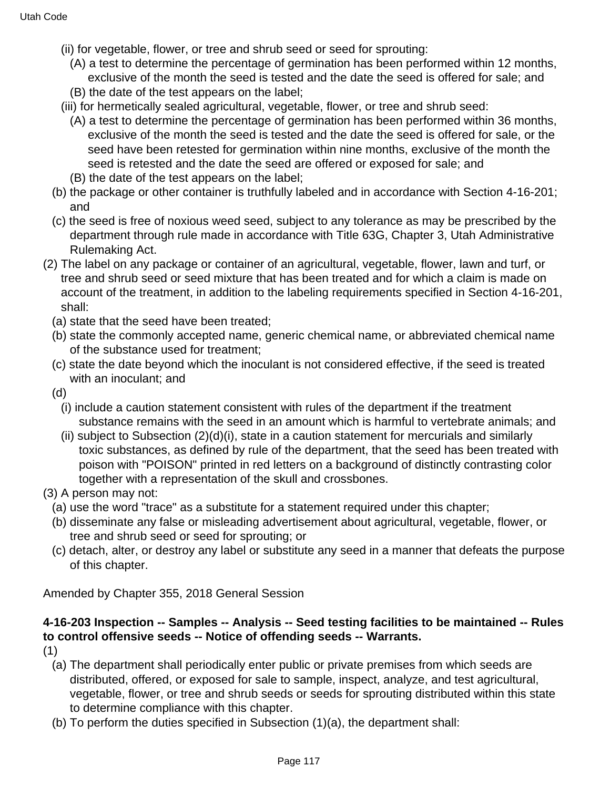- (ii) for vegetable, flower, or tree and shrub seed or seed for sprouting:
	- (A) a test to determine the percentage of germination has been performed within 12 months, exclusive of the month the seed is tested and the date the seed is offered for sale; and (B) the date of the test appears on the label;
- (iii) for hermetically sealed agricultural, vegetable, flower, or tree and shrub seed:
	- (A) a test to determine the percentage of germination has been performed within 36 months, exclusive of the month the seed is tested and the date the seed is offered for sale, or the seed have been retested for germination within nine months, exclusive of the month the seed is retested and the date the seed are offered or exposed for sale; and
- (B) the date of the test appears on the label;
- (b) the package or other container is truthfully labeled and in accordance with Section 4-16-201; and
- (c) the seed is free of noxious weed seed, subject to any tolerance as may be prescribed by the department through rule made in accordance with Title 63G, Chapter 3, Utah Administrative Rulemaking Act.
- (2) The label on any package or container of an agricultural, vegetable, flower, lawn and turf, or tree and shrub seed or seed mixture that has been treated and for which a claim is made on account of the treatment, in addition to the labeling requirements specified in Section 4-16-201, shall:
	- (a) state that the seed have been treated;
	- (b) state the commonly accepted name, generic chemical name, or abbreviated chemical name of the substance used for treatment;
	- (c) state the date beyond which the inoculant is not considered effective, if the seed is treated with an inoculant; and
	- (d)
		- (i) include a caution statement consistent with rules of the department if the treatment substance remains with the seed in an amount which is harmful to vertebrate animals; and
		- (ii) subject to Subsection (2)(d)(i), state in a caution statement for mercurials and similarly toxic substances, as defined by rule of the department, that the seed has been treated with poison with "POISON" printed in red letters on a background of distinctly contrasting color together with a representation of the skull and crossbones.
- (3) A person may not:
	- (a) use the word "trace" as a substitute for a statement required under this chapter;
	- (b) disseminate any false or misleading advertisement about agricultural, vegetable, flower, or tree and shrub seed or seed for sprouting; or
	- (c) detach, alter, or destroy any label or substitute any seed in a manner that defeats the purpose of this chapter.

Amended by Chapter 355, 2018 General Session

# **4-16-203 Inspection -- Samples -- Analysis -- Seed testing facilities to be maintained -- Rules to control offensive seeds -- Notice of offending seeds -- Warrants.**

(1)

- (a) The department shall periodically enter public or private premises from which seeds are distributed, offered, or exposed for sale to sample, inspect, analyze, and test agricultural, vegetable, flower, or tree and shrub seeds or seeds for sprouting distributed within this state to determine compliance with this chapter.
- (b) To perform the duties specified in Subsection (1)(a), the department shall: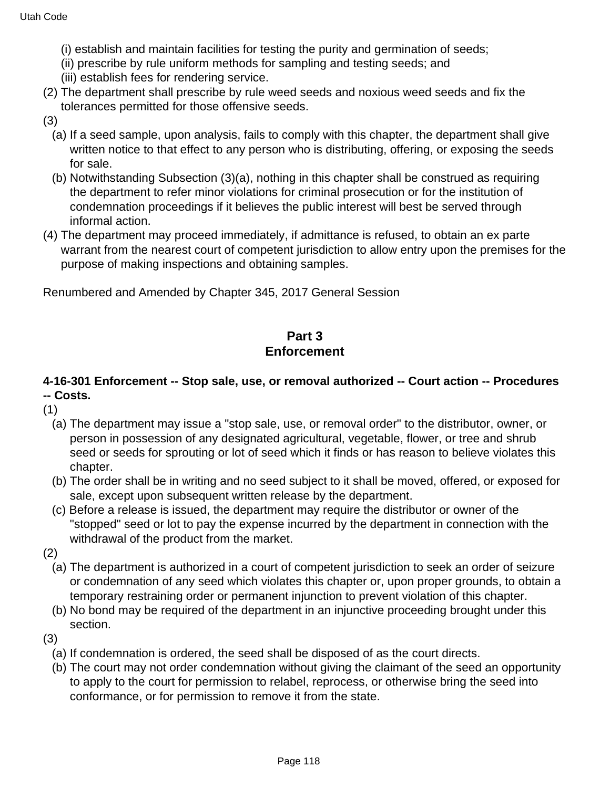- (i) establish and maintain facilities for testing the purity and germination of seeds;
- (ii) prescribe by rule uniform methods for sampling and testing seeds; and
- (iii) establish fees for rendering service.
- (2) The department shall prescribe by rule weed seeds and noxious weed seeds and fix the tolerances permitted for those offensive seeds.
- (3)
	- (a) If a seed sample, upon analysis, fails to comply with this chapter, the department shall give written notice to that effect to any person who is distributing, offering, or exposing the seeds for sale.
	- (b) Notwithstanding Subsection (3)(a), nothing in this chapter shall be construed as requiring the department to refer minor violations for criminal prosecution or for the institution of condemnation proceedings if it believes the public interest will best be served through informal action.
- (4) The department may proceed immediately, if admittance is refused, to obtain an ex parte warrant from the nearest court of competent jurisdiction to allow entry upon the premises for the purpose of making inspections and obtaining samples.

Renumbered and Amended by Chapter 345, 2017 General Session

# **Part 3 Enforcement**

# **4-16-301 Enforcement -- Stop sale, use, or removal authorized -- Court action -- Procedures -- Costs.**

- (1)
	- (a) The department may issue a "stop sale, use, or removal order" to the distributor, owner, or person in possession of any designated agricultural, vegetable, flower, or tree and shrub seed or seeds for sprouting or lot of seed which it finds or has reason to believe violates this chapter.
	- (b) The order shall be in writing and no seed subject to it shall be moved, offered, or exposed for sale, except upon subsequent written release by the department.
	- (c) Before a release is issued, the department may require the distributor or owner of the "stopped" seed or lot to pay the expense incurred by the department in connection with the withdrawal of the product from the market.
- (2)
	- (a) The department is authorized in a court of competent jurisdiction to seek an order of seizure or condemnation of any seed which violates this chapter or, upon proper grounds, to obtain a temporary restraining order or permanent injunction to prevent violation of this chapter.
	- (b) No bond may be required of the department in an injunctive proceeding brought under this section.
- (3)
	- (a) If condemnation is ordered, the seed shall be disposed of as the court directs.
	- (b) The court may not order condemnation without giving the claimant of the seed an opportunity to apply to the court for permission to relabel, reprocess, or otherwise bring the seed into conformance, or for permission to remove it from the state.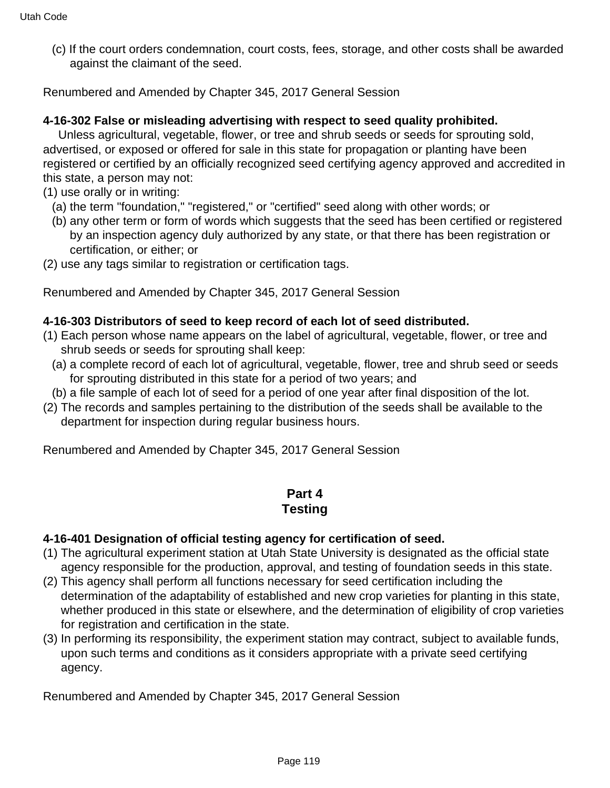(c) If the court orders condemnation, court costs, fees, storage, and other costs shall be awarded against the claimant of the seed.

Renumbered and Amended by Chapter 345, 2017 General Session

#### **4-16-302 False or misleading advertising with respect to seed quality prohibited.**

 Unless agricultural, vegetable, flower, or tree and shrub seeds or seeds for sprouting sold, advertised, or exposed or offered for sale in this state for propagation or planting have been registered or certified by an officially recognized seed certifying agency approved and accredited in this state, a person may not:

- (1) use orally or in writing:
	- (a) the term "foundation," "registered," or "certified" seed along with other words; or
	- (b) any other term or form of words which suggests that the seed has been certified or registered by an inspection agency duly authorized by any state, or that there has been registration or certification, or either; or
- (2) use any tags similar to registration or certification tags.

Renumbered and Amended by Chapter 345, 2017 General Session

#### **4-16-303 Distributors of seed to keep record of each lot of seed distributed.**

- (1) Each person whose name appears on the label of agricultural, vegetable, flower, or tree and shrub seeds or seeds for sprouting shall keep:
	- (a) a complete record of each lot of agricultural, vegetable, flower, tree and shrub seed or seeds for sprouting distributed in this state for a period of two years; and
- (b) a file sample of each lot of seed for a period of one year after final disposition of the lot.
- (2) The records and samples pertaining to the distribution of the seeds shall be available to the department for inspection during regular business hours.

Renumbered and Amended by Chapter 345, 2017 General Session

#### **Part 4 Testing**

#### **4-16-401 Designation of official testing agency for certification of seed.**

- (1) The agricultural experiment station at Utah State University is designated as the official state agency responsible for the production, approval, and testing of foundation seeds in this state.
- (2) This agency shall perform all functions necessary for seed certification including the determination of the adaptability of established and new crop varieties for planting in this state, whether produced in this state or elsewhere, and the determination of eligibility of crop varieties for registration and certification in the state.
- (3) In performing its responsibility, the experiment station may contract, subject to available funds, upon such terms and conditions as it considers appropriate with a private seed certifying agency.

Renumbered and Amended by Chapter 345, 2017 General Session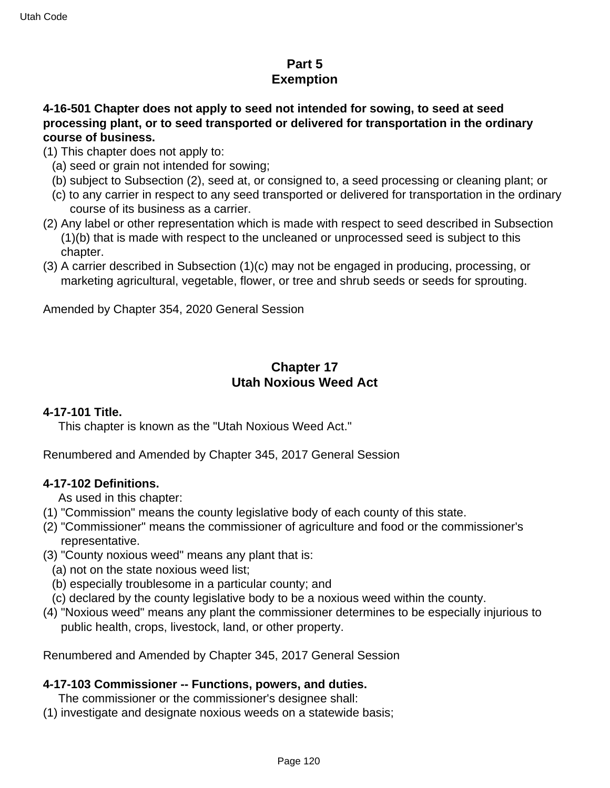# **Part 5 Exemption**

### **4-16-501 Chapter does not apply to seed not intended for sowing, to seed at seed processing plant, or to seed transported or delivered for transportation in the ordinary course of business.**

- (1) This chapter does not apply to:
	- (a) seed or grain not intended for sowing;
	- (b) subject to Subsection (2), seed at, or consigned to, a seed processing or cleaning plant; or
	- (c) to any carrier in respect to any seed transported or delivered for transportation in the ordinary course of its business as a carrier.
- (2) Any label or other representation which is made with respect to seed described in Subsection (1)(b) that is made with respect to the uncleaned or unprocessed seed is subject to this chapter.
- (3) A carrier described in Subsection (1)(c) may not be engaged in producing, processing, or marketing agricultural, vegetable, flower, or tree and shrub seeds or seeds for sprouting.

Amended by Chapter 354, 2020 General Session

# **Chapter 17 Utah Noxious Weed Act**

### **4-17-101 Title.**

This chapter is known as the "Utah Noxious Weed Act."

Renumbered and Amended by Chapter 345, 2017 General Session

### **4-17-102 Definitions.**

As used in this chapter:

- (1) "Commission" means the county legislative body of each county of this state.
- (2) "Commissioner" means the commissioner of agriculture and food or the commissioner's representative.
- (3) "County noxious weed" means any plant that is:
	- (a) not on the state noxious weed list;
	- (b) especially troublesome in a particular county; and
	- (c) declared by the county legislative body to be a noxious weed within the county.
- (4) "Noxious weed" means any plant the commissioner determines to be especially injurious to public health, crops, livestock, land, or other property.

Renumbered and Amended by Chapter 345, 2017 General Session

### **4-17-103 Commissioner -- Functions, powers, and duties.**

The commissioner or the commissioner's designee shall:

(1) investigate and designate noxious weeds on a statewide basis;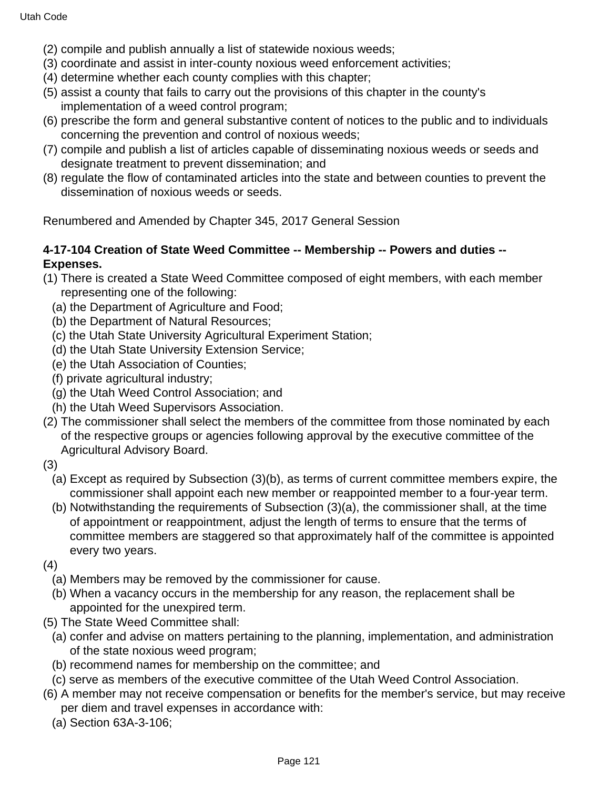- (2) compile and publish annually a list of statewide noxious weeds;
- (3) coordinate and assist in inter-county noxious weed enforcement activities;
- (4) determine whether each county complies with this chapter;
- (5) assist a county that fails to carry out the provisions of this chapter in the county's implementation of a weed control program;
- (6) prescribe the form and general substantive content of notices to the public and to individuals concerning the prevention and control of noxious weeds;
- (7) compile and publish a list of articles capable of disseminating noxious weeds or seeds and designate treatment to prevent dissemination; and
- (8) regulate the flow of contaminated articles into the state and between counties to prevent the dissemination of noxious weeds or seeds.

Renumbered and Amended by Chapter 345, 2017 General Session

### **4-17-104 Creation of State Weed Committee -- Membership -- Powers and duties -- Expenses.**

- (1) There is created a State Weed Committee composed of eight members, with each member representing one of the following:
	- (a) the Department of Agriculture and Food;
	- (b) the Department of Natural Resources;
	- (c) the Utah State University Agricultural Experiment Station;
	- (d) the Utah State University Extension Service;
	- (e) the Utah Association of Counties;
	- (f) private agricultural industry;
	- (g) the Utah Weed Control Association; and
	- (h) the Utah Weed Supervisors Association.
- (2) The commissioner shall select the members of the committee from those nominated by each of the respective groups or agencies following approval by the executive committee of the Agricultural Advisory Board.
- (3)
	- (a) Except as required by Subsection (3)(b), as terms of current committee members expire, the commissioner shall appoint each new member or reappointed member to a four-year term.
	- (b) Notwithstanding the requirements of Subsection (3)(a), the commissioner shall, at the time of appointment or reappointment, adjust the length of terms to ensure that the terms of committee members are staggered so that approximately half of the committee is appointed every two years.
- (4)
	- (a) Members may be removed by the commissioner for cause.
	- (b) When a vacancy occurs in the membership for any reason, the replacement shall be appointed for the unexpired term.
- (5) The State Weed Committee shall:
	- (a) confer and advise on matters pertaining to the planning, implementation, and administration of the state noxious weed program;
	- (b) recommend names for membership on the committee; and
	- (c) serve as members of the executive committee of the Utah Weed Control Association.
- (6) A member may not receive compensation or benefits for the member's service, but may receive per diem and travel expenses in accordance with:
	- (a) Section 63A-3-106;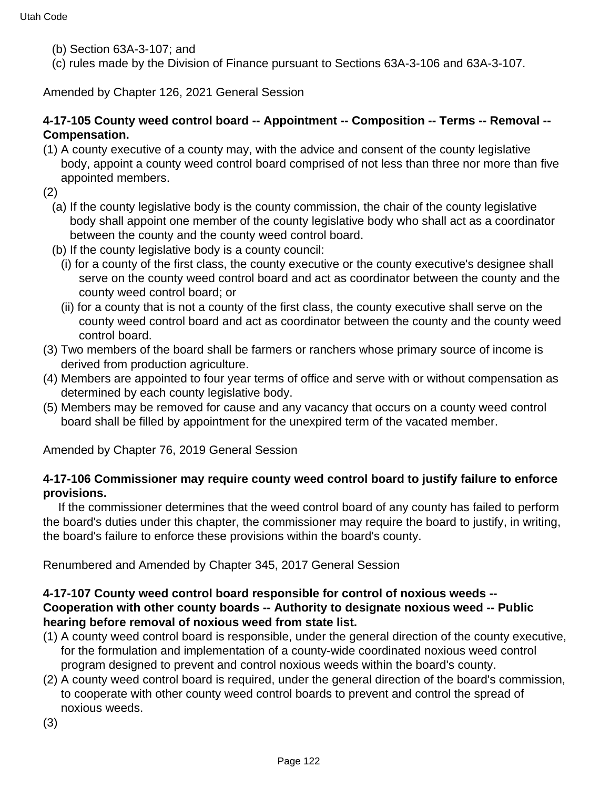- (b) Section 63A-3-107; and
- (c) rules made by the Division of Finance pursuant to Sections 63A-3-106 and 63A-3-107.

Amended by Chapter 126, 2021 General Session

### **4-17-105 County weed control board -- Appointment -- Composition -- Terms -- Removal -- Compensation.**

(1) A county executive of a county may, with the advice and consent of the county legislative body, appoint a county weed control board comprised of not less than three nor more than five appointed members.

(2)

- (a) If the county legislative body is the county commission, the chair of the county legislative body shall appoint one member of the county legislative body who shall act as a coordinator between the county and the county weed control board.
- (b) If the county legislative body is a county council:
	- (i) for a county of the first class, the county executive or the county executive's designee shall serve on the county weed control board and act as coordinator between the county and the county weed control board; or
	- (ii) for a county that is not a county of the first class, the county executive shall serve on the county weed control board and act as coordinator between the county and the county weed control board.
- (3) Two members of the board shall be farmers or ranchers whose primary source of income is derived from production agriculture.
- (4) Members are appointed to four year terms of office and serve with or without compensation as determined by each county legislative body.
- (5) Members may be removed for cause and any vacancy that occurs on a county weed control board shall be filled by appointment for the unexpired term of the vacated member.

Amended by Chapter 76, 2019 General Session

### **4-17-106 Commissioner may require county weed control board to justify failure to enforce provisions.**

 If the commissioner determines that the weed control board of any county has failed to perform the board's duties under this chapter, the commissioner may require the board to justify, in writing, the board's failure to enforce these provisions within the board's county.

Renumbered and Amended by Chapter 345, 2017 General Session

### **4-17-107 County weed control board responsible for control of noxious weeds -- Cooperation with other county boards -- Authority to designate noxious weed -- Public hearing before removal of noxious weed from state list.**

- (1) A county weed control board is responsible, under the general direction of the county executive, for the formulation and implementation of a county-wide coordinated noxious weed control program designed to prevent and control noxious weeds within the board's county.
- (2) A county weed control board is required, under the general direction of the board's commission, to cooperate with other county weed control boards to prevent and control the spread of noxious weeds.
- (3)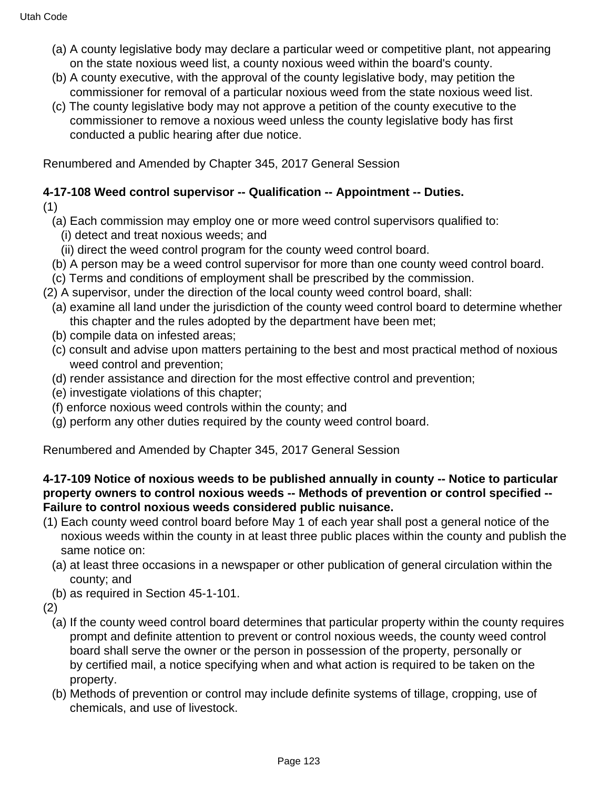- (a) A county legislative body may declare a particular weed or competitive plant, not appearing on the state noxious weed list, a county noxious weed within the board's county.
- (b) A county executive, with the approval of the county legislative body, may petition the commissioner for removal of a particular noxious weed from the state noxious weed list.
- (c) The county legislative body may not approve a petition of the county executive to the commissioner to remove a noxious weed unless the county legislative body has first conducted a public hearing after due notice.

Renumbered and Amended by Chapter 345, 2017 General Session

# **4-17-108 Weed control supervisor -- Qualification -- Appointment -- Duties.**

(1)

- (a) Each commission may employ one or more weed control supervisors qualified to:
	- (i) detect and treat noxious weeds; and
	- (ii) direct the weed control program for the county weed control board.
- (b) A person may be a weed control supervisor for more than one county weed control board.
- (c) Terms and conditions of employment shall be prescribed by the commission.
- (2) A supervisor, under the direction of the local county weed control board, shall:
	- (a) examine all land under the jurisdiction of the county weed control board to determine whether this chapter and the rules adopted by the department have been met;
	- (b) compile data on infested areas;
	- (c) consult and advise upon matters pertaining to the best and most practical method of noxious weed control and prevention;
	- (d) render assistance and direction for the most effective control and prevention;
	- (e) investigate violations of this chapter;
	- (f) enforce noxious weed controls within the county; and
	- (g) perform any other duties required by the county weed control board.

Renumbered and Amended by Chapter 345, 2017 General Session

### **4-17-109 Notice of noxious weeds to be published annually in county -- Notice to particular property owners to control noxious weeds -- Methods of prevention or control specified -- Failure to control noxious weeds considered public nuisance.**

- (1) Each county weed control board before May 1 of each year shall post a general notice of the noxious weeds within the county in at least three public places within the county and publish the same notice on:
	- (a) at least three occasions in a newspaper or other publication of general circulation within the county; and
- (b) as required in Section 45-1-101.

(2)

- (a) If the county weed control board determines that particular property within the county requires prompt and definite attention to prevent or control noxious weeds, the county weed control board shall serve the owner or the person in possession of the property, personally or by certified mail, a notice specifying when and what action is required to be taken on the property.
- (b) Methods of prevention or control may include definite systems of tillage, cropping, use of chemicals, and use of livestock.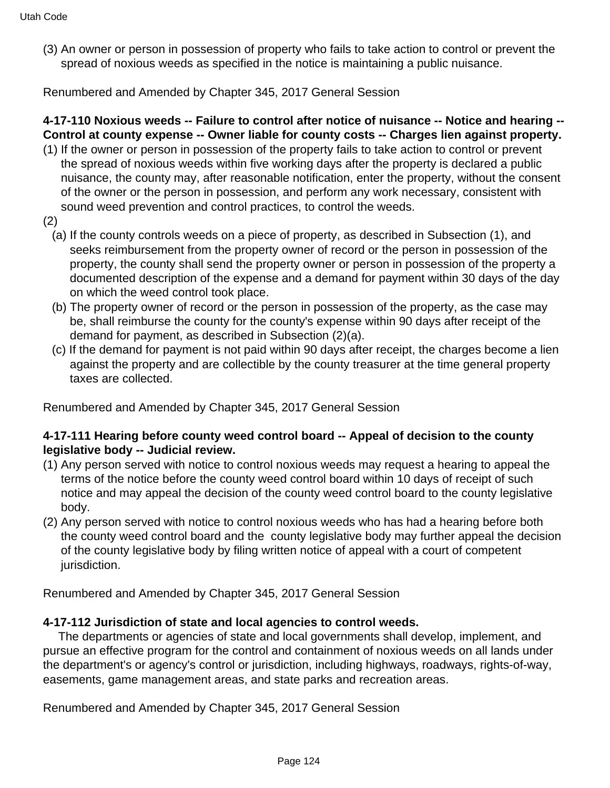(3) An owner or person in possession of property who fails to take action to control or prevent the spread of noxious weeds as specified in the notice is maintaining a public nuisance.

Renumbered and Amended by Chapter 345, 2017 General Session

# **4-17-110 Noxious weeds -- Failure to control after notice of nuisance -- Notice and hearing -- Control at county expense -- Owner liable for county costs -- Charges lien against property.**

- (1) If the owner or person in possession of the property fails to take action to control or prevent the spread of noxious weeds within five working days after the property is declared a public nuisance, the county may, after reasonable notification, enter the property, without the consent of the owner or the person in possession, and perform any work necessary, consistent with sound weed prevention and control practices, to control the weeds.
- (2)
	- (a) If the county controls weeds on a piece of property, as described in Subsection (1), and seeks reimbursement from the property owner of record or the person in possession of the property, the county shall send the property owner or person in possession of the property a documented description of the expense and a demand for payment within 30 days of the day on which the weed control took place.
	- (b) The property owner of record or the person in possession of the property, as the case may be, shall reimburse the county for the county's expense within 90 days after receipt of the demand for payment, as described in Subsection (2)(a).
	- (c) If the demand for payment is not paid within 90 days after receipt, the charges become a lien against the property and are collectible by the county treasurer at the time general property taxes are collected.

Renumbered and Amended by Chapter 345, 2017 General Session

### **4-17-111 Hearing before county weed control board -- Appeal of decision to the county legislative body -- Judicial review.**

- (1) Any person served with notice to control noxious weeds may request a hearing to appeal the terms of the notice before the county weed control board within 10 days of receipt of such notice and may appeal the decision of the county weed control board to the county legislative body.
- (2) Any person served with notice to control noxious weeds who has had a hearing before both the county weed control board and the county legislative body may further appeal the decision of the county legislative body by filing written notice of appeal with a court of competent jurisdiction.

Renumbered and Amended by Chapter 345, 2017 General Session

### **4-17-112 Jurisdiction of state and local agencies to control weeds.**

 The departments or agencies of state and local governments shall develop, implement, and pursue an effective program for the control and containment of noxious weeds on all lands under the department's or agency's control or jurisdiction, including highways, roadways, rights-of-way, easements, game management areas, and state parks and recreation areas.

Renumbered and Amended by Chapter 345, 2017 General Session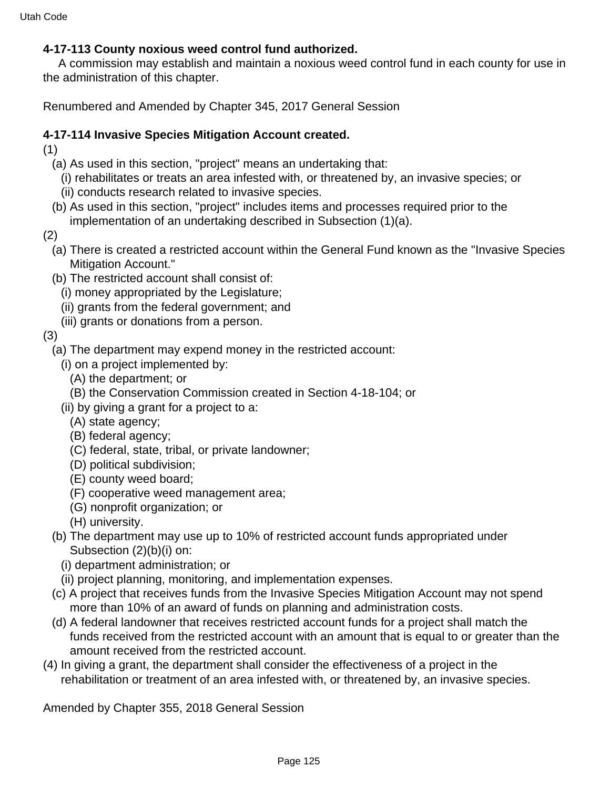### **4-17-113 County noxious weed control fund authorized.**

 A commission may establish and maintain a noxious weed control fund in each county for use in the administration of this chapter.

Renumbered and Amended by Chapter 345, 2017 General Session

### **4-17-114 Invasive Species Mitigation Account created.**

(1)

- (a) As used in this section, "project" means an undertaking that:
	- (i) rehabilitates or treats an area infested with, or threatened by, an invasive species; or
	- (ii) conducts research related to invasive species.
- (b) As used in this section, "project" includes items and processes required prior to the implementation of an undertaking described in Subsection (1)(a).
- (2)
	- (a) There is created a restricted account within the General Fund known as the "Invasive Species Mitigation Account."
	- (b) The restricted account shall consist of:
		- (i) money appropriated by the Legislature;
		- (ii) grants from the federal government; and
		- (iii) grants or donations from a person.

### (3)

- (a) The department may expend money in the restricted account:
	- (i) on a project implemented by:
		- (A) the department; or
		- (B) the Conservation Commission created in Section 4-18-104; or
	- (ii) by giving a grant for a project to a:
		- (A) state agency;
		- (B) federal agency;
		- (C) federal, state, tribal, or private landowner;
		- (D) political subdivision;
		- (E) county weed board;
		- (F) cooperative weed management area;
		- (G) nonprofit organization; or
		- (H) university.
- (b) The department may use up to 10% of restricted account funds appropriated under Subsection (2)(b)(i) on:
	- (i) department administration; or
	- (ii) project planning, monitoring, and implementation expenses.
- (c) A project that receives funds from the Invasive Species Mitigation Account may not spend more than 10% of an award of funds on planning and administration costs.
- (d) A federal landowner that receives restricted account funds for a project shall match the funds received from the restricted account with an amount that is equal to or greater than the amount received from the restricted account.
- (4) In giving a grant, the department shall consider the effectiveness of a project in the rehabilitation or treatment of an area infested with, or threatened by, an invasive species.

Amended by Chapter 355, 2018 General Session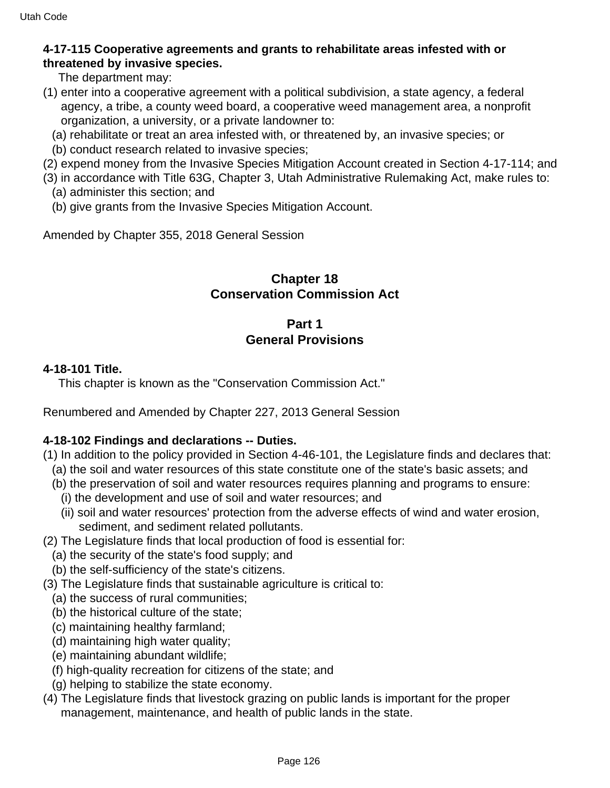### **4-17-115 Cooperative agreements and grants to rehabilitate areas infested with or threatened by invasive species.**

The department may:

- (1) enter into a cooperative agreement with a political subdivision, a state agency, a federal agency, a tribe, a county weed board, a cooperative weed management area, a nonprofit organization, a university, or a private landowner to:
	- (a) rehabilitate or treat an area infested with, or threatened by, an invasive species; or
	- (b) conduct research related to invasive species;
- (2) expend money from the Invasive Species Mitigation Account created in Section 4-17-114; and
- (3) in accordance with Title 63G, Chapter 3, Utah Administrative Rulemaking Act, make rules to:
	- (a) administer this section; and
	- (b) give grants from the Invasive Species Mitigation Account.

Amended by Chapter 355, 2018 General Session

## **Chapter 18 Conservation Commission Act**

# **Part 1 General Provisions**

### **4-18-101 Title.**

This chapter is known as the "Conservation Commission Act."

Renumbered and Amended by Chapter 227, 2013 General Session

### **4-18-102 Findings and declarations -- Duties.**

- (1) In addition to the policy provided in Section 4-46-101, the Legislature finds and declares that:
	- (a) the soil and water resources of this state constitute one of the state's basic assets; and
	- (b) the preservation of soil and water resources requires planning and programs to ensure:
		- (i) the development and use of soil and water resources; and
		- (ii) soil and water resources' protection from the adverse effects of wind and water erosion, sediment, and sediment related pollutants.
- (2) The Legislature finds that local production of food is essential for:
	- (a) the security of the state's food supply; and
	- (b) the self-sufficiency of the state's citizens.
- (3) The Legislature finds that sustainable agriculture is critical to:
	- (a) the success of rural communities;
	- (b) the historical culture of the state;
	- (c) maintaining healthy farmland;
	- (d) maintaining high water quality;
	- (e) maintaining abundant wildlife;
	- (f) high-quality recreation for citizens of the state; and
	- (g) helping to stabilize the state economy.
- (4) The Legislature finds that livestock grazing on public lands is important for the proper management, maintenance, and health of public lands in the state.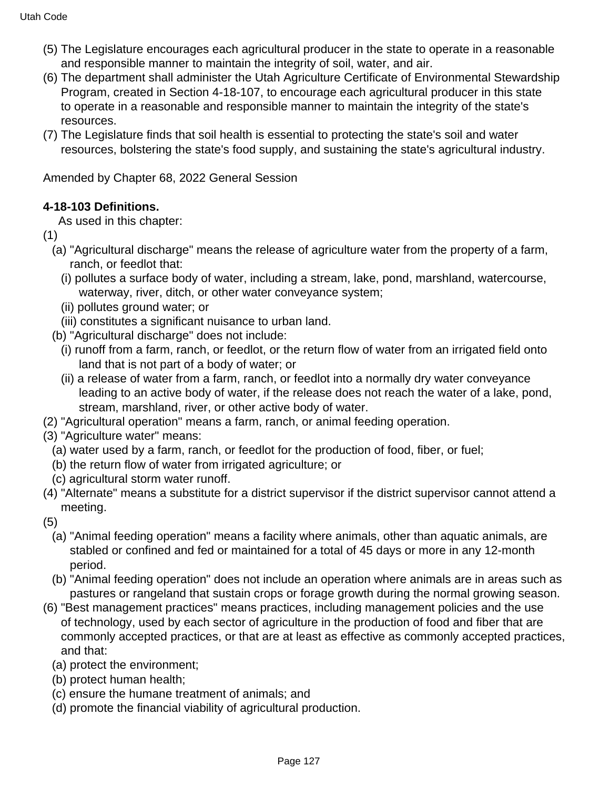- (5) The Legislature encourages each agricultural producer in the state to operate in a reasonable and responsible manner to maintain the integrity of soil, water, and air.
- (6) The department shall administer the Utah Agriculture Certificate of Environmental Stewardship Program, created in Section 4-18-107, to encourage each agricultural producer in this state to operate in a reasonable and responsible manner to maintain the integrity of the state's resources.
- (7) The Legislature finds that soil health is essential to protecting the state's soil and water resources, bolstering the state's food supply, and sustaining the state's agricultural industry.

Amended by Chapter 68, 2022 General Session

# **4-18-103 Definitions.**

As used in this chapter:

- (1)
	- (a) "Agricultural discharge" means the release of agriculture water from the property of a farm, ranch, or feedlot that:
		- (i) pollutes a surface body of water, including a stream, lake, pond, marshland, watercourse, waterway, river, ditch, or other water conveyance system;
		- (ii) pollutes ground water; or
		- (iii) constitutes a significant nuisance to urban land.
	- (b) "Agricultural discharge" does not include:
		- (i) runoff from a farm, ranch, or feedlot, or the return flow of water from an irrigated field onto land that is not part of a body of water; or
		- (ii) a release of water from a farm, ranch, or feedlot into a normally dry water conveyance leading to an active body of water, if the release does not reach the water of a lake, pond, stream, marshland, river, or other active body of water.
- (2) "Agricultural operation" means a farm, ranch, or animal feeding operation.
- (3) "Agriculture water" means:
	- (a) water used by a farm, ranch, or feedlot for the production of food, fiber, or fuel;
	- (b) the return flow of water from irrigated agriculture; or
	- (c) agricultural storm water runoff.
- (4) "Alternate" means a substitute for a district supervisor if the district supervisor cannot attend a meeting.

(5)

- (a) "Animal feeding operation" means a facility where animals, other than aquatic animals, are stabled or confined and fed or maintained for a total of 45 days or more in any 12-month period.
- (b) "Animal feeding operation" does not include an operation where animals are in areas such as pastures or rangeland that sustain crops or forage growth during the normal growing season.
- (6) "Best management practices" means practices, including management policies and the use of technology, used by each sector of agriculture in the production of food and fiber that are commonly accepted practices, or that are at least as effective as commonly accepted practices, and that:
	- (a) protect the environment;
	- (b) protect human health;
	- (c) ensure the humane treatment of animals; and
	- (d) promote the financial viability of agricultural production.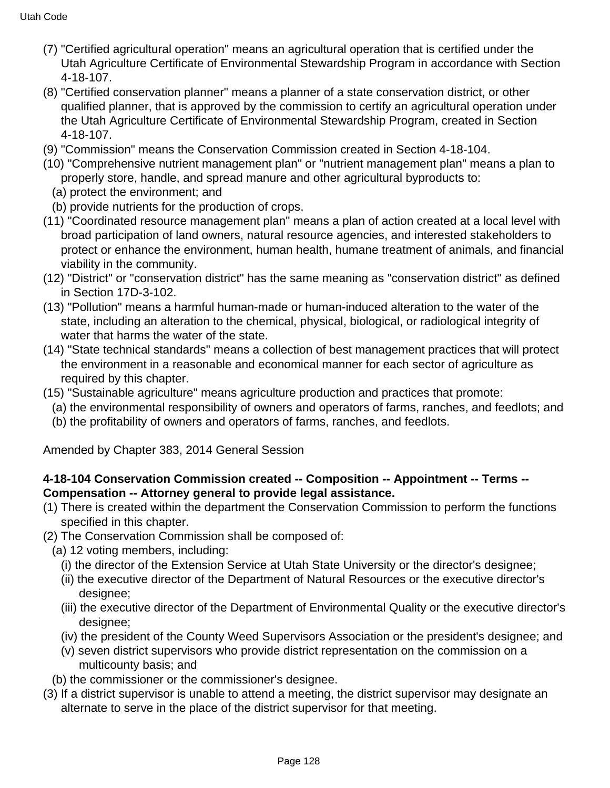- (7) "Certified agricultural operation" means an agricultural operation that is certified under the Utah Agriculture Certificate of Environmental Stewardship Program in accordance with Section 4-18-107.
- (8) "Certified conservation planner" means a planner of a state conservation district, or other qualified planner, that is approved by the commission to certify an agricultural operation under the Utah Agriculture Certificate of Environmental Stewardship Program, created in Section 4-18-107.
- (9) "Commission" means the Conservation Commission created in Section 4-18-104.
- (10) "Comprehensive nutrient management plan" or "nutrient management plan" means a plan to properly store, handle, and spread manure and other agricultural byproducts to:
	- (a) protect the environment; and
	- (b) provide nutrients for the production of crops.
- (11) "Coordinated resource management plan" means a plan of action created at a local level with broad participation of land owners, natural resource agencies, and interested stakeholders to protect or enhance the environment, human health, humane treatment of animals, and financial viability in the community.
- (12) "District" or "conservation district" has the same meaning as "conservation district" as defined in Section 17D-3-102.
- (13) "Pollution" means a harmful human-made or human-induced alteration to the water of the state, including an alteration to the chemical, physical, biological, or radiological integrity of water that harms the water of the state.
- (14) "State technical standards" means a collection of best management practices that will protect the environment in a reasonable and economical manner for each sector of agriculture as required by this chapter.
- (15) "Sustainable agriculture" means agriculture production and practices that promote:
	- (a) the environmental responsibility of owners and operators of farms, ranches, and feedlots; and
	- (b) the profitability of owners and operators of farms, ranches, and feedlots.

Amended by Chapter 383, 2014 General Session

# **4-18-104 Conservation Commission created -- Composition -- Appointment -- Terms -- Compensation -- Attorney general to provide legal assistance.**

- (1) There is created within the department the Conservation Commission to perform the functions specified in this chapter.
- (2) The Conservation Commission shall be composed of:
	- (a) 12 voting members, including:
		- (i) the director of the Extension Service at Utah State University or the director's designee;
		- (ii) the executive director of the Department of Natural Resources or the executive director's designee;
		- (iii) the executive director of the Department of Environmental Quality or the executive director's designee;
		- (iv) the president of the County Weed Supervisors Association or the president's designee; and
		- (v) seven district supervisors who provide district representation on the commission on a multicounty basis; and
	- (b) the commissioner or the commissioner's designee.
- (3) If a district supervisor is unable to attend a meeting, the district supervisor may designate an alternate to serve in the place of the district supervisor for that meeting.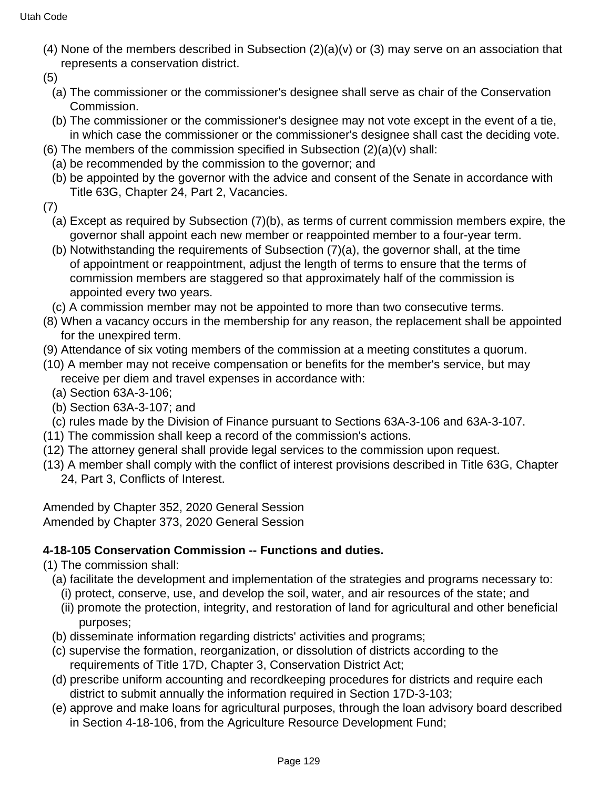- (4) None of the members described in Subsection (2)(a)(v) or (3) may serve on an association that represents a conservation district.
- (5)
	- (a) The commissioner or the commissioner's designee shall serve as chair of the Conservation Commission.
	- (b) The commissioner or the commissioner's designee may not vote except in the event of a tie, in which case the commissioner or the commissioner's designee shall cast the deciding vote.
- (6) The members of the commission specified in Subsection  $(2)(a)(v)$  shall:
	- (a) be recommended by the commission to the governor; and
	- (b) be appointed by the governor with the advice and consent of the Senate in accordance with Title 63G, Chapter 24, Part 2, Vacancies.
- (7)
	- (a) Except as required by Subsection (7)(b), as terms of current commission members expire, the governor shall appoint each new member or reappointed member to a four-year term.
	- (b) Notwithstanding the requirements of Subsection (7)(a), the governor shall, at the time of appointment or reappointment, adjust the length of terms to ensure that the terms of commission members are staggered so that approximately half of the commission is appointed every two years.
	- (c) A commission member may not be appointed to more than two consecutive terms.
- (8) When a vacancy occurs in the membership for any reason, the replacement shall be appointed for the unexpired term.
- (9) Attendance of six voting members of the commission at a meeting constitutes a quorum.
- (10) A member may not receive compensation or benefits for the member's service, but may receive per diem and travel expenses in accordance with:
	- (a) Section 63A-3-106;
	- (b) Section 63A-3-107; and
	- (c) rules made by the Division of Finance pursuant to Sections 63A-3-106 and 63A-3-107.
- (11) The commission shall keep a record of the commission's actions.
- (12) The attorney general shall provide legal services to the commission upon request.
- (13) A member shall comply with the conflict of interest provisions described in Title 63G, Chapter 24, Part 3, Conflicts of Interest.

Amended by Chapter 352, 2020 General Session Amended by Chapter 373, 2020 General Session

# **4-18-105 Conservation Commission -- Functions and duties.**

- (1) The commission shall:
	- (a) facilitate the development and implementation of the strategies and programs necessary to:
		- (i) protect, conserve, use, and develop the soil, water, and air resources of the state; and
		- (ii) promote the protection, integrity, and restoration of land for agricultural and other beneficial purposes;
	- (b) disseminate information regarding districts' activities and programs;
	- (c) supervise the formation, reorganization, or dissolution of districts according to the requirements of Title 17D, Chapter 3, Conservation District Act;
	- (d) prescribe uniform accounting and recordkeeping procedures for districts and require each district to submit annually the information required in Section 17D-3-103;
	- (e) approve and make loans for agricultural purposes, through the loan advisory board described in Section 4-18-106, from the Agriculture Resource Development Fund;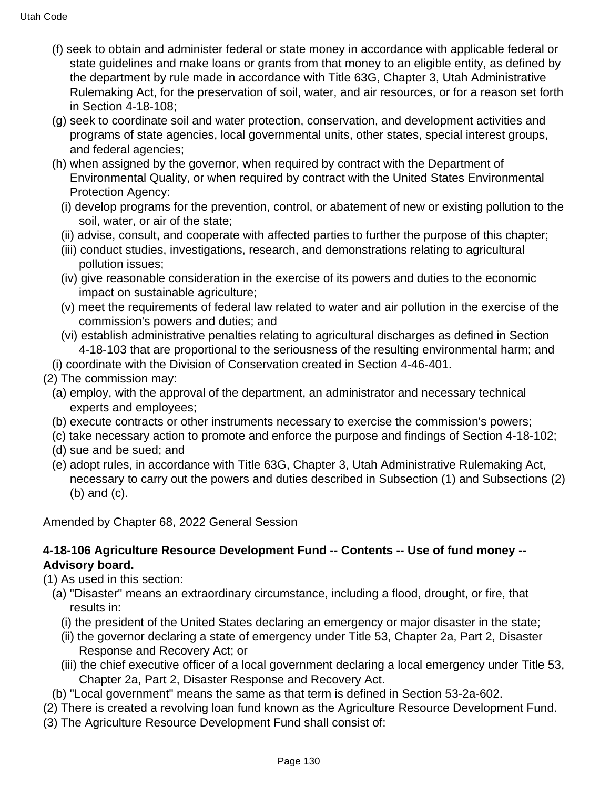- (f) seek to obtain and administer federal or state money in accordance with applicable federal or state guidelines and make loans or grants from that money to an eligible entity, as defined by the department by rule made in accordance with Title 63G, Chapter 3, Utah Administrative Rulemaking Act, for the preservation of soil, water, and air resources, or for a reason set forth in Section 4-18-108;
- (g) seek to coordinate soil and water protection, conservation, and development activities and programs of state agencies, local governmental units, other states, special interest groups, and federal agencies;
- (h) when assigned by the governor, when required by contract with the Department of Environmental Quality, or when required by contract with the United States Environmental Protection Agency:
	- (i) develop programs for the prevention, control, or abatement of new or existing pollution to the soil, water, or air of the state;
	- (ii) advise, consult, and cooperate with affected parties to further the purpose of this chapter;
	- (iii) conduct studies, investigations, research, and demonstrations relating to agricultural pollution issues;
	- (iv) give reasonable consideration in the exercise of its powers and duties to the economic impact on sustainable agriculture;
	- (v) meet the requirements of federal law related to water and air pollution in the exercise of the commission's powers and duties; and
	- (vi) establish administrative penalties relating to agricultural discharges as defined in Section 4-18-103 that are proportional to the seriousness of the resulting environmental harm; and
- (i) coordinate with the Division of Conservation created in Section 4-46-401.
- (2) The commission may:
	- (a) employ, with the approval of the department, an administrator and necessary technical experts and employees;
	- (b) execute contracts or other instruments necessary to exercise the commission's powers;
	- (c) take necessary action to promote and enforce the purpose and findings of Section 4-18-102;
	- (d) sue and be sued; and
	- (e) adopt rules, in accordance with Title 63G, Chapter 3, Utah Administrative Rulemaking Act, necessary to carry out the powers and duties described in Subsection (1) and Subsections (2) (b) and (c).

Amended by Chapter 68, 2022 General Session

### **4-18-106 Agriculture Resource Development Fund -- Contents -- Use of fund money -- Advisory board.**

- (1) As used in this section:
	- (a) "Disaster" means an extraordinary circumstance, including a flood, drought, or fire, that results in:
		- (i) the president of the United States declaring an emergency or major disaster in the state;
		- (ii) the governor declaring a state of emergency under Title 53, Chapter 2a, Part 2, Disaster Response and Recovery Act; or
		- (iii) the chief executive officer of a local government declaring a local emergency under Title 53, Chapter 2a, Part 2, Disaster Response and Recovery Act.
	- (b) "Local government" means the same as that term is defined in Section 53-2a-602.
- (2) There is created a revolving loan fund known as the Agriculture Resource Development Fund.
- (3) The Agriculture Resource Development Fund shall consist of: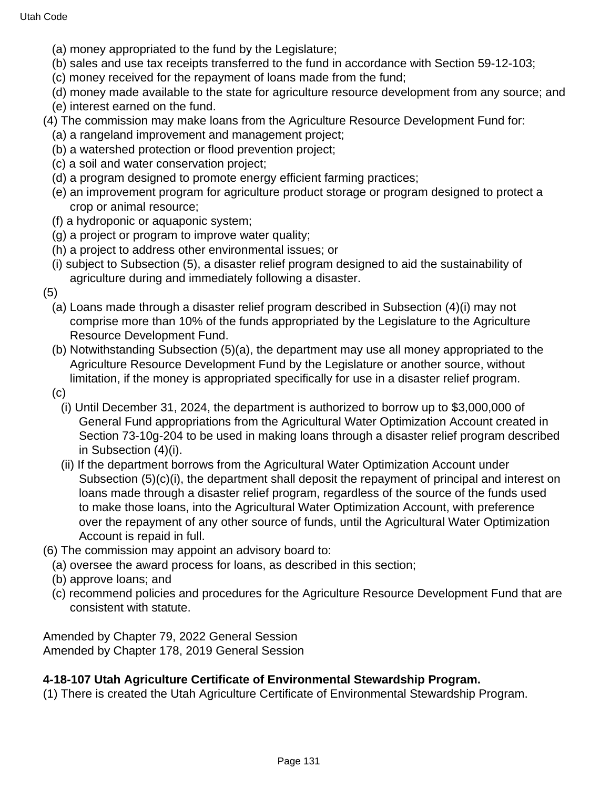- (a) money appropriated to the fund by the Legislature;
- (b) sales and use tax receipts transferred to the fund in accordance with Section 59-12-103;
- (c) money received for the repayment of loans made from the fund;
- (d) money made available to the state for agriculture resource development from any source; and
- (e) interest earned on the fund.
- (4) The commission may make loans from the Agriculture Resource Development Fund for:
	- (a) a rangeland improvement and management project;
	- (b) a watershed protection or flood prevention project;
	- (c) a soil and water conservation project;
	- (d) a program designed to promote energy efficient farming practices;
	- (e) an improvement program for agriculture product storage or program designed to protect a crop or animal resource;
	- (f) a hydroponic or aquaponic system;
	- (g) a project or program to improve water quality;
	- (h) a project to address other environmental issues; or
	- (i) subject to Subsection (5), a disaster relief program designed to aid the sustainability of agriculture during and immediately following a disaster.

(5)

- (a) Loans made through a disaster relief program described in Subsection (4)(i) may not comprise more than 10% of the funds appropriated by the Legislature to the Agriculture Resource Development Fund.
- (b) Notwithstanding Subsection (5)(a), the department may use all money appropriated to the Agriculture Resource Development Fund by the Legislature or another source, without limitation, if the money is appropriated specifically for use in a disaster relief program.
- (c)
	- (i) Until December 31, 2024, the department is authorized to borrow up to \$3,000,000 of General Fund appropriations from the Agricultural Water Optimization Account created in Section 73-10g-204 to be used in making loans through a disaster relief program described in Subsection (4)(i).
	- (ii) If the department borrows from the Agricultural Water Optimization Account under Subsection (5)(c)(i), the department shall deposit the repayment of principal and interest on loans made through a disaster relief program, regardless of the source of the funds used to make those loans, into the Agricultural Water Optimization Account, with preference over the repayment of any other source of funds, until the Agricultural Water Optimization Account is repaid in full.
- (6) The commission may appoint an advisory board to:
	- (a) oversee the award process for loans, as described in this section;
	- (b) approve loans; and
	- (c) recommend policies and procedures for the Agriculture Resource Development Fund that are consistent with statute.

Amended by Chapter 79, 2022 General Session Amended by Chapter 178, 2019 General Session

### **4-18-107 Utah Agriculture Certificate of Environmental Stewardship Program.**

(1) There is created the Utah Agriculture Certificate of Environmental Stewardship Program.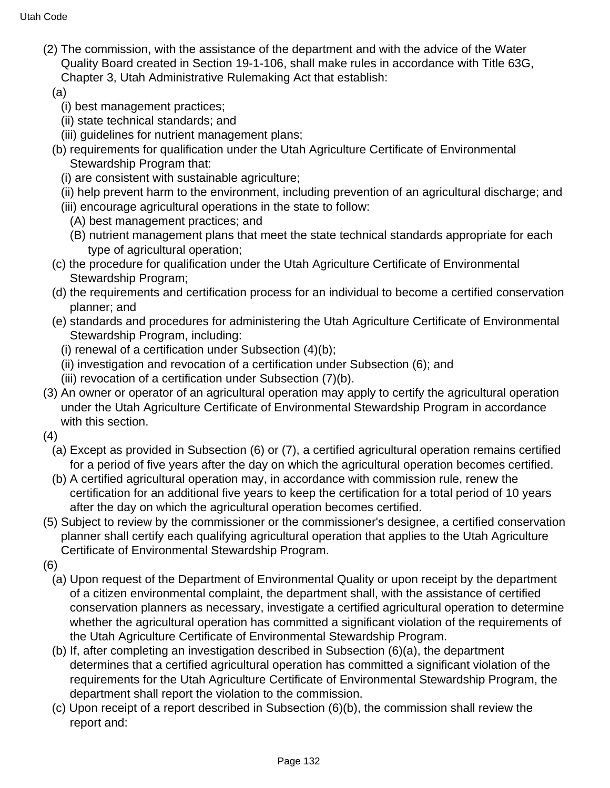- (2) The commission, with the assistance of the department and with the advice of the Water Quality Board created in Section 19-1-106, shall make rules in accordance with Title 63G, Chapter 3, Utah Administrative Rulemaking Act that establish:
	- (a)
		- (i) best management practices;
		- (ii) state technical standards; and
		- (iii) guidelines for nutrient management plans;
	- (b) requirements for qualification under the Utah Agriculture Certificate of Environmental Stewardship Program that:
		- (i) are consistent with sustainable agriculture;
		- (ii) help prevent harm to the environment, including prevention of an agricultural discharge; and
		- (iii) encourage agricultural operations in the state to follow:
			- (A) best management practices; and
			- (B) nutrient management plans that meet the state technical standards appropriate for each type of agricultural operation;
	- (c) the procedure for qualification under the Utah Agriculture Certificate of Environmental Stewardship Program;
	- (d) the requirements and certification process for an individual to become a certified conservation planner; and
	- (e) standards and procedures for administering the Utah Agriculture Certificate of Environmental Stewardship Program, including:
		- (i) renewal of a certification under Subsection (4)(b);
		- (ii) investigation and revocation of a certification under Subsection (6); and
		- (iii) revocation of a certification under Subsection (7)(b).
- (3) An owner or operator of an agricultural operation may apply to certify the agricultural operation under the Utah Agriculture Certificate of Environmental Stewardship Program in accordance with this section.
- (4)
	- (a) Except as provided in Subsection (6) or (7), a certified agricultural operation remains certified for a period of five years after the day on which the agricultural operation becomes certified.
	- (b) A certified agricultural operation may, in accordance with commission rule, renew the certification for an additional five years to keep the certification for a total period of 10 years after the day on which the agricultural operation becomes certified.
- (5) Subject to review by the commissioner or the commissioner's designee, a certified conservation planner shall certify each qualifying agricultural operation that applies to the Utah Agriculture Certificate of Environmental Stewardship Program.
- (6)
	- (a) Upon request of the Department of Environmental Quality or upon receipt by the department of a citizen environmental complaint, the department shall, with the assistance of certified conservation planners as necessary, investigate a certified agricultural operation to determine whether the agricultural operation has committed a significant violation of the requirements of the Utah Agriculture Certificate of Environmental Stewardship Program.
	- (b) If, after completing an investigation described in Subsection (6)(a), the department determines that a certified agricultural operation has committed a significant violation of the requirements for the Utah Agriculture Certificate of Environmental Stewardship Program, the department shall report the violation to the commission.
	- (c) Upon receipt of a report described in Subsection (6)(b), the commission shall review the report and: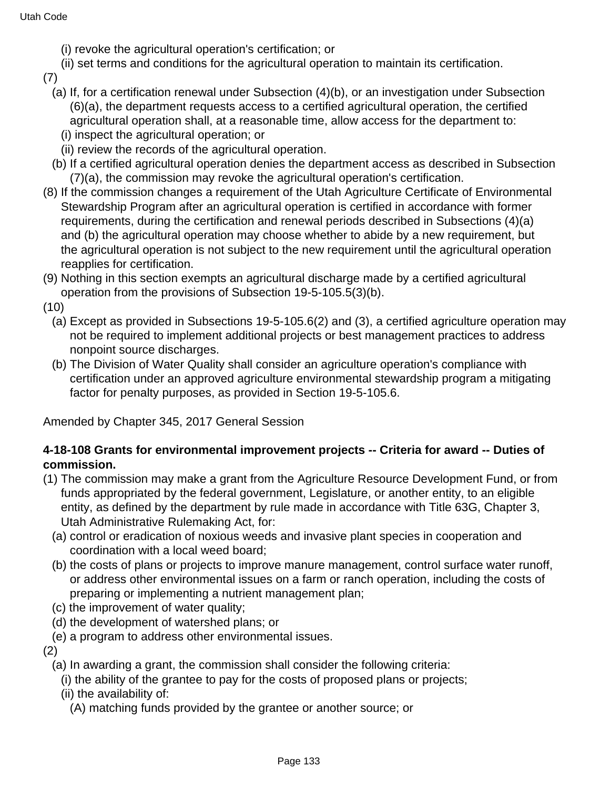- (i) revoke the agricultural operation's certification; or
- (ii) set terms and conditions for the agricultural operation to maintain its certification.
- (7)
	- (a) If, for a certification renewal under Subsection (4)(b), or an investigation under Subsection (6)(a), the department requests access to a certified agricultural operation, the certified agricultural operation shall, at a reasonable time, allow access for the department to:
		- (i) inspect the agricultural operation; or
		- (ii) review the records of the agricultural operation.
	- (b) If a certified agricultural operation denies the department access as described in Subsection (7)(a), the commission may revoke the agricultural operation's certification.
- (8) If the commission changes a requirement of the Utah Agriculture Certificate of Environmental Stewardship Program after an agricultural operation is certified in accordance with former requirements, during the certification and renewal periods described in Subsections (4)(a) and (b) the agricultural operation may choose whether to abide by a new requirement, but the agricultural operation is not subject to the new requirement until the agricultural operation reapplies for certification.
- (9) Nothing in this section exempts an agricultural discharge made by a certified agricultural operation from the provisions of Subsection 19-5-105.5(3)(b).
- (10)
	- (a) Except as provided in Subsections 19-5-105.6(2) and (3), a certified agriculture operation may not be required to implement additional projects or best management practices to address nonpoint source discharges.
	- (b) The Division of Water Quality shall consider an agriculture operation's compliance with certification under an approved agriculture environmental stewardship program a mitigating factor for penalty purposes, as provided in Section 19-5-105.6.

Amended by Chapter 345, 2017 General Session

### **4-18-108 Grants for environmental improvement projects -- Criteria for award -- Duties of commission.**

- (1) The commission may make a grant from the Agriculture Resource Development Fund, or from funds appropriated by the federal government, Legislature, or another entity, to an eligible entity, as defined by the department by rule made in accordance with Title 63G, Chapter 3, Utah Administrative Rulemaking Act, for:
	- (a) control or eradication of noxious weeds and invasive plant species in cooperation and coordination with a local weed board;
	- (b) the costs of plans or projects to improve manure management, control surface water runoff, or address other environmental issues on a farm or ranch operation, including the costs of preparing or implementing a nutrient management plan;
	- (c) the improvement of water quality;
	- (d) the development of watershed plans; or
	- (e) a program to address other environmental issues.

(2)

- (a) In awarding a grant, the commission shall consider the following criteria:
	- (i) the ability of the grantee to pay for the costs of proposed plans or projects;
	- (ii) the availability of:
		- (A) matching funds provided by the grantee or another source; or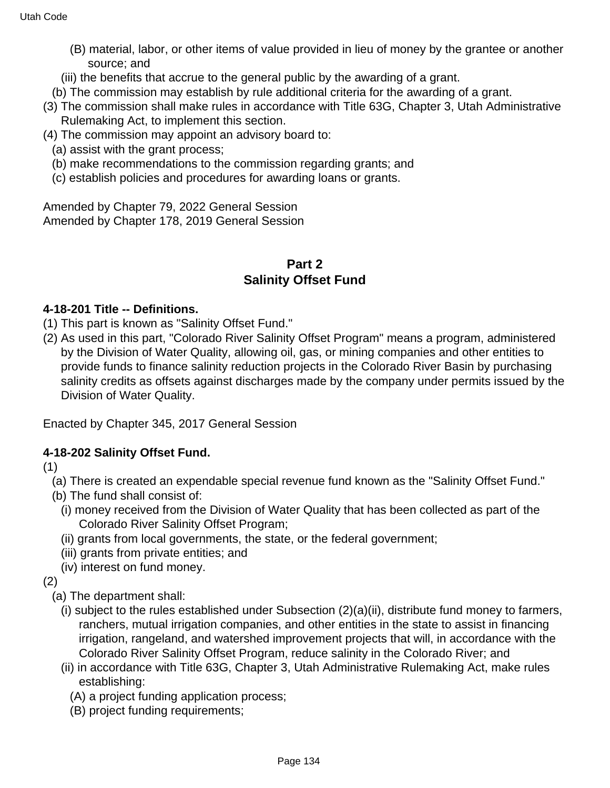- (B) material, labor, or other items of value provided in lieu of money by the grantee or another source; and
- (iii) the benefits that accrue to the general public by the awarding of a grant.
- (b) The commission may establish by rule additional criteria for the awarding of a grant.
- (3) The commission shall make rules in accordance with Title 63G, Chapter 3, Utah Administrative Rulemaking Act, to implement this section.
- (4) The commission may appoint an advisory board to:
	- (a) assist with the grant process;
	- (b) make recommendations to the commission regarding grants; and
	- (c) establish policies and procedures for awarding loans or grants.

Amended by Chapter 79, 2022 General Session Amended by Chapter 178, 2019 General Session

# **Part 2 Salinity Offset Fund**

### **4-18-201 Title -- Definitions.**

- (1) This part is known as "Salinity Offset Fund."
- (2) As used in this part, "Colorado River Salinity Offset Program" means a program, administered by the Division of Water Quality, allowing oil, gas, or mining companies and other entities to provide funds to finance salinity reduction projects in the Colorado River Basin by purchasing salinity credits as offsets against discharges made by the company under permits issued by the Division of Water Quality.

Enacted by Chapter 345, 2017 General Session

### **4-18-202 Salinity Offset Fund.**

(1)

- (a) There is created an expendable special revenue fund known as the "Salinity Offset Fund."
- (b) The fund shall consist of:
	- (i) money received from the Division of Water Quality that has been collected as part of the Colorado River Salinity Offset Program;
	- (ii) grants from local governments, the state, or the federal government;
	- (iii) grants from private entities; and
	- (iv) interest on fund money.
- (2)
	- (a) The department shall:
		- (i) subject to the rules established under Subsection (2)(a)(ii), distribute fund money to farmers, ranchers, mutual irrigation companies, and other entities in the state to assist in financing irrigation, rangeland, and watershed improvement projects that will, in accordance with the Colorado River Salinity Offset Program, reduce salinity in the Colorado River; and
		- (ii) in accordance with Title 63G, Chapter 3, Utah Administrative Rulemaking Act, make rules establishing:
			- (A) a project funding application process;
			- (B) project funding requirements;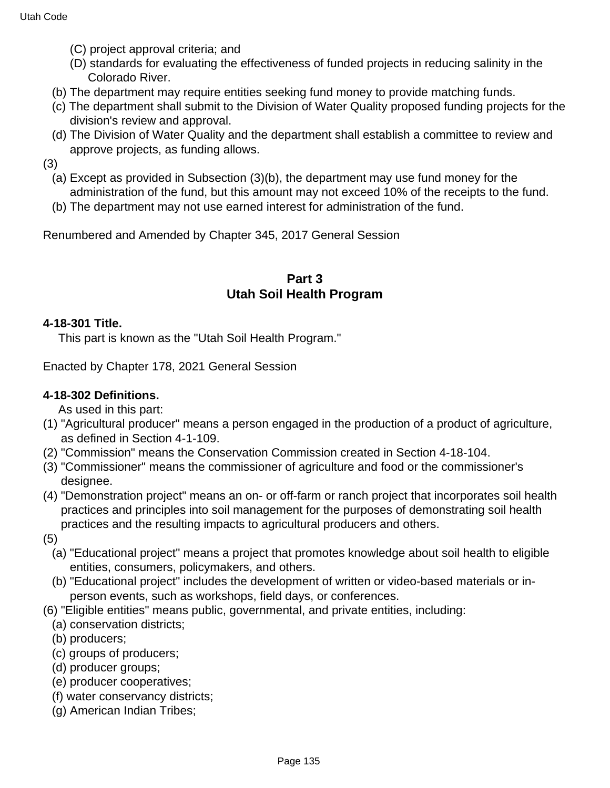- (C) project approval criteria; and
- (D) standards for evaluating the effectiveness of funded projects in reducing salinity in the Colorado River.
- (b) The department may require entities seeking fund money to provide matching funds.
- (c) The department shall submit to the Division of Water Quality proposed funding projects for the division's review and approval.
- (d) The Division of Water Quality and the department shall establish a committee to review and approve projects, as funding allows.

(3)

- (a) Except as provided in Subsection (3)(b), the department may use fund money for the administration of the fund, but this amount may not exceed 10% of the receipts to the fund.
- (b) The department may not use earned interest for administration of the fund.

Renumbered and Amended by Chapter 345, 2017 General Session

### **Part 3 Utah Soil Health Program**

#### **4-18-301 Title.**

This part is known as the "Utah Soil Health Program."

Enacted by Chapter 178, 2021 General Session

### **4-18-302 Definitions.**

As used in this part:

- (1) "Agricultural producer" means a person engaged in the production of a product of agriculture, as defined in Section 4-1-109.
- (2) "Commission" means the Conservation Commission created in Section 4-18-104.
- (3) "Commissioner" means the commissioner of agriculture and food or the commissioner's designee.
- (4) "Demonstration project" means an on- or off-farm or ranch project that incorporates soil health practices and principles into soil management for the purposes of demonstrating soil health practices and the resulting impacts to agricultural producers and others.
- (5)
	- (a) "Educational project" means a project that promotes knowledge about soil health to eligible entities, consumers, policymakers, and others.
	- (b) "Educational project" includes the development of written or video-based materials or inperson events, such as workshops, field days, or conferences.
- (6) "Eligible entities" means public, governmental, and private entities, including:
	- (a) conservation districts;
	- (b) producers;
	- (c) groups of producers;
	- (d) producer groups;
	- (e) producer cooperatives;
	- (f) water conservancy districts;
	- (g) American Indian Tribes;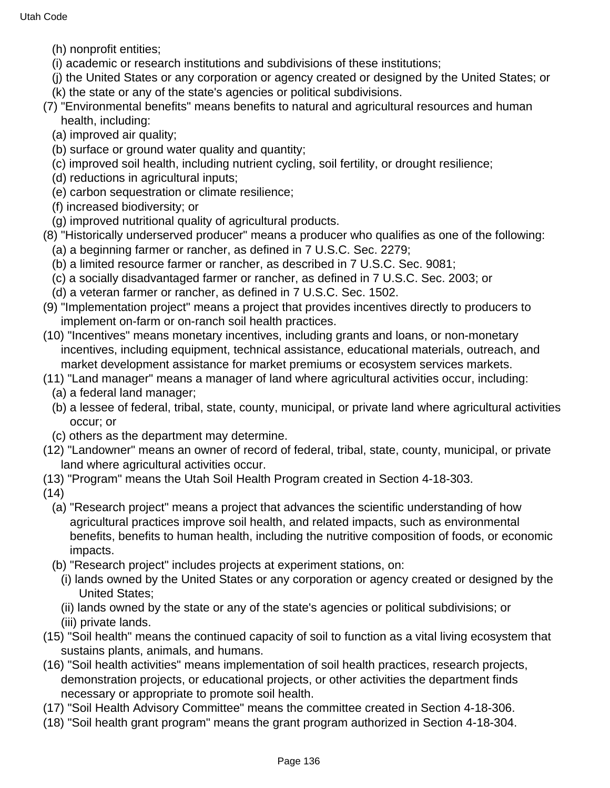- (h) nonprofit entities;
- (i) academic or research institutions and subdivisions of these institutions;
- (j) the United States or any corporation or agency created or designed by the United States; or
- (k) the state or any of the state's agencies or political subdivisions.
- (7) "Environmental benefits" means benefits to natural and agricultural resources and human health, including:
	- (a) improved air quality;
	- (b) surface or ground water quality and quantity;
	- (c) improved soil health, including nutrient cycling, soil fertility, or drought resilience;
	- (d) reductions in agricultural inputs;
	- (e) carbon sequestration or climate resilience;
	- (f) increased biodiversity; or
	- (g) improved nutritional quality of agricultural products.
- (8) "Historically underserved producer" means a producer who qualifies as one of the following:
	- (a) a beginning farmer or rancher, as defined in 7 U.S.C. Sec. 2279;
	- (b) a limited resource farmer or rancher, as described in 7 U.S.C. Sec. 9081;
	- (c) a socially disadvantaged farmer or rancher, as defined in 7 U.S.C. Sec. 2003; or
	- (d) a veteran farmer or rancher, as defined in 7 U.S.C. Sec. 1502.
- (9) "Implementation project" means a project that provides incentives directly to producers to implement on-farm or on-ranch soil health practices.
- (10) "Incentives" means monetary incentives, including grants and loans, or non-monetary incentives, including equipment, technical assistance, educational materials, outreach, and market development assistance for market premiums or ecosystem services markets.
- (11) "Land manager" means a manager of land where agricultural activities occur, including:
	- (a) a federal land manager;
	- (b) a lessee of federal, tribal, state, county, municipal, or private land where agricultural activities occur; or
	- (c) others as the department may determine.
- (12) "Landowner" means an owner of record of federal, tribal, state, county, municipal, or private land where agricultural activities occur.
- (13) "Program" means the Utah Soil Health Program created in Section 4-18-303.
- $(14)$ 
	- (a) "Research project" means a project that advances the scientific understanding of how agricultural practices improve soil health, and related impacts, such as environmental benefits, benefits to human health, including the nutritive composition of foods, or economic impacts.
	- (b) "Research project" includes projects at experiment stations, on:
		- (i) lands owned by the United States or any corporation or agency created or designed by the United States;
		- (ii) lands owned by the state or any of the state's agencies or political subdivisions; or
		- (iii) private lands.
- (15) "Soil health" means the continued capacity of soil to function as a vital living ecosystem that sustains plants, animals, and humans.
- (16) "Soil health activities" means implementation of soil health practices, research projects, demonstration projects, or educational projects, or other activities the department finds necessary or appropriate to promote soil health.
- (17) "Soil Health Advisory Committee" means the committee created in Section 4-18-306.
- (18) "Soil health grant program" means the grant program authorized in Section 4-18-304.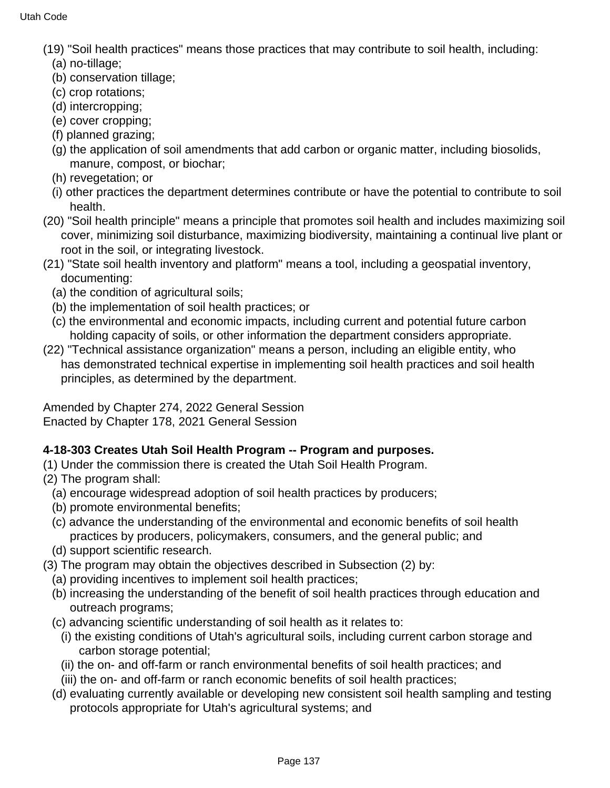- (19) "Soil health practices" means those practices that may contribute to soil health, including:
	- (a) no-tillage;
	- (b) conservation tillage;
	- (c) crop rotations;
	- (d) intercropping;
	- (e) cover cropping;
	- (f) planned grazing;
	- (g) the application of soil amendments that add carbon or organic matter, including biosolids, manure, compost, or biochar;
	- (h) revegetation; or
	- (i) other practices the department determines contribute or have the potential to contribute to soil health.
- (20) "Soil health principle" means a principle that promotes soil health and includes maximizing soil cover, minimizing soil disturbance, maximizing biodiversity, maintaining a continual live plant or root in the soil, or integrating livestock.
- (21) "State soil health inventory and platform" means a tool, including a geospatial inventory, documenting:
	- (a) the condition of agricultural soils;
	- (b) the implementation of soil health practices; or
	- (c) the environmental and economic impacts, including current and potential future carbon holding capacity of soils, or other information the department considers appropriate.
- (22) "Technical assistance organization" means a person, including an eligible entity, who has demonstrated technical expertise in implementing soil health practices and soil health principles, as determined by the department.

Amended by Chapter 274, 2022 General Session Enacted by Chapter 178, 2021 General Session

# **4-18-303 Creates Utah Soil Health Program -- Program and purposes.**

- (1) Under the commission there is created the Utah Soil Health Program.
- (2) The program shall:
	- (a) encourage widespread adoption of soil health practices by producers;
	- (b) promote environmental benefits;
	- (c) advance the understanding of the environmental and economic benefits of soil health practices by producers, policymakers, consumers, and the general public; and
	- (d) support scientific research.
- (3) The program may obtain the objectives described in Subsection (2) by:
	- (a) providing incentives to implement soil health practices;
	- (b) increasing the understanding of the benefit of soil health practices through education and outreach programs;
	- (c) advancing scientific understanding of soil health as it relates to:
		- (i) the existing conditions of Utah's agricultural soils, including current carbon storage and carbon storage potential;
		- (ii) the on- and off-farm or ranch environmental benefits of soil health practices; and
		- (iii) the on- and off-farm or ranch economic benefits of soil health practices;
	- (d) evaluating currently available or developing new consistent soil health sampling and testing protocols appropriate for Utah's agricultural systems; and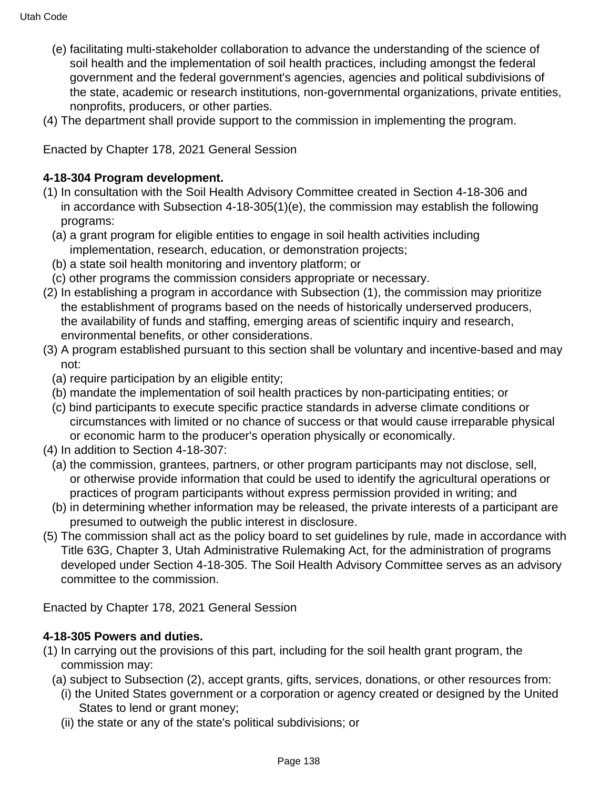- (e) facilitating multi-stakeholder collaboration to advance the understanding of the science of soil health and the implementation of soil health practices, including amongst the federal government and the federal government's agencies, agencies and political subdivisions of the state, academic or research institutions, non-governmental organizations, private entities, nonprofits, producers, or other parties.
- (4) The department shall provide support to the commission in implementing the program.

Enacted by Chapter 178, 2021 General Session

### **4-18-304 Program development.**

- (1) In consultation with the Soil Health Advisory Committee created in Section 4-18-306 and in accordance with Subsection 4-18-305(1)(e), the commission may establish the following programs:
	- (a) a grant program for eligible entities to engage in soil health activities including implementation, research, education, or demonstration projects;
	- (b) a state soil health monitoring and inventory platform; or
	- (c) other programs the commission considers appropriate or necessary.
- (2) In establishing a program in accordance with Subsection (1), the commission may prioritize the establishment of programs based on the needs of historically underserved producers, the availability of funds and staffing, emerging areas of scientific inquiry and research, environmental benefits, or other considerations.
- (3) A program established pursuant to this section shall be voluntary and incentive-based and may not:
	- (a) require participation by an eligible entity;
	- (b) mandate the implementation of soil health practices by non-participating entities; or
	- (c) bind participants to execute specific practice standards in adverse climate conditions or circumstances with limited or no chance of success or that would cause irreparable physical or economic harm to the producer's operation physically or economically.
- (4) In addition to Section 4-18-307:
	- (a) the commission, grantees, partners, or other program participants may not disclose, sell, or otherwise provide information that could be used to identify the agricultural operations or practices of program participants without express permission provided in writing; and
	- (b) in determining whether information may be released, the private interests of a participant are presumed to outweigh the public interest in disclosure.
- (5) The commission shall act as the policy board to set guidelines by rule, made in accordance with Title 63G, Chapter 3, Utah Administrative Rulemaking Act, for the administration of programs developed under Section 4-18-305. The Soil Health Advisory Committee serves as an advisory committee to the commission.

Enacted by Chapter 178, 2021 General Session

### **4-18-305 Powers and duties.**

- (1) In carrying out the provisions of this part, including for the soil health grant program, the commission may:
	- (a) subject to Subsection (2), accept grants, gifts, services, donations, or other resources from:
		- (i) the United States government or a corporation or agency created or designed by the United States to lend or grant money;
		- (ii) the state or any of the state's political subdivisions; or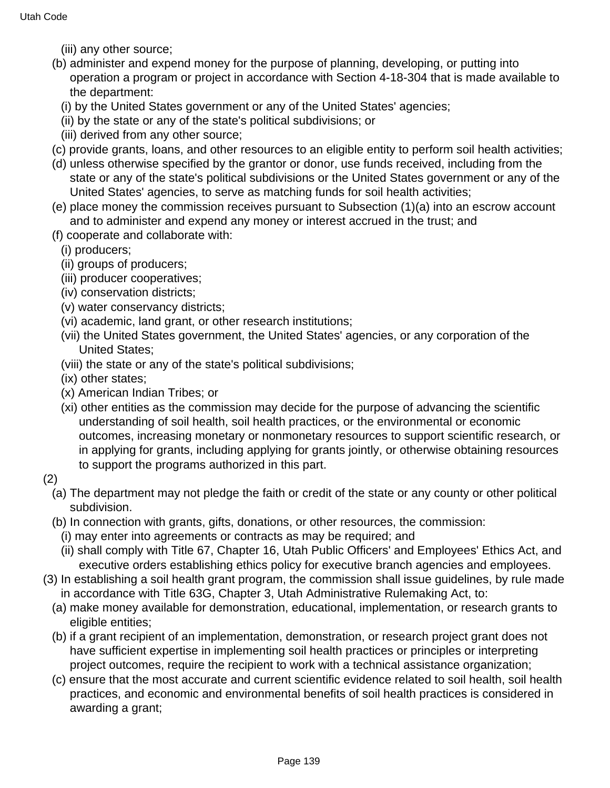- (iii) any other source;
- (b) administer and expend money for the purpose of planning, developing, or putting into operation a program or project in accordance with Section 4-18-304 that is made available to the department:
	- (i) by the United States government or any of the United States' agencies;
	- (ii) by the state or any of the state's political subdivisions; or
	- (iii) derived from any other source;
- (c) provide grants, loans, and other resources to an eligible entity to perform soil health activities;
- (d) unless otherwise specified by the grantor or donor, use funds received, including from the state or any of the state's political subdivisions or the United States government or any of the United States' agencies, to serve as matching funds for soil health activities;
- (e) place money the commission receives pursuant to Subsection (1)(a) into an escrow account and to administer and expend any money or interest accrued in the trust; and
- (f) cooperate and collaborate with:
	- (i) producers;
	- (ii) groups of producers;
	- (iii) producer cooperatives;
	- (iv) conservation districts;
	- (v) water conservancy districts;
	- (vi) academic, land grant, or other research institutions;
	- (vii) the United States government, the United States' agencies, or any corporation of the United States;
	- (viii) the state or any of the state's political subdivisions;
	- (ix) other states;
	- (x) American Indian Tribes; or
	- (xi) other entities as the commission may decide for the purpose of advancing the scientific understanding of soil health, soil health practices, or the environmental or economic outcomes, increasing monetary or nonmonetary resources to support scientific research, or in applying for grants, including applying for grants jointly, or otherwise obtaining resources to support the programs authorized in this part.
- (2)
	- (a) The department may not pledge the faith or credit of the state or any county or other political subdivision.
	- (b) In connection with grants, gifts, donations, or other resources, the commission:
		- (i) may enter into agreements or contracts as may be required; and
		- (ii) shall comply with Title 67, Chapter 16, Utah Public Officers' and Employees' Ethics Act, and executive orders establishing ethics policy for executive branch agencies and employees.
- (3) In establishing a soil health grant program, the commission shall issue guidelines, by rule made in accordance with Title 63G, Chapter 3, Utah Administrative Rulemaking Act, to:
	- (a) make money available for demonstration, educational, implementation, or research grants to eligible entities;
	- (b) if a grant recipient of an implementation, demonstration, or research project grant does not have sufficient expertise in implementing soil health practices or principles or interpreting project outcomes, require the recipient to work with a technical assistance organization;
	- (c) ensure that the most accurate and current scientific evidence related to soil health, soil health practices, and economic and environmental benefits of soil health practices is considered in awarding a grant;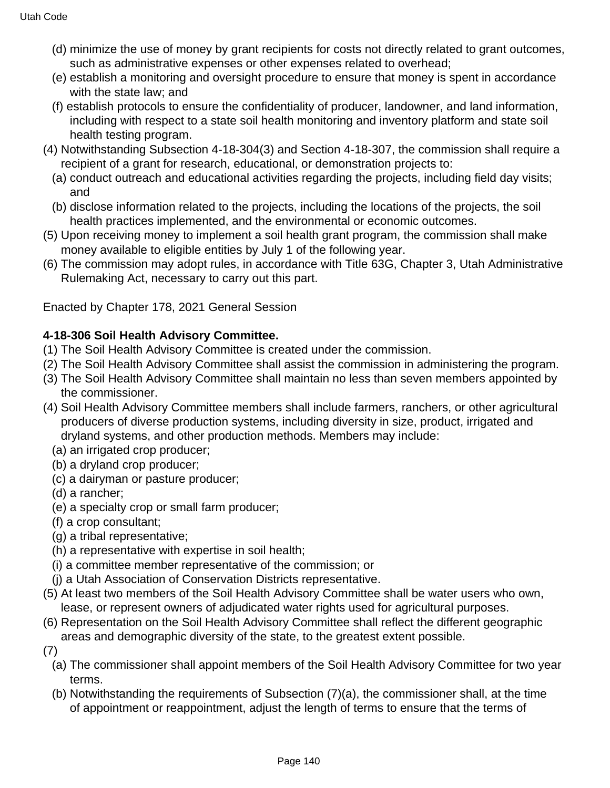- (d) minimize the use of money by grant recipients for costs not directly related to grant outcomes, such as administrative expenses or other expenses related to overhead;
- (e) establish a monitoring and oversight procedure to ensure that money is spent in accordance with the state law; and
- (f) establish protocols to ensure the confidentiality of producer, landowner, and land information, including with respect to a state soil health monitoring and inventory platform and state soil health testing program.
- (4) Notwithstanding Subsection 4-18-304(3) and Section 4-18-307, the commission shall require a recipient of a grant for research, educational, or demonstration projects to:
	- (a) conduct outreach and educational activities regarding the projects, including field day visits; and
	- (b) disclose information related to the projects, including the locations of the projects, the soil health practices implemented, and the environmental or economic outcomes.
- (5) Upon receiving money to implement a soil health grant program, the commission shall make money available to eligible entities by July 1 of the following year.
- (6) The commission may adopt rules, in accordance with Title 63G, Chapter 3, Utah Administrative Rulemaking Act, necessary to carry out this part.

Enacted by Chapter 178, 2021 General Session

# **4-18-306 Soil Health Advisory Committee.**

- (1) The Soil Health Advisory Committee is created under the commission.
- (2) The Soil Health Advisory Committee shall assist the commission in administering the program.
- (3) The Soil Health Advisory Committee shall maintain no less than seven members appointed by the commissioner.
- (4) Soil Health Advisory Committee members shall include farmers, ranchers, or other agricultural producers of diverse production systems, including diversity in size, product, irrigated and dryland systems, and other production methods. Members may include:
	- (a) an irrigated crop producer;
	- (b) a dryland crop producer;
	- (c) a dairyman or pasture producer;
	- (d) a rancher;
	- (e) a specialty crop or small farm producer;
	- (f) a crop consultant;
	- (g) a tribal representative;
	- (h) a representative with expertise in soil health;
	- (i) a committee member representative of the commission; or
	- (j) a Utah Association of Conservation Districts representative.
- (5) At least two members of the Soil Health Advisory Committee shall be water users who own, lease, or represent owners of adjudicated water rights used for agricultural purposes.
- (6) Representation on the Soil Health Advisory Committee shall reflect the different geographic areas and demographic diversity of the state, to the greatest extent possible.
- (7)
	- (a) The commissioner shall appoint members of the Soil Health Advisory Committee for two year terms.
	- (b) Notwithstanding the requirements of Subsection (7)(a), the commissioner shall, at the time of appointment or reappointment, adjust the length of terms to ensure that the terms of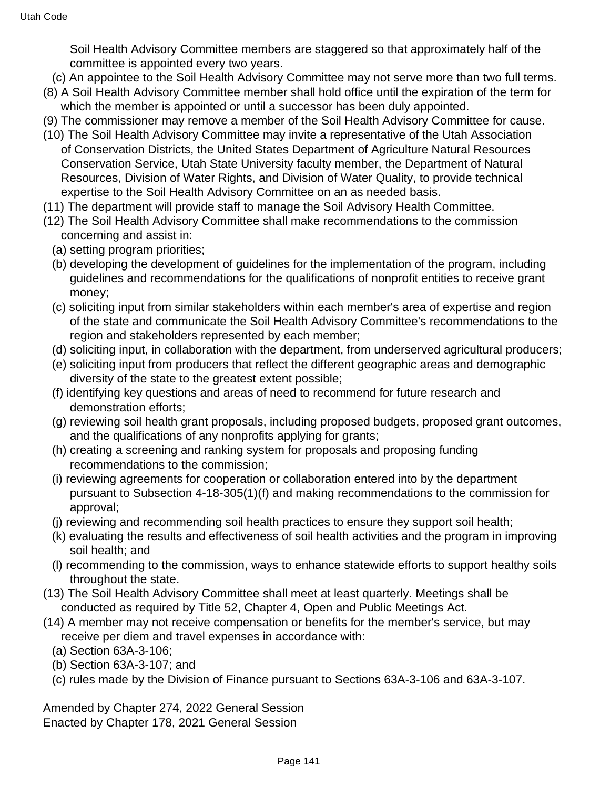Soil Health Advisory Committee members are staggered so that approximately half of the committee is appointed every two years.

- (c) An appointee to the Soil Health Advisory Committee may not serve more than two full terms.
- (8) A Soil Health Advisory Committee member shall hold office until the expiration of the term for which the member is appointed or until a successor has been duly appointed.
- (9) The commissioner may remove a member of the Soil Health Advisory Committee for cause.
- (10) The Soil Health Advisory Committee may invite a representative of the Utah Association of Conservation Districts, the United States Department of Agriculture Natural Resources Conservation Service, Utah State University faculty member, the Department of Natural Resources, Division of Water Rights, and Division of Water Quality, to provide technical expertise to the Soil Health Advisory Committee on an as needed basis.
- (11) The department will provide staff to manage the Soil Advisory Health Committee.
- (12) The Soil Health Advisory Committee shall make recommendations to the commission concerning and assist in:
	- (a) setting program priorities;
	- (b) developing the development of guidelines for the implementation of the program, including guidelines and recommendations for the qualifications of nonprofit entities to receive grant money;
	- (c) soliciting input from similar stakeholders within each member's area of expertise and region of the state and communicate the Soil Health Advisory Committee's recommendations to the region and stakeholders represented by each member;
	- (d) soliciting input, in collaboration with the department, from underserved agricultural producers;
	- (e) soliciting input from producers that reflect the different geographic areas and demographic diversity of the state to the greatest extent possible;
	- (f) identifying key questions and areas of need to recommend for future research and demonstration efforts;
	- (g) reviewing soil health grant proposals, including proposed budgets, proposed grant outcomes, and the qualifications of any nonprofits applying for grants;
	- (h) creating a screening and ranking system for proposals and proposing funding recommendations to the commission;
	- (i) reviewing agreements for cooperation or collaboration entered into by the department pursuant to Subsection 4-18-305(1)(f) and making recommendations to the commission for approval;
	- (j) reviewing and recommending soil health practices to ensure they support soil health;
	- (k) evaluating the results and effectiveness of soil health activities and the program in improving soil health; and
	- (l) recommending to the commission, ways to enhance statewide efforts to support healthy soils throughout the state.
- (13) The Soil Health Advisory Committee shall meet at least quarterly. Meetings shall be conducted as required by Title 52, Chapter 4, Open and Public Meetings Act.
- (14) A member may not receive compensation or benefits for the member's service, but may receive per diem and travel expenses in accordance with:
	- (a) Section 63A-3-106;
	- (b) Section 63A-3-107; and
	- (c) rules made by the Division of Finance pursuant to Sections 63A-3-106 and 63A-3-107.

Amended by Chapter 274, 2022 General Session Enacted by Chapter 178, 2021 General Session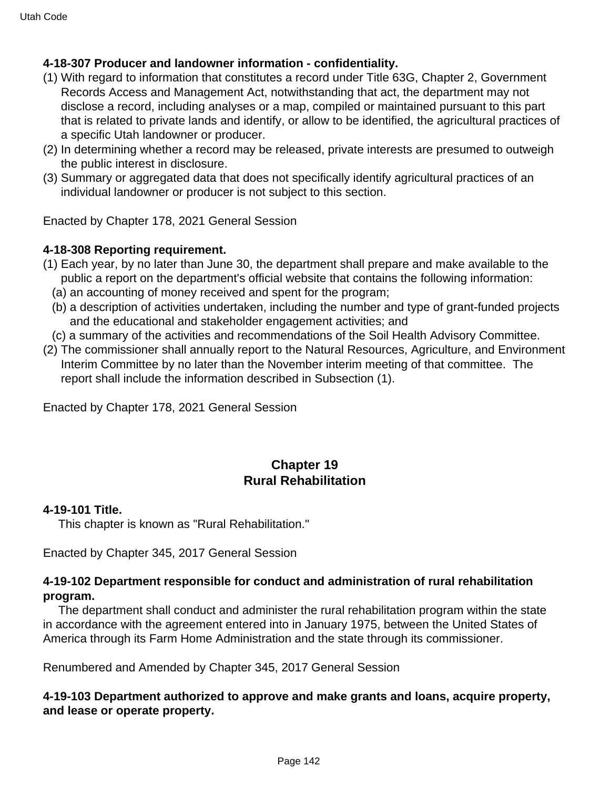### **4-18-307 Producer and landowner information - confidentiality.**

- (1) With regard to information that constitutes a record under Title 63G, Chapter 2, Government Records Access and Management Act, notwithstanding that act, the department may not disclose a record, including analyses or a map, compiled or maintained pursuant to this part that is related to private lands and identify, or allow to be identified, the agricultural practices of a specific Utah landowner or producer.
- (2) In determining whether a record may be released, private interests are presumed to outweigh the public interest in disclosure.
- (3) Summary or aggregated data that does not specifically identify agricultural practices of an individual landowner or producer is not subject to this section.

Enacted by Chapter 178, 2021 General Session

### **4-18-308 Reporting requirement.**

- (1) Each year, by no later than June 30, the department shall prepare and make available to the public a report on the department's official website that contains the following information:
	- (a) an accounting of money received and spent for the program;
	- (b) a description of activities undertaken, including the number and type of grant-funded projects and the educational and stakeholder engagement activities; and
	- (c) a summary of the activities and recommendations of the Soil Health Advisory Committee.
- (2) The commissioner shall annually report to the Natural Resources, Agriculture, and Environment Interim Committee by no later than the November interim meeting of that committee. The report shall include the information described in Subsection (1).

Enacted by Chapter 178, 2021 General Session

# **Chapter 19 Rural Rehabilitation**

### **4-19-101 Title.**

This chapter is known as "Rural Rehabilitation."

Enacted by Chapter 345, 2017 General Session

### **4-19-102 Department responsible for conduct and administration of rural rehabilitation program.**

 The department shall conduct and administer the rural rehabilitation program within the state in accordance with the agreement entered into in January 1975, between the United States of America through its Farm Home Administration and the state through its commissioner.

Renumbered and Amended by Chapter 345, 2017 General Session

### **4-19-103 Department authorized to approve and make grants and loans, acquire property, and lease or operate property.**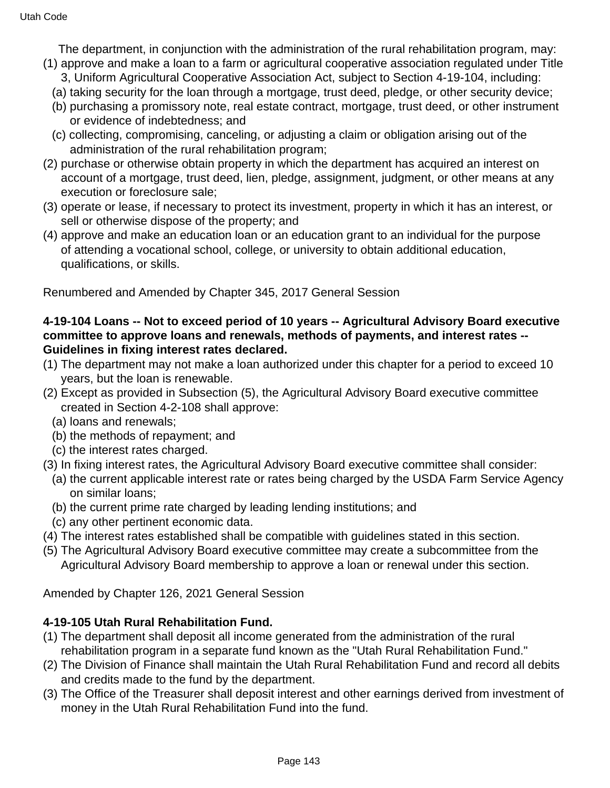The department, in conjunction with the administration of the rural rehabilitation program, may:

- (1) approve and make a loan to a farm or agricultural cooperative association regulated under Title 3, Uniform Agricultural Cooperative Association Act, subject to Section 4-19-104, including:
	- (a) taking security for the loan through a mortgage, trust deed, pledge, or other security device;
	- (b) purchasing a promissory note, real estate contract, mortgage, trust deed, or other instrument or evidence of indebtedness; and
	- (c) collecting, compromising, canceling, or adjusting a claim or obligation arising out of the administration of the rural rehabilitation program;
- (2) purchase or otherwise obtain property in which the department has acquired an interest on account of a mortgage, trust deed, lien, pledge, assignment, judgment, or other means at any execution or foreclosure sale;
- (3) operate or lease, if necessary to protect its investment, property in which it has an interest, or sell or otherwise dispose of the property; and
- (4) approve and make an education loan or an education grant to an individual for the purpose of attending a vocational school, college, or university to obtain additional education, qualifications, or skills.

Renumbered and Amended by Chapter 345, 2017 General Session

### **4-19-104 Loans -- Not to exceed period of 10 years -- Agricultural Advisory Board executive committee to approve loans and renewals, methods of payments, and interest rates -- Guidelines in fixing interest rates declared.**

- (1) The department may not make a loan authorized under this chapter for a period to exceed 10 years, but the loan is renewable.
- (2) Except as provided in Subsection (5), the Agricultural Advisory Board executive committee created in Section 4-2-108 shall approve:
	- (a) loans and renewals;
	- (b) the methods of repayment; and
	- (c) the interest rates charged.
- (3) In fixing interest rates, the Agricultural Advisory Board executive committee shall consider:
	- (a) the current applicable interest rate or rates being charged by the USDA Farm Service Agency on similar loans;
	- (b) the current prime rate charged by leading lending institutions; and
- (c) any other pertinent economic data.
- (4) The interest rates established shall be compatible with guidelines stated in this section.
- (5) The Agricultural Advisory Board executive committee may create a subcommittee from the Agricultural Advisory Board membership to approve a loan or renewal under this section.

Amended by Chapter 126, 2021 General Session

### **4-19-105 Utah Rural Rehabilitation Fund.**

- (1) The department shall deposit all income generated from the administration of the rural rehabilitation program in a separate fund known as the "Utah Rural Rehabilitation Fund."
- (2) The Division of Finance shall maintain the Utah Rural Rehabilitation Fund and record all debits and credits made to the fund by the department.
- (3) The Office of the Treasurer shall deposit interest and other earnings derived from investment of money in the Utah Rural Rehabilitation Fund into the fund.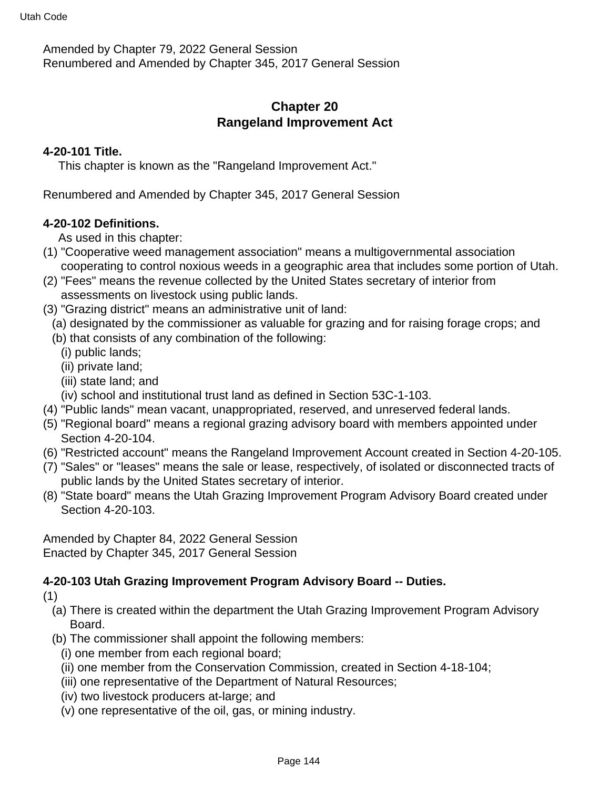Amended by Chapter 79, 2022 General Session Renumbered and Amended by Chapter 345, 2017 General Session

# **Chapter 20 Rangeland Improvement Act**

#### **4-20-101 Title.**

This chapter is known as the "Rangeland Improvement Act."

Renumbered and Amended by Chapter 345, 2017 General Session

#### **4-20-102 Definitions.**

As used in this chapter:

- (1) "Cooperative weed management association" means a multigovernmental association cooperating to control noxious weeds in a geographic area that includes some portion of Utah.
- (2) "Fees" means the revenue collected by the United States secretary of interior from assessments on livestock using public lands.
- (3) "Grazing district" means an administrative unit of land:
- (a) designated by the commissioner as valuable for grazing and for raising forage crops; and
- (b) that consists of any combination of the following:
	- (i) public lands;
	- (ii) private land;
	- (iii) state land; and
- (iv) school and institutional trust land as defined in Section 53C-1-103.
- (4) "Public lands" mean vacant, unappropriated, reserved, and unreserved federal lands.
- (5) "Regional board" means a regional grazing advisory board with members appointed under Section 4-20-104.
- (6) "Restricted account" means the Rangeland Improvement Account created in Section 4-20-105.
- (7) "Sales" or "leases" means the sale or lease, respectively, of isolated or disconnected tracts of public lands by the United States secretary of interior.
- (8) "State board" means the Utah Grazing Improvement Program Advisory Board created under Section 4-20-103.

Amended by Chapter 84, 2022 General Session Enacted by Chapter 345, 2017 General Session

### **4-20-103 Utah Grazing Improvement Program Advisory Board -- Duties.**

- (1)
	- (a) There is created within the department the Utah Grazing Improvement Program Advisory Board.
	- (b) The commissioner shall appoint the following members:
		- (i) one member from each regional board;
		- (ii) one member from the Conservation Commission, created in Section 4-18-104;
		- (iii) one representative of the Department of Natural Resources;
		- (iv) two livestock producers at-large; and
		- (v) one representative of the oil, gas, or mining industry.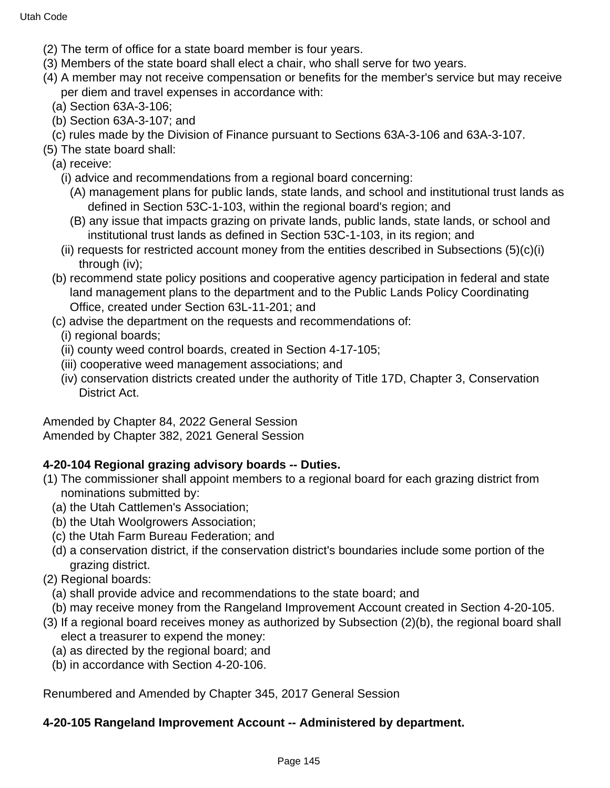- (2) The term of office for a state board member is four years.
- (3) Members of the state board shall elect a chair, who shall serve for two years.
- (4) A member may not receive compensation or benefits for the member's service but may receive per diem and travel expenses in accordance with:
	- (a) Section 63A-3-106;
	- (b) Section 63A-3-107; and
	- (c) rules made by the Division of Finance pursuant to Sections 63A-3-106 and 63A-3-107.
- (5) The state board shall:
	- (a) receive:
		- (i) advice and recommendations from a regional board concerning:
			- (A) management plans for public lands, state lands, and school and institutional trust lands as defined in Section 53C-1-103, within the regional board's region; and
			- (B) any issue that impacts grazing on private lands, public lands, state lands, or school and institutional trust lands as defined in Section 53C-1-103, in its region; and
		- (ii) requests for restricted account money from the entities described in Subsections  $(5)(c)(i)$ through (iv);
	- (b) recommend state policy positions and cooperative agency participation in federal and state land management plans to the department and to the Public Lands Policy Coordinating Office, created under Section 63L-11-201; and
	- (c) advise the department on the requests and recommendations of:

(i) regional boards;

- (ii) county weed control boards, created in Section 4-17-105;
- (iii) cooperative weed management associations; and
- (iv) conservation districts created under the authority of Title 17D, Chapter 3, Conservation District Act.

Amended by Chapter 84, 2022 General Session Amended by Chapter 382, 2021 General Session

## **4-20-104 Regional grazing advisory boards -- Duties.**

- (1) The commissioner shall appoint members to a regional board for each grazing district from nominations submitted by:
	- (a) the Utah Cattlemen's Association;
	- (b) the Utah Woolgrowers Association;
	- (c) the Utah Farm Bureau Federation; and
	- (d) a conservation district, if the conservation district's boundaries include some portion of the grazing district.
- (2) Regional boards:
	- (a) shall provide advice and recommendations to the state board; and
	- (b) may receive money from the Rangeland Improvement Account created in Section 4-20-105.
- (3) If a regional board receives money as authorized by Subsection (2)(b), the regional board shall elect a treasurer to expend the money:
	- (a) as directed by the regional board; and
	- (b) in accordance with Section 4-20-106.

Renumbered and Amended by Chapter 345, 2017 General Session

## **4-20-105 Rangeland Improvement Account -- Administered by department.**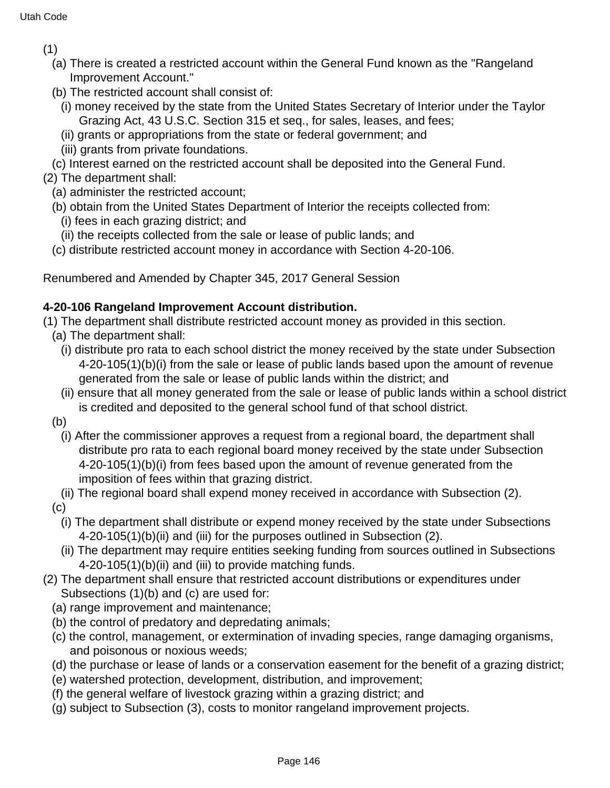(1)

- (a) There is created a restricted account within the General Fund known as the "Rangeland Improvement Account."
- (b) The restricted account shall consist of:
	- (i) money received by the state from the United States Secretary of Interior under the Taylor Grazing Act, 43 U.S.C. Section 315 et seq., for sales, leases, and fees;
	- (ii) grants or appropriations from the state or federal government; and
	- (iii) grants from private foundations.
- (c) Interest earned on the restricted account shall be deposited into the General Fund.
- (2) The department shall:
	- (a) administer the restricted account;
	- (b) obtain from the United States Department of Interior the receipts collected from:
		- (i) fees in each grazing district; and
		- (ii) the receipts collected from the sale or lease of public lands; and
	- (c) distribute restricted account money in accordance with Section 4-20-106.

Renumbered and Amended by Chapter 345, 2017 General Session

## **4-20-106 Rangeland Improvement Account distribution.**

(1) The department shall distribute restricted account money as provided in this section.

- (a) The department shall:
	- (i) distribute pro rata to each school district the money received by the state under Subsection 4-20-105(1)(b)(i) from the sale or lease of public lands based upon the amount of revenue generated from the sale or lease of public lands within the district; and
	- (ii) ensure that all money generated from the sale or lease of public lands within a school district is credited and deposited to the general school fund of that school district.
- (b)
	- (i) After the commissioner approves a request from a regional board, the department shall distribute pro rata to each regional board money received by the state under Subsection 4-20-105(1)(b)(i) from fees based upon the amount of revenue generated from the imposition of fees within that grazing district.
- (ii) The regional board shall expend money received in accordance with Subsection (2).
- (c)
	- (i) The department shall distribute or expend money received by the state under Subsections 4-20-105(1)(b)(ii) and (iii) for the purposes outlined in Subsection (2).
	- (ii) The department may require entities seeking funding from sources outlined in Subsections 4-20-105(1)(b)(ii) and (iii) to provide matching funds.
- (2) The department shall ensure that restricted account distributions or expenditures under Subsections (1)(b) and (c) are used for:
	- (a) range improvement and maintenance;
	- (b) the control of predatory and depredating animals;
	- (c) the control, management, or extermination of invading species, range damaging organisms, and poisonous or noxious weeds;
	- (d) the purchase or lease of lands or a conservation easement for the benefit of a grazing district;
	- (e) watershed protection, development, distribution, and improvement;
	- (f) the general welfare of livestock grazing within a grazing district; and
	- (g) subject to Subsection (3), costs to monitor rangeland improvement projects.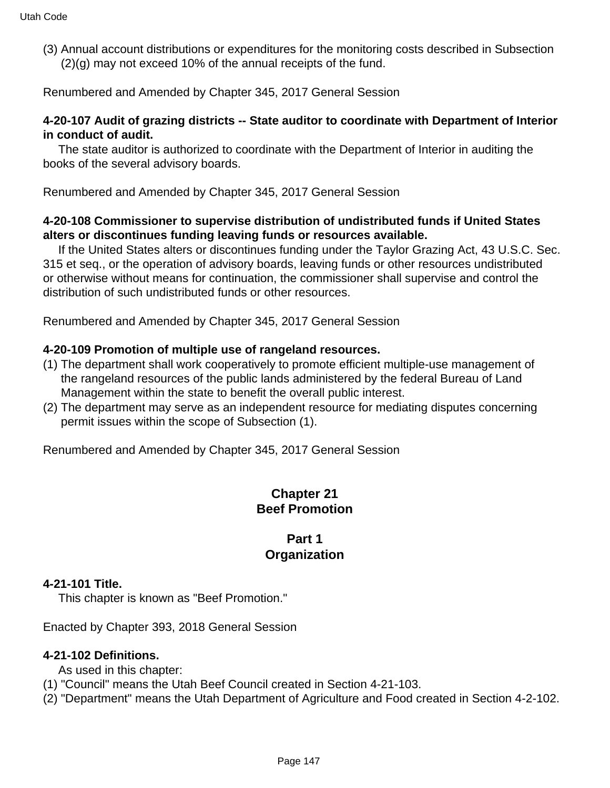(3) Annual account distributions or expenditures for the monitoring costs described in Subsection (2)(g) may not exceed 10% of the annual receipts of the fund.

Renumbered and Amended by Chapter 345, 2017 General Session

#### **4-20-107 Audit of grazing districts -- State auditor to coordinate with Department of Interior in conduct of audit.**

 The state auditor is authorized to coordinate with the Department of Interior in auditing the books of the several advisory boards.

Renumbered and Amended by Chapter 345, 2017 General Session

### **4-20-108 Commissioner to supervise distribution of undistributed funds if United States alters or discontinues funding leaving funds or resources available.**

 If the United States alters or discontinues funding under the Taylor Grazing Act, 43 U.S.C. Sec. 315 et seq., or the operation of advisory boards, leaving funds or other resources undistributed or otherwise without means for continuation, the commissioner shall supervise and control the distribution of such undistributed funds or other resources.

Renumbered and Amended by Chapter 345, 2017 General Session

#### **4-20-109 Promotion of multiple use of rangeland resources.**

- (1) The department shall work cooperatively to promote efficient multiple-use management of the rangeland resources of the public lands administered by the federal Bureau of Land Management within the state to benefit the overall public interest.
- (2) The department may serve as an independent resource for mediating disputes concerning permit issues within the scope of Subsection (1).

Renumbered and Amended by Chapter 345, 2017 General Session

## **Chapter 21 Beef Promotion**

### **Part 1 Organization**

#### **4-21-101 Title.**

This chapter is known as "Beef Promotion."

Enacted by Chapter 393, 2018 General Session

#### **4-21-102 Definitions.**

- As used in this chapter:
- (1) "Council" means the Utah Beef Council created in Section 4-21-103.
- (2) "Department" means the Utah Department of Agriculture and Food created in Section 4-2-102.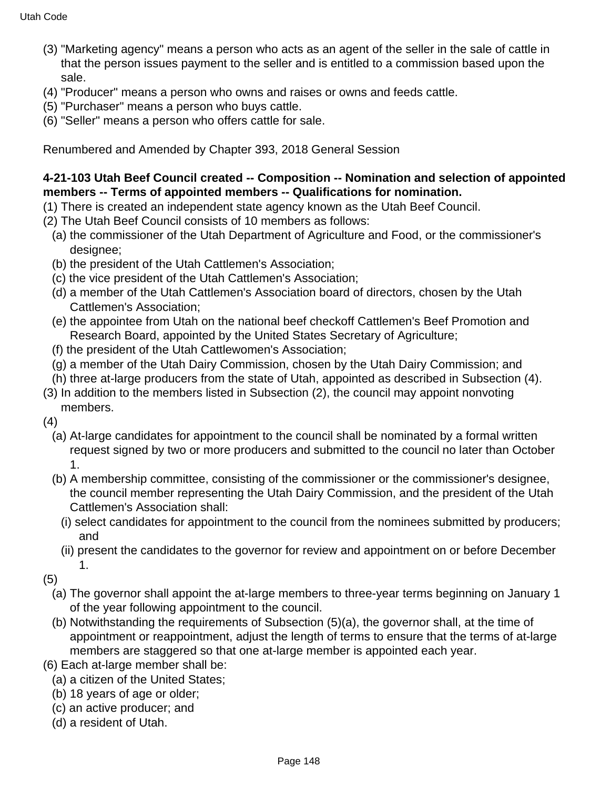- (3) "Marketing agency" means a person who acts as an agent of the seller in the sale of cattle in that the person issues payment to the seller and is entitled to a commission based upon the sale.
- (4) "Producer" means a person who owns and raises or owns and feeds cattle.
- (5) "Purchaser" means a person who buys cattle.
- (6) "Seller" means a person who offers cattle for sale.

Renumbered and Amended by Chapter 393, 2018 General Session

## **4-21-103 Utah Beef Council created -- Composition -- Nomination and selection of appointed members -- Terms of appointed members -- Qualifications for nomination.**

- (1) There is created an independent state agency known as the Utah Beef Council.
- (2) The Utah Beef Council consists of 10 members as follows:
	- (a) the commissioner of the Utah Department of Agriculture and Food, or the commissioner's designee;
	- (b) the president of the Utah Cattlemen's Association;
	- (c) the vice president of the Utah Cattlemen's Association;
	- (d) a member of the Utah Cattlemen's Association board of directors, chosen by the Utah Cattlemen's Association;
	- (e) the appointee from Utah on the national beef checkoff Cattlemen's Beef Promotion and Research Board, appointed by the United States Secretary of Agriculture;
	- (f) the president of the Utah Cattlewomen's Association;
	- (g) a member of the Utah Dairy Commission, chosen by the Utah Dairy Commission; and
	- (h) three at-large producers from the state of Utah, appointed as described in Subsection (4).
- (3) In addition to the members listed in Subsection (2), the council may appoint nonvoting members.

(4)

- (a) At-large candidates for appointment to the council shall be nominated by a formal written request signed by two or more producers and submitted to the council no later than October 1.
- (b) A membership committee, consisting of the commissioner or the commissioner's designee, the council member representing the Utah Dairy Commission, and the president of the Utah Cattlemen's Association shall:
	- (i) select candidates for appointment to the council from the nominees submitted by producers; and
	- (ii) present the candidates to the governor for review and appointment on or before December 1.

(5)

- (a) The governor shall appoint the at-large members to three-year terms beginning on January 1 of the year following appointment to the council.
- (b) Notwithstanding the requirements of Subsection (5)(a), the governor shall, at the time of appointment or reappointment, adjust the length of terms to ensure that the terms of at-large members are staggered so that one at-large member is appointed each year.
- (6) Each at-large member shall be:
	- (a) a citizen of the United States;
	- (b) 18 years of age or older;
	- (c) an active producer; and
	- (d) a resident of Utah.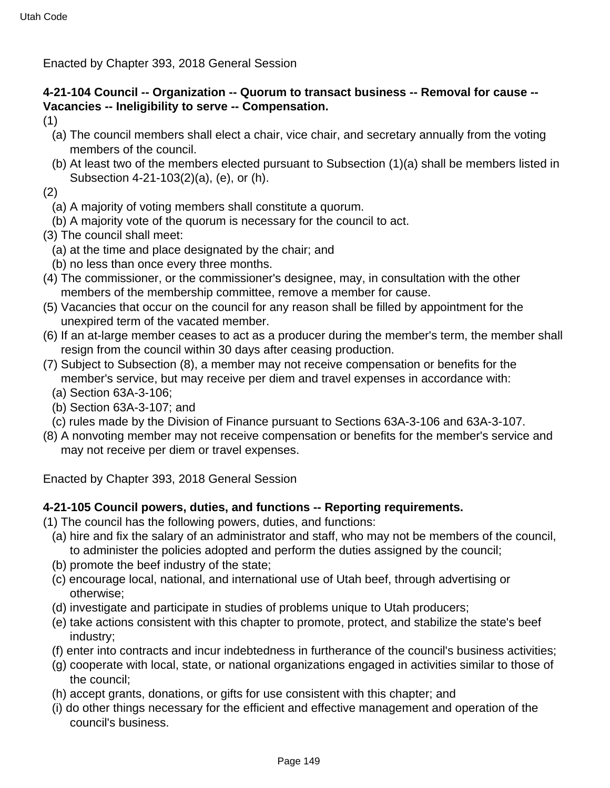Enacted by Chapter 393, 2018 General Session

## **4-21-104 Council -- Organization -- Quorum to transact business -- Removal for cause -- Vacancies -- Ineligibility to serve -- Compensation.**

- (1)
	- (a) The council members shall elect a chair, vice chair, and secretary annually from the voting members of the council.
- (b) At least two of the members elected pursuant to Subsection (1)(a) shall be members listed in Subsection 4-21-103(2)(a), (e), or (h).

(2)

- (a) A majority of voting members shall constitute a quorum.
- (b) A majority vote of the quorum is necessary for the council to act.
- (3) The council shall meet:
	- (a) at the time and place designated by the chair; and
	- (b) no less than once every three months.
- (4) The commissioner, or the commissioner's designee, may, in consultation with the other members of the membership committee, remove a member for cause.
- (5) Vacancies that occur on the council for any reason shall be filled by appointment for the unexpired term of the vacated member.
- (6) If an at-large member ceases to act as a producer during the member's term, the member shall resign from the council within 30 days after ceasing production.
- (7) Subject to Subsection (8), a member may not receive compensation or benefits for the member's service, but may receive per diem and travel expenses in accordance with:
	- (a) Section 63A-3-106;
	- (b) Section 63A-3-107; and
	- (c) rules made by the Division of Finance pursuant to Sections 63A-3-106 and 63A-3-107.
- (8) A nonvoting member may not receive compensation or benefits for the member's service and may not receive per diem or travel expenses.

Enacted by Chapter 393, 2018 General Session

## **4-21-105 Council powers, duties, and functions -- Reporting requirements.**

- (1) The council has the following powers, duties, and functions:
	- (a) hire and fix the salary of an administrator and staff, who may not be members of the council, to administer the policies adopted and perform the duties assigned by the council;
	- (b) promote the beef industry of the state;
	- (c) encourage local, national, and international use of Utah beef, through advertising or otherwise;
	- (d) investigate and participate in studies of problems unique to Utah producers;
	- (e) take actions consistent with this chapter to promote, protect, and stabilize the state's beef industry;
	- (f) enter into contracts and incur indebtedness in furtherance of the council's business activities;
	- (g) cooperate with local, state, or national organizations engaged in activities similar to those of the council;
	- (h) accept grants, donations, or gifts for use consistent with this chapter; and
	- (i) do other things necessary for the efficient and effective management and operation of the council's business.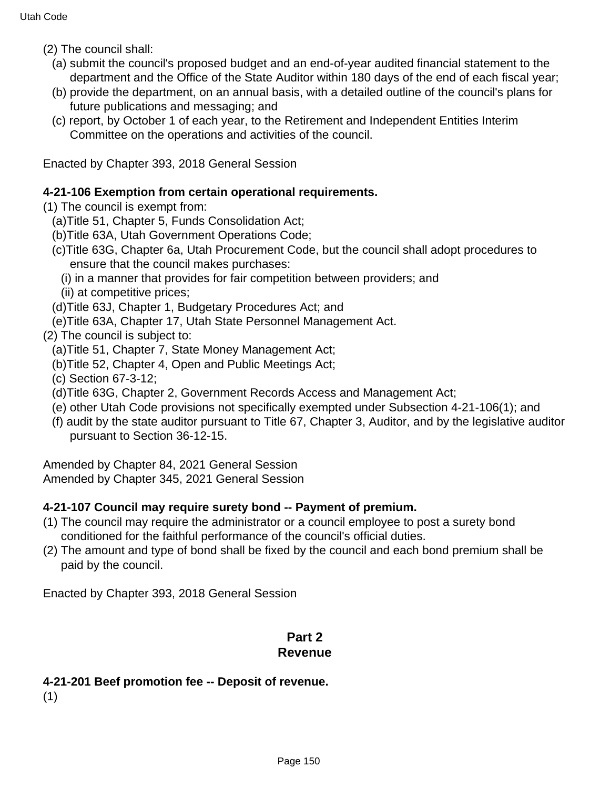- (2) The council shall:
	- (a) submit the council's proposed budget and an end-of-year audited financial statement to the department and the Office of the State Auditor within 180 days of the end of each fiscal year;
	- (b) provide the department, on an annual basis, with a detailed outline of the council's plans for future publications and messaging; and
	- (c) report, by October 1 of each year, to the Retirement and Independent Entities Interim Committee on the operations and activities of the council.

Enacted by Chapter 393, 2018 General Session

### **4-21-106 Exemption from certain operational requirements.**

- (1) The council is exempt from:
	- (a)Title 51, Chapter 5, Funds Consolidation Act;
	- (b)Title 63A, Utah Government Operations Code;
	- (c)Title 63G, Chapter 6a, Utah Procurement Code, but the council shall adopt procedures to ensure that the council makes purchases:
		- (i) in a manner that provides for fair competition between providers; and
		- (ii) at competitive prices;
	- (d)Title 63J, Chapter 1, Budgetary Procedures Act; and
	- (e)Title 63A, Chapter 17, Utah State Personnel Management Act.

### (2) The council is subject to:

- (a)Title 51, Chapter 7, State Money Management Act;
- (b)Title 52, Chapter 4, Open and Public Meetings Act;
- (c) Section 67-3-12;
- (d)Title 63G, Chapter 2, Government Records Access and Management Act;
- (e) other Utah Code provisions not specifically exempted under Subsection 4-21-106(1); and
- (f) audit by the state auditor pursuant to Title 67, Chapter 3, Auditor, and by the legislative auditor pursuant to Section 36-12-15.

Amended by Chapter 84, 2021 General Session Amended by Chapter 345, 2021 General Session

## **4-21-107 Council may require surety bond -- Payment of premium.**

- (1) The council may require the administrator or a council employee to post a surety bond conditioned for the faithful performance of the council's official duties.
- (2) The amount and type of bond shall be fixed by the council and each bond premium shall be paid by the council.

Enacted by Chapter 393, 2018 General Session

## **Part 2 Revenue**

## **4-21-201 Beef promotion fee -- Deposit of revenue.**

(1)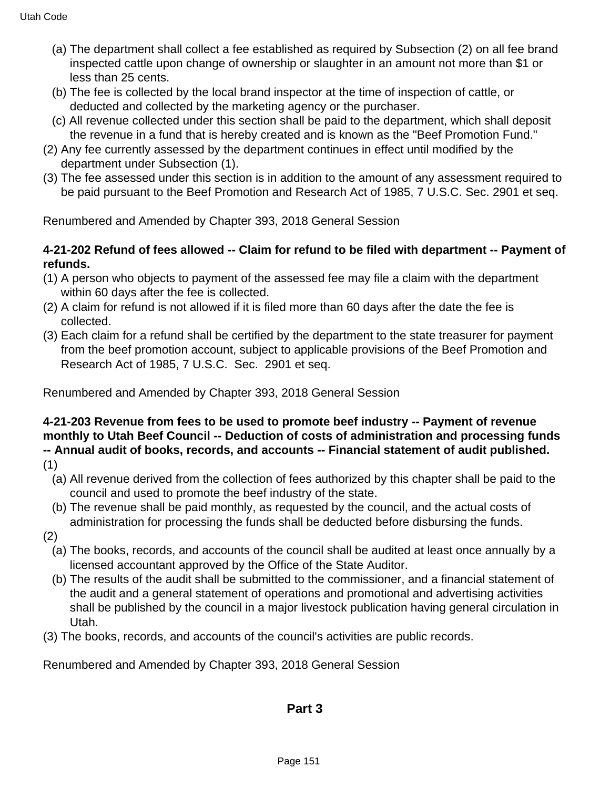- (a) The department shall collect a fee established as required by Subsection (2) on all fee brand inspected cattle upon change of ownership or slaughter in an amount not more than \$1 or less than 25 cents.
- (b) The fee is collected by the local brand inspector at the time of inspection of cattle, or deducted and collected by the marketing agency or the purchaser.
- (c) All revenue collected under this section shall be paid to the department, which shall deposit the revenue in a fund that is hereby created and is known as the "Beef Promotion Fund."
- (2) Any fee currently assessed by the department continues in effect until modified by the department under Subsection (1).
- (3) The fee assessed under this section is in addition to the amount of any assessment required to be paid pursuant to the Beef Promotion and Research Act of 1985, 7 U.S.C. Sec. 2901 et seq.

Renumbered and Amended by Chapter 393, 2018 General Session

## **4-21-202 Refund of fees allowed -- Claim for refund to be filed with department -- Payment of refunds.**

- (1) A person who objects to payment of the assessed fee may file a claim with the department within 60 days after the fee is collected.
- (2) A claim for refund is not allowed if it is filed more than 60 days after the date the fee is collected.
- (3) Each claim for a refund shall be certified by the department to the state treasurer for payment from the beef promotion account, subject to applicable provisions of the Beef Promotion and Research Act of 1985, 7 U.S.C. Sec. 2901 et seq.

Renumbered and Amended by Chapter 393, 2018 General Session

# **4-21-203 Revenue from fees to be used to promote beef industry -- Payment of revenue monthly to Utah Beef Council -- Deduction of costs of administration and processing funds -- Annual audit of books, records, and accounts -- Financial statement of audit published.**

- (1)
	- (a) All revenue derived from the collection of fees authorized by this chapter shall be paid to the council and used to promote the beef industry of the state.
	- (b) The revenue shall be paid monthly, as requested by the council, and the actual costs of administration for processing the funds shall be deducted before disbursing the funds.
- (2)
	- (a) The books, records, and accounts of the council shall be audited at least once annually by a licensed accountant approved by the Office of the State Auditor.
	- (b) The results of the audit shall be submitted to the commissioner, and a financial statement of the audit and a general statement of operations and promotional and advertising activities shall be published by the council in a major livestock publication having general circulation in Utah.
- (3) The books, records, and accounts of the council's activities are public records.

Renumbered and Amended by Chapter 393, 2018 General Session

## **Part 3**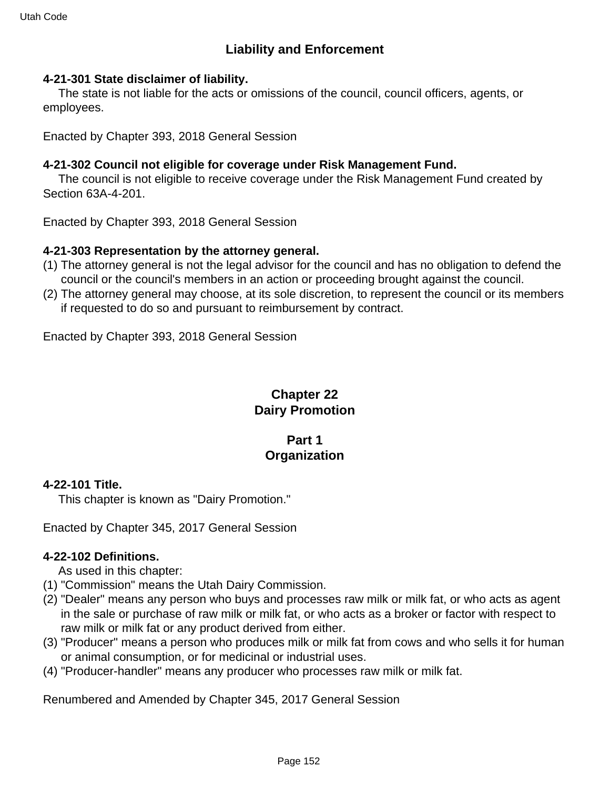# **Liability and Enforcement**

#### **4-21-301 State disclaimer of liability.**

 The state is not liable for the acts or omissions of the council, council officers, agents, or employees.

Enacted by Chapter 393, 2018 General Session

### **4-21-302 Council not eligible for coverage under Risk Management Fund.**

 The council is not eligible to receive coverage under the Risk Management Fund created by Section 63A-4-201.

Enacted by Chapter 393, 2018 General Session

#### **4-21-303 Representation by the attorney general.**

- (1) The attorney general is not the legal advisor for the council and has no obligation to defend the council or the council's members in an action or proceeding brought against the council.
- (2) The attorney general may choose, at its sole discretion, to represent the council or its members if requested to do so and pursuant to reimbursement by contract.

Enacted by Chapter 393, 2018 General Session

## **Chapter 22 Dairy Promotion**

## **Part 1 Organization**

#### **4-22-101 Title.**

This chapter is known as "Dairy Promotion."

Enacted by Chapter 345, 2017 General Session

#### **4-22-102 Definitions.**

As used in this chapter:

- (1) "Commission" means the Utah Dairy Commission.
- (2) "Dealer" means any person who buys and processes raw milk or milk fat, or who acts as agent in the sale or purchase of raw milk or milk fat, or who acts as a broker or factor with respect to raw milk or milk fat or any product derived from either.
- (3) "Producer" means a person who produces milk or milk fat from cows and who sells it for human or animal consumption, or for medicinal or industrial uses.
- (4) "Producer-handler" means any producer who processes raw milk or milk fat.

Renumbered and Amended by Chapter 345, 2017 General Session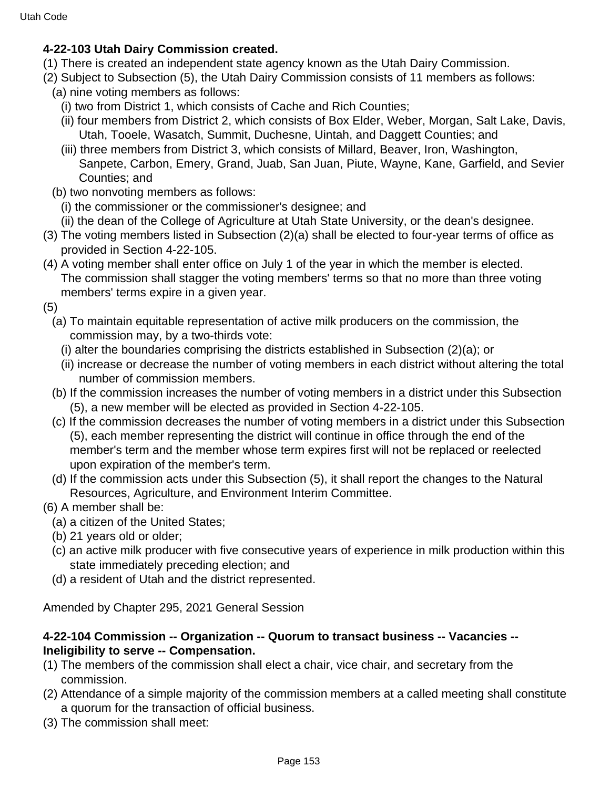## **4-22-103 Utah Dairy Commission created.**

- (1) There is created an independent state agency known as the Utah Dairy Commission.
- (2) Subject to Subsection (5), the Utah Dairy Commission consists of 11 members as follows:
	- (a) nine voting members as follows:
		- (i) two from District 1, which consists of Cache and Rich Counties;
		- (ii) four members from District 2, which consists of Box Elder, Weber, Morgan, Salt Lake, Davis, Utah, Tooele, Wasatch, Summit, Duchesne, Uintah, and Daggett Counties; and
		- (iii) three members from District 3, which consists of Millard, Beaver, Iron, Washington, Sanpete, Carbon, Emery, Grand, Juab, San Juan, Piute, Wayne, Kane, Garfield, and Sevier Counties; and
	- (b) two nonvoting members as follows:
		- (i) the commissioner or the commissioner's designee; and
		- (ii) the dean of the College of Agriculture at Utah State University, or the dean's designee.
- (3) The voting members listed in Subsection (2)(a) shall be elected to four-year terms of office as provided in Section 4-22-105.
- (4) A voting member shall enter office on July 1 of the year in which the member is elected. The commission shall stagger the voting members' terms so that no more than three voting members' terms expire in a given year.
- (5)
	- (a) To maintain equitable representation of active milk producers on the commission, the commission may, by a two-thirds vote:
		- (i) alter the boundaries comprising the districts established in Subsection (2)(a); or
		- (ii) increase or decrease the number of voting members in each district without altering the total number of commission members.
	- (b) If the commission increases the number of voting members in a district under this Subsection (5), a new member will be elected as provided in Section 4-22-105.
	- (c) If the commission decreases the number of voting members in a district under this Subsection (5), each member representing the district will continue in office through the end of the member's term and the member whose term expires first will not be replaced or reelected upon expiration of the member's term.
	- (d) If the commission acts under this Subsection (5), it shall report the changes to the Natural Resources, Agriculture, and Environment Interim Committee.
- (6) A member shall be:
	- (a) a citizen of the United States;
	- (b) 21 years old or older;
	- (c) an active milk producer with five consecutive years of experience in milk production within this state immediately preceding election; and
	- (d) a resident of Utah and the district represented.

Amended by Chapter 295, 2021 General Session

## **4-22-104 Commission -- Organization -- Quorum to transact business -- Vacancies -- Ineligibility to serve -- Compensation.**

- (1) The members of the commission shall elect a chair, vice chair, and secretary from the commission.
- (2) Attendance of a simple majority of the commission members at a called meeting shall constitute a quorum for the transaction of official business.
- (3) The commission shall meet: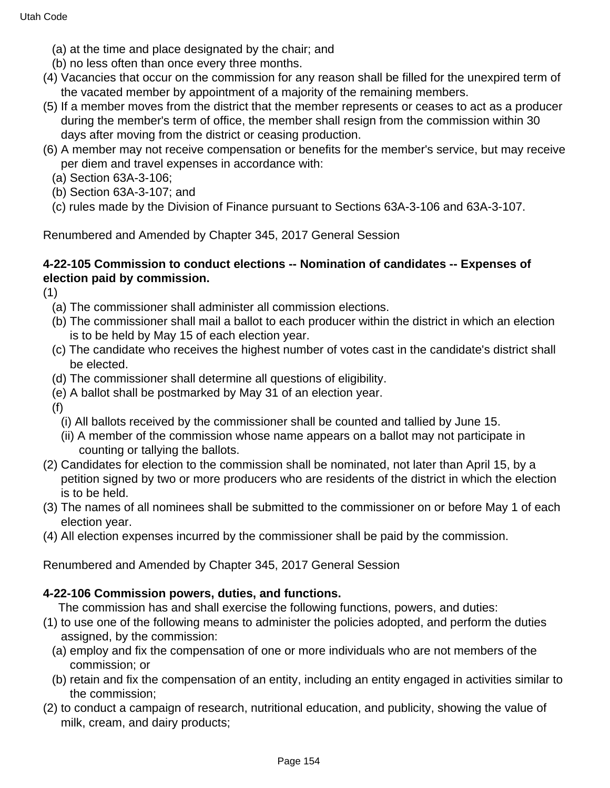- (a) at the time and place designated by the chair; and
- (b) no less often than once every three months.
- (4) Vacancies that occur on the commission for any reason shall be filled for the unexpired term of the vacated member by appointment of a majority of the remaining members.
- (5) If a member moves from the district that the member represents or ceases to act as a producer during the member's term of office, the member shall resign from the commission within 30 days after moving from the district or ceasing production.
- (6) A member may not receive compensation or benefits for the member's service, but may receive per diem and travel expenses in accordance with:
	- (a) Section 63A-3-106;
	- (b) Section 63A-3-107; and
	- (c) rules made by the Division of Finance pursuant to Sections 63A-3-106 and 63A-3-107.

Renumbered and Amended by Chapter 345, 2017 General Session

### **4-22-105 Commission to conduct elections -- Nomination of candidates -- Expenses of election paid by commission.**

(1)

- (a) The commissioner shall administer all commission elections.
- (b) The commissioner shall mail a ballot to each producer within the district in which an election is to be held by May 15 of each election year.
- (c) The candidate who receives the highest number of votes cast in the candidate's district shall be elected.
- (d) The commissioner shall determine all questions of eligibility.
- (e) A ballot shall be postmarked by May 31 of an election year.
- (f)
	- (i) All ballots received by the commissioner shall be counted and tallied by June 15.
	- (ii) A member of the commission whose name appears on a ballot may not participate in counting or tallying the ballots.
- (2) Candidates for election to the commission shall be nominated, not later than April 15, by a petition signed by two or more producers who are residents of the district in which the election is to be held.
- (3) The names of all nominees shall be submitted to the commissioner on or before May 1 of each election year.
- (4) All election expenses incurred by the commissioner shall be paid by the commission.

Renumbered and Amended by Chapter 345, 2017 General Session

## **4-22-106 Commission powers, duties, and functions.**

The commission has and shall exercise the following functions, powers, and duties:

- (1) to use one of the following means to administer the policies adopted, and perform the duties assigned, by the commission:
	- (a) employ and fix the compensation of one or more individuals who are not members of the commission; or
	- (b) retain and fix the compensation of an entity, including an entity engaged in activities similar to the commission;
- (2) to conduct a campaign of research, nutritional education, and publicity, showing the value of milk, cream, and dairy products;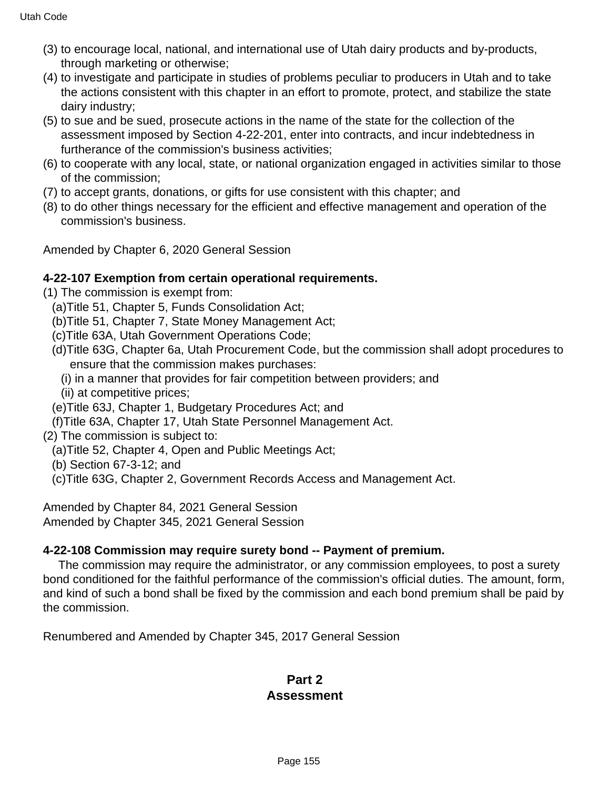- (3) to encourage local, national, and international use of Utah dairy products and by-products, through marketing or otherwise;
- (4) to investigate and participate in studies of problems peculiar to producers in Utah and to take the actions consistent with this chapter in an effort to promote, protect, and stabilize the state dairy industry;
- (5) to sue and be sued, prosecute actions in the name of the state for the collection of the assessment imposed by Section 4-22-201, enter into contracts, and incur indebtedness in furtherance of the commission's business activities;
- (6) to cooperate with any local, state, or national organization engaged in activities similar to those of the commission;
- (7) to accept grants, donations, or gifts for use consistent with this chapter; and
- (8) to do other things necessary for the efficient and effective management and operation of the commission's business.

Amended by Chapter 6, 2020 General Session

#### **4-22-107 Exemption from certain operational requirements.**

(1) The commission is exempt from:

- (a)Title 51, Chapter 5, Funds Consolidation Act;
- (b)Title 51, Chapter 7, State Money Management Act;
- (c)Title 63A, Utah Government Operations Code;
- (d)Title 63G, Chapter 6a, Utah Procurement Code, but the commission shall adopt procedures to ensure that the commission makes purchases:
	- (i) in a manner that provides for fair competition between providers; and
	- (ii) at competitive prices;
- (e)Title 63J, Chapter 1, Budgetary Procedures Act; and
- (f)Title 63A, Chapter 17, Utah State Personnel Management Act.
- (2) The commission is subject to:
	- (a)Title 52, Chapter 4, Open and Public Meetings Act;
	- (b) Section 67-3-12; and
	- (c)Title 63G, Chapter 2, Government Records Access and Management Act.

Amended by Chapter 84, 2021 General Session Amended by Chapter 345, 2021 General Session

#### **4-22-108 Commission may require surety bond -- Payment of premium.**

 The commission may require the administrator, or any commission employees, to post a surety bond conditioned for the faithful performance of the commission's official duties. The amount, form, and kind of such a bond shall be fixed by the commission and each bond premium shall be paid by the commission.

Renumbered and Amended by Chapter 345, 2017 General Session

### **Part 2 Assessment**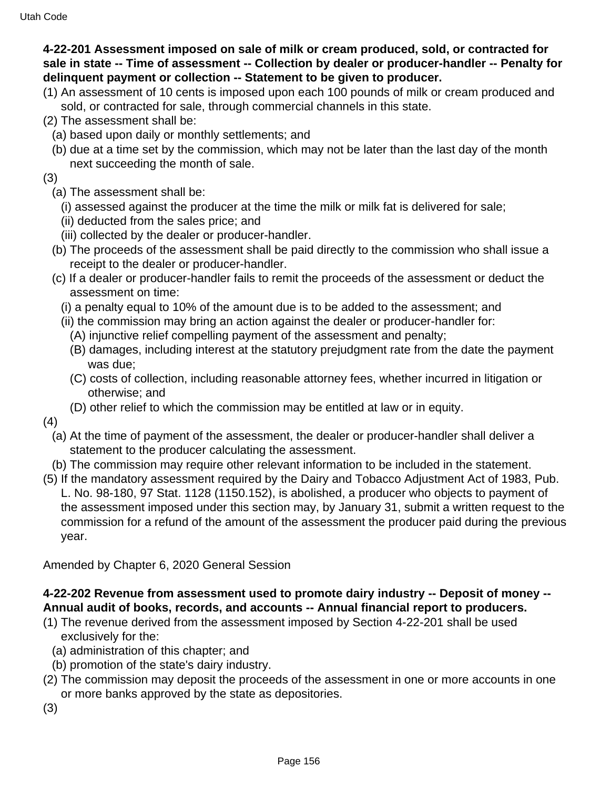## **4-22-201 Assessment imposed on sale of milk or cream produced, sold, or contracted for sale in state -- Time of assessment -- Collection by dealer or producer-handler -- Penalty for delinquent payment or collection -- Statement to be given to producer.**

- (1) An assessment of 10 cents is imposed upon each 100 pounds of milk or cream produced and sold, or contracted for sale, through commercial channels in this state.
- (2) The assessment shall be:
	- (a) based upon daily or monthly settlements; and
	- (b) due at a time set by the commission, which may not be later than the last day of the month next succeeding the month of sale.
- (3)
	- (a) The assessment shall be:
		- (i) assessed against the producer at the time the milk or milk fat is delivered for sale;
		- (ii) deducted from the sales price; and
		- (iii) collected by the dealer or producer-handler.
	- (b) The proceeds of the assessment shall be paid directly to the commission who shall issue a receipt to the dealer or producer-handler.
	- (c) If a dealer or producer-handler fails to remit the proceeds of the assessment or deduct the assessment on time:
		- (i) a penalty equal to 10% of the amount due is to be added to the assessment; and
		- (ii) the commission may bring an action against the dealer or producer-handler for:
			- (A) injunctive relief compelling payment of the assessment and penalty;
			- (B) damages, including interest at the statutory prejudgment rate from the date the payment was due;
			- (C) costs of collection, including reasonable attorney fees, whether incurred in litigation or otherwise; and
			- (D) other relief to which the commission may be entitled at law or in equity.
- (4)
	- (a) At the time of payment of the assessment, the dealer or producer-handler shall deliver a statement to the producer calculating the assessment.
	- (b) The commission may require other relevant information to be included in the statement.
- (5) If the mandatory assessment required by the Dairy and Tobacco Adjustment Act of 1983, Pub. L. No. 98-180, 97 Stat. 1128 (1150.152), is abolished, a producer who objects to payment of the assessment imposed under this section may, by January 31, submit a written request to the commission for a refund of the amount of the assessment the producer paid during the previous year.

Amended by Chapter 6, 2020 General Session

## **4-22-202 Revenue from assessment used to promote dairy industry -- Deposit of money -- Annual audit of books, records, and accounts -- Annual financial report to producers.**

- (1) The revenue derived from the assessment imposed by Section 4-22-201 shall be used exclusively for the:
	- (a) administration of this chapter; and
	- (b) promotion of the state's dairy industry.
- (2) The commission may deposit the proceeds of the assessment in one or more accounts in one or more banks approved by the state as depositories.
- (3)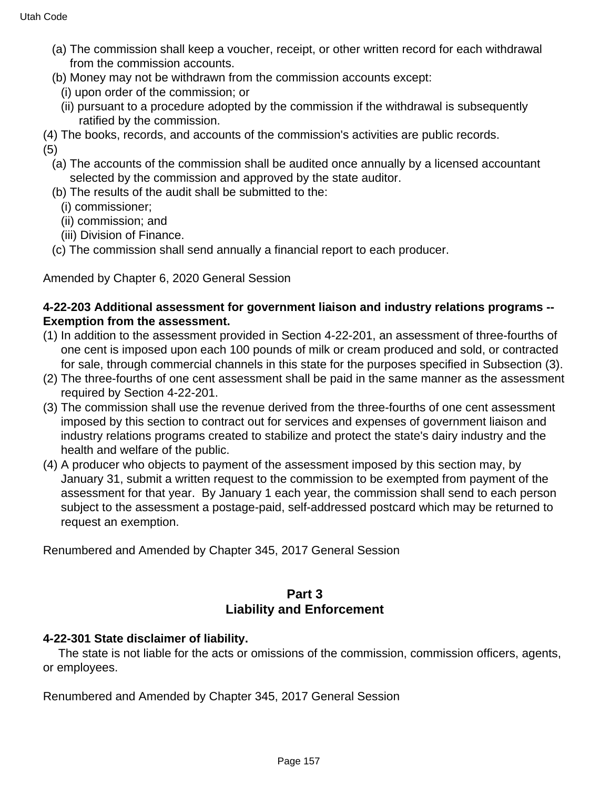- (a) The commission shall keep a voucher, receipt, or other written record for each withdrawal from the commission accounts.
- (b) Money may not be withdrawn from the commission accounts except:
	- (i) upon order of the commission; or
	- (ii) pursuant to a procedure adopted by the commission if the withdrawal is subsequently ratified by the commission.
- (4) The books, records, and accounts of the commission's activities are public records.

(5)

- (a) The accounts of the commission shall be audited once annually by a licensed accountant selected by the commission and approved by the state auditor.
- (b) The results of the audit shall be submitted to the:
	- (i) commissioner;
	- (ii) commission; and
	- (iii) Division of Finance.
- (c) The commission shall send annually a financial report to each producer.

Amended by Chapter 6, 2020 General Session

### **4-22-203 Additional assessment for government liaison and industry relations programs -- Exemption from the assessment.**

- (1) In addition to the assessment provided in Section 4-22-201, an assessment of three-fourths of one cent is imposed upon each 100 pounds of milk or cream produced and sold, or contracted for sale, through commercial channels in this state for the purposes specified in Subsection (3).
- (2) The three-fourths of one cent assessment shall be paid in the same manner as the assessment required by Section 4-22-201.
- (3) The commission shall use the revenue derived from the three-fourths of one cent assessment imposed by this section to contract out for services and expenses of government liaison and industry relations programs created to stabilize and protect the state's dairy industry and the health and welfare of the public.
- (4) A producer who objects to payment of the assessment imposed by this section may, by January 31, submit a written request to the commission to be exempted from payment of the assessment for that year. By January 1 each year, the commission shall send to each person subject to the assessment a postage-paid, self-addressed postcard which may be returned to request an exemption.

Renumbered and Amended by Chapter 345, 2017 General Session

## **Part 3 Liability and Enforcement**

## **4-22-301 State disclaimer of liability.**

 The state is not liable for the acts or omissions of the commission, commission officers, agents, or employees.

Renumbered and Amended by Chapter 345, 2017 General Session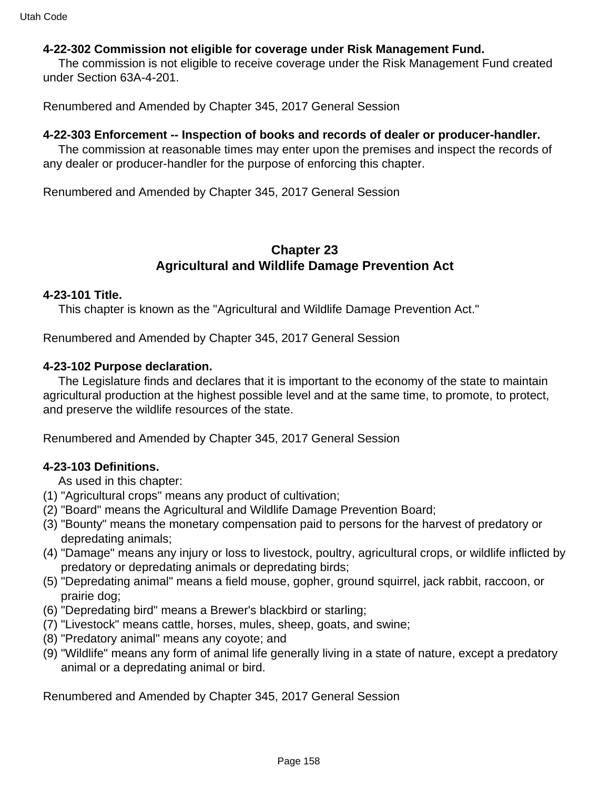#### **4-22-302 Commission not eligible for coverage under Risk Management Fund.**

 The commission is not eligible to receive coverage under the Risk Management Fund created under Section 63A-4-201.

Renumbered and Amended by Chapter 345, 2017 General Session

#### **4-22-303 Enforcement -- Inspection of books and records of dealer or producer-handler.**

 The commission at reasonable times may enter upon the premises and inspect the records of any dealer or producer-handler for the purpose of enforcing this chapter.

Renumbered and Amended by Chapter 345, 2017 General Session

## **Chapter 23 Agricultural and Wildlife Damage Prevention Act**

#### **4-23-101 Title.**

This chapter is known as the "Agricultural and Wildlife Damage Prevention Act."

Renumbered and Amended by Chapter 345, 2017 General Session

#### **4-23-102 Purpose declaration.**

 The Legislature finds and declares that it is important to the economy of the state to maintain agricultural production at the highest possible level and at the same time, to promote, to protect, and preserve the wildlife resources of the state.

Renumbered and Amended by Chapter 345, 2017 General Session

#### **4-23-103 Definitions.**

As used in this chapter:

- (1) "Agricultural crops" means any product of cultivation;
- (2) "Board" means the Agricultural and Wildlife Damage Prevention Board;
- (3) "Bounty" means the monetary compensation paid to persons for the harvest of predatory or depredating animals;
- (4) "Damage" means any injury or loss to livestock, poultry, agricultural crops, or wildlife inflicted by predatory or depredating animals or depredating birds;
- (5) "Depredating animal" means a field mouse, gopher, ground squirrel, jack rabbit, raccoon, or prairie dog;
- (6) "Depredating bird" means a Brewer's blackbird or starling;
- (7) "Livestock" means cattle, horses, mules, sheep, goats, and swine;
- (8) "Predatory animal" means any coyote; and
- (9) "Wildlife" means any form of animal life generally living in a state of nature, except a predatory animal or a depredating animal or bird.

Renumbered and Amended by Chapter 345, 2017 General Session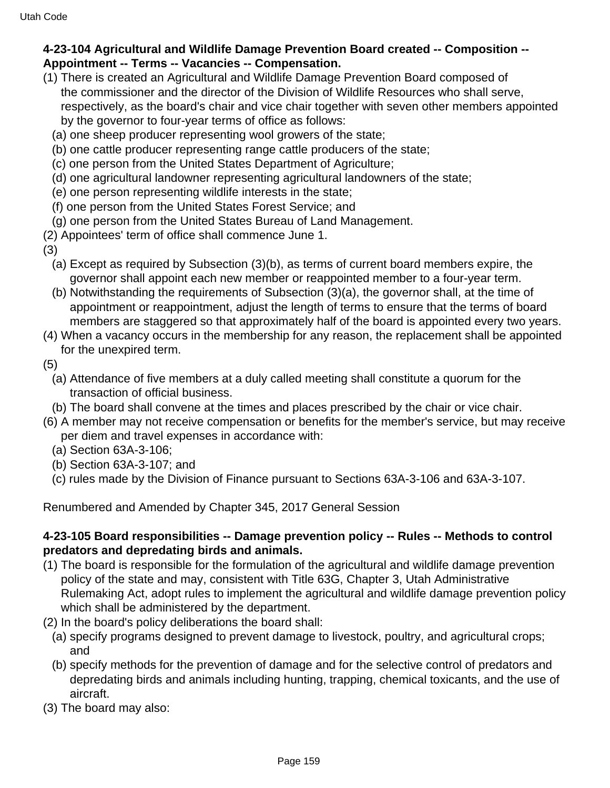## **4-23-104 Agricultural and Wildlife Damage Prevention Board created -- Composition -- Appointment -- Terms -- Vacancies -- Compensation.**

- (1) There is created an Agricultural and Wildlife Damage Prevention Board composed of the commissioner and the director of the Division of Wildlife Resources who shall serve, respectively, as the board's chair and vice chair together with seven other members appointed by the governor to four-year terms of office as follows:
	- (a) one sheep producer representing wool growers of the state;
	- (b) one cattle producer representing range cattle producers of the state;
	- (c) one person from the United States Department of Agriculture;
	- (d) one agricultural landowner representing agricultural landowners of the state;
	- (e) one person representing wildlife interests in the state;
	- (f) one person from the United States Forest Service; and
	- (g) one person from the United States Bureau of Land Management.
- (2) Appointees' term of office shall commence June 1.
- (3)
	- (a) Except as required by Subsection (3)(b), as terms of current board members expire, the governor shall appoint each new member or reappointed member to a four-year term.
	- (b) Notwithstanding the requirements of Subsection (3)(a), the governor shall, at the time of appointment or reappointment, adjust the length of terms to ensure that the terms of board members are staggered so that approximately half of the board is appointed every two years.
- (4) When a vacancy occurs in the membership for any reason, the replacement shall be appointed for the unexpired term.
- (5)
	- (a) Attendance of five members at a duly called meeting shall constitute a quorum for the transaction of official business.
- (b) The board shall convene at the times and places prescribed by the chair or vice chair.
- (6) A member may not receive compensation or benefits for the member's service, but may receive per diem and travel expenses in accordance with:
	- (a) Section 63A-3-106;
	- (b) Section 63A-3-107; and
	- (c) rules made by the Division of Finance pursuant to Sections 63A-3-106 and 63A-3-107.

Renumbered and Amended by Chapter 345, 2017 General Session

#### **4-23-105 Board responsibilities -- Damage prevention policy -- Rules -- Methods to control predators and depredating birds and animals.**

- (1) The board is responsible for the formulation of the agricultural and wildlife damage prevention policy of the state and may, consistent with Title 63G, Chapter 3, Utah Administrative Rulemaking Act, adopt rules to implement the agricultural and wildlife damage prevention policy which shall be administered by the department.
- (2) In the board's policy deliberations the board shall:
	- (a) specify programs designed to prevent damage to livestock, poultry, and agricultural crops; and
	- (b) specify methods for the prevention of damage and for the selective control of predators and depredating birds and animals including hunting, trapping, chemical toxicants, and the use of aircraft.
- (3) The board may also: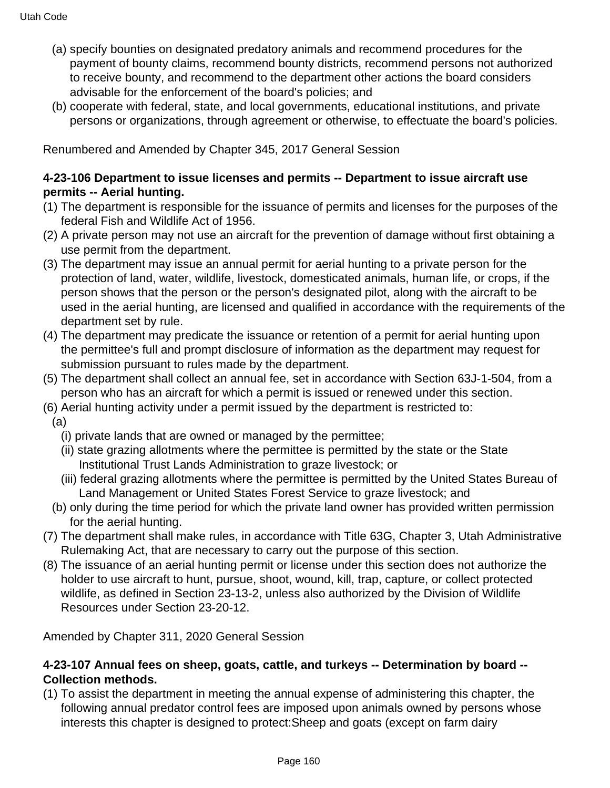- (a) specify bounties on designated predatory animals and recommend procedures for the payment of bounty claims, recommend bounty districts, recommend persons not authorized to receive bounty, and recommend to the department other actions the board considers advisable for the enforcement of the board's policies; and
- (b) cooperate with federal, state, and local governments, educational institutions, and private persons or organizations, through agreement or otherwise, to effectuate the board's policies.

Renumbered and Amended by Chapter 345, 2017 General Session

#### **4-23-106 Department to issue licenses and permits -- Department to issue aircraft use permits -- Aerial hunting.**

- (1) The department is responsible for the issuance of permits and licenses for the purposes of the federal Fish and Wildlife Act of 1956.
- (2) A private person may not use an aircraft for the prevention of damage without first obtaining a use permit from the department.
- (3) The department may issue an annual permit for aerial hunting to a private person for the protection of land, water, wildlife, livestock, domesticated animals, human life, or crops, if the person shows that the person or the person's designated pilot, along with the aircraft to be used in the aerial hunting, are licensed and qualified in accordance with the requirements of the department set by rule.
- (4) The department may predicate the issuance or retention of a permit for aerial hunting upon the permittee's full and prompt disclosure of information as the department may request for submission pursuant to rules made by the department.
- (5) The department shall collect an annual fee, set in accordance with Section 63J-1-504, from a person who has an aircraft for which a permit is issued or renewed under this section.
- (6) Aerial hunting activity under a permit issued by the department is restricted to:
- (a)
	- (i) private lands that are owned or managed by the permittee;
	- (ii) state grazing allotments where the permittee is permitted by the state or the State Institutional Trust Lands Administration to graze livestock; or
	- (iii) federal grazing allotments where the permittee is permitted by the United States Bureau of Land Management or United States Forest Service to graze livestock; and
- (b) only during the time period for which the private land owner has provided written permission for the aerial hunting.
- (7) The department shall make rules, in accordance with Title 63G, Chapter 3, Utah Administrative Rulemaking Act, that are necessary to carry out the purpose of this section.
- (8) The issuance of an aerial hunting permit or license under this section does not authorize the holder to use aircraft to hunt, pursue, shoot, wound, kill, trap, capture, or collect protected wildlife, as defined in Section 23-13-2, unless also authorized by the Division of Wildlife Resources under Section 23-20-12.

Amended by Chapter 311, 2020 General Session

#### **4-23-107 Annual fees on sheep, goats, cattle, and turkeys -- Determination by board -- Collection methods.**

(1) To assist the department in meeting the annual expense of administering this chapter, the following annual predator control fees are imposed upon animals owned by persons whose interests this chapter is designed to protect:Sheep and goats (except on farm dairy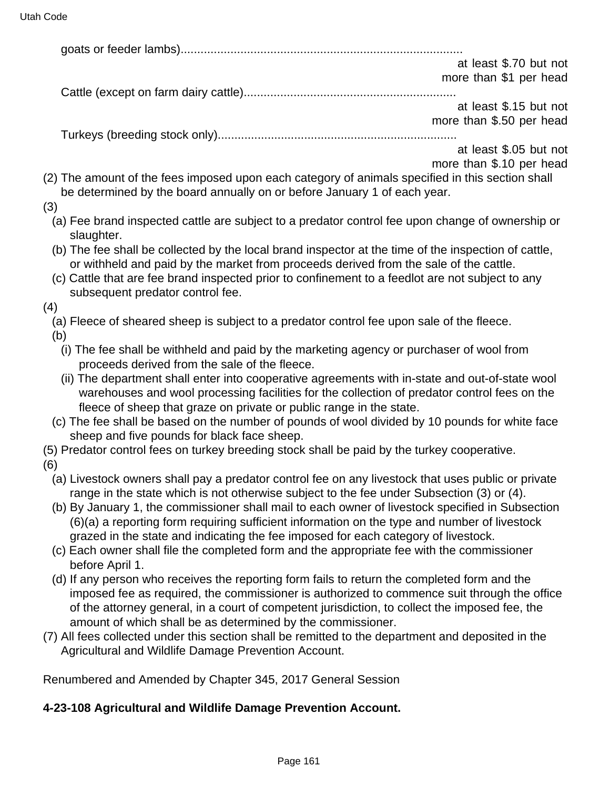|                                                     | at least \$.70 but not   |
|-----------------------------------------------------|--------------------------|
|                                                     | more than \$1 per head   |
|                                                     |                          |
|                                                     | at least \$.15 but not   |
|                                                     | more than \$.50 per head |
| $T_{\text{tril},\text{evo}}$ (broading atool, only) |                          |

Turkeys (breeding stock only)........................................................................

at least \$.05 but not more than \$.10 per head

- (2) The amount of the fees imposed upon each category of animals specified in this section shall be determined by the board annually on or before January 1 of each year.
- (3)
	- (a) Fee brand inspected cattle are subject to a predator control fee upon change of ownership or slaughter.
	- (b) The fee shall be collected by the local brand inspector at the time of the inspection of cattle, or withheld and paid by the market from proceeds derived from the sale of the cattle.
	- (c) Cattle that are fee brand inspected prior to confinement to a feedlot are not subject to any subsequent predator control fee.
- (4)
	- (a) Fleece of sheared sheep is subject to a predator control fee upon sale of the fleece.
	- (b)
		- (i) The fee shall be withheld and paid by the marketing agency or purchaser of wool from proceeds derived from the sale of the fleece.
		- (ii) The department shall enter into cooperative agreements with in-state and out-of-state wool warehouses and wool processing facilities for the collection of predator control fees on the fleece of sheep that graze on private or public range in the state.
	- (c) The fee shall be based on the number of pounds of wool divided by 10 pounds for white face sheep and five pounds for black face sheep.
- (5) Predator control fees on turkey breeding stock shall be paid by the turkey cooperative.
- (6)
	- (a) Livestock owners shall pay a predator control fee on any livestock that uses public or private range in the state which is not otherwise subject to the fee under Subsection (3) or (4).
	- (b) By January 1, the commissioner shall mail to each owner of livestock specified in Subsection (6)(a) a reporting form requiring sufficient information on the type and number of livestock grazed in the state and indicating the fee imposed for each category of livestock.
	- (c) Each owner shall file the completed form and the appropriate fee with the commissioner before April 1.
	- (d) If any person who receives the reporting form fails to return the completed form and the imposed fee as required, the commissioner is authorized to commence suit through the office of the attorney general, in a court of competent jurisdiction, to collect the imposed fee, the amount of which shall be as determined by the commissioner.
- (7) All fees collected under this section shall be remitted to the department and deposited in the Agricultural and Wildlife Damage Prevention Account.

Renumbered and Amended by Chapter 345, 2017 General Session

#### **4-23-108 Agricultural and Wildlife Damage Prevention Account.**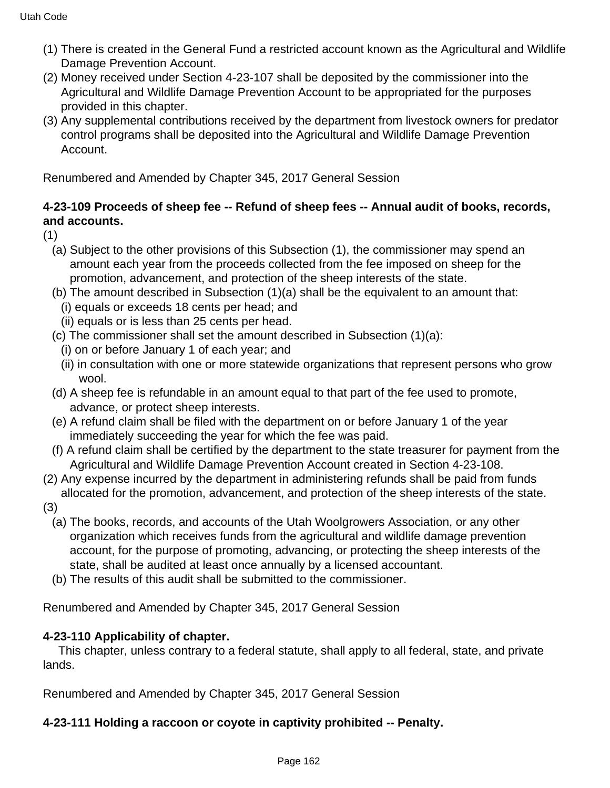- (1) There is created in the General Fund a restricted account known as the Agricultural and Wildlife Damage Prevention Account.
- (2) Money received under Section 4-23-107 shall be deposited by the commissioner into the Agricultural and Wildlife Damage Prevention Account to be appropriated for the purposes provided in this chapter.
- (3) Any supplemental contributions received by the department from livestock owners for predator control programs shall be deposited into the Agricultural and Wildlife Damage Prevention Account.

Renumbered and Amended by Chapter 345, 2017 General Session

## **4-23-109 Proceeds of sheep fee -- Refund of sheep fees -- Annual audit of books, records, and accounts.**

(1)

- (a) Subject to the other provisions of this Subsection (1), the commissioner may spend an amount each year from the proceeds collected from the fee imposed on sheep for the promotion, advancement, and protection of the sheep interests of the state.
- (b) The amount described in Subsection (1)(a) shall be the equivalent to an amount that: (i) equals or exceeds 18 cents per head; and
	- (ii) equals or is less than 25 cents per head.
- (c) The commissioner shall set the amount described in Subsection (1)(a):
	- (i) on or before January 1 of each year; and
	- (ii) in consultation with one or more statewide organizations that represent persons who grow wool.
- (d) A sheep fee is refundable in an amount equal to that part of the fee used to promote, advance, or protect sheep interests.
- (e) A refund claim shall be filed with the department on or before January 1 of the year immediately succeeding the year for which the fee was paid.
- (f) A refund claim shall be certified by the department to the state treasurer for payment from the Agricultural and Wildlife Damage Prevention Account created in Section 4-23-108.
- (2) Any expense incurred by the department in administering refunds shall be paid from funds allocated for the promotion, advancement, and protection of the sheep interests of the state.
- (3)
	- (a) The books, records, and accounts of the Utah Woolgrowers Association, or any other organization which receives funds from the agricultural and wildlife damage prevention account, for the purpose of promoting, advancing, or protecting the sheep interests of the state, shall be audited at least once annually by a licensed accountant.
	- (b) The results of this audit shall be submitted to the commissioner.

Renumbered and Amended by Chapter 345, 2017 General Session

## **4-23-110 Applicability of chapter.**

 This chapter, unless contrary to a federal statute, shall apply to all federal, state, and private lands.

Renumbered and Amended by Chapter 345, 2017 General Session

## **4-23-111 Holding a raccoon or coyote in captivity prohibited -- Penalty.**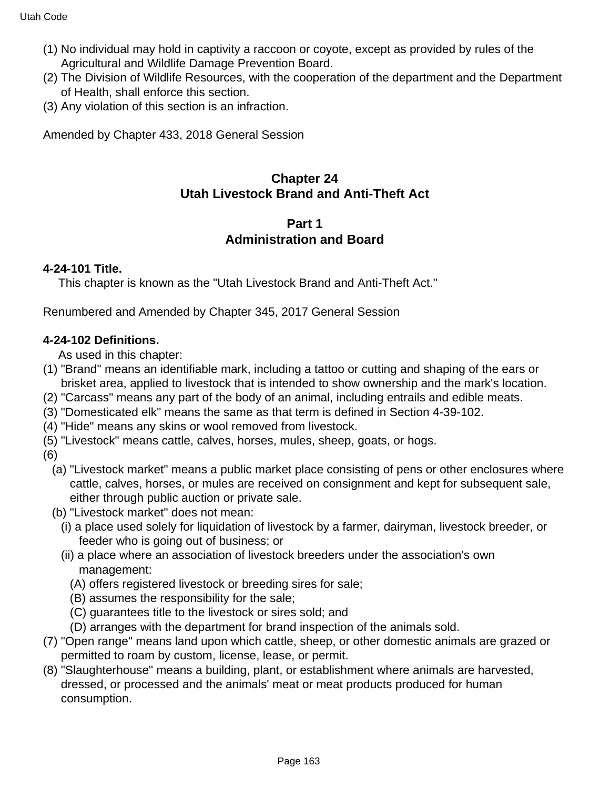- (1) No individual may hold in captivity a raccoon or coyote, except as provided by rules of the Agricultural and Wildlife Damage Prevention Board.
- (2) The Division of Wildlife Resources, with the cooperation of the department and the Department of Health, shall enforce this section.
- (3) Any violation of this section is an infraction.

Amended by Chapter 433, 2018 General Session

# **Chapter 24 Utah Livestock Brand and Anti-Theft Act**

## **Part 1 Administration and Board**

## **4-24-101 Title.**

This chapter is known as the "Utah Livestock Brand and Anti-Theft Act."

Renumbered and Amended by Chapter 345, 2017 General Session

## **4-24-102 Definitions.**

As used in this chapter:

- (1) "Brand" means an identifiable mark, including a tattoo or cutting and shaping of the ears or brisket area, applied to livestock that is intended to show ownership and the mark's location.
- (2) "Carcass" means any part of the body of an animal, including entrails and edible meats.
- (3) "Domesticated elk" means the same as that term is defined in Section 4-39-102.
- (4) "Hide" means any skins or wool removed from livestock.
- (5) "Livestock" means cattle, calves, horses, mules, sheep, goats, or hogs.
- (6)
	- (a) "Livestock market" means a public market place consisting of pens or other enclosures where cattle, calves, horses, or mules are received on consignment and kept for subsequent sale, either through public auction or private sale.
	- (b) "Livestock market" does not mean:
		- (i) a place used solely for liquidation of livestock by a farmer, dairyman, livestock breeder, or feeder who is going out of business; or
		- (ii) a place where an association of livestock breeders under the association's own management:
			- (A) offers registered livestock or breeding sires for sale;
			- (B) assumes the responsibility for the sale;
			- (C) guarantees title to the livestock or sires sold; and
			- (D) arranges with the department for brand inspection of the animals sold.
- (7) "Open range" means land upon which cattle, sheep, or other domestic animals are grazed or permitted to roam by custom, license, lease, or permit.
- (8) "Slaughterhouse" means a building, plant, or establishment where animals are harvested, dressed, or processed and the animals' meat or meat products produced for human consumption.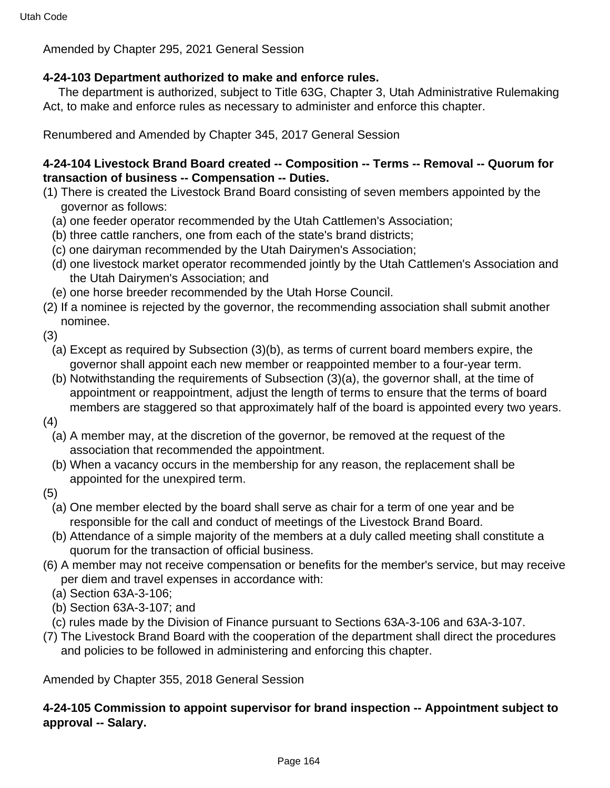Amended by Chapter 295, 2021 General Session

## **4-24-103 Department authorized to make and enforce rules.**

 The department is authorized, subject to Title 63G, Chapter 3, Utah Administrative Rulemaking Act, to make and enforce rules as necessary to administer and enforce this chapter.

Renumbered and Amended by Chapter 345, 2017 General Session

## **4-24-104 Livestock Brand Board created -- Composition -- Terms -- Removal -- Quorum for transaction of business -- Compensation -- Duties.**

- (1) There is created the Livestock Brand Board consisting of seven members appointed by the governor as follows:
	- (a) one feeder operator recommended by the Utah Cattlemen's Association;
	- (b) three cattle ranchers, one from each of the state's brand districts;
	- (c) one dairyman recommended by the Utah Dairymen's Association;
	- (d) one livestock market operator recommended jointly by the Utah Cattlemen's Association and the Utah Dairymen's Association; and
- (e) one horse breeder recommended by the Utah Horse Council.
- (2) If a nominee is rejected by the governor, the recommending association shall submit another nominee.
- (3)
	- (a) Except as required by Subsection (3)(b), as terms of current board members expire, the governor shall appoint each new member or reappointed member to a four-year term.
	- (b) Notwithstanding the requirements of Subsection (3)(a), the governor shall, at the time of appointment or reappointment, adjust the length of terms to ensure that the terms of board members are staggered so that approximately half of the board is appointed every two years.
- (4)
	- (a) A member may, at the discretion of the governor, be removed at the request of the association that recommended the appointment.
	- (b) When a vacancy occurs in the membership for any reason, the replacement shall be appointed for the unexpired term.
- (5)
	- (a) One member elected by the board shall serve as chair for a term of one year and be responsible for the call and conduct of meetings of the Livestock Brand Board.
	- (b) Attendance of a simple majority of the members at a duly called meeting shall constitute a quorum for the transaction of official business.
- (6) A member may not receive compensation or benefits for the member's service, but may receive per diem and travel expenses in accordance with:
	- (a) Section 63A-3-106;
	- (b) Section 63A-3-107; and
- (c) rules made by the Division of Finance pursuant to Sections 63A-3-106 and 63A-3-107.
- (7) The Livestock Brand Board with the cooperation of the department shall direct the procedures and policies to be followed in administering and enforcing this chapter.

Amended by Chapter 355, 2018 General Session

## **4-24-105 Commission to appoint supervisor for brand inspection -- Appointment subject to approval -- Salary.**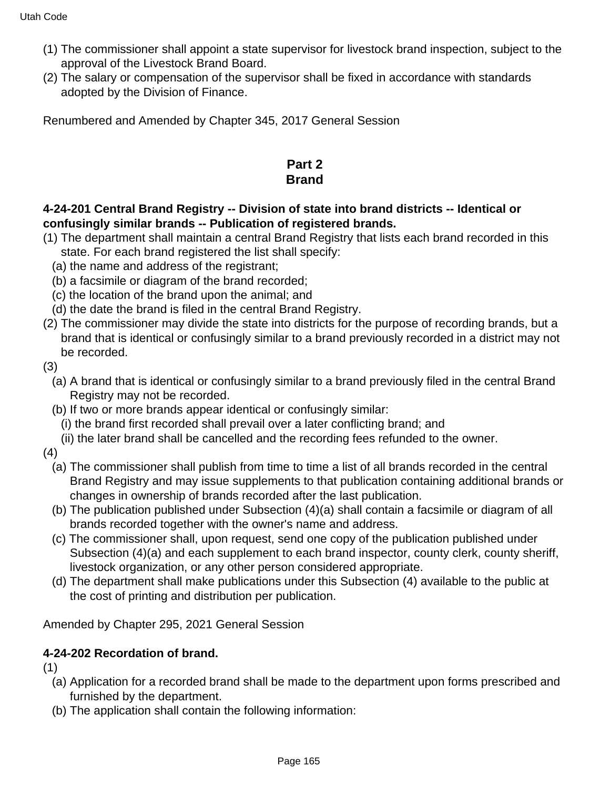- (1) The commissioner shall appoint a state supervisor for livestock brand inspection, subject to the approval of the Livestock Brand Board.
- (2) The salary or compensation of the supervisor shall be fixed in accordance with standards adopted by the Division of Finance.

Renumbered and Amended by Chapter 345, 2017 General Session

## **Part 2 Brand**

## **4-24-201 Central Brand Registry -- Division of state into brand districts -- Identical or confusingly similar brands -- Publication of registered brands.**

- (1) The department shall maintain a central Brand Registry that lists each brand recorded in this state. For each brand registered the list shall specify:
	- (a) the name and address of the registrant;
	- (b) a facsimile or diagram of the brand recorded;
	- (c) the location of the brand upon the animal; and
	- (d) the date the brand is filed in the central Brand Registry.
- (2) The commissioner may divide the state into districts for the purpose of recording brands, but a brand that is identical or confusingly similar to a brand previously recorded in a district may not be recorded.
- (3)
	- (a) A brand that is identical or confusingly similar to a brand previously filed in the central Brand Registry may not be recorded.
	- (b) If two or more brands appear identical or confusingly similar:
		- (i) the brand first recorded shall prevail over a later conflicting brand; and
		- (ii) the later brand shall be cancelled and the recording fees refunded to the owner.
- (4)
	- (a) The commissioner shall publish from time to time a list of all brands recorded in the central Brand Registry and may issue supplements to that publication containing additional brands or changes in ownership of brands recorded after the last publication.
	- (b) The publication published under Subsection (4)(a) shall contain a facsimile or diagram of all brands recorded together with the owner's name and address.
	- (c) The commissioner shall, upon request, send one copy of the publication published under Subsection (4)(a) and each supplement to each brand inspector, county clerk, county sheriff, livestock organization, or any other person considered appropriate.
	- (d) The department shall make publications under this Subsection (4) available to the public at the cost of printing and distribution per publication.

Amended by Chapter 295, 2021 General Session

## **4-24-202 Recordation of brand.**

(1)

- (a) Application for a recorded brand shall be made to the department upon forms prescribed and furnished by the department.
- (b) The application shall contain the following information: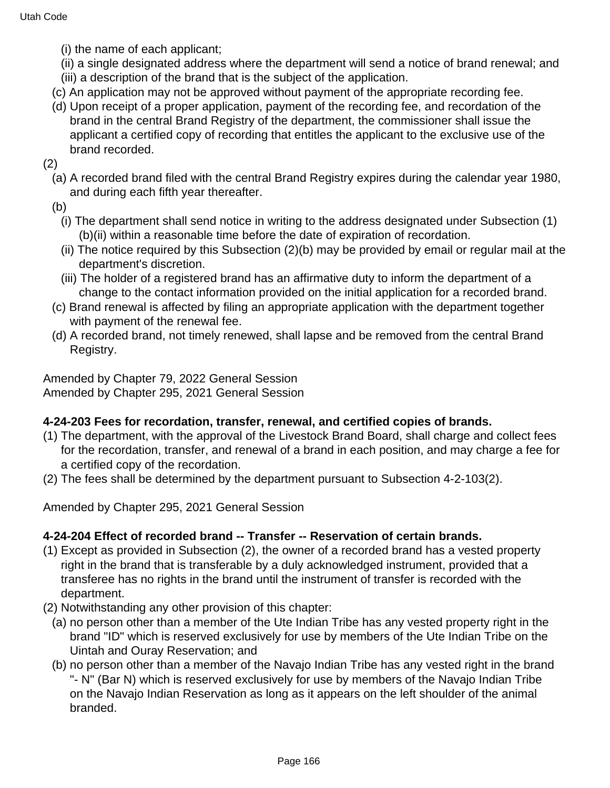- (i) the name of each applicant;
- (ii) a single designated address where the department will send a notice of brand renewal; and (iii) a description of the brand that is the subject of the application.
- (c) An application may not be approved without payment of the appropriate recording fee.
- (d) Upon receipt of a proper application, payment of the recording fee, and recordation of the brand in the central Brand Registry of the department, the commissioner shall issue the applicant a certified copy of recording that entitles the applicant to the exclusive use of the brand recorded.

(2)

- (a) A recorded brand filed with the central Brand Registry expires during the calendar year 1980, and during each fifth year thereafter.
- (b)
	- (i) The department shall send notice in writing to the address designated under Subsection (1) (b)(ii) within a reasonable time before the date of expiration of recordation.
	- (ii) The notice required by this Subsection (2)(b) may be provided by email or regular mail at the department's discretion.
	- (iii) The holder of a registered brand has an affirmative duty to inform the department of a change to the contact information provided on the initial application for a recorded brand.
- (c) Brand renewal is affected by filing an appropriate application with the department together with payment of the renewal fee.
- (d) A recorded brand, not timely renewed, shall lapse and be removed from the central Brand Registry.

Amended by Chapter 79, 2022 General Session Amended by Chapter 295, 2021 General Session

## **4-24-203 Fees for recordation, transfer, renewal, and certified copies of brands.**

- (1) The department, with the approval of the Livestock Brand Board, shall charge and collect fees for the recordation, transfer, and renewal of a brand in each position, and may charge a fee for a certified copy of the recordation.
- (2) The fees shall be determined by the department pursuant to Subsection 4-2-103(2).

Amended by Chapter 295, 2021 General Session

## **4-24-204 Effect of recorded brand -- Transfer -- Reservation of certain brands.**

- (1) Except as provided in Subsection (2), the owner of a recorded brand has a vested property right in the brand that is transferable by a duly acknowledged instrument, provided that a transferee has no rights in the brand until the instrument of transfer is recorded with the department.
- (2) Notwithstanding any other provision of this chapter:
	- (a) no person other than a member of the Ute Indian Tribe has any vested property right in the brand "ID" which is reserved exclusively for use by members of the Ute Indian Tribe on the Uintah and Ouray Reservation; and
	- (b) no person other than a member of the Navajo Indian Tribe has any vested right in the brand "- N" (Bar N) which is reserved exclusively for use by members of the Navajo Indian Tribe on the Navajo Indian Reservation as long as it appears on the left shoulder of the animal branded.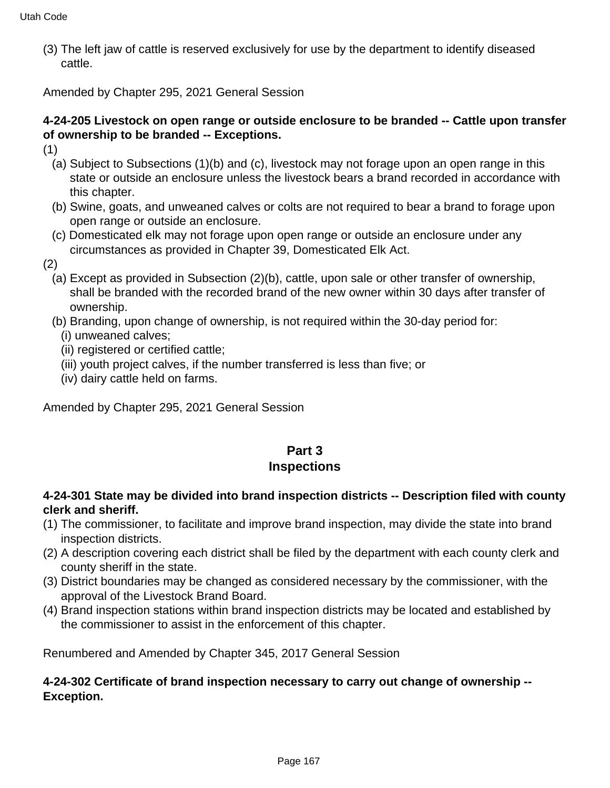(3) The left jaw of cattle is reserved exclusively for use by the department to identify diseased cattle.

Amended by Chapter 295, 2021 General Session

### **4-24-205 Livestock on open range or outside enclosure to be branded -- Cattle upon transfer of ownership to be branded -- Exceptions.**

- (1)
	- (a) Subject to Subsections (1)(b) and (c), livestock may not forage upon an open range in this state or outside an enclosure unless the livestock bears a brand recorded in accordance with this chapter.
	- (b) Swine, goats, and unweaned calves or colts are not required to bear a brand to forage upon open range or outside an enclosure.
	- (c) Domesticated elk may not forage upon open range or outside an enclosure under any circumstances as provided in Chapter 39, Domesticated Elk Act.
- (2)
	- (a) Except as provided in Subsection (2)(b), cattle, upon sale or other transfer of ownership, shall be branded with the recorded brand of the new owner within 30 days after transfer of ownership.
	- (b) Branding, upon change of ownership, is not required within the 30-day period for:
		- (i) unweaned calves;
		- (ii) registered or certified cattle;
		- (iii) youth project calves, if the number transferred is less than five; or
		- (iv) dairy cattle held on farms.

Amended by Chapter 295, 2021 General Session

## **Part 3 Inspections**

## **4-24-301 State may be divided into brand inspection districts -- Description filed with county clerk and sheriff.**

- (1) The commissioner, to facilitate and improve brand inspection, may divide the state into brand inspection districts.
- (2) A description covering each district shall be filed by the department with each county clerk and county sheriff in the state.
- (3) District boundaries may be changed as considered necessary by the commissioner, with the approval of the Livestock Brand Board.
- (4) Brand inspection stations within brand inspection districts may be located and established by the commissioner to assist in the enforcement of this chapter.

Renumbered and Amended by Chapter 345, 2017 General Session

### **4-24-302 Certificate of brand inspection necessary to carry out change of ownership -- Exception.**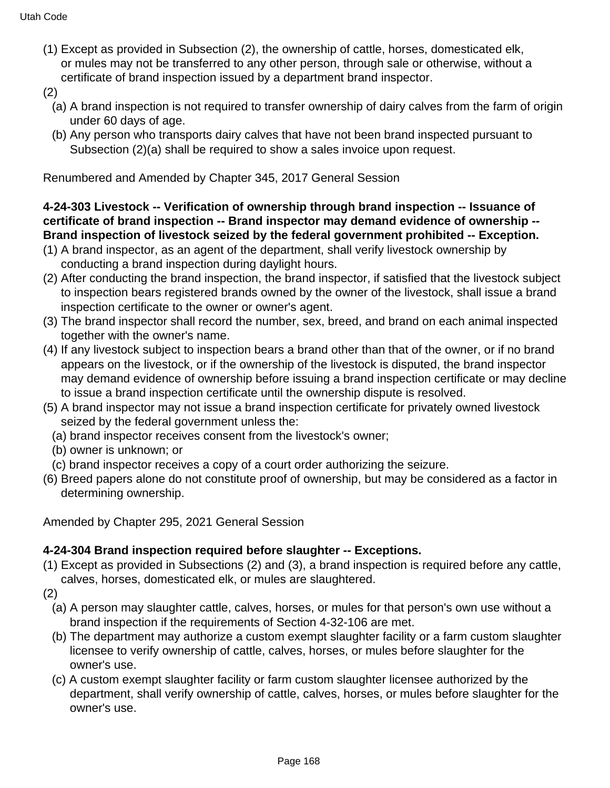- (1) Except as provided in Subsection (2), the ownership of cattle, horses, domesticated elk, or mules may not be transferred to any other person, through sale or otherwise, without a certificate of brand inspection issued by a department brand inspector.
- (2)
	- (a) A brand inspection is not required to transfer ownership of dairy calves from the farm of origin under 60 days of age.
	- (b) Any person who transports dairy calves that have not been brand inspected pursuant to Subsection (2)(a) shall be required to show a sales invoice upon request.

Renumbered and Amended by Chapter 345, 2017 General Session

## **4-24-303 Livestock -- Verification of ownership through brand inspection -- Issuance of certificate of brand inspection -- Brand inspector may demand evidence of ownership -- Brand inspection of livestock seized by the federal government prohibited -- Exception.**

- (1) A brand inspector, as an agent of the department, shall verify livestock ownership by conducting a brand inspection during daylight hours.
- (2) After conducting the brand inspection, the brand inspector, if satisfied that the livestock subject to inspection bears registered brands owned by the owner of the livestock, shall issue a brand inspection certificate to the owner or owner's agent.
- (3) The brand inspector shall record the number, sex, breed, and brand on each animal inspected together with the owner's name.
- (4) If any livestock subject to inspection bears a brand other than that of the owner, or if no brand appears on the livestock, or if the ownership of the livestock is disputed, the brand inspector may demand evidence of ownership before issuing a brand inspection certificate or may decline to issue a brand inspection certificate until the ownership dispute is resolved.
- (5) A brand inspector may not issue a brand inspection certificate for privately owned livestock seized by the federal government unless the:
	- (a) brand inspector receives consent from the livestock's owner;
	- (b) owner is unknown; or
- (c) brand inspector receives a copy of a court order authorizing the seizure.
- (6) Breed papers alone do not constitute proof of ownership, but may be considered as a factor in determining ownership.

Amended by Chapter 295, 2021 General Session

#### **4-24-304 Brand inspection required before slaughter -- Exceptions.**

- (1) Except as provided in Subsections (2) and (3), a brand inspection is required before any cattle, calves, horses, domesticated elk, or mules are slaughtered.
- (2)
	- (a) A person may slaughter cattle, calves, horses, or mules for that person's own use without a brand inspection if the requirements of Section 4-32-106 are met.
	- (b) The department may authorize a custom exempt slaughter facility or a farm custom slaughter licensee to verify ownership of cattle, calves, horses, or mules before slaughter for the owner's use.
	- (c) A custom exempt slaughter facility or farm custom slaughter licensee authorized by the department, shall verify ownership of cattle, calves, horses, or mules before slaughter for the owner's use.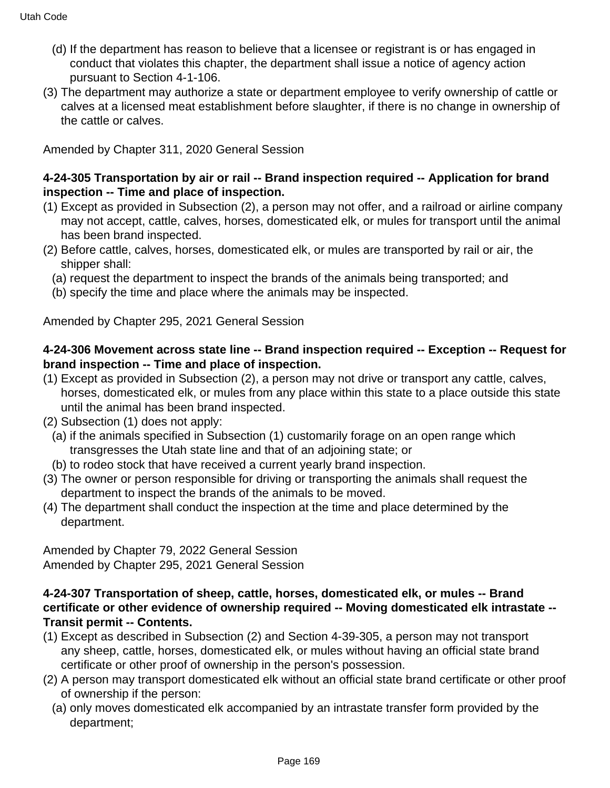- (d) If the department has reason to believe that a licensee or registrant is or has engaged in conduct that violates this chapter, the department shall issue a notice of agency action pursuant to Section 4-1-106.
- (3) The department may authorize a state or department employee to verify ownership of cattle or calves at a licensed meat establishment before slaughter, if there is no change in ownership of the cattle or calves.

Amended by Chapter 311, 2020 General Session

### **4-24-305 Transportation by air or rail -- Brand inspection required -- Application for brand inspection -- Time and place of inspection.**

- (1) Except as provided in Subsection (2), a person may not offer, and a railroad or airline company may not accept, cattle, calves, horses, domesticated elk, or mules for transport until the animal has been brand inspected.
- (2) Before cattle, calves, horses, domesticated elk, or mules are transported by rail or air, the shipper shall:
	- (a) request the department to inspect the brands of the animals being transported; and
	- (b) specify the time and place where the animals may be inspected.

Amended by Chapter 295, 2021 General Session

### **4-24-306 Movement across state line -- Brand inspection required -- Exception -- Request for brand inspection -- Time and place of inspection.**

- (1) Except as provided in Subsection (2), a person may not drive or transport any cattle, calves, horses, domesticated elk, or mules from any place within this state to a place outside this state until the animal has been brand inspected.
- (2) Subsection (1) does not apply:
	- (a) if the animals specified in Subsection (1) customarily forage on an open range which transgresses the Utah state line and that of an adjoining state; or
	- (b) to rodeo stock that have received a current yearly brand inspection.
- (3) The owner or person responsible for driving or transporting the animals shall request the department to inspect the brands of the animals to be moved.
- (4) The department shall conduct the inspection at the time and place determined by the department.

Amended by Chapter 79, 2022 General Session Amended by Chapter 295, 2021 General Session

### **4-24-307 Transportation of sheep, cattle, horses, domesticated elk, or mules -- Brand certificate or other evidence of ownership required -- Moving domesticated elk intrastate -- Transit permit -- Contents.**

- (1) Except as described in Subsection (2) and Section 4-39-305, a person may not transport any sheep, cattle, horses, domesticated elk, or mules without having an official state brand certificate or other proof of ownership in the person's possession.
- (2) A person may transport domesticated elk without an official state brand certificate or other proof of ownership if the person:
	- (a) only moves domesticated elk accompanied by an intrastate transfer form provided by the department;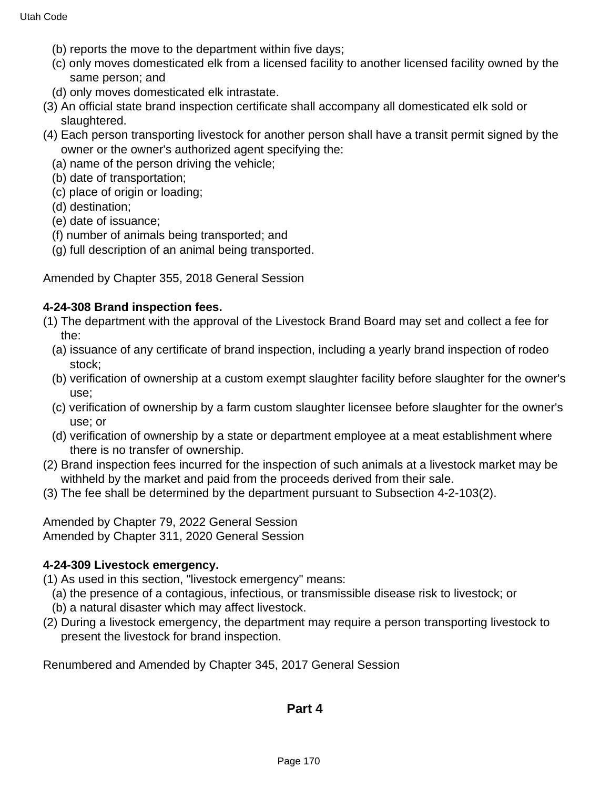- (b) reports the move to the department within five days;
- (c) only moves domesticated elk from a licensed facility to another licensed facility owned by the same person; and
- (d) only moves domesticated elk intrastate.
- (3) An official state brand inspection certificate shall accompany all domesticated elk sold or slaughtered.
- (4) Each person transporting livestock for another person shall have a transit permit signed by the owner or the owner's authorized agent specifying the:
	- (a) name of the person driving the vehicle;
	- (b) date of transportation;
	- (c) place of origin or loading;
	- (d) destination;
	- (e) date of issuance;
	- (f) number of animals being transported; and
	- (g) full description of an animal being transported.

Amended by Chapter 355, 2018 General Session

### **4-24-308 Brand inspection fees.**

- (1) The department with the approval of the Livestock Brand Board may set and collect a fee for the:
	- (a) issuance of any certificate of brand inspection, including a yearly brand inspection of rodeo stock;
	- (b) verification of ownership at a custom exempt slaughter facility before slaughter for the owner's use;
	- (c) verification of ownership by a farm custom slaughter licensee before slaughter for the owner's use; or
	- (d) verification of ownership by a state or department employee at a meat establishment where there is no transfer of ownership.
- (2) Brand inspection fees incurred for the inspection of such animals at a livestock market may be withheld by the market and paid from the proceeds derived from their sale.
- (3) The fee shall be determined by the department pursuant to Subsection 4-2-103(2).

Amended by Chapter 79, 2022 General Session Amended by Chapter 311, 2020 General Session

#### **4-24-309 Livestock emergency.**

(1) As used in this section, "livestock emergency" means:

- (a) the presence of a contagious, infectious, or transmissible disease risk to livestock; or
- (b) a natural disaster which may affect livestock.
- (2) During a livestock emergency, the department may require a person transporting livestock to present the livestock for brand inspection.

Renumbered and Amended by Chapter 345, 2017 General Session

## **Part 4**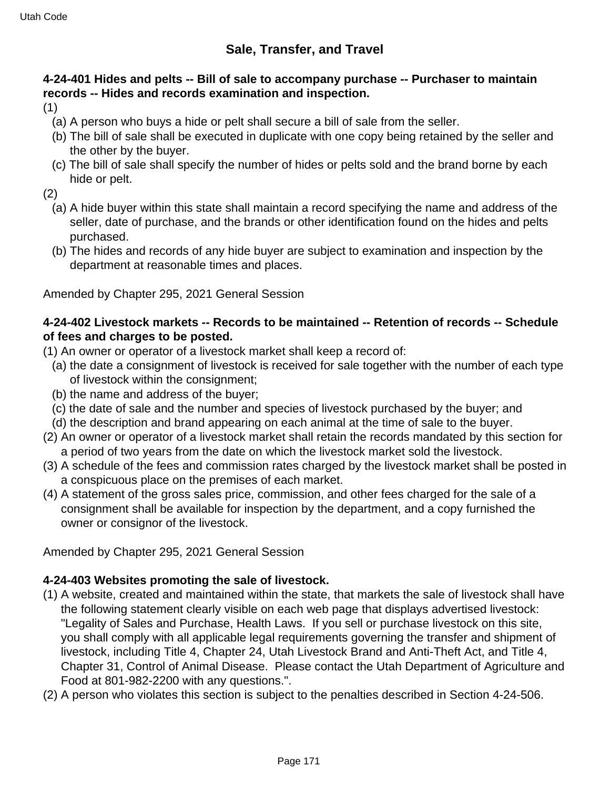## **4-24-401 Hides and pelts -- Bill of sale to accompany purchase -- Purchaser to maintain records -- Hides and records examination and inspection.**

(1)

- (a) A person who buys a hide or pelt shall secure a bill of sale from the seller.
- (b) The bill of sale shall be executed in duplicate with one copy being retained by the seller and the other by the buyer.
- (c) The bill of sale shall specify the number of hides or pelts sold and the brand borne by each hide or pelt.

(2)

- (a) A hide buyer within this state shall maintain a record specifying the name and address of the seller, date of purchase, and the brands or other identification found on the hides and pelts purchased.
- (b) The hides and records of any hide buyer are subject to examination and inspection by the department at reasonable times and places.

Amended by Chapter 295, 2021 General Session

### **4-24-402 Livestock markets -- Records to be maintained -- Retention of records -- Schedule of fees and charges to be posted.**

- (1) An owner or operator of a livestock market shall keep a record of:
	- (a) the date a consignment of livestock is received for sale together with the number of each type of livestock within the consignment;
	- (b) the name and address of the buyer;
	- (c) the date of sale and the number and species of livestock purchased by the buyer; and
	- (d) the description and brand appearing on each animal at the time of sale to the buyer.
- (2) An owner or operator of a livestock market shall retain the records mandated by this section for a period of two years from the date on which the livestock market sold the livestock.
- (3) A schedule of the fees and commission rates charged by the livestock market shall be posted in a conspicuous place on the premises of each market.
- (4) A statement of the gross sales price, commission, and other fees charged for the sale of a consignment shall be available for inspection by the department, and a copy furnished the owner or consignor of the livestock.

Amended by Chapter 295, 2021 General Session

## **4-24-403 Websites promoting the sale of livestock.**

- (1) A website, created and maintained within the state, that markets the sale of livestock shall have the following statement clearly visible on each web page that displays advertised livestock: "Legality of Sales and Purchase, Health Laws. If you sell or purchase livestock on this site, you shall comply with all applicable legal requirements governing the transfer and shipment of livestock, including Title 4, Chapter 24, Utah Livestock Brand and Anti-Theft Act, and Title 4, Chapter 31, Control of Animal Disease. Please contact the Utah Department of Agriculture and Food at 801-982-2200 with any questions.".
- (2) A person who violates this section is subject to the penalties described in Section 4-24-506.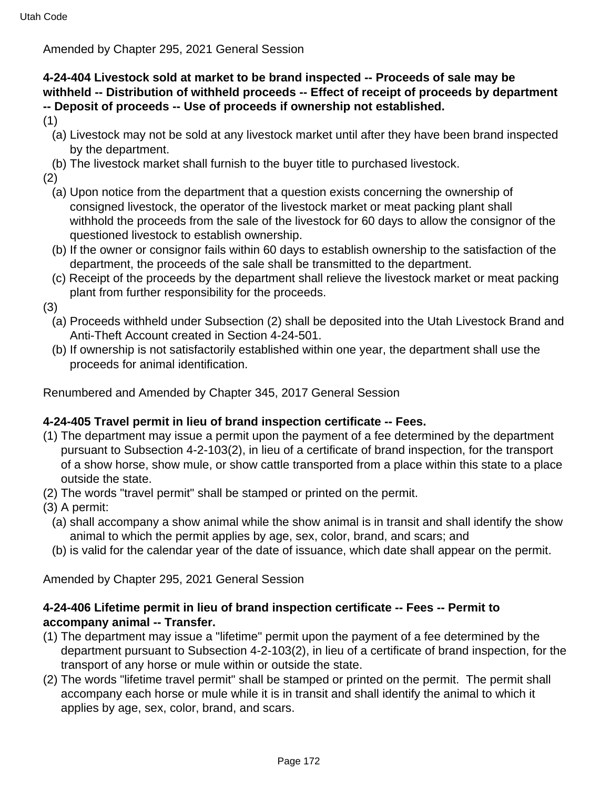Amended by Chapter 295, 2021 General Session

## **4-24-404 Livestock sold at market to be brand inspected -- Proceeds of sale may be withheld -- Distribution of withheld proceeds -- Effect of receipt of proceeds by department -- Deposit of proceeds -- Use of proceeds if ownership not established.**

- (1)
	- (a) Livestock may not be sold at any livestock market until after they have been brand inspected by the department.
- (b) The livestock market shall furnish to the buyer title to purchased livestock.
- (2)
	- (a) Upon notice from the department that a question exists concerning the ownership of consigned livestock, the operator of the livestock market or meat packing plant shall withhold the proceeds from the sale of the livestock for 60 days to allow the consignor of the questioned livestock to establish ownership.
	- (b) If the owner or consignor fails within 60 days to establish ownership to the satisfaction of the department, the proceeds of the sale shall be transmitted to the department.
	- (c) Receipt of the proceeds by the department shall relieve the livestock market or meat packing plant from further responsibility for the proceeds.
- (3)
	- (a) Proceeds withheld under Subsection (2) shall be deposited into the Utah Livestock Brand and Anti-Theft Account created in Section 4-24-501.
	- (b) If ownership is not satisfactorily established within one year, the department shall use the proceeds for animal identification.

Renumbered and Amended by Chapter 345, 2017 General Session

## **4-24-405 Travel permit in lieu of brand inspection certificate -- Fees.**

- (1) The department may issue a permit upon the payment of a fee determined by the department pursuant to Subsection 4-2-103(2), in lieu of a certificate of brand inspection, for the transport of a show horse, show mule, or show cattle transported from a place within this state to a place outside the state.
- (2) The words "travel permit" shall be stamped or printed on the permit.
- (3) A permit:
	- (a) shall accompany a show animal while the show animal is in transit and shall identify the show animal to which the permit applies by age, sex, color, brand, and scars; and
	- (b) is valid for the calendar year of the date of issuance, which date shall appear on the permit.

Amended by Chapter 295, 2021 General Session

### **4-24-406 Lifetime permit in lieu of brand inspection certificate -- Fees -- Permit to accompany animal -- Transfer.**

- (1) The department may issue a "lifetime" permit upon the payment of a fee determined by the department pursuant to Subsection 4-2-103(2), in lieu of a certificate of brand inspection, for the transport of any horse or mule within or outside the state.
- (2) The words "lifetime travel permit" shall be stamped or printed on the permit. The permit shall accompany each horse or mule while it is in transit and shall identify the animal to which it applies by age, sex, color, brand, and scars.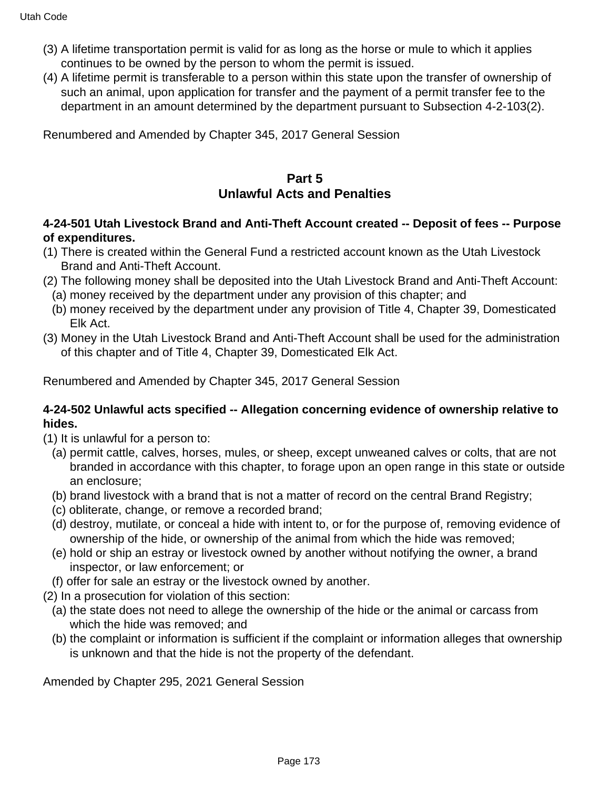- (3) A lifetime transportation permit is valid for as long as the horse or mule to which it applies continues to be owned by the person to whom the permit is issued.
- (4) A lifetime permit is transferable to a person within this state upon the transfer of ownership of such an animal, upon application for transfer and the payment of a permit transfer fee to the department in an amount determined by the department pursuant to Subsection 4-2-103(2).

Renumbered and Amended by Chapter 345, 2017 General Session

# **Part 5**

## **Unlawful Acts and Penalties**

### **4-24-501 Utah Livestock Brand and Anti-Theft Account created -- Deposit of fees -- Purpose of expenditures.**

- (1) There is created within the General Fund a restricted account known as the Utah Livestock Brand and Anti-Theft Account.
- (2) The following money shall be deposited into the Utah Livestock Brand and Anti-Theft Account:
	- (a) money received by the department under any provision of this chapter; and
	- (b) money received by the department under any provision of Title 4, Chapter 39, Domesticated Elk Act.
- (3) Money in the Utah Livestock Brand and Anti-Theft Account shall be used for the administration of this chapter and of Title 4, Chapter 39, Domesticated Elk Act.

Renumbered and Amended by Chapter 345, 2017 General Session

### **4-24-502 Unlawful acts specified -- Allegation concerning evidence of ownership relative to hides.**

- (1) It is unlawful for a person to:
	- (a) permit cattle, calves, horses, mules, or sheep, except unweaned calves or colts, that are not branded in accordance with this chapter, to forage upon an open range in this state or outside an enclosure;
	- (b) brand livestock with a brand that is not a matter of record on the central Brand Registry;
	- (c) obliterate, change, or remove a recorded brand;
	- (d) destroy, mutilate, or conceal a hide with intent to, or for the purpose of, removing evidence of ownership of the hide, or ownership of the animal from which the hide was removed;
	- (e) hold or ship an estray or livestock owned by another without notifying the owner, a brand inspector, or law enforcement; or
	- (f) offer for sale an estray or the livestock owned by another.
- (2) In a prosecution for violation of this section:
	- (a) the state does not need to allege the ownership of the hide or the animal or carcass from which the hide was removed; and
	- (b) the complaint or information is sufficient if the complaint or information alleges that ownership is unknown and that the hide is not the property of the defendant.

Amended by Chapter 295, 2021 General Session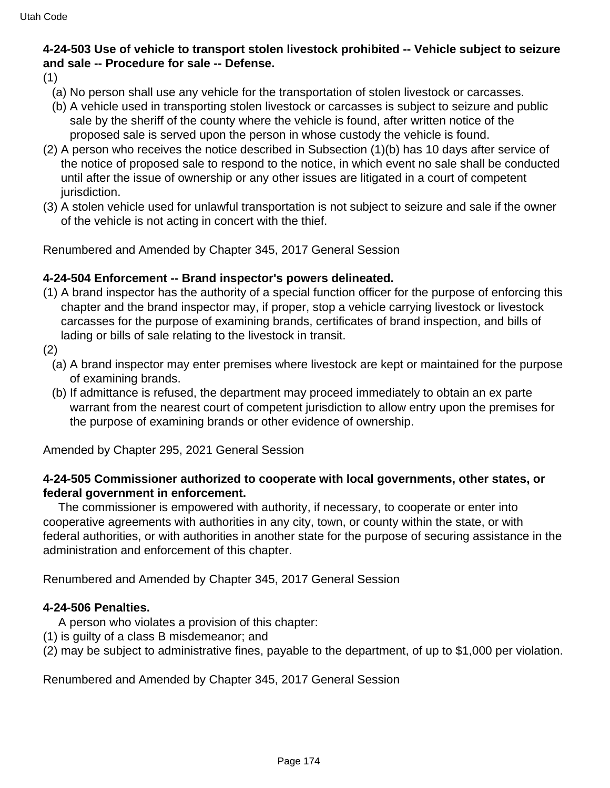## **4-24-503 Use of vehicle to transport stolen livestock prohibited -- Vehicle subject to seizure and sale -- Procedure for sale -- Defense.**

- (1)
	- (a) No person shall use any vehicle for the transportation of stolen livestock or carcasses.
	- (b) A vehicle used in transporting stolen livestock or carcasses is subject to seizure and public sale by the sheriff of the county where the vehicle is found, after written notice of the proposed sale is served upon the person in whose custody the vehicle is found.
- (2) A person who receives the notice described in Subsection (1)(b) has 10 days after service of the notice of proposed sale to respond to the notice, in which event no sale shall be conducted until after the issue of ownership or any other issues are litigated in a court of competent jurisdiction.
- (3) A stolen vehicle used for unlawful transportation is not subject to seizure and sale if the owner of the vehicle is not acting in concert with the thief.

Renumbered and Amended by Chapter 345, 2017 General Session

### **4-24-504 Enforcement -- Brand inspector's powers delineated.**

- (1) A brand inspector has the authority of a special function officer for the purpose of enforcing this chapter and the brand inspector may, if proper, stop a vehicle carrying livestock or livestock carcasses for the purpose of examining brands, certificates of brand inspection, and bills of lading or bills of sale relating to the livestock in transit.
- (2)
	- (a) A brand inspector may enter premises where livestock are kept or maintained for the purpose of examining brands.
	- (b) If admittance is refused, the department may proceed immediately to obtain an ex parte warrant from the nearest court of competent jurisdiction to allow entry upon the premises for the purpose of examining brands or other evidence of ownership.

Amended by Chapter 295, 2021 General Session

### **4-24-505 Commissioner authorized to cooperate with local governments, other states, or federal government in enforcement.**

 The commissioner is empowered with authority, if necessary, to cooperate or enter into cooperative agreements with authorities in any city, town, or county within the state, or with federal authorities, or with authorities in another state for the purpose of securing assistance in the administration and enforcement of this chapter.

Renumbered and Amended by Chapter 345, 2017 General Session

#### **4-24-506 Penalties.**

- A person who violates a provision of this chapter:
- (1) is guilty of a class B misdemeanor; and
- (2) may be subject to administrative fines, payable to the department, of up to \$1,000 per violation.

Renumbered and Amended by Chapter 345, 2017 General Session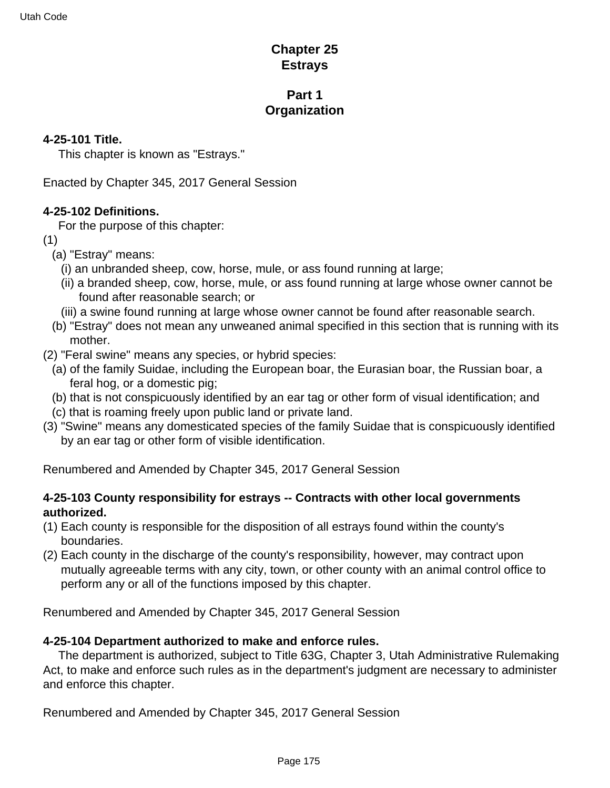## **Chapter 25 Estrays**

## **Part 1 Organization**

### **4-25-101 Title.**

This chapter is known as "Estrays."

Enacted by Chapter 345, 2017 General Session

### **4-25-102 Definitions.**

For the purpose of this chapter:

- (1)
	- (a) "Estray" means:
		- (i) an unbranded sheep, cow, horse, mule, or ass found running at large;
		- (ii) a branded sheep, cow, horse, mule, or ass found running at large whose owner cannot be found after reasonable search; or
	- (iii) a swine found running at large whose owner cannot be found after reasonable search.
	- (b) "Estray" does not mean any unweaned animal specified in this section that is running with its mother.
- (2) "Feral swine" means any species, or hybrid species:
	- (a) of the family Suidae, including the European boar, the Eurasian boar, the Russian boar, a feral hog, or a domestic pig;
	- (b) that is not conspicuously identified by an ear tag or other form of visual identification; and
	- (c) that is roaming freely upon public land or private land.
- (3) "Swine" means any domesticated species of the family Suidae that is conspicuously identified by an ear tag or other form of visible identification.

Renumbered and Amended by Chapter 345, 2017 General Session

### **4-25-103 County responsibility for estrays -- Contracts with other local governments authorized.**

- (1) Each county is responsible for the disposition of all estrays found within the county's boundaries.
- (2) Each county in the discharge of the county's responsibility, however, may contract upon mutually agreeable terms with any city, town, or other county with an animal control office to perform any or all of the functions imposed by this chapter.

Renumbered and Amended by Chapter 345, 2017 General Session

## **4-25-104 Department authorized to make and enforce rules.**

 The department is authorized, subject to Title 63G, Chapter 3, Utah Administrative Rulemaking Act, to make and enforce such rules as in the department's judgment are necessary to administer and enforce this chapter.

Renumbered and Amended by Chapter 345, 2017 General Session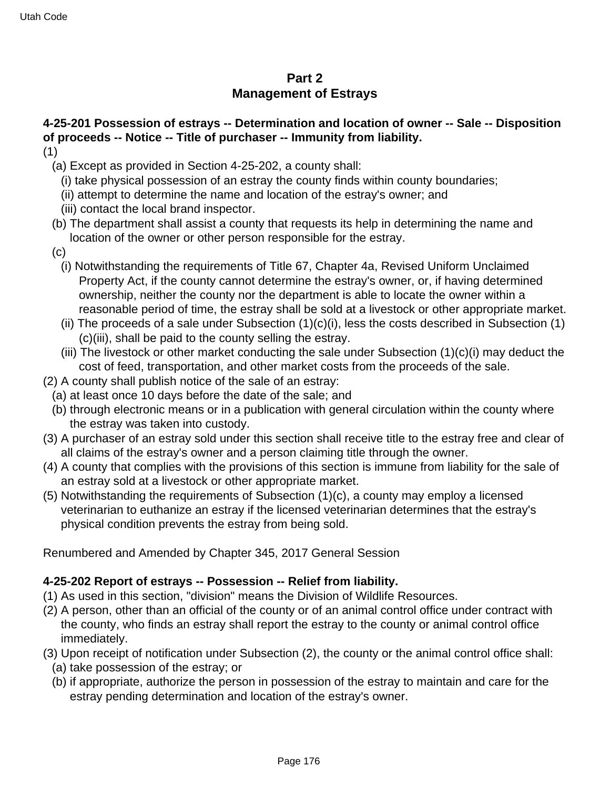# **Part 2 Management of Estrays**

# **4-25-201 Possession of estrays -- Determination and location of owner -- Sale -- Disposition of proceeds -- Notice -- Title of purchaser -- Immunity from liability.**

- (1)
	- (a) Except as provided in Section 4-25-202, a county shall:
		- (i) take physical possession of an estray the county finds within county boundaries;
		- (ii) attempt to determine the name and location of the estray's owner; and
		- (iii) contact the local brand inspector.
	- (b) The department shall assist a county that requests its help in determining the name and location of the owner or other person responsible for the estray.
	- (c)
		- (i) Notwithstanding the requirements of Title 67, Chapter 4a, Revised Uniform Unclaimed Property Act, if the county cannot determine the estray's owner, or, if having determined ownership, neither the county nor the department is able to locate the owner within a reasonable period of time, the estray shall be sold at a livestock or other appropriate market.
		- (ii) The proceeds of a sale under Subsection  $(1)(c)(i)$ , less the costs described in Subsection  $(1)$ (c)(iii), shall be paid to the county selling the estray.
		- (iii) The livestock or other market conducting the sale under Subsection  $(1)(c)(i)$  may deduct the cost of feed, transportation, and other market costs from the proceeds of the sale.
- (2) A county shall publish notice of the sale of an estray:
	- (a) at least once 10 days before the date of the sale; and
	- (b) through electronic means or in a publication with general circulation within the county where the estray was taken into custody.
- (3) A purchaser of an estray sold under this section shall receive title to the estray free and clear of all claims of the estray's owner and a person claiming title through the owner.
- (4) A county that complies with the provisions of this section is immune from liability for the sale of an estray sold at a livestock or other appropriate market.
- (5) Notwithstanding the requirements of Subsection (1)(c), a county may employ a licensed veterinarian to euthanize an estray if the licensed veterinarian determines that the estray's physical condition prevents the estray from being sold.

Renumbered and Amended by Chapter 345, 2017 General Session

#### **4-25-202 Report of estrays -- Possession -- Relief from liability.**

- (1) As used in this section, "division" means the Division of Wildlife Resources.
- (2) A person, other than an official of the county or of an animal control office under contract with the county, who finds an estray shall report the estray to the county or animal control office immediately.
- (3) Upon receipt of notification under Subsection (2), the county or the animal control office shall:
- (a) take possession of the estray; or
- (b) if appropriate, authorize the person in possession of the estray to maintain and care for the estray pending determination and location of the estray's owner.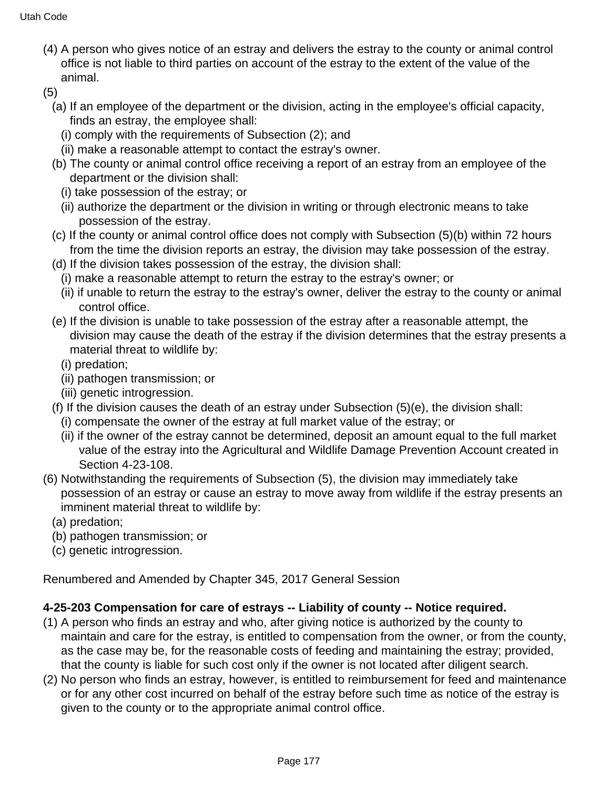(4) A person who gives notice of an estray and delivers the estray to the county or animal control office is not liable to third parties on account of the estray to the extent of the value of the animal.

(5)

- (a) If an employee of the department or the division, acting in the employee's official capacity, finds an estray, the employee shall:
	- (i) comply with the requirements of Subsection (2); and
	- (ii) make a reasonable attempt to contact the estray's owner.
- (b) The county or animal control office receiving a report of an estray from an employee of the department or the division shall:
	- (i) take possession of the estray; or
	- (ii) authorize the department or the division in writing or through electronic means to take possession of the estray.
- (c) If the county or animal control office does not comply with Subsection (5)(b) within 72 hours from the time the division reports an estray, the division may take possession of the estray.
- (d) If the division takes possession of the estray, the division shall:
	- (i) make a reasonable attempt to return the estray to the estray's owner; or
	- (ii) if unable to return the estray to the estray's owner, deliver the estray to the county or animal control office.
- (e) If the division is unable to take possession of the estray after a reasonable attempt, the division may cause the death of the estray if the division determines that the estray presents a material threat to wildlife by:
	- (i) predation;
	- (ii) pathogen transmission; or
	- (iii) genetic introgression.
- (f) If the division causes the death of an estray under Subsection (5)(e), the division shall:
	- (i) compensate the owner of the estray at full market value of the estray; or
	- (ii) if the owner of the estray cannot be determined, deposit an amount equal to the full market value of the estray into the Agricultural and Wildlife Damage Prevention Account created in Section 4-23-108.
- (6) Notwithstanding the requirements of Subsection (5), the division may immediately take possession of an estray or cause an estray to move away from wildlife if the estray presents an imminent material threat to wildlife by:
	- (a) predation;
	- (b) pathogen transmission; or
	- (c) genetic introgression.

Renumbered and Amended by Chapter 345, 2017 General Session

## **4-25-203 Compensation for care of estrays -- Liability of county -- Notice required.**

- (1) A person who finds an estray and who, after giving notice is authorized by the county to maintain and care for the estray, is entitled to compensation from the owner, or from the county, as the case may be, for the reasonable costs of feeding and maintaining the estray; provided, that the county is liable for such cost only if the owner is not located after diligent search.
- (2) No person who finds an estray, however, is entitled to reimbursement for feed and maintenance or for any other cost incurred on behalf of the estray before such time as notice of the estray is given to the county or to the appropriate animal control office.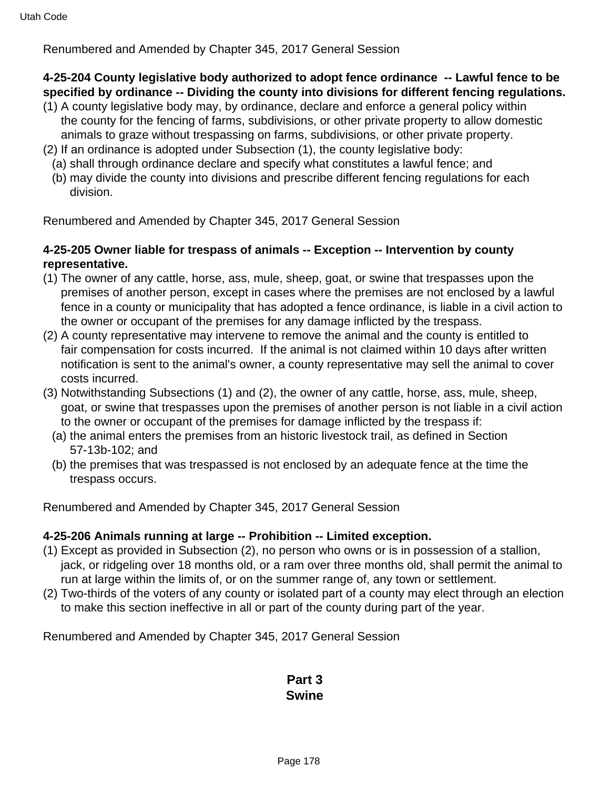### Renumbered and Amended by Chapter 345, 2017 General Session

### **4-25-204 County legislative body authorized to adopt fence ordinance -- Lawful fence to be specified by ordinance -- Dividing the county into divisions for different fencing regulations.**

- (1) A county legislative body may, by ordinance, declare and enforce a general policy within the county for the fencing of farms, subdivisions, or other private property to allow domestic animals to graze without trespassing on farms, subdivisions, or other private property.
- (2) If an ordinance is adopted under Subsection (1), the county legislative body:
	- (a) shall through ordinance declare and specify what constitutes a lawful fence; and
	- (b) may divide the county into divisions and prescribe different fencing regulations for each division.

Renumbered and Amended by Chapter 345, 2017 General Session

### **4-25-205 Owner liable for trespass of animals -- Exception -- Intervention by county representative.**

- (1) The owner of any cattle, horse, ass, mule, sheep, goat, or swine that trespasses upon the premises of another person, except in cases where the premises are not enclosed by a lawful fence in a county or municipality that has adopted a fence ordinance, is liable in a civil action to the owner or occupant of the premises for any damage inflicted by the trespass.
- (2) A county representative may intervene to remove the animal and the county is entitled to fair compensation for costs incurred. If the animal is not claimed within 10 days after written notification is sent to the animal's owner, a county representative may sell the animal to cover costs incurred.
- (3) Notwithstanding Subsections (1) and (2), the owner of any cattle, horse, ass, mule, sheep, goat, or swine that trespasses upon the premises of another person is not liable in a civil action to the owner or occupant of the premises for damage inflicted by the trespass if:
	- (a) the animal enters the premises from an historic livestock trail, as defined in Section 57-13b-102; and
	- (b) the premises that was trespassed is not enclosed by an adequate fence at the time the trespass occurs.

Renumbered and Amended by Chapter 345, 2017 General Session

#### **4-25-206 Animals running at large -- Prohibition -- Limited exception.**

- (1) Except as provided in Subsection (2), no person who owns or is in possession of a stallion, jack, or ridgeling over 18 months old, or a ram over three months old, shall permit the animal to run at large within the limits of, or on the summer range of, any town or settlement.
- (2) Two-thirds of the voters of any county or isolated part of a county may elect through an election to make this section ineffective in all or part of the county during part of the year.

Renumbered and Amended by Chapter 345, 2017 General Session

## **Part 3 Swine**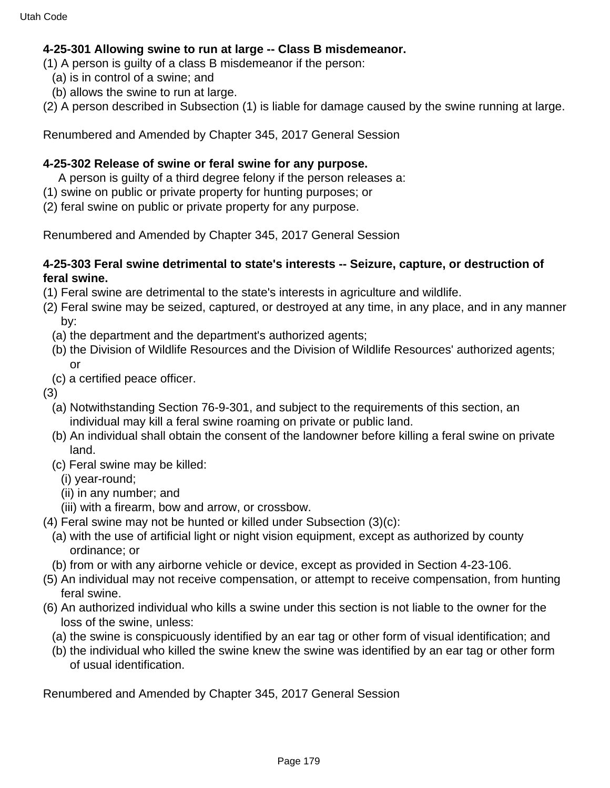### **4-25-301 Allowing swine to run at large -- Class B misdemeanor.**

(1) A person is guilty of a class B misdemeanor if the person:

- (a) is in control of a swine; and
- (b) allows the swine to run at large.

(2) A person described in Subsection (1) is liable for damage caused by the swine running at large.

Renumbered and Amended by Chapter 345, 2017 General Session

### **4-25-302 Release of swine or feral swine for any purpose.**

- A person is guilty of a third degree felony if the person releases a:
- (1) swine on public or private property for hunting purposes; or
- (2) feral swine on public or private property for any purpose.

Renumbered and Amended by Chapter 345, 2017 General Session

### **4-25-303 Feral swine detrimental to state's interests -- Seizure, capture, or destruction of feral swine.**

- (1) Feral swine are detrimental to the state's interests in agriculture and wildlife.
- (2) Feral swine may be seized, captured, or destroyed at any time, in any place, and in any manner by:
	- (a) the department and the department's authorized agents;
	- (b) the Division of Wildlife Resources and the Division of Wildlife Resources' authorized agents; or
- (c) a certified peace officer.

(3)

- (a) Notwithstanding Section 76-9-301, and subject to the requirements of this section, an individual may kill a feral swine roaming on private or public land.
- (b) An individual shall obtain the consent of the landowner before killing a feral swine on private land.
- (c) Feral swine may be killed:
	- (i) year-round;
	- (ii) in any number; and
	- (iii) with a firearm, bow and arrow, or crossbow.
- (4) Feral swine may not be hunted or killed under Subsection (3)(c):
	- (a) with the use of artificial light or night vision equipment, except as authorized by county ordinance; or
	- (b) from or with any airborne vehicle or device, except as provided in Section 4-23-106.
- (5) An individual may not receive compensation, or attempt to receive compensation, from hunting feral swine.
- (6) An authorized individual who kills a swine under this section is not liable to the owner for the loss of the swine, unless:
	- (a) the swine is conspicuously identified by an ear tag or other form of visual identification; and
	- (b) the individual who killed the swine knew the swine was identified by an ear tag or other form of usual identification.

Renumbered and Amended by Chapter 345, 2017 General Session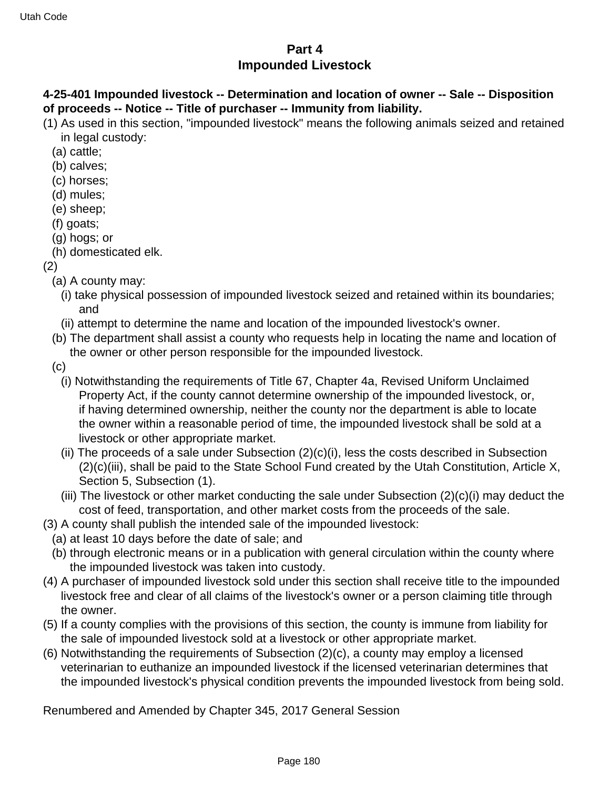## **Part 4 Impounded Livestock**

## **4-25-401 Impounded livestock -- Determination and location of owner -- Sale -- Disposition of proceeds -- Notice -- Title of purchaser -- Immunity from liability.**

(1) As used in this section, "impounded livestock" means the following animals seized and retained in legal custody:

- (a) cattle;
- (b) calves;
- (c) horses;
- (d) mules;
- (e) sheep;
- (f) goats;
- (g) hogs; or
- (h) domesticated elk.

(2)

- (a) A county may:
	- (i) take physical possession of impounded livestock seized and retained within its boundaries; and
	- (ii) attempt to determine the name and location of the impounded livestock's owner.
- (b) The department shall assist a county who requests help in locating the name and location of the owner or other person responsible for the impounded livestock.
- (c)
	- (i) Notwithstanding the requirements of Title 67, Chapter 4a, Revised Uniform Unclaimed Property Act, if the county cannot determine ownership of the impounded livestock, or, if having determined ownership, neither the county nor the department is able to locate the owner within a reasonable period of time, the impounded livestock shall be sold at a livestock or other appropriate market.
	- (ii) The proceeds of a sale under Subsection  $(2)(c)(i)$ , less the costs described in Subsection (2)(c)(iii), shall be paid to the State School Fund created by the Utah Constitution, Article X, Section 5, Subsection (1).
	- (iii) The livestock or other market conducting the sale under Subsection (2)(c)(i) may deduct the cost of feed, transportation, and other market costs from the proceeds of the sale.
- (3) A county shall publish the intended sale of the impounded livestock:
- (a) at least 10 days before the date of sale; and
- (b) through electronic means or in a publication with general circulation within the county where the impounded livestock was taken into custody.
- (4) A purchaser of impounded livestock sold under this section shall receive title to the impounded livestock free and clear of all claims of the livestock's owner or a person claiming title through the owner.
- (5) If a county complies with the provisions of this section, the county is immune from liability for the sale of impounded livestock sold at a livestock or other appropriate market.
- (6) Notwithstanding the requirements of Subsection (2)(c), a county may employ a licensed veterinarian to euthanize an impounded livestock if the licensed veterinarian determines that the impounded livestock's physical condition prevents the impounded livestock from being sold.

Renumbered and Amended by Chapter 345, 2017 General Session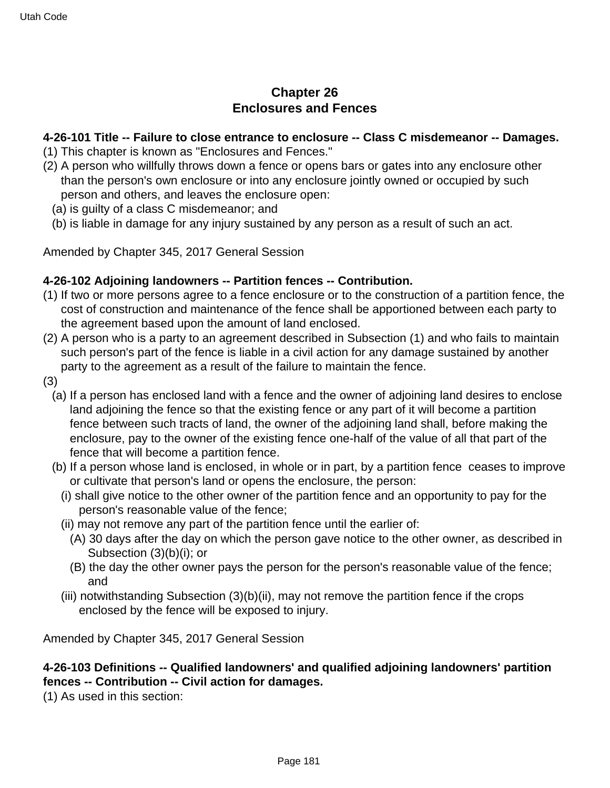# **Chapter 26 Enclosures and Fences**

#### **4-26-101 Title -- Failure to close entrance to enclosure -- Class C misdemeanor -- Damages.**

- (1) This chapter is known as "Enclosures and Fences."
- (2) A person who willfully throws down a fence or opens bars or gates into any enclosure other than the person's own enclosure or into any enclosure jointly owned or occupied by such person and others, and leaves the enclosure open:
	- (a) is guilty of a class C misdemeanor; and
	- (b) is liable in damage for any injury sustained by any person as a result of such an act.

Amended by Chapter 345, 2017 General Session

#### **4-26-102 Adjoining landowners -- Partition fences -- Contribution.**

- (1) If two or more persons agree to a fence enclosure or to the construction of a partition fence, the cost of construction and maintenance of the fence shall be apportioned between each party to the agreement based upon the amount of land enclosed.
- (2) A person who is a party to an agreement described in Subsection (1) and who fails to maintain such person's part of the fence is liable in a civil action for any damage sustained by another party to the agreement as a result of the failure to maintain the fence.
- (3)
	- (a) If a person has enclosed land with a fence and the owner of adjoining land desires to enclose land adjoining the fence so that the existing fence or any part of it will become a partition fence between such tracts of land, the owner of the adjoining land shall, before making the enclosure, pay to the owner of the existing fence one-half of the value of all that part of the fence that will become a partition fence.
	- (b) If a person whose land is enclosed, in whole or in part, by a partition fence ceases to improve or cultivate that person's land or opens the enclosure, the person:
		- (i) shall give notice to the other owner of the partition fence and an opportunity to pay for the person's reasonable value of the fence;
		- (ii) may not remove any part of the partition fence until the earlier of:
			- (A) 30 days after the day on which the person gave notice to the other owner, as described in Subsection (3)(b)(i); or
			- (B) the day the other owner pays the person for the person's reasonable value of the fence; and
		- (iii) notwithstanding Subsection (3)(b)(ii), may not remove the partition fence if the crops enclosed by the fence will be exposed to injury.

Amended by Chapter 345, 2017 General Session

#### **4-26-103 Definitions -- Qualified landowners' and qualified adjoining landowners' partition fences -- Contribution -- Civil action for damages.**

(1) As used in this section: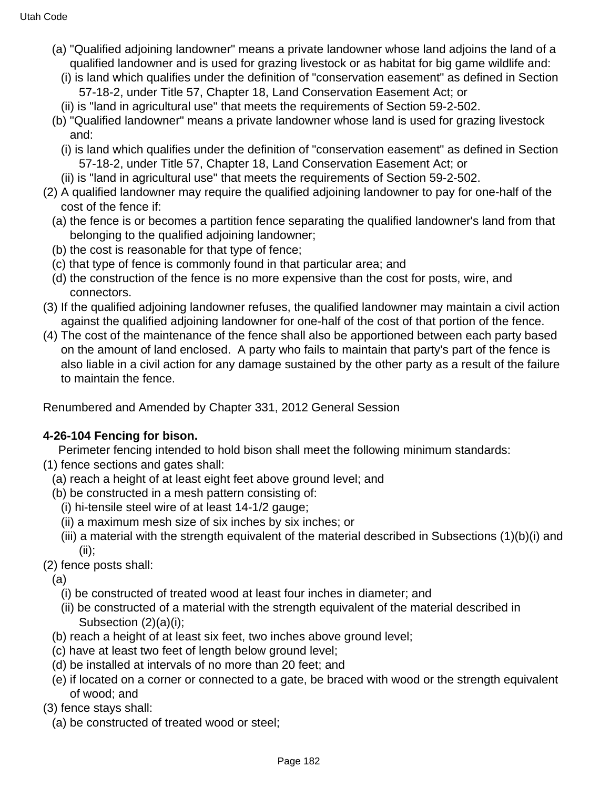- (a) "Qualified adjoining landowner" means a private landowner whose land adjoins the land of a qualified landowner and is used for grazing livestock or as habitat for big game wildlife and:
	- (i) is land which qualifies under the definition of "conservation easement" as defined in Section 57-18-2, under Title 57, Chapter 18, Land Conservation Easement Act; or
	- (ii) is "land in agricultural use" that meets the requirements of Section 59-2-502.
- (b) "Qualified landowner" means a private landowner whose land is used for grazing livestock and:
	- (i) is land which qualifies under the definition of "conservation easement" as defined in Section 57-18-2, under Title 57, Chapter 18, Land Conservation Easement Act; or
- (ii) is "land in agricultural use" that meets the requirements of Section 59-2-502.
- (2) A qualified landowner may require the qualified adjoining landowner to pay for one-half of the cost of the fence if:
	- (a) the fence is or becomes a partition fence separating the qualified landowner's land from that belonging to the qualified adjoining landowner;
	- (b) the cost is reasonable for that type of fence;
	- (c) that type of fence is commonly found in that particular area; and
	- (d) the construction of the fence is no more expensive than the cost for posts, wire, and connectors.
- (3) If the qualified adjoining landowner refuses, the qualified landowner may maintain a civil action against the qualified adjoining landowner for one-half of the cost of that portion of the fence.
- (4) The cost of the maintenance of the fence shall also be apportioned between each party based on the amount of land enclosed. A party who fails to maintain that party's part of the fence is also liable in a civil action for any damage sustained by the other party as a result of the failure to maintain the fence.

### **4-26-104 Fencing for bison.**

Perimeter fencing intended to hold bison shall meet the following minimum standards:

- (1) fence sections and gates shall:
	- (a) reach a height of at least eight feet above ground level; and
	- (b) be constructed in a mesh pattern consisting of:
		- (i) hi-tensile steel wire of at least 14-1/2 gauge;
		- (ii) a maximum mesh size of six inches by six inches; or
		- (iii) a material with the strength equivalent of the material described in Subsections (1)(b)(i) and (ii);
- (2) fence posts shall:
	- (a)
		- (i) be constructed of treated wood at least four inches in diameter; and
		- (ii) be constructed of a material with the strength equivalent of the material described in Subsection (2)(a)(i);
	- (b) reach a height of at least six feet, two inches above ground level;
	- (c) have at least two feet of length below ground level;
	- (d) be installed at intervals of no more than 20 feet; and
	- (e) if located on a corner or connected to a gate, be braced with wood or the strength equivalent of wood; and
- (3) fence stays shall:
	- (a) be constructed of treated wood or steel;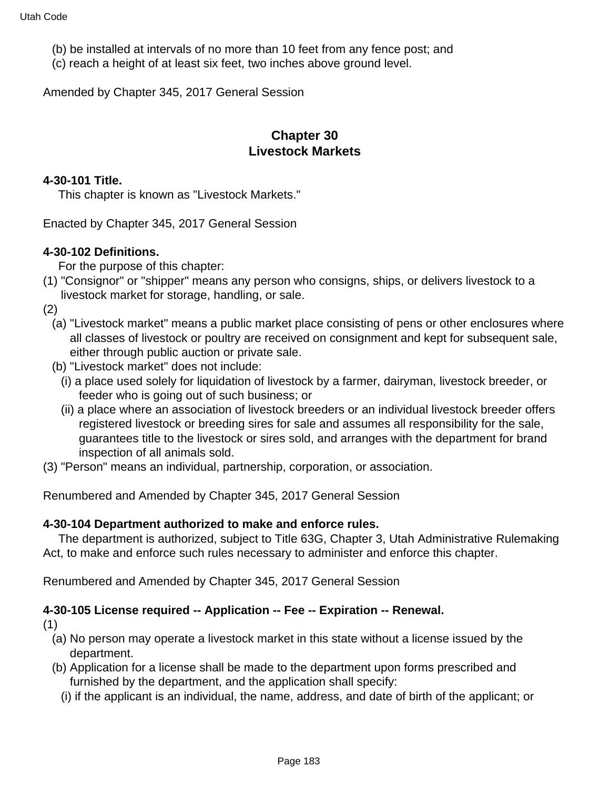- (b) be installed at intervals of no more than 10 feet from any fence post; and
- (c) reach a height of at least six feet, two inches above ground level.

Amended by Chapter 345, 2017 General Session

### **Chapter 30 Livestock Markets**

#### **4-30-101 Title.**

This chapter is known as "Livestock Markets."

Enacted by Chapter 345, 2017 General Session

#### **4-30-102 Definitions.**

For the purpose of this chapter:

(1) "Consignor" or "shipper" means any person who consigns, ships, or delivers livestock to a livestock market for storage, handling, or sale.

(2)

- (a) "Livestock market" means a public market place consisting of pens or other enclosures where all classes of livestock or poultry are received on consignment and kept for subsequent sale, either through public auction or private sale.
- (b) "Livestock market" does not include:
	- (i) a place used solely for liquidation of livestock by a farmer, dairyman, livestock breeder, or feeder who is going out of such business; or
	- (ii) a place where an association of livestock breeders or an individual livestock breeder offers registered livestock or breeding sires for sale and assumes all responsibility for the sale, guarantees title to the livestock or sires sold, and arranges with the department for brand inspection of all animals sold.
- (3) "Person" means an individual, partnership, corporation, or association.

Renumbered and Amended by Chapter 345, 2017 General Session

#### **4-30-104 Department authorized to make and enforce rules.**

 The department is authorized, subject to Title 63G, Chapter 3, Utah Administrative Rulemaking Act, to make and enforce such rules necessary to administer and enforce this chapter.

Renumbered and Amended by Chapter 345, 2017 General Session

### **4-30-105 License required -- Application -- Fee -- Expiration -- Renewal.**

(1)

- (a) No person may operate a livestock market in this state without a license issued by the department.
- (b) Application for a license shall be made to the department upon forms prescribed and furnished by the department, and the application shall specify:
	- (i) if the applicant is an individual, the name, address, and date of birth of the applicant; or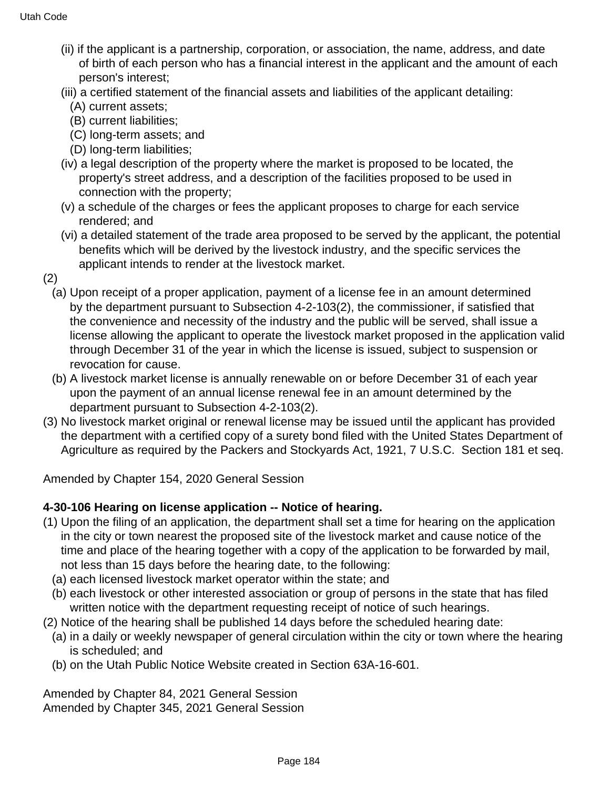- (ii) if the applicant is a partnership, corporation, or association, the name, address, and date of birth of each person who has a financial interest in the applicant and the amount of each person's interest;
- (iii) a certified statement of the financial assets and liabilities of the applicant detailing:
	- (A) current assets;
	- (B) current liabilities;
	- (C) long-term assets; and
	- (D) long-term liabilities;
- (iv) a legal description of the property where the market is proposed to be located, the property's street address, and a description of the facilities proposed to be used in connection with the property;
- (v) a schedule of the charges or fees the applicant proposes to charge for each service rendered; and
- (vi) a detailed statement of the trade area proposed to be served by the applicant, the potential benefits which will be derived by the livestock industry, and the specific services the applicant intends to render at the livestock market.
- (2)
	- (a) Upon receipt of a proper application, payment of a license fee in an amount determined by the department pursuant to Subsection 4-2-103(2), the commissioner, if satisfied that the convenience and necessity of the industry and the public will be served, shall issue a license allowing the applicant to operate the livestock market proposed in the application valid through December 31 of the year in which the license is issued, subject to suspension or revocation for cause.
	- (b) A livestock market license is annually renewable on or before December 31 of each year upon the payment of an annual license renewal fee in an amount determined by the department pursuant to Subsection 4-2-103(2).
- (3) No livestock market original or renewal license may be issued until the applicant has provided the department with a certified copy of a surety bond filed with the United States Department of Agriculture as required by the Packers and Stockyards Act, 1921, 7 U.S.C. Section 181 et seq.

Amended by Chapter 154, 2020 General Session

#### **4-30-106 Hearing on license application -- Notice of hearing.**

- (1) Upon the filing of an application, the department shall set a time for hearing on the application in the city or town nearest the proposed site of the livestock market and cause notice of the time and place of the hearing together with a copy of the application to be forwarded by mail, not less than 15 days before the hearing date, to the following:
	- (a) each licensed livestock market operator within the state; and
	- (b) each livestock or other interested association or group of persons in the state that has filed written notice with the department requesting receipt of notice of such hearings.
- (2) Notice of the hearing shall be published 14 days before the scheduled hearing date:
	- (a) in a daily or weekly newspaper of general circulation within the city or town where the hearing is scheduled; and
	- (b) on the Utah Public Notice Website created in Section 63A-16-601.

Amended by Chapter 84, 2021 General Session Amended by Chapter 345, 2021 General Session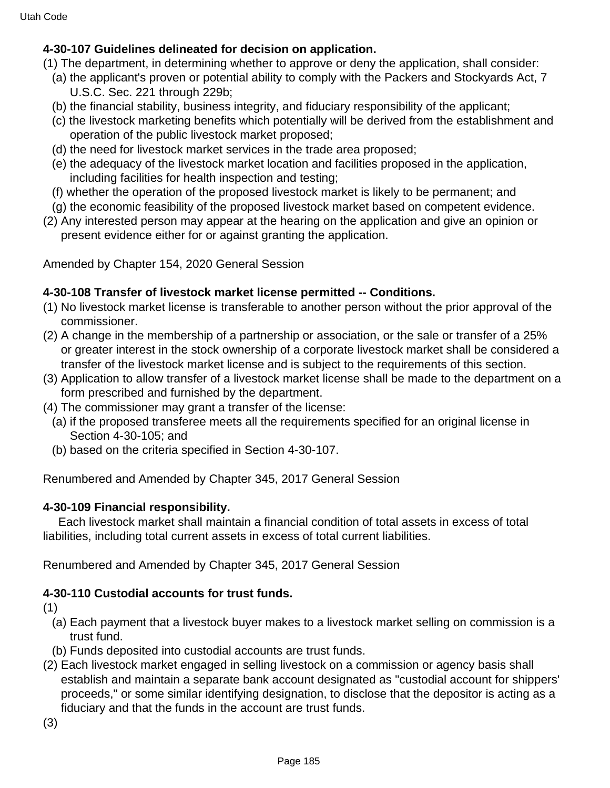### **4-30-107 Guidelines delineated for decision on application.**

- (1) The department, in determining whether to approve or deny the application, shall consider:
	- (a) the applicant's proven or potential ability to comply with the Packers and Stockyards Act, 7 U.S.C. Sec. 221 through 229b;
	- (b) the financial stability, business integrity, and fiduciary responsibility of the applicant;
	- (c) the livestock marketing benefits which potentially will be derived from the establishment and operation of the public livestock market proposed;
	- (d) the need for livestock market services in the trade area proposed;
	- (e) the adequacy of the livestock market location and facilities proposed in the application, including facilities for health inspection and testing;
	- (f) whether the operation of the proposed livestock market is likely to be permanent; and
	- (g) the economic feasibility of the proposed livestock market based on competent evidence.
- (2) Any interested person may appear at the hearing on the application and give an opinion or present evidence either for or against granting the application.

Amended by Chapter 154, 2020 General Session

### **4-30-108 Transfer of livestock market license permitted -- Conditions.**

- (1) No livestock market license is transferable to another person without the prior approval of the commissioner.
- (2) A change in the membership of a partnership or association, or the sale or transfer of a 25% or greater interest in the stock ownership of a corporate livestock market shall be considered a transfer of the livestock market license and is subject to the requirements of this section.
- (3) Application to allow transfer of a livestock market license shall be made to the department on a form prescribed and furnished by the department.
- (4) The commissioner may grant a transfer of the license:
	- (a) if the proposed transferee meets all the requirements specified for an original license in Section 4-30-105; and
	- (b) based on the criteria specified in Section 4-30-107.

Renumbered and Amended by Chapter 345, 2017 General Session

### **4-30-109 Financial responsibility.**

 Each livestock market shall maintain a financial condition of total assets in excess of total liabilities, including total current assets in excess of total current liabilities.

Renumbered and Amended by Chapter 345, 2017 General Session

# **4-30-110 Custodial accounts for trust funds.**

- (1)
	- (a) Each payment that a livestock buyer makes to a livestock market selling on commission is a trust fund.
	- (b) Funds deposited into custodial accounts are trust funds.
- (2) Each livestock market engaged in selling livestock on a commission or agency basis shall establish and maintain a separate bank account designated as "custodial account for shippers' proceeds," or some similar identifying designation, to disclose that the depositor is acting as a fiduciary and that the funds in the account are trust funds.
- (3)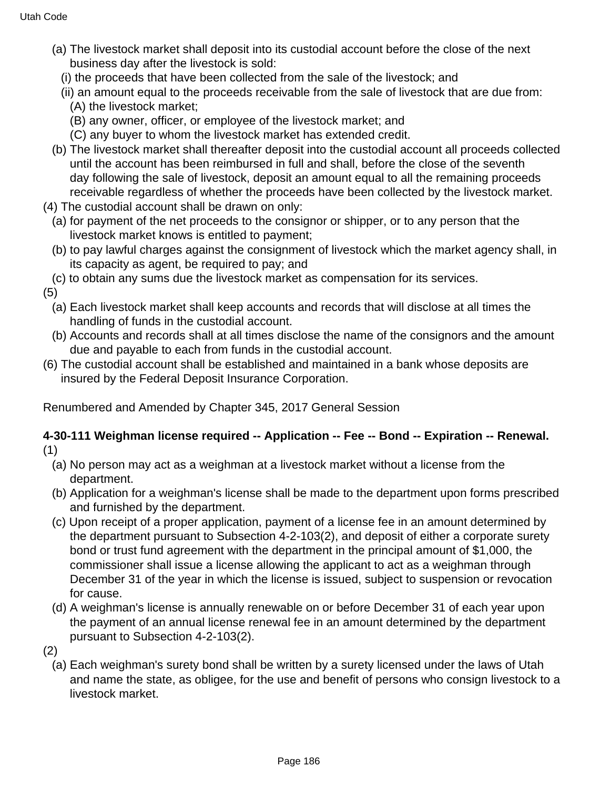- (a) The livestock market shall deposit into its custodial account before the close of the next business day after the livestock is sold:
	- (i) the proceeds that have been collected from the sale of the livestock; and
	- (ii) an amount equal to the proceeds receivable from the sale of livestock that are due from:
		- (A) the livestock market;
		- (B) any owner, officer, or employee of the livestock market; and
		- (C) any buyer to whom the livestock market has extended credit.
- (b) The livestock market shall thereafter deposit into the custodial account all proceeds collected until the account has been reimbursed in full and shall, before the close of the seventh day following the sale of livestock, deposit an amount equal to all the remaining proceeds receivable regardless of whether the proceeds have been collected by the livestock market.
- (4) The custodial account shall be drawn on only:
	- (a) for payment of the net proceeds to the consignor or shipper, or to any person that the livestock market knows is entitled to payment;
	- (b) to pay lawful charges against the consignment of livestock which the market agency shall, in its capacity as agent, be required to pay; and
- (c) to obtain any sums due the livestock market as compensation for its services.

(5)

- (a) Each livestock market shall keep accounts and records that will disclose at all times the handling of funds in the custodial account.
- (b) Accounts and records shall at all times disclose the name of the consignors and the amount due and payable to each from funds in the custodial account.
- (6) The custodial account shall be established and maintained in a bank whose deposits are insured by the Federal Deposit Insurance Corporation.

Renumbered and Amended by Chapter 345, 2017 General Session

### **4-30-111 Weighman license required -- Application -- Fee -- Bond -- Expiration -- Renewal.** (1)

- (a) No person may act as a weighman at a livestock market without a license from the department.
- (b) Application for a weighman's license shall be made to the department upon forms prescribed and furnished by the department.
- (c) Upon receipt of a proper application, payment of a license fee in an amount determined by the department pursuant to Subsection 4-2-103(2), and deposit of either a corporate surety bond or trust fund agreement with the department in the principal amount of \$1,000, the commissioner shall issue a license allowing the applicant to act as a weighman through December 31 of the year in which the license is issued, subject to suspension or revocation for cause.
- (d) A weighman's license is annually renewable on or before December 31 of each year upon the payment of an annual license renewal fee in an amount determined by the department pursuant to Subsection 4-2-103(2).

(2)

(a) Each weighman's surety bond shall be written by a surety licensed under the laws of Utah and name the state, as obligee, for the use and benefit of persons who consign livestock to a livestock market.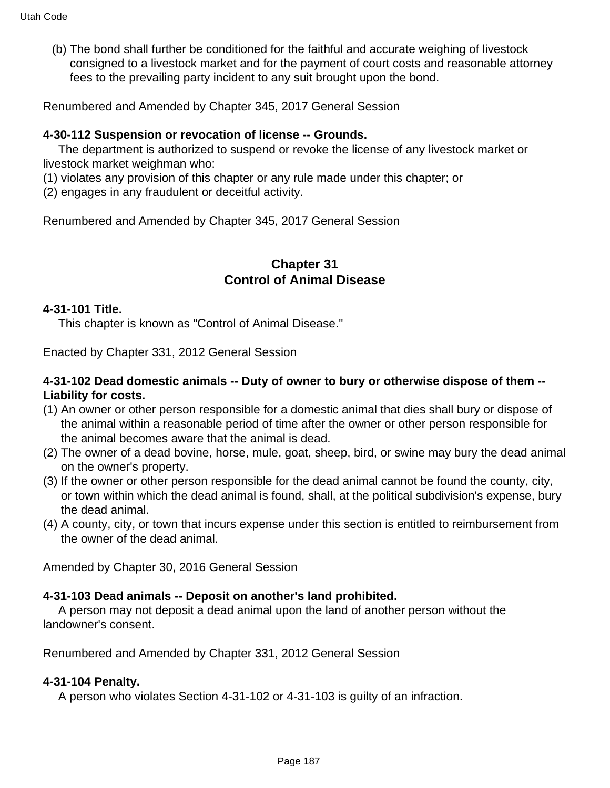(b) The bond shall further be conditioned for the faithful and accurate weighing of livestock consigned to a livestock market and for the payment of court costs and reasonable attorney fees to the prevailing party incident to any suit brought upon the bond.

Renumbered and Amended by Chapter 345, 2017 General Session

#### **4-30-112 Suspension or revocation of license -- Grounds.**

 The department is authorized to suspend or revoke the license of any livestock market or livestock market weighman who:

(1) violates any provision of this chapter or any rule made under this chapter; or

(2) engages in any fraudulent or deceitful activity.

Renumbered and Amended by Chapter 345, 2017 General Session

### **Chapter 31 Control of Animal Disease**

#### **4-31-101 Title.**

This chapter is known as "Control of Animal Disease."

Enacted by Chapter 331, 2012 General Session

#### **4-31-102 Dead domestic animals -- Duty of owner to bury or otherwise dispose of them -- Liability for costs.**

- (1) An owner or other person responsible for a domestic animal that dies shall bury or dispose of the animal within a reasonable period of time after the owner or other person responsible for the animal becomes aware that the animal is dead.
- (2) The owner of a dead bovine, horse, mule, goat, sheep, bird, or swine may bury the dead animal on the owner's property.
- (3) If the owner or other person responsible for the dead animal cannot be found the county, city, or town within which the dead animal is found, shall, at the political subdivision's expense, bury the dead animal.
- (4) A county, city, or town that incurs expense under this section is entitled to reimbursement from the owner of the dead animal.

Amended by Chapter 30, 2016 General Session

#### **4-31-103 Dead animals -- Deposit on another's land prohibited.**

 A person may not deposit a dead animal upon the land of another person without the landowner's consent.

Renumbered and Amended by Chapter 331, 2012 General Session

#### **4-31-104 Penalty.**

A person who violates Section 4-31-102 or 4-31-103 is guilty of an infraction.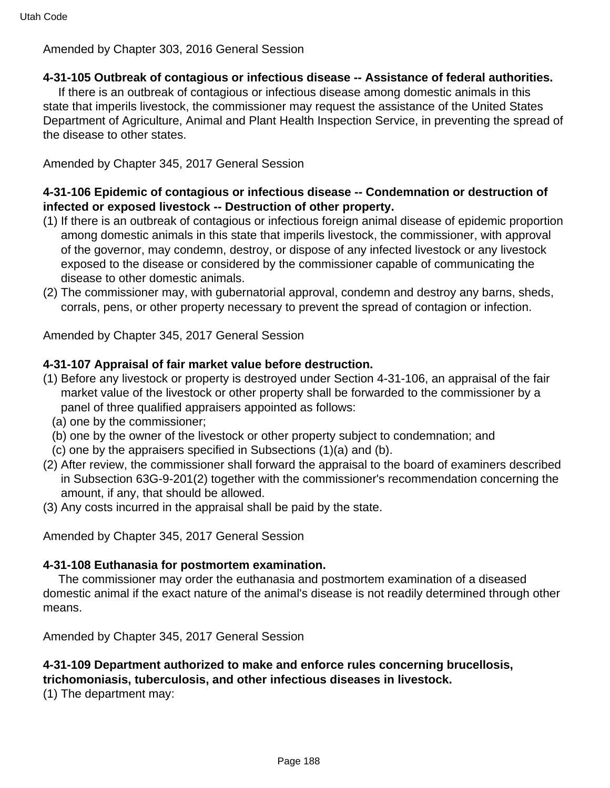Amended by Chapter 303, 2016 General Session

### **4-31-105 Outbreak of contagious or infectious disease -- Assistance of federal authorities.**

 If there is an outbreak of contagious or infectious disease among domestic animals in this state that imperils livestock, the commissioner may request the assistance of the United States Department of Agriculture, Animal and Plant Health Inspection Service, in preventing the spread of the disease to other states.

Amended by Chapter 345, 2017 General Session

### **4-31-106 Epidemic of contagious or infectious disease -- Condemnation or destruction of infected or exposed livestock -- Destruction of other property.**

- (1) If there is an outbreak of contagious or infectious foreign animal disease of epidemic proportion among domestic animals in this state that imperils livestock, the commissioner, with approval of the governor, may condemn, destroy, or dispose of any infected livestock or any livestock exposed to the disease or considered by the commissioner capable of communicating the disease to other domestic animals.
- (2) The commissioner may, with gubernatorial approval, condemn and destroy any barns, sheds, corrals, pens, or other property necessary to prevent the spread of contagion or infection.

Amended by Chapter 345, 2017 General Session

### **4-31-107 Appraisal of fair market value before destruction.**

- (1) Before any livestock or property is destroyed under Section 4-31-106, an appraisal of the fair market value of the livestock or other property shall be forwarded to the commissioner by a panel of three qualified appraisers appointed as follows:
	- (a) one by the commissioner;
	- (b) one by the owner of the livestock or other property subject to condemnation; and
	- (c) one by the appraisers specified in Subsections (1)(a) and (b).
- (2) After review, the commissioner shall forward the appraisal to the board of examiners described in Subsection 63G-9-201(2) together with the commissioner's recommendation concerning the amount, if any, that should be allowed.
- (3) Any costs incurred in the appraisal shall be paid by the state.

Amended by Chapter 345, 2017 General Session

### **4-31-108 Euthanasia for postmortem examination.**

 The commissioner may order the euthanasia and postmortem examination of a diseased domestic animal if the exact nature of the animal's disease is not readily determined through other means.

Amended by Chapter 345, 2017 General Session

# **4-31-109 Department authorized to make and enforce rules concerning brucellosis,**

**trichomoniasis, tuberculosis, and other infectious diseases in livestock.**

(1) The department may: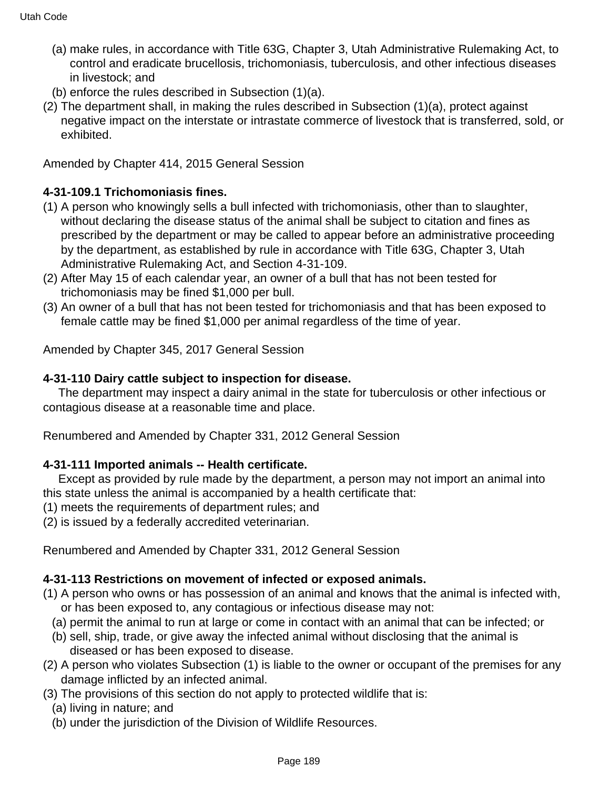- (a) make rules, in accordance with Title 63G, Chapter 3, Utah Administrative Rulemaking Act, to control and eradicate brucellosis, trichomoniasis, tuberculosis, and other infectious diseases in livestock; and
- (b) enforce the rules described in Subsection (1)(a).
- (2) The department shall, in making the rules described in Subsection (1)(a), protect against negative impact on the interstate or intrastate commerce of livestock that is transferred, sold, or exhibited.

Amended by Chapter 414, 2015 General Session

### **4-31-109.1 Trichomoniasis fines.**

- (1) A person who knowingly sells a bull infected with trichomoniasis, other than to slaughter, without declaring the disease status of the animal shall be subject to citation and fines as prescribed by the department or may be called to appear before an administrative proceeding by the department, as established by rule in accordance with Title 63G, Chapter 3, Utah Administrative Rulemaking Act, and Section 4-31-109.
- (2) After May 15 of each calendar year, an owner of a bull that has not been tested for trichomoniasis may be fined \$1,000 per bull.
- (3) An owner of a bull that has not been tested for trichomoniasis and that has been exposed to female cattle may be fined \$1,000 per animal regardless of the time of year.

Amended by Chapter 345, 2017 General Session

#### **4-31-110 Dairy cattle subject to inspection for disease.**

 The department may inspect a dairy animal in the state for tuberculosis or other infectious or contagious disease at a reasonable time and place.

Renumbered and Amended by Chapter 331, 2012 General Session

#### **4-31-111 Imported animals -- Health certificate.**

 Except as provided by rule made by the department, a person may not import an animal into this state unless the animal is accompanied by a health certificate that:

(1) meets the requirements of department rules; and

(2) is issued by a federally accredited veterinarian.

Renumbered and Amended by Chapter 331, 2012 General Session

#### **4-31-113 Restrictions on movement of infected or exposed animals.**

- (1) A person who owns or has possession of an animal and knows that the animal is infected with, or has been exposed to, any contagious or infectious disease may not:
	- (a) permit the animal to run at large or come in contact with an animal that can be infected; or
	- (b) sell, ship, trade, or give away the infected animal without disclosing that the animal is diseased or has been exposed to disease.
- (2) A person who violates Subsection (1) is liable to the owner or occupant of the premises for any damage inflicted by an infected animal.
- (3) The provisions of this section do not apply to protected wildlife that is:
	- (a) living in nature; and
	- (b) under the jurisdiction of the Division of Wildlife Resources.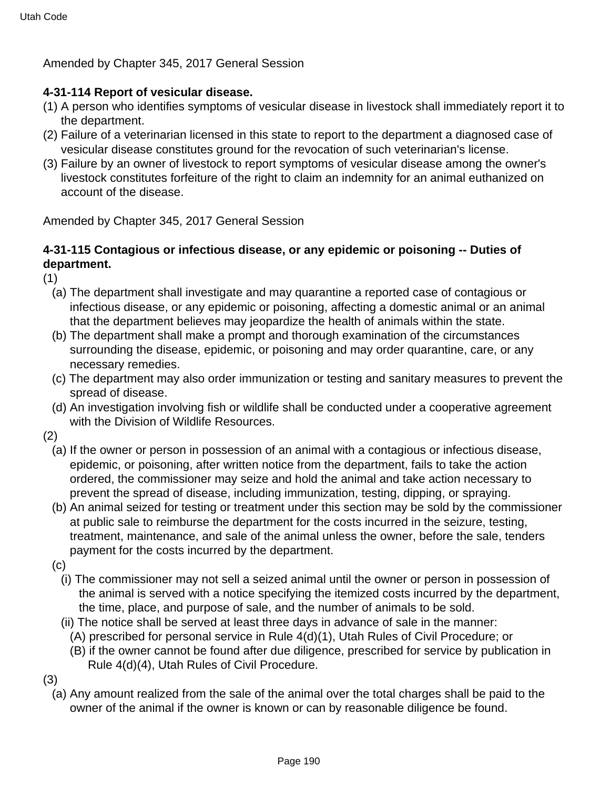Amended by Chapter 345, 2017 General Session

#### **4-31-114 Report of vesicular disease.**

- (1) A person who identifies symptoms of vesicular disease in livestock shall immediately report it to the department.
- (2) Failure of a veterinarian licensed in this state to report to the department a diagnosed case of vesicular disease constitutes ground for the revocation of such veterinarian's license.
- (3) Failure by an owner of livestock to report symptoms of vesicular disease among the owner's livestock constitutes forfeiture of the right to claim an indemnity for an animal euthanized on account of the disease.

Amended by Chapter 345, 2017 General Session

### **4-31-115 Contagious or infectious disease, or any epidemic or poisoning -- Duties of department.**

(1)

- (a) The department shall investigate and may quarantine a reported case of contagious or infectious disease, or any epidemic or poisoning, affecting a domestic animal or an animal that the department believes may jeopardize the health of animals within the state.
- (b) The department shall make a prompt and thorough examination of the circumstances surrounding the disease, epidemic, or poisoning and may order quarantine, care, or any necessary remedies.
- (c) The department may also order immunization or testing and sanitary measures to prevent the spread of disease.
- (d) An investigation involving fish or wildlife shall be conducted under a cooperative agreement with the Division of Wildlife Resources.
- (2)
	- (a) If the owner or person in possession of an animal with a contagious or infectious disease, epidemic, or poisoning, after written notice from the department, fails to take the action ordered, the commissioner may seize and hold the animal and take action necessary to prevent the spread of disease, including immunization, testing, dipping, or spraying.
	- (b) An animal seized for testing or treatment under this section may be sold by the commissioner at public sale to reimburse the department for the costs incurred in the seizure, testing, treatment, maintenance, and sale of the animal unless the owner, before the sale, tenders payment for the costs incurred by the department.
	- $(c)$ 
		- (i) The commissioner may not sell a seized animal until the owner or person in possession of the animal is served with a notice specifying the itemized costs incurred by the department, the time, place, and purpose of sale, and the number of animals to be sold.
		- (ii) The notice shall be served at least three days in advance of sale in the manner:
			- (A) prescribed for personal service in Rule 4(d)(1), Utah Rules of Civil Procedure; or
			- (B) if the owner cannot be found after due diligence, prescribed for service by publication in Rule 4(d)(4), Utah Rules of Civil Procedure.
- (3)
	- (a) Any amount realized from the sale of the animal over the total charges shall be paid to the owner of the animal if the owner is known or can by reasonable diligence be found.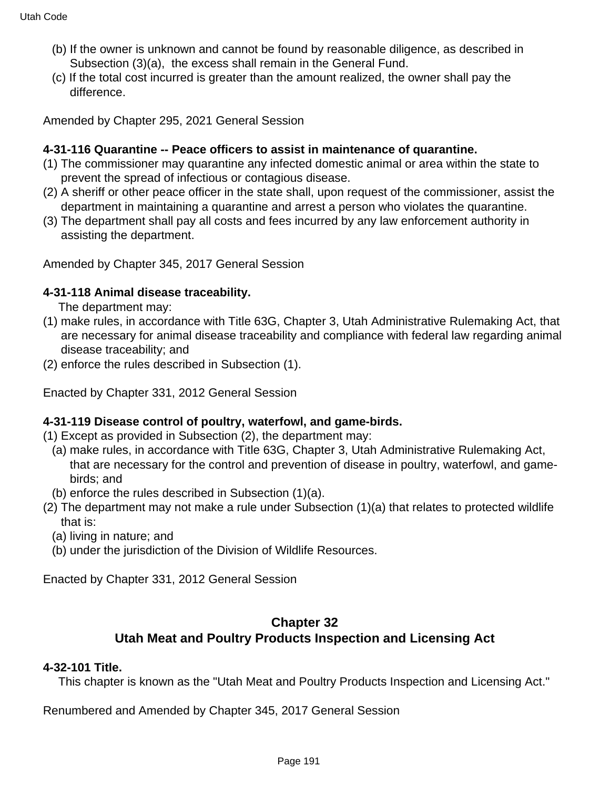- (b) If the owner is unknown and cannot be found by reasonable diligence, as described in Subsection (3)(a), the excess shall remain in the General Fund.
- (c) If the total cost incurred is greater than the amount realized, the owner shall pay the difference.

Amended by Chapter 295, 2021 General Session

#### **4-31-116 Quarantine -- Peace officers to assist in maintenance of quarantine.**

- (1) The commissioner may quarantine any infected domestic animal or area within the state to prevent the spread of infectious or contagious disease.
- (2) A sheriff or other peace officer in the state shall, upon request of the commissioner, assist the department in maintaining a quarantine and arrest a person who violates the quarantine.
- (3) The department shall pay all costs and fees incurred by any law enforcement authority in assisting the department.

Amended by Chapter 345, 2017 General Session

#### **4-31-118 Animal disease traceability.**

The department may:

- (1) make rules, in accordance with Title 63G, Chapter 3, Utah Administrative Rulemaking Act, that are necessary for animal disease traceability and compliance with federal law regarding animal disease traceability; and
- (2) enforce the rules described in Subsection (1).

Enacted by Chapter 331, 2012 General Session

#### **4-31-119 Disease control of poultry, waterfowl, and game-birds.**

- (1) Except as provided in Subsection (2), the department may:
	- (a) make rules, in accordance with Title 63G, Chapter 3, Utah Administrative Rulemaking Act, that are necessary for the control and prevention of disease in poultry, waterfowl, and gamebirds; and
- (b) enforce the rules described in Subsection (1)(a).
- (2) The department may not make a rule under Subsection (1)(a) that relates to protected wildlife that is:
	- (a) living in nature; and
	- (b) under the jurisdiction of the Division of Wildlife Resources.

Enacted by Chapter 331, 2012 General Session

### **Chapter 32 Utah Meat and Poultry Products Inspection and Licensing Act**

#### **4-32-101 Title.**

This chapter is known as the "Utah Meat and Poultry Products Inspection and Licensing Act."

Renumbered and Amended by Chapter 345, 2017 General Session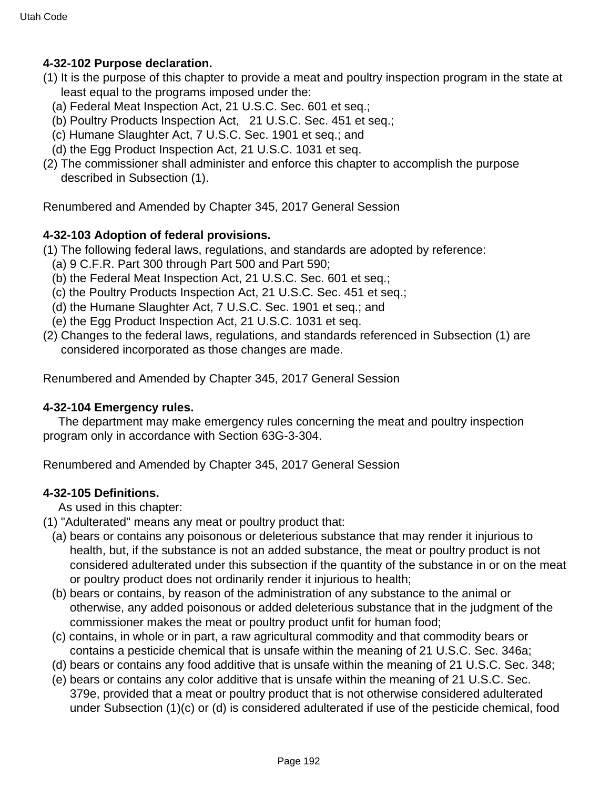### **4-32-102 Purpose declaration.**

- (1) It is the purpose of this chapter to provide a meat and poultry inspection program in the state at least equal to the programs imposed under the:
	- (a) Federal Meat Inspection Act, 21 U.S.C. Sec. 601 et seq.;
	- (b) Poultry Products Inspection Act, 21 U.S.C. Sec. 451 et seq.;
	- (c) Humane Slaughter Act, 7 U.S.C. Sec. 1901 et seq.; and
	- (d) the Egg Product Inspection Act, 21 U.S.C. 1031 et seq.
- (2) The commissioner shall administer and enforce this chapter to accomplish the purpose described in Subsection (1).

Renumbered and Amended by Chapter 345, 2017 General Session

### **4-32-103 Adoption of federal provisions.**

- (1) The following federal laws, regulations, and standards are adopted by reference:
	- (a) 9 C.F.R. Part 300 through Part 500 and Part 590;
	- (b) the Federal Meat Inspection Act, 21 U.S.C. Sec. 601 et seq.;
	- (c) the Poultry Products Inspection Act, 21 U.S.C. Sec. 451 et seq.;
	- (d) the Humane Slaughter Act, 7 U.S.C. Sec. 1901 et seq.; and
	- (e) the Egg Product Inspection Act, 21 U.S.C. 1031 et seq.
- (2) Changes to the federal laws, regulations, and standards referenced in Subsection (1) are considered incorporated as those changes are made.

Renumbered and Amended by Chapter 345, 2017 General Session

#### **4-32-104 Emergency rules.**

 The department may make emergency rules concerning the meat and poultry inspection program only in accordance with Section 63G-3-304.

Renumbered and Amended by Chapter 345, 2017 General Session

### **4-32-105 Definitions.**

As used in this chapter:

- (1) "Adulterated" means any meat or poultry product that:
	- (a) bears or contains any poisonous or deleterious substance that may render it injurious to health, but, if the substance is not an added substance, the meat or poultry product is not considered adulterated under this subsection if the quantity of the substance in or on the meat or poultry product does not ordinarily render it injurious to health;
	- (b) bears or contains, by reason of the administration of any substance to the animal or otherwise, any added poisonous or added deleterious substance that in the judgment of the commissioner makes the meat or poultry product unfit for human food;
	- (c) contains, in whole or in part, a raw agricultural commodity and that commodity bears or contains a pesticide chemical that is unsafe within the meaning of 21 U.S.C. Sec. 346a;
	- (d) bears or contains any food additive that is unsafe within the meaning of 21 U.S.C. Sec. 348;
	- (e) bears or contains any color additive that is unsafe within the meaning of 21 U.S.C. Sec. 379e, provided that a meat or poultry product that is not otherwise considered adulterated under Subsection (1)(c) or (d) is considered adulterated if use of the pesticide chemical, food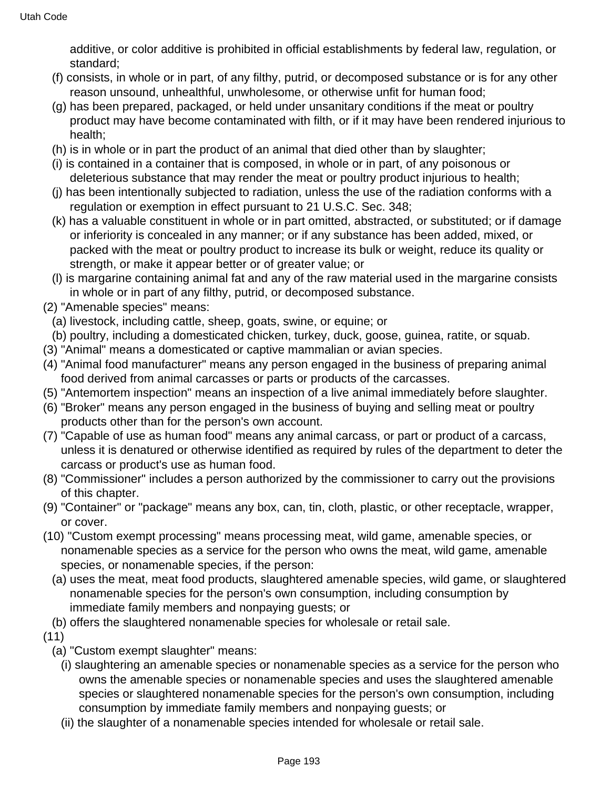additive, or color additive is prohibited in official establishments by federal law, regulation, or standard;

- (f) consists, in whole or in part, of any filthy, putrid, or decomposed substance or is for any other reason unsound, unhealthful, unwholesome, or otherwise unfit for human food;
- (g) has been prepared, packaged, or held under unsanitary conditions if the meat or poultry product may have become contaminated with filth, or if it may have been rendered injurious to health;
- (h) is in whole or in part the product of an animal that died other than by slaughter;
- (i) is contained in a container that is composed, in whole or in part, of any poisonous or deleterious substance that may render the meat or poultry product injurious to health;
- (j) has been intentionally subjected to radiation, unless the use of the radiation conforms with a regulation or exemption in effect pursuant to 21 U.S.C. Sec. 348;
- (k) has a valuable constituent in whole or in part omitted, abstracted, or substituted; or if damage or inferiority is concealed in any manner; or if any substance has been added, mixed, or packed with the meat or poultry product to increase its bulk or weight, reduce its quality or strength, or make it appear better or of greater value; or
- (l) is margarine containing animal fat and any of the raw material used in the margarine consists in whole or in part of any filthy, putrid, or decomposed substance.
- (2) "Amenable species" means:
	- (a) livestock, including cattle, sheep, goats, swine, or equine; or
	- (b) poultry, including a domesticated chicken, turkey, duck, goose, guinea, ratite, or squab.
- (3) "Animal" means a domesticated or captive mammalian or avian species.
- (4) "Animal food manufacturer" means any person engaged in the business of preparing animal food derived from animal carcasses or parts or products of the carcasses.
- (5) "Antemortem inspection" means an inspection of a live animal immediately before slaughter.
- (6) "Broker" means any person engaged in the business of buying and selling meat or poultry products other than for the person's own account.
- (7) "Capable of use as human food" means any animal carcass, or part or product of a carcass, unless it is denatured or otherwise identified as required by rules of the department to deter the carcass or product's use as human food.
- (8) "Commissioner" includes a person authorized by the commissioner to carry out the provisions of this chapter.
- (9) "Container" or "package" means any box, can, tin, cloth, plastic, or other receptacle, wrapper, or cover.
- (10) "Custom exempt processing" means processing meat, wild game, amenable species, or nonamenable species as a service for the person who owns the meat, wild game, amenable species, or nonamenable species, if the person:
	- (a) uses the meat, meat food products, slaughtered amenable species, wild game, or slaughtered nonamenable species for the person's own consumption, including consumption by immediate family members and nonpaying guests; or
- (b) offers the slaughtered nonamenable species for wholesale or retail sale.
- (11)
	- (a) "Custom exempt slaughter" means:
		- (i) slaughtering an amenable species or nonamenable species as a service for the person who owns the amenable species or nonamenable species and uses the slaughtered amenable species or slaughtered nonamenable species for the person's own consumption, including consumption by immediate family members and nonpaying guests; or
		- (ii) the slaughter of a nonamenable species intended for wholesale or retail sale.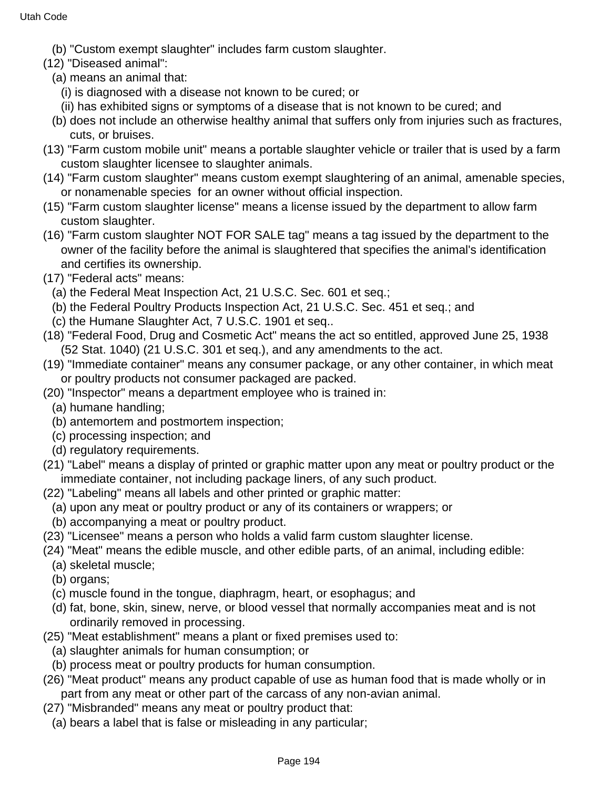- (b) "Custom exempt slaughter" includes farm custom slaughter.
- (12) "Diseased animal":
	- (a) means an animal that:
		- (i) is diagnosed with a disease not known to be cured; or
		- (ii) has exhibited signs or symptoms of a disease that is not known to be cured; and
	- (b) does not include an otherwise healthy animal that suffers only from injuries such as fractures, cuts, or bruises.
- (13) "Farm custom mobile unit" means a portable slaughter vehicle or trailer that is used by a farm custom slaughter licensee to slaughter animals.
- (14) "Farm custom slaughter" means custom exempt slaughtering of an animal, amenable species, or nonamenable species for an owner without official inspection.
- (15) "Farm custom slaughter license" means a license issued by the department to allow farm custom slaughter.
- (16) "Farm custom slaughter NOT FOR SALE tag" means a tag issued by the department to the owner of the facility before the animal is slaughtered that specifies the animal's identification and certifies its ownership.
- (17) "Federal acts" means:
	- (a) the Federal Meat Inspection Act, 21 U.S.C. Sec. 601 et seq.;
	- (b) the Federal Poultry Products Inspection Act, 21 U.S.C. Sec. 451 et seq.; and
	- (c) the Humane Slaughter Act, 7 U.S.C. 1901 et seq..
- (18) "Federal Food, Drug and Cosmetic Act" means the act so entitled, approved June 25, 1938 (52 Stat. 1040) (21 U.S.C. 301 et seq.), and any amendments to the act.
- (19) "Immediate container" means any consumer package, or any other container, in which meat or poultry products not consumer packaged are packed.
- (20) "Inspector" means a department employee who is trained in:
	- (a) humane handling;
	- (b) antemortem and postmortem inspection;
	- (c) processing inspection; and
	- (d) regulatory requirements.
- (21) "Label" means a display of printed or graphic matter upon any meat or poultry product or the immediate container, not including package liners, of any such product.
- (22) "Labeling" means all labels and other printed or graphic matter:
	- (a) upon any meat or poultry product or any of its containers or wrappers; or
	- (b) accompanying a meat or poultry product.
- (23) "Licensee" means a person who holds a valid farm custom slaughter license.
- (24) "Meat" means the edible muscle, and other edible parts, of an animal, including edible:
	- (a) skeletal muscle;
	- (b) organs;
	- (c) muscle found in the tongue, diaphragm, heart, or esophagus; and
	- (d) fat, bone, skin, sinew, nerve, or blood vessel that normally accompanies meat and is not ordinarily removed in processing.
- (25) "Meat establishment" means a plant or fixed premises used to:
	- (a) slaughter animals for human consumption; or
	- (b) process meat or poultry products for human consumption.
- (26) "Meat product" means any product capable of use as human food that is made wholly or in part from any meat or other part of the carcass of any non-avian animal.
- (27) "Misbranded" means any meat or poultry product that:
	- (a) bears a label that is false or misleading in any particular;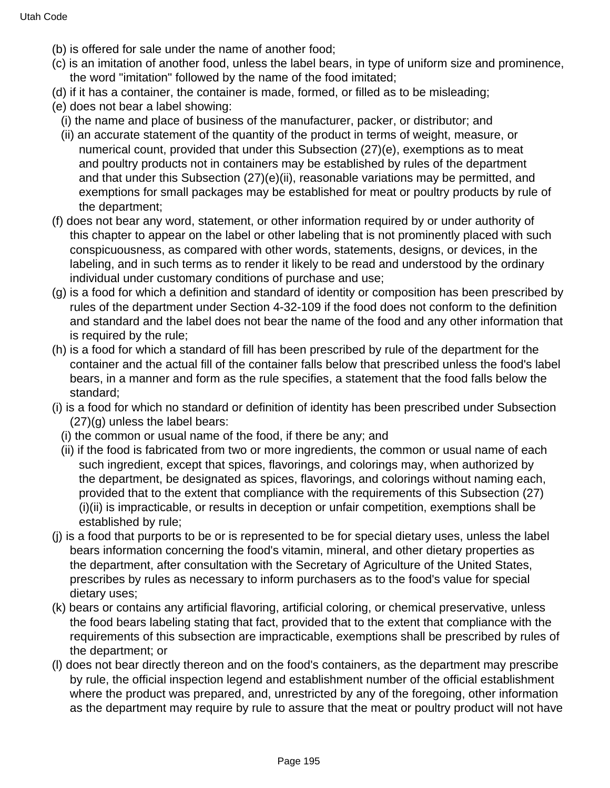- (b) is offered for sale under the name of another food;
- (c) is an imitation of another food, unless the label bears, in type of uniform size and prominence, the word "imitation" followed by the name of the food imitated;
- (d) if it has a container, the container is made, formed, or filled as to be misleading;
- (e) does not bear a label showing:
	- (i) the name and place of business of the manufacturer, packer, or distributor; and
	- (ii) an accurate statement of the quantity of the product in terms of weight, measure, or numerical count, provided that under this Subsection (27)(e), exemptions as to meat and poultry products not in containers may be established by rules of the department and that under this Subsection (27)(e)(ii), reasonable variations may be permitted, and exemptions for small packages may be established for meat or poultry products by rule of the department;
- (f) does not bear any word, statement, or other information required by or under authority of this chapter to appear on the label or other labeling that is not prominently placed with such conspicuousness, as compared with other words, statements, designs, or devices, in the labeling, and in such terms as to render it likely to be read and understood by the ordinary individual under customary conditions of purchase and use;
- (g) is a food for which a definition and standard of identity or composition has been prescribed by rules of the department under Section 4-32-109 if the food does not conform to the definition and standard and the label does not bear the name of the food and any other information that is required by the rule;
- (h) is a food for which a standard of fill has been prescribed by rule of the department for the container and the actual fill of the container falls below that prescribed unless the food's label bears, in a manner and form as the rule specifies, a statement that the food falls below the standard;
- (i) is a food for which no standard or definition of identity has been prescribed under Subsection (27)(g) unless the label bears:
	- (i) the common or usual name of the food, if there be any; and
	- (ii) if the food is fabricated from two or more ingredients, the common or usual name of each such ingredient, except that spices, flavorings, and colorings may, when authorized by the department, be designated as spices, flavorings, and colorings without naming each, provided that to the extent that compliance with the requirements of this Subsection (27) (i)(ii) is impracticable, or results in deception or unfair competition, exemptions shall be established by rule;
- (j) is a food that purports to be or is represented to be for special dietary uses, unless the label bears information concerning the food's vitamin, mineral, and other dietary properties as the department, after consultation with the Secretary of Agriculture of the United States, prescribes by rules as necessary to inform purchasers as to the food's value for special dietary uses;
- (k) bears or contains any artificial flavoring, artificial coloring, or chemical preservative, unless the food bears labeling stating that fact, provided that to the extent that compliance with the requirements of this subsection are impracticable, exemptions shall be prescribed by rules of the department; or
- (l) does not bear directly thereon and on the food's containers, as the department may prescribe by rule, the official inspection legend and establishment number of the official establishment where the product was prepared, and, unrestricted by any of the foregoing, other information as the department may require by rule to assure that the meat or poultry product will not have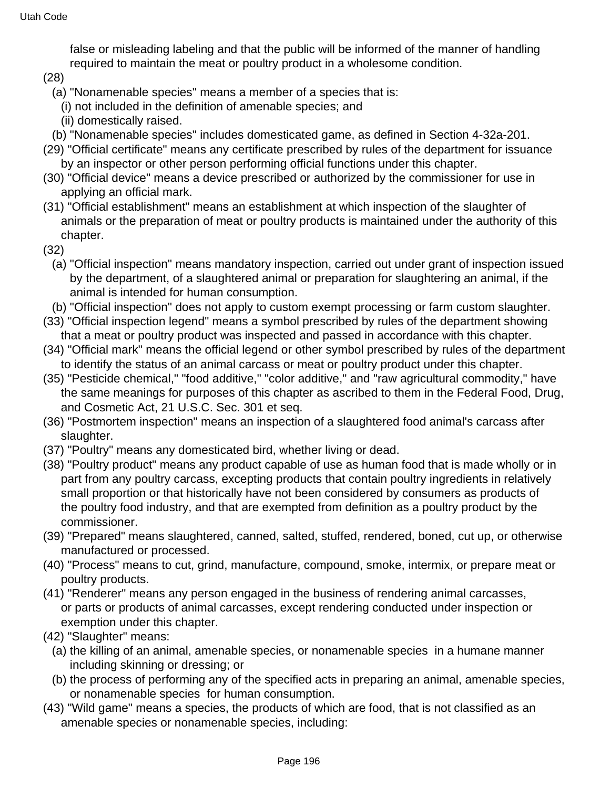false or misleading labeling and that the public will be informed of the manner of handling required to maintain the meat or poultry product in a wholesome condition.

(28)

- (a) "Nonamenable species" means a member of a species that is:
- (i) not included in the definition of amenable species; and
- (ii) domestically raised.
- (b) "Nonamenable species" includes domesticated game, as defined in Section 4-32a-201.
- (29) "Official certificate" means any certificate prescribed by rules of the department for issuance by an inspector or other person performing official functions under this chapter.
- (30) "Official device" means a device prescribed or authorized by the commissioner for use in applying an official mark.
- (31) "Official establishment" means an establishment at which inspection of the slaughter of animals or the preparation of meat or poultry products is maintained under the authority of this chapter.
- (32)
	- (a) "Official inspection" means mandatory inspection, carried out under grant of inspection issued by the department, of a slaughtered animal or preparation for slaughtering an animal, if the animal is intended for human consumption.
- (b) "Official inspection" does not apply to custom exempt processing or farm custom slaughter.
- (33) "Official inspection legend" means a symbol prescribed by rules of the department showing that a meat or poultry product was inspected and passed in accordance with this chapter.
- (34) "Official mark" means the official legend or other symbol prescribed by rules of the department to identify the status of an animal carcass or meat or poultry product under this chapter.
- (35) "Pesticide chemical," "food additive," "color additive," and "raw agricultural commodity," have the same meanings for purposes of this chapter as ascribed to them in the Federal Food, Drug, and Cosmetic Act, 21 U.S.C. Sec. 301 et seq.
- (36) "Postmortem inspection" means an inspection of a slaughtered food animal's carcass after slaughter.
- (37) "Poultry" means any domesticated bird, whether living or dead.
- (38) "Poultry product" means any product capable of use as human food that is made wholly or in part from any poultry carcass, excepting products that contain poultry ingredients in relatively small proportion or that historically have not been considered by consumers as products of the poultry food industry, and that are exempted from definition as a poultry product by the commissioner.
- (39) "Prepared" means slaughtered, canned, salted, stuffed, rendered, boned, cut up, or otherwise manufactured or processed.
- (40) "Process" means to cut, grind, manufacture, compound, smoke, intermix, or prepare meat or poultry products.
- (41) "Renderer" means any person engaged in the business of rendering animal carcasses, or parts or products of animal carcasses, except rendering conducted under inspection or exemption under this chapter.
- (42) "Slaughter" means:
	- (a) the killing of an animal, amenable species, or nonamenable species in a humane manner including skinning or dressing; or
	- (b) the process of performing any of the specified acts in preparing an animal, amenable species, or nonamenable species for human consumption.
- (43) "Wild game" means a species, the products of which are food, that is not classified as an amenable species or nonamenable species, including: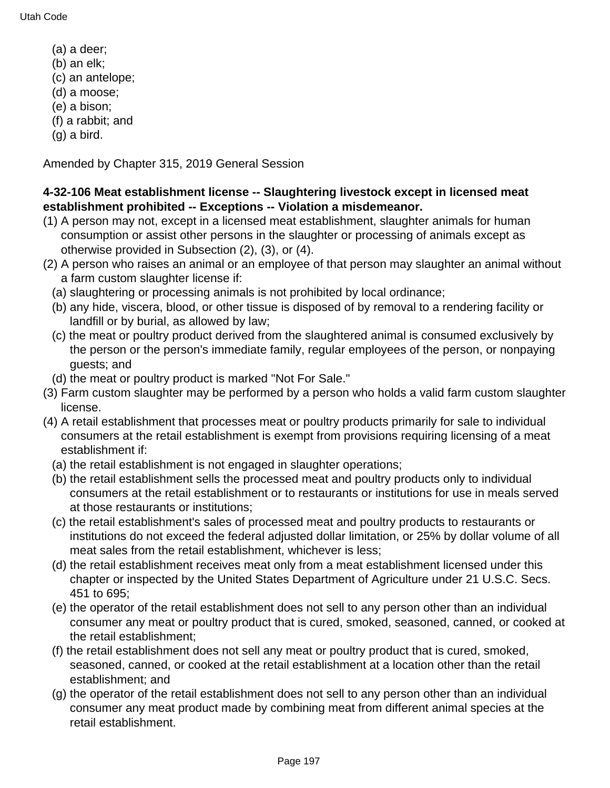- (a) a deer;
- (b) an elk;
- (c) an antelope;
- (d) a moose;
- (e) a bison;
- (f) a rabbit; and
- (g) a bird.

Amended by Chapter 315, 2019 General Session

### **4-32-106 Meat establishment license -- Slaughtering livestock except in licensed meat establishment prohibited -- Exceptions -- Violation a misdemeanor.**

- (1) A person may not, except in a licensed meat establishment, slaughter animals for human consumption or assist other persons in the slaughter or processing of animals except as otherwise provided in Subsection (2), (3), or (4).
- (2) A person who raises an animal or an employee of that person may slaughter an animal without a farm custom slaughter license if:
	- (a) slaughtering or processing animals is not prohibited by local ordinance;
	- (b) any hide, viscera, blood, or other tissue is disposed of by removal to a rendering facility or landfill or by burial, as allowed by law;
	- (c) the meat or poultry product derived from the slaughtered animal is consumed exclusively by the person or the person's immediate family, regular employees of the person, or nonpaying guests; and
	- (d) the meat or poultry product is marked "Not For Sale."
- (3) Farm custom slaughter may be performed by a person who holds a valid farm custom slaughter license.
- (4) A retail establishment that processes meat or poultry products primarily for sale to individual consumers at the retail establishment is exempt from provisions requiring licensing of a meat establishment if:
	- (a) the retail establishment is not engaged in slaughter operations;
	- (b) the retail establishment sells the processed meat and poultry products only to individual consumers at the retail establishment or to restaurants or institutions for use in meals served at those restaurants or institutions;
	- (c) the retail establishment's sales of processed meat and poultry products to restaurants or institutions do not exceed the federal adjusted dollar limitation, or 25% by dollar volume of all meat sales from the retail establishment, whichever is less;
	- (d) the retail establishment receives meat only from a meat establishment licensed under this chapter or inspected by the United States Department of Agriculture under 21 U.S.C. Secs. 451 to 695;
	- (e) the operator of the retail establishment does not sell to any person other than an individual consumer any meat or poultry product that is cured, smoked, seasoned, canned, or cooked at the retail establishment;
	- (f) the retail establishment does not sell any meat or poultry product that is cured, smoked, seasoned, canned, or cooked at the retail establishment at a location other than the retail establishment; and
	- (g) the operator of the retail establishment does not sell to any person other than an individual consumer any meat product made by combining meat from different animal species at the retail establishment.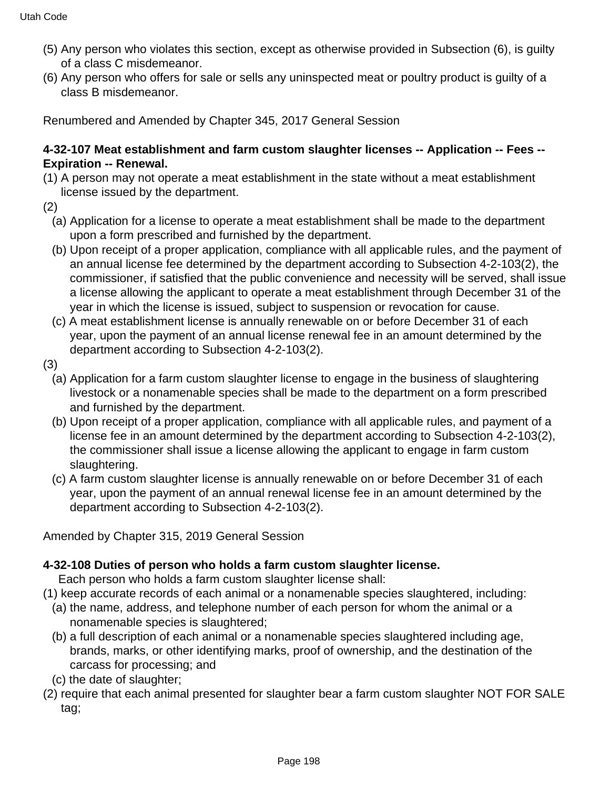- (5) Any person who violates this section, except as otherwise provided in Subsection (6), is guilty of a class C misdemeanor.
- (6) Any person who offers for sale or sells any uninspected meat or poultry product is guilty of a class B misdemeanor.

### **4-32-107 Meat establishment and farm custom slaughter licenses -- Application -- Fees -- Expiration -- Renewal.**

- (1) A person may not operate a meat establishment in the state without a meat establishment license issued by the department.
- (2)
	- (a) Application for a license to operate a meat establishment shall be made to the department upon a form prescribed and furnished by the department.
	- (b) Upon receipt of a proper application, compliance with all applicable rules, and the payment of an annual license fee determined by the department according to Subsection 4-2-103(2), the commissioner, if satisfied that the public convenience and necessity will be served, shall issue a license allowing the applicant to operate a meat establishment through December 31 of the year in which the license is issued, subject to suspension or revocation for cause.
	- (c) A meat establishment license is annually renewable on or before December 31 of each year, upon the payment of an annual license renewal fee in an amount determined by the department according to Subsection 4-2-103(2).
- (3)
	- (a) Application for a farm custom slaughter license to engage in the business of slaughtering livestock or a nonamenable species shall be made to the department on a form prescribed and furnished by the department.
	- (b) Upon receipt of a proper application, compliance with all applicable rules, and payment of a license fee in an amount determined by the department according to Subsection 4-2-103(2), the commissioner shall issue a license allowing the applicant to engage in farm custom slaughtering.
	- (c) A farm custom slaughter license is annually renewable on or before December 31 of each year, upon the payment of an annual renewal license fee in an amount determined by the department according to Subsection 4-2-103(2).

Amended by Chapter 315, 2019 General Session

# **4-32-108 Duties of person who holds a farm custom slaughter license.**

Each person who holds a farm custom slaughter license shall:

- (1) keep accurate records of each animal or a nonamenable species slaughtered, including:
	- (a) the name, address, and telephone number of each person for whom the animal or a nonamenable species is slaughtered;
	- (b) a full description of each animal or a nonamenable species slaughtered including age, brands, marks, or other identifying marks, proof of ownership, and the destination of the carcass for processing; and
	- (c) the date of slaughter;
- (2) require that each animal presented for slaughter bear a farm custom slaughter NOT FOR SALE tag;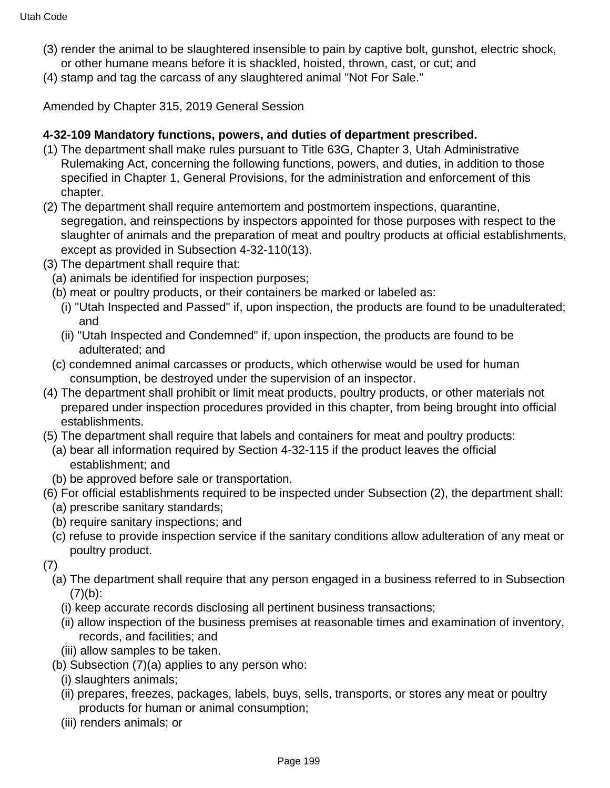- (3) render the animal to be slaughtered insensible to pain by captive bolt, gunshot, electric shock, or other humane means before it is shackled, hoisted, thrown, cast, or cut; and
- (4) stamp and tag the carcass of any slaughtered animal "Not For Sale."

Amended by Chapter 315, 2019 General Session

#### **4-32-109 Mandatory functions, powers, and duties of department prescribed.**

- (1) The department shall make rules pursuant to Title 63G, Chapter 3, Utah Administrative Rulemaking Act, concerning the following functions, powers, and duties, in addition to those specified in Chapter 1, General Provisions, for the administration and enforcement of this chapter.
- (2) The department shall require antemortem and postmortem inspections, quarantine, segregation, and reinspections by inspectors appointed for those purposes with respect to the slaughter of animals and the preparation of meat and poultry products at official establishments, except as provided in Subsection 4-32-110(13).
- (3) The department shall require that:
	- (a) animals be identified for inspection purposes;
	- (b) meat or poultry products, or their containers be marked or labeled as:
		- (i) "Utah Inspected and Passed" if, upon inspection, the products are found to be unadulterated; and
		- (ii) "Utah Inspected and Condemned" if, upon inspection, the products are found to be adulterated; and
	- (c) condemned animal carcasses or products, which otherwise would be used for human consumption, be destroyed under the supervision of an inspector.
- (4) The department shall prohibit or limit meat products, poultry products, or other materials not prepared under inspection procedures provided in this chapter, from being brought into official establishments.
- (5) The department shall require that labels and containers for meat and poultry products:
	- (a) bear all information required by Section 4-32-115 if the product leaves the official establishment; and
	- (b) be approved before sale or transportation.
- (6) For official establishments required to be inspected under Subsection (2), the department shall:
	- (a) prescribe sanitary standards;
	- (b) require sanitary inspections; and
	- (c) refuse to provide inspection service if the sanitary conditions allow adulteration of any meat or poultry product.
- (7)
	- (a) The department shall require that any person engaged in a business referred to in Subsection  $(7)(b)$ :
		- (i) keep accurate records disclosing all pertinent business transactions;
		- (ii) allow inspection of the business premises at reasonable times and examination of inventory, records, and facilities; and
		- (iii) allow samples to be taken.
	- (b) Subsection (7)(a) applies to any person who:
		- (i) slaughters animals;
		- (ii) prepares, freezes, packages, labels, buys, sells, transports, or stores any meat or poultry products for human or animal consumption;
		- (iii) renders animals; or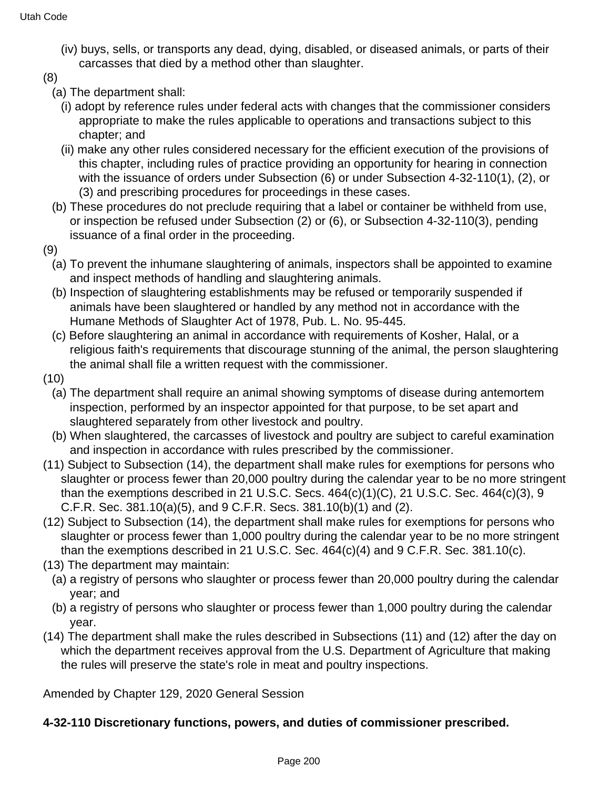- (iv) buys, sells, or transports any dead, dying, disabled, or diseased animals, or parts of their carcasses that died by a method other than slaughter.
- (8)
	- (a) The department shall:
		- (i) adopt by reference rules under federal acts with changes that the commissioner considers appropriate to make the rules applicable to operations and transactions subject to this chapter; and
		- (ii) make any other rules considered necessary for the efficient execution of the provisions of this chapter, including rules of practice providing an opportunity for hearing in connection with the issuance of orders under Subsection (6) or under Subsection 4-32-110(1), (2), or (3) and prescribing procedures for proceedings in these cases.
	- (b) These procedures do not preclude requiring that a label or container be withheld from use, or inspection be refused under Subsection (2) or (6), or Subsection 4-32-110(3), pending issuance of a final order in the proceeding.
- (9)
	- (a) To prevent the inhumane slaughtering of animals, inspectors shall be appointed to examine and inspect methods of handling and slaughtering animals.
	- (b) Inspection of slaughtering establishments may be refused or temporarily suspended if animals have been slaughtered or handled by any method not in accordance with the Humane Methods of Slaughter Act of 1978, Pub. L. No. 95-445.
	- (c) Before slaughtering an animal in accordance with requirements of Kosher, Halal, or a religious faith's requirements that discourage stunning of the animal, the person slaughtering the animal shall file a written request with the commissioner.
- (10)
	- (a) The department shall require an animal showing symptoms of disease during antemortem inspection, performed by an inspector appointed for that purpose, to be set apart and slaughtered separately from other livestock and poultry.
	- (b) When slaughtered, the carcasses of livestock and poultry are subject to careful examination and inspection in accordance with rules prescribed by the commissioner.
- (11) Subject to Subsection (14), the department shall make rules for exemptions for persons who slaughter or process fewer than 20,000 poultry during the calendar year to be no more stringent than the exemptions described in 21 U.S.C. Secs. 464(c)(1)(C), 21 U.S.C. Sec. 464(c)(3), 9 C.F.R. Sec. 381.10(a)(5), and 9 C.F.R. Secs. 381.10(b)(1) and (2).
- (12) Subject to Subsection (14), the department shall make rules for exemptions for persons who slaughter or process fewer than 1,000 poultry during the calendar year to be no more stringent than the exemptions described in 21 U.S.C. Sec. 464(c)(4) and 9 C.F.R. Sec. 381.10(c).
- (13) The department may maintain:
	- (a) a registry of persons who slaughter or process fewer than 20,000 poultry during the calendar year; and
	- (b) a registry of persons who slaughter or process fewer than 1,000 poultry during the calendar year.
- (14) The department shall make the rules described in Subsections (11) and (12) after the day on which the department receives approval from the U.S. Department of Agriculture that making the rules will preserve the state's role in meat and poultry inspections.

Amended by Chapter 129, 2020 General Session

### **4-32-110 Discretionary functions, powers, and duties of commissioner prescribed.**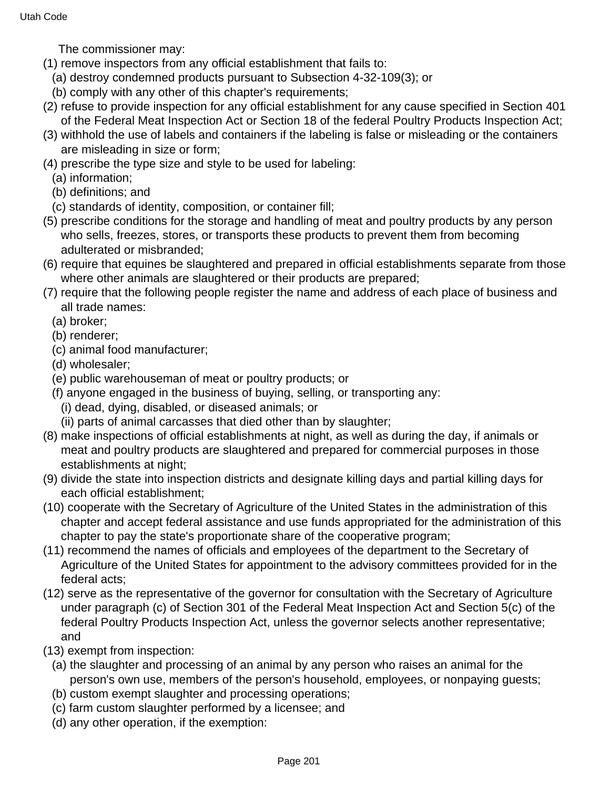The commissioner may:

- (1) remove inspectors from any official establishment that fails to:
	- (a) destroy condemned products pursuant to Subsection 4-32-109(3); or
	- (b) comply with any other of this chapter's requirements;
- (2) refuse to provide inspection for any official establishment for any cause specified in Section 401 of the Federal Meat Inspection Act or Section 18 of the federal Poultry Products Inspection Act;
- (3) withhold the use of labels and containers if the labeling is false or misleading or the containers are misleading in size or form;
- (4) prescribe the type size and style to be used for labeling:
	- (a) information;
	- (b) definitions; and
	- (c) standards of identity, composition, or container fill;
- (5) prescribe conditions for the storage and handling of meat and poultry products by any person who sells, freezes, stores, or transports these products to prevent them from becoming adulterated or misbranded;
- (6) require that equines be slaughtered and prepared in official establishments separate from those where other animals are slaughtered or their products are prepared;
- (7) require that the following people register the name and address of each place of business and all trade names:
	- (a) broker;
	- (b) renderer;
	- (c) animal food manufacturer;
	- (d) wholesaler;
	- (e) public warehouseman of meat or poultry products; or
	- (f) anyone engaged in the business of buying, selling, or transporting any:
		- (i) dead, dying, disabled, or diseased animals; or
		- (ii) parts of animal carcasses that died other than by slaughter;
- (8) make inspections of official establishments at night, as well as during the day, if animals or meat and poultry products are slaughtered and prepared for commercial purposes in those establishments at night;
- (9) divide the state into inspection districts and designate killing days and partial killing days for each official establishment;
- (10) cooperate with the Secretary of Agriculture of the United States in the administration of this chapter and accept federal assistance and use funds appropriated for the administration of this chapter to pay the state's proportionate share of the cooperative program;
- (11) recommend the names of officials and employees of the department to the Secretary of Agriculture of the United States for appointment to the advisory committees provided for in the federal acts;
- (12) serve as the representative of the governor for consultation with the Secretary of Agriculture under paragraph (c) of Section 301 of the Federal Meat Inspection Act and Section 5(c) of the federal Poultry Products Inspection Act, unless the governor selects another representative; and
- (13) exempt from inspection:
	- (a) the slaughter and processing of an animal by any person who raises an animal for the person's own use, members of the person's household, employees, or nonpaying guests;
	- (b) custom exempt slaughter and processing operations;
	- (c) farm custom slaughter performed by a licensee; and
	- (d) any other operation, if the exemption: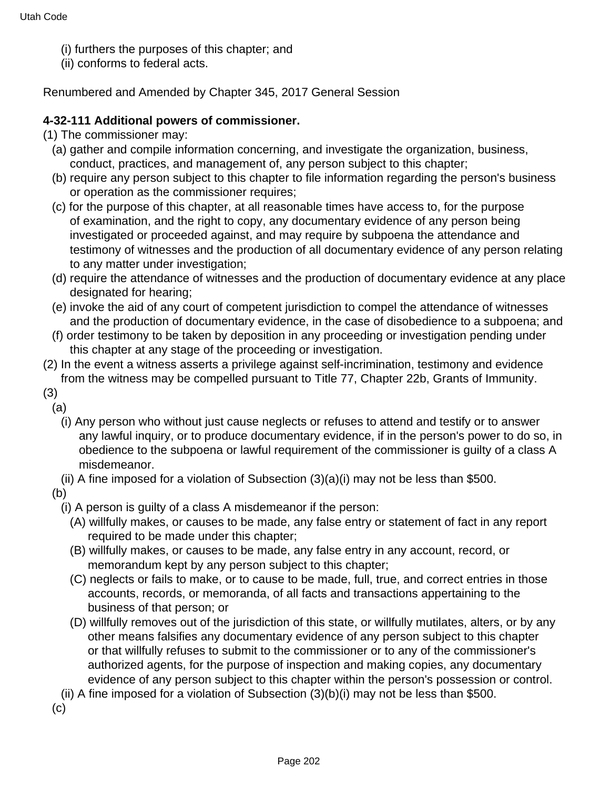- (i) furthers the purposes of this chapter; and
- (ii) conforms to federal acts.

#### **4-32-111 Additional powers of commissioner.**

- (1) The commissioner may:
	- (a) gather and compile information concerning, and investigate the organization, business, conduct, practices, and management of, any person subject to this chapter;
	- (b) require any person subject to this chapter to file information regarding the person's business or operation as the commissioner requires;
	- (c) for the purpose of this chapter, at all reasonable times have access to, for the purpose of examination, and the right to copy, any documentary evidence of any person being investigated or proceeded against, and may require by subpoena the attendance and testimony of witnesses and the production of all documentary evidence of any person relating to any matter under investigation;
	- (d) require the attendance of witnesses and the production of documentary evidence at any place designated for hearing;
	- (e) invoke the aid of any court of competent jurisdiction to compel the attendance of witnesses and the production of documentary evidence, in the case of disobedience to a subpoena; and
	- (f) order testimony to be taken by deposition in any proceeding or investigation pending under this chapter at any stage of the proceeding or investigation.
- (2) In the event a witness asserts a privilege against self-incrimination, testimony and evidence from the witness may be compelled pursuant to Title 77, Chapter 22b, Grants of Immunity.

(3) (a)

- (i) Any person who without just cause neglects or refuses to attend and testify or to answer any lawful inquiry, or to produce documentary evidence, if in the person's power to do so, in obedience to the subpoena or lawful requirement of the commissioner is guilty of a class A misdemeanor.
- (ii) A fine imposed for a violation of Subsection  $(3)(a)(i)$  may not be less than \$500.

(b)

- (i) A person is guilty of a class A misdemeanor if the person:
	- (A) willfully makes, or causes to be made, any false entry or statement of fact in any report required to be made under this chapter;
	- (B) willfully makes, or causes to be made, any false entry in any account, record, or memorandum kept by any person subject to this chapter;
	- (C) neglects or fails to make, or to cause to be made, full, true, and correct entries in those accounts, records, or memoranda, of all facts and transactions appertaining to the business of that person; or
	- (D) willfully removes out of the jurisdiction of this state, or willfully mutilates, alters, or by any other means falsifies any documentary evidence of any person subject to this chapter or that willfully refuses to submit to the commissioner or to any of the commissioner's authorized agents, for the purpose of inspection and making copies, any documentary evidence of any person subject to this chapter within the person's possession or control.

(ii) A fine imposed for a violation of Subsection (3)(b)(i) may not be less than \$500.

(c)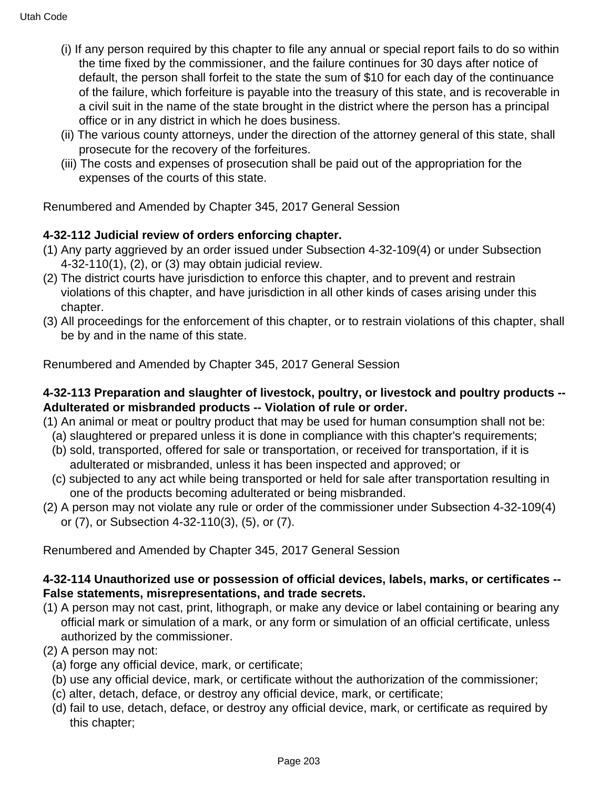- (i) If any person required by this chapter to file any annual or special report fails to do so within the time fixed by the commissioner, and the failure continues for 30 days after notice of default, the person shall forfeit to the state the sum of \$10 for each day of the continuance of the failure, which forfeiture is payable into the treasury of this state, and is recoverable in a civil suit in the name of the state brought in the district where the person has a principal office or in any district in which he does business.
- (ii) The various county attorneys, under the direction of the attorney general of this state, shall prosecute for the recovery of the forfeitures.
- (iii) The costs and expenses of prosecution shall be paid out of the appropriation for the expenses of the courts of this state.

### **4-32-112 Judicial review of orders enforcing chapter.**

- (1) Any party aggrieved by an order issued under Subsection 4-32-109(4) or under Subsection 4-32-110(1), (2), or (3) may obtain judicial review.
- (2) The district courts have jurisdiction to enforce this chapter, and to prevent and restrain violations of this chapter, and have jurisdiction in all other kinds of cases arising under this chapter.
- (3) All proceedings for the enforcement of this chapter, or to restrain violations of this chapter, shall be by and in the name of this state.

Renumbered and Amended by Chapter 345, 2017 General Session

### **4-32-113 Preparation and slaughter of livestock, poultry, or livestock and poultry products -- Adulterated or misbranded products -- Violation of rule or order.**

- (1) An animal or meat or poultry product that may be used for human consumption shall not be:
	- (a) slaughtered or prepared unless it is done in compliance with this chapter's requirements;
	- (b) sold, transported, offered for sale or transportation, or received for transportation, if it is adulterated or misbranded, unless it has been inspected and approved; or
	- (c) subjected to any act while being transported or held for sale after transportation resulting in one of the products becoming adulterated or being misbranded.
- (2) A person may not violate any rule or order of the commissioner under Subsection 4-32-109(4) or (7), or Subsection 4-32-110(3), (5), or (7).

Renumbered and Amended by Chapter 345, 2017 General Session

### **4-32-114 Unauthorized use or possession of official devices, labels, marks, or certificates -- False statements, misrepresentations, and trade secrets.**

- (1) A person may not cast, print, lithograph, or make any device or label containing or bearing any official mark or simulation of a mark, or any form or simulation of an official certificate, unless authorized by the commissioner.
- (2) A person may not:
	- (a) forge any official device, mark, or certificate;
	- (b) use any official device, mark, or certificate without the authorization of the commissioner;
	- (c) alter, detach, deface, or destroy any official device, mark, or certificate;
	- (d) fail to use, detach, deface, or destroy any official device, mark, or certificate as required by this chapter;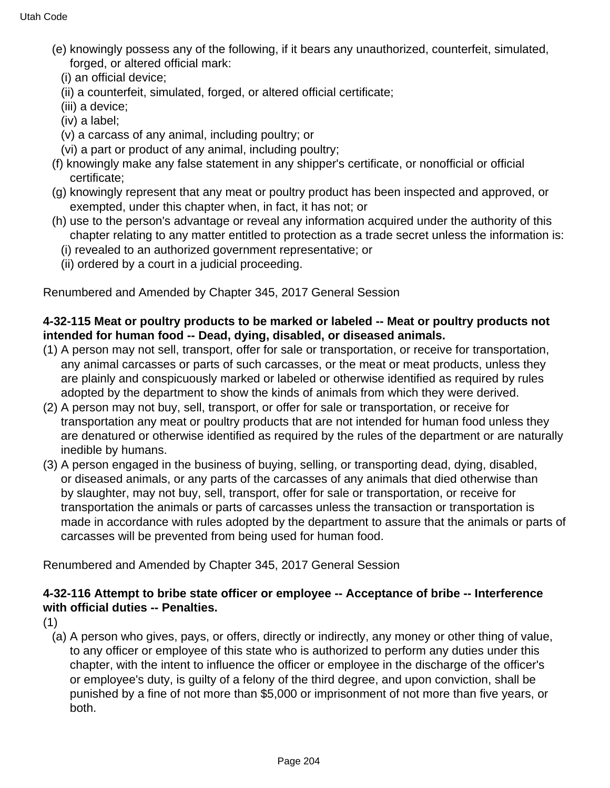- (e) knowingly possess any of the following, if it bears any unauthorized, counterfeit, simulated, forged, or altered official mark:
	- (i) an official device;
	- (ii) a counterfeit, simulated, forged, or altered official certificate;
	- (iii) a device;
	- (iv) a label;
	- (v) a carcass of any animal, including poultry; or
	- (vi) a part or product of any animal, including poultry;
- (f) knowingly make any false statement in any shipper's certificate, or nonofficial or official certificate;
- (g) knowingly represent that any meat or poultry product has been inspected and approved, or exempted, under this chapter when, in fact, it has not; or
- (h) use to the person's advantage or reveal any information acquired under the authority of this chapter relating to any matter entitled to protection as a trade secret unless the information is:
	- (i) revealed to an authorized government representative; or
	- (ii) ordered by a court in a judicial proceeding.

# **4-32-115 Meat or poultry products to be marked or labeled -- Meat or poultry products not intended for human food -- Dead, dying, disabled, or diseased animals.**

- (1) A person may not sell, transport, offer for sale or transportation, or receive for transportation, any animal carcasses or parts of such carcasses, or the meat or meat products, unless they are plainly and conspicuously marked or labeled or otherwise identified as required by rules adopted by the department to show the kinds of animals from which they were derived.
- (2) A person may not buy, sell, transport, or offer for sale or transportation, or receive for transportation any meat or poultry products that are not intended for human food unless they are denatured or otherwise identified as required by the rules of the department or are naturally inedible by humans.
- (3) A person engaged in the business of buying, selling, or transporting dead, dying, disabled, or diseased animals, or any parts of the carcasses of any animals that died otherwise than by slaughter, may not buy, sell, transport, offer for sale or transportation, or receive for transportation the animals or parts of carcasses unless the transaction or transportation is made in accordance with rules adopted by the department to assure that the animals or parts of carcasses will be prevented from being used for human food.

Renumbered and Amended by Chapter 345, 2017 General Session

# **4-32-116 Attempt to bribe state officer or employee -- Acceptance of bribe -- Interference with official duties -- Penalties.**

(1)

(a) A person who gives, pays, or offers, directly or indirectly, any money or other thing of value, to any officer or employee of this state who is authorized to perform any duties under this chapter, with the intent to influence the officer or employee in the discharge of the officer's or employee's duty, is guilty of a felony of the third degree, and upon conviction, shall be punished by a fine of not more than \$5,000 or imprisonment of not more than five years, or both.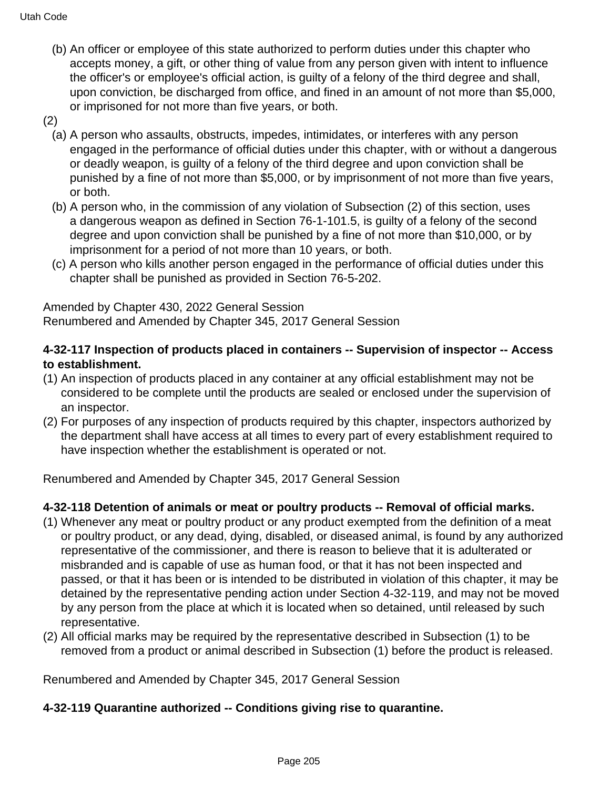- (b) An officer or employee of this state authorized to perform duties under this chapter who accepts money, a gift, or other thing of value from any person given with intent to influence the officer's or employee's official action, is guilty of a felony of the third degree and shall, upon conviction, be discharged from office, and fined in an amount of not more than \$5,000, or imprisoned for not more than five years, or both.
- (2)
	- (a) A person who assaults, obstructs, impedes, intimidates, or interferes with any person engaged in the performance of official duties under this chapter, with or without a dangerous or deadly weapon, is guilty of a felony of the third degree and upon conviction shall be punished by a fine of not more than \$5,000, or by imprisonment of not more than five years, or both.
	- (b) A person who, in the commission of any violation of Subsection (2) of this section, uses a dangerous weapon as defined in Section 76-1-101.5, is guilty of a felony of the second degree and upon conviction shall be punished by a fine of not more than \$10,000, or by imprisonment for a period of not more than 10 years, or both.
	- (c) A person who kills another person engaged in the performance of official duties under this chapter shall be punished as provided in Section 76-5-202.

Amended by Chapter 430, 2022 General Session Renumbered and Amended by Chapter 345, 2017 General Session

### **4-32-117 Inspection of products placed in containers -- Supervision of inspector -- Access to establishment.**

- (1) An inspection of products placed in any container at any official establishment may not be considered to be complete until the products are sealed or enclosed under the supervision of an inspector.
- (2) For purposes of any inspection of products required by this chapter, inspectors authorized by the department shall have access at all times to every part of every establishment required to have inspection whether the establishment is operated or not.

Renumbered and Amended by Chapter 345, 2017 General Session

### **4-32-118 Detention of animals or meat or poultry products -- Removal of official marks.**

- (1) Whenever any meat or poultry product or any product exempted from the definition of a meat or poultry product, or any dead, dying, disabled, or diseased animal, is found by any authorized representative of the commissioner, and there is reason to believe that it is adulterated or misbranded and is capable of use as human food, or that it has not been inspected and passed, or that it has been or is intended to be distributed in violation of this chapter, it may be detained by the representative pending action under Section 4-32-119, and may not be moved by any person from the place at which it is located when so detained, until released by such representative.
- (2) All official marks may be required by the representative described in Subsection (1) to be removed from a product or animal described in Subsection (1) before the product is released.

Renumbered and Amended by Chapter 345, 2017 General Session

#### **4-32-119 Quarantine authorized -- Conditions giving rise to quarantine.**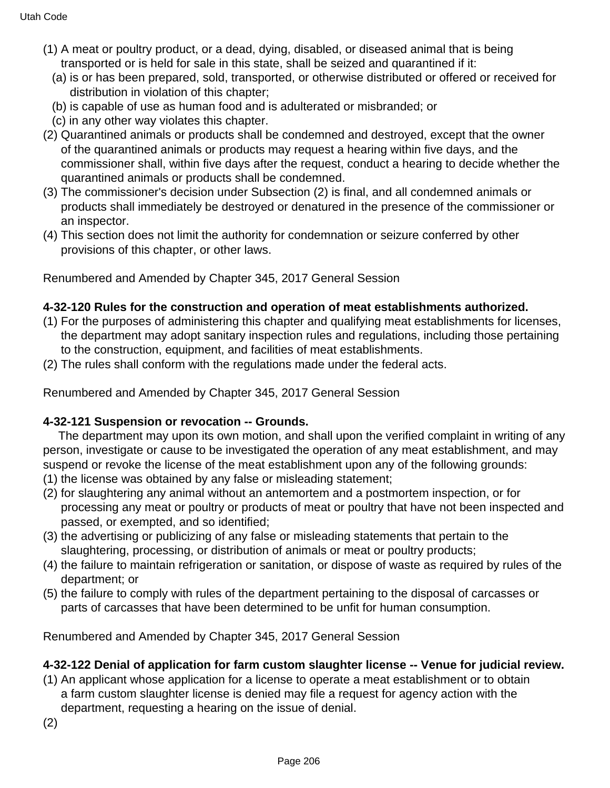- (1) A meat or poultry product, or a dead, dying, disabled, or diseased animal that is being transported or is held for sale in this state, shall be seized and quarantined if it:
	- (a) is or has been prepared, sold, transported, or otherwise distributed or offered or received for distribution in violation of this chapter;
	- (b) is capable of use as human food and is adulterated or misbranded; or
	- (c) in any other way violates this chapter.
- (2) Quarantined animals or products shall be condemned and destroyed, except that the owner of the quarantined animals or products may request a hearing within five days, and the commissioner shall, within five days after the request, conduct a hearing to decide whether the quarantined animals or products shall be condemned.
- (3) The commissioner's decision under Subsection (2) is final, and all condemned animals or products shall immediately be destroyed or denatured in the presence of the commissioner or an inspector.
- (4) This section does not limit the authority for condemnation or seizure conferred by other provisions of this chapter, or other laws.

#### **4-32-120 Rules for the construction and operation of meat establishments authorized.**

- (1) For the purposes of administering this chapter and qualifying meat establishments for licenses, the department may adopt sanitary inspection rules and regulations, including those pertaining to the construction, equipment, and facilities of meat establishments.
- (2) The rules shall conform with the regulations made under the federal acts.

Renumbered and Amended by Chapter 345, 2017 General Session

#### **4-32-121 Suspension or revocation -- Grounds.**

 The department may upon its own motion, and shall upon the verified complaint in writing of any person, investigate or cause to be investigated the operation of any meat establishment, and may suspend or revoke the license of the meat establishment upon any of the following grounds:

- (1) the license was obtained by any false or misleading statement;
- (2) for slaughtering any animal without an antemortem and a postmortem inspection, or for processing any meat or poultry or products of meat or poultry that have not been inspected and passed, or exempted, and so identified;
- (3) the advertising or publicizing of any false or misleading statements that pertain to the slaughtering, processing, or distribution of animals or meat or poultry products;
- (4) the failure to maintain refrigeration or sanitation, or dispose of waste as required by rules of the department; or
- (5) the failure to comply with rules of the department pertaining to the disposal of carcasses or parts of carcasses that have been determined to be unfit for human consumption.

Renumbered and Amended by Chapter 345, 2017 General Session

### **4-32-122 Denial of application for farm custom slaughter license -- Venue for judicial review.**

- (1) An applicant whose application for a license to operate a meat establishment or to obtain a farm custom slaughter license is denied may file a request for agency action with the department, requesting a hearing on the issue of denial.
- (2)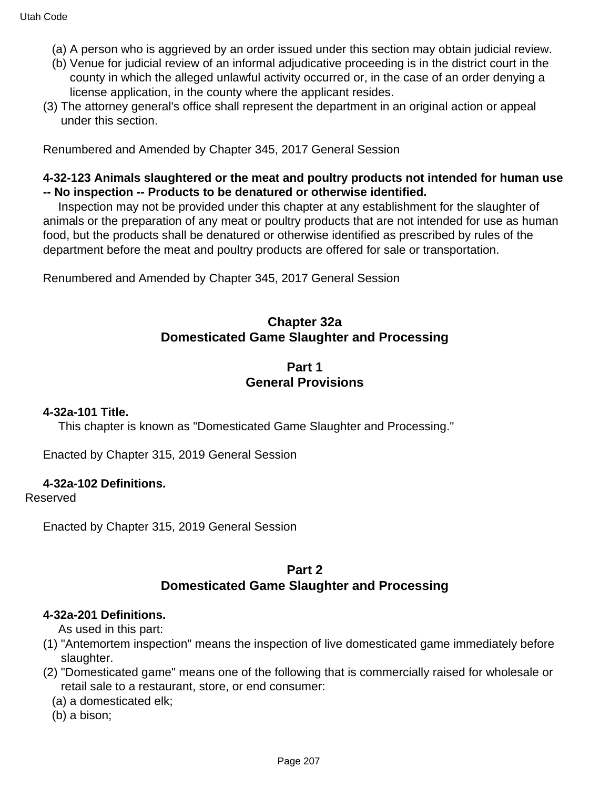- (a) A person who is aggrieved by an order issued under this section may obtain judicial review.
- (b) Venue for judicial review of an informal adjudicative proceeding is in the district court in the county in which the alleged unlawful activity occurred or, in the case of an order denying a license application, in the county where the applicant resides.
- (3) The attorney general's office shall represent the department in an original action or appeal under this section.

#### **4-32-123 Animals slaughtered or the meat and poultry products not intended for human use -- No inspection -- Products to be denatured or otherwise identified.**

 Inspection may not be provided under this chapter at any establishment for the slaughter of animals or the preparation of any meat or poultry products that are not intended for use as human food, but the products shall be denatured or otherwise identified as prescribed by rules of the department before the meat and poultry products are offered for sale or transportation.

Renumbered and Amended by Chapter 345, 2017 General Session

## **Chapter 32a Domesticated Game Slaughter and Processing**

### **Part 1 General Provisions**

#### **4-32a-101 Title.**

This chapter is known as "Domesticated Game Slaughter and Processing."

Enacted by Chapter 315, 2019 General Session

#### **4-32a-102 Definitions.**

Reserved

Enacted by Chapter 315, 2019 General Session

#### **Part 2 Domesticated Game Slaughter and Processing**

#### **4-32a-201 Definitions.**

As used in this part:

- (1) "Antemortem inspection" means the inspection of live domesticated game immediately before slaughter.
- (2) "Domesticated game" means one of the following that is commercially raised for wholesale or retail sale to a restaurant, store, or end consumer:

(a) a domesticated elk;

(b) a bison;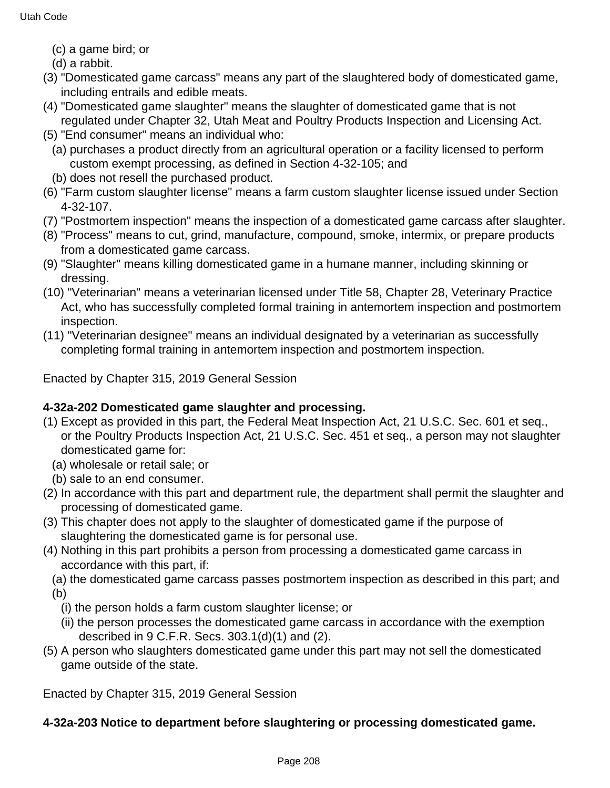- (c) a game bird; or
- (d) a rabbit.
- (3) "Domesticated game carcass" means any part of the slaughtered body of domesticated game, including entrails and edible meats.
- (4) "Domesticated game slaughter" means the slaughter of domesticated game that is not regulated under Chapter 32, Utah Meat and Poultry Products Inspection and Licensing Act.
- (5) "End consumer" means an individual who:
	- (a) purchases a product directly from an agricultural operation or a facility licensed to perform custom exempt processing, as defined in Section 4-32-105; and
- (b) does not resell the purchased product.
- (6) "Farm custom slaughter license" means a farm custom slaughter license issued under Section 4-32-107.
- (7) "Postmortem inspection" means the inspection of a domesticated game carcass after slaughter.
- (8) "Process" means to cut, grind, manufacture, compound, smoke, intermix, or prepare products from a domesticated game carcass.
- (9) "Slaughter" means killing domesticated game in a humane manner, including skinning or dressing.
- (10) "Veterinarian" means a veterinarian licensed under Title 58, Chapter 28, Veterinary Practice Act, who has successfully completed formal training in antemortem inspection and postmortem inspection.
- (11) "Veterinarian designee" means an individual designated by a veterinarian as successfully completing formal training in antemortem inspection and postmortem inspection.

Enacted by Chapter 315, 2019 General Session

# **4-32a-202 Domesticated game slaughter and processing.**

- (1) Except as provided in this part, the Federal Meat Inspection Act, 21 U.S.C. Sec. 601 et seq., or the Poultry Products Inspection Act, 21 U.S.C. Sec. 451 et seq., a person may not slaughter domesticated game for:
	- (a) wholesale or retail sale; or
	- (b) sale to an end consumer.
- (2) In accordance with this part and department rule, the department shall permit the slaughter and processing of domesticated game.
- (3) This chapter does not apply to the slaughter of domesticated game if the purpose of slaughtering the domesticated game is for personal use.
- (4) Nothing in this part prohibits a person from processing a domesticated game carcass in accordance with this part, if:
	- (a) the domesticated game carcass passes postmortem inspection as described in this part; and (b)
		- (i) the person holds a farm custom slaughter license; or
		- (ii) the person processes the domesticated game carcass in accordance with the exemption described in 9 C.F.R. Secs. 303.1(d)(1) and (2).
- (5) A person who slaughters domesticated game under this part may not sell the domesticated game outside of the state.

Enacted by Chapter 315, 2019 General Session

# **4-32a-203 Notice to department before slaughtering or processing domesticated game.**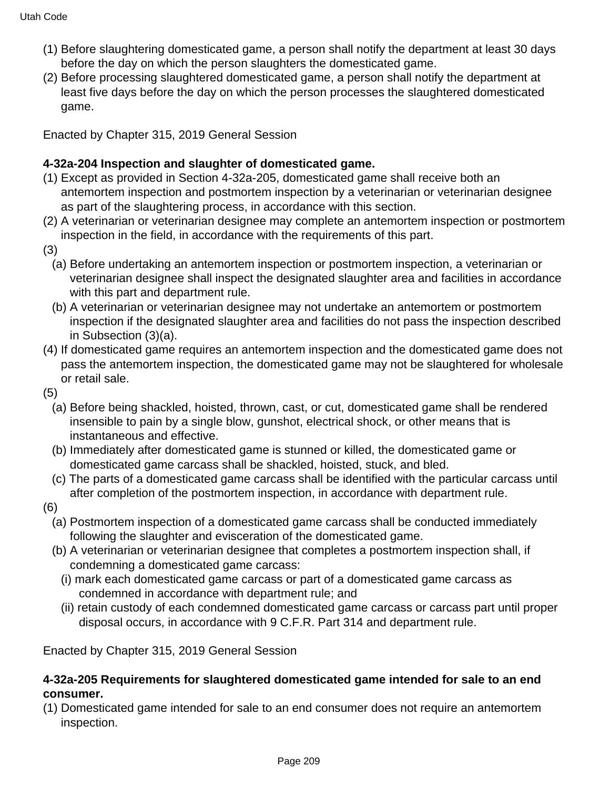- (1) Before slaughtering domesticated game, a person shall notify the department at least 30 days before the day on which the person slaughters the domesticated game.
- (2) Before processing slaughtered domesticated game, a person shall notify the department at least five days before the day on which the person processes the slaughtered domesticated game.

Enacted by Chapter 315, 2019 General Session

### **4-32a-204 Inspection and slaughter of domesticated game.**

- (1) Except as provided in Section 4-32a-205, domesticated game shall receive both an antemortem inspection and postmortem inspection by a veterinarian or veterinarian designee as part of the slaughtering process, in accordance with this section.
- (2) A veterinarian or veterinarian designee may complete an antemortem inspection or postmortem inspection in the field, in accordance with the requirements of this part.
- (3)
	- (a) Before undertaking an antemortem inspection or postmortem inspection, a veterinarian or veterinarian designee shall inspect the designated slaughter area and facilities in accordance with this part and department rule.
	- (b) A veterinarian or veterinarian designee may not undertake an antemortem or postmortem inspection if the designated slaughter area and facilities do not pass the inspection described in Subsection (3)(a).
- (4) If domesticated game requires an antemortem inspection and the domesticated game does not pass the antemortem inspection, the domesticated game may not be slaughtered for wholesale or retail sale.

(5)

- (a) Before being shackled, hoisted, thrown, cast, or cut, domesticated game shall be rendered insensible to pain by a single blow, gunshot, electrical shock, or other means that is instantaneous and effective.
- (b) Immediately after domesticated game is stunned or killed, the domesticated game or domesticated game carcass shall be shackled, hoisted, stuck, and bled.
- (c) The parts of a domesticated game carcass shall be identified with the particular carcass until after completion of the postmortem inspection, in accordance with department rule.
- (6)
	- (a) Postmortem inspection of a domesticated game carcass shall be conducted immediately following the slaughter and evisceration of the domesticated game.
	- (b) A veterinarian or veterinarian designee that completes a postmortem inspection shall, if condemning a domesticated game carcass:
		- (i) mark each domesticated game carcass or part of a domesticated game carcass as condemned in accordance with department rule; and
		- (ii) retain custody of each condemned domesticated game carcass or carcass part until proper disposal occurs, in accordance with 9 C.F.R. Part 314 and department rule.

Enacted by Chapter 315, 2019 General Session

#### **4-32a-205 Requirements for slaughtered domesticated game intended for sale to an end consumer.**

(1) Domesticated game intended for sale to an end consumer does not require an antemortem inspection.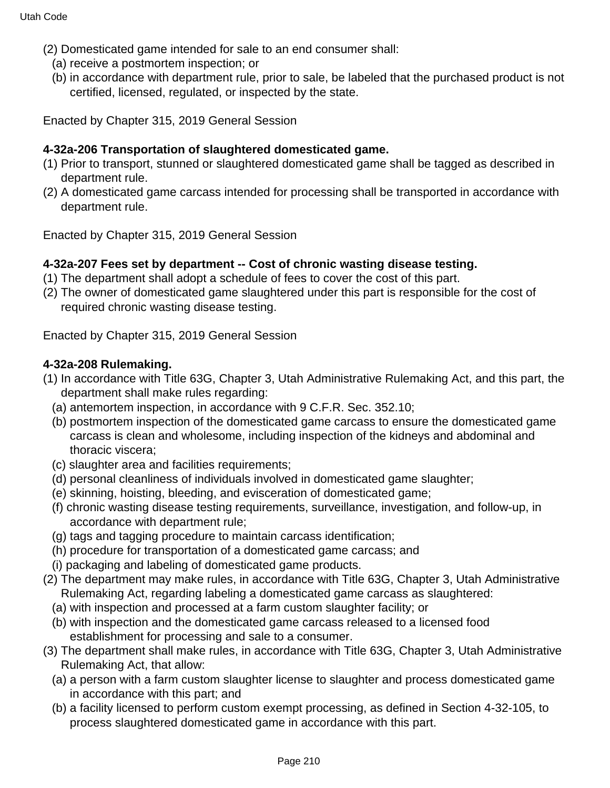- (2) Domesticated game intended for sale to an end consumer shall:
	- (a) receive a postmortem inspection; or
	- (b) in accordance with department rule, prior to sale, be labeled that the purchased product is not certified, licensed, regulated, or inspected by the state.

Enacted by Chapter 315, 2019 General Session

### **4-32a-206 Transportation of slaughtered domesticated game.**

- (1) Prior to transport, stunned or slaughtered domesticated game shall be tagged as described in department rule.
- (2) A domesticated game carcass intended for processing shall be transported in accordance with department rule.

Enacted by Chapter 315, 2019 General Session

#### **4-32a-207 Fees set by department -- Cost of chronic wasting disease testing.**

- (1) The department shall adopt a schedule of fees to cover the cost of this part.
- (2) The owner of domesticated game slaughtered under this part is responsible for the cost of required chronic wasting disease testing.

Enacted by Chapter 315, 2019 General Session

#### **4-32a-208 Rulemaking.**

- (1) In accordance with Title 63G, Chapter 3, Utah Administrative Rulemaking Act, and this part, the department shall make rules regarding:
	- (a) antemortem inspection, in accordance with 9 C.F.R. Sec. 352.10;
	- (b) postmortem inspection of the domesticated game carcass to ensure the domesticated game carcass is clean and wholesome, including inspection of the kidneys and abdominal and thoracic viscera;
	- (c) slaughter area and facilities requirements;
	- (d) personal cleanliness of individuals involved in domesticated game slaughter;
	- (e) skinning, hoisting, bleeding, and evisceration of domesticated game;
	- (f) chronic wasting disease testing requirements, surveillance, investigation, and follow-up, in accordance with department rule;
	- (g) tags and tagging procedure to maintain carcass identification;
	- (h) procedure for transportation of a domesticated game carcass; and
	- (i) packaging and labeling of domesticated game products.
- (2) The department may make rules, in accordance with Title 63G, Chapter 3, Utah Administrative Rulemaking Act, regarding labeling a domesticated game carcass as slaughtered:
	- (a) with inspection and processed at a farm custom slaughter facility; or
	- (b) with inspection and the domesticated game carcass released to a licensed food establishment for processing and sale to a consumer.
- (3) The department shall make rules, in accordance with Title 63G, Chapter 3, Utah Administrative Rulemaking Act, that allow:
	- (a) a person with a farm custom slaughter license to slaughter and process domesticated game in accordance with this part; and
	- (b) a facility licensed to perform custom exempt processing, as defined in Section 4-32-105, to process slaughtered domesticated game in accordance with this part.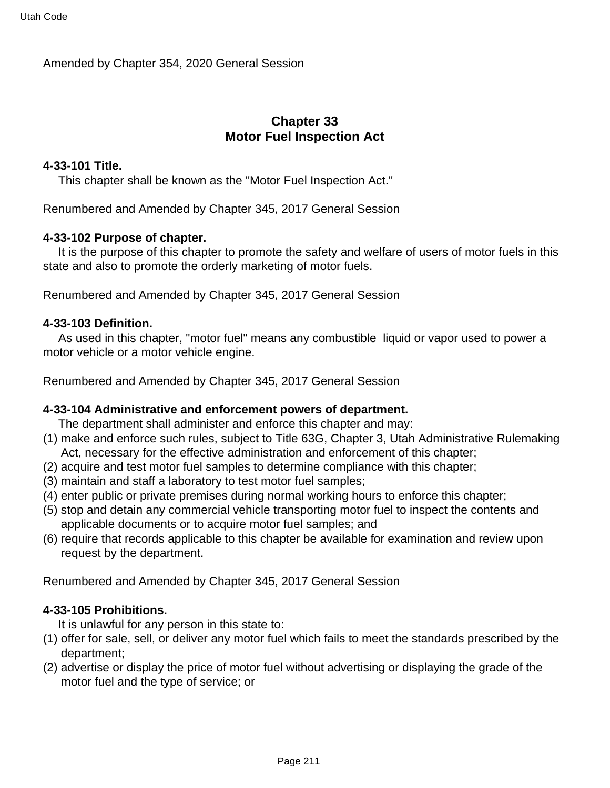Amended by Chapter 354, 2020 General Session

# **Chapter 33 Motor Fuel Inspection Act**

#### **4-33-101 Title.**

This chapter shall be known as the "Motor Fuel Inspection Act."

Renumbered and Amended by Chapter 345, 2017 General Session

#### **4-33-102 Purpose of chapter.**

 It is the purpose of this chapter to promote the safety and welfare of users of motor fuels in this state and also to promote the orderly marketing of motor fuels.

Renumbered and Amended by Chapter 345, 2017 General Session

#### **4-33-103 Definition.**

 As used in this chapter, "motor fuel" means any combustible liquid or vapor used to power a motor vehicle or a motor vehicle engine.

Renumbered and Amended by Chapter 345, 2017 General Session

#### **4-33-104 Administrative and enforcement powers of department.**

The department shall administer and enforce this chapter and may:

- (1) make and enforce such rules, subject to Title 63G, Chapter 3, Utah Administrative Rulemaking Act, necessary for the effective administration and enforcement of this chapter;
- (2) acquire and test motor fuel samples to determine compliance with this chapter;
- (3) maintain and staff a laboratory to test motor fuel samples;
- (4) enter public or private premises during normal working hours to enforce this chapter;
- (5) stop and detain any commercial vehicle transporting motor fuel to inspect the contents and applicable documents or to acquire motor fuel samples; and
- (6) require that records applicable to this chapter be available for examination and review upon request by the department.

Renumbered and Amended by Chapter 345, 2017 General Session

#### **4-33-105 Prohibitions.**

It is unlawful for any person in this state to:

- (1) offer for sale, sell, or deliver any motor fuel which fails to meet the standards prescribed by the department;
- (2) advertise or display the price of motor fuel without advertising or displaying the grade of the motor fuel and the type of service; or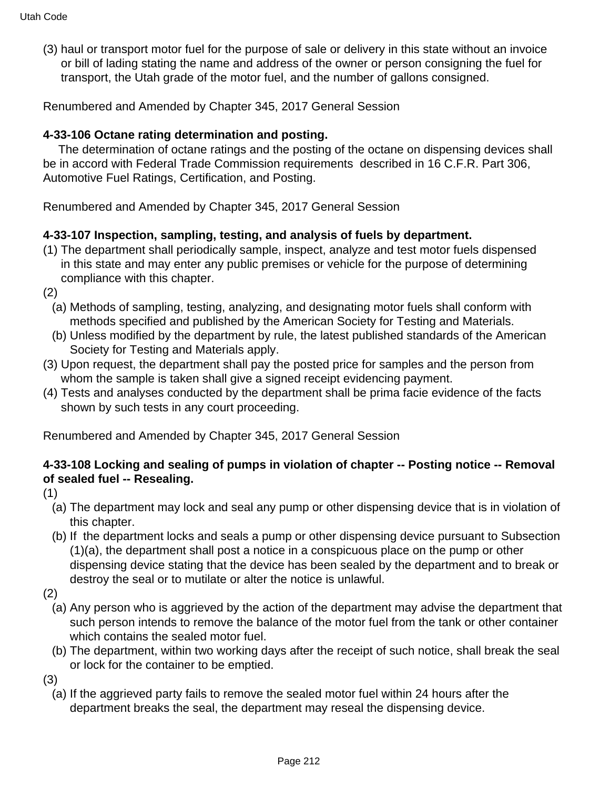(3) haul or transport motor fuel for the purpose of sale or delivery in this state without an invoice or bill of lading stating the name and address of the owner or person consigning the fuel for transport, the Utah grade of the motor fuel, and the number of gallons consigned.

Renumbered and Amended by Chapter 345, 2017 General Session

# **4-33-106 Octane rating determination and posting.**

 The determination of octane ratings and the posting of the octane on dispensing devices shall be in accord with Federal Trade Commission requirements described in 16 C.F.R. Part 306, Automotive Fuel Ratings, Certification, and Posting.

Renumbered and Amended by Chapter 345, 2017 General Session

# **4-33-107 Inspection, sampling, testing, and analysis of fuels by department.**

- (1) The department shall periodically sample, inspect, analyze and test motor fuels dispensed in this state and may enter any public premises or vehicle for the purpose of determining compliance with this chapter.
- (2)
	- (a) Methods of sampling, testing, analyzing, and designating motor fuels shall conform with methods specified and published by the American Society for Testing and Materials.
	- (b) Unless modified by the department by rule, the latest published standards of the American Society for Testing and Materials apply.
- (3) Upon request, the department shall pay the posted price for samples and the person from whom the sample is taken shall give a signed receipt evidencing payment.
- (4) Tests and analyses conducted by the department shall be prima facie evidence of the facts shown by such tests in any court proceeding.

Renumbered and Amended by Chapter 345, 2017 General Session

### **4-33-108 Locking and sealing of pumps in violation of chapter -- Posting notice -- Removal of sealed fuel -- Resealing.**

(1)

- (a) The department may lock and seal any pump or other dispensing device that is in violation of this chapter.
- (b) If the department locks and seals a pump or other dispensing device pursuant to Subsection (1)(a), the department shall post a notice in a conspicuous place on the pump or other dispensing device stating that the device has been sealed by the department and to break or destroy the seal or to mutilate or alter the notice is unlawful.
- (2)
	- (a) Any person who is aggrieved by the action of the department may advise the department that such person intends to remove the balance of the motor fuel from the tank or other container which contains the sealed motor fuel.
	- (b) The department, within two working days after the receipt of such notice, shall break the seal or lock for the container to be emptied.

(3)

(a) If the aggrieved party fails to remove the sealed motor fuel within 24 hours after the department breaks the seal, the department may reseal the dispensing device.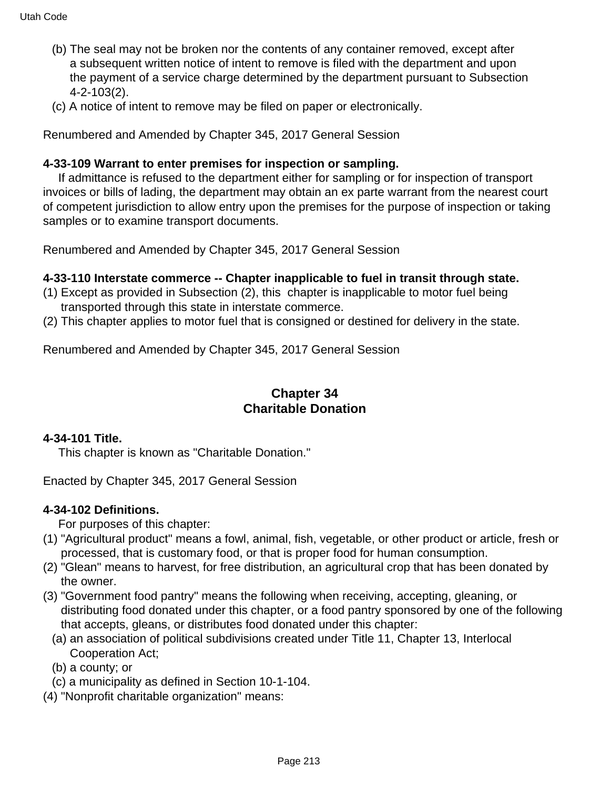- (b) The seal may not be broken nor the contents of any container removed, except after a subsequent written notice of intent to remove is filed with the department and upon the payment of a service charge determined by the department pursuant to Subsection 4-2-103(2).
- (c) A notice of intent to remove may be filed on paper or electronically.

#### **4-33-109 Warrant to enter premises for inspection or sampling.**

 If admittance is refused to the department either for sampling or for inspection of transport invoices or bills of lading, the department may obtain an ex parte warrant from the nearest court of competent jurisdiction to allow entry upon the premises for the purpose of inspection or taking samples or to examine transport documents.

Renumbered and Amended by Chapter 345, 2017 General Session

#### **4-33-110 Interstate commerce -- Chapter inapplicable to fuel in transit through state.**

- (1) Except as provided in Subsection (2), this chapter is inapplicable to motor fuel being transported through this state in interstate commerce.
- (2) This chapter applies to motor fuel that is consigned or destined for delivery in the state.

Renumbered and Amended by Chapter 345, 2017 General Session

### **Chapter 34 Charitable Donation**

#### **4-34-101 Title.**

This chapter is known as "Charitable Donation."

Enacted by Chapter 345, 2017 General Session

#### **4-34-102 Definitions.**

For purposes of this chapter:

- (1) "Agricultural product" means a fowl, animal, fish, vegetable, or other product or article, fresh or processed, that is customary food, or that is proper food for human consumption.
- (2) "Glean" means to harvest, for free distribution, an agricultural crop that has been donated by the owner.
- (3) "Government food pantry" means the following when receiving, accepting, gleaning, or distributing food donated under this chapter, or a food pantry sponsored by one of the following that accepts, gleans, or distributes food donated under this chapter:
	- (a) an association of political subdivisions created under Title 11, Chapter 13, Interlocal Cooperation Act;
	- (b) a county; or
	- (c) a municipality as defined in Section 10-1-104.
- (4) "Nonprofit charitable organization" means: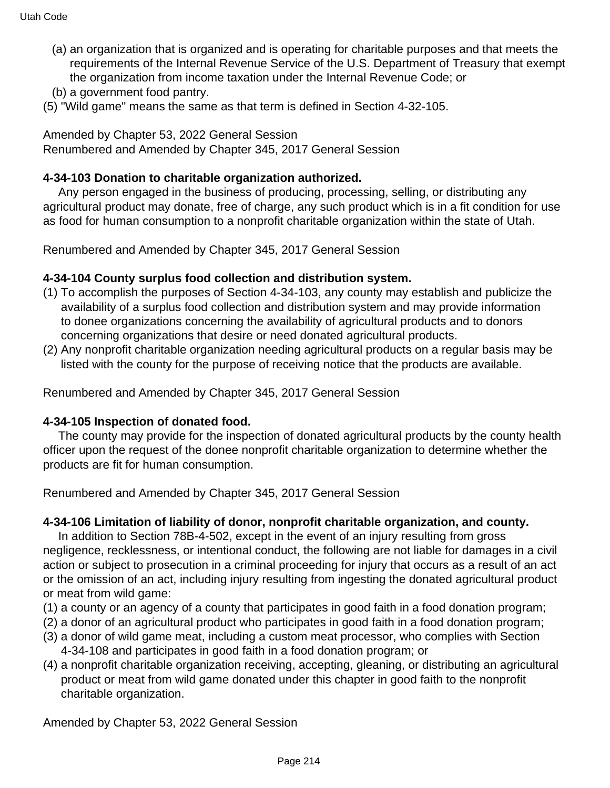- (a) an organization that is organized and is operating for charitable purposes and that meets the requirements of the Internal Revenue Service of the U.S. Department of Treasury that exempt the organization from income taxation under the Internal Revenue Code; or
- (b) a government food pantry.
- (5) "Wild game" means the same as that term is defined in Section 4-32-105.

# Amended by Chapter 53, 2022 General Session

Renumbered and Amended by Chapter 345, 2017 General Session

# **4-34-103 Donation to charitable organization authorized.**

 Any person engaged in the business of producing, processing, selling, or distributing any agricultural product may donate, free of charge, any such product which is in a fit condition for use as food for human consumption to a nonprofit charitable organization within the state of Utah.

Renumbered and Amended by Chapter 345, 2017 General Session

# **4-34-104 County surplus food collection and distribution system.**

- (1) To accomplish the purposes of Section 4-34-103, any county may establish and publicize the availability of a surplus food collection and distribution system and may provide information to donee organizations concerning the availability of agricultural products and to donors concerning organizations that desire or need donated agricultural products.
- (2) Any nonprofit charitable organization needing agricultural products on a regular basis may be listed with the county for the purpose of receiving notice that the products are available.

Renumbered and Amended by Chapter 345, 2017 General Session

# **4-34-105 Inspection of donated food.**

 The county may provide for the inspection of donated agricultural products by the county health officer upon the request of the donee nonprofit charitable organization to determine whether the products are fit for human consumption.

Renumbered and Amended by Chapter 345, 2017 General Session

# **4-34-106 Limitation of liability of donor, nonprofit charitable organization, and county.**

 In addition to Section 78B-4-502, except in the event of an injury resulting from gross negligence, recklessness, or intentional conduct, the following are not liable for damages in a civil action or subject to prosecution in a criminal proceeding for injury that occurs as a result of an act or the omission of an act, including injury resulting from ingesting the donated agricultural product or meat from wild game:

- (1) a county or an agency of a county that participates in good faith in a food donation program;
- (2) a donor of an agricultural product who participates in good faith in a food donation program;
- (3) a donor of wild game meat, including a custom meat processor, who complies with Section 4-34-108 and participates in good faith in a food donation program; or
- (4) a nonprofit charitable organization receiving, accepting, gleaning, or distributing an agricultural product or meat from wild game donated under this chapter in good faith to the nonprofit charitable organization.

Amended by Chapter 53, 2022 General Session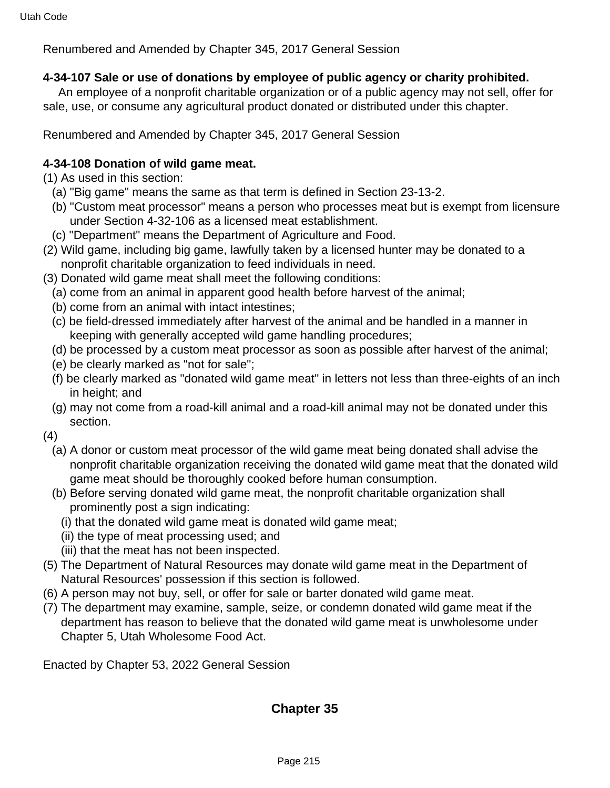### **4-34-107 Sale or use of donations by employee of public agency or charity prohibited.**

 An employee of a nonprofit charitable organization or of a public agency may not sell, offer for sale, use, or consume any agricultural product donated or distributed under this chapter.

Renumbered and Amended by Chapter 345, 2017 General Session

### **4-34-108 Donation of wild game meat.**

(1) As used in this section:

- (a) "Big game" means the same as that term is defined in Section 23-13-2.
- (b) "Custom meat processor" means a person who processes meat but is exempt from licensure under Section 4-32-106 as a licensed meat establishment.
- (c) "Department" means the Department of Agriculture and Food.
- (2) Wild game, including big game, lawfully taken by a licensed hunter may be donated to a nonprofit charitable organization to feed individuals in need.
- (3) Donated wild game meat shall meet the following conditions:
	- (a) come from an animal in apparent good health before harvest of the animal;
	- (b) come from an animal with intact intestines;
	- (c) be field-dressed immediately after harvest of the animal and be handled in a manner in keeping with generally accepted wild game handling procedures;
	- (d) be processed by a custom meat processor as soon as possible after harvest of the animal;
	- (e) be clearly marked as "not for sale";
	- (f) be clearly marked as "donated wild game meat" in letters not less than three-eights of an inch in height; and
	- (g) may not come from a road-kill animal and a road-kill animal may not be donated under this section.

(4)

- (a) A donor or custom meat processor of the wild game meat being donated shall advise the nonprofit charitable organization receiving the donated wild game meat that the donated wild game meat should be thoroughly cooked before human consumption.
- (b) Before serving donated wild game meat, the nonprofit charitable organization shall prominently post a sign indicating:
	- (i) that the donated wild game meat is donated wild game meat;
	- (ii) the type of meat processing used; and
	- (iii) that the meat has not been inspected.
- (5) The Department of Natural Resources may donate wild game meat in the Department of Natural Resources' possession if this section is followed.
- (6) A person may not buy, sell, or offer for sale or barter donated wild game meat.
- (7) The department may examine, sample, seize, or condemn donated wild game meat if the department has reason to believe that the donated wild game meat is unwholesome under Chapter 5, Utah Wholesome Food Act.

Enacted by Chapter 53, 2022 General Session

# **Chapter 35**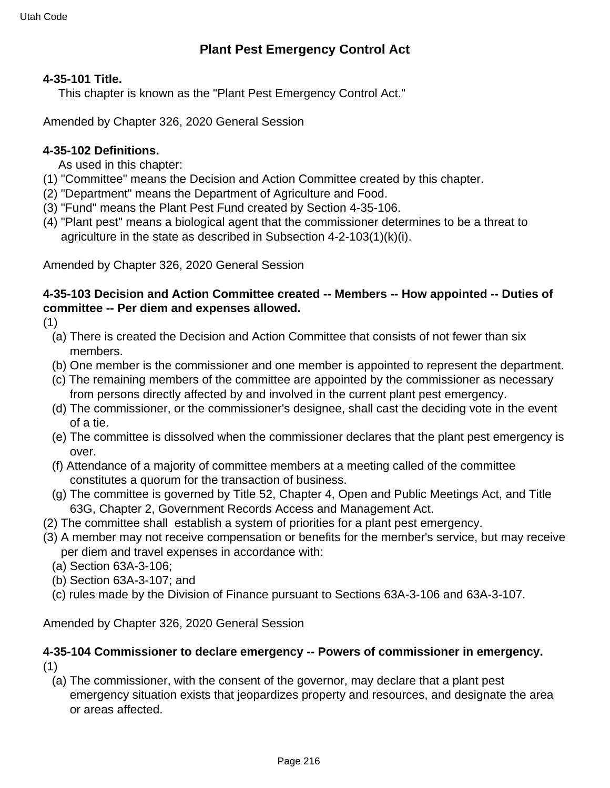#### **4-35-101 Title.**

This chapter is known as the "Plant Pest Emergency Control Act."

Amended by Chapter 326, 2020 General Session

### **4-35-102 Definitions.**

As used in this chapter:

- (1) "Committee" means the Decision and Action Committee created by this chapter.
- (2) "Department" means the Department of Agriculture and Food.
- (3) "Fund" means the Plant Pest Fund created by Section 4-35-106.
- (4) "Plant pest" means a biological agent that the commissioner determines to be a threat to agriculture in the state as described in Subsection 4-2-103(1)(k)(i).

Amended by Chapter 326, 2020 General Session

### **4-35-103 Decision and Action Committee created -- Members -- How appointed -- Duties of committee -- Per diem and expenses allowed.**

(1)

- (a) There is created the Decision and Action Committee that consists of not fewer than six members.
- (b) One member is the commissioner and one member is appointed to represent the department.
- (c) The remaining members of the committee are appointed by the commissioner as necessary from persons directly affected by and involved in the current plant pest emergency.
- (d) The commissioner, or the commissioner's designee, shall cast the deciding vote in the event of a tie.
- (e) The committee is dissolved when the commissioner declares that the plant pest emergency is over.
- (f) Attendance of a majority of committee members at a meeting called of the committee constitutes a quorum for the transaction of business.
- (g) The committee is governed by Title 52, Chapter 4, Open and Public Meetings Act, and Title 63G, Chapter 2, Government Records Access and Management Act.
- (2) The committee shall establish a system of priorities for a plant pest emergency.
- (3) A member may not receive compensation or benefits for the member's service, but may receive per diem and travel expenses in accordance with:
	- (a) Section 63A-3-106;
	- (b) Section 63A-3-107; and
	- (c) rules made by the Division of Finance pursuant to Sections 63A-3-106 and 63A-3-107.

Amended by Chapter 326, 2020 General Session

#### **4-35-104 Commissioner to declare emergency -- Powers of commissioner in emergency.** (1)

(a) The commissioner, with the consent of the governor, may declare that a plant pest emergency situation exists that jeopardizes property and resources, and designate the area or areas affected.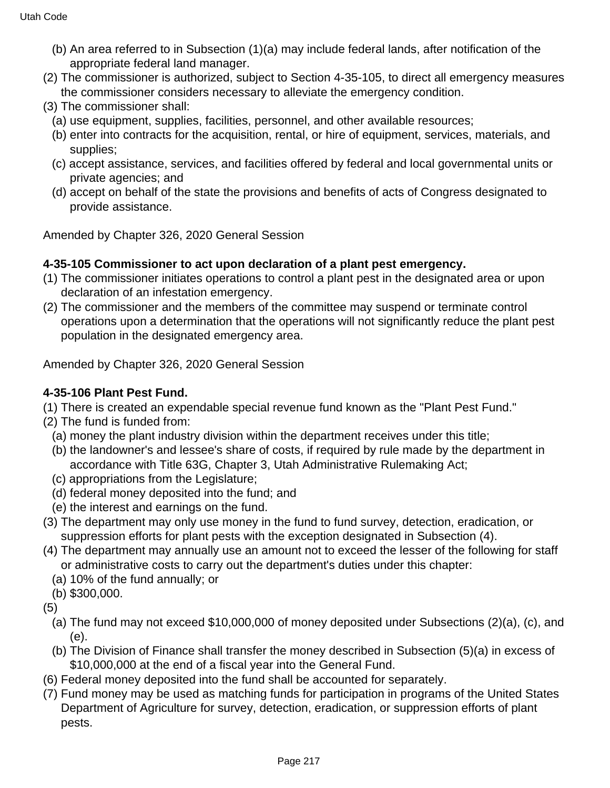- (b) An area referred to in Subsection (1)(a) may include federal lands, after notification of the appropriate federal land manager.
- (2) The commissioner is authorized, subject to Section 4-35-105, to direct all emergency measures the commissioner considers necessary to alleviate the emergency condition.
- (3) The commissioner shall:
	- (a) use equipment, supplies, facilities, personnel, and other available resources;
	- (b) enter into contracts for the acquisition, rental, or hire of equipment, services, materials, and supplies;
	- (c) accept assistance, services, and facilities offered by federal and local governmental units or private agencies; and
	- (d) accept on behalf of the state the provisions and benefits of acts of Congress designated to provide assistance.

Amended by Chapter 326, 2020 General Session

#### **4-35-105 Commissioner to act upon declaration of a plant pest emergency.**

- (1) The commissioner initiates operations to control a plant pest in the designated area or upon declaration of an infestation emergency.
- (2) The commissioner and the members of the committee may suspend or terminate control operations upon a determination that the operations will not significantly reduce the plant pest population in the designated emergency area.

Amended by Chapter 326, 2020 General Session

## **4-35-106 Plant Pest Fund.**

- (1) There is created an expendable special revenue fund known as the "Plant Pest Fund."
- (2) The fund is funded from:
	- (a) money the plant industry division within the department receives under this title;
	- (b) the landowner's and lessee's share of costs, if required by rule made by the department in accordance with Title 63G, Chapter 3, Utah Administrative Rulemaking Act;
	- (c) appropriations from the Legislature;
	- (d) federal money deposited into the fund; and
	- (e) the interest and earnings on the fund.
- (3) The department may only use money in the fund to fund survey, detection, eradication, or suppression efforts for plant pests with the exception designated in Subsection (4).
- (4) The department may annually use an amount not to exceed the lesser of the following for staff or administrative costs to carry out the department's duties under this chapter:
	- (a) 10% of the fund annually; or
	- (b) \$300,000.
- (5)
	- (a) The fund may not exceed \$10,000,000 of money deposited under Subsections (2)(a), (c), and (e).
	- (b) The Division of Finance shall transfer the money described in Subsection (5)(a) in excess of \$10,000,000 at the end of a fiscal year into the General Fund.
- (6) Federal money deposited into the fund shall be accounted for separately.
- (7) Fund money may be used as matching funds for participation in programs of the United States Department of Agriculture for survey, detection, eradication, or suppression efforts of plant pests.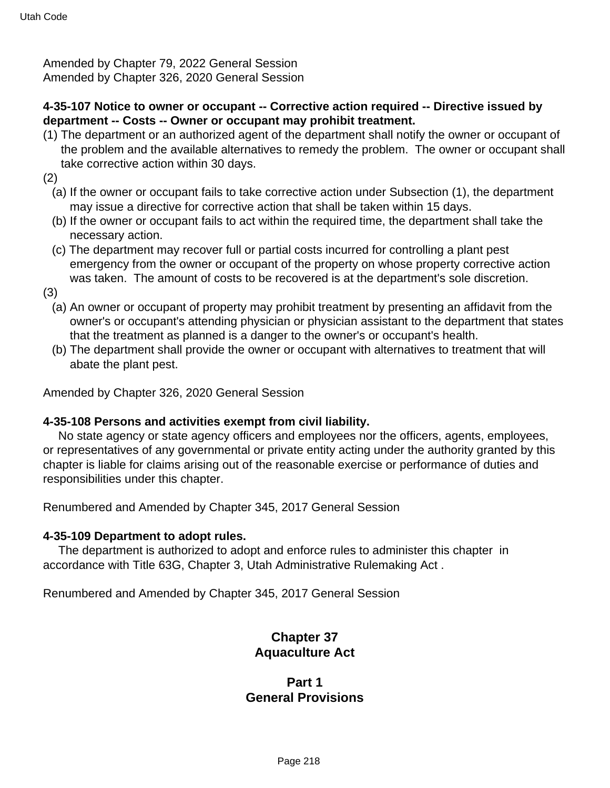Amended by Chapter 79, 2022 General Session Amended by Chapter 326, 2020 General Session

#### **4-35-107 Notice to owner or occupant -- Corrective action required -- Directive issued by department -- Costs -- Owner or occupant may prohibit treatment.**

- (1) The department or an authorized agent of the department shall notify the owner or occupant of the problem and the available alternatives to remedy the problem. The owner or occupant shall take corrective action within 30 days.
- (2)
	- (a) If the owner or occupant fails to take corrective action under Subsection (1), the department may issue a directive for corrective action that shall be taken within 15 days.
	- (b) If the owner or occupant fails to act within the required time, the department shall take the necessary action.
	- (c) The department may recover full or partial costs incurred for controlling a plant pest emergency from the owner or occupant of the property on whose property corrective action was taken. The amount of costs to be recovered is at the department's sole discretion.
- (3)
	- (a) An owner or occupant of property may prohibit treatment by presenting an affidavit from the owner's or occupant's attending physician or physician assistant to the department that states that the treatment as planned is a danger to the owner's or occupant's health.
	- (b) The department shall provide the owner or occupant with alternatives to treatment that will abate the plant pest.

Amended by Chapter 326, 2020 General Session

#### **4-35-108 Persons and activities exempt from civil liability.**

 No state agency or state agency officers and employees nor the officers, agents, employees, or representatives of any governmental or private entity acting under the authority granted by this chapter is liable for claims arising out of the reasonable exercise or performance of duties and responsibilities under this chapter.

Renumbered and Amended by Chapter 345, 2017 General Session

#### **4-35-109 Department to adopt rules.**

 The department is authorized to adopt and enforce rules to administer this chapter in accordance with Title 63G, Chapter 3, Utah Administrative Rulemaking Act .

Renumbered and Amended by Chapter 345, 2017 General Session

## **Chapter 37 Aquaculture Act**

## **Part 1 General Provisions**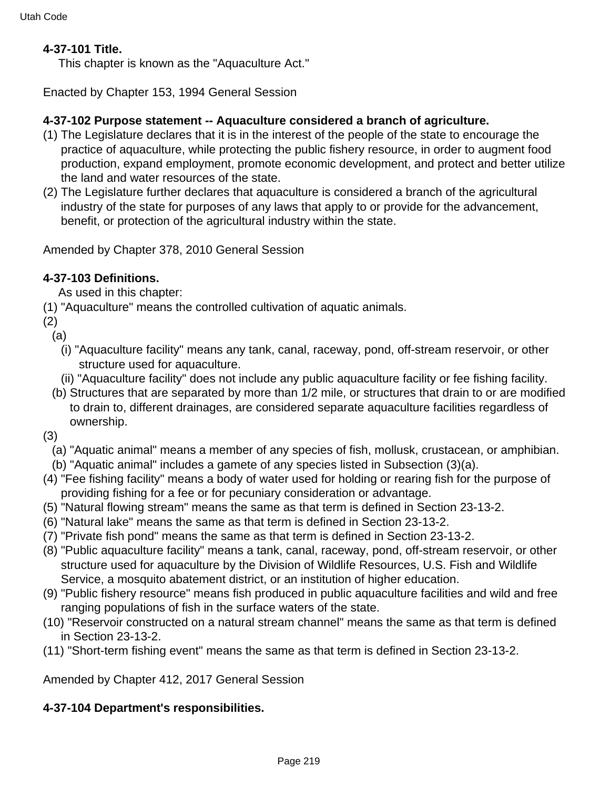#### **4-37-101 Title.**

This chapter is known as the "Aquaculture Act."

Enacted by Chapter 153, 1994 General Session

#### **4-37-102 Purpose statement -- Aquaculture considered a branch of agriculture.**

- (1) The Legislature declares that it is in the interest of the people of the state to encourage the practice of aquaculture, while protecting the public fishery resource, in order to augment food production, expand employment, promote economic development, and protect and better utilize the land and water resources of the state.
- (2) The Legislature further declares that aquaculture is considered a branch of the agricultural industry of the state for purposes of any laws that apply to or provide for the advancement, benefit, or protection of the agricultural industry within the state.

Amended by Chapter 378, 2010 General Session

#### **4-37-103 Definitions.**

As used in this chapter:

- (1) "Aquaculture" means the controlled cultivation of aquatic animals.
- (2)
	- (a)
		- (i) "Aquaculture facility" means any tank, canal, raceway, pond, off-stream reservoir, or other structure used for aquaculture.
		- (ii) "Aquaculture facility" does not include any public aquaculture facility or fee fishing facility.
	- (b) Structures that are separated by more than 1/2 mile, or structures that drain to or are modified to drain to, different drainages, are considered separate aquaculture facilities regardless of ownership.
- (3)
	- (a) "Aquatic animal" means a member of any species of fish, mollusk, crustacean, or amphibian.
	- (b) "Aquatic animal" includes a gamete of any species listed in Subsection (3)(a).
- (4) "Fee fishing facility" means a body of water used for holding or rearing fish for the purpose of providing fishing for a fee or for pecuniary consideration or advantage.
- (5) "Natural flowing stream" means the same as that term is defined in Section 23-13-2.
- (6) "Natural lake" means the same as that term is defined in Section 23-13-2.
- (7) "Private fish pond" means the same as that term is defined in Section 23-13-2.
- (8) "Public aquaculture facility" means a tank, canal, raceway, pond, off-stream reservoir, or other structure used for aquaculture by the Division of Wildlife Resources, U.S. Fish and Wildlife Service, a mosquito abatement district, or an institution of higher education.
- (9) "Public fishery resource" means fish produced in public aquaculture facilities and wild and free ranging populations of fish in the surface waters of the state.
- (10) "Reservoir constructed on a natural stream channel" means the same as that term is defined in Section 23-13-2.
- (11) "Short-term fishing event" means the same as that term is defined in Section 23-13-2.

Amended by Chapter 412, 2017 General Session

#### **4-37-104 Department's responsibilities.**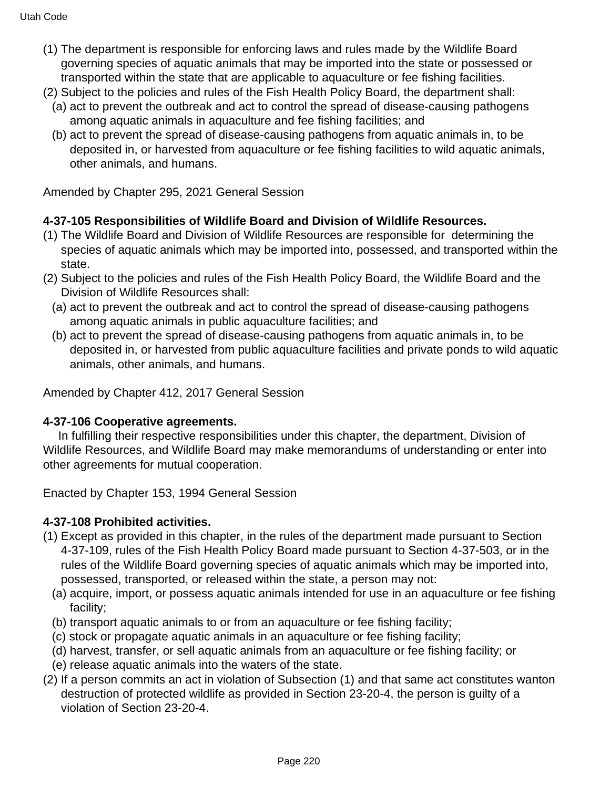- (1) The department is responsible for enforcing laws and rules made by the Wildlife Board governing species of aquatic animals that may be imported into the state or possessed or transported within the state that are applicable to aquaculture or fee fishing facilities.
- (2) Subject to the policies and rules of the Fish Health Policy Board, the department shall:
	- (a) act to prevent the outbreak and act to control the spread of disease-causing pathogens among aquatic animals in aquaculture and fee fishing facilities; and
	- (b) act to prevent the spread of disease-causing pathogens from aquatic animals in, to be deposited in, or harvested from aquaculture or fee fishing facilities to wild aquatic animals, other animals, and humans.

Amended by Chapter 295, 2021 General Session

#### **4-37-105 Responsibilities of Wildlife Board and Division of Wildlife Resources.**

- (1) The Wildlife Board and Division of Wildlife Resources are responsible for determining the species of aquatic animals which may be imported into, possessed, and transported within the state.
- (2) Subject to the policies and rules of the Fish Health Policy Board, the Wildlife Board and the Division of Wildlife Resources shall:
	- (a) act to prevent the outbreak and act to control the spread of disease-causing pathogens among aquatic animals in public aquaculture facilities; and
	- (b) act to prevent the spread of disease-causing pathogens from aquatic animals in, to be deposited in, or harvested from public aquaculture facilities and private ponds to wild aquatic animals, other animals, and humans.

Amended by Chapter 412, 2017 General Session

#### **4-37-106 Cooperative agreements.**

 In fulfilling their respective responsibilities under this chapter, the department, Division of Wildlife Resources, and Wildlife Board may make memorandums of understanding or enter into other agreements for mutual cooperation.

Enacted by Chapter 153, 1994 General Session

## **4-37-108 Prohibited activities.**

- (1) Except as provided in this chapter, in the rules of the department made pursuant to Section 4-37-109, rules of the Fish Health Policy Board made pursuant to Section 4-37-503, or in the rules of the Wildlife Board governing species of aquatic animals which may be imported into, possessed, transported, or released within the state, a person may not:
	- (a) acquire, import, or possess aquatic animals intended for use in an aquaculture or fee fishing facility;
	- (b) transport aquatic animals to or from an aquaculture or fee fishing facility;
	- (c) stock or propagate aquatic animals in an aquaculture or fee fishing facility;
	- (d) harvest, transfer, or sell aquatic animals from an aquaculture or fee fishing facility; or
	- (e) release aquatic animals into the waters of the state.
- (2) If a person commits an act in violation of Subsection (1) and that same act constitutes wanton destruction of protected wildlife as provided in Section 23-20-4, the person is guilty of a violation of Section 23-20-4.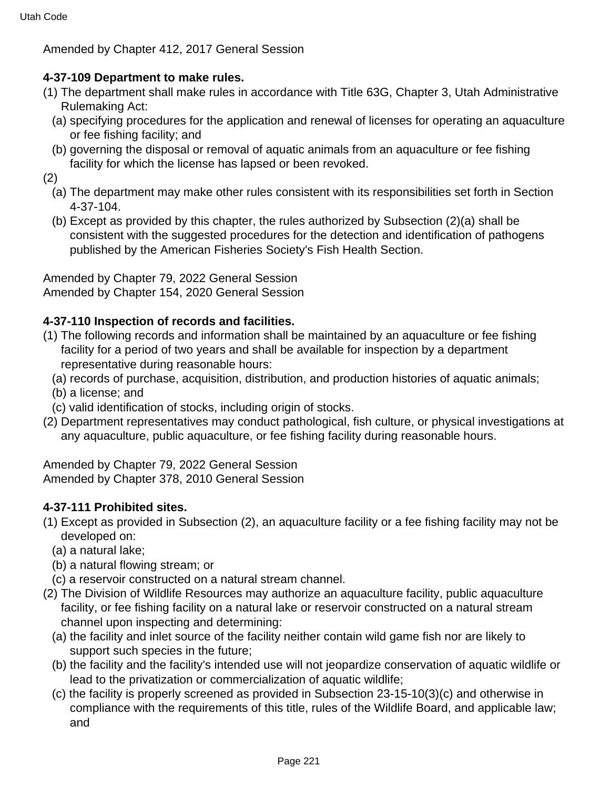Amended by Chapter 412, 2017 General Session

## **4-37-109 Department to make rules.**

- (1) The department shall make rules in accordance with Title 63G, Chapter 3, Utah Administrative Rulemaking Act:
	- (a) specifying procedures for the application and renewal of licenses for operating an aquaculture or fee fishing facility; and
	- (b) governing the disposal or removal of aquatic animals from an aquaculture or fee fishing facility for which the license has lapsed or been revoked.

(2)

- (a) The department may make other rules consistent with its responsibilities set forth in Section 4-37-104.
- (b) Except as provided by this chapter, the rules authorized by Subsection (2)(a) shall be consistent with the suggested procedures for the detection and identification of pathogens published by the American Fisheries Society's Fish Health Section.

Amended by Chapter 79, 2022 General Session Amended by Chapter 154, 2020 General Session

## **4-37-110 Inspection of records and facilities.**

- (1) The following records and information shall be maintained by an aquaculture or fee fishing facility for a period of two years and shall be available for inspection by a department representative during reasonable hours:
	- (a) records of purchase, acquisition, distribution, and production histories of aquatic animals;
	- (b) a license; and
- (c) valid identification of stocks, including origin of stocks.
- (2) Department representatives may conduct pathological, fish culture, or physical investigations at any aquaculture, public aquaculture, or fee fishing facility during reasonable hours.

Amended by Chapter 79, 2022 General Session Amended by Chapter 378, 2010 General Session

## **4-37-111 Prohibited sites.**

- (1) Except as provided in Subsection (2), an aquaculture facility or a fee fishing facility may not be developed on:
	- (a) a natural lake;
	- (b) a natural flowing stream; or
	- (c) a reservoir constructed on a natural stream channel.
- (2) The Division of Wildlife Resources may authorize an aquaculture facility, public aquaculture facility, or fee fishing facility on a natural lake or reservoir constructed on a natural stream channel upon inspecting and determining:
	- (a) the facility and inlet source of the facility neither contain wild game fish nor are likely to support such species in the future;
	- (b) the facility and the facility's intended use will not jeopardize conservation of aquatic wildlife or lead to the privatization or commercialization of aquatic wildlife;
	- (c) the facility is properly screened as provided in Subsection 23-15-10(3)(c) and otherwise in compliance with the requirements of this title, rules of the Wildlife Board, and applicable law; and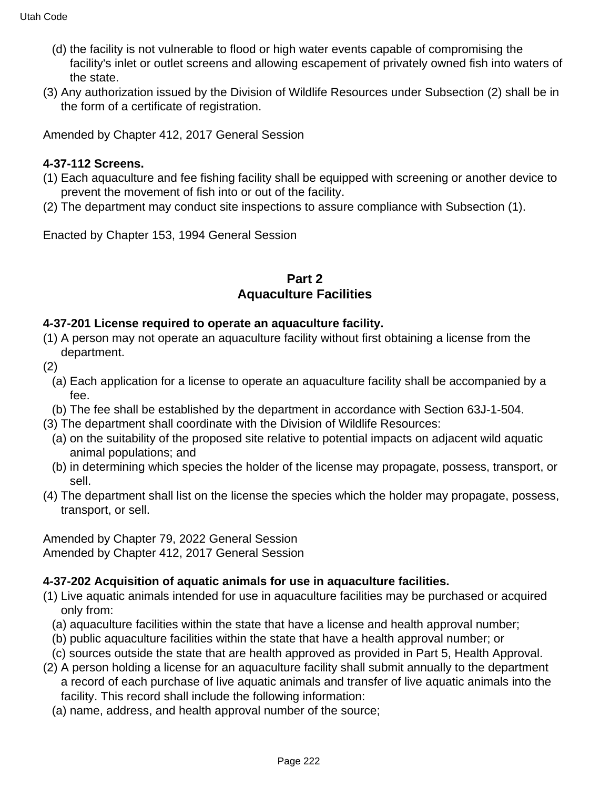- (d) the facility is not vulnerable to flood or high water events capable of compromising the facility's inlet or outlet screens and allowing escapement of privately owned fish into waters of the state.
- (3) Any authorization issued by the Division of Wildlife Resources under Subsection (2) shall be in the form of a certificate of registration.

Amended by Chapter 412, 2017 General Session

# **4-37-112 Screens.**

- (1) Each aquaculture and fee fishing facility shall be equipped with screening or another device to prevent the movement of fish into or out of the facility.
- (2) The department may conduct site inspections to assure compliance with Subsection (1).

Enacted by Chapter 153, 1994 General Session

## **Part 2 Aquaculture Facilities**

#### **4-37-201 License required to operate an aquaculture facility.**

- (1) A person may not operate an aquaculture facility without first obtaining a license from the department.
- (2)
	- (a) Each application for a license to operate an aquaculture facility shall be accompanied by a fee.
- (b) The fee shall be established by the department in accordance with Section 63J-1-504.
- (3) The department shall coordinate with the Division of Wildlife Resources:
- (a) on the suitability of the proposed site relative to potential impacts on adjacent wild aquatic animal populations; and
- (b) in determining which species the holder of the license may propagate, possess, transport, or sell.
- (4) The department shall list on the license the species which the holder may propagate, possess, transport, or sell.

Amended by Chapter 79, 2022 General Session Amended by Chapter 412, 2017 General Session

## **4-37-202 Acquisition of aquatic animals for use in aquaculture facilities.**

- (1) Live aquatic animals intended for use in aquaculture facilities may be purchased or acquired only from:
	- (a) aquaculture facilities within the state that have a license and health approval number;
	- (b) public aquaculture facilities within the state that have a health approval number; or
	- (c) sources outside the state that are health approved as provided in Part 5, Health Approval.
- (2) A person holding a license for an aquaculture facility shall submit annually to the department a record of each purchase of live aquatic animals and transfer of live aquatic animals into the facility. This record shall include the following information:
	- (a) name, address, and health approval number of the source;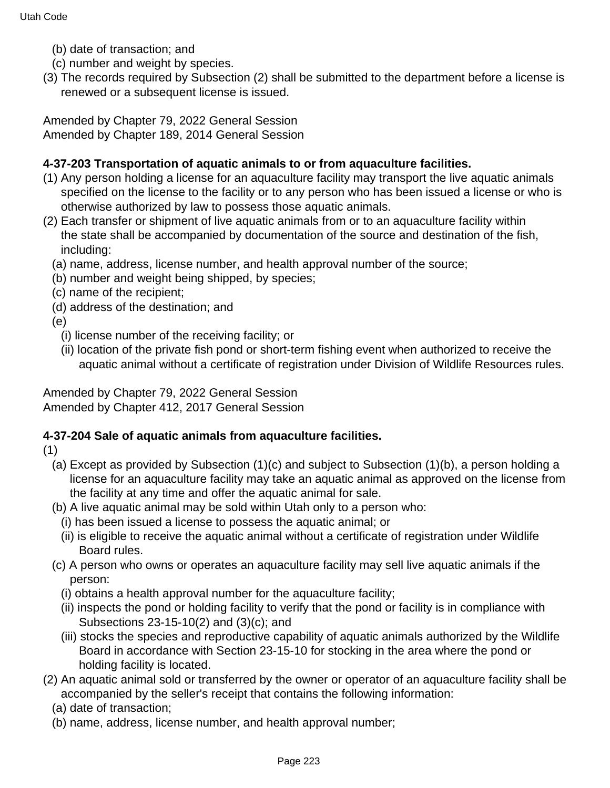- (b) date of transaction; and
- (c) number and weight by species.
- (3) The records required by Subsection (2) shall be submitted to the department before a license is renewed or a subsequent license is issued.

Amended by Chapter 79, 2022 General Session Amended by Chapter 189, 2014 General Session

## **4-37-203 Transportation of aquatic animals to or from aquaculture facilities.**

- (1) Any person holding a license for an aquaculture facility may transport the live aquatic animals specified on the license to the facility or to any person who has been issued a license or who is otherwise authorized by law to possess those aquatic animals.
- (2) Each transfer or shipment of live aquatic animals from or to an aquaculture facility within the state shall be accompanied by documentation of the source and destination of the fish, including:
	- (a) name, address, license number, and health approval number of the source;
	- (b) number and weight being shipped, by species;
	- (c) name of the recipient;
	- (d) address of the destination; and
	- (e)
		- (i) license number of the receiving facility; or
		- (ii) location of the private fish pond or short-term fishing event when authorized to receive the aquatic animal without a certificate of registration under Division of Wildlife Resources rules.

Amended by Chapter 79, 2022 General Session Amended by Chapter 412, 2017 General Session

## **4-37-204 Sale of aquatic animals from aquaculture facilities.**

(1)

- (a) Except as provided by Subsection (1)(c) and subject to Subsection (1)(b), a person holding a license for an aquaculture facility may take an aquatic animal as approved on the license from the facility at any time and offer the aquatic animal for sale.
- (b) A live aquatic animal may be sold within Utah only to a person who:
	- (i) has been issued a license to possess the aquatic animal; or
	- (ii) is eligible to receive the aquatic animal without a certificate of registration under Wildlife Board rules.
- (c) A person who owns or operates an aquaculture facility may sell live aquatic animals if the person:
	- (i) obtains a health approval number for the aquaculture facility;
	- (ii) inspects the pond or holding facility to verify that the pond or facility is in compliance with Subsections 23-15-10(2) and (3)(c); and
	- (iii) stocks the species and reproductive capability of aquatic animals authorized by the Wildlife Board in accordance with Section 23-15-10 for stocking in the area where the pond or holding facility is located.
- (2) An aquatic animal sold or transferred by the owner or operator of an aquaculture facility shall be accompanied by the seller's receipt that contains the following information:
	- (a) date of transaction;
	- (b) name, address, license number, and health approval number;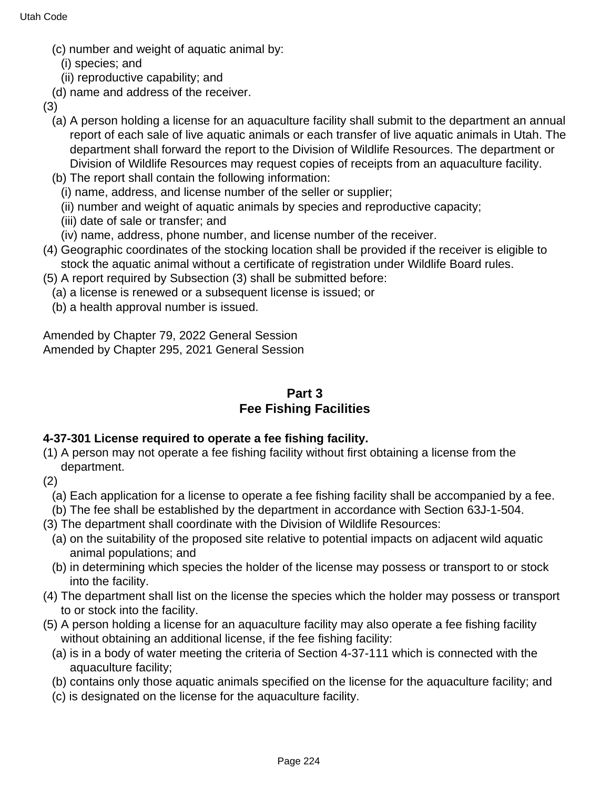- (c) number and weight of aquatic animal by:
	- (i) species; and
	- (ii) reproductive capability; and
- (d) name and address of the receiver.
- (3)
	- (a) A person holding a license for an aquaculture facility shall submit to the department an annual report of each sale of live aquatic animals or each transfer of live aquatic animals in Utah. The department shall forward the report to the Division of Wildlife Resources. The department or Division of Wildlife Resources may request copies of receipts from an aquaculture facility.
	- (b) The report shall contain the following information:
		- (i) name, address, and license number of the seller or supplier;
		- (ii) number and weight of aquatic animals by species and reproductive capacity;
		- (iii) date of sale or transfer; and
	- (iv) name, address, phone number, and license number of the receiver.
- (4) Geographic coordinates of the stocking location shall be provided if the receiver is eligible to stock the aquatic animal without a certificate of registration under Wildlife Board rules.
- (5) A report required by Subsection (3) shall be submitted before:
	- (a) a license is renewed or a subsequent license is issued; or
	- (b) a health approval number is issued.

Amended by Chapter 79, 2022 General Session Amended by Chapter 295, 2021 General Session

# **Part 3 Fee Fishing Facilities**

# **4-37-301 License required to operate a fee fishing facility.**

- (1) A person may not operate a fee fishing facility without first obtaining a license from the department.
- (2)
	- (a) Each application for a license to operate a fee fishing facility shall be accompanied by a fee.
	- (b) The fee shall be established by the department in accordance with Section 63J-1-504.
- (3) The department shall coordinate with the Division of Wildlife Resources:
	- (a) on the suitability of the proposed site relative to potential impacts on adjacent wild aquatic animal populations; and
	- (b) in determining which species the holder of the license may possess or transport to or stock into the facility.
- (4) The department shall list on the license the species which the holder may possess or transport to or stock into the facility.
- (5) A person holding a license for an aquaculture facility may also operate a fee fishing facility without obtaining an additional license, if the fee fishing facility:
	- (a) is in a body of water meeting the criteria of Section 4-37-111 which is connected with the aquaculture facility;
	- (b) contains only those aquatic animals specified on the license for the aquaculture facility; and
	- (c) is designated on the license for the aquaculture facility.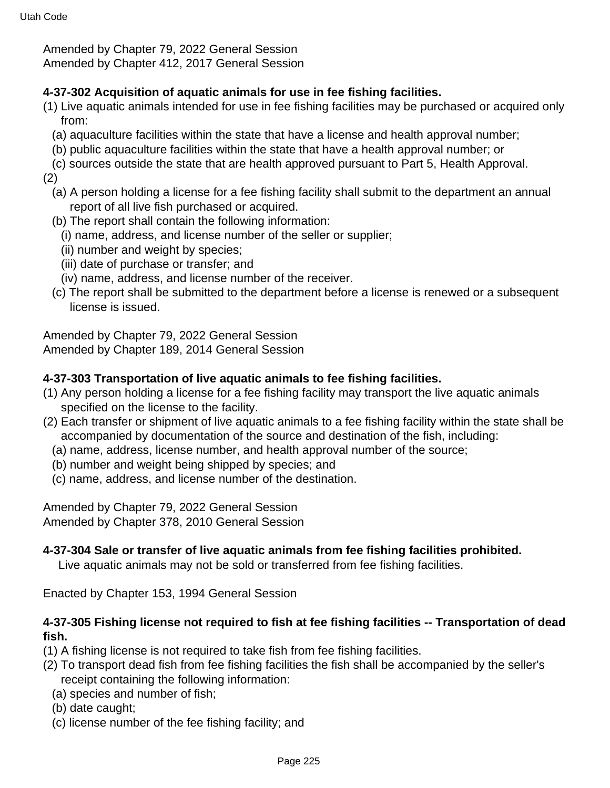Amended by Chapter 79, 2022 General Session

Amended by Chapter 412, 2017 General Session

#### **4-37-302 Acquisition of aquatic animals for use in fee fishing facilities.**

- (1) Live aquatic animals intended for use in fee fishing facilities may be purchased or acquired only from:
	- (a) aquaculture facilities within the state that have a license and health approval number;
	- (b) public aquaculture facilities within the state that have a health approval number; or
	- (c) sources outside the state that are health approved pursuant to Part 5, Health Approval.

(2)

- (a) A person holding a license for a fee fishing facility shall submit to the department an annual report of all live fish purchased or acquired.
- (b) The report shall contain the following information:
	- (i) name, address, and license number of the seller or supplier;
	- (ii) number and weight by species;
	- (iii) date of purchase or transfer; and
	- (iv) name, address, and license number of the receiver.
- (c) The report shall be submitted to the department before a license is renewed or a subsequent license is issued.

Amended by Chapter 79, 2022 General Session

Amended by Chapter 189, 2014 General Session

## **4-37-303 Transportation of live aquatic animals to fee fishing facilities.**

- (1) Any person holding a license for a fee fishing facility may transport the live aquatic animals specified on the license to the facility.
- (2) Each transfer or shipment of live aquatic animals to a fee fishing facility within the state shall be accompanied by documentation of the source and destination of the fish, including:
	- (a) name, address, license number, and health approval number of the source;
	- (b) number and weight being shipped by species; and
	- (c) name, address, and license number of the destination.

Amended by Chapter 79, 2022 General Session Amended by Chapter 378, 2010 General Session

## **4-37-304 Sale or transfer of live aquatic animals from fee fishing facilities prohibited.**

Live aquatic animals may not be sold or transferred from fee fishing facilities.

Enacted by Chapter 153, 1994 General Session

#### **4-37-305 Fishing license not required to fish at fee fishing facilities -- Transportation of dead fish.**

- (1) A fishing license is not required to take fish from fee fishing facilities.
- (2) To transport dead fish from fee fishing facilities the fish shall be accompanied by the seller's receipt containing the following information:
	- (a) species and number of fish;
	- (b) date caught;
	- (c) license number of the fee fishing facility; and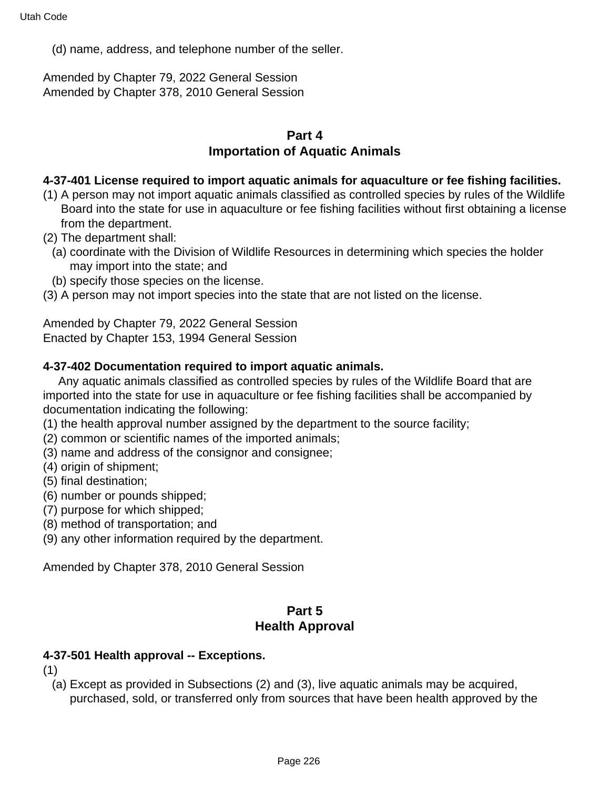(d) name, address, and telephone number of the seller.

Amended by Chapter 79, 2022 General Session Amended by Chapter 378, 2010 General Session

#### **Part 4 Importation of Aquatic Animals**

#### **4-37-401 License required to import aquatic animals for aquaculture or fee fishing facilities.**

- (1) A person may not import aquatic animals classified as controlled species by rules of the Wildlife Board into the state for use in aquaculture or fee fishing facilities without first obtaining a license from the department.
- (2) The department shall:
	- (a) coordinate with the Division of Wildlife Resources in determining which species the holder may import into the state; and
	- (b) specify those species on the license.
- (3) A person may not import species into the state that are not listed on the license.

Amended by Chapter 79, 2022 General Session Enacted by Chapter 153, 1994 General Session

#### **4-37-402 Documentation required to import aquatic animals.**

 Any aquatic animals classified as controlled species by rules of the Wildlife Board that are imported into the state for use in aquaculture or fee fishing facilities shall be accompanied by documentation indicating the following:

- (1) the health approval number assigned by the department to the source facility;
- (2) common or scientific names of the imported animals;
- (3) name and address of the consignor and consignee;
- (4) origin of shipment;
- (5) final destination;
- (6) number or pounds shipped;
- (7) purpose for which shipped;
- (8) method of transportation; and
- (9) any other information required by the department.

Amended by Chapter 378, 2010 General Session

## **Part 5 Health Approval**

#### **4-37-501 Health approval -- Exceptions.**

(1)

(a) Except as provided in Subsections (2) and (3), live aquatic animals may be acquired, purchased, sold, or transferred only from sources that have been health approved by the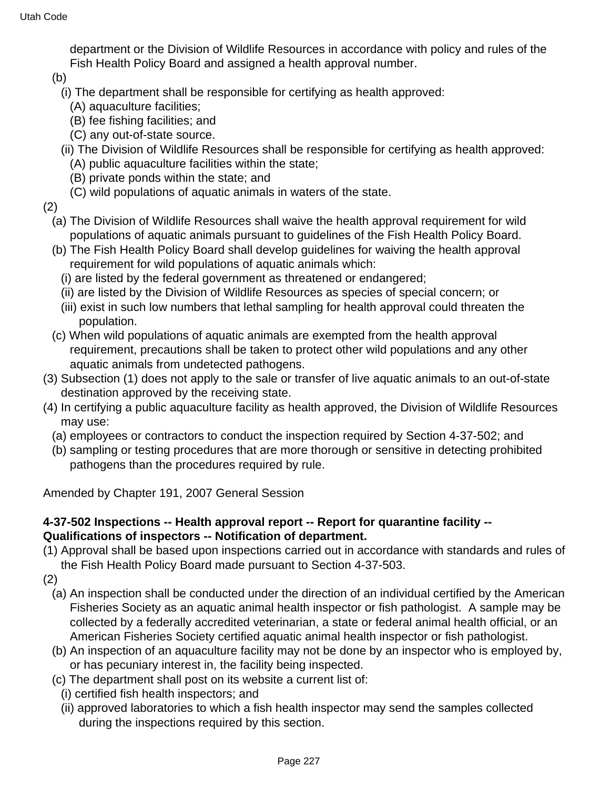department or the Division of Wildlife Resources in accordance with policy and rules of the Fish Health Policy Board and assigned a health approval number.

(b)

- (i) The department shall be responsible for certifying as health approved:
- (A) aquaculture facilities;
- (B) fee fishing facilities; and
- (C) any out-of-state source.
- (ii) The Division of Wildlife Resources shall be responsible for certifying as health approved:
	- (A) public aquaculture facilities within the state;
	- (B) private ponds within the state; and
	- (C) wild populations of aquatic animals in waters of the state.
- (2)
	- (a) The Division of Wildlife Resources shall waive the health approval requirement for wild populations of aquatic animals pursuant to guidelines of the Fish Health Policy Board.
	- (b) The Fish Health Policy Board shall develop guidelines for waiving the health approval requirement for wild populations of aquatic animals which:
		- (i) are listed by the federal government as threatened or endangered;
		- (ii) are listed by the Division of Wildlife Resources as species of special concern; or
		- (iii) exist in such low numbers that lethal sampling for health approval could threaten the population.
	- (c) When wild populations of aquatic animals are exempted from the health approval requirement, precautions shall be taken to protect other wild populations and any other aquatic animals from undetected pathogens.
- (3) Subsection (1) does not apply to the sale or transfer of live aquatic animals to an out-of-state destination approved by the receiving state.
- (4) In certifying a public aquaculture facility as health approved, the Division of Wildlife Resources may use:
	- (a) employees or contractors to conduct the inspection required by Section 4-37-502; and
	- (b) sampling or testing procedures that are more thorough or sensitive in detecting prohibited pathogens than the procedures required by rule.

Amended by Chapter 191, 2007 General Session

#### **4-37-502 Inspections -- Health approval report -- Report for quarantine facility -- Qualifications of inspectors -- Notification of department.**

(1) Approval shall be based upon inspections carried out in accordance with standards and rules of the Fish Health Policy Board made pursuant to Section 4-37-503.

(2)

- (a) An inspection shall be conducted under the direction of an individual certified by the American Fisheries Society as an aquatic animal health inspector or fish pathologist. A sample may be collected by a federally accredited veterinarian, a state or federal animal health official, or an American Fisheries Society certified aquatic animal health inspector or fish pathologist.
- (b) An inspection of an aquaculture facility may not be done by an inspector who is employed by, or has pecuniary interest in, the facility being inspected.
- (c) The department shall post on its website a current list of:
	- (i) certified fish health inspectors; and
	- (ii) approved laboratories to which a fish health inspector may send the samples collected during the inspections required by this section.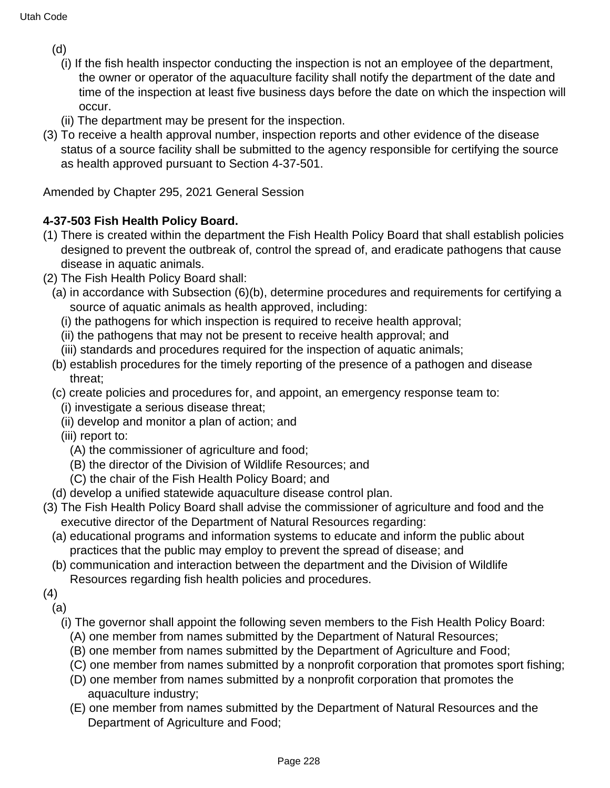(d)

- (i) If the fish health inspector conducting the inspection is not an employee of the department, the owner or operator of the aquaculture facility shall notify the department of the date and time of the inspection at least five business days before the date on which the inspection will occur.
- (ii) The department may be present for the inspection.
- (3) To receive a health approval number, inspection reports and other evidence of the disease status of a source facility shall be submitted to the agency responsible for certifying the source as health approved pursuant to Section 4-37-501.

Amended by Chapter 295, 2021 General Session

# **4-37-503 Fish Health Policy Board.**

- (1) There is created within the department the Fish Health Policy Board that shall establish policies designed to prevent the outbreak of, control the spread of, and eradicate pathogens that cause disease in aquatic animals.
- (2) The Fish Health Policy Board shall:
	- (a) in accordance with Subsection (6)(b), determine procedures and requirements for certifying a source of aquatic animals as health approved, including:
		- (i) the pathogens for which inspection is required to receive health approval;
		- (ii) the pathogens that may not be present to receive health approval; and
		- (iii) standards and procedures required for the inspection of aquatic animals;
	- (b) establish procedures for the timely reporting of the presence of a pathogen and disease threat;
	- (c) create policies and procedures for, and appoint, an emergency response team to:
		- (i) investigate a serious disease threat;
		- (ii) develop and monitor a plan of action; and
		- (iii) report to:
			- (A) the commissioner of agriculture and food;
			- (B) the director of the Division of Wildlife Resources; and
			- (C) the chair of the Fish Health Policy Board; and
- (d) develop a unified statewide aquaculture disease control plan.
- (3) The Fish Health Policy Board shall advise the commissioner of agriculture and food and the executive director of the Department of Natural Resources regarding:
	- (a) educational programs and information systems to educate and inform the public about practices that the public may employ to prevent the spread of disease; and
	- (b) communication and interaction between the department and the Division of Wildlife Resources regarding fish health policies and procedures.
- (4) (a)
	- (i) The governor shall appoint the following seven members to the Fish Health Policy Board:
		- (A) one member from names submitted by the Department of Natural Resources;
		- (B) one member from names submitted by the Department of Agriculture and Food;
		- (C) one member from names submitted by a nonprofit corporation that promotes sport fishing;
		- (D) one member from names submitted by a nonprofit corporation that promotes the aquaculture industry;
		- (E) one member from names submitted by the Department of Natural Resources and the Department of Agriculture and Food;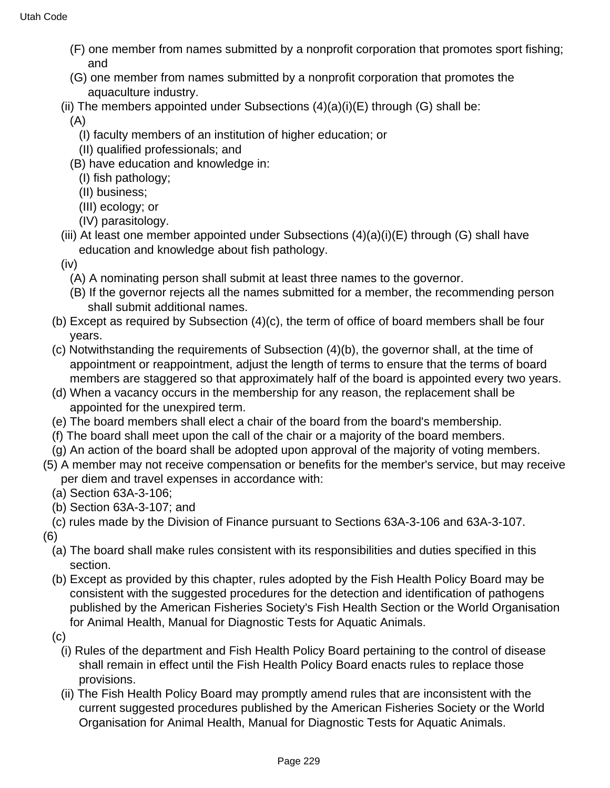- (F) one member from names submitted by a nonprofit corporation that promotes sport fishing; and
- (G) one member from names submitted by a nonprofit corporation that promotes the aquaculture industry.
- (ii) The members appointed under Subsections  $(4)(a)(i)(E)$  through  $(G)$  shall be:

(A)

- (I) faculty members of an institution of higher education; or
- (II) qualified professionals; and
- (B) have education and knowledge in:
	- (I) fish pathology;
	- (II) business;
	- (III) ecology; or
	- (IV) parasitology.
- (iii) At least one member appointed under Subsections  $(4)(a)(i)(E)$  through  $(G)$  shall have education and knowledge about fish pathology.
- (iv)
	- (A) A nominating person shall submit at least three names to the governor.
	- (B) If the governor rejects all the names submitted for a member, the recommending person shall submit additional names.
- (b) Except as required by Subsection (4)(c), the term of office of board members shall be four years.
- (c) Notwithstanding the requirements of Subsection (4)(b), the governor shall, at the time of appointment or reappointment, adjust the length of terms to ensure that the terms of board members are staggered so that approximately half of the board is appointed every two years.
- (d) When a vacancy occurs in the membership for any reason, the replacement shall be appointed for the unexpired term.
- (e) The board members shall elect a chair of the board from the board's membership.
- (f) The board shall meet upon the call of the chair or a majority of the board members.
- (g) An action of the board shall be adopted upon approval of the majority of voting members.
- (5) A member may not receive compensation or benefits for the member's service, but may receive per diem and travel expenses in accordance with:
	- (a) Section 63A-3-106;
	- (b) Section 63A-3-107; and
	- (c) rules made by the Division of Finance pursuant to Sections 63A-3-106 and 63A-3-107.
- (6)
	- (a) The board shall make rules consistent with its responsibilities and duties specified in this section.
	- (b) Except as provided by this chapter, rules adopted by the Fish Health Policy Board may be consistent with the suggested procedures for the detection and identification of pathogens published by the American Fisheries Society's Fish Health Section or the World Organisation for Animal Health, Manual for Diagnostic Tests for Aquatic Animals.
	- (c)
		- (i) Rules of the department and Fish Health Policy Board pertaining to the control of disease shall remain in effect until the Fish Health Policy Board enacts rules to replace those provisions.
		- (ii) The Fish Health Policy Board may promptly amend rules that are inconsistent with the current suggested procedures published by the American Fisheries Society or the World Organisation for Animal Health, Manual for Diagnostic Tests for Aquatic Animals.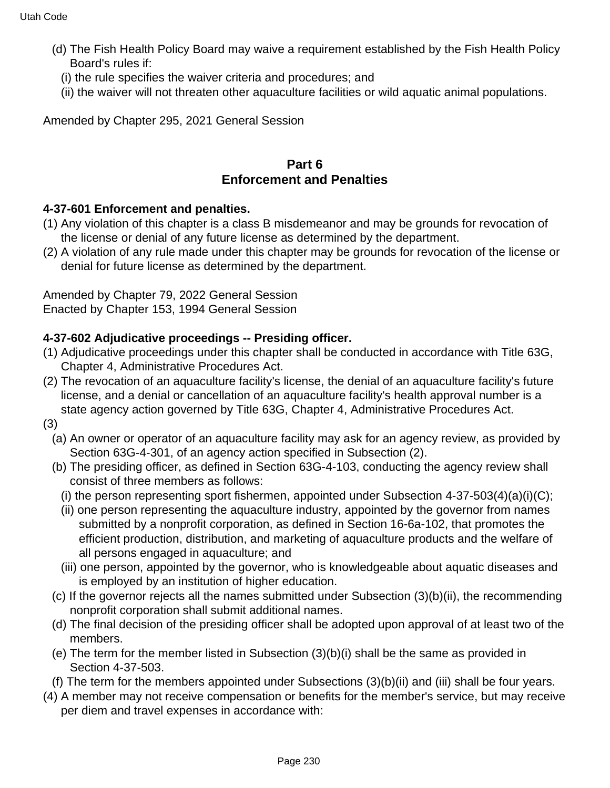- (d) The Fish Health Policy Board may waive a requirement established by the Fish Health Policy Board's rules if:
	- (i) the rule specifies the waiver criteria and procedures; and
	- (ii) the waiver will not threaten other aquaculture facilities or wild aquatic animal populations.

Amended by Chapter 295, 2021 General Session

## **Part 6 Enforcement and Penalties**

#### **4-37-601 Enforcement and penalties.**

- (1) Any violation of this chapter is a class B misdemeanor and may be grounds for revocation of the license or denial of any future license as determined by the department.
- (2) A violation of any rule made under this chapter may be grounds for revocation of the license or denial for future license as determined by the department.

Amended by Chapter 79, 2022 General Session Enacted by Chapter 153, 1994 General Session

## **4-37-602 Adjudicative proceedings -- Presiding officer.**

- (1) Adjudicative proceedings under this chapter shall be conducted in accordance with Title 63G, Chapter 4, Administrative Procedures Act.
- (2) The revocation of an aquaculture facility's license, the denial of an aquaculture facility's future license, and a denial or cancellation of an aquaculture facility's health approval number is a state agency action governed by Title 63G, Chapter 4, Administrative Procedures Act.
- (3)
	- (a) An owner or operator of an aquaculture facility may ask for an agency review, as provided by Section 63G-4-301, of an agency action specified in Subsection (2).
	- (b) The presiding officer, as defined in Section 63G-4-103, conducting the agency review shall consist of three members as follows:
		- (i) the person representing sport fishermen, appointed under Subsection  $4-37-503(4)(a)(i)(C);$
		- (ii) one person representing the aquaculture industry, appointed by the governor from names submitted by a nonprofit corporation, as defined in Section 16-6a-102, that promotes the efficient production, distribution, and marketing of aquaculture products and the welfare of all persons engaged in aquaculture; and
		- (iii) one person, appointed by the governor, who is knowledgeable about aquatic diseases and is employed by an institution of higher education.
	- (c) If the governor rejects all the names submitted under Subsection (3)(b)(ii), the recommending nonprofit corporation shall submit additional names.
	- (d) The final decision of the presiding officer shall be adopted upon approval of at least two of the members.
	- (e) The term for the member listed in Subsection (3)(b)(i) shall be the same as provided in Section 4-37-503.
	- (f) The term for the members appointed under Subsections (3)(b)(ii) and (iii) shall be four years.
- (4) A member may not receive compensation or benefits for the member's service, but may receive per diem and travel expenses in accordance with: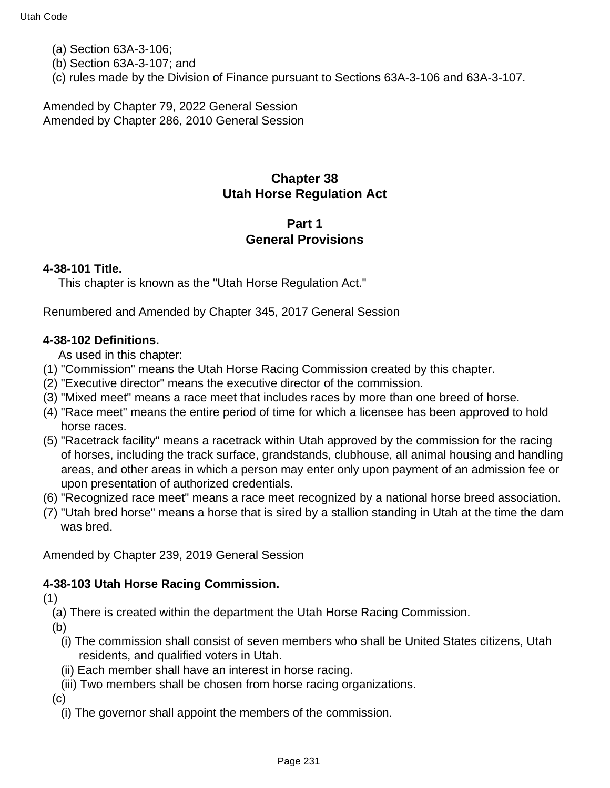- (a) Section 63A-3-106;
- (b) Section 63A-3-107; and
- (c) rules made by the Division of Finance pursuant to Sections 63A-3-106 and 63A-3-107.

Amended by Chapter 79, 2022 General Session Amended by Chapter 286, 2010 General Session

# **Chapter 38 Utah Horse Regulation Act**

# **Part 1 General Provisions**

#### **4-38-101 Title.**

This chapter is known as the "Utah Horse Regulation Act."

Renumbered and Amended by Chapter 345, 2017 General Session

#### **4-38-102 Definitions.**

As used in this chapter:

- (1) "Commission" means the Utah Horse Racing Commission created by this chapter.
- (2) "Executive director" means the executive director of the commission.
- (3) "Mixed meet" means a race meet that includes races by more than one breed of horse.
- (4) "Race meet" means the entire period of time for which a licensee has been approved to hold horse races.
- (5) "Racetrack facility" means a racetrack within Utah approved by the commission for the racing of horses, including the track surface, grandstands, clubhouse, all animal housing and handling areas, and other areas in which a person may enter only upon payment of an admission fee or upon presentation of authorized credentials.
- (6) "Recognized race meet" means a race meet recognized by a national horse breed association.
- (7) "Utah bred horse" means a horse that is sired by a stallion standing in Utah at the time the dam was bred.

Amended by Chapter 239, 2019 General Session

#### **4-38-103 Utah Horse Racing Commission.**

(1)

(a) There is created within the department the Utah Horse Racing Commission.

(b)

- (i) The commission shall consist of seven members who shall be United States citizens, Utah residents, and qualified voters in Utah.
- (ii) Each member shall have an interest in horse racing.
- (iii) Two members shall be chosen from horse racing organizations.

(c)

(i) The governor shall appoint the members of the commission.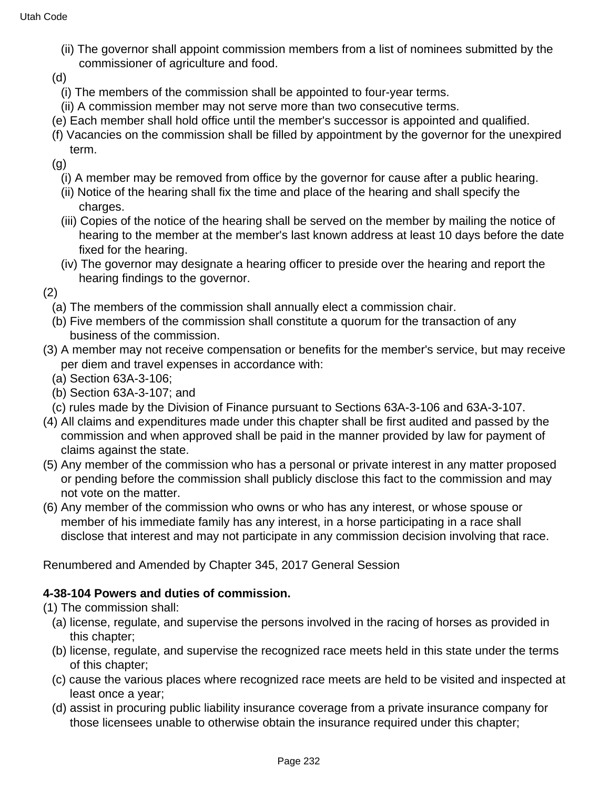- (ii) The governor shall appoint commission members from a list of nominees submitted by the commissioner of agriculture and food.
- (d)
- (i) The members of the commission shall be appointed to four-year terms.
- (ii) A commission member may not serve more than two consecutive terms.
- (e) Each member shall hold office until the member's successor is appointed and qualified.
- (f) Vacancies on the commission shall be filled by appointment by the governor for the unexpired term.

(g)

- (i) A member may be removed from office by the governor for cause after a public hearing.
- (ii) Notice of the hearing shall fix the time and place of the hearing and shall specify the charges.
- (iii) Copies of the notice of the hearing shall be served on the member by mailing the notice of hearing to the member at the member's last known address at least 10 days before the date fixed for the hearing.
- (iv) The governor may designate a hearing officer to preside over the hearing and report the hearing findings to the governor.

(2)

- (a) The members of the commission shall annually elect a commission chair.
- (b) Five members of the commission shall constitute a quorum for the transaction of any business of the commission.
- (3) A member may not receive compensation or benefits for the member's service, but may receive per diem and travel expenses in accordance with:
	- (a) Section 63A-3-106;
	- (b) Section 63A-3-107; and
- (c) rules made by the Division of Finance pursuant to Sections 63A-3-106 and 63A-3-107.
- (4) All claims and expenditures made under this chapter shall be first audited and passed by the commission and when approved shall be paid in the manner provided by law for payment of claims against the state.
- (5) Any member of the commission who has a personal or private interest in any matter proposed or pending before the commission shall publicly disclose this fact to the commission and may not vote on the matter.
- (6) Any member of the commission who owns or who has any interest, or whose spouse or member of his immediate family has any interest, in a horse participating in a race shall disclose that interest and may not participate in any commission decision involving that race.

Renumbered and Amended by Chapter 345, 2017 General Session

## **4-38-104 Powers and duties of commission.**

(1) The commission shall:

- (a) license, regulate, and supervise the persons involved in the racing of horses as provided in this chapter;
- (b) license, regulate, and supervise the recognized race meets held in this state under the terms of this chapter;
- (c) cause the various places where recognized race meets are held to be visited and inspected at least once a year;
- (d) assist in procuring public liability insurance coverage from a private insurance company for those licensees unable to otherwise obtain the insurance required under this chapter;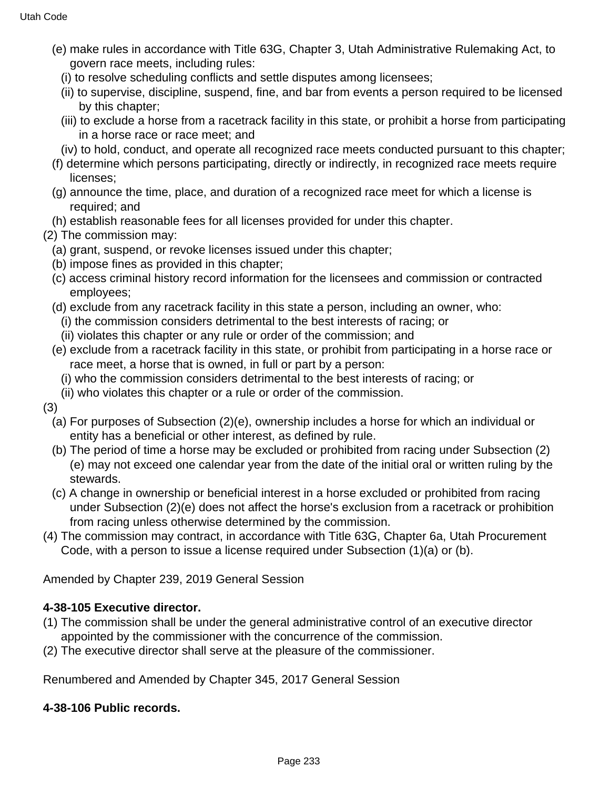- (e) make rules in accordance with Title 63G, Chapter 3, Utah Administrative Rulemaking Act, to govern race meets, including rules:
	- (i) to resolve scheduling conflicts and settle disputes among licensees;
	- (ii) to supervise, discipline, suspend, fine, and bar from events a person required to be licensed by this chapter;
	- (iii) to exclude a horse from a racetrack facility in this state, or prohibit a horse from participating in a horse race or race meet; and
- (iv) to hold, conduct, and operate all recognized race meets conducted pursuant to this chapter;
- (f) determine which persons participating, directly or indirectly, in recognized race meets require licenses;
- (g) announce the time, place, and duration of a recognized race meet for which a license is required; and
- (h) establish reasonable fees for all licenses provided for under this chapter.
- (2) The commission may:
	- (a) grant, suspend, or revoke licenses issued under this chapter;
	- (b) impose fines as provided in this chapter;
	- (c) access criminal history record information for the licensees and commission or contracted employees;
	- (d) exclude from any racetrack facility in this state a person, including an owner, who:
		- (i) the commission considers detrimental to the best interests of racing; or
		- (ii) violates this chapter or any rule or order of the commission; and
	- (e) exclude from a racetrack facility in this state, or prohibit from participating in a horse race or race meet, a horse that is owned, in full or part by a person:
		- (i) who the commission considers detrimental to the best interests of racing; or
	- (ii) who violates this chapter or a rule or order of the commission.

(3)

- (a) For purposes of Subsection (2)(e), ownership includes a horse for which an individual or entity has a beneficial or other interest, as defined by rule.
- (b) The period of time a horse may be excluded or prohibited from racing under Subsection (2) (e) may not exceed one calendar year from the date of the initial oral or written ruling by the stewards.
- (c) A change in ownership or beneficial interest in a horse excluded or prohibited from racing under Subsection (2)(e) does not affect the horse's exclusion from a racetrack or prohibition from racing unless otherwise determined by the commission.
- (4) The commission may contract, in accordance with Title 63G, Chapter 6a, Utah Procurement Code, with a person to issue a license required under Subsection (1)(a) or (b).

Amended by Chapter 239, 2019 General Session

# **4-38-105 Executive director.**

- (1) The commission shall be under the general administrative control of an executive director appointed by the commissioner with the concurrence of the commission.
- (2) The executive director shall serve at the pleasure of the commissioner.

Renumbered and Amended by Chapter 345, 2017 General Session

## **4-38-106 Public records.**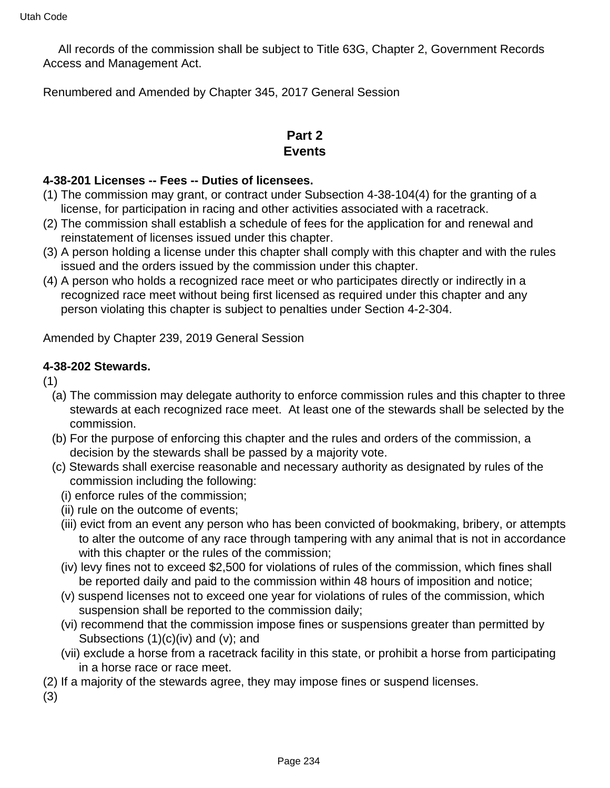All records of the commission shall be subject to Title 63G, Chapter 2, Government Records Access and Management Act.

Renumbered and Amended by Chapter 345, 2017 General Session

# **Part 2 Events**

#### **4-38-201 Licenses -- Fees -- Duties of licensees.**

- (1) The commission may grant, or contract under Subsection 4-38-104(4) for the granting of a license, for participation in racing and other activities associated with a racetrack.
- (2) The commission shall establish a schedule of fees for the application for and renewal and reinstatement of licenses issued under this chapter.
- (3) A person holding a license under this chapter shall comply with this chapter and with the rules issued and the orders issued by the commission under this chapter.
- (4) A person who holds a recognized race meet or who participates directly or indirectly in a recognized race meet without being first licensed as required under this chapter and any person violating this chapter is subject to penalties under Section 4-2-304.

Amended by Chapter 239, 2019 General Session

#### **4-38-202 Stewards.**

(1)

- (a) The commission may delegate authority to enforce commission rules and this chapter to three stewards at each recognized race meet. At least one of the stewards shall be selected by the commission.
- (b) For the purpose of enforcing this chapter and the rules and orders of the commission, a decision by the stewards shall be passed by a majority vote.
- (c) Stewards shall exercise reasonable and necessary authority as designated by rules of the commission including the following:
	- (i) enforce rules of the commission;
	- (ii) rule on the outcome of events;
	- (iii) evict from an event any person who has been convicted of bookmaking, bribery, or attempts to alter the outcome of any race through tampering with any animal that is not in accordance with this chapter or the rules of the commission;
	- (iv) levy fines not to exceed \$2,500 for violations of rules of the commission, which fines shall be reported daily and paid to the commission within 48 hours of imposition and notice;
	- (v) suspend licenses not to exceed one year for violations of rules of the commission, which suspension shall be reported to the commission daily;
	- (vi) recommend that the commission impose fines or suspensions greater than permitted by Subsections  $(1)(c)(iv)$  and  $(v)$ ; and
	- (vii) exclude a horse from a racetrack facility in this state, or prohibit a horse from participating in a horse race or race meet.
- (2) If a majority of the stewards agree, they may impose fines or suspend licenses.

(3)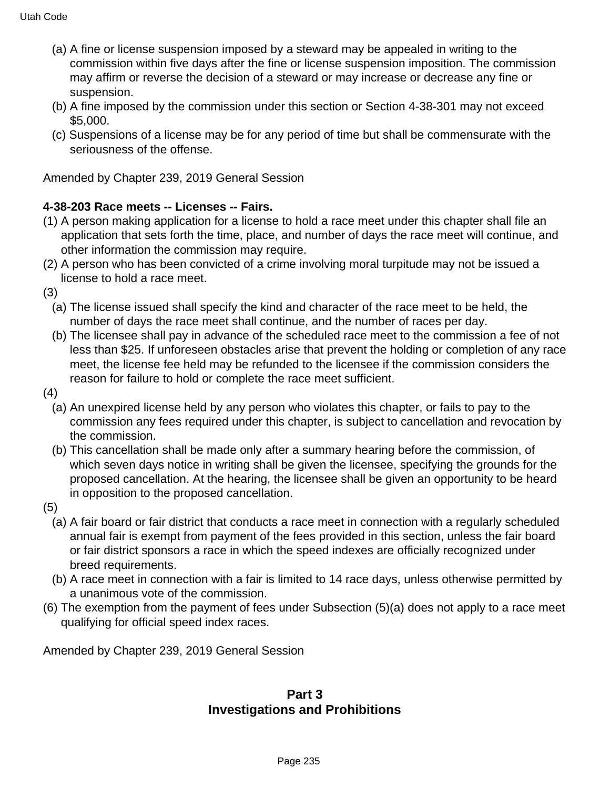- (a) A fine or license suspension imposed by a steward may be appealed in writing to the commission within five days after the fine or license suspension imposition. The commission may affirm or reverse the decision of a steward or may increase or decrease any fine or suspension.
- (b) A fine imposed by the commission under this section or Section 4-38-301 may not exceed \$5,000.
- (c) Suspensions of a license may be for any period of time but shall be commensurate with the seriousness of the offense.

Amended by Chapter 239, 2019 General Session

#### **4-38-203 Race meets -- Licenses -- Fairs.**

- (1) A person making application for a license to hold a race meet under this chapter shall file an application that sets forth the time, place, and number of days the race meet will continue, and other information the commission may require.
- (2) A person who has been convicted of a crime involving moral turpitude may not be issued a license to hold a race meet.

(3)

- (a) The license issued shall specify the kind and character of the race meet to be held, the number of days the race meet shall continue, and the number of races per day.
- (b) The licensee shall pay in advance of the scheduled race meet to the commission a fee of not less than \$25. If unforeseen obstacles arise that prevent the holding or completion of any race meet, the license fee held may be refunded to the licensee if the commission considers the reason for failure to hold or complete the race meet sufficient.
- (4)
	- (a) An unexpired license held by any person who violates this chapter, or fails to pay to the commission any fees required under this chapter, is subject to cancellation and revocation by the commission.
	- (b) This cancellation shall be made only after a summary hearing before the commission, of which seven days notice in writing shall be given the licensee, specifying the grounds for the proposed cancellation. At the hearing, the licensee shall be given an opportunity to be heard in opposition to the proposed cancellation.
- (5)
	- (a) A fair board or fair district that conducts a race meet in connection with a regularly scheduled annual fair is exempt from payment of the fees provided in this section, unless the fair board or fair district sponsors a race in which the speed indexes are officially recognized under breed requirements.
	- (b) A race meet in connection with a fair is limited to 14 race days, unless otherwise permitted by a unanimous vote of the commission.
- (6) The exemption from the payment of fees under Subsection (5)(a) does not apply to a race meet qualifying for official speed index races.

Amended by Chapter 239, 2019 General Session

## **Part 3 Investigations and Prohibitions**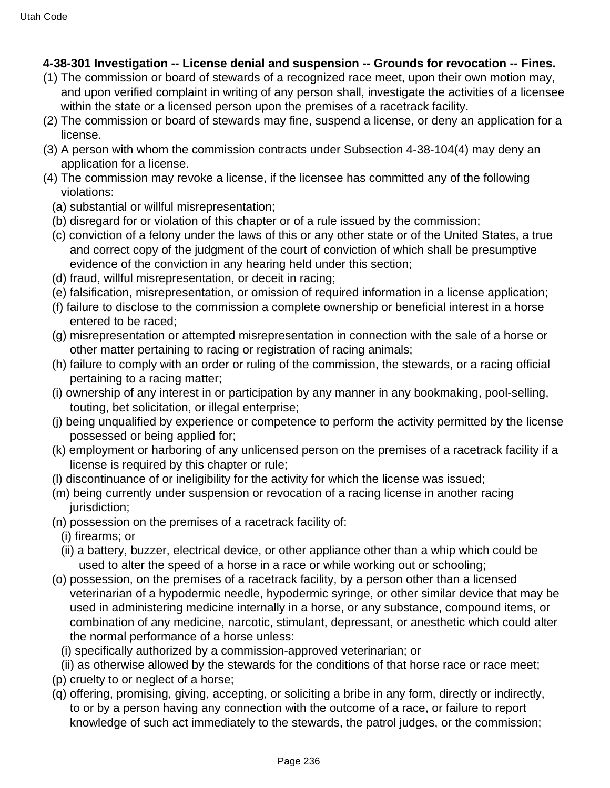## **4-38-301 Investigation -- License denial and suspension -- Grounds for revocation -- Fines.**

- (1) The commission or board of stewards of a recognized race meet, upon their own motion may, and upon verified complaint in writing of any person shall, investigate the activities of a licensee within the state or a licensed person upon the premises of a racetrack facility.
- (2) The commission or board of stewards may fine, suspend a license, or deny an application for a license.
- (3) A person with whom the commission contracts under Subsection 4-38-104(4) may deny an application for a license.
- (4) The commission may revoke a license, if the licensee has committed any of the following violations:
	- (a) substantial or willful misrepresentation;
	- (b) disregard for or violation of this chapter or of a rule issued by the commission;
	- (c) conviction of a felony under the laws of this or any other state or of the United States, a true and correct copy of the judgment of the court of conviction of which shall be presumptive evidence of the conviction in any hearing held under this section;
	- (d) fraud, willful misrepresentation, or deceit in racing;
	- (e) falsification, misrepresentation, or omission of required information in a license application;
	- (f) failure to disclose to the commission a complete ownership or beneficial interest in a horse entered to be raced;
	- (g) misrepresentation or attempted misrepresentation in connection with the sale of a horse or other matter pertaining to racing or registration of racing animals;
	- (h) failure to comply with an order or ruling of the commission, the stewards, or a racing official pertaining to a racing matter;
	- (i) ownership of any interest in or participation by any manner in any bookmaking, pool-selling, touting, bet solicitation, or illegal enterprise;
	- (j) being unqualified by experience or competence to perform the activity permitted by the license possessed or being applied for;
	- (k) employment or harboring of any unlicensed person on the premises of a racetrack facility if a license is required by this chapter or rule;
	- (l) discontinuance of or ineligibility for the activity for which the license was issued;
	- (m) being currently under suspension or revocation of a racing license in another racing jurisdiction;
	- (n) possession on the premises of a racetrack facility of:
	- (i) firearms; or
	- (ii) a battery, buzzer, electrical device, or other appliance other than a whip which could be used to alter the speed of a horse in a race or while working out or schooling;
	- (o) possession, on the premises of a racetrack facility, by a person other than a licensed veterinarian of a hypodermic needle, hypodermic syringe, or other similar device that may be used in administering medicine internally in a horse, or any substance, compound items, or combination of any medicine, narcotic, stimulant, depressant, or anesthetic which could alter the normal performance of a horse unless:
		- (i) specifically authorized by a commission-approved veterinarian; or
		- (ii) as otherwise allowed by the stewards for the conditions of that horse race or race meet;
	- (p) cruelty to or neglect of a horse;
	- (q) offering, promising, giving, accepting, or soliciting a bribe in any form, directly or indirectly, to or by a person having any connection with the outcome of a race, or failure to report knowledge of such act immediately to the stewards, the patrol judges, or the commission;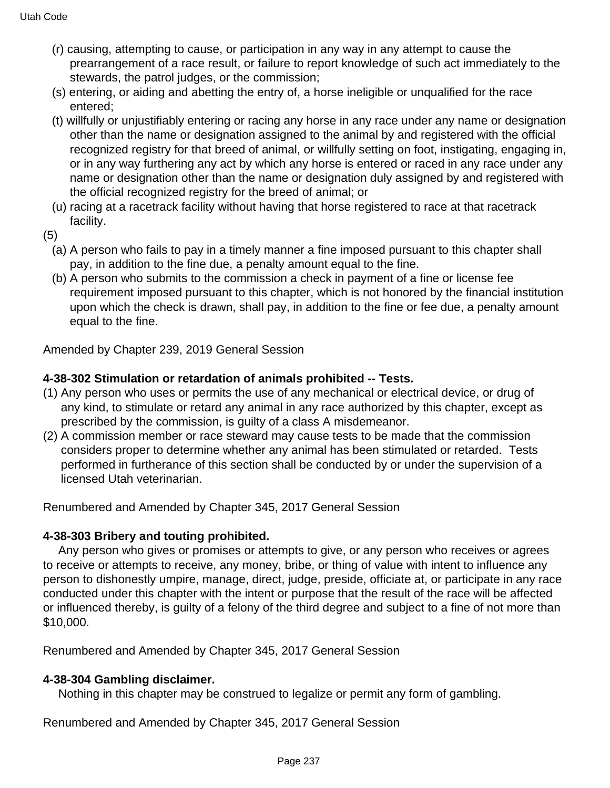- (r) causing, attempting to cause, or participation in any way in any attempt to cause the prearrangement of a race result, or failure to report knowledge of such act immediately to the stewards, the patrol judges, or the commission;
- (s) entering, or aiding and abetting the entry of, a horse ineligible or unqualified for the race entered;
- (t) willfully or unjustifiably entering or racing any horse in any race under any name or designation other than the name or designation assigned to the animal by and registered with the official recognized registry for that breed of animal, or willfully setting on foot, instigating, engaging in, or in any way furthering any act by which any horse is entered or raced in any race under any name or designation other than the name or designation duly assigned by and registered with the official recognized registry for the breed of animal; or
- (u) racing at a racetrack facility without having that horse registered to race at that racetrack facility.
- (5)
	- (a) A person who fails to pay in a timely manner a fine imposed pursuant to this chapter shall pay, in addition to the fine due, a penalty amount equal to the fine.
	- (b) A person who submits to the commission a check in payment of a fine or license fee requirement imposed pursuant to this chapter, which is not honored by the financial institution upon which the check is drawn, shall pay, in addition to the fine or fee due, a penalty amount equal to the fine.

Amended by Chapter 239, 2019 General Session

#### **4-38-302 Stimulation or retardation of animals prohibited -- Tests.**

- (1) Any person who uses or permits the use of any mechanical or electrical device, or drug of any kind, to stimulate or retard any animal in any race authorized by this chapter, except as prescribed by the commission, is guilty of a class A misdemeanor.
- (2) A commission member or race steward may cause tests to be made that the commission considers proper to determine whether any animal has been stimulated or retarded. Tests performed in furtherance of this section shall be conducted by or under the supervision of a licensed Utah veterinarian.

Renumbered and Amended by Chapter 345, 2017 General Session

#### **4-38-303 Bribery and touting prohibited.**

 Any person who gives or promises or attempts to give, or any person who receives or agrees to receive or attempts to receive, any money, bribe, or thing of value with intent to influence any person to dishonestly umpire, manage, direct, judge, preside, officiate at, or participate in any race conducted under this chapter with the intent or purpose that the result of the race will be affected or influenced thereby, is guilty of a felony of the third degree and subject to a fine of not more than \$10,000.

Renumbered and Amended by Chapter 345, 2017 General Session

## **4-38-304 Gambling disclaimer.**

Nothing in this chapter may be construed to legalize or permit any form of gambling.

Renumbered and Amended by Chapter 345, 2017 General Session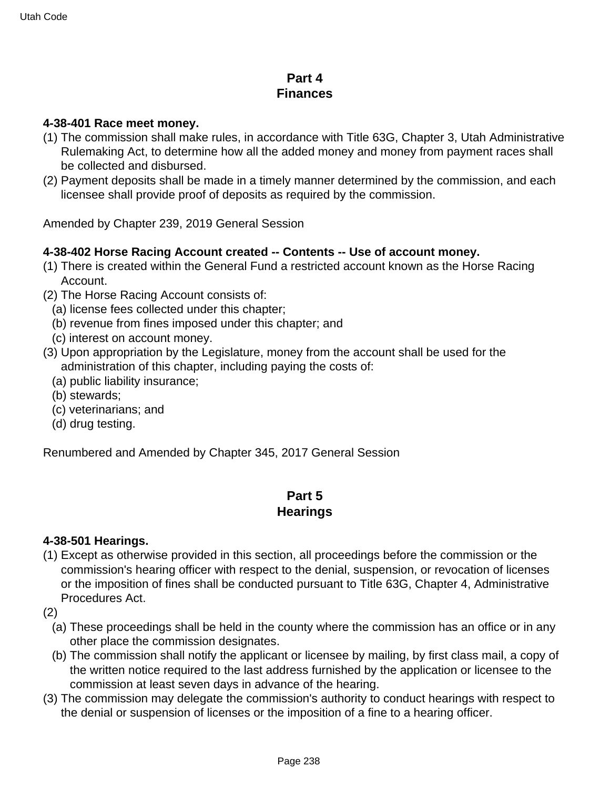# **Part 4 Finances**

#### **4-38-401 Race meet money.**

- (1) The commission shall make rules, in accordance with Title 63G, Chapter 3, Utah Administrative Rulemaking Act, to determine how all the added money and money from payment races shall be collected and disbursed.
- (2) Payment deposits shall be made in a timely manner determined by the commission, and each licensee shall provide proof of deposits as required by the commission.

Amended by Chapter 239, 2019 General Session

#### **4-38-402 Horse Racing Account created -- Contents -- Use of account money.**

- (1) There is created within the General Fund a restricted account known as the Horse Racing Account.
- (2) The Horse Racing Account consists of:
	- (a) license fees collected under this chapter;
	- (b) revenue from fines imposed under this chapter; and
	- (c) interest on account money.
- (3) Upon appropriation by the Legislature, money from the account shall be used for the administration of this chapter, including paying the costs of:
	- (a) public liability insurance;
	- (b) stewards;
	- (c) veterinarians; and
	- (d) drug testing.

Renumbered and Amended by Chapter 345, 2017 General Session

# **Part 5**

## **Hearings**

#### **4-38-501 Hearings.**

- (1) Except as otherwise provided in this section, all proceedings before the commission or the commission's hearing officer with respect to the denial, suspension, or revocation of licenses or the imposition of fines shall be conducted pursuant to Title 63G, Chapter 4, Administrative Procedures Act.
- (2)
	- (a) These proceedings shall be held in the county where the commission has an office or in any other place the commission designates.
	- (b) The commission shall notify the applicant or licensee by mailing, by first class mail, a copy of the written notice required to the last address furnished by the application or licensee to the commission at least seven days in advance of the hearing.
- (3) The commission may delegate the commission's authority to conduct hearings with respect to the denial or suspension of licenses or the imposition of a fine to a hearing officer.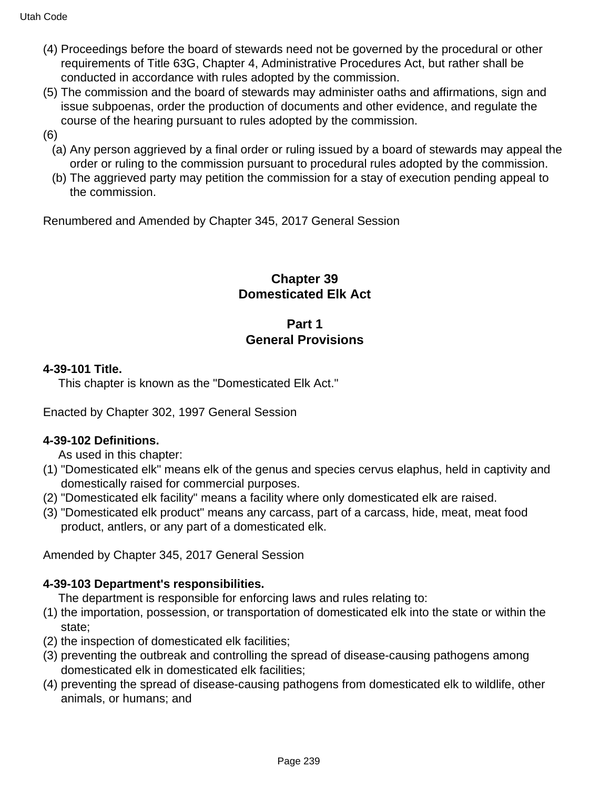- (4) Proceedings before the board of stewards need not be governed by the procedural or other requirements of Title 63G, Chapter 4, Administrative Procedures Act, but rather shall be conducted in accordance with rules adopted by the commission.
- (5) The commission and the board of stewards may administer oaths and affirmations, sign and issue subpoenas, order the production of documents and other evidence, and regulate the course of the hearing pursuant to rules adopted by the commission.
- (6)
	- (a) Any person aggrieved by a final order or ruling issued by a board of stewards may appeal the order or ruling to the commission pursuant to procedural rules adopted by the commission.
	- (b) The aggrieved party may petition the commission for a stay of execution pending appeal to the commission.

Renumbered and Amended by Chapter 345, 2017 General Session

# **Chapter 39 Domesticated Elk Act**

# **Part 1 General Provisions**

## **4-39-101 Title.**

This chapter is known as the "Domesticated Elk Act."

Enacted by Chapter 302, 1997 General Session

#### **4-39-102 Definitions.**

As used in this chapter:

- (1) "Domesticated elk" means elk of the genus and species cervus elaphus, held in captivity and domestically raised for commercial purposes.
- (2) "Domesticated elk facility" means a facility where only domesticated elk are raised.
- (3) "Domesticated elk product" means any carcass, part of a carcass, hide, meat, meat food product, antlers, or any part of a domesticated elk.

Amended by Chapter 345, 2017 General Session

#### **4-39-103 Department's responsibilities.**

The department is responsible for enforcing laws and rules relating to:

- (1) the importation, possession, or transportation of domesticated elk into the state or within the state;
- (2) the inspection of domesticated elk facilities;
- (3) preventing the outbreak and controlling the spread of disease-causing pathogens among domesticated elk in domesticated elk facilities;
- (4) preventing the spread of disease-causing pathogens from domesticated elk to wildlife, other animals, or humans; and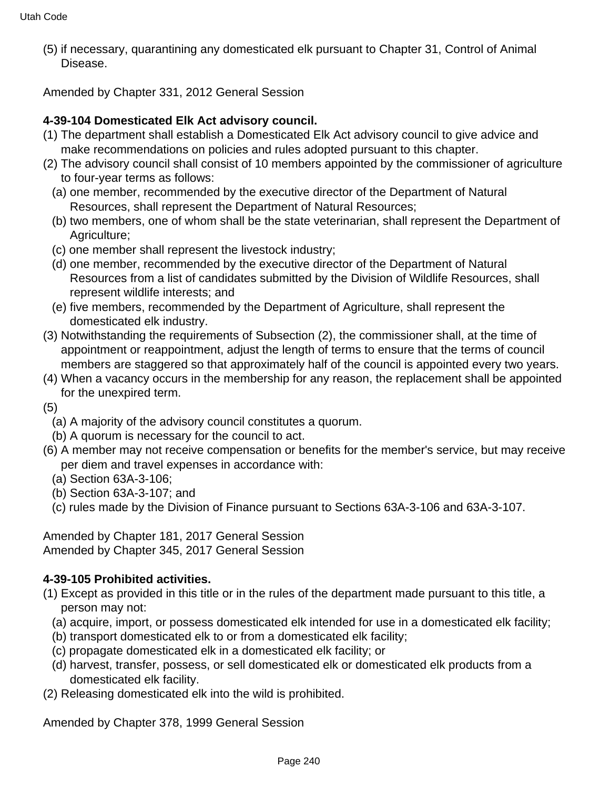(5) if necessary, quarantining any domesticated elk pursuant to Chapter 31, Control of Animal Disease.

Amended by Chapter 331, 2012 General Session

#### **4-39-104 Domesticated Elk Act advisory council.**

- (1) The department shall establish a Domesticated Elk Act advisory council to give advice and make recommendations on policies and rules adopted pursuant to this chapter.
- (2) The advisory council shall consist of 10 members appointed by the commissioner of agriculture to four-year terms as follows:
	- (a) one member, recommended by the executive director of the Department of Natural Resources, shall represent the Department of Natural Resources;
	- (b) two members, one of whom shall be the state veterinarian, shall represent the Department of Agriculture;
	- (c) one member shall represent the livestock industry;
	- (d) one member, recommended by the executive director of the Department of Natural Resources from a list of candidates submitted by the Division of Wildlife Resources, shall represent wildlife interests; and
	- (e) five members, recommended by the Department of Agriculture, shall represent the domesticated elk industry.
- (3) Notwithstanding the requirements of Subsection (2), the commissioner shall, at the time of appointment or reappointment, adjust the length of terms to ensure that the terms of council members are staggered so that approximately half of the council is appointed every two years.
- (4) When a vacancy occurs in the membership for any reason, the replacement shall be appointed for the unexpired term.
- (5)
	- (a) A majority of the advisory council constitutes a quorum.
	- (b) A quorum is necessary for the council to act.
- (6) A member may not receive compensation or benefits for the member's service, but may receive per diem and travel expenses in accordance with:
	- (a) Section 63A-3-106;
	- (b) Section 63A-3-107; and
	- (c) rules made by the Division of Finance pursuant to Sections 63A-3-106 and 63A-3-107.

Amended by Chapter 181, 2017 General Session Amended by Chapter 345, 2017 General Session

## **4-39-105 Prohibited activities.**

- (1) Except as provided in this title or in the rules of the department made pursuant to this title, a person may not:
	- (a) acquire, import, or possess domesticated elk intended for use in a domesticated elk facility;
	- (b) transport domesticated elk to or from a domesticated elk facility;
	- (c) propagate domesticated elk in a domesticated elk facility; or
	- (d) harvest, transfer, possess, or sell domesticated elk or domesticated elk products from a domesticated elk facility.
- (2) Releasing domesticated elk into the wild is prohibited.

Amended by Chapter 378, 1999 General Session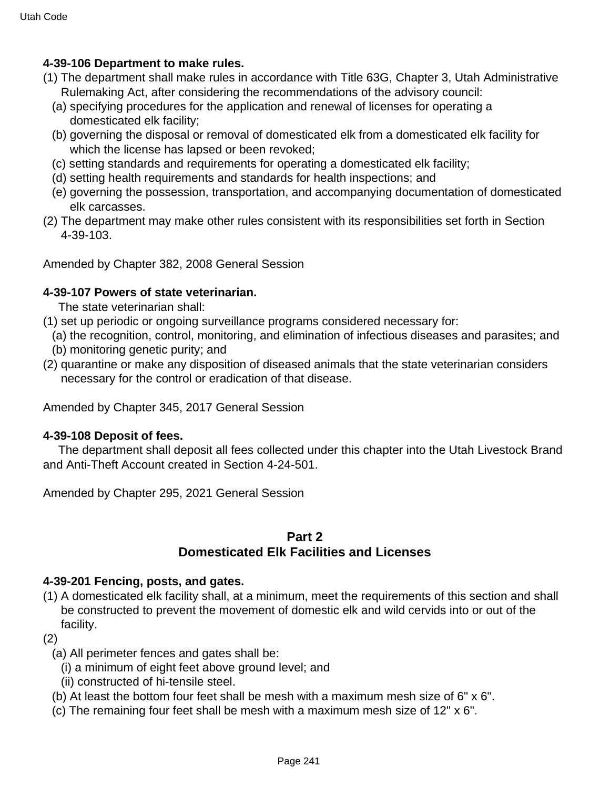## **4-39-106 Department to make rules.**

- (1) The department shall make rules in accordance with Title 63G, Chapter 3, Utah Administrative Rulemaking Act, after considering the recommendations of the advisory council:
	- (a) specifying procedures for the application and renewal of licenses for operating a domesticated elk facility;
	- (b) governing the disposal or removal of domesticated elk from a domesticated elk facility for which the license has lapsed or been revoked;
	- (c) setting standards and requirements for operating a domesticated elk facility;
	- (d) setting health requirements and standards for health inspections; and
	- (e) governing the possession, transportation, and accompanying documentation of domesticated elk carcasses.
- (2) The department may make other rules consistent with its responsibilities set forth in Section 4-39-103.

Amended by Chapter 382, 2008 General Session

#### **4-39-107 Powers of state veterinarian.**

The state veterinarian shall:

- (1) set up periodic or ongoing surveillance programs considered necessary for:
	- (a) the recognition, control, monitoring, and elimination of infectious diseases and parasites; and
	- (b) monitoring genetic purity; and
- (2) quarantine or make any disposition of diseased animals that the state veterinarian considers necessary for the control or eradication of that disease.

Amended by Chapter 345, 2017 General Session

#### **4-39-108 Deposit of fees.**

 The department shall deposit all fees collected under this chapter into the Utah Livestock Brand and Anti-Theft Account created in Section 4-24-501.

Amended by Chapter 295, 2021 General Session

#### **Part 2**

## **Domesticated Elk Facilities and Licenses**

#### **4-39-201 Fencing, posts, and gates.**

(1) A domesticated elk facility shall, at a minimum, meet the requirements of this section and shall be constructed to prevent the movement of domestic elk and wild cervids into or out of the facility.

#### (2)

- (a) All perimeter fences and gates shall be:
	- (i) a minimum of eight feet above ground level; and
	- (ii) constructed of hi-tensile steel.
- (b) At least the bottom four feet shall be mesh with a maximum mesh size of 6" x 6".
- (c) The remaining four feet shall be mesh with a maximum mesh size of 12" x 6".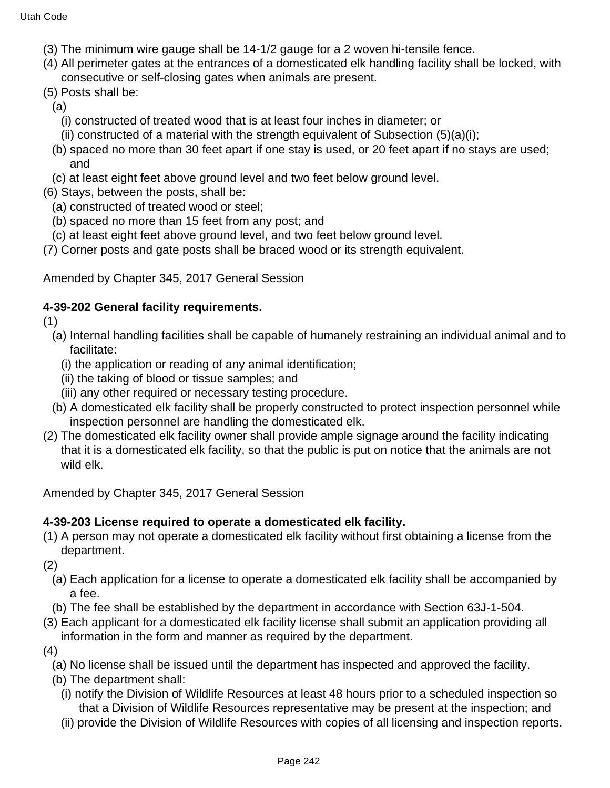- (3) The minimum wire gauge shall be 14-1/2 gauge for a 2 woven hi-tensile fence.
- (4) All perimeter gates at the entrances of a domesticated elk handling facility shall be locked, with consecutive or self-closing gates when animals are present.
- (5) Posts shall be:
	- (a)
		- (i) constructed of treated wood that is at least four inches in diameter; or
		- (ii) constructed of a material with the strength equivalent of Subsection  $(5)(a)(i)$ ;
	- (b) spaced no more than 30 feet apart if one stay is used, or 20 feet apart if no stays are used; and
	- (c) at least eight feet above ground level and two feet below ground level.
- (6) Stays, between the posts, shall be:
	- (a) constructed of treated wood or steel;
	- (b) spaced no more than 15 feet from any post; and
	- (c) at least eight feet above ground level, and two feet below ground level.
- (7) Corner posts and gate posts shall be braced wood or its strength equivalent.

Amended by Chapter 345, 2017 General Session

#### **4-39-202 General facility requirements.**

(1)

- (a) Internal handling facilities shall be capable of humanely restraining an individual animal and to facilitate:
	- (i) the application or reading of any animal identification;
	- (ii) the taking of blood or tissue samples; and
	- (iii) any other required or necessary testing procedure.
- (b) A domesticated elk facility shall be properly constructed to protect inspection personnel while inspection personnel are handling the domesticated elk.
- (2) The domesticated elk facility owner shall provide ample signage around the facility indicating that it is a domesticated elk facility, so that the public is put on notice that the animals are not wild elk.

Amended by Chapter 345, 2017 General Session

#### **4-39-203 License required to operate a domesticated elk facility.**

(1) A person may not operate a domesticated elk facility without first obtaining a license from the department.

(2)

- (a) Each application for a license to operate a domesticated elk facility shall be accompanied by a fee.
- (b) The fee shall be established by the department in accordance with Section 63J-1-504.
- (3) Each applicant for a domesticated elk facility license shall submit an application providing all information in the form and manner as required by the department.
- (4)
	- (a) No license shall be issued until the department has inspected and approved the facility.
	- (b) The department shall:
		- (i) notify the Division of Wildlife Resources at least 48 hours prior to a scheduled inspection so that a Division of Wildlife Resources representative may be present at the inspection; and
		- (ii) provide the Division of Wildlife Resources with copies of all licensing and inspection reports.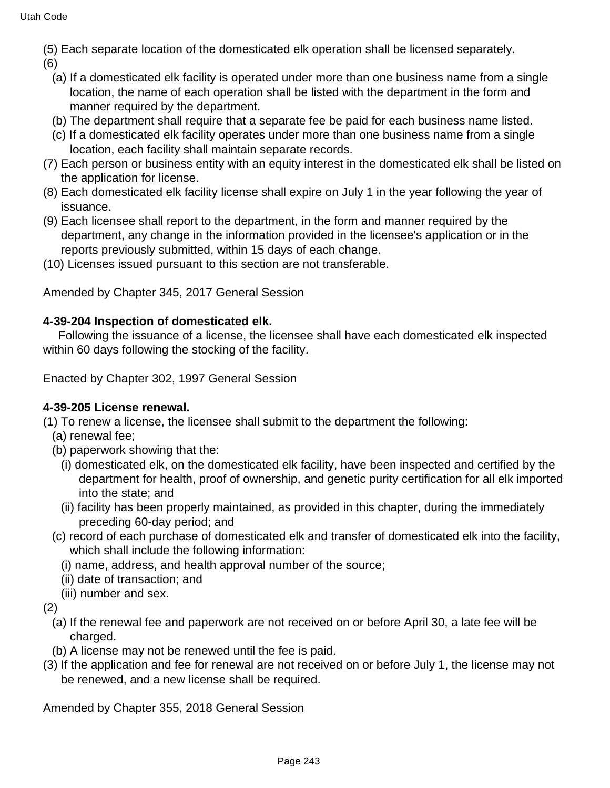(5) Each separate location of the domesticated elk operation shall be licensed separately.

(6)

- (a) If a domesticated elk facility is operated under more than one business name from a single location, the name of each operation shall be listed with the department in the form and manner required by the department.
- (b) The department shall require that a separate fee be paid for each business name listed.
- (c) If a domesticated elk facility operates under more than one business name from a single location, each facility shall maintain separate records.
- (7) Each person or business entity with an equity interest in the domesticated elk shall be listed on the application for license.
- (8) Each domesticated elk facility license shall expire on July 1 in the year following the year of issuance.
- (9) Each licensee shall report to the department, in the form and manner required by the department, any change in the information provided in the licensee's application or in the reports previously submitted, within 15 days of each change.
- (10) Licenses issued pursuant to this section are not transferable.

Amended by Chapter 345, 2017 General Session

## **4-39-204 Inspection of domesticated elk.**

 Following the issuance of a license, the licensee shall have each domesticated elk inspected within 60 days following the stocking of the facility.

Enacted by Chapter 302, 1997 General Session

## **4-39-205 License renewal.**

(1) To renew a license, the licensee shall submit to the department the following:

- (a) renewal fee;
- (b) paperwork showing that the:
	- (i) domesticated elk, on the domesticated elk facility, have been inspected and certified by the department for health, proof of ownership, and genetic purity certification for all elk imported into the state; and
	- (ii) facility has been properly maintained, as provided in this chapter, during the immediately preceding 60-day period; and
- (c) record of each purchase of domesticated elk and transfer of domesticated elk into the facility, which shall include the following information:
	- (i) name, address, and health approval number of the source;
	- (ii) date of transaction; and
- (iii) number and sex.
- (2)
	- (a) If the renewal fee and paperwork are not received on or before April 30, a late fee will be charged.
	- (b) A license may not be renewed until the fee is paid.
- (3) If the application and fee for renewal are not received on or before July 1, the license may not be renewed, and a new license shall be required.

Amended by Chapter 355, 2018 General Session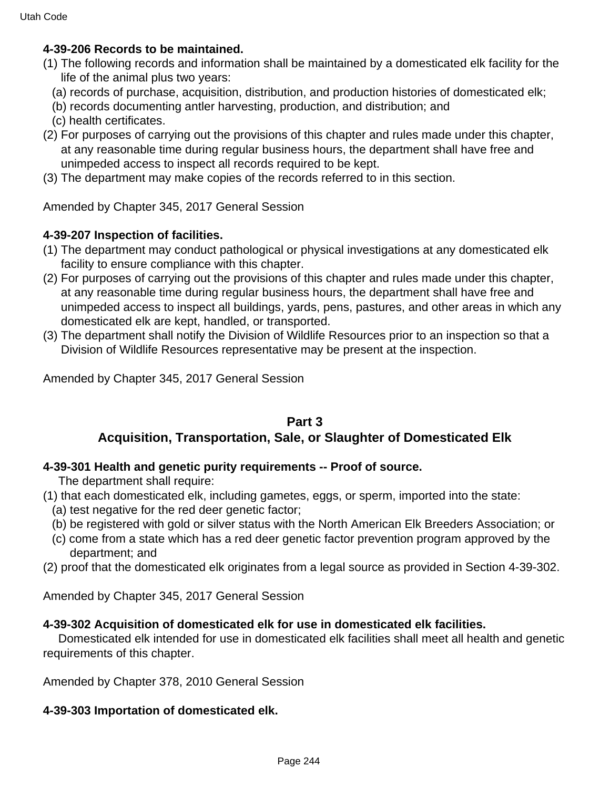#### **4-39-206 Records to be maintained.**

- (1) The following records and information shall be maintained by a domesticated elk facility for the life of the animal plus two years:
	- (a) records of purchase, acquisition, distribution, and production histories of domesticated elk;
	- (b) records documenting antler harvesting, production, and distribution; and
	- (c) health certificates.
- (2) For purposes of carrying out the provisions of this chapter and rules made under this chapter, at any reasonable time during regular business hours, the department shall have free and unimpeded access to inspect all records required to be kept.
- (3) The department may make copies of the records referred to in this section.

Amended by Chapter 345, 2017 General Session

#### **4-39-207 Inspection of facilities.**

- (1) The department may conduct pathological or physical investigations at any domesticated elk facility to ensure compliance with this chapter.
- (2) For purposes of carrying out the provisions of this chapter and rules made under this chapter, at any reasonable time during regular business hours, the department shall have free and unimpeded access to inspect all buildings, yards, pens, pastures, and other areas in which any domesticated elk are kept, handled, or transported.
- (3) The department shall notify the Division of Wildlife Resources prior to an inspection so that a Division of Wildlife Resources representative may be present at the inspection.

Amended by Chapter 345, 2017 General Session

## **Part 3 Acquisition, Transportation, Sale, or Slaughter of Domesticated Elk**

#### **4-39-301 Health and genetic purity requirements -- Proof of source.**

The department shall require:

- (1) that each domesticated elk, including gametes, eggs, or sperm, imported into the state:
	- (a) test negative for the red deer genetic factor;
	- (b) be registered with gold or silver status with the North American Elk Breeders Association; or
	- (c) come from a state which has a red deer genetic factor prevention program approved by the department; and
- (2) proof that the domesticated elk originates from a legal source as provided in Section 4-39-302.

Amended by Chapter 345, 2017 General Session

#### **4-39-302 Acquisition of domesticated elk for use in domesticated elk facilities.**

 Domesticated elk intended for use in domesticated elk facilities shall meet all health and genetic requirements of this chapter.

Amended by Chapter 378, 2010 General Session

#### **4-39-303 Importation of domesticated elk.**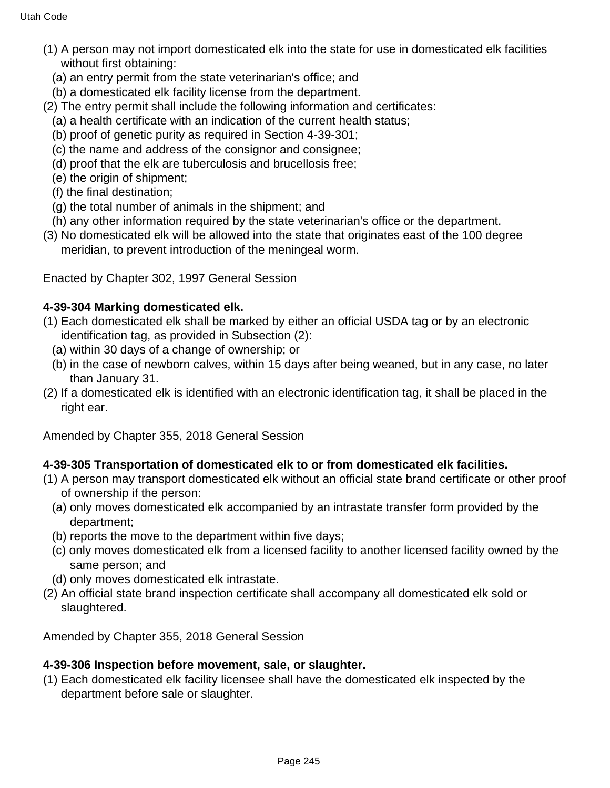- (1) A person may not import domesticated elk into the state for use in domesticated elk facilities without first obtaining:
	- (a) an entry permit from the state veterinarian's office; and
- (b) a domesticated elk facility license from the department.
- (2) The entry permit shall include the following information and certificates:
	- (a) a health certificate with an indication of the current health status;
	- (b) proof of genetic purity as required in Section 4-39-301;
	- (c) the name and address of the consignor and consignee;
	- (d) proof that the elk are tuberculosis and brucellosis free;
	- (e) the origin of shipment;
	- (f) the final destination;
	- (g) the total number of animals in the shipment; and
- (h) any other information required by the state veterinarian's office or the department.
- (3) No domesticated elk will be allowed into the state that originates east of the 100 degree meridian, to prevent introduction of the meningeal worm.

Enacted by Chapter 302, 1997 General Session

#### **4-39-304 Marking domesticated elk.**

- (1) Each domesticated elk shall be marked by either an official USDA tag or by an electronic identification tag, as provided in Subsection (2):
	- (a) within 30 days of a change of ownership; or
	- (b) in the case of newborn calves, within 15 days after being weaned, but in any case, no later than January 31.
- (2) If a domesticated elk is identified with an electronic identification tag, it shall be placed in the right ear.

Amended by Chapter 355, 2018 General Session

## **4-39-305 Transportation of domesticated elk to or from domesticated elk facilities.**

- (1) A person may transport domesticated elk without an official state brand certificate or other proof of ownership if the person:
	- (a) only moves domesticated elk accompanied by an intrastate transfer form provided by the department;
	- (b) reports the move to the department within five days;
	- (c) only moves domesticated elk from a licensed facility to another licensed facility owned by the same person; and
	- (d) only moves domesticated elk intrastate.
- (2) An official state brand inspection certificate shall accompany all domesticated elk sold or slaughtered.

Amended by Chapter 355, 2018 General Session

#### **4-39-306 Inspection before movement, sale, or slaughter.**

(1) Each domesticated elk facility licensee shall have the domesticated elk inspected by the department before sale or slaughter.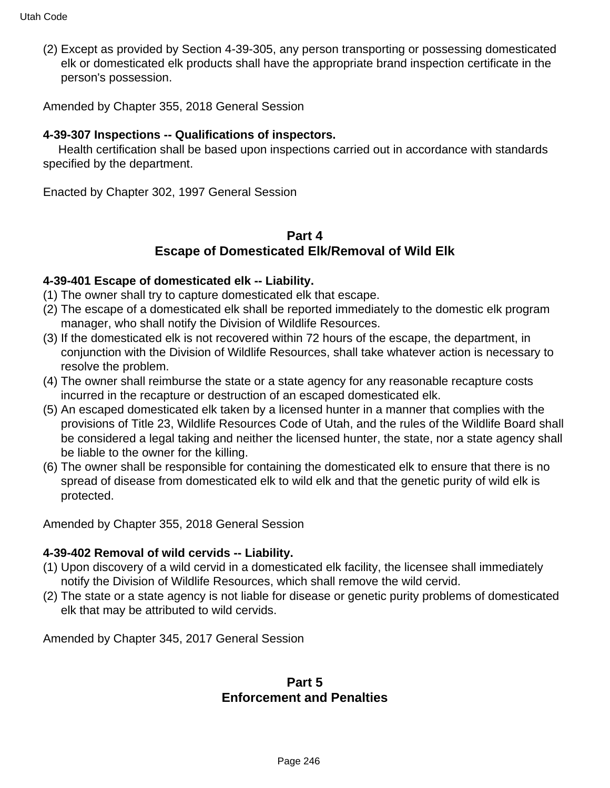(2) Except as provided by Section 4-39-305, any person transporting or possessing domesticated elk or domesticated elk products shall have the appropriate brand inspection certificate in the person's possession.

Amended by Chapter 355, 2018 General Session

#### **4-39-307 Inspections -- Qualifications of inspectors.**

 Health certification shall be based upon inspections carried out in accordance with standards specified by the department.

Enacted by Chapter 302, 1997 General Session

## **Part 4 Escape of Domesticated Elk/Removal of Wild Elk**

#### **4-39-401 Escape of domesticated elk -- Liability.**

- (1) The owner shall try to capture domesticated elk that escape.
- (2) The escape of a domesticated elk shall be reported immediately to the domestic elk program manager, who shall notify the Division of Wildlife Resources.
- (3) If the domesticated elk is not recovered within 72 hours of the escape, the department, in conjunction with the Division of Wildlife Resources, shall take whatever action is necessary to resolve the problem.
- (4) The owner shall reimburse the state or a state agency for any reasonable recapture costs incurred in the recapture or destruction of an escaped domesticated elk.
- (5) An escaped domesticated elk taken by a licensed hunter in a manner that complies with the provisions of Title 23, Wildlife Resources Code of Utah, and the rules of the Wildlife Board shall be considered a legal taking and neither the licensed hunter, the state, nor a state agency shall be liable to the owner for the killing.
- (6) The owner shall be responsible for containing the domesticated elk to ensure that there is no spread of disease from domesticated elk to wild elk and that the genetic purity of wild elk is protected.

Amended by Chapter 355, 2018 General Session

#### **4-39-402 Removal of wild cervids -- Liability.**

- (1) Upon discovery of a wild cervid in a domesticated elk facility, the licensee shall immediately notify the Division of Wildlife Resources, which shall remove the wild cervid.
- (2) The state or a state agency is not liable for disease or genetic purity problems of domesticated elk that may be attributed to wild cervids.

Amended by Chapter 345, 2017 General Session

## **Part 5 Enforcement and Penalties**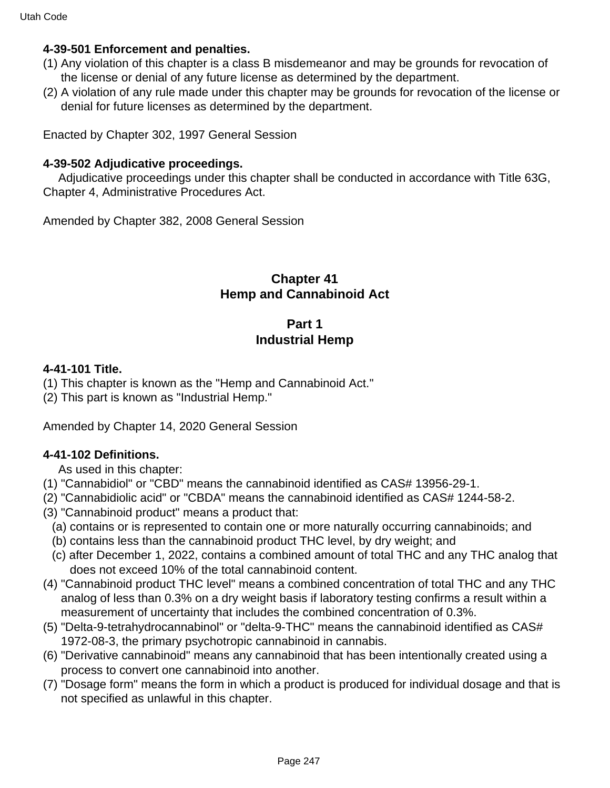#### **4-39-501 Enforcement and penalties.**

- (1) Any violation of this chapter is a class B misdemeanor and may be grounds for revocation of the license or denial of any future license as determined by the department.
- (2) A violation of any rule made under this chapter may be grounds for revocation of the license or denial for future licenses as determined by the department.

Enacted by Chapter 302, 1997 General Session

#### **4-39-502 Adjudicative proceedings.**

 Adjudicative proceedings under this chapter shall be conducted in accordance with Title 63G, Chapter 4, Administrative Procedures Act.

Amended by Chapter 382, 2008 General Session

## **Chapter 41 Hemp and Cannabinoid Act**

# **Part 1 Industrial Hemp**

#### **4-41-101 Title.**

- (1) This chapter is known as the "Hemp and Cannabinoid Act."
- (2) This part is known as "Industrial Hemp."

Amended by Chapter 14, 2020 General Session

#### **4-41-102 Definitions.**

As used in this chapter:

- (1) "Cannabidiol" or "CBD" means the cannabinoid identified as CAS# 13956-29-1.
- (2) "Cannabidiolic acid" or "CBDA" means the cannabinoid identified as CAS# 1244-58-2.
- (3) "Cannabinoid product" means a product that:
	- (a) contains or is represented to contain one or more naturally occurring cannabinoids; and
	- (b) contains less than the cannabinoid product THC level, by dry weight; and
	- (c) after December 1, 2022, contains a combined amount of total THC and any THC analog that does not exceed 10% of the total cannabinoid content.
- (4) "Cannabinoid product THC level" means a combined concentration of total THC and any THC analog of less than 0.3% on a dry weight basis if laboratory testing confirms a result within a measurement of uncertainty that includes the combined concentration of 0.3%.
- (5) "Delta-9-tetrahydrocannabinol" or "delta-9-THC" means the cannabinoid identified as CAS# 1972-08-3, the primary psychotropic cannabinoid in cannabis.
- (6) "Derivative cannabinoid" means any cannabinoid that has been intentionally created using a process to convert one cannabinoid into another.
- (7) "Dosage form" means the form in which a product is produced for individual dosage and that is not specified as unlawful in this chapter.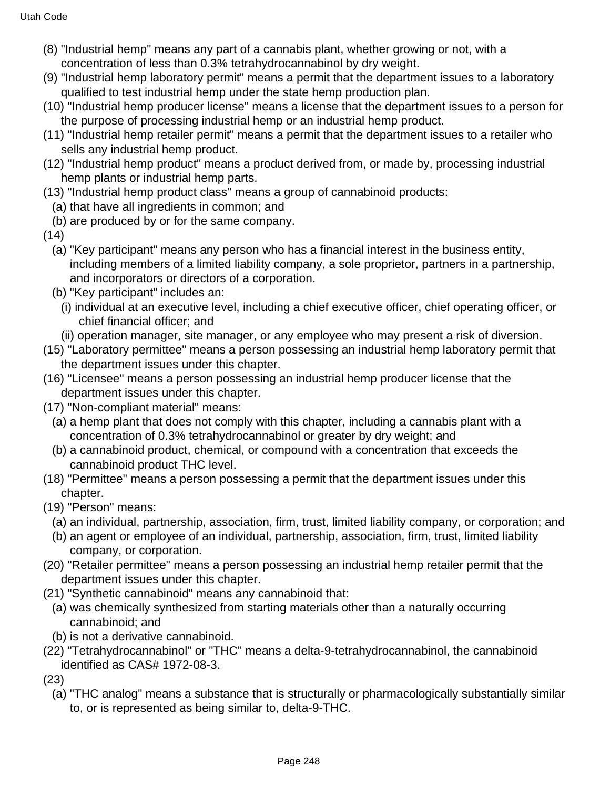- (8) "Industrial hemp" means any part of a cannabis plant, whether growing or not, with a concentration of less than 0.3% tetrahydrocannabinol by dry weight.
- (9) "Industrial hemp laboratory permit" means a permit that the department issues to a laboratory qualified to test industrial hemp under the state hemp production plan.
- (10) "Industrial hemp producer license" means a license that the department issues to a person for the purpose of processing industrial hemp or an industrial hemp product.
- (11) "Industrial hemp retailer permit" means a permit that the department issues to a retailer who sells any industrial hemp product.
- (12) "Industrial hemp product" means a product derived from, or made by, processing industrial hemp plants or industrial hemp parts.
- (13) "Industrial hemp product class" means a group of cannabinoid products:
	- (a) that have all ingredients in common; and
	- (b) are produced by or for the same company.
- (14)
	- (a) "Key participant" means any person who has a financial interest in the business entity, including members of a limited liability company, a sole proprietor, partners in a partnership, and incorporators or directors of a corporation.
	- (b) "Key participant" includes an:
		- (i) individual at an executive level, including a chief executive officer, chief operating officer, or chief financial officer; and
		- (ii) operation manager, site manager, or any employee who may present a risk of diversion.
- (15) "Laboratory permittee" means a person possessing an industrial hemp laboratory permit that the department issues under this chapter.
- (16) "Licensee" means a person possessing an industrial hemp producer license that the department issues under this chapter.
- (17) "Non-compliant material" means:
	- (a) a hemp plant that does not comply with this chapter, including a cannabis plant with a concentration of 0.3% tetrahydrocannabinol or greater by dry weight; and
	- (b) a cannabinoid product, chemical, or compound with a concentration that exceeds the cannabinoid product THC level.
- (18) "Permittee" means a person possessing a permit that the department issues under this chapter.
- (19) "Person" means:
	- (a) an individual, partnership, association, firm, trust, limited liability company, or corporation; and
	- (b) an agent or employee of an individual, partnership, association, firm, trust, limited liability company, or corporation.
- (20) "Retailer permittee" means a person possessing an industrial hemp retailer permit that the department issues under this chapter.
- (21) "Synthetic cannabinoid" means any cannabinoid that:
	- (a) was chemically synthesized from starting materials other than a naturally occurring cannabinoid; and
	- (b) is not a derivative cannabinoid.
- (22) "Tetrahydrocannabinol" or "THC" means a delta-9-tetrahydrocannabinol, the cannabinoid identified as CAS# 1972-08-3.
- (23)
	- (a) "THC analog" means a substance that is structurally or pharmacologically substantially similar to, or is represented as being similar to, delta-9-THC.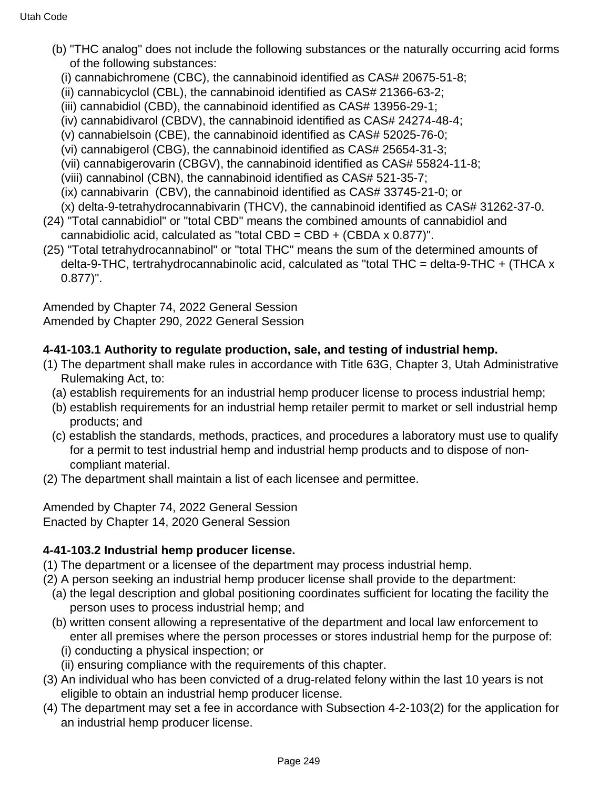- (b) "THC analog" does not include the following substances or the naturally occurring acid forms of the following substances:
	- (i) cannabichromene (CBC), the cannabinoid identified as CAS# 20675-51-8;
	- (ii) cannabicyclol (CBL), the cannabinoid identified as CAS# 21366-63-2;
	- (iii) cannabidiol (CBD), the cannabinoid identified as CAS# 13956-29-1;
	- (iv) cannabidivarol (CBDV), the cannabinoid identified as CAS# 24274-48-4;
	- (v) cannabielsoin (CBE), the cannabinoid identified as CAS# 52025-76-0;
	- (vi) cannabigerol (CBG), the cannabinoid identified as CAS# 25654-31-3;
	- (vii) cannabigerovarin (CBGV), the cannabinoid identified as CAS# 55824-11-8;
	- (viii) cannabinol (CBN), the cannabinoid identified as CAS# 521-35-7;
	- (ix) cannabivarin (CBV), the cannabinoid identified as CAS# 33745-21-0; or
	- (x) delta-9-tetrahydrocannabivarin (THCV), the cannabinoid identified as CAS# 31262-37-0.
- (24) "Total cannabidiol" or "total CBD" means the combined amounts of cannabidiol and cannabidiolic acid, calculated as "total  $CBD = CBD + (CBDA \times 0.877)$ ".
- (25) "Total tetrahydrocannabinol" or "total THC" means the sum of the determined amounts of delta-9-THC, tertrahydrocannabinolic acid, calculated as "total THC = delta-9-THC + (THCA x 0.877)".

Amended by Chapter 74, 2022 General Session Amended by Chapter 290, 2022 General Session

# **4-41-103.1 Authority to regulate production, sale, and testing of industrial hemp.**

- (1) The department shall make rules in accordance with Title 63G, Chapter 3, Utah Administrative Rulemaking Act, to:
	- (a) establish requirements for an industrial hemp producer license to process industrial hemp;
	- (b) establish requirements for an industrial hemp retailer permit to market or sell industrial hemp products; and
	- (c) establish the standards, methods, practices, and procedures a laboratory must use to qualify for a permit to test industrial hemp and industrial hemp products and to dispose of noncompliant material.
- (2) The department shall maintain a list of each licensee and permittee.

Amended by Chapter 74, 2022 General Session Enacted by Chapter 14, 2020 General Session

# **4-41-103.2 Industrial hemp producer license.**

- (1) The department or a licensee of the department may process industrial hemp.
- (2) A person seeking an industrial hemp producer license shall provide to the department:
	- (a) the legal description and global positioning coordinates sufficient for locating the facility the person uses to process industrial hemp; and
	- (b) written consent allowing a representative of the department and local law enforcement to enter all premises where the person processes or stores industrial hemp for the purpose of:
		- (i) conducting a physical inspection; or
		- (ii) ensuring compliance with the requirements of this chapter.
- (3) An individual who has been convicted of a drug-related felony within the last 10 years is not eligible to obtain an industrial hemp producer license.
- (4) The department may set a fee in accordance with Subsection 4-2-103(2) for the application for an industrial hemp producer license.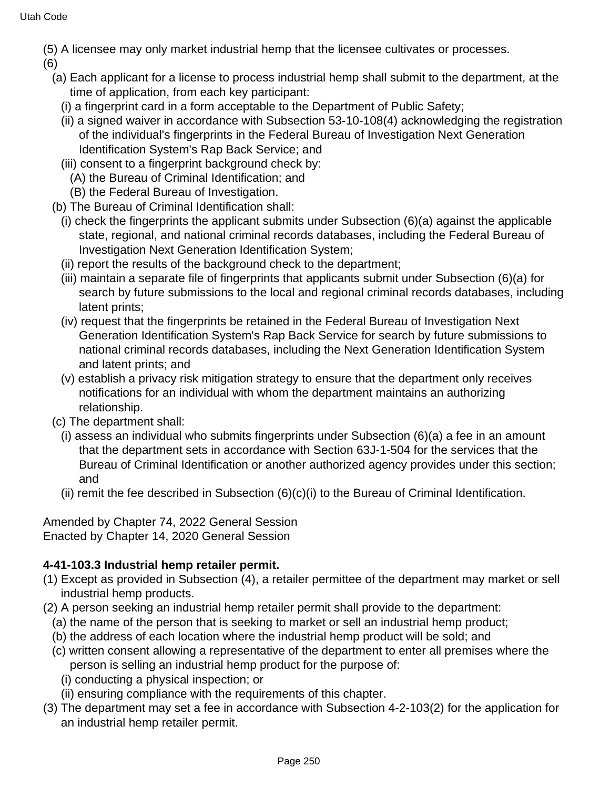(5) A licensee may only market industrial hemp that the licensee cultivates or processes.

(6)

- (a) Each applicant for a license to process industrial hemp shall submit to the department, at the time of application, from each key participant:
	- (i) a fingerprint card in a form acceptable to the Department of Public Safety;
	- (ii) a signed waiver in accordance with Subsection 53-10-108(4) acknowledging the registration of the individual's fingerprints in the Federal Bureau of Investigation Next Generation Identification System's Rap Back Service; and
	- (iii) consent to a fingerprint background check by:
		- (A) the Bureau of Criminal Identification; and
		- (B) the Federal Bureau of Investigation.
- (b) The Bureau of Criminal Identification shall:
	- (i) check the fingerprints the applicant submits under Subsection (6)(a) against the applicable state, regional, and national criminal records databases, including the Federal Bureau of Investigation Next Generation Identification System;
	- (ii) report the results of the background check to the department;
	- (iii) maintain a separate file of fingerprints that applicants submit under Subsection (6)(a) for search by future submissions to the local and regional criminal records databases, including latent prints;
	- (iv) request that the fingerprints be retained in the Federal Bureau of Investigation Next Generation Identification System's Rap Back Service for search by future submissions to national criminal records databases, including the Next Generation Identification System and latent prints; and
	- (v) establish a privacy risk mitigation strategy to ensure that the department only receives notifications for an individual with whom the department maintains an authorizing relationship.
- (c) The department shall:
	- (i) assess an individual who submits fingerprints under Subsection (6)(a) a fee in an amount that the department sets in accordance with Section 63J-1-504 for the services that the Bureau of Criminal Identification or another authorized agency provides under this section; and
	- (ii) remit the fee described in Subsection (6)(c)(i) to the Bureau of Criminal Identification.

Amended by Chapter 74, 2022 General Session Enacted by Chapter 14, 2020 General Session

# **4-41-103.3 Industrial hemp retailer permit.**

- (1) Except as provided in Subsection (4), a retailer permittee of the department may market or sell industrial hemp products.
- (2) A person seeking an industrial hemp retailer permit shall provide to the department:
	- (a) the name of the person that is seeking to market or sell an industrial hemp product;
	- (b) the address of each location where the industrial hemp product will be sold; and
	- (c) written consent allowing a representative of the department to enter all premises where the person is selling an industrial hemp product for the purpose of:
		- (i) conducting a physical inspection; or
		- (ii) ensuring compliance with the requirements of this chapter.
- (3) The department may set a fee in accordance with Subsection 4-2-103(2) for the application for an industrial hemp retailer permit.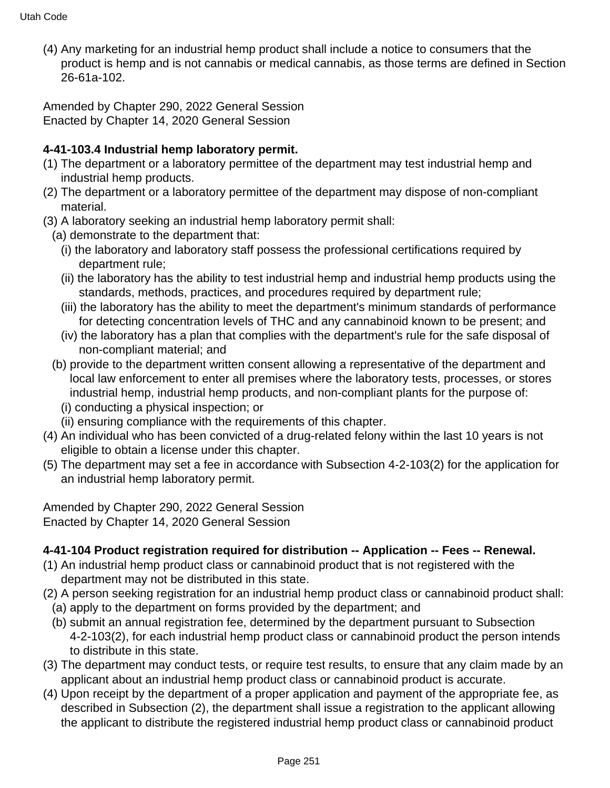(4) Any marketing for an industrial hemp product shall include a notice to consumers that the product is hemp and is not cannabis or medical cannabis, as those terms are defined in Section 26-61a-102.

Amended by Chapter 290, 2022 General Session Enacted by Chapter 14, 2020 General Session

# **4-41-103.4 Industrial hemp laboratory permit.**

- (1) The department or a laboratory permittee of the department may test industrial hemp and industrial hemp products.
- (2) The department or a laboratory permittee of the department may dispose of non-compliant material.
- (3) A laboratory seeking an industrial hemp laboratory permit shall:
	- (a) demonstrate to the department that:
		- (i) the laboratory and laboratory staff possess the professional certifications required by department rule;
		- (ii) the laboratory has the ability to test industrial hemp and industrial hemp products using the standards, methods, practices, and procedures required by department rule;
		- (iii) the laboratory has the ability to meet the department's minimum standards of performance for detecting concentration levels of THC and any cannabinoid known to be present; and
		- (iv) the laboratory has a plan that complies with the department's rule for the safe disposal of non-compliant material; and
	- (b) provide to the department written consent allowing a representative of the department and local law enforcement to enter all premises where the laboratory tests, processes, or stores industrial hemp, industrial hemp products, and non-compliant plants for the purpose of:
		- (i) conducting a physical inspection; or
		- (ii) ensuring compliance with the requirements of this chapter.
- (4) An individual who has been convicted of a drug-related felony within the last 10 years is not eligible to obtain a license under this chapter.
- (5) The department may set a fee in accordance with Subsection 4-2-103(2) for the application for an industrial hemp laboratory permit.

Amended by Chapter 290, 2022 General Session Enacted by Chapter 14, 2020 General Session

# **4-41-104 Product registration required for distribution -- Application -- Fees -- Renewal.**

- (1) An industrial hemp product class or cannabinoid product that is not registered with the department may not be distributed in this state.
- (2) A person seeking registration for an industrial hemp product class or cannabinoid product shall:
	- (a) apply to the department on forms provided by the department; and
	- (b) submit an annual registration fee, determined by the department pursuant to Subsection 4-2-103(2), for each industrial hemp product class or cannabinoid product the person intends to distribute in this state.
- (3) The department may conduct tests, or require test results, to ensure that any claim made by an applicant about an industrial hemp product class or cannabinoid product is accurate.
- (4) Upon receipt by the department of a proper application and payment of the appropriate fee, as described in Subsection (2), the department shall issue a registration to the applicant allowing the applicant to distribute the registered industrial hemp product class or cannabinoid product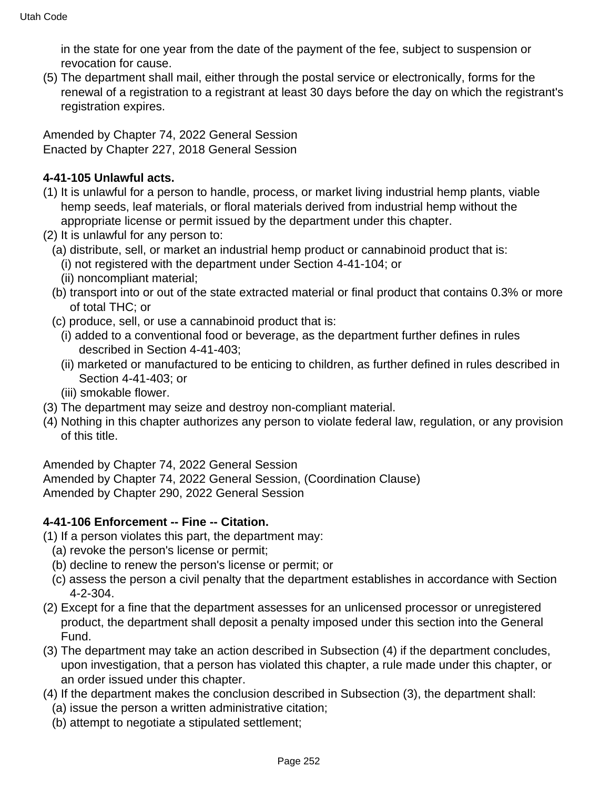in the state for one year from the date of the payment of the fee, subject to suspension or revocation for cause.

(5) The department shall mail, either through the postal service or electronically, forms for the renewal of a registration to a registrant at least 30 days before the day on which the registrant's registration expires.

Amended by Chapter 74, 2022 General Session Enacted by Chapter 227, 2018 General Session

#### **4-41-105 Unlawful acts.**

- (1) It is unlawful for a person to handle, process, or market living industrial hemp plants, viable hemp seeds, leaf materials, or floral materials derived from industrial hemp without the appropriate license or permit issued by the department under this chapter.
- (2) It is unlawful for any person to:
	- (a) distribute, sell, or market an industrial hemp product or cannabinoid product that is:
		- (i) not registered with the department under Section 4-41-104; or
		- (ii) noncompliant material;
	- (b) transport into or out of the state extracted material or final product that contains 0.3% or more of total THC; or
	- (c) produce, sell, or use a cannabinoid product that is:
		- (i) added to a conventional food or beverage, as the department further defines in rules described in Section 4-41-403;
		- (ii) marketed or manufactured to be enticing to children, as further defined in rules described in Section 4-41-403; or
		- (iii) smokable flower.
- (3) The department may seize and destroy non-compliant material.
- (4) Nothing in this chapter authorizes any person to violate federal law, regulation, or any provision of this title.

Amended by Chapter 74, 2022 General Session

Amended by Chapter 74, 2022 General Session, (Coordination Clause) Amended by Chapter 290, 2022 General Session

#### **4-41-106 Enforcement -- Fine -- Citation.**

(1) If a person violates this part, the department may:

- (a) revoke the person's license or permit;
- (b) decline to renew the person's license or permit; or
- (c) assess the person a civil penalty that the department establishes in accordance with Section 4-2-304.
- (2) Except for a fine that the department assesses for an unlicensed processor or unregistered product, the department shall deposit a penalty imposed under this section into the General Fund.
- (3) The department may take an action described in Subsection (4) if the department concludes, upon investigation, that a person has violated this chapter, a rule made under this chapter, or an order issued under this chapter.
- (4) If the department makes the conclusion described in Subsection (3), the department shall:
	- (a) issue the person a written administrative citation;
	- (b) attempt to negotiate a stipulated settlement;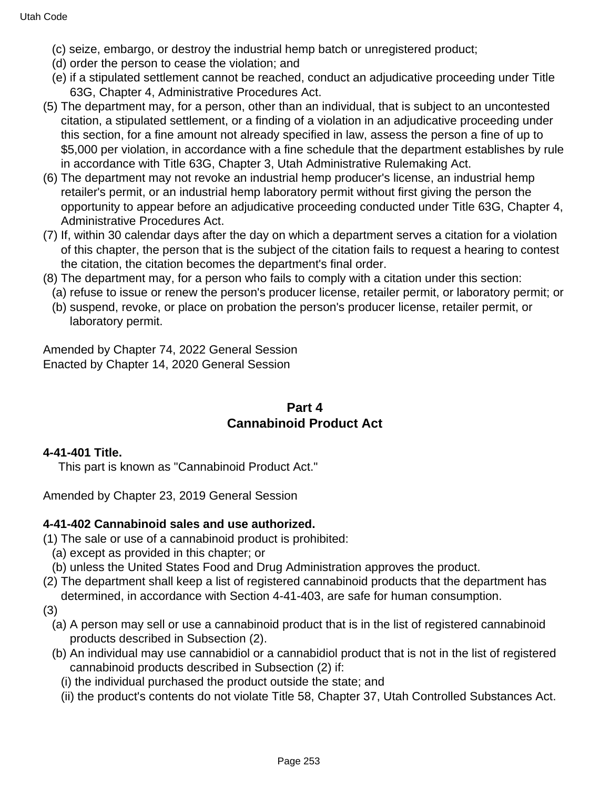- (c) seize, embargo, or destroy the industrial hemp batch or unregistered product;
- (d) order the person to cease the violation; and
- (e) if a stipulated settlement cannot be reached, conduct an adjudicative proceeding under Title 63G, Chapter 4, Administrative Procedures Act.
- (5) The department may, for a person, other than an individual, that is subject to an uncontested citation, a stipulated settlement, or a finding of a violation in an adjudicative proceeding under this section, for a fine amount not already specified in law, assess the person a fine of up to \$5,000 per violation, in accordance with a fine schedule that the department establishes by rule in accordance with Title 63G, Chapter 3, Utah Administrative Rulemaking Act.
- (6) The department may not revoke an industrial hemp producer's license, an industrial hemp retailer's permit, or an industrial hemp laboratory permit without first giving the person the opportunity to appear before an adjudicative proceeding conducted under Title 63G, Chapter 4, Administrative Procedures Act.
- (7) If, within 30 calendar days after the day on which a department serves a citation for a violation of this chapter, the person that is the subject of the citation fails to request a hearing to contest the citation, the citation becomes the department's final order.
- (8) The department may, for a person who fails to comply with a citation under this section:
	- (a) refuse to issue or renew the person's producer license, retailer permit, or laboratory permit; or
	- (b) suspend, revoke, or place on probation the person's producer license, retailer permit, or laboratory permit.

Amended by Chapter 74, 2022 General Session Enacted by Chapter 14, 2020 General Session

## **Part 4 Cannabinoid Product Act**

## **4-41-401 Title.**

This part is known as "Cannabinoid Product Act."

Amended by Chapter 23, 2019 General Session

## **4-41-402 Cannabinoid sales and use authorized.**

- (1) The sale or use of a cannabinoid product is prohibited:
	- (a) except as provided in this chapter; or
	- (b) unless the United States Food and Drug Administration approves the product.
- (2) The department shall keep a list of registered cannabinoid products that the department has determined, in accordance with Section 4-41-403, are safe for human consumption.
- (3)
	- (a) A person may sell or use a cannabinoid product that is in the list of registered cannabinoid products described in Subsection (2).
	- (b) An individual may use cannabidiol or a cannabidiol product that is not in the list of registered cannabinoid products described in Subsection (2) if:
		- (i) the individual purchased the product outside the state; and
		- (ii) the product's contents do not violate Title 58, Chapter 37, Utah Controlled Substances Act.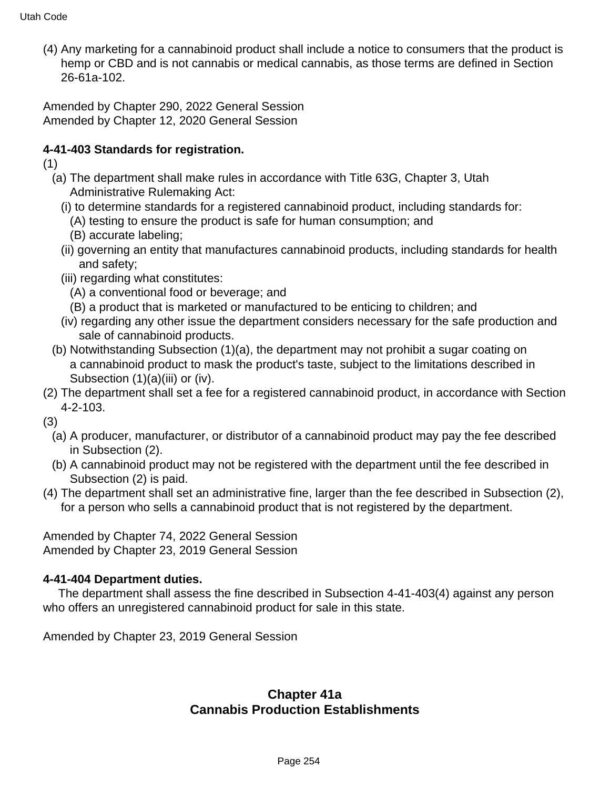(4) Any marketing for a cannabinoid product shall include a notice to consumers that the product is hemp or CBD and is not cannabis or medical cannabis, as those terms are defined in Section 26-61a-102.

Amended by Chapter 290, 2022 General Session Amended by Chapter 12, 2020 General Session

# **4-41-403 Standards for registration.**

(1)

- (a) The department shall make rules in accordance with Title 63G, Chapter 3, Utah Administrative Rulemaking Act:
	- (i) to determine standards for a registered cannabinoid product, including standards for:
		- (A) testing to ensure the product is safe for human consumption; and
		- (B) accurate labeling;
	- (ii) governing an entity that manufactures cannabinoid products, including standards for health and safety;
	- (iii) regarding what constitutes:
		- (A) a conventional food or beverage; and
		- (B) a product that is marketed or manufactured to be enticing to children; and
	- (iv) regarding any other issue the department considers necessary for the safe production and sale of cannabinoid products.
- (b) Notwithstanding Subsection (1)(a), the department may not prohibit a sugar coating on a cannabinoid product to mask the product's taste, subject to the limitations described in Subsection (1)(a)(iii) or (iv).
- (2) The department shall set a fee for a registered cannabinoid product, in accordance with Section 4-2-103.

(3)

- (a) A producer, manufacturer, or distributor of a cannabinoid product may pay the fee described in Subsection (2).
- (b) A cannabinoid product may not be registered with the department until the fee described in Subsection (2) is paid.
- (4) The department shall set an administrative fine, larger than the fee described in Subsection (2), for a person who sells a cannabinoid product that is not registered by the department.

Amended by Chapter 74, 2022 General Session Amended by Chapter 23, 2019 General Session

## **4-41-404 Department duties.**

 The department shall assess the fine described in Subsection 4-41-403(4) against any person who offers an unregistered cannabinoid product for sale in this state.

Amended by Chapter 23, 2019 General Session

## **Chapter 41a Cannabis Production Establishments**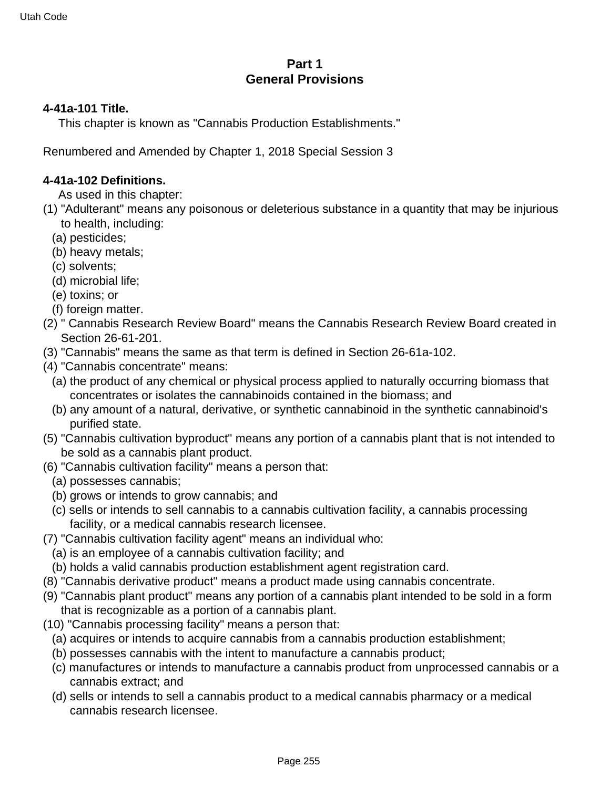## **Part 1 General Provisions**

#### **4-41a-101 Title.**

This chapter is known as "Cannabis Production Establishments."

Renumbered and Amended by Chapter 1, 2018 Special Session 3

#### **4-41a-102 Definitions.**

- As used in this chapter:
- (1) "Adulterant" means any poisonous or deleterious substance in a quantity that may be injurious to health, including:
	- (a) pesticides;
	- (b) heavy metals;
	- (c) solvents;
	- (d) microbial life;
	- (e) toxins; or
	- (f) foreign matter.
- (2) " Cannabis Research Review Board" means the Cannabis Research Review Board created in Section 26-61-201.
- (3) "Cannabis" means the same as that term is defined in Section 26-61a-102.
- (4) "Cannabis concentrate" means:
	- (a) the product of any chemical or physical process applied to naturally occurring biomass that concentrates or isolates the cannabinoids contained in the biomass; and
	- (b) any amount of a natural, derivative, or synthetic cannabinoid in the synthetic cannabinoid's purified state.
- (5) "Cannabis cultivation byproduct" means any portion of a cannabis plant that is not intended to be sold as a cannabis plant product.
- (6) "Cannabis cultivation facility" means a person that:
	- (a) possesses cannabis;
	- (b) grows or intends to grow cannabis; and
	- (c) sells or intends to sell cannabis to a cannabis cultivation facility, a cannabis processing facility, or a medical cannabis research licensee.
- (7) "Cannabis cultivation facility agent" means an individual who:
	- (a) is an employee of a cannabis cultivation facility; and
	- (b) holds a valid cannabis production establishment agent registration card.
- (8) "Cannabis derivative product" means a product made using cannabis concentrate.
- (9) "Cannabis plant product" means any portion of a cannabis plant intended to be sold in a form that is recognizable as a portion of a cannabis plant.
- (10) "Cannabis processing facility" means a person that:
	- (a) acquires or intends to acquire cannabis from a cannabis production establishment;
	- (b) possesses cannabis with the intent to manufacture a cannabis product;
	- (c) manufactures or intends to manufacture a cannabis product from unprocessed cannabis or a cannabis extract; and
	- (d) sells or intends to sell a cannabis product to a medical cannabis pharmacy or a medical cannabis research licensee.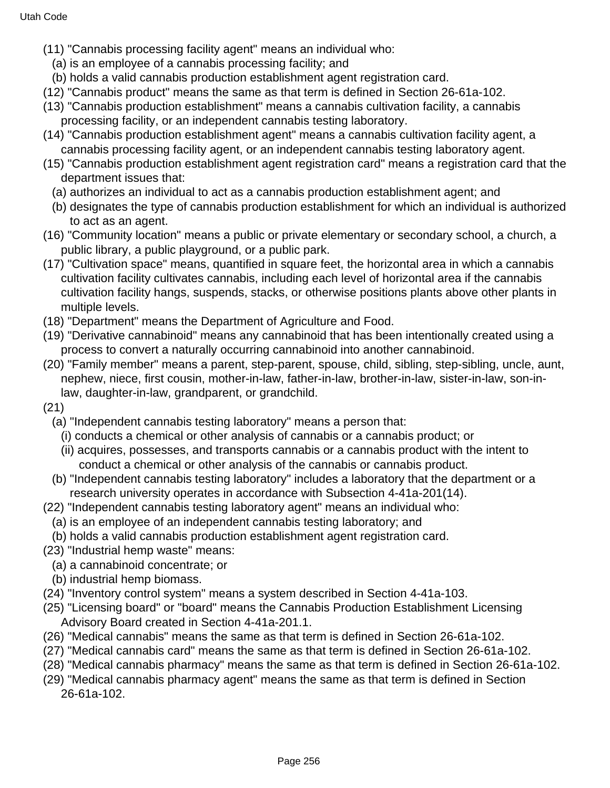- (11) "Cannabis processing facility agent" means an individual who:
	- (a) is an employee of a cannabis processing facility; and
	- (b) holds a valid cannabis production establishment agent registration card.
- (12) "Cannabis product" means the same as that term is defined in Section 26-61a-102.
- (13) "Cannabis production establishment" means a cannabis cultivation facility, a cannabis processing facility, or an independent cannabis testing laboratory.
- (14) "Cannabis production establishment agent" means a cannabis cultivation facility agent, a cannabis processing facility agent, or an independent cannabis testing laboratory agent.
- (15) "Cannabis production establishment agent registration card" means a registration card that the department issues that:
	- (a) authorizes an individual to act as a cannabis production establishment agent; and
	- (b) designates the type of cannabis production establishment for which an individual is authorized to act as an agent.
- (16) "Community location" means a public or private elementary or secondary school, a church, a public library, a public playground, or a public park.
- (17) "Cultivation space" means, quantified in square feet, the horizontal area in which a cannabis cultivation facility cultivates cannabis, including each level of horizontal area if the cannabis cultivation facility hangs, suspends, stacks, or otherwise positions plants above other plants in multiple levels.
- (18) "Department" means the Department of Agriculture and Food.
- (19) "Derivative cannabinoid" means any cannabinoid that has been intentionally created using a process to convert a naturally occurring cannabinoid into another cannabinoid.
- (20) "Family member" means a parent, step-parent, spouse, child, sibling, step-sibling, uncle, aunt, nephew, niece, first cousin, mother-in-law, father-in-law, brother-in-law, sister-in-law, son-inlaw, daughter-in-law, grandparent, or grandchild.
- (21)
	- (a) "Independent cannabis testing laboratory" means a person that:
	- (i) conducts a chemical or other analysis of cannabis or a cannabis product; or
	- (ii) acquires, possesses, and transports cannabis or a cannabis product with the intent to conduct a chemical or other analysis of the cannabis or cannabis product.
	- (b) "Independent cannabis testing laboratory" includes a laboratory that the department or a research university operates in accordance with Subsection 4-41a-201(14).
- (22) "Independent cannabis testing laboratory agent" means an individual who:
	- (a) is an employee of an independent cannabis testing laboratory; and
	- (b) holds a valid cannabis production establishment agent registration card.
- (23) "Industrial hemp waste" means:
	- (a) a cannabinoid concentrate; or
	- (b) industrial hemp biomass.
- (24) "Inventory control system" means a system described in Section 4-41a-103.
- (25) "Licensing board" or "board" means the Cannabis Production Establishment Licensing Advisory Board created in Section 4-41a-201.1.
- (26) "Medical cannabis" means the same as that term is defined in Section 26-61a-102.
- (27) "Medical cannabis card" means the same as that term is defined in Section 26-61a-102.
- (28) "Medical cannabis pharmacy" means the same as that term is defined in Section 26-61a-102.
- (29) "Medical cannabis pharmacy agent" means the same as that term is defined in Section 26-61a-102.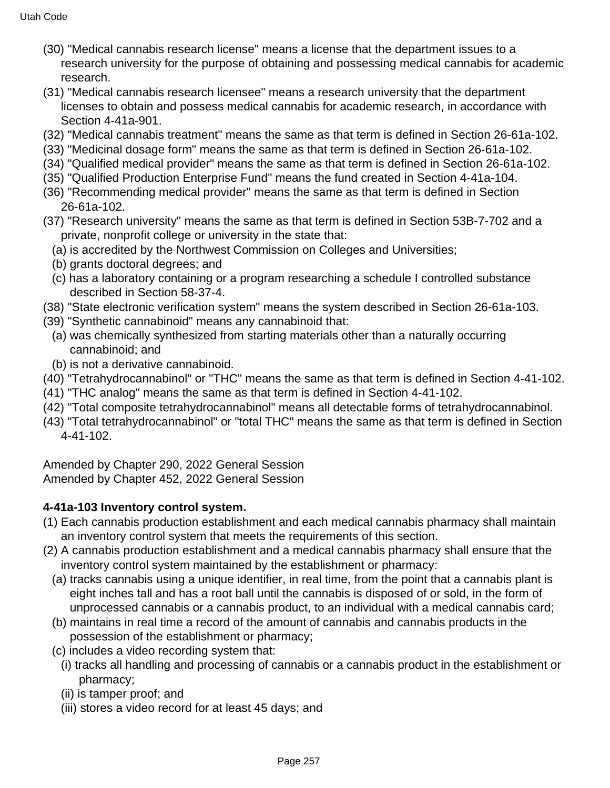- (30) "Medical cannabis research license" means a license that the department issues to a research university for the purpose of obtaining and possessing medical cannabis for academic research.
- (31) "Medical cannabis research licensee" means a research university that the department licenses to obtain and possess medical cannabis for academic research, in accordance with Section 4-41a-901.
- (32) "Medical cannabis treatment" means the same as that term is defined in Section 26-61a-102.
- (33) "Medicinal dosage form" means the same as that term is defined in Section 26-61a-102.
- (34) "Qualified medical provider" means the same as that term is defined in Section 26-61a-102.
- (35) "Qualified Production Enterprise Fund" means the fund created in Section 4-41a-104.
- (36) "Recommending medical provider" means the same as that term is defined in Section 26-61a-102.
- (37) "Research university" means the same as that term is defined in Section 53B-7-702 and a private, nonprofit college or university in the state that:
	- (a) is accredited by the Northwest Commission on Colleges and Universities;
	- (b) grants doctoral degrees; and
	- (c) has a laboratory containing or a program researching a schedule I controlled substance described in Section 58-37-4.
- (38) "State electronic verification system" means the system described in Section 26-61a-103.
- (39) "Synthetic cannabinoid" means any cannabinoid that:
	- (a) was chemically synthesized from starting materials other than a naturally occurring cannabinoid; and
	- (b) is not a derivative cannabinoid.
- (40) "Tetrahydrocannabinol" or "THC" means the same as that term is defined in Section 4-41-102.
- (41) "THC analog" means the same as that term is defined in Section 4-41-102.
- (42) "Total composite tetrahydrocannabinol" means all detectable forms of tetrahydrocannabinol.
- (43) "Total tetrahydrocannabinol" or "total THC" means the same as that term is defined in Section 4-41-102.

Amended by Chapter 290, 2022 General Session Amended by Chapter 452, 2022 General Session

# **4-41a-103 Inventory control system.**

- (1) Each cannabis production establishment and each medical cannabis pharmacy shall maintain an inventory control system that meets the requirements of this section.
- (2) A cannabis production establishment and a medical cannabis pharmacy shall ensure that the inventory control system maintained by the establishment or pharmacy:
	- (a) tracks cannabis using a unique identifier, in real time, from the point that a cannabis plant is eight inches tall and has a root ball until the cannabis is disposed of or sold, in the form of unprocessed cannabis or a cannabis product, to an individual with a medical cannabis card;
	- (b) maintains in real time a record of the amount of cannabis and cannabis products in the possession of the establishment or pharmacy;
	- (c) includes a video recording system that:
		- (i) tracks all handling and processing of cannabis or a cannabis product in the establishment or pharmacy;
		- (ii) is tamper proof; and
		- (iii) stores a video record for at least 45 days; and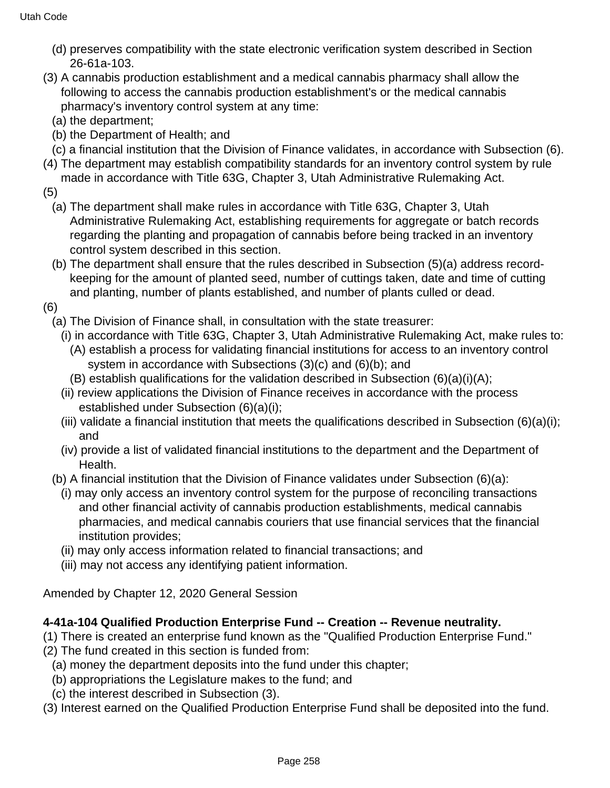- (d) preserves compatibility with the state electronic verification system described in Section 26-61a-103.
- (3) A cannabis production establishment and a medical cannabis pharmacy shall allow the following to access the cannabis production establishment's or the medical cannabis pharmacy's inventory control system at any time:
	- (a) the department;
	- (b) the Department of Health; and
	- (c) a financial institution that the Division of Finance validates, in accordance with Subsection (6).
- (4) The department may establish compatibility standards for an inventory control system by rule made in accordance with Title 63G, Chapter 3, Utah Administrative Rulemaking Act.
- (5)
	- (a) The department shall make rules in accordance with Title 63G, Chapter 3, Utah Administrative Rulemaking Act, establishing requirements for aggregate or batch records regarding the planting and propagation of cannabis before being tracked in an inventory control system described in this section.
	- (b) The department shall ensure that the rules described in Subsection (5)(a) address recordkeeping for the amount of planted seed, number of cuttings taken, date and time of cutting and planting, number of plants established, and number of plants culled or dead.
- (6)
	- (a) The Division of Finance shall, in consultation with the state treasurer:
		- (i) in accordance with Title 63G, Chapter 3, Utah Administrative Rulemaking Act, make rules to:
			- (A) establish a process for validating financial institutions for access to an inventory control system in accordance with Subsections (3)(c) and (6)(b); and
		- (B) establish qualifications for the validation described in Subsection (6)(a)(i)(A);
		- (ii) review applications the Division of Finance receives in accordance with the process established under Subsection (6)(a)(i);
		- (iii) validate a financial institution that meets the qualifications described in Subsection (6)(a)(i); and
		- (iv) provide a list of validated financial institutions to the department and the Department of Health.
	- (b) A financial institution that the Division of Finance validates under Subsection (6)(a):
		- (i) may only access an inventory control system for the purpose of reconciling transactions and other financial activity of cannabis production establishments, medical cannabis pharmacies, and medical cannabis couriers that use financial services that the financial institution provides;
		- (ii) may only access information related to financial transactions; and
		- (iii) may not access any identifying patient information.

Amended by Chapter 12, 2020 General Session

## **4-41a-104 Qualified Production Enterprise Fund -- Creation -- Revenue neutrality.**

- (1) There is created an enterprise fund known as the "Qualified Production Enterprise Fund."
- (2) The fund created in this section is funded from:
	- (a) money the department deposits into the fund under this chapter;
	- (b) appropriations the Legislature makes to the fund; and
	- (c) the interest described in Subsection (3).
- (3) Interest earned on the Qualified Production Enterprise Fund shall be deposited into the fund.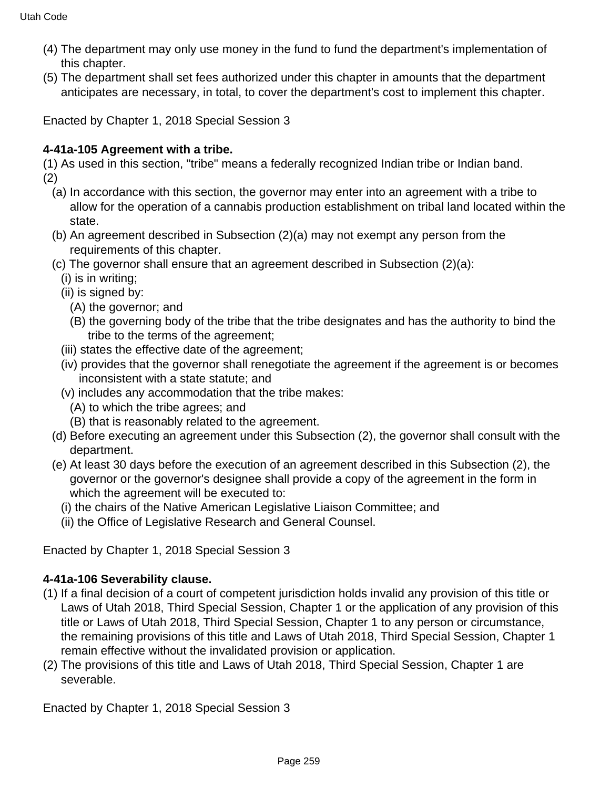- (4) The department may only use money in the fund to fund the department's implementation of this chapter.
- (5) The department shall set fees authorized under this chapter in amounts that the department anticipates are necessary, in total, to cover the department's cost to implement this chapter.

Enacted by Chapter 1, 2018 Special Session 3

## **4-41a-105 Agreement with a tribe.**

(1) As used in this section, "tribe" means a federally recognized Indian tribe or Indian band. (2)

- (a) In accordance with this section, the governor may enter into an agreement with a tribe to allow for the operation of a cannabis production establishment on tribal land located within the state.
- (b) An agreement described in Subsection (2)(a) may not exempt any person from the requirements of this chapter.
- (c) The governor shall ensure that an agreement described in Subsection (2)(a):
	- (i) is in writing;
	- (ii) is signed by:
		- (A) the governor; and
		- (B) the governing body of the tribe that the tribe designates and has the authority to bind the tribe to the terms of the agreement;
	- (iii) states the effective date of the agreement;
	- (iv) provides that the governor shall renegotiate the agreement if the agreement is or becomes inconsistent with a state statute; and
	- (v) includes any accommodation that the tribe makes:
		- (A) to which the tribe agrees; and
		- (B) that is reasonably related to the agreement.
- (d) Before executing an agreement under this Subsection (2), the governor shall consult with the department.
- (e) At least 30 days before the execution of an agreement described in this Subsection (2), the governor or the governor's designee shall provide a copy of the agreement in the form in which the agreement will be executed to:
	- (i) the chairs of the Native American Legislative Liaison Committee; and
	- (ii) the Office of Legislative Research and General Counsel.

Enacted by Chapter 1, 2018 Special Session 3

# **4-41a-106 Severability clause.**

- (1) If a final decision of a court of competent jurisdiction holds invalid any provision of this title or Laws of Utah 2018, Third Special Session, Chapter 1 or the application of any provision of this title or Laws of Utah 2018, Third Special Session, Chapter 1 to any person or circumstance, the remaining provisions of this title and Laws of Utah 2018, Third Special Session, Chapter 1 remain effective without the invalidated provision or application.
- (2) The provisions of this title and Laws of Utah 2018, Third Special Session, Chapter 1 are severable.

Enacted by Chapter 1, 2018 Special Session 3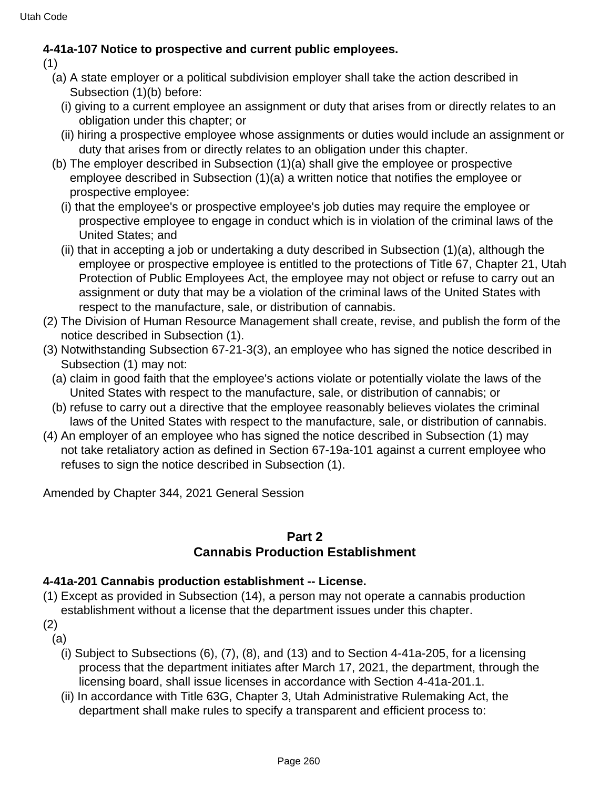## **4-41a-107 Notice to prospective and current public employees.**

(1)

- (a) A state employer or a political subdivision employer shall take the action described in Subsection (1)(b) before:
	- (i) giving to a current employee an assignment or duty that arises from or directly relates to an obligation under this chapter; or
	- (ii) hiring a prospective employee whose assignments or duties would include an assignment or duty that arises from or directly relates to an obligation under this chapter.
- (b) The employer described in Subsection (1)(a) shall give the employee or prospective employee described in Subsection (1)(a) a written notice that notifies the employee or prospective employee:
	- (i) that the employee's or prospective employee's job duties may require the employee or prospective employee to engage in conduct which is in violation of the criminal laws of the United States; and
	- (ii) that in accepting a job or undertaking a duty described in Subsection (1)(a), although the employee or prospective employee is entitled to the protections of Title 67, Chapter 21, Utah Protection of Public Employees Act, the employee may not object or refuse to carry out an assignment or duty that may be a violation of the criminal laws of the United States with respect to the manufacture, sale, or distribution of cannabis.
- (2) The Division of Human Resource Management shall create, revise, and publish the form of the notice described in Subsection (1).
- (3) Notwithstanding Subsection 67-21-3(3), an employee who has signed the notice described in Subsection (1) may not:
	- (a) claim in good faith that the employee's actions violate or potentially violate the laws of the United States with respect to the manufacture, sale, or distribution of cannabis; or
	- (b) refuse to carry out a directive that the employee reasonably believes violates the criminal laws of the United States with respect to the manufacture, sale, or distribution of cannabis.
- (4) An employer of an employee who has signed the notice described in Subsection (1) may not take retaliatory action as defined in Section 67-19a-101 against a current employee who refuses to sign the notice described in Subsection (1).

Amended by Chapter 344, 2021 General Session

## **Part 2**

# **Cannabis Production Establishment**

## **4-41a-201 Cannabis production establishment -- License.**

- (1) Except as provided in Subsection (14), a person may not operate a cannabis production establishment without a license that the department issues under this chapter.
- (2) (a)
	- (i) Subject to Subsections (6), (7), (8), and (13) and to Section 4-41a-205, for a licensing process that the department initiates after March 17, 2021, the department, through the licensing board, shall issue licenses in accordance with Section 4-41a-201.1.
	- (ii) In accordance with Title 63G, Chapter 3, Utah Administrative Rulemaking Act, the department shall make rules to specify a transparent and efficient process to: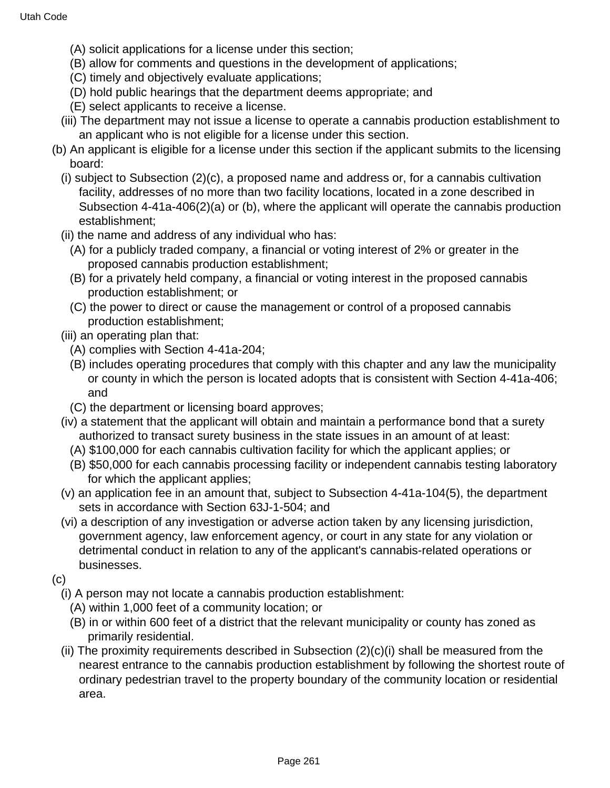- (A) solicit applications for a license under this section;
- (B) allow for comments and questions in the development of applications;
- (C) timely and objectively evaluate applications;
- (D) hold public hearings that the department deems appropriate; and
- (E) select applicants to receive a license.
- (iii) The department may not issue a license to operate a cannabis production establishment to an applicant who is not eligible for a license under this section.
- (b) An applicant is eligible for a license under this section if the applicant submits to the licensing board:
	- (i) subject to Subsection (2)(c), a proposed name and address or, for a cannabis cultivation facility, addresses of no more than two facility locations, located in a zone described in Subsection 4-41a-406(2)(a) or (b), where the applicant will operate the cannabis production establishment;
	- (ii) the name and address of any individual who has:
		- (A) for a publicly traded company, a financial or voting interest of 2% or greater in the proposed cannabis production establishment;
		- (B) for a privately held company, a financial or voting interest in the proposed cannabis production establishment; or
		- (C) the power to direct or cause the management or control of a proposed cannabis production establishment;
	- (iii) an operating plan that:
		- (A) complies with Section 4-41a-204;
		- (B) includes operating procedures that comply with this chapter and any law the municipality or county in which the person is located adopts that is consistent with Section 4-41a-406; and
		- (C) the department or licensing board approves;
	- (iv) a statement that the applicant will obtain and maintain a performance bond that a surety authorized to transact surety business in the state issues in an amount of at least:
		- (A) \$100,000 for each cannabis cultivation facility for which the applicant applies; or
		- (B) \$50,000 for each cannabis processing facility or independent cannabis testing laboratory for which the applicant applies;
	- (v) an application fee in an amount that, subject to Subsection 4-41a-104(5), the department sets in accordance with Section 63J-1-504; and
	- (vi) a description of any investigation or adverse action taken by any licensing jurisdiction, government agency, law enforcement agency, or court in any state for any violation or detrimental conduct in relation to any of the applicant's cannabis-related operations or businesses.
- (c)
	- (i) A person may not locate a cannabis production establishment:
		- (A) within 1,000 feet of a community location; or
		- (B) in or within 600 feet of a district that the relevant municipality or county has zoned as primarily residential.
	- (ii) The proximity requirements described in Subsection (2)(c)(i) shall be measured from the nearest entrance to the cannabis production establishment by following the shortest route of ordinary pedestrian travel to the property boundary of the community location or residential area.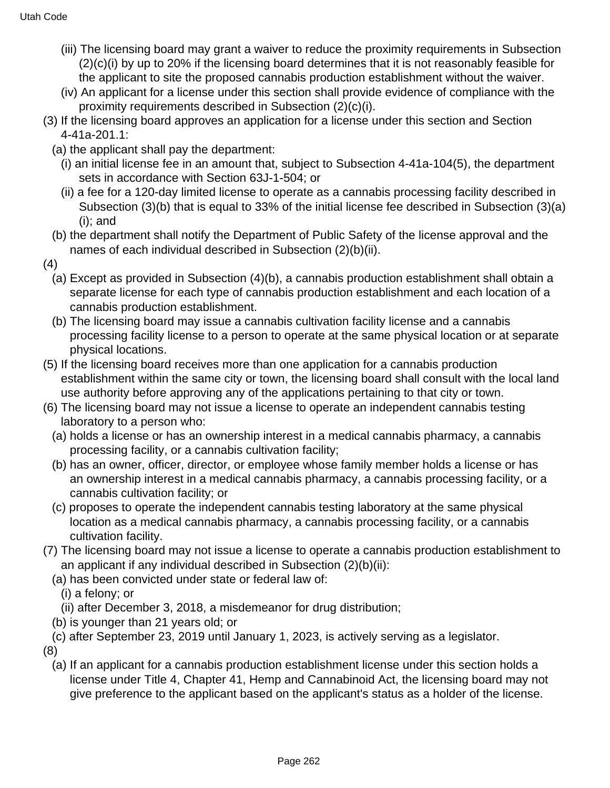- (iii) The licensing board may grant a waiver to reduce the proximity requirements in Subsection (2)(c)(i) by up to 20% if the licensing board determines that it is not reasonably feasible for the applicant to site the proposed cannabis production establishment without the waiver.
- (iv) An applicant for a license under this section shall provide evidence of compliance with the proximity requirements described in Subsection (2)(c)(i).
- (3) If the licensing board approves an application for a license under this section and Section 4-41a-201.1:
	- (a) the applicant shall pay the department:
		- (i) an initial license fee in an amount that, subject to Subsection 4-41a-104(5), the department sets in accordance with Section 63J-1-504; or
		- (ii) a fee for a 120-day limited license to operate as a cannabis processing facility described in Subsection (3)(b) that is equal to 33% of the initial license fee described in Subsection (3)(a) (i); and
	- (b) the department shall notify the Department of Public Safety of the license approval and the names of each individual described in Subsection (2)(b)(ii).
- (4)
	- (a) Except as provided in Subsection (4)(b), a cannabis production establishment shall obtain a separate license for each type of cannabis production establishment and each location of a cannabis production establishment.
	- (b) The licensing board may issue a cannabis cultivation facility license and a cannabis processing facility license to a person to operate at the same physical location or at separate physical locations.
- (5) If the licensing board receives more than one application for a cannabis production establishment within the same city or town, the licensing board shall consult with the local land use authority before approving any of the applications pertaining to that city or town.
- (6) The licensing board may not issue a license to operate an independent cannabis testing laboratory to a person who:
	- (a) holds a license or has an ownership interest in a medical cannabis pharmacy, a cannabis processing facility, or a cannabis cultivation facility;
	- (b) has an owner, officer, director, or employee whose family member holds a license or has an ownership interest in a medical cannabis pharmacy, a cannabis processing facility, or a cannabis cultivation facility; or
	- (c) proposes to operate the independent cannabis testing laboratory at the same physical location as a medical cannabis pharmacy, a cannabis processing facility, or a cannabis cultivation facility.
- (7) The licensing board may not issue a license to operate a cannabis production establishment to an applicant if any individual described in Subsection (2)(b)(ii):
	- (a) has been convicted under state or federal law of:
		- (i) a felony; or
		- (ii) after December 3, 2018, a misdemeanor for drug distribution;
	- (b) is younger than 21 years old; or
- (c) after September 23, 2019 until January 1, 2023, is actively serving as a legislator.

(8)

(a) If an applicant for a cannabis production establishment license under this section holds a license under Title 4, Chapter 41, Hemp and Cannabinoid Act, the licensing board may not give preference to the applicant based on the applicant's status as a holder of the license.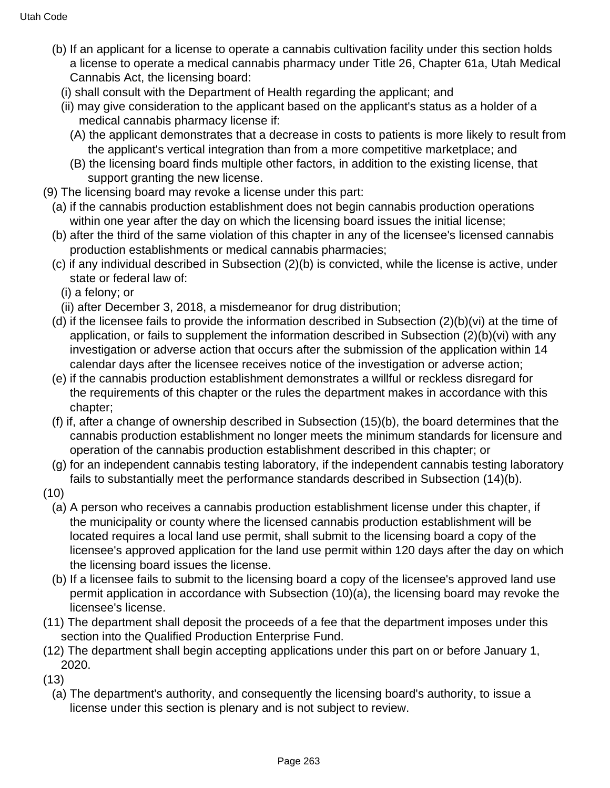- (b) If an applicant for a license to operate a cannabis cultivation facility under this section holds a license to operate a medical cannabis pharmacy under Title 26, Chapter 61a, Utah Medical Cannabis Act, the licensing board:
	- (i) shall consult with the Department of Health regarding the applicant; and
	- (ii) may give consideration to the applicant based on the applicant's status as a holder of a medical cannabis pharmacy license if:
		- (A) the applicant demonstrates that a decrease in costs to patients is more likely to result from the applicant's vertical integration than from a more competitive marketplace; and
		- (B) the licensing board finds multiple other factors, in addition to the existing license, that support granting the new license.
- (9) The licensing board may revoke a license under this part:
	- (a) if the cannabis production establishment does not begin cannabis production operations within one year after the day on which the licensing board issues the initial license;
	- (b) after the third of the same violation of this chapter in any of the licensee's licensed cannabis production establishments or medical cannabis pharmacies;
	- (c) if any individual described in Subsection (2)(b) is convicted, while the license is active, under state or federal law of:
		- (i) a felony; or
		- (ii) after December 3, 2018, a misdemeanor for drug distribution;
	- (d) if the licensee fails to provide the information described in Subsection (2)(b)(vi) at the time of application, or fails to supplement the information described in Subsection (2)(b)(vi) with any investigation or adverse action that occurs after the submission of the application within 14 calendar days after the licensee receives notice of the investigation or adverse action;
	- (e) if the cannabis production establishment demonstrates a willful or reckless disregard for the requirements of this chapter or the rules the department makes in accordance with this chapter;
	- (f) if, after a change of ownership described in Subsection (15)(b), the board determines that the cannabis production establishment no longer meets the minimum standards for licensure and operation of the cannabis production establishment described in this chapter; or
	- (g) for an independent cannabis testing laboratory, if the independent cannabis testing laboratory fails to substantially meet the performance standards described in Subsection (14)(b).
- (10)
	- (a) A person who receives a cannabis production establishment license under this chapter, if the municipality or county where the licensed cannabis production establishment will be located requires a local land use permit, shall submit to the licensing board a copy of the licensee's approved application for the land use permit within 120 days after the day on which the licensing board issues the license.
	- (b) If a licensee fails to submit to the licensing board a copy of the licensee's approved land use permit application in accordance with Subsection (10)(a), the licensing board may revoke the licensee's license.
- (11) The department shall deposit the proceeds of a fee that the department imposes under this section into the Qualified Production Enterprise Fund.
- (12) The department shall begin accepting applications under this part on or before January 1, 2020.
- (13)
	- (a) The department's authority, and consequently the licensing board's authority, to issue a license under this section is plenary and is not subject to review.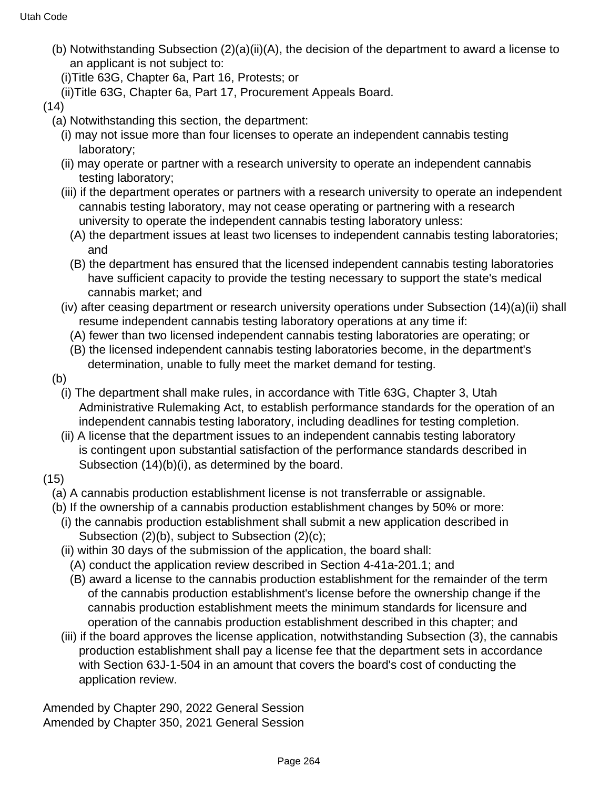- (b) Notwithstanding Subsection (2)(a)(ii)(A), the decision of the department to award a license to an applicant is not subject to:
	- (i)Title 63G, Chapter 6a, Part 16, Protests; or
	- (ii)Title 63G, Chapter 6a, Part 17, Procurement Appeals Board.

```
(14)
```
- (a) Notwithstanding this section, the department:
	- (i) may not issue more than four licenses to operate an independent cannabis testing laboratory;
	- (ii) may operate or partner with a research university to operate an independent cannabis testing laboratory;
	- (iii) if the department operates or partners with a research university to operate an independent cannabis testing laboratory, may not cease operating or partnering with a research university to operate the independent cannabis testing laboratory unless:
		- (A) the department issues at least two licenses to independent cannabis testing laboratories; and
		- (B) the department has ensured that the licensed independent cannabis testing laboratories have sufficient capacity to provide the testing necessary to support the state's medical cannabis market; and
	- (iv) after ceasing department or research university operations under Subsection (14)(a)(ii) shall resume independent cannabis testing laboratory operations at any time if:
		- (A) fewer than two licensed independent cannabis testing laboratories are operating; or
		- (B) the licensed independent cannabis testing laboratories become, in the department's determination, unable to fully meet the market demand for testing.
- (b)
	- (i) The department shall make rules, in accordance with Title 63G, Chapter 3, Utah Administrative Rulemaking Act, to establish performance standards for the operation of an independent cannabis testing laboratory, including deadlines for testing completion.
	- (ii) A license that the department issues to an independent cannabis testing laboratory is contingent upon substantial satisfaction of the performance standards described in Subsection (14)(b)(i), as determined by the board.
- (15)
	- (a) A cannabis production establishment license is not transferrable or assignable.
	- (b) If the ownership of a cannabis production establishment changes by 50% or more:
		- (i) the cannabis production establishment shall submit a new application described in Subsection (2)(b), subject to Subsection (2)(c);
		- (ii) within 30 days of the submission of the application, the board shall:
			- (A) conduct the application review described in Section 4-41a-201.1; and
			- (B) award a license to the cannabis production establishment for the remainder of the term of the cannabis production establishment's license before the ownership change if the cannabis production establishment meets the minimum standards for licensure and operation of the cannabis production establishment described in this chapter; and
		- (iii) if the board approves the license application, notwithstanding Subsection (3), the cannabis production establishment shall pay a license fee that the department sets in accordance with Section 63J-1-504 in an amount that covers the board's cost of conducting the application review.

Amended by Chapter 290, 2022 General Session Amended by Chapter 350, 2021 General Session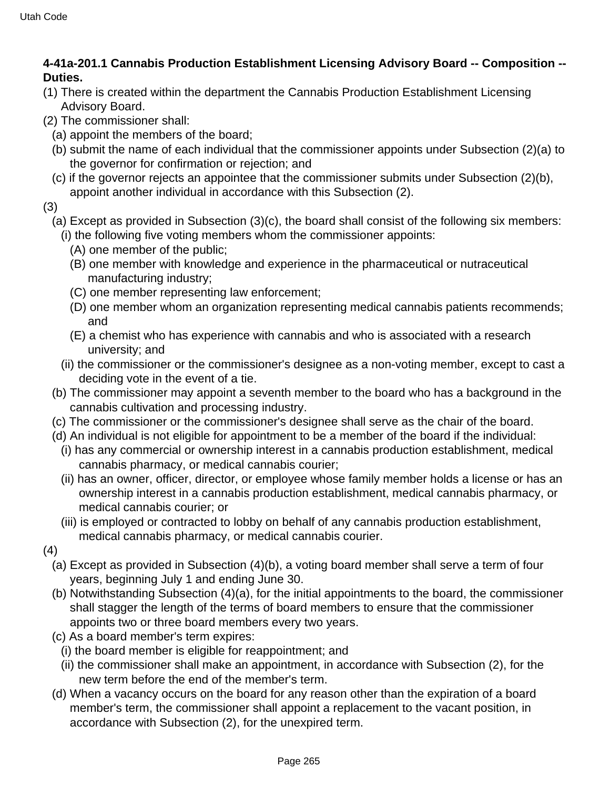## **4-41a-201.1 Cannabis Production Establishment Licensing Advisory Board -- Composition -- Duties.**

- (1) There is created within the department the Cannabis Production Establishment Licensing Advisory Board.
- (2) The commissioner shall:
	- (a) appoint the members of the board;
	- (b) submit the name of each individual that the commissioner appoints under Subsection (2)(a) to the governor for confirmation or rejection; and
	- (c) if the governor rejects an appointee that the commissioner submits under Subsection (2)(b), appoint another individual in accordance with this Subsection (2).
- (3)
	- (a) Except as provided in Subsection (3)(c), the board shall consist of the following six members: (i) the following five voting members whom the commissioner appoints:
		- (A) one member of the public;
		- (B) one member with knowledge and experience in the pharmaceutical or nutraceutical manufacturing industry;
		- (C) one member representing law enforcement;
		- (D) one member whom an organization representing medical cannabis patients recommends; and
		- (E) a chemist who has experience with cannabis and who is associated with a research university; and
		- (ii) the commissioner or the commissioner's designee as a non-voting member, except to cast a deciding vote in the event of a tie.
	- (b) The commissioner may appoint a seventh member to the board who has a background in the cannabis cultivation and processing industry.
	- (c) The commissioner or the commissioner's designee shall serve as the chair of the board.
	- (d) An individual is not eligible for appointment to be a member of the board if the individual:
		- (i) has any commercial or ownership interest in a cannabis production establishment, medical cannabis pharmacy, or medical cannabis courier;
		- (ii) has an owner, officer, director, or employee whose family member holds a license or has an ownership interest in a cannabis production establishment, medical cannabis pharmacy, or medical cannabis courier; or
		- (iii) is employed or contracted to lobby on behalf of any cannabis production establishment, medical cannabis pharmacy, or medical cannabis courier.
- (4)
	- (a) Except as provided in Subsection (4)(b), a voting board member shall serve a term of four years, beginning July 1 and ending June 30.
	- (b) Notwithstanding Subsection (4)(a), for the initial appointments to the board, the commissioner shall stagger the length of the terms of board members to ensure that the commissioner appoints two or three board members every two years.
	- (c) As a board member's term expires:
		- (i) the board member is eligible for reappointment; and
		- (ii) the commissioner shall make an appointment, in accordance with Subsection (2), for the new term before the end of the member's term.
	- (d) When a vacancy occurs on the board for any reason other than the expiration of a board member's term, the commissioner shall appoint a replacement to the vacant position, in accordance with Subsection (2), for the unexpired term.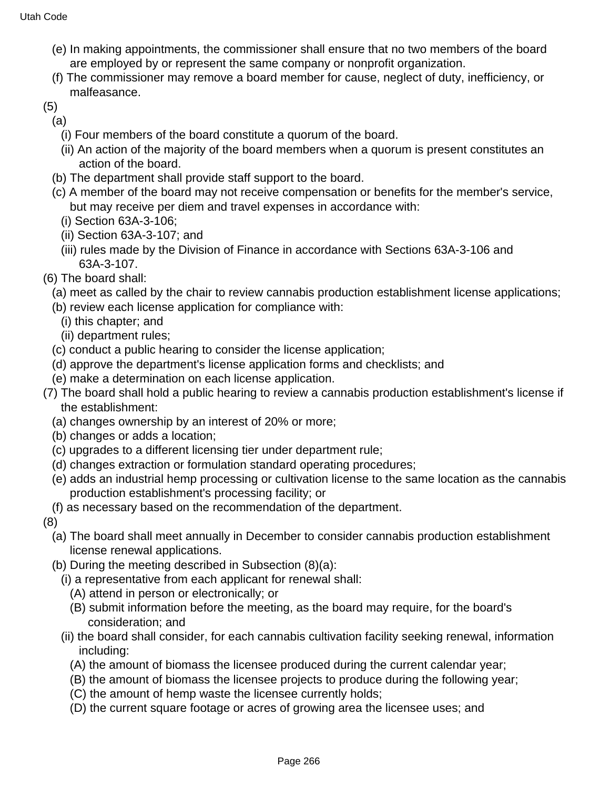- (e) In making appointments, the commissioner shall ensure that no two members of the board are employed by or represent the same company or nonprofit organization.
- (f) The commissioner may remove a board member for cause, neglect of duty, inefficiency, or malfeasance.
- (5)
- (a)
	- (i) Four members of the board constitute a quorum of the board.
	- (ii) An action of the majority of the board members when a quorum is present constitutes an action of the board.
- (b) The department shall provide staff support to the board.
- (c) A member of the board may not receive compensation or benefits for the member's service, but may receive per diem and travel expenses in accordance with:
	- (i) Section 63A-3-106;
	- (ii) Section 63A-3-107; and
	- (iii) rules made by the Division of Finance in accordance with Sections 63A-3-106 and 63A-3-107.
- (6) The board shall:
	- (a) meet as called by the chair to review cannabis production establishment license applications;
	- (b) review each license application for compliance with:
		- (i) this chapter; and
		- (ii) department rules;
	- (c) conduct a public hearing to consider the license application;
	- (d) approve the department's license application forms and checklists; and
	- (e) make a determination on each license application.
- (7) The board shall hold a public hearing to review a cannabis production establishment's license if the establishment:
	- (a) changes ownership by an interest of 20% or more;
	- (b) changes or adds a location;
	- (c) upgrades to a different licensing tier under department rule;
	- (d) changes extraction or formulation standard operating procedures;
	- (e) adds an industrial hemp processing or cultivation license to the same location as the cannabis production establishment's processing facility; or
- (f) as necessary based on the recommendation of the department.

(8)

- (a) The board shall meet annually in December to consider cannabis production establishment license renewal applications.
- (b) During the meeting described in Subsection (8)(a):
	- (i) a representative from each applicant for renewal shall:
		- (A) attend in person or electronically; or
		- (B) submit information before the meeting, as the board may require, for the board's consideration; and
	- (ii) the board shall consider, for each cannabis cultivation facility seeking renewal, information including:
		- (A) the amount of biomass the licensee produced during the current calendar year;
		- (B) the amount of biomass the licensee projects to produce during the following year;
		- (C) the amount of hemp waste the licensee currently holds;
		- (D) the current square footage or acres of growing area the licensee uses; and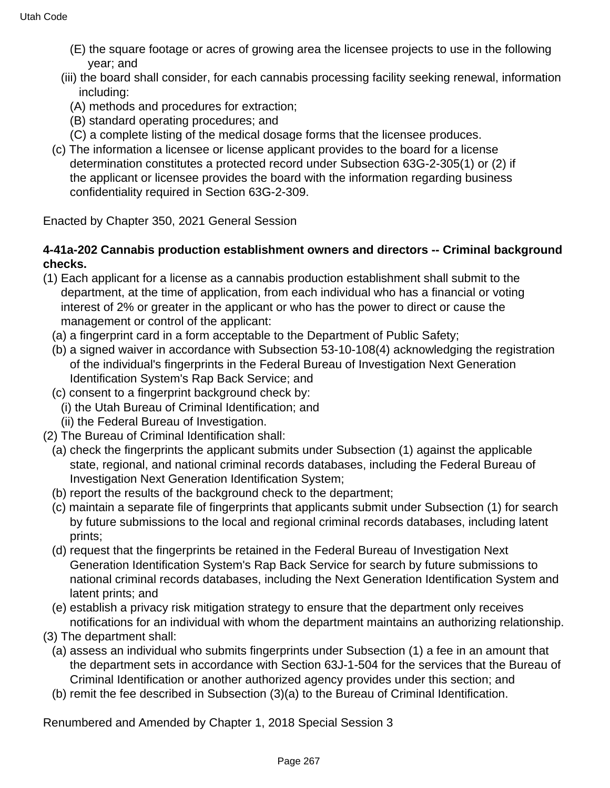- (E) the square footage or acres of growing area the licensee projects to use in the following year; and
- (iii) the board shall consider, for each cannabis processing facility seeking renewal, information including:
	- (A) methods and procedures for extraction;
	- (B) standard operating procedures; and
	- (C) a complete listing of the medical dosage forms that the licensee produces.
- (c) The information a licensee or license applicant provides to the board for a license determination constitutes a protected record under Subsection 63G-2-305(1) or (2) if the applicant or licensee provides the board with the information regarding business confidentiality required in Section 63G-2-309.

Enacted by Chapter 350, 2021 General Session

## **4-41a-202 Cannabis production establishment owners and directors -- Criminal background checks.**

- (1) Each applicant for a license as a cannabis production establishment shall submit to the department, at the time of application, from each individual who has a financial or voting interest of 2% or greater in the applicant or who has the power to direct or cause the management or control of the applicant:
	- (a) a fingerprint card in a form acceptable to the Department of Public Safety;
	- (b) a signed waiver in accordance with Subsection 53-10-108(4) acknowledging the registration of the individual's fingerprints in the Federal Bureau of Investigation Next Generation Identification System's Rap Back Service; and
	- (c) consent to a fingerprint background check by:
	- (i) the Utah Bureau of Criminal Identification; and
	- (ii) the Federal Bureau of Investigation.
- (2) The Bureau of Criminal Identification shall:
	- (a) check the fingerprints the applicant submits under Subsection (1) against the applicable state, regional, and national criminal records databases, including the Federal Bureau of Investigation Next Generation Identification System;
	- (b) report the results of the background check to the department;
	- (c) maintain a separate file of fingerprints that applicants submit under Subsection (1) for search by future submissions to the local and regional criminal records databases, including latent prints;
	- (d) request that the fingerprints be retained in the Federal Bureau of Investigation Next Generation Identification System's Rap Back Service for search by future submissions to national criminal records databases, including the Next Generation Identification System and latent prints; and
	- (e) establish a privacy risk mitigation strategy to ensure that the department only receives notifications for an individual with whom the department maintains an authorizing relationship.
- (3) The department shall:
	- (a) assess an individual who submits fingerprints under Subsection (1) a fee in an amount that the department sets in accordance with Section 63J-1-504 for the services that the Bureau of Criminal Identification or another authorized agency provides under this section; and
	- (b) remit the fee described in Subsection (3)(a) to the Bureau of Criminal Identification.

Renumbered and Amended by Chapter 1, 2018 Special Session 3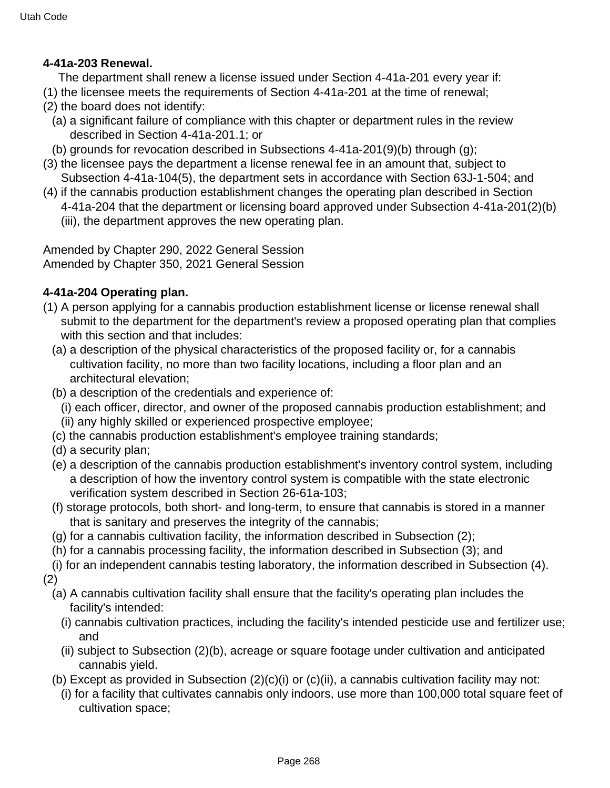#### **4-41a-203 Renewal.**

The department shall renew a license issued under Section 4-41a-201 every year if:

- (1) the licensee meets the requirements of Section 4-41a-201 at the time of renewal;
- (2) the board does not identify:
	- (a) a significant failure of compliance with this chapter or department rules in the review described in Section 4-41a-201.1; or
- (b) grounds for revocation described in Subsections 4-41a-201(9)(b) through (g);
- (3) the licensee pays the department a license renewal fee in an amount that, subject to Subsection 4-41a-104(5), the department sets in accordance with Section 63J-1-504; and
- (4) if the cannabis production establishment changes the operating plan described in Section 4-41a-204 that the department or licensing board approved under Subsection 4-41a-201(2)(b)
	- (iii), the department approves the new operating plan.

Amended by Chapter 290, 2022 General Session Amended by Chapter 350, 2021 General Session

## **4-41a-204 Operating plan.**

- (1) A person applying for a cannabis production establishment license or license renewal shall submit to the department for the department's review a proposed operating plan that complies with this section and that includes:
	- (a) a description of the physical characteristics of the proposed facility or, for a cannabis cultivation facility, no more than two facility locations, including a floor plan and an architectural elevation;
	- (b) a description of the credentials and experience of:
		- (i) each officer, director, and owner of the proposed cannabis production establishment; and (ii) any highly skilled or experienced prospective employee;
	- (c) the cannabis production establishment's employee training standards;
	- (d) a security plan;
	- (e) a description of the cannabis production establishment's inventory control system, including a description of how the inventory control system is compatible with the state electronic verification system described in Section 26-61a-103;
	- (f) storage protocols, both short- and long-term, to ensure that cannabis is stored in a manner that is sanitary and preserves the integrity of the cannabis;
	- (g) for a cannabis cultivation facility, the information described in Subsection (2);
	- (h) for a cannabis processing facility, the information described in Subsection (3); and
	- (i) for an independent cannabis testing laboratory, the information described in Subsection (4).
- (2)
	- (a) A cannabis cultivation facility shall ensure that the facility's operating plan includes the facility's intended:
		- (i) cannabis cultivation practices, including the facility's intended pesticide use and fertilizer use; and
		- (ii) subject to Subsection (2)(b), acreage or square footage under cultivation and anticipated cannabis yield.
	- (b) Except as provided in Subsection (2)(c)(i) or (c)(ii), a cannabis cultivation facility may not:
		- (i) for a facility that cultivates cannabis only indoors, use more than 100,000 total square feet of cultivation space;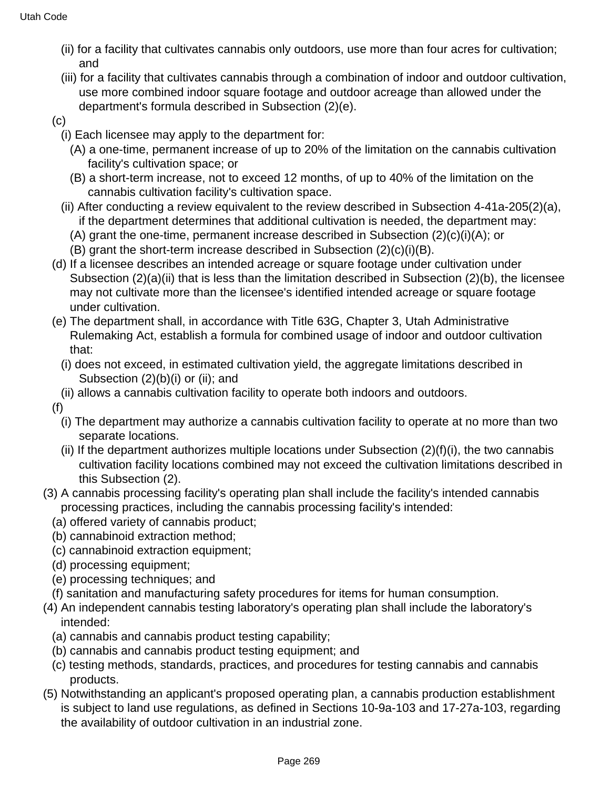- (ii) for a facility that cultivates cannabis only outdoors, use more than four acres for cultivation; and
- (iii) for a facility that cultivates cannabis through a combination of indoor and outdoor cultivation, use more combined indoor square footage and outdoor acreage than allowed under the department's formula described in Subsection (2)(e).
- (c)
	- (i) Each licensee may apply to the department for:
		- (A) a one-time, permanent increase of up to 20% of the limitation on the cannabis cultivation facility's cultivation space; or
		- (B) a short-term increase, not to exceed 12 months, of up to 40% of the limitation on the cannabis cultivation facility's cultivation space.
	- (ii) After conducting a review equivalent to the review described in Subsection 4-41a-205(2)(a), if the department determines that additional cultivation is needed, the department may:
		- (A) grant the one-time, permanent increase described in Subsection (2)(c)(i)(A); or
		- (B) grant the short-term increase described in Subsection (2)(c)(i)(B).
- (d) If a licensee describes an intended acreage or square footage under cultivation under Subsection (2)(a)(ii) that is less than the limitation described in Subsection (2)(b), the licensee may not cultivate more than the licensee's identified intended acreage or square footage under cultivation.
- (e) The department shall, in accordance with Title 63G, Chapter 3, Utah Administrative Rulemaking Act, establish a formula for combined usage of indoor and outdoor cultivation that:
	- (i) does not exceed, in estimated cultivation yield, the aggregate limitations described in Subsection (2)(b)(i) or (ii); and
- (ii) allows a cannabis cultivation facility to operate both indoors and outdoors.
- (f)
	- (i) The department may authorize a cannabis cultivation facility to operate at no more than two separate locations.
	- (ii) If the department authorizes multiple locations under Subsection  $(2)(f)(i)$ , the two cannabis cultivation facility locations combined may not exceed the cultivation limitations described in this Subsection (2).
- (3) A cannabis processing facility's operating plan shall include the facility's intended cannabis processing practices, including the cannabis processing facility's intended:
	- (a) offered variety of cannabis product;
	- (b) cannabinoid extraction method;
	- (c) cannabinoid extraction equipment;
	- (d) processing equipment;
	- (e) processing techniques; and
	- (f) sanitation and manufacturing safety procedures for items for human consumption.
- (4) An independent cannabis testing laboratory's operating plan shall include the laboratory's intended:
	- (a) cannabis and cannabis product testing capability;
	- (b) cannabis and cannabis product testing equipment; and
	- (c) testing methods, standards, practices, and procedures for testing cannabis and cannabis products.
- (5) Notwithstanding an applicant's proposed operating plan, a cannabis production establishment is subject to land use regulations, as defined in Sections 10-9a-103 and 17-27a-103, regarding the availability of outdoor cultivation in an industrial zone.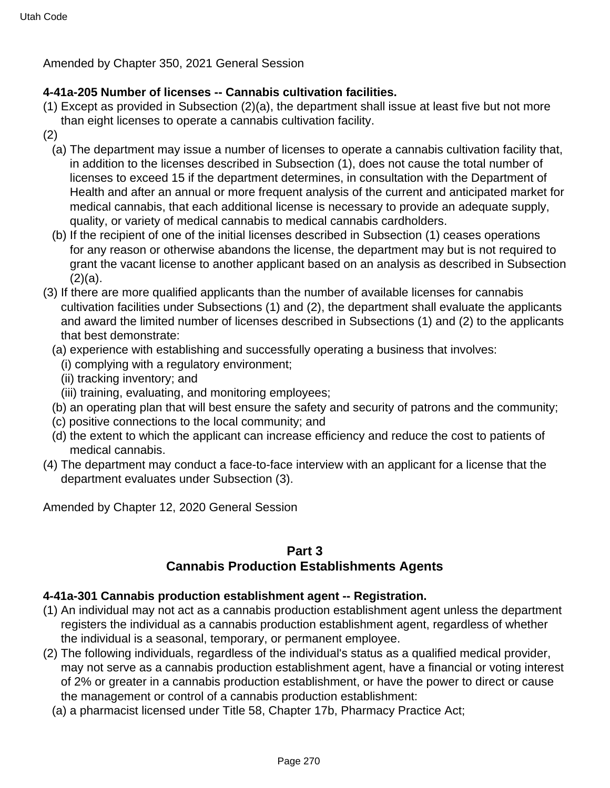Amended by Chapter 350, 2021 General Session

## **4-41a-205 Number of licenses -- Cannabis cultivation facilities.**

- (1) Except as provided in Subsection (2)(a), the department shall issue at least five but not more than eight licenses to operate a cannabis cultivation facility.
- (2)
	- (a) The department may issue a number of licenses to operate a cannabis cultivation facility that, in addition to the licenses described in Subsection (1), does not cause the total number of licenses to exceed 15 if the department determines, in consultation with the Department of Health and after an annual or more frequent analysis of the current and anticipated market for medical cannabis, that each additional license is necessary to provide an adequate supply, quality, or variety of medical cannabis to medical cannabis cardholders.
	- (b) If the recipient of one of the initial licenses described in Subsection (1) ceases operations for any reason or otherwise abandons the license, the department may but is not required to grant the vacant license to another applicant based on an analysis as described in Subsection  $(2)(a)$ .
- (3) If there are more qualified applicants than the number of available licenses for cannabis cultivation facilities under Subsections (1) and (2), the department shall evaluate the applicants and award the limited number of licenses described in Subsections (1) and (2) to the applicants that best demonstrate:
	- (a) experience with establishing and successfully operating a business that involves:
		- (i) complying with a regulatory environment;
		- (ii) tracking inventory; and
	- (iii) training, evaluating, and monitoring employees;
	- (b) an operating plan that will best ensure the safety and security of patrons and the community;
	- (c) positive connections to the local community; and
	- (d) the extent to which the applicant can increase efficiency and reduce the cost to patients of medical cannabis.
- (4) The department may conduct a face-to-face interview with an applicant for a license that the department evaluates under Subsection (3).

Amended by Chapter 12, 2020 General Session

# **Part 3**

# **Cannabis Production Establishments Agents**

## **4-41a-301 Cannabis production establishment agent -- Registration.**

- (1) An individual may not act as a cannabis production establishment agent unless the department registers the individual as a cannabis production establishment agent, regardless of whether the individual is a seasonal, temporary, or permanent employee.
- (2) The following individuals, regardless of the individual's status as a qualified medical provider, may not serve as a cannabis production establishment agent, have a financial or voting interest of 2% or greater in a cannabis production establishment, or have the power to direct or cause the management or control of a cannabis production establishment:
	- (a) a pharmacist licensed under Title 58, Chapter 17b, Pharmacy Practice Act;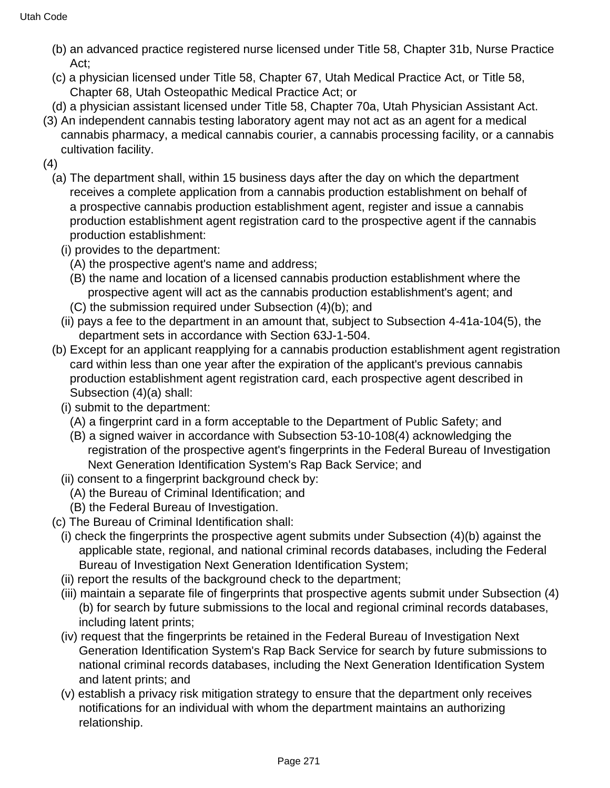- (b) an advanced practice registered nurse licensed under Title 58, Chapter 31b, Nurse Practice Act;
- (c) a physician licensed under Title 58, Chapter 67, Utah Medical Practice Act, or Title 58, Chapter 68, Utah Osteopathic Medical Practice Act; or
- (d) a physician assistant licensed under Title 58, Chapter 70a, Utah Physician Assistant Act.
- (3) An independent cannabis testing laboratory agent may not act as an agent for a medical cannabis pharmacy, a medical cannabis courier, a cannabis processing facility, or a cannabis cultivation facility.
- (4)
	- (a) The department shall, within 15 business days after the day on which the department receives a complete application from a cannabis production establishment on behalf of a prospective cannabis production establishment agent, register and issue a cannabis production establishment agent registration card to the prospective agent if the cannabis production establishment:
		- (i) provides to the department:
			- (A) the prospective agent's name and address;
			- (B) the name and location of a licensed cannabis production establishment where the prospective agent will act as the cannabis production establishment's agent; and
			- (C) the submission required under Subsection (4)(b); and
		- (ii) pays a fee to the department in an amount that, subject to Subsection 4-41a-104(5), the department sets in accordance with Section 63J-1-504.
	- (b) Except for an applicant reapplying for a cannabis production establishment agent registration card within less than one year after the expiration of the applicant's previous cannabis production establishment agent registration card, each prospective agent described in Subsection (4)(a) shall:
		- (i) submit to the department:
			- (A) a fingerprint card in a form acceptable to the Department of Public Safety; and
			- (B) a signed waiver in accordance with Subsection 53-10-108(4) acknowledging the registration of the prospective agent's fingerprints in the Federal Bureau of Investigation Next Generation Identification System's Rap Back Service; and
	- (ii) consent to a fingerprint background check by:
		- (A) the Bureau of Criminal Identification; and
		- (B) the Federal Bureau of Investigation.
	- (c) The Bureau of Criminal Identification shall:
	- (i) check the fingerprints the prospective agent submits under Subsection (4)(b) against the applicable state, regional, and national criminal records databases, including the Federal Bureau of Investigation Next Generation Identification System;
	- (ii) report the results of the background check to the department;
	- (iii) maintain a separate file of fingerprints that prospective agents submit under Subsection (4) (b) for search by future submissions to the local and regional criminal records databases, including latent prints;
	- (iv) request that the fingerprints be retained in the Federal Bureau of Investigation Next Generation Identification System's Rap Back Service for search by future submissions to national criminal records databases, including the Next Generation Identification System and latent prints; and
	- (v) establish a privacy risk mitigation strategy to ensure that the department only receives notifications for an individual with whom the department maintains an authorizing relationship.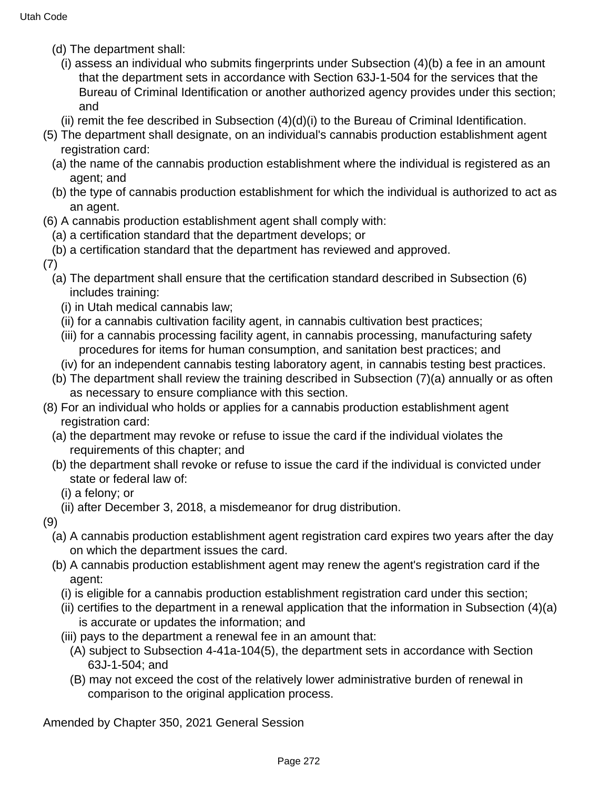- (d) The department shall:
	- (i) assess an individual who submits fingerprints under Subsection (4)(b) a fee in an amount that the department sets in accordance with Section 63J-1-504 for the services that the Bureau of Criminal Identification or another authorized agency provides under this section; and
	- (ii) remit the fee described in Subsection (4)(d)(i) to the Bureau of Criminal Identification.
- (5) The department shall designate, on an individual's cannabis production establishment agent registration card:
	- (a) the name of the cannabis production establishment where the individual is registered as an agent; and
	- (b) the type of cannabis production establishment for which the individual is authorized to act as an agent.
- (6) A cannabis production establishment agent shall comply with:
	- (a) a certification standard that the department develops; or
	- (b) a certification standard that the department has reviewed and approved.
- (7)
	- (a) The department shall ensure that the certification standard described in Subsection (6) includes training:
		- (i) in Utah medical cannabis law;
		- (ii) for a cannabis cultivation facility agent, in cannabis cultivation best practices;
		- (iii) for a cannabis processing facility agent, in cannabis processing, manufacturing safety procedures for items for human consumption, and sanitation best practices; and
		- (iv) for an independent cannabis testing laboratory agent, in cannabis testing best practices.
	- (b) The department shall review the training described in Subsection (7)(a) annually or as often as necessary to ensure compliance with this section.
- (8) For an individual who holds or applies for a cannabis production establishment agent registration card:
	- (a) the department may revoke or refuse to issue the card if the individual violates the requirements of this chapter; and
	- (b) the department shall revoke or refuse to issue the card if the individual is convicted under state or federal law of:
		- (i) a felony; or
		- (ii) after December 3, 2018, a misdemeanor for drug distribution.

(9)

- (a) A cannabis production establishment agent registration card expires two years after the day on which the department issues the card.
- (b) A cannabis production establishment agent may renew the agent's registration card if the agent:
	- (i) is eligible for a cannabis production establishment registration card under this section;
	- (ii) certifies to the department in a renewal application that the information in Subsection (4)(a) is accurate or updates the information; and
	- (iii) pays to the department a renewal fee in an amount that:
		- (A) subject to Subsection 4-41a-104(5), the department sets in accordance with Section 63J-1-504; and
		- (B) may not exceed the cost of the relatively lower administrative burden of renewal in comparison to the original application process.

Amended by Chapter 350, 2021 General Session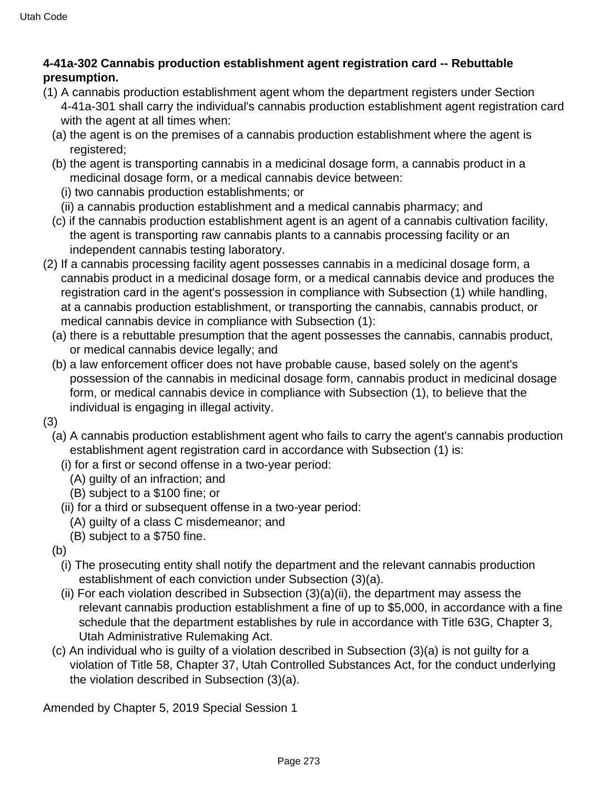## **4-41a-302 Cannabis production establishment agent registration card -- Rebuttable presumption.**

- (1) A cannabis production establishment agent whom the department registers under Section 4-41a-301 shall carry the individual's cannabis production establishment agent registration card with the agent at all times when:
	- (a) the agent is on the premises of a cannabis production establishment where the agent is registered;
	- (b) the agent is transporting cannabis in a medicinal dosage form, a cannabis product in a medicinal dosage form, or a medical cannabis device between:
		- (i) two cannabis production establishments; or
		- (ii) a cannabis production establishment and a medical cannabis pharmacy; and
	- (c) if the cannabis production establishment agent is an agent of a cannabis cultivation facility, the agent is transporting raw cannabis plants to a cannabis processing facility or an independent cannabis testing laboratory.
- (2) If a cannabis processing facility agent possesses cannabis in a medicinal dosage form, a cannabis product in a medicinal dosage form, or a medical cannabis device and produces the registration card in the agent's possession in compliance with Subsection (1) while handling, at a cannabis production establishment, or transporting the cannabis, cannabis product, or medical cannabis device in compliance with Subsection (1):
	- (a) there is a rebuttable presumption that the agent possesses the cannabis, cannabis product, or medical cannabis device legally; and
	- (b) a law enforcement officer does not have probable cause, based solely on the agent's possession of the cannabis in medicinal dosage form, cannabis product in medicinal dosage form, or medical cannabis device in compliance with Subsection (1), to believe that the individual is engaging in illegal activity.
- (3)
	- (a) A cannabis production establishment agent who fails to carry the agent's cannabis production establishment agent registration card in accordance with Subsection (1) is:
		- (i) for a first or second offense in a two-year period:
			- (A) guilty of an infraction; and
			- (B) subject to a \$100 fine; or
		- (ii) for a third or subsequent offense in a two-year period:
			- (A) guilty of a class C misdemeanor; and
			- (B) subject to a \$750 fine.
	- (b)
		- (i) The prosecuting entity shall notify the department and the relevant cannabis production establishment of each conviction under Subsection (3)(a).
		- (ii) For each violation described in Subsection (3)(a)(ii), the department may assess the relevant cannabis production establishment a fine of up to \$5,000, in accordance with a fine schedule that the department establishes by rule in accordance with Title 63G, Chapter 3, Utah Administrative Rulemaking Act.
	- (c) An individual who is guilty of a violation described in Subsection (3)(a) is not guilty for a violation of Title 58, Chapter 37, Utah Controlled Substances Act, for the conduct underlying the violation described in Subsection (3)(a).

Amended by Chapter 5, 2019 Special Session 1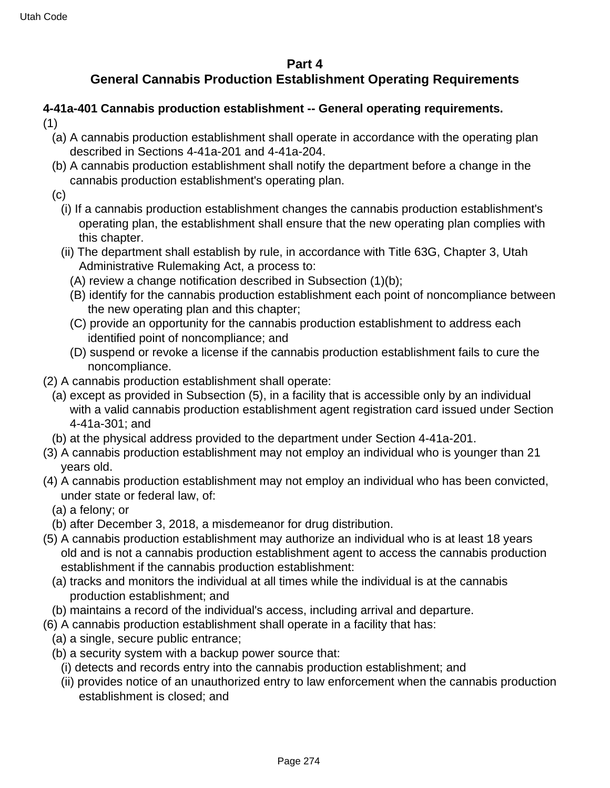#### **Part 4**

## **General Cannabis Production Establishment Operating Requirements**

#### **4-41a-401 Cannabis production establishment -- General operating requirements.** (1)

- (a) A cannabis production establishment shall operate in accordance with the operating plan described in Sections 4-41a-201 and 4-41a-204.
- (b) A cannabis production establishment shall notify the department before a change in the cannabis production establishment's operating plan.
- (c)
	- (i) If a cannabis production establishment changes the cannabis production establishment's operating plan, the establishment shall ensure that the new operating plan complies with this chapter.
	- (ii) The department shall establish by rule, in accordance with Title 63G, Chapter 3, Utah Administrative Rulemaking Act, a process to:
		- (A) review a change notification described in Subsection (1)(b);
		- (B) identify for the cannabis production establishment each point of noncompliance between the new operating plan and this chapter;
		- (C) provide an opportunity for the cannabis production establishment to address each identified point of noncompliance; and
		- (D) suspend or revoke a license if the cannabis production establishment fails to cure the noncompliance.
- (2) A cannabis production establishment shall operate:
	- (a) except as provided in Subsection (5), in a facility that is accessible only by an individual with a valid cannabis production establishment agent registration card issued under Section 4-41a-301; and
	- (b) at the physical address provided to the department under Section 4-41a-201.
- (3) A cannabis production establishment may not employ an individual who is younger than 21 years old.
- (4) A cannabis production establishment may not employ an individual who has been convicted, under state or federal law, of:
	- (a) a felony; or
- (b) after December 3, 2018, a misdemeanor for drug distribution.
- (5) A cannabis production establishment may authorize an individual who is at least 18 years old and is not a cannabis production establishment agent to access the cannabis production establishment if the cannabis production establishment:
	- (a) tracks and monitors the individual at all times while the individual is at the cannabis production establishment; and
	- (b) maintains a record of the individual's access, including arrival and departure.
- (6) A cannabis production establishment shall operate in a facility that has:
	- (a) a single, secure public entrance;
	- (b) a security system with a backup power source that:
		- (i) detects and records entry into the cannabis production establishment; and
		- (ii) provides notice of an unauthorized entry to law enforcement when the cannabis production establishment is closed; and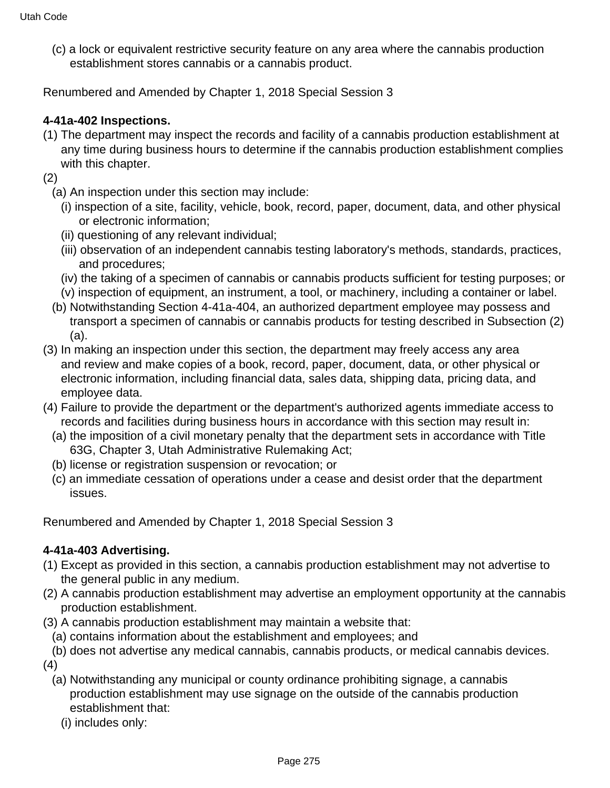(c) a lock or equivalent restrictive security feature on any area where the cannabis production establishment stores cannabis or a cannabis product.

Renumbered and Amended by Chapter 1, 2018 Special Session 3

## **4-41a-402 Inspections.**

- (1) The department may inspect the records and facility of a cannabis production establishment at any time during business hours to determine if the cannabis production establishment complies with this chapter.
- (2)
	- (a) An inspection under this section may include:
		- (i) inspection of a site, facility, vehicle, book, record, paper, document, data, and other physical or electronic information;
		- (ii) questioning of any relevant individual;
		- (iii) observation of an independent cannabis testing laboratory's methods, standards, practices, and procedures;
		- (iv) the taking of a specimen of cannabis or cannabis products sufficient for testing purposes; or
	- (v) inspection of equipment, an instrument, a tool, or machinery, including a container or label.
	- (b) Notwithstanding Section 4-41a-404, an authorized department employee may possess and transport a specimen of cannabis or cannabis products for testing described in Subsection (2) (a).
- (3) In making an inspection under this section, the department may freely access any area and review and make copies of a book, record, paper, document, data, or other physical or electronic information, including financial data, sales data, shipping data, pricing data, and employee data.
- (4) Failure to provide the department or the department's authorized agents immediate access to records and facilities during business hours in accordance with this section may result in:
	- (a) the imposition of a civil monetary penalty that the department sets in accordance with Title 63G, Chapter 3, Utah Administrative Rulemaking Act;
	- (b) license or registration suspension or revocation; or
	- (c) an immediate cessation of operations under a cease and desist order that the department issues.

Renumbered and Amended by Chapter 1, 2018 Special Session 3

## **4-41a-403 Advertising.**

- (1) Except as provided in this section, a cannabis production establishment may not advertise to the general public in any medium.
- (2) A cannabis production establishment may advertise an employment opportunity at the cannabis production establishment.
- (3) A cannabis production establishment may maintain a website that:
- (a) contains information about the establishment and employees; and
- (b) does not advertise any medical cannabis, cannabis products, or medical cannabis devices.
- (4)
	- (a) Notwithstanding any municipal or county ordinance prohibiting signage, a cannabis production establishment may use signage on the outside of the cannabis production establishment that:
		- (i) includes only: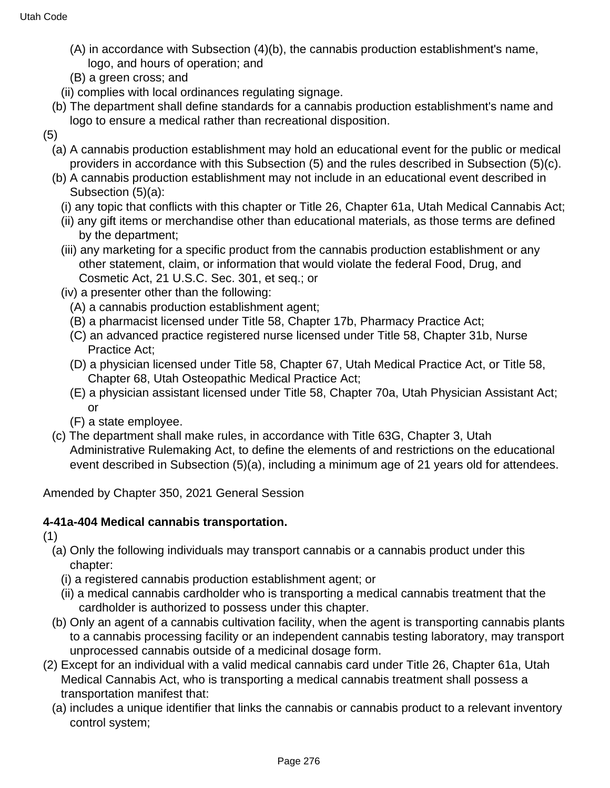- (A) in accordance with Subsection (4)(b), the cannabis production establishment's name, logo, and hours of operation; and
- (B) a green cross; and
- (ii) complies with local ordinances regulating signage.
- (b) The department shall define standards for a cannabis production establishment's name and logo to ensure a medical rather than recreational disposition.
- (5)
	- (a) A cannabis production establishment may hold an educational event for the public or medical providers in accordance with this Subsection (5) and the rules described in Subsection (5)(c).
	- (b) A cannabis production establishment may not include in an educational event described in Subsection (5)(a):
		- (i) any topic that conflicts with this chapter or Title 26, Chapter 61a, Utah Medical Cannabis Act;
		- (ii) any gift items or merchandise other than educational materials, as those terms are defined by the department;
		- (iii) any marketing for a specific product from the cannabis production establishment or any other statement, claim, or information that would violate the federal Food, Drug, and Cosmetic Act, 21 U.S.C. Sec. 301, et seq.; or
		- (iv) a presenter other than the following:
			- (A) a cannabis production establishment agent;
			- (B) a pharmacist licensed under Title 58, Chapter 17b, Pharmacy Practice Act;
			- (C) an advanced practice registered nurse licensed under Title 58, Chapter 31b, Nurse Practice Act;
			- (D) a physician licensed under Title 58, Chapter 67, Utah Medical Practice Act, or Title 58, Chapter 68, Utah Osteopathic Medical Practice Act;
			- (E) a physician assistant licensed under Title 58, Chapter 70a, Utah Physician Assistant Act; or
			- (F) a state employee.
	- (c) The department shall make rules, in accordance with Title 63G, Chapter 3, Utah Administrative Rulemaking Act, to define the elements of and restrictions on the educational event described in Subsection (5)(a), including a minimum age of 21 years old for attendees.

Amended by Chapter 350, 2021 General Session

## **4-41a-404 Medical cannabis transportation.**

(1)

- (a) Only the following individuals may transport cannabis or a cannabis product under this chapter:
	- (i) a registered cannabis production establishment agent; or
	- (ii) a medical cannabis cardholder who is transporting a medical cannabis treatment that the cardholder is authorized to possess under this chapter.
- (b) Only an agent of a cannabis cultivation facility, when the agent is transporting cannabis plants to a cannabis processing facility or an independent cannabis testing laboratory, may transport unprocessed cannabis outside of a medicinal dosage form.
- (2) Except for an individual with a valid medical cannabis card under Title 26, Chapter 61a, Utah Medical Cannabis Act, who is transporting a medical cannabis treatment shall possess a transportation manifest that:
	- (a) includes a unique identifier that links the cannabis or cannabis product to a relevant inventory control system;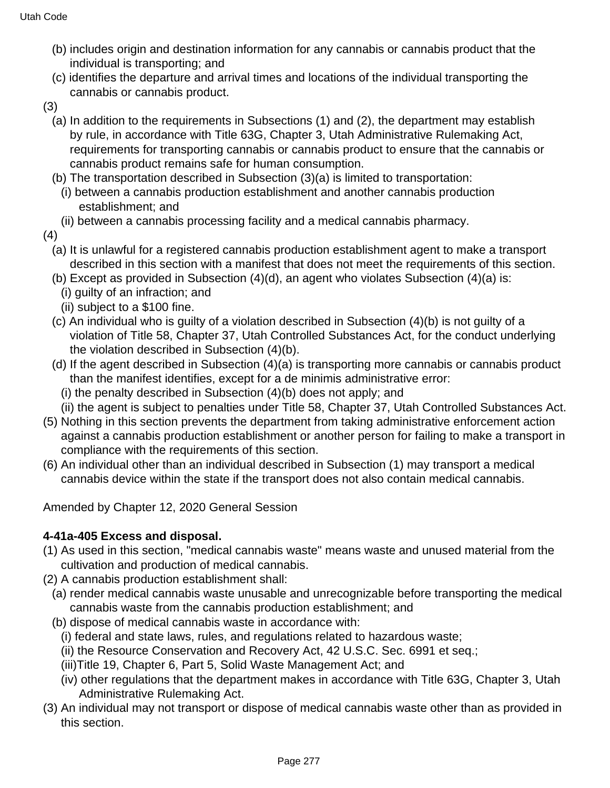- (b) includes origin and destination information for any cannabis or cannabis product that the individual is transporting; and
- (c) identifies the departure and arrival times and locations of the individual transporting the cannabis or cannabis product.
- (3)
	- (a) In addition to the requirements in Subsections (1) and (2), the department may establish by rule, in accordance with Title 63G, Chapter 3, Utah Administrative Rulemaking Act, requirements for transporting cannabis or cannabis product to ensure that the cannabis or cannabis product remains safe for human consumption.
	- (b) The transportation described in Subsection (3)(a) is limited to transportation:
	- (i) between a cannabis production establishment and another cannabis production establishment; and
	- (ii) between a cannabis processing facility and a medical cannabis pharmacy.
- (4)
	- (a) It is unlawful for a registered cannabis production establishment agent to make a transport described in this section with a manifest that does not meet the requirements of this section.
	- (b) Except as provided in Subsection (4)(d), an agent who violates Subsection (4)(a) is:
		- (i) guilty of an infraction; and
		- (ii) subject to a \$100 fine.
	- (c) An individual who is guilty of a violation described in Subsection (4)(b) is not guilty of a violation of Title 58, Chapter 37, Utah Controlled Substances Act, for the conduct underlying the violation described in Subsection (4)(b).
	- (d) If the agent described in Subsection (4)(a) is transporting more cannabis or cannabis product than the manifest identifies, except for a de minimis administrative error:
		- (i) the penalty described in Subsection (4)(b) does not apply; and
	- (ii) the agent is subject to penalties under Title 58, Chapter 37, Utah Controlled Substances Act.
- (5) Nothing in this section prevents the department from taking administrative enforcement action against a cannabis production establishment or another person for failing to make a transport in compliance with the requirements of this section.
- (6) An individual other than an individual described in Subsection (1) may transport a medical cannabis device within the state if the transport does not also contain medical cannabis.

Amended by Chapter 12, 2020 General Session

## **4-41a-405 Excess and disposal.**

- (1) As used in this section, "medical cannabis waste" means waste and unused material from the cultivation and production of medical cannabis.
- (2) A cannabis production establishment shall:
	- (a) render medical cannabis waste unusable and unrecognizable before transporting the medical cannabis waste from the cannabis production establishment; and
	- (b) dispose of medical cannabis waste in accordance with:
		- (i) federal and state laws, rules, and regulations related to hazardous waste;
		- (ii) the Resource Conservation and Recovery Act, 42 U.S.C. Sec. 6991 et seq.;
		- (iii)Title 19, Chapter 6, Part 5, Solid Waste Management Act; and
		- (iv) other regulations that the department makes in accordance with Title 63G, Chapter 3, Utah Administrative Rulemaking Act.
- (3) An individual may not transport or dispose of medical cannabis waste other than as provided in this section.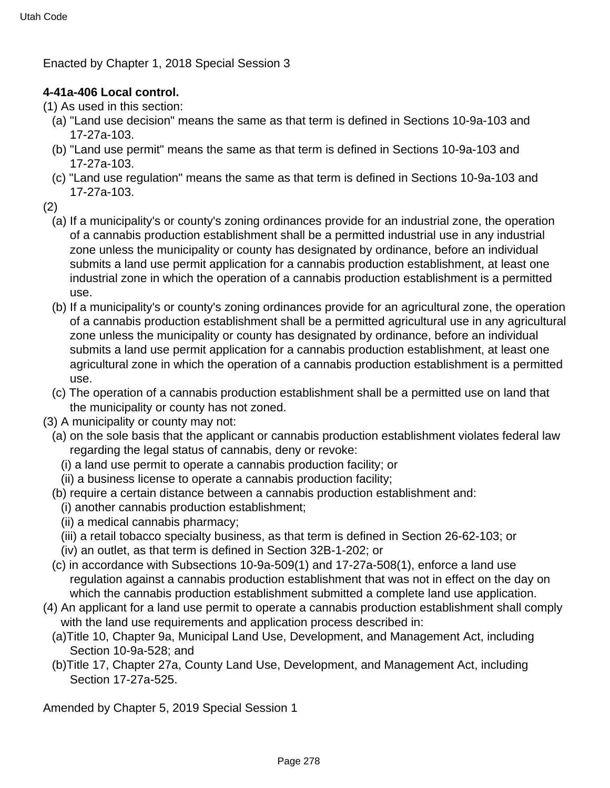Enacted by Chapter 1, 2018 Special Session 3

## **4-41a-406 Local control.**

(1) As used in this section:

- (a) "Land use decision" means the same as that term is defined in Sections 10-9a-103 and 17-27a-103.
- (b) "Land use permit" means the same as that term is defined in Sections 10-9a-103 and 17-27a-103.
- (c) "Land use regulation" means the same as that term is defined in Sections 10-9a-103 and 17-27a-103.
- (2)
	- (a) If a municipality's or county's zoning ordinances provide for an industrial zone, the operation of a cannabis production establishment shall be a permitted industrial use in any industrial zone unless the municipality or county has designated by ordinance, before an individual submits a land use permit application for a cannabis production establishment, at least one industrial zone in which the operation of a cannabis production establishment is a permitted use.
	- (b) If a municipality's or county's zoning ordinances provide for an agricultural zone, the operation of a cannabis production establishment shall be a permitted agricultural use in any agricultural zone unless the municipality or county has designated by ordinance, before an individual submits a land use permit application for a cannabis production establishment, at least one agricultural zone in which the operation of a cannabis production establishment is a permitted use.
	- (c) The operation of a cannabis production establishment shall be a permitted use on land that the municipality or county has not zoned.
- (3) A municipality or county may not:
	- (a) on the sole basis that the applicant or cannabis production establishment violates federal law regarding the legal status of cannabis, deny or revoke:
		- (i) a land use permit to operate a cannabis production facility; or
		- (ii) a business license to operate a cannabis production facility;
	- (b) require a certain distance between a cannabis production establishment and:
		- (i) another cannabis production establishment;
		- (ii) a medical cannabis pharmacy;
		- (iii) a retail tobacco specialty business, as that term is defined in Section 26-62-103; or
		- (iv) an outlet, as that term is defined in Section 32B-1-202; or
	- (c) in accordance with Subsections 10-9a-509(1) and 17-27a-508(1), enforce a land use regulation against a cannabis production establishment that was not in effect on the day on which the cannabis production establishment submitted a complete land use application.
- (4) An applicant for a land use permit to operate a cannabis production establishment shall comply with the land use requirements and application process described in:
	- (a)Title 10, Chapter 9a, Municipal Land Use, Development, and Management Act, including Section 10-9a-528; and
	- (b)Title 17, Chapter 27a, County Land Use, Development, and Management Act, including Section 17-27a-525.

Amended by Chapter 5, 2019 Special Session 1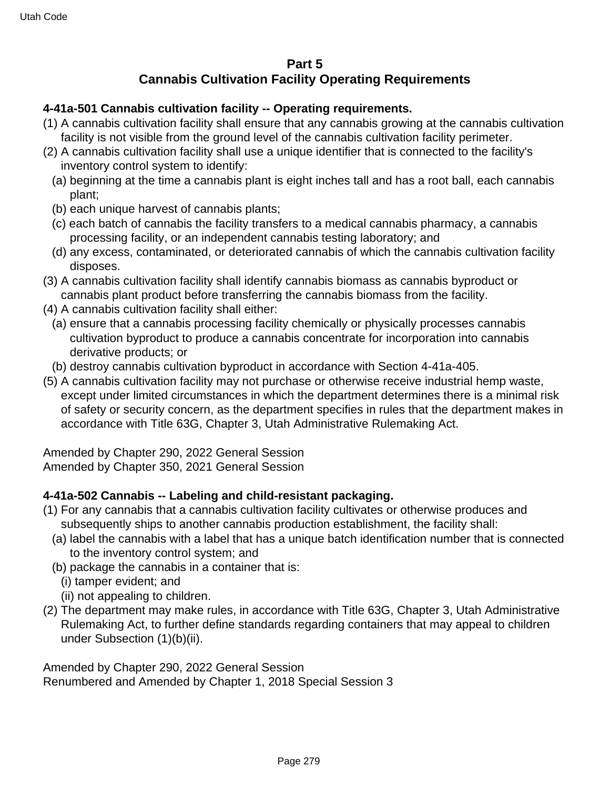## **Part 5 Cannabis Cultivation Facility Operating Requirements**

## **4-41a-501 Cannabis cultivation facility -- Operating requirements.**

- (1) A cannabis cultivation facility shall ensure that any cannabis growing at the cannabis cultivation facility is not visible from the ground level of the cannabis cultivation facility perimeter.
- (2) A cannabis cultivation facility shall use a unique identifier that is connected to the facility's inventory control system to identify:
	- (a) beginning at the time a cannabis plant is eight inches tall and has a root ball, each cannabis plant;
	- (b) each unique harvest of cannabis plants;
	- (c) each batch of cannabis the facility transfers to a medical cannabis pharmacy, a cannabis processing facility, or an independent cannabis testing laboratory; and
	- (d) any excess, contaminated, or deteriorated cannabis of which the cannabis cultivation facility disposes.
- (3) A cannabis cultivation facility shall identify cannabis biomass as cannabis byproduct or cannabis plant product before transferring the cannabis biomass from the facility.
- (4) A cannabis cultivation facility shall either:
	- (a) ensure that a cannabis processing facility chemically or physically processes cannabis cultivation byproduct to produce a cannabis concentrate for incorporation into cannabis derivative products; or
- (b) destroy cannabis cultivation byproduct in accordance with Section 4-41a-405.
- (5) A cannabis cultivation facility may not purchase or otherwise receive industrial hemp waste, except under limited circumstances in which the department determines there is a minimal risk of safety or security concern, as the department specifies in rules that the department makes in accordance with Title 63G, Chapter 3, Utah Administrative Rulemaking Act.

Amended by Chapter 290, 2022 General Session Amended by Chapter 350, 2021 General Session

## **4-41a-502 Cannabis -- Labeling and child-resistant packaging.**

- (1) For any cannabis that a cannabis cultivation facility cultivates or otherwise produces and subsequently ships to another cannabis production establishment, the facility shall:
	- (a) label the cannabis with a label that has a unique batch identification number that is connected to the inventory control system; and
	- (b) package the cannabis in a container that is:
		- (i) tamper evident; and
		- (ii) not appealing to children.
- (2) The department may make rules, in accordance with Title 63G, Chapter 3, Utah Administrative Rulemaking Act, to further define standards regarding containers that may appeal to children under Subsection (1)(b)(ii).

Amended by Chapter 290, 2022 General Session Renumbered and Amended by Chapter 1, 2018 Special Session 3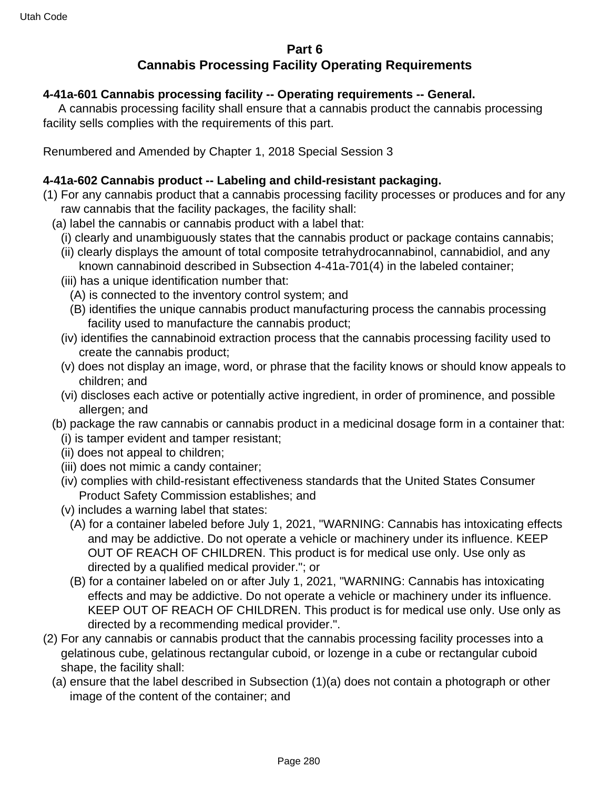# **Part 6 Cannabis Processing Facility Operating Requirements**

#### **4-41a-601 Cannabis processing facility -- Operating requirements -- General.**

 A cannabis processing facility shall ensure that a cannabis product the cannabis processing facility sells complies with the requirements of this part.

Renumbered and Amended by Chapter 1, 2018 Special Session 3

#### **4-41a-602 Cannabis product -- Labeling and child-resistant packaging.**

- (1) For any cannabis product that a cannabis processing facility processes or produces and for any raw cannabis that the facility packages, the facility shall:
	- (a) label the cannabis or cannabis product with a label that:
		- (i) clearly and unambiguously states that the cannabis product or package contains cannabis;
		- (ii) clearly displays the amount of total composite tetrahydrocannabinol, cannabidiol, and any known cannabinoid described in Subsection 4-41a-701(4) in the labeled container;
		- (iii) has a unique identification number that:
			- (A) is connected to the inventory control system; and
			- (B) identifies the unique cannabis product manufacturing process the cannabis processing facility used to manufacture the cannabis product;
		- (iv) identifies the cannabinoid extraction process that the cannabis processing facility used to create the cannabis product;
		- (v) does not display an image, word, or phrase that the facility knows or should know appeals to children; and
		- (vi) discloses each active or potentially active ingredient, in order of prominence, and possible allergen; and
	- (b) package the raw cannabis or cannabis product in a medicinal dosage form in a container that:
		- (i) is tamper evident and tamper resistant;
		- (ii) does not appeal to children;
		- (iii) does not mimic a candy container;
		- (iv) complies with child-resistant effectiveness standards that the United States Consumer Product Safety Commission establishes; and
		- (v) includes a warning label that states:
			- (A) for a container labeled before July 1, 2021, "WARNING: Cannabis has intoxicating effects and may be addictive. Do not operate a vehicle or machinery under its influence. KEEP OUT OF REACH OF CHILDREN. This product is for medical use only. Use only as directed by a qualified medical provider."; or
			- (B) for a container labeled on or after July 1, 2021, "WARNING: Cannabis has intoxicating effects and may be addictive. Do not operate a vehicle or machinery under its influence. KEEP OUT OF REACH OF CHILDREN. This product is for medical use only. Use only as directed by a recommending medical provider.".
- (2) For any cannabis or cannabis product that the cannabis processing facility processes into a gelatinous cube, gelatinous rectangular cuboid, or lozenge in a cube or rectangular cuboid shape, the facility shall:
	- (a) ensure that the label described in Subsection (1)(a) does not contain a photograph or other image of the content of the container; and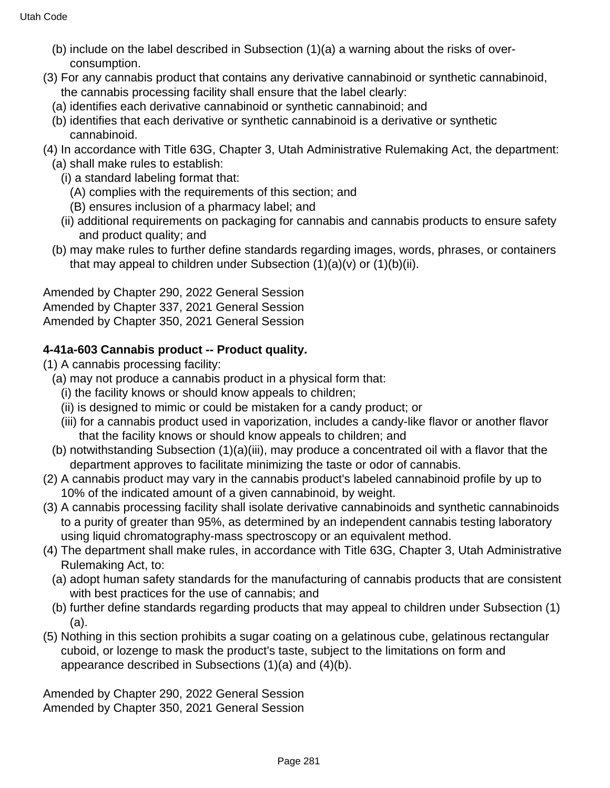- (b) include on the label described in Subsection (1)(a) a warning about the risks of overconsumption.
- (3) For any cannabis product that contains any derivative cannabinoid or synthetic cannabinoid, the cannabis processing facility shall ensure that the label clearly:
	- (a) identifies each derivative cannabinoid or synthetic cannabinoid; and
	- (b) identifies that each derivative or synthetic cannabinoid is a derivative or synthetic cannabinoid.
- (4) In accordance with Title 63G, Chapter 3, Utah Administrative Rulemaking Act, the department: (a) shall make rules to establish:
	- (i) a standard labeling format that:
		- (A) complies with the requirements of this section; and
		- (B) ensures inclusion of a pharmacy label; and
	- (ii) additional requirements on packaging for cannabis and cannabis products to ensure safety and product quality; and
	- (b) may make rules to further define standards regarding images, words, phrases, or containers that may appeal to children under Subsection  $(1)(a)(v)$  or  $(1)(b)(ii)$ .

Amended by Chapter 290, 2022 General Session Amended by Chapter 337, 2021 General Session Amended by Chapter 350, 2021 General Session

## **4-41a-603 Cannabis product -- Product quality.**

- (1) A cannabis processing facility:
	- (a) may not produce a cannabis product in a physical form that:
		- (i) the facility knows or should know appeals to children;
		- (ii) is designed to mimic or could be mistaken for a candy product; or
		- (iii) for a cannabis product used in vaporization, includes a candy-like flavor or another flavor that the facility knows or should know appeals to children; and
	- (b) notwithstanding Subsection (1)(a)(iii), may produce a concentrated oil with a flavor that the department approves to facilitate minimizing the taste or odor of cannabis.
- (2) A cannabis product may vary in the cannabis product's labeled cannabinoid profile by up to 10% of the indicated amount of a given cannabinoid, by weight.
- (3) A cannabis processing facility shall isolate derivative cannabinoids and synthetic cannabinoids to a purity of greater than 95%, as determined by an independent cannabis testing laboratory using liquid chromatography-mass spectroscopy or an equivalent method.
- (4) The department shall make rules, in accordance with Title 63G, Chapter 3, Utah Administrative Rulemaking Act, to:
	- (a) adopt human safety standards for the manufacturing of cannabis products that are consistent with best practices for the use of cannabis; and
	- (b) further define standards regarding products that may appeal to children under Subsection (1) (a).
- (5) Nothing in this section prohibits a sugar coating on a gelatinous cube, gelatinous rectangular cuboid, or lozenge to mask the product's taste, subject to the limitations on form and appearance described in Subsections (1)(a) and (4)(b).

Amended by Chapter 290, 2022 General Session Amended by Chapter 350, 2021 General Session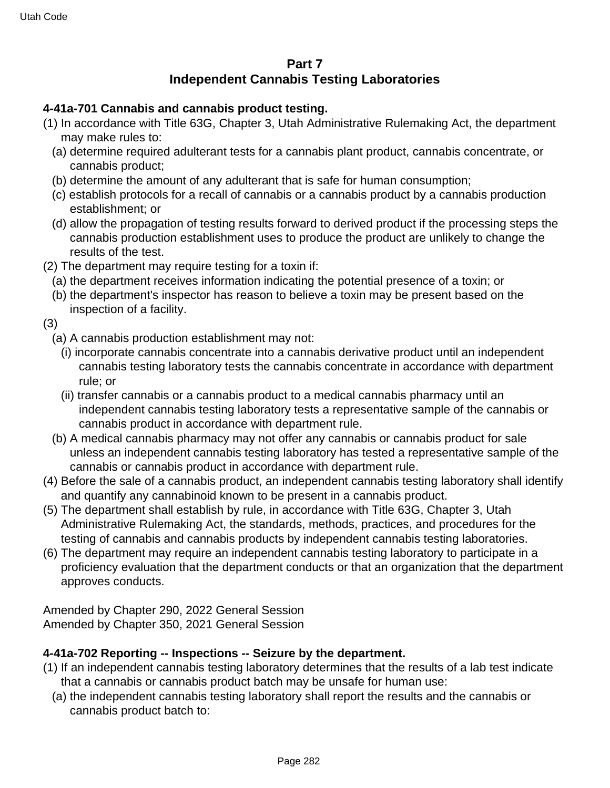## **Part 7 Independent Cannabis Testing Laboratories**

#### **4-41a-701 Cannabis and cannabis product testing.**

- (1) In accordance with Title 63G, Chapter 3, Utah Administrative Rulemaking Act, the department may make rules to:
	- (a) determine required adulterant tests for a cannabis plant product, cannabis concentrate, or cannabis product;
	- (b) determine the amount of any adulterant that is safe for human consumption;
	- (c) establish protocols for a recall of cannabis or a cannabis product by a cannabis production establishment; or
	- (d) allow the propagation of testing results forward to derived product if the processing steps the cannabis production establishment uses to produce the product are unlikely to change the results of the test.
- (2) The department may require testing for a toxin if:
	- (a) the department receives information indicating the potential presence of a toxin; or
	- (b) the department's inspector has reason to believe a toxin may be present based on the inspection of a facility.
- (3)
	- (a) A cannabis production establishment may not:
		- (i) incorporate cannabis concentrate into a cannabis derivative product until an independent cannabis testing laboratory tests the cannabis concentrate in accordance with department rule; or
		- (ii) transfer cannabis or a cannabis product to a medical cannabis pharmacy until an independent cannabis testing laboratory tests a representative sample of the cannabis or cannabis product in accordance with department rule.
	- (b) A medical cannabis pharmacy may not offer any cannabis or cannabis product for sale unless an independent cannabis testing laboratory has tested a representative sample of the cannabis or cannabis product in accordance with department rule.
- (4) Before the sale of a cannabis product, an independent cannabis testing laboratory shall identify and quantify any cannabinoid known to be present in a cannabis product.
- (5) The department shall establish by rule, in accordance with Title 63G, Chapter 3, Utah Administrative Rulemaking Act, the standards, methods, practices, and procedures for the testing of cannabis and cannabis products by independent cannabis testing laboratories.
- (6) The department may require an independent cannabis testing laboratory to participate in a proficiency evaluation that the department conducts or that an organization that the department approves conducts.

Amended by Chapter 290, 2022 General Session Amended by Chapter 350, 2021 General Session

## **4-41a-702 Reporting -- Inspections -- Seizure by the department.**

- (1) If an independent cannabis testing laboratory determines that the results of a lab test indicate that a cannabis or cannabis product batch may be unsafe for human use:
	- (a) the independent cannabis testing laboratory shall report the results and the cannabis or cannabis product batch to: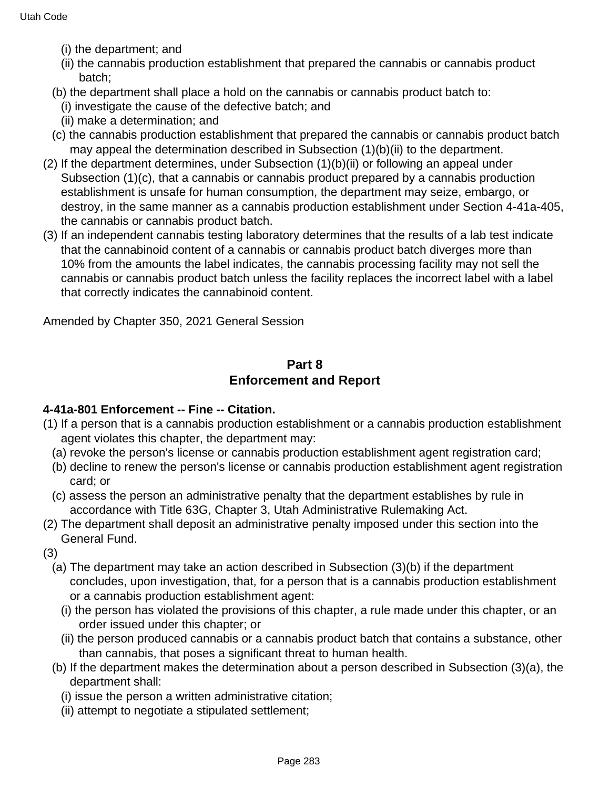- (i) the department; and
- (ii) the cannabis production establishment that prepared the cannabis or cannabis product batch;
- (b) the department shall place a hold on the cannabis or cannabis product batch to:
	- (i) investigate the cause of the defective batch; and
	- (ii) make a determination; and
- (c) the cannabis production establishment that prepared the cannabis or cannabis product batch may appeal the determination described in Subsection (1)(b)(ii) to the department.
- (2) If the department determines, under Subsection (1)(b)(ii) or following an appeal under Subsection (1)(c), that a cannabis or cannabis product prepared by a cannabis production establishment is unsafe for human consumption, the department may seize, embargo, or destroy, in the same manner as a cannabis production establishment under Section 4-41a-405, the cannabis or cannabis product batch.
- (3) If an independent cannabis testing laboratory determines that the results of a lab test indicate that the cannabinoid content of a cannabis or cannabis product batch diverges more than 10% from the amounts the label indicates, the cannabis processing facility may not sell the cannabis or cannabis product batch unless the facility replaces the incorrect label with a label that correctly indicates the cannabinoid content.

Amended by Chapter 350, 2021 General Session

## **Part 8 Enforcement and Report**

#### **4-41a-801 Enforcement -- Fine -- Citation.**

- (1) If a person that is a cannabis production establishment or a cannabis production establishment agent violates this chapter, the department may:
- (a) revoke the person's license or cannabis production establishment agent registration card;
- (b) decline to renew the person's license or cannabis production establishment agent registration card; or
- (c) assess the person an administrative penalty that the department establishes by rule in accordance with Title 63G, Chapter 3, Utah Administrative Rulemaking Act.
- (2) The department shall deposit an administrative penalty imposed under this section into the General Fund.
- (3)
	- (a) The department may take an action described in Subsection (3)(b) if the department concludes, upon investigation, that, for a person that is a cannabis production establishment or a cannabis production establishment agent:
		- (i) the person has violated the provisions of this chapter, a rule made under this chapter, or an order issued under this chapter; or
		- (ii) the person produced cannabis or a cannabis product batch that contains a substance, other than cannabis, that poses a significant threat to human health.
	- (b) If the department makes the determination about a person described in Subsection (3)(a), the department shall:
		- (i) issue the person a written administrative citation;
		- (ii) attempt to negotiate a stipulated settlement;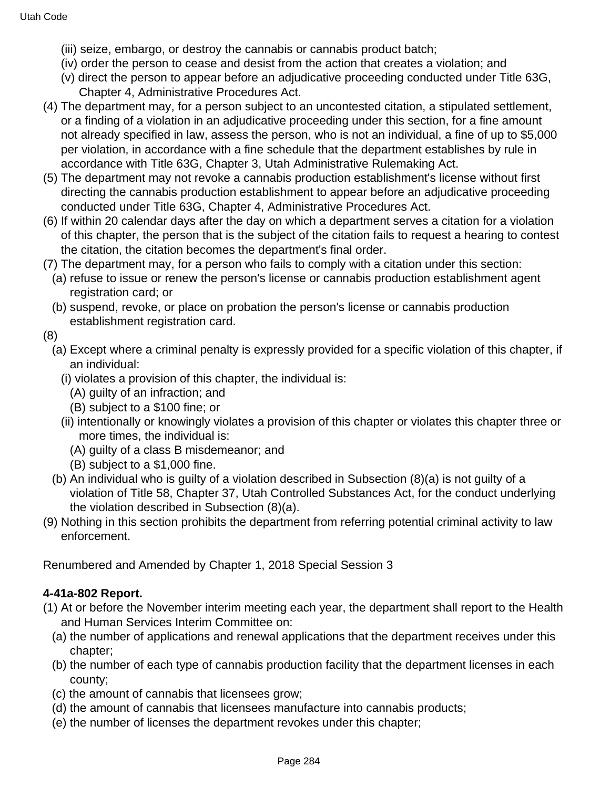- (iii) seize, embargo, or destroy the cannabis or cannabis product batch;
- (iv) order the person to cease and desist from the action that creates a violation; and
- (v) direct the person to appear before an adjudicative proceeding conducted under Title 63G, Chapter 4, Administrative Procedures Act.
- (4) The department may, for a person subject to an uncontested citation, a stipulated settlement, or a finding of a violation in an adjudicative proceeding under this section, for a fine amount not already specified in law, assess the person, who is not an individual, a fine of up to \$5,000 per violation, in accordance with a fine schedule that the department establishes by rule in accordance with Title 63G, Chapter 3, Utah Administrative Rulemaking Act.
- (5) The department may not revoke a cannabis production establishment's license without first directing the cannabis production establishment to appear before an adjudicative proceeding conducted under Title 63G, Chapter 4, Administrative Procedures Act.
- (6) If within 20 calendar days after the day on which a department serves a citation for a violation of this chapter, the person that is the subject of the citation fails to request a hearing to contest the citation, the citation becomes the department's final order.
- (7) The department may, for a person who fails to comply with a citation under this section:
	- (a) refuse to issue or renew the person's license or cannabis production establishment agent registration card; or
	- (b) suspend, revoke, or place on probation the person's license or cannabis production establishment registration card.

## (8)

- (a) Except where a criminal penalty is expressly provided for a specific violation of this chapter, if an individual:
	- (i) violates a provision of this chapter, the individual is:
		- (A) guilty of an infraction; and
		- (B) subject to a \$100 fine; or
	- (ii) intentionally or knowingly violates a provision of this chapter or violates this chapter three or more times, the individual is:
		- (A) guilty of a class B misdemeanor; and
		- (B) subject to a \$1,000 fine.
- (b) An individual who is guilty of a violation described in Subsection (8)(a) is not guilty of a violation of Title 58, Chapter 37, Utah Controlled Substances Act, for the conduct underlying the violation described in Subsection (8)(a).
- (9) Nothing in this section prohibits the department from referring potential criminal activity to law enforcement.

Renumbered and Amended by Chapter 1, 2018 Special Session 3

## **4-41a-802 Report.**

- (1) At or before the November interim meeting each year, the department shall report to the Health and Human Services Interim Committee on:
	- (a) the number of applications and renewal applications that the department receives under this chapter;
	- (b) the number of each type of cannabis production facility that the department licenses in each county;
	- (c) the amount of cannabis that licensees grow;
	- (d) the amount of cannabis that licensees manufacture into cannabis products;
	- (e) the number of licenses the department revokes under this chapter;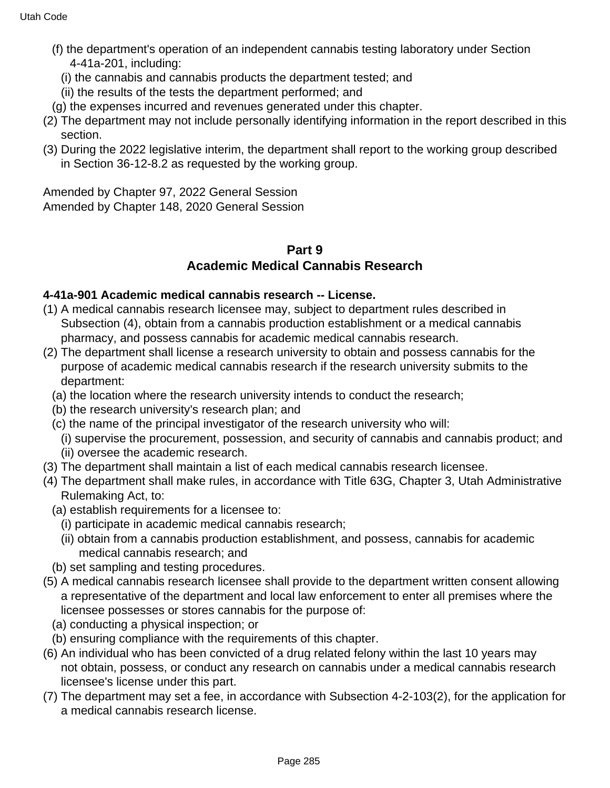- (f) the department's operation of an independent cannabis testing laboratory under Section 4-41a-201, including:
	- (i) the cannabis and cannabis products the department tested; and
	- (ii) the results of the tests the department performed; and
- (g) the expenses incurred and revenues generated under this chapter.
- (2) The department may not include personally identifying information in the report described in this section.
- (3) During the 2022 legislative interim, the department shall report to the working group described in Section 36-12-8.2 as requested by the working group.

Amended by Chapter 97, 2022 General Session Amended by Chapter 148, 2020 General Session

#### **Part 9 Academic Medical Cannabis Research**

#### **4-41a-901 Academic medical cannabis research -- License.**

- (1) A medical cannabis research licensee may, subject to department rules described in Subsection (4), obtain from a cannabis production establishment or a medical cannabis pharmacy, and possess cannabis for academic medical cannabis research.
- (2) The department shall license a research university to obtain and possess cannabis for the purpose of academic medical cannabis research if the research university submits to the department:
	- (a) the location where the research university intends to conduct the research;
	- (b) the research university's research plan; and
	- (c) the name of the principal investigator of the research university who will:
	- (i) supervise the procurement, possession, and security of cannabis and cannabis product; and (ii) oversee the academic research.
- (3) The department shall maintain a list of each medical cannabis research licensee.
- (4) The department shall make rules, in accordance with Title 63G, Chapter 3, Utah Administrative Rulemaking Act, to:
	- (a) establish requirements for a licensee to:
		- (i) participate in academic medical cannabis research;
		- (ii) obtain from a cannabis production establishment, and possess, cannabis for academic medical cannabis research; and
	- (b) set sampling and testing procedures.
- (5) A medical cannabis research licensee shall provide to the department written consent allowing a representative of the department and local law enforcement to enter all premises where the licensee possesses or stores cannabis for the purpose of:
	- (a) conducting a physical inspection; or
- (b) ensuring compliance with the requirements of this chapter.
- (6) An individual who has been convicted of a drug related felony within the last 10 years may not obtain, possess, or conduct any research on cannabis under a medical cannabis research licensee's license under this part.
- (7) The department may set a fee, in accordance with Subsection 4-2-103(2), for the application for a medical cannabis research license.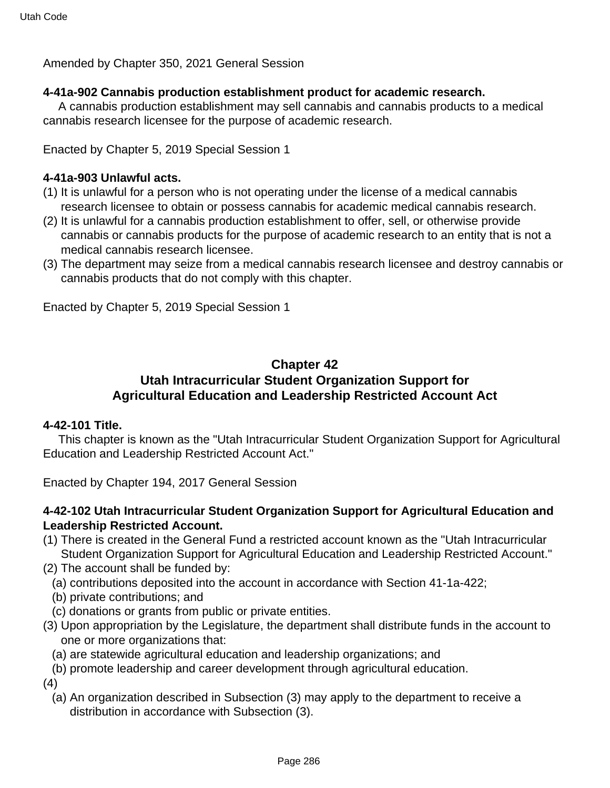Amended by Chapter 350, 2021 General Session

#### **4-41a-902 Cannabis production establishment product for academic research.**

 A cannabis production establishment may sell cannabis and cannabis products to a medical cannabis research licensee for the purpose of academic research.

Enacted by Chapter 5, 2019 Special Session 1

#### **4-41a-903 Unlawful acts.**

- (1) It is unlawful for a person who is not operating under the license of a medical cannabis research licensee to obtain or possess cannabis for academic medical cannabis research.
- (2) It is unlawful for a cannabis production establishment to offer, sell, or otherwise provide cannabis or cannabis products for the purpose of academic research to an entity that is not a medical cannabis research licensee.
- (3) The department may seize from a medical cannabis research licensee and destroy cannabis or cannabis products that do not comply with this chapter.

Enacted by Chapter 5, 2019 Special Session 1

## **Chapter 42 Utah Intracurricular Student Organization Support for Agricultural Education and Leadership Restricted Account Act**

#### **4-42-101 Title.**

 This chapter is known as the "Utah Intracurricular Student Organization Support for Agricultural Education and Leadership Restricted Account Act."

Enacted by Chapter 194, 2017 General Session

## **4-42-102 Utah Intracurricular Student Organization Support for Agricultural Education and Leadership Restricted Account.**

- (1) There is created in the General Fund a restricted account known as the "Utah Intracurricular Student Organization Support for Agricultural Education and Leadership Restricted Account."
- (2) The account shall be funded by:
	- (a) contributions deposited into the account in accordance with Section 41-1a-422;
	- (b) private contributions; and
	- (c) donations or grants from public or private entities.
- (3) Upon appropriation by the Legislature, the department shall distribute funds in the account to one or more organizations that:
	- (a) are statewide agricultural education and leadership organizations; and
- (b) promote leadership and career development through agricultural education.

(4)

(a) An organization described in Subsection (3) may apply to the department to receive a distribution in accordance with Subsection (3).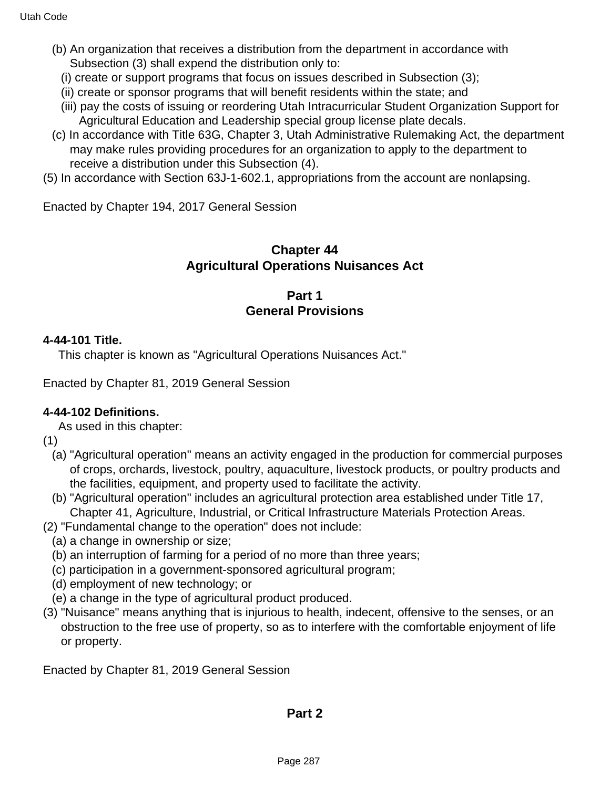- (b) An organization that receives a distribution from the department in accordance with Subsection (3) shall expend the distribution only to:
	- (i) create or support programs that focus on issues described in Subsection (3);
	- (ii) create or sponsor programs that will benefit residents within the state; and
	- (iii) pay the costs of issuing or reordering Utah Intracurricular Student Organization Support for Agricultural Education and Leadership special group license plate decals.
- (c) In accordance with Title 63G, Chapter 3, Utah Administrative Rulemaking Act, the department may make rules providing procedures for an organization to apply to the department to receive a distribution under this Subsection (4).
- (5) In accordance with Section 63J-1-602.1, appropriations from the account are nonlapsing.

Enacted by Chapter 194, 2017 General Session

## **Chapter 44 Agricultural Operations Nuisances Act**

## **Part 1 General Provisions**

#### **4-44-101 Title.**

This chapter is known as "Agricultural Operations Nuisances Act."

Enacted by Chapter 81, 2019 General Session

#### **4-44-102 Definitions.**

As used in this chapter:

(1)

- (a) "Agricultural operation" means an activity engaged in the production for commercial purposes of crops, orchards, livestock, poultry, aquaculture, livestock products, or poultry products and the facilities, equipment, and property used to facilitate the activity.
- (b) "Agricultural operation" includes an agricultural protection area established under Title 17, Chapter 41, Agriculture, Industrial, or Critical Infrastructure Materials Protection Areas.
- (2) "Fundamental change to the operation" does not include:
	- (a) a change in ownership or size;
	- (b) an interruption of farming for a period of no more than three years;
	- (c) participation in a government-sponsored agricultural program;
	- (d) employment of new technology; or
	- (e) a change in the type of agricultural product produced.
- (3) "Nuisance" means anything that is injurious to health, indecent, offensive to the senses, or an obstruction to the free use of property, so as to interfere with the comfortable enjoyment of life or property.

Enacted by Chapter 81, 2019 General Session

#### **Part 2**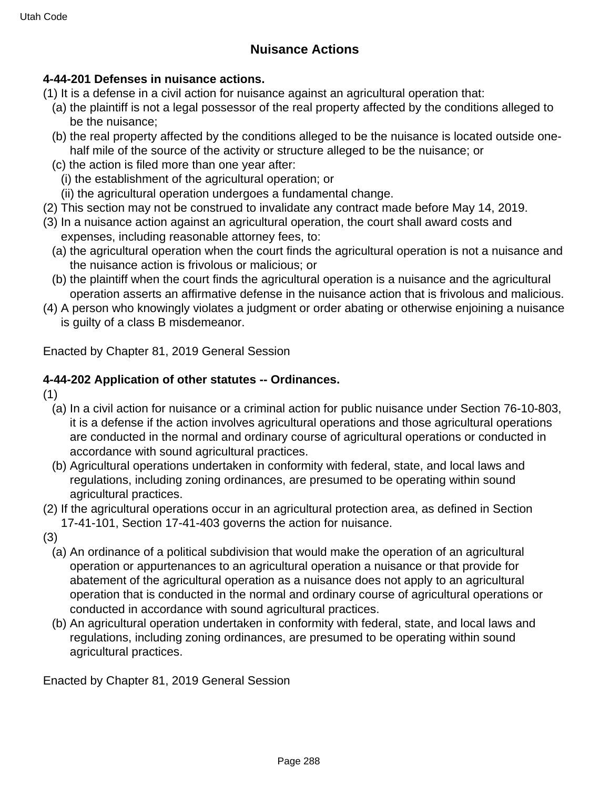## **Nuisance Actions**

## **4-44-201 Defenses in nuisance actions.**

- (1) It is a defense in a civil action for nuisance against an agricultural operation that:
	- (a) the plaintiff is not a legal possessor of the real property affected by the conditions alleged to be the nuisance;
	- (b) the real property affected by the conditions alleged to be the nuisance is located outside onehalf mile of the source of the activity or structure alleged to be the nuisance; or
	- (c) the action is filed more than one year after:
		- (i) the establishment of the agricultural operation; or
	- (ii) the agricultural operation undergoes a fundamental change.
- (2) This section may not be construed to invalidate any contract made before May 14, 2019.
- (3) In a nuisance action against an agricultural operation, the court shall award costs and expenses, including reasonable attorney fees, to:
	- (a) the agricultural operation when the court finds the agricultural operation is not a nuisance and the nuisance action is frivolous or malicious; or
	- (b) the plaintiff when the court finds the agricultural operation is a nuisance and the agricultural operation asserts an affirmative defense in the nuisance action that is frivolous and malicious.
- (4) A person who knowingly violates a judgment or order abating or otherwise enjoining a nuisance is guilty of a class B misdemeanor.

Enacted by Chapter 81, 2019 General Session

## **4-44-202 Application of other statutes -- Ordinances.**

(1)

- (a) In a civil action for nuisance or a criminal action for public nuisance under Section 76-10-803, it is a defense if the action involves agricultural operations and those agricultural operations are conducted in the normal and ordinary course of agricultural operations or conducted in accordance with sound agricultural practices.
- (b) Agricultural operations undertaken in conformity with federal, state, and local laws and regulations, including zoning ordinances, are presumed to be operating within sound agricultural practices.
- (2) If the agricultural operations occur in an agricultural protection area, as defined in Section 17-41-101, Section 17-41-403 governs the action for nuisance.

(3)

- (a) An ordinance of a political subdivision that would make the operation of an agricultural operation or appurtenances to an agricultural operation a nuisance or that provide for abatement of the agricultural operation as a nuisance does not apply to an agricultural operation that is conducted in the normal and ordinary course of agricultural operations or conducted in accordance with sound agricultural practices.
- (b) An agricultural operation undertaken in conformity with federal, state, and local laws and regulations, including zoning ordinances, are presumed to be operating within sound agricultural practices.

Enacted by Chapter 81, 2019 General Session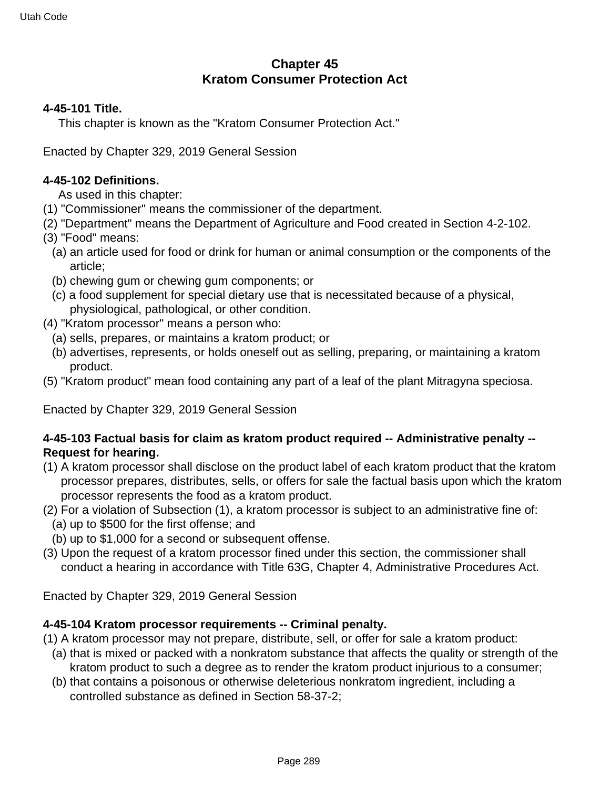# **Chapter 45 Kratom Consumer Protection Act**

### **4-45-101 Title.**

This chapter is known as the "Kratom Consumer Protection Act."

Enacted by Chapter 329, 2019 General Session

#### **4-45-102 Definitions.**

As used in this chapter:

- (1) "Commissioner" means the commissioner of the department.
- (2) "Department" means the Department of Agriculture and Food created in Section 4-2-102.
- (3) "Food" means:
	- (a) an article used for food or drink for human or animal consumption or the components of the article;
	- (b) chewing gum or chewing gum components; or
	- (c) a food supplement for special dietary use that is necessitated because of a physical, physiological, pathological, or other condition.
- (4) "Kratom processor" means a person who:
	- (a) sells, prepares, or maintains a kratom product; or
	- (b) advertises, represents, or holds oneself out as selling, preparing, or maintaining a kratom product.
- (5) "Kratom product" mean food containing any part of a leaf of the plant Mitragyna speciosa.

Enacted by Chapter 329, 2019 General Session

### **4-45-103 Factual basis for claim as kratom product required -- Administrative penalty -- Request for hearing.**

- (1) A kratom processor shall disclose on the product label of each kratom product that the kratom processor prepares, distributes, sells, or offers for sale the factual basis upon which the kratom processor represents the food as a kratom product.
- (2) For a violation of Subsection (1), a kratom processor is subject to an administrative fine of: (a) up to \$500 for the first offense; and
- (b) up to \$1,000 for a second or subsequent offense.
- (3) Upon the request of a kratom processor fined under this section, the commissioner shall conduct a hearing in accordance with Title 63G, Chapter 4, Administrative Procedures Act.

Enacted by Chapter 329, 2019 General Session

### **4-45-104 Kratom processor requirements -- Criminal penalty.**

(1) A kratom processor may not prepare, distribute, sell, or offer for sale a kratom product:

- (a) that is mixed or packed with a nonkratom substance that affects the quality or strength of the kratom product to such a degree as to render the kratom product injurious to a consumer;
- (b) that contains a poisonous or otherwise deleterious nonkratom ingredient, including a controlled substance as defined in Section 58-37-2;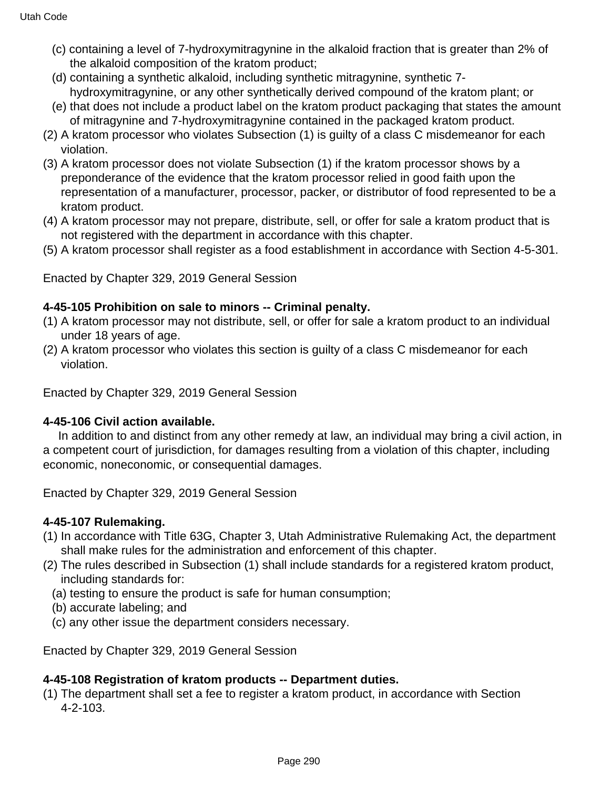- (c) containing a level of 7-hydroxymitragynine in the alkaloid fraction that is greater than 2% of the alkaloid composition of the kratom product;
- (d) containing a synthetic alkaloid, including synthetic mitragynine, synthetic 7 hydroxymitragynine, or any other synthetically derived compound of the kratom plant; or
- (e) that does not include a product label on the kratom product packaging that states the amount of mitragynine and 7-hydroxymitragynine contained in the packaged kratom product.
- (2) A kratom processor who violates Subsection (1) is guilty of a class C misdemeanor for each violation.
- (3) A kratom processor does not violate Subsection (1) if the kratom processor shows by a preponderance of the evidence that the kratom processor relied in good faith upon the representation of a manufacturer, processor, packer, or distributor of food represented to be a kratom product.
- (4) A kratom processor may not prepare, distribute, sell, or offer for sale a kratom product that is not registered with the department in accordance with this chapter.
- (5) A kratom processor shall register as a food establishment in accordance with Section 4-5-301.

Enacted by Chapter 329, 2019 General Session

### **4-45-105 Prohibition on sale to minors -- Criminal penalty.**

- (1) A kratom processor may not distribute, sell, or offer for sale a kratom product to an individual under 18 years of age.
- (2) A kratom processor who violates this section is guilty of a class C misdemeanor for each violation.

Enacted by Chapter 329, 2019 General Session

### **4-45-106 Civil action available.**

 In addition to and distinct from any other remedy at law, an individual may bring a civil action, in a competent court of jurisdiction, for damages resulting from a violation of this chapter, including economic, noneconomic, or consequential damages.

Enacted by Chapter 329, 2019 General Session

### **4-45-107 Rulemaking.**

- (1) In accordance with Title 63G, Chapter 3, Utah Administrative Rulemaking Act, the department shall make rules for the administration and enforcement of this chapter.
- (2) The rules described in Subsection (1) shall include standards for a registered kratom product, including standards for:
	- (a) testing to ensure the product is safe for human consumption;
	- (b) accurate labeling; and
	- (c) any other issue the department considers necessary.

Enacted by Chapter 329, 2019 General Session

### **4-45-108 Registration of kratom products -- Department duties.**

(1) The department shall set a fee to register a kratom product, in accordance with Section 4-2-103.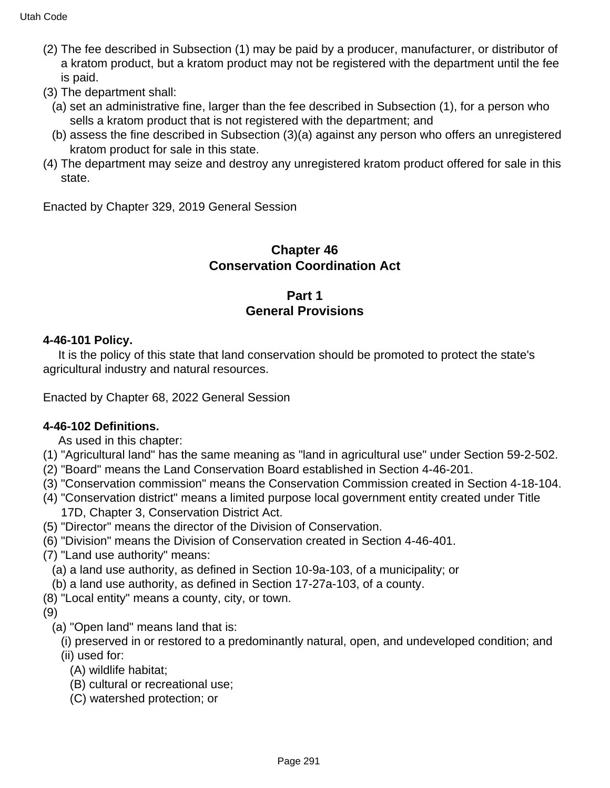- (2) The fee described in Subsection (1) may be paid by a producer, manufacturer, or distributor of a kratom product, but a kratom product may not be registered with the department until the fee is paid.
- (3) The department shall:
	- (a) set an administrative fine, larger than the fee described in Subsection (1), for a person who sells a kratom product that is not registered with the department; and
	- (b) assess the fine described in Subsection (3)(a) against any person who offers an unregistered kratom product for sale in this state.
- (4) The department may seize and destroy any unregistered kratom product offered for sale in this state.

Enacted by Chapter 329, 2019 General Session

## **Chapter 46 Conservation Coordination Act**

## **Part 1 General Provisions**

## **4-46-101 Policy.**

 It is the policy of this state that land conservation should be promoted to protect the state's agricultural industry and natural resources.

Enacted by Chapter 68, 2022 General Session

## **4-46-102 Definitions.**

As used in this chapter:

- (1) "Agricultural land" has the same meaning as "land in agricultural use" under Section 59-2-502.
- (2) "Board" means the Land Conservation Board established in Section 4-46-201.
- (3) "Conservation commission" means the Conservation Commission created in Section 4-18-104.
- (4) "Conservation district" means a limited purpose local government entity created under Title 17D, Chapter 3, Conservation District Act.
- (5) "Director" means the director of the Division of Conservation.
- (6) "Division" means the Division of Conservation created in Section 4-46-401.
- (7) "Land use authority" means:
	- (a) a land use authority, as defined in Section 10-9a-103, of a municipality; or
	- (b) a land use authority, as defined in Section 17-27a-103, of a county.
- (8) "Local entity" means a county, city, or town.

(9)

- (a) "Open land" means land that is:
	- (i) preserved in or restored to a predominantly natural, open, and undeveloped condition; and (ii) used for:
		- (A) wildlife habitat;
		- (B) cultural or recreational use;
		- (C) watershed protection; or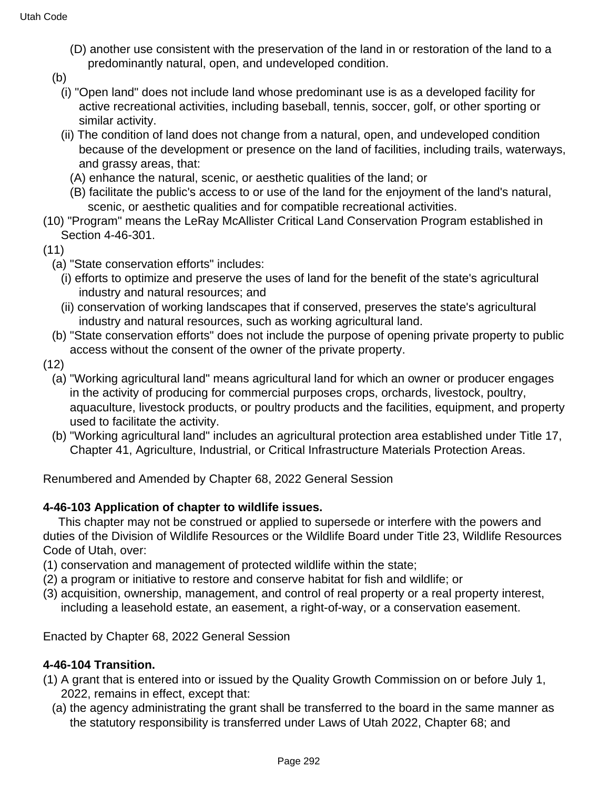- (D) another use consistent with the preservation of the land in or restoration of the land to a predominantly natural, open, and undeveloped condition.
- (b)
	- (i) "Open land" does not include land whose predominant use is as a developed facility for active recreational activities, including baseball, tennis, soccer, golf, or other sporting or similar activity.
	- (ii) The condition of land does not change from a natural, open, and undeveloped condition because of the development or presence on the land of facilities, including trails, waterways, and grassy areas, that:
		- (A) enhance the natural, scenic, or aesthetic qualities of the land; or
		- (B) facilitate the public's access to or use of the land for the enjoyment of the land's natural, scenic, or aesthetic qualities and for compatible recreational activities.
- (10) "Program" means the LeRay McAllister Critical Land Conservation Program established in Section 4-46-301.
- (11)
	- (a) "State conservation efforts" includes:
		- (i) efforts to optimize and preserve the uses of land for the benefit of the state's agricultural industry and natural resources; and
		- (ii) conservation of working landscapes that if conserved, preserves the state's agricultural industry and natural resources, such as working agricultural land.
	- (b) "State conservation efforts" does not include the purpose of opening private property to public access without the consent of the owner of the private property.
- (12)
	- (a) "Working agricultural land" means agricultural land for which an owner or producer engages in the activity of producing for commercial purposes crops, orchards, livestock, poultry, aquaculture, livestock products, or poultry products and the facilities, equipment, and property used to facilitate the activity.
	- (b) "Working agricultural land" includes an agricultural protection area established under Title 17, Chapter 41, Agriculture, Industrial, or Critical Infrastructure Materials Protection Areas.

Renumbered and Amended by Chapter 68, 2022 General Session

## **4-46-103 Application of chapter to wildlife issues.**

 This chapter may not be construed or applied to supersede or interfere with the powers and duties of the Division of Wildlife Resources or the Wildlife Board under Title 23, Wildlife Resources Code of Utah, over:

- (1) conservation and management of protected wildlife within the state;
- (2) a program or initiative to restore and conserve habitat for fish and wildlife; or
- (3) acquisition, ownership, management, and control of real property or a real property interest, including a leasehold estate, an easement, a right-of-way, or a conservation easement.

Enacted by Chapter 68, 2022 General Session

## **4-46-104 Transition.**

- (1) A grant that is entered into or issued by the Quality Growth Commission on or before July 1, 2022, remains in effect, except that:
	- (a) the agency administrating the grant shall be transferred to the board in the same manner as the statutory responsibility is transferred under Laws of Utah 2022, Chapter 68; and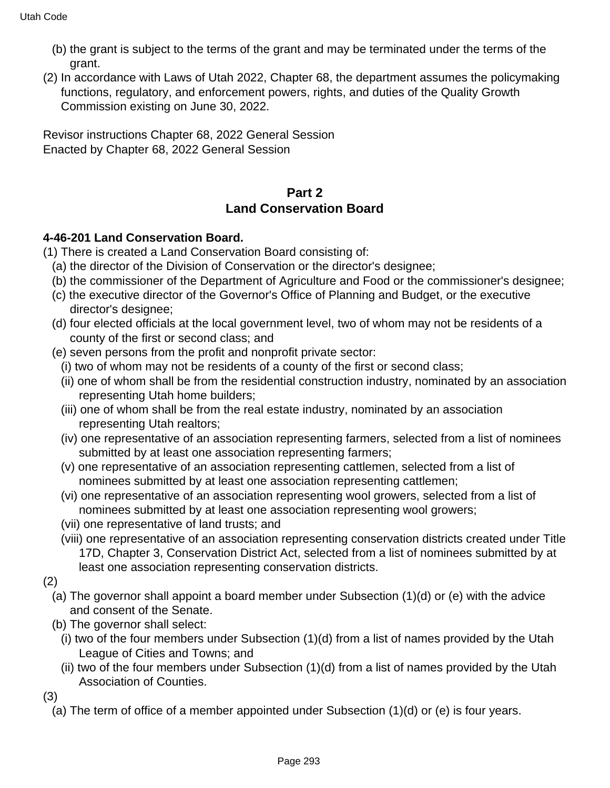- (b) the grant is subject to the terms of the grant and may be terminated under the terms of the grant.
- (2) In accordance with Laws of Utah 2022, Chapter 68, the department assumes the policymaking functions, regulatory, and enforcement powers, rights, and duties of the Quality Growth Commission existing on June 30, 2022.

Revisor instructions Chapter 68, 2022 General Session Enacted by Chapter 68, 2022 General Session

# **Part 2 Land Conservation Board**

## **4-46-201 Land Conservation Board.**

- (1) There is created a Land Conservation Board consisting of:
	- (a) the director of the Division of Conservation or the director's designee;
	- (b) the commissioner of the Department of Agriculture and Food or the commissioner's designee;
	- (c) the executive director of the Governor's Office of Planning and Budget, or the executive director's designee;
	- (d) four elected officials at the local government level, two of whom may not be residents of a county of the first or second class; and
	- (e) seven persons from the profit and nonprofit private sector:
		- (i) two of whom may not be residents of a county of the first or second class;
		- (ii) one of whom shall be from the residential construction industry, nominated by an association representing Utah home builders;
		- (iii) one of whom shall be from the real estate industry, nominated by an association representing Utah realtors;
		- (iv) one representative of an association representing farmers, selected from a list of nominees submitted by at least one association representing farmers;
		- (v) one representative of an association representing cattlemen, selected from a list of nominees submitted by at least one association representing cattlemen;
		- (vi) one representative of an association representing wool growers, selected from a list of nominees submitted by at least one association representing wool growers;
		- (vii) one representative of land trusts; and
		- (viii) one representative of an association representing conservation districts created under Title 17D, Chapter 3, Conservation District Act, selected from a list of nominees submitted by at least one association representing conservation districts.
- (2)
	- (a) The governor shall appoint a board member under Subsection (1)(d) or (e) with the advice and consent of the Senate.
	- (b) The governor shall select:
		- (i) two of the four members under Subsection (1)(d) from a list of names provided by the Utah League of Cities and Towns; and
		- (ii) two of the four members under Subsection (1)(d) from a list of names provided by the Utah Association of Counties.

(3)

(a) The term of office of a member appointed under Subsection (1)(d) or (e) is four years.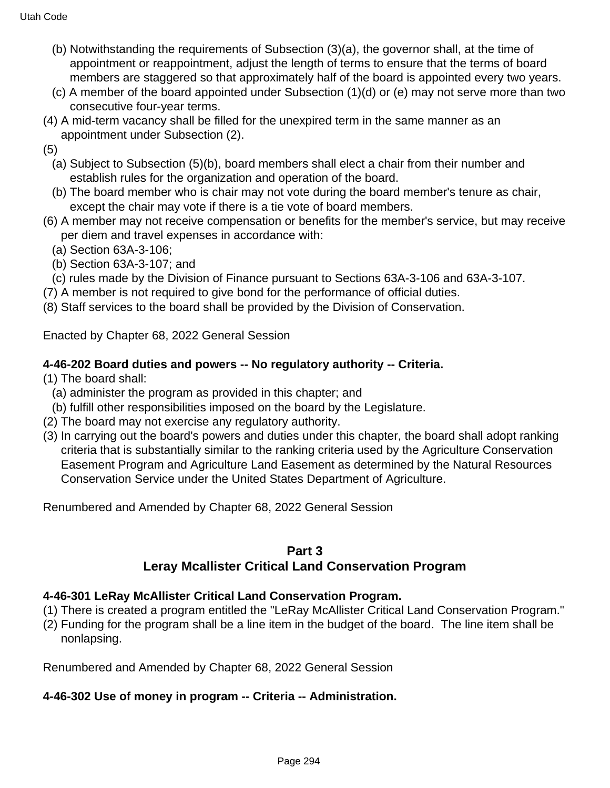- (b) Notwithstanding the requirements of Subsection (3)(a), the governor shall, at the time of appointment or reappointment, adjust the length of terms to ensure that the terms of board members are staggered so that approximately half of the board is appointed every two years.
- (c) A member of the board appointed under Subsection (1)(d) or (e) may not serve more than two consecutive four-year terms.
- (4) A mid-term vacancy shall be filled for the unexpired term in the same manner as an appointment under Subsection (2).
- (5)
	- (a) Subject to Subsection (5)(b), board members shall elect a chair from their number and establish rules for the organization and operation of the board.
	- (b) The board member who is chair may not vote during the board member's tenure as chair, except the chair may vote if there is a tie vote of board members.
- (6) A member may not receive compensation or benefits for the member's service, but may receive per diem and travel expenses in accordance with:
	- (a) Section 63A-3-106;
	- (b) Section 63A-3-107; and
- (c) rules made by the Division of Finance pursuant to Sections 63A-3-106 and 63A-3-107.
- (7) A member is not required to give bond for the performance of official duties.
- (8) Staff services to the board shall be provided by the Division of Conservation.

Enacted by Chapter 68, 2022 General Session

## **4-46-202 Board duties and powers -- No regulatory authority -- Criteria.**

- (1) The board shall:
	- (a) administer the program as provided in this chapter; and
- (b) fulfill other responsibilities imposed on the board by the Legislature.
- (2) The board may not exercise any regulatory authority.
- (3) In carrying out the board's powers and duties under this chapter, the board shall adopt ranking criteria that is substantially similar to the ranking criteria used by the Agriculture Conservation Easement Program and Agriculture Land Easement as determined by the Natural Resources Conservation Service under the United States Department of Agriculture.

Renumbered and Amended by Chapter 68, 2022 General Session

### **Part 3**

# **Leray Mcallister Critical Land Conservation Program**

## **4-46-301 LeRay McAllister Critical Land Conservation Program.**

- (1) There is created a program entitled the "LeRay McAllister Critical Land Conservation Program."
- (2) Funding for the program shall be a line item in the budget of the board. The line item shall be nonlapsing.

Renumbered and Amended by Chapter 68, 2022 General Session

## **4-46-302 Use of money in program -- Criteria -- Administration.**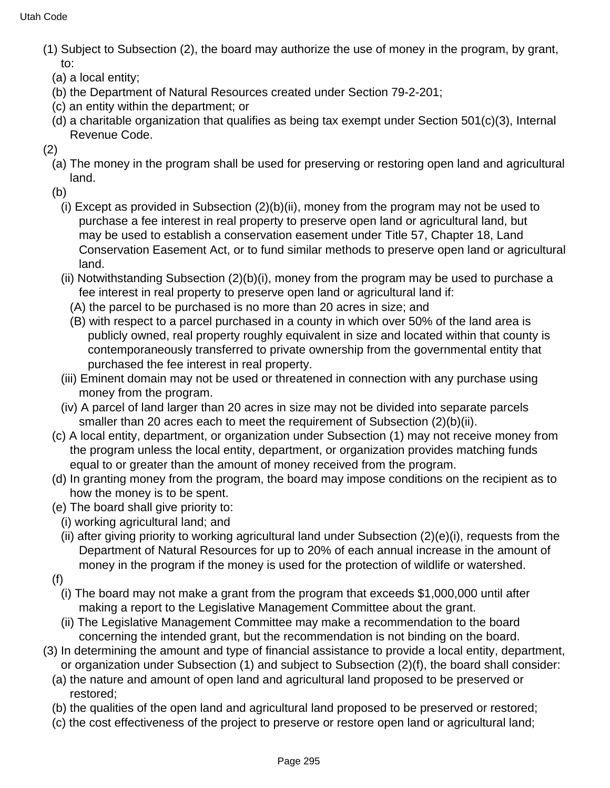- (1) Subject to Subsection (2), the board may authorize the use of money in the program, by grant, to:
	- (a) a local entity;
	- (b) the Department of Natural Resources created under Section 79-2-201;
	- (c) an entity within the department; or
	- (d) a charitable organization that qualifies as being tax exempt under Section 501(c)(3), Internal Revenue Code.
- (2)
	- (a) The money in the program shall be used for preserving or restoring open land and agricultural land.
	- (b)
		- (i) Except as provided in Subsection (2)(b)(ii), money from the program may not be used to purchase a fee interest in real property to preserve open land or agricultural land, but may be used to establish a conservation easement under Title 57, Chapter 18, Land Conservation Easement Act, or to fund similar methods to preserve open land or agricultural land.
		- (ii) Notwithstanding Subsection (2)(b)(i), money from the program may be used to purchase a fee interest in real property to preserve open land or agricultural land if:
			- (A) the parcel to be purchased is no more than 20 acres in size; and
			- (B) with respect to a parcel purchased in a county in which over 50% of the land area is publicly owned, real property roughly equivalent in size and located within that county is contemporaneously transferred to private ownership from the governmental entity that purchased the fee interest in real property.
		- (iii) Eminent domain may not be used or threatened in connection with any purchase using money from the program.
		- (iv) A parcel of land larger than 20 acres in size may not be divided into separate parcels smaller than 20 acres each to meet the requirement of Subsection (2)(b)(ii).
	- (c) A local entity, department, or organization under Subsection (1) may not receive money from the program unless the local entity, department, or organization provides matching funds equal to or greater than the amount of money received from the program.
	- (d) In granting money from the program, the board may impose conditions on the recipient as to how the money is to be spent.
	- (e) The board shall give priority to:
		- (i) working agricultural land; and
		- (ii) after giving priority to working agricultural land under Subsection (2)(e)(i), requests from the Department of Natural Resources for up to 20% of each annual increase in the amount of money in the program if the money is used for the protection of wildlife or watershed.
	- (f)
		- (i) The board may not make a grant from the program that exceeds \$1,000,000 until after making a report to the Legislative Management Committee about the grant.
		- (ii) The Legislative Management Committee may make a recommendation to the board concerning the intended grant, but the recommendation is not binding on the board.
- (3) In determining the amount and type of financial assistance to provide a local entity, department, or organization under Subsection (1) and subject to Subsection (2)(f), the board shall consider:
	- (a) the nature and amount of open land and agricultural land proposed to be preserved or restored;
	- (b) the qualities of the open land and agricultural land proposed to be preserved or restored;
	- (c) the cost effectiveness of the project to preserve or restore open land or agricultural land;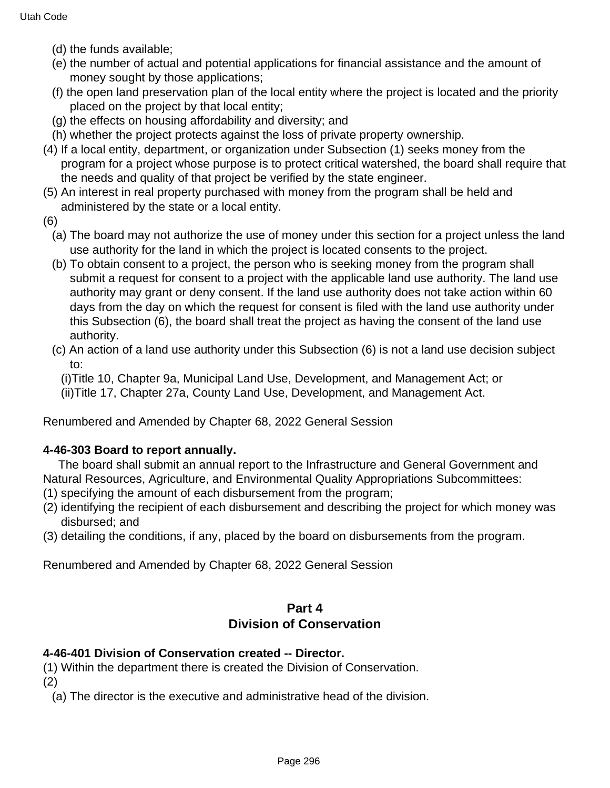- (d) the funds available;
- (e) the number of actual and potential applications for financial assistance and the amount of money sought by those applications;
- (f) the open land preservation plan of the local entity where the project is located and the priority placed on the project by that local entity;
- (g) the effects on housing affordability and diversity; and
- (h) whether the project protects against the loss of private property ownership.
- (4) If a local entity, department, or organization under Subsection (1) seeks money from the program for a project whose purpose is to protect critical watershed, the board shall require that the needs and quality of that project be verified by the state engineer.
- (5) An interest in real property purchased with money from the program shall be held and administered by the state or a local entity.
- (6)
	- (a) The board may not authorize the use of money under this section for a project unless the land use authority for the land in which the project is located consents to the project.
	- (b) To obtain consent to a project, the person who is seeking money from the program shall submit a request for consent to a project with the applicable land use authority. The land use authority may grant or deny consent. If the land use authority does not take action within 60 days from the day on which the request for consent is filed with the land use authority under this Subsection (6), the board shall treat the project as having the consent of the land use authority.
	- (c) An action of a land use authority under this Subsection (6) is not a land use decision subject to:

(i)Title 10, Chapter 9a, Municipal Land Use, Development, and Management Act; or (ii)Title 17, Chapter 27a, County Land Use, Development, and Management Act.

Renumbered and Amended by Chapter 68, 2022 General Session

### **4-46-303 Board to report annually.**

 The board shall submit an annual report to the Infrastructure and General Government and Natural Resources, Agriculture, and Environmental Quality Appropriations Subcommittees:

- (1) specifying the amount of each disbursement from the program;
- (2) identifying the recipient of each disbursement and describing the project for which money was disbursed; and
- (3) detailing the conditions, if any, placed by the board on disbursements from the program.

Renumbered and Amended by Chapter 68, 2022 General Session

## **Part 4 Division of Conservation**

### **4-46-401 Division of Conservation created -- Director.**

(1) Within the department there is created the Division of Conservation.

(2)

(a) The director is the executive and administrative head of the division.